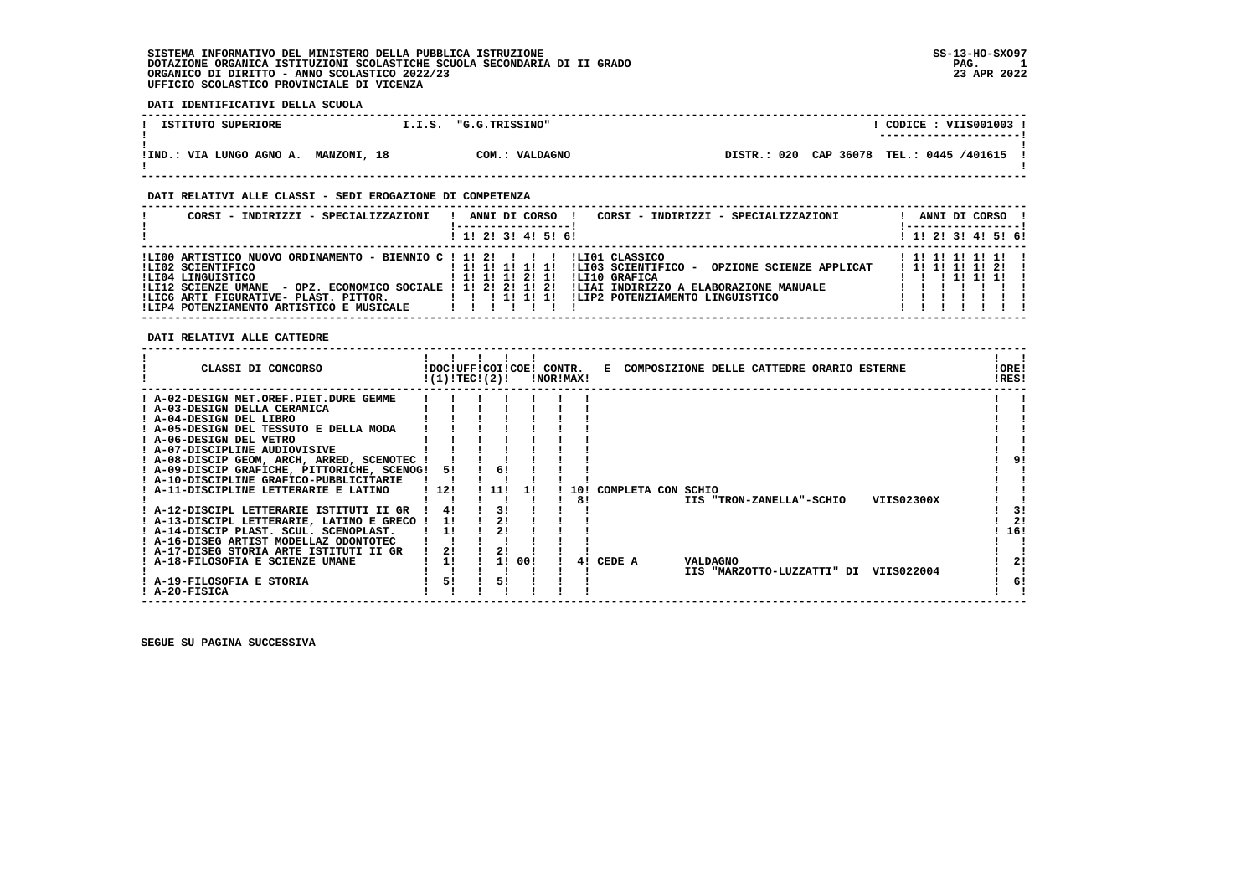### **DATI IDENTIFICATIVI DELLA SCUOLA**

| ISTITUTO SUPERIORE       | I.I.S.      | "G.G.TRISSINO" | CODICE : VIIS001003 !                          |
|--------------------------|-------------|----------------|------------------------------------------------|
| !IND.: VIA LUNGO AGNO A. | MANZONI, 18 | COM.: VALDAGNO | CAP 36078 TEL.: 0445 /401615<br>020<br>DISTR.: |

#### **DATI RELATIVI ALLE CLASSI - SEDI EROGAZIONE DI COMPETENZA**

| CORSI - INDIRIZZI - SPECIALIZZAZIONI                                                                                                                                                                                                                                                     | CORSI - INDIRIZZI - SPECIALIZZAZIONI<br>ANNI DI CORSO                                                                                                                            | ANNI DI CORSO !                                              |
|------------------------------------------------------------------------------------------------------------------------------------------------------------------------------------------------------------------------------------------------------------------------------------------|----------------------------------------------------------------------------------------------------------------------------------------------------------------------------------|--------------------------------------------------------------|
|                                                                                                                                                                                                                                                                                          | $1$ , 1! 2! 3! 4! 5! 6!                                                                                                                                                          | $1$ 1! 2! 3! 4! 5! 6!                                        |
| ILI00 ARTISTICO NUOVO ORDINAMENTO - BIENNIO C ! 1! 2! !!! ! ILI01 CLASSICO<br>ILI02 SCIENTIFICO<br>ILI04 LINGUISTICO<br>- OPZ. ECONOMICO SOCIALE ! 1! 2! 2! 1! 2!<br>!LI12 SCIENZE UMANE<br>!LIC6 ARTI FIGURATIVE- PLAST. PITTOR.   !!!!!!!!<br>!LIP4 POTENZIAMENTO ARTISTICO E MUSICALE | !LI03 SCIENTIFICO -<br>!!!!!!!!!!!<br>OPZIONE SCIENZE APPLICAT<br>ILI10 GRAFICA<br>! 1! 1! 1! 2! 1!<br>!LIAI INDIRIZZO A ELABORAZIONE MANUALE<br>ILIP2 POTENZIAMENTO LINGUISTICO | ! 1! 1! 1! 1! 1! !<br>1 1 1 1 1 1 1 2 1<br>1 1 1 1 1 1 1 1 1 |

#### **DATI RELATIVI ALLE CATTEDRE**

| CLASSI DI CONCORSO<br>!DOC!UFF!COI!COE! CONTR.<br>COMPOSIZIONE DELLE CATTEDRE ORARIO ESTERNE<br>Е<br>!(1)!TEC!(2)!<br>!NOR!MAX!                                                                                                                                                                                                                                                                                                                                                                                                                                                                                                                                                                                                                                                                                                                                                                                                                      | !ORE!<br>!RES!              |
|------------------------------------------------------------------------------------------------------------------------------------------------------------------------------------------------------------------------------------------------------------------------------------------------------------------------------------------------------------------------------------------------------------------------------------------------------------------------------------------------------------------------------------------------------------------------------------------------------------------------------------------------------------------------------------------------------------------------------------------------------------------------------------------------------------------------------------------------------------------------------------------------------------------------------------------------------|-----------------------------|
| A-02-DESIGN MET.OREF.PIET.DURE GEMME<br>! A-03-DESIGN DELLA CERAMICA<br>! A-04-DESIGN DEL LIBRO<br>! A-05-DESIGN DEL TESSUTO E DELLA MODA<br>! A-06-DESIGN DEL VETRO<br>! A-07-DISCIPLINE AUDIOVISIVE<br>! A-08-DISCIP GEOM, ARCH, ARRED, SCENOTEC !<br>! A-09-DISCIP GRAFICHE, PITTORICHE, SCENOG!<br>6!<br>51<br>! A-10-DISCIPLINE GRAFICO-PUBBLICITARIE<br>! A-11-DISCIPLINE LETTERARIE E LATINO<br>112!<br>11!<br>COMPLETA CON SCHIO<br>10!<br>11<br>VIIS02300X<br>8!<br>IIS "TRON-ZANELLA"-SCHIO<br>3!<br>! A-12-DISCIPL LETTERARIE ISTITUTI II GR<br>41<br>! A-13-DISCIPL LETTERARIE, LATINO E GRECO !<br>11<br>! A-14-DISCIP PLAST. SCUL. SCENOPLAST.<br>11<br>! A-16-DISEG ARTIST MODELLAZ ODONTOTEC<br>21<br>! A-17-DISEG STORIA ARTE ISTITUTI II GR<br>11<br>00!<br>A-18-FILOSOFIA E SCIENZE UMANE<br>CEDE A<br>11<br>VALDAGNO<br>41<br>IIS "MARZOTTO-LUZZATTI" DI<br>VIIS022004<br>51<br>51<br>! A-19-FILOSOFIA E STORIA<br>! A-20-FISICA | 3!<br>21<br>16!<br>21<br>6! |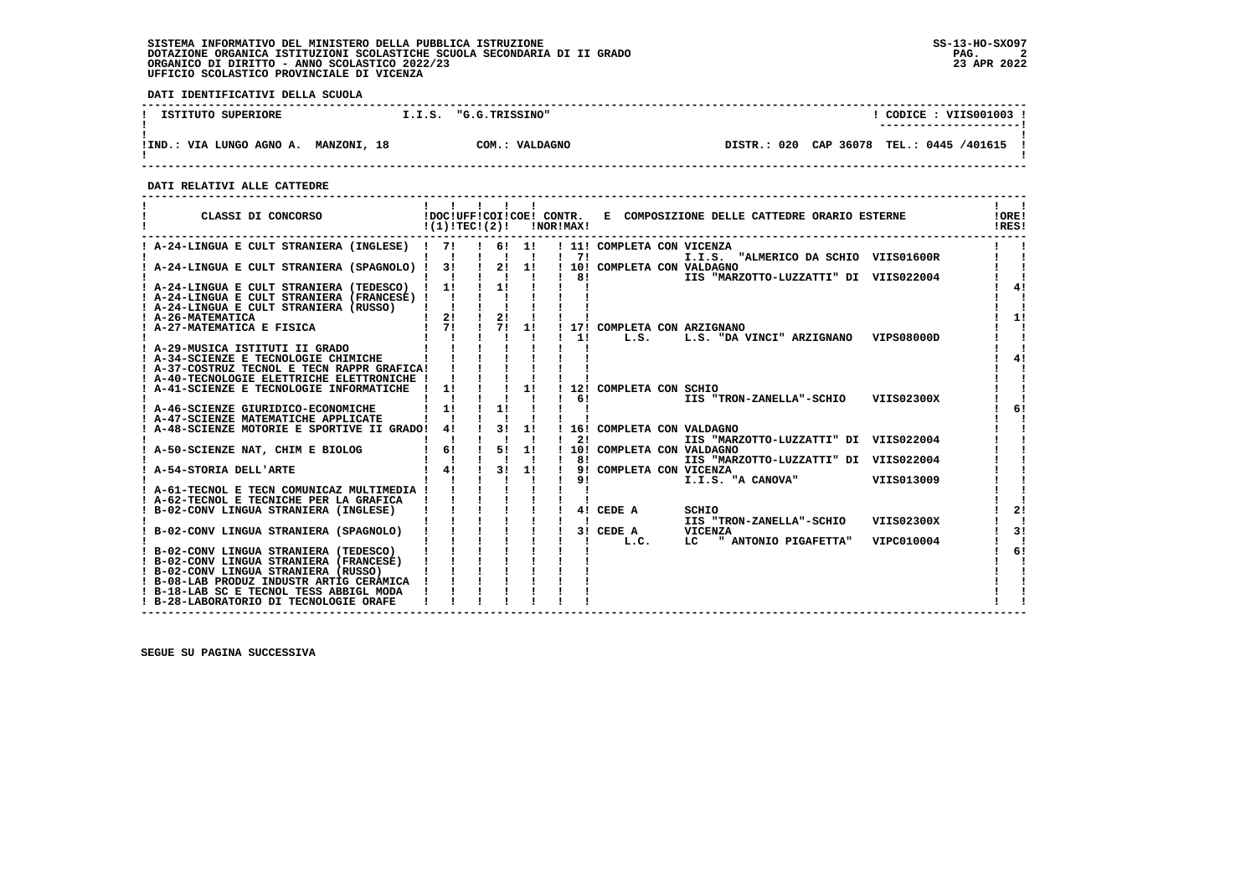**DATI IDENTIFICATIVI DELLA SCUOLA**

| ISTITUTO SUPERIORE         | I.I.S.                | "G.G.TRISSINO"                   | CODICE: VIIS001003                                |
|----------------------------|-----------------------|----------------------------------|---------------------------------------------------|
|                            |                       |                                  | ----------------------                            |
| VIA LUNGO AGNO A.<br>!IND. | 18<br><b>MANZONI,</b> | $\sim$ $\sim$<br>VALDAGNO<br>. . | CAP 36078<br>020<br>TEL.: 0445 /401615<br>DISTR.: |

 **------------------------------------------------------------------------------------------------------------------------------------**

 **DATI RELATIVI ALLE CATTEDRE**

| CLASSI DI CONCORSO                                                                         | !(1)!TEC!(2)! |                                             |                      | !NOR!MAX!    | !DOC!UFF!COI!COE! CONTR. E COMPOSIZIONE DELLE CATTEDRE ORARIO ESTERNE | !ORE!<br>!RES!   |
|--------------------------------------------------------------------------------------------|---------------|---------------------------------------------|----------------------|--------------|-----------------------------------------------------------------------|------------------|
| ! A-24-LINGUA E CULT STRANIERA (INGLESE) ! 7! ! 6! 1!                                      |               |                                             |                      |              | ! 11! COMPLETA CON VICENZA                                            |                  |
| ! A-24-LINGUA E CULT STRANIERA (SPAGNOLO) ! 3!                                             |               | $\mathbf{1}$ $\mathbf{1}$<br>$\sim 1$<br>2! | $\blacksquare$<br>1! | $1 \quad 71$ | I.I.S. "ALMERICO DA SCHIO VIIS01600R                                  |                  |
|                                                                                            |               |                                             |                      | 81           | ! 10! COMPLETA CON VALDAGNO<br>IIS "MARZOTTO-LUZZATTI" DI VIIS022004  |                  |
| ! A-24-LINGUA E CULT STRANIERA (TEDESCO) ! 1!                                              |               | $\frac{1}{2}$                               |                      |              |                                                                       | 41               |
| ! A-24-LINGUA E CULT STRANIERA (FRANCESE) !!                                               |               |                                             |                      |              |                                                                       |                  |
| ! A-24-LINGUA E CULT STRANIERA (RUSSO)                                                     |               |                                             |                      |              |                                                                       |                  |
| ! A-26-MATEMATICA<br>: A-26-MATEMATICA<br>! A-27-MATEMATICA E FISICA                       | $\frac{1}{2}$ | 2!                                          |                      |              |                                                                       | 11               |
|                                                                                            | $1 \quad 71$  | $\mathbf{I}$<br>71                          | 11                   |              | ! 17! COMPLETA CON ARZIGNANO                                          |                  |
|                                                                                            |               |                                             |                      | 11           | L.S. L.S. "DA VINCI" ARZIGNANO VIPS08000D                             |                  |
| ! A-29-MUSICA ISTITUTI II GRADO                                                            |               |                                             |                      |              |                                                                       |                  |
| ! A-34-SCIENZE E TECNOLOGIE CHIMICHE                                                       |               |                                             |                      |              |                                                                       | 41               |
| ! A-37-COSTRUZ TECNOL E TECN RAPPR GRAFICA!<br>! A-40-TECNOLOGIE ELETTRICHE ELETTRONICHE ! |               |                                             |                      |              |                                                                       |                  |
| ! A-41-SCIENZE E TECNOLOGIE INFORMATICHE                                                   | 11            | $\mathbf{1}$ $\mathbf{1}$                   | 11                   |              | 12! COMPLETA CON SCHIO                                                |                  |
|                                                                                            |               |                                             |                      | 61           | IIS "TRON-ZANELLA"-SCHIO                                              | VIIS02300X       |
| ! A-46-SCIENZE GIURIDICO-ECONOMICHE                                                        | 11            | 11                                          |                      |              |                                                                       |                  |
| ! A-47-SCIENZE MATEMATICHE APPLICATE                                                       |               |                                             |                      |              |                                                                       |                  |
| ! A-48-SCIENZE MOTORIE E SPORTIVE II GRADO!                                                | 41            | $\frac{1}{3}$                               | 11                   |              | 16! COMPLETA CON VALDAGNO                                             |                  |
|                                                                                            |               |                                             |                      | 21           | IIS "MARZOTTO-LUZZATTI" DI VIIS022004                                 |                  |
| A-50-SCIENZE NAT, CHIM E BIOLOG                                                            | 6!            | 51                                          | 1!                   |              | 10! COMPLETA CON VALDAGNO                                             |                  |
|                                                                                            |               |                                             |                      | 81           | IIS "MARZOTTO-LUZZATTI" DI VIIS022004                                 |                  |
| ! A-54-STORIA DELL'ARTE                                                                    | $1 \quad 41$  | 3!                                          | 1!                   |              | 9! COMPLETA CON VICENZA                                               |                  |
|                                                                                            |               |                                             |                      | 91           | I.I.S. "A CANOVA" VIIS013009                                          |                  |
| ! A-61-TECNOL E TECN COMUNICAZ MULTIMEDIA !                                                |               |                                             |                      |              |                                                                       |                  |
| ! A-62-TECNOL E TECNICHE PER LA GRAFICA                                                    |               |                                             |                      |              |                                                                       |                  |
| B-02-CONV LINGUA STRANIERA (INGLESE)                                                       |               |                                             |                      |              | 4! CEDE A<br>SCHIO                                                    | 21               |
|                                                                                            |               |                                             |                      |              | IIS "TRON-ZANELLA"-SCHIO<br>3! CEDE A                                 | VIIS02300X<br>31 |
| ! B-02-CONV LINGUA STRANIERA (SPAGNOLO)                                                    |               |                                             |                      |              | VICENZA                                                               |                  |
| ! B-02-CONV LINGUA STRANIERA (TEDESCO)                                                     |               |                                             |                      |              | L.C.<br>LC " ANTONIO PIGAFETTA"                                       | VIPC010004<br>6! |
| ! B-02-CONV LINGUA STRANIERA (FRANCESE)                                                    |               |                                             |                      |              |                                                                       |                  |
| ! B-02-CONV LINGUA STRANIERA (RUSSO)                                                       |               |                                             |                      |              |                                                                       |                  |
| ! B-08-LAB PRODUZ INDUSTR ARTIG CERAMICA                                                   |               |                                             |                      |              |                                                                       |                  |
| ! B-18-LAB SC E TECNOL TESS ABBIGL MODA                                                    |               |                                             |                      |              |                                                                       |                  |
| ! B-28-LABORATORIO DI TECNOLOGIE ORAFE                                                     |               |                                             |                      |              |                                                                       |                  |
|                                                                                            |               |                                             |                      |              |                                                                       |                  |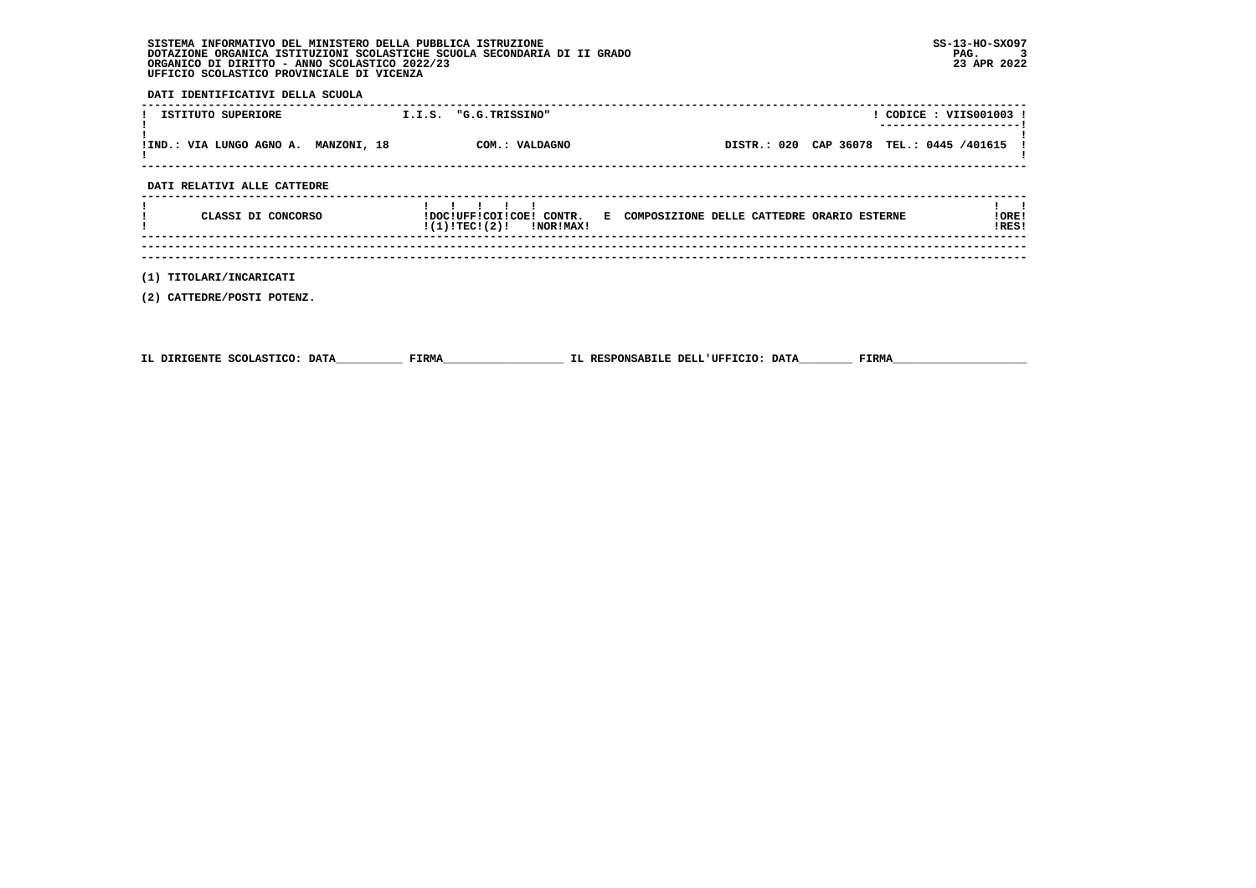| SISTEMA INFORMATIVO DEL MINISTERO DELLA PUBBLICA ISTRUZIONE              | $SS-13-HO-SXO97$ |
|--------------------------------------------------------------------------|------------------|
| DOTAZIONE ORGANICA ISTITUZIONI SCOLASTICHE SCUOLA SECONDARIA DI II GRADO | PAG.             |
| ORGANICO DI DIRITTO - ANNO SCOLASTICO 2022/23                            | 23 APR 2022      |
| UFFICIO SCOLASTICO PROVINCIALE DI VICENZA                                |                  |

 **DATI IDENTIFICATIVI DELLA SCUOLA**

| ISTITUTO SUPERIORE                   | I.I.S. | "G.G.TRISSINO" |                                            | CODICE: VIIS001003 ! |
|--------------------------------------|--------|----------------|--------------------------------------------|----------------------|
| !IND.: VIA LUNGO AGNO A. MANZONI, 18 |        | COM.: VALDAGNO | DISTR.: 020 CAP 36078 TEL.: 0445 /401615 ! |                      |
|                                      |        |                |                                            |                      |

 **DATI RELATIVI ALLE CATTEDRE**

| CLASSI DI CONCORSO | !DOC!UFF!COI!COE!<br>CONTR.<br>!(1)!TEC!(2)!<br>!NOR!MAX! | E | COMPOSIZIONE DELLE CATTEDRE ORARIO ESTERNE | ! ORE !<br>!RES! |
|--------------------|-----------------------------------------------------------|---|--------------------------------------------|------------------|
|                    |                                                           |   |                                            |                  |

 **------------------------------------------------------------------------------------------------------------------------------------ ------------------------------------------------------------------------------------------------------------------------------------**

 **(1) TITOLARI/INCARICATI**

 **(2) CATTEDRE/POSTI POTENZ.**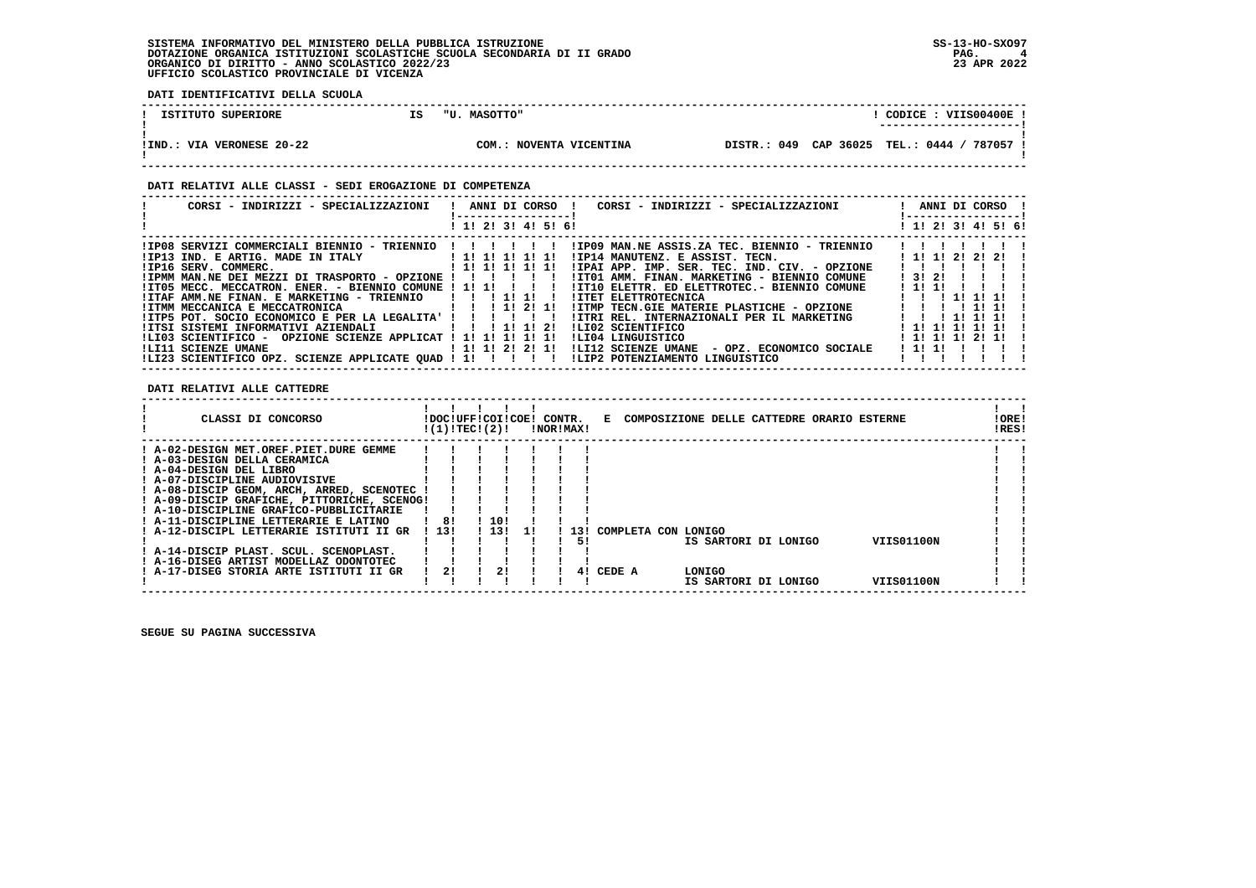**DATI IDENTIFICATIVI DELLA SCUOLA**

| ISTITUTO SUPERIORE        | IS | "U. MASOTTO"               |  | VIIS00400E<br>CODICE :                    |
|---------------------------|----|----------------------------|--|-------------------------------------------|
| !IND.: VIA VERONESE 20-22 |    | NOVENTA VICENTINA<br>COM.: |  | DISTR.: 049 CAP 36025 TEL.: 0444 / 787057 |

### **DATI RELATIVI ALLE CLASSI - SEDI EROGAZIONE DI COMPETENZA**

| CORSI - INDIRIZZI - SPECIALIZZAZIONI                                                                                                  | ! ANNI DI CORSO !<br>CORSI - INDIRIZZI - SPECIALIZZAZIONI<br>-----------------               | ! ANNI DI CORSO !<br>! ----------------- <u>!</u> |
|---------------------------------------------------------------------------------------------------------------------------------------|----------------------------------------------------------------------------------------------|---------------------------------------------------|
|                                                                                                                                       | ! 1! 2! 3! 4! 5! 6!                                                                          | ! 1! 2! 3! 4! 5! 6!                               |
| ! IP08 SERVIZI COMMERCIALI BIENNIO - TRIENNIO ! ! ! ! ! !                                                                             | IIP09 MAN.NE ASSIS.ZA TEC. BIENNIO - TRIENNIO                                                |                                                   |
| !IP13 IND. E ARTIG. MADE IN ITALY [1! 1! 1! 1! 1! 1!<br>!IP16 SERV. COMMERC.                                                          | !IP14 MANUTENZ. E ASSIST. TECN.<br>!IPAI APP. IMP. SER. TEC. IND. CIV. - OPZIONE             | 1 1 1 1 2 2 2 2 1                                 |
| ! IPMM MAN.NE DEI MEZZI DI TRASPORTO - OPZIONE ! ! ! ! ! !                                                                            | !IT01 AMM. FINAN. MARKETING - BIENNIO COMUNE   3! 2!                                         |                                                   |
| $!I$ TO5 MECC. MECCATRON. ENER. - BIENNIO COMUNE $!I$ $1!$ $1!$ $1!$ $1!$<br>!ITAF AMM.NE FINAN. E MARKETING - TRIENNIO   ! ! 1! 1! ! | !IT10 ELETTR. ED ELETTROTEC.- BIENNIO COMUNE<br><b>!ITET ELETTROTECNICA</b>                  | 1 11 11<br>1 1 1 1 1 1 1 1 1                      |
| !ITMM MECCANICA E MECCATRONICA [ !! !! 2! 1!                                                                                          | !ITMP TECN.GIE MATERIE PLASTICHE - OPZIONE                                                   | .                                                 |
| !ITP5 POT. SOCIO ECONOMICO E PER LA LEGALITA' ! ! ! ! ! !                                                                             | !ITRI REL. INTERNAZIONALI PER IL MARKETING                                                   | 111111                                            |
| !ITSI SISTEMI INFORMATIVI AZIENDALI               2!<br>!LI03 SCIENTIFICO - OPZIONE SCIENZE APPLICAT ! 1! 1! 1! 1! 1!                 | ILI02 SCIENTIFICO<br>ILI04 LINGUISTICO                                                       | ! 1! 1! 1! 1! 1!<br>! 1! 1! 1! 2! 1!              |
|                                                                                                                                       | !LI12 SCIENZE UMANE - OPZ. ECONOMICO SOCIALE                                                 | 1 11 11                                           |
|                                                                                                                                       | ILI23 SCIENTIFICO OPZ. SCIENZE APPLICATE QUAD ! 1! ! ! ! ! ! LIP2 POTENZIAMENTO LINGUISTICO! |                                                   |

 **DATI RELATIVI ALLE CATTEDRE**

| CLASSI DI CONCORSO                          |       | !DOC!UFF!COI!COE! CONTR.<br>!(1)!TECI(2)! |       |    |  | !NOR!MAX! |                     |        | E COMPOSIZIONE DELLE CATTEDRE ORARIO ESTERNE |            | !ORE!<br>!RES! |  |
|---------------------------------------------|-------|-------------------------------------------|-------|----|--|-----------|---------------------|--------|----------------------------------------------|------------|----------------|--|
| ! A-02-DESIGN MET.OREF.PIET.DURE GEMME      |       |                                           |       |    |  |           |                     |        |                                              |            |                |  |
| ! A-03-DESIGN DELLA CERAMICA                |       |                                           |       |    |  |           |                     |        |                                              |            |                |  |
| ! A-04-DESIGN DEL LIBRO                     |       |                                           |       |    |  |           |                     |        |                                              |            |                |  |
| ! A-07-DISCIPLINE AUDIOVISIVE               |       |                                           |       |    |  |           |                     |        |                                              |            |                |  |
| ! A-08-DISCIP GEOM, ARCH, ARRED, SCENOTEC   |       |                                           |       |    |  |           |                     |        |                                              |            |                |  |
| ! A-09-DISCIP GRAFICHE, PITTORICHE, SCENOG! |       |                                           |       |    |  |           |                     |        |                                              |            |                |  |
| ! A-10-DISCIPLINE GRAFICO-PUBBLICITARIE     |       |                                           |       |    |  |           |                     |        |                                              |            |                |  |
| ! A-11-DISCIPLINE LETTERARIE E LATINO       |       | 81                                        | -10!  |    |  |           |                     |        |                                              |            |                |  |
| ! A-12-DISCIPL LETTERARIE ISTITUTI II GR    | ! 13! |                                           | 1.131 |    |  | 131       | COMPLETA CON LONIGO |        |                                              |            |                |  |
|                                             |       |                                           |       |    |  | 51        |                     |        | IS SARTORI DI LONIGO                         | VIIS01100N |                |  |
| ! A-14-DISCIP PLAST. SCUL. SCENOPLAST.      |       |                                           |       |    |  |           |                     |        |                                              |            |                |  |
| ! A-16-DISEG ARTIST MODELLAZ ODONTOTEC      |       |                                           |       |    |  |           |                     |        |                                              |            |                |  |
| ! A-17-DISEG STORIA ARTE ISTITUTI II GR     |       | 21                                        |       | 2! |  | 41        | CEDE A              | LONIGO |                                              |            |                |  |
|                                             |       |                                           |       |    |  |           |                     |        | IS SARTORI DI LONIGO                         | VIIS01100N |                |  |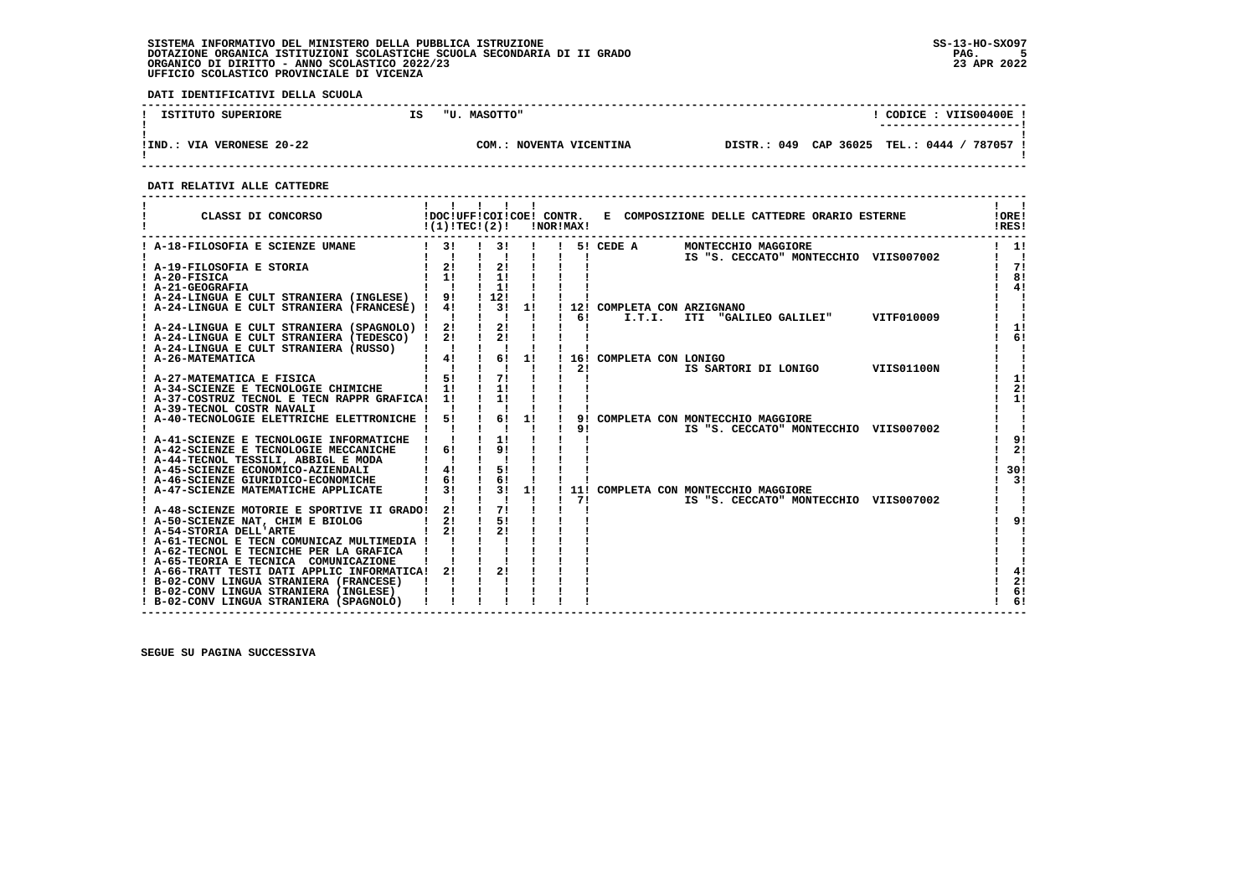**DATI IDENTIFICATIVI DELLA SCUOLA**

| ISTITUTO SUPERIORE        | IS | "U. MASOTTO" |                   | $^{\circ}$ CODICE : VIIS00400E .<br>---------------------- |
|---------------------------|----|--------------|-------------------|------------------------------------------------------------|
| !IND.: VIA VERONESE 20-22 |    | COM.         | NOVENTA VICENTINA | DISTR.: 049 CAP 36025 TEL.: 0444 / 787057                  |

 **------------------------------------------------------------------------------------------------------------------------------------**

 **DATI RELATIVI ALLE CATTEDRE**

| ! A-18-FILOSOFIA E SCIENZE UMANE<br>1 3! 1 3! 1 1 5! CEDE A<br>$1 \quad 11$<br>MONTECCHIO MAGGIORE<br>$\mathbf{I}$ $\mathbf{I}$<br>$\mathbf{I}$ $\mathbf{I}$<br>IS "S. CECCATO" MONTECCHIO VIIS007002<br>$\mathbf{I}$ $\mathbf{I}$<br>$\mathbf{I}$<br>$\frac{1}{2}$<br>2!<br>! A-19-FILOSOFIA E STORIA<br>$1 \quad 1! \quad 1 \quad 1!$<br>$I$ A-20-FISICA<br>$1 \quad 1!$<br>! A-21-GEOGRAFIA<br>$1 \quad 1 \quad$<br>! A-24-LINGUA E CULT STRANIERA (INGLESE) ! 9! ! 12!<br>! A-24-LINGUA E CULT STRANIERA (FRANCESE) ! 4! ! 3! 1!<br>! 12! COMPLETA CON ARZIGNANO<br>$1 \quad 61$<br>I.T.I. ITI "GALILEO GALILEI" VITF010009<br>! A-24-LINGUA E CULT STRANIERA (SPAGNOLO) ! 2!<br>$\frac{1}{2}$<br>! A-24-LINGUA E CULT STRANIERA (TEDESCO) ! 2! !<br>2!<br>! A-24-LINGUA E CULT STRANIERA (RUSSO)   ! ! ! !<br>! 4! 16!<br>11<br>! A-26-MATEMATICA<br>16! COMPLETA CON LONIGO<br>$\mathbf{1}$ $\mathbf{1}$<br>$\mathbf{I}$ $\mathbf{I}$<br>IS SARTORI DI LONIGO VIIS01100N<br>21<br>! A-27-MATEMATICA E FISICA<br>$1 \quad 51$<br>71<br>$1 \quad 11$<br>11<br>! A-34-SCIENZE E TECNOLOGIE CHIMICHE<br>1!<br>! A-37-COSTRUZ TECNOL E TECN RAPPR GRAFICA! 1!<br>! A-39-TECNOL COSTR NAVALI<br>! 6! 1!<br>51<br>! A-40-TECNOLOGIE ELETTRICHE ELETTRONICHE !<br>9! COMPLETA CON MONTECCHIO MAGGIORE<br>$\mathbf{I}$ $\mathbf{I}$<br>9!<br>IS "S. CECCATO" MONTECCHIO VIIS007002<br>! A-41-SCIENZE E TECNOLOGIE INFORMATICHE ! ! ! 1!<br>9!<br>$1 \quad 61$<br>! A-42-SCIENZE E TECNOLOGIE MECCANICHE<br>! A-44-TECNOL TESSILI, ABBIGL E MODA<br>$1 \quad 41$<br>51<br>! A-45-SCIENZE ECONOMICO-AZIENDALI<br>! A-46-SCIENZE GIURIDICO-ECONOMICHE<br>$1 \quad 61$<br>$\mathbf{I}$<br>61<br>$1 \quad 31 \quad 11$<br>$1 \quad 31$<br>! A-47-SCIENZE MATEMATICHE APPLICATE<br>11! COMPLETA CON MONTECCHIO MAGGIORE<br>Ι.<br>$\blacksquare$ $\blacksquare$ $\blacksquare$ $\blacksquare$ $\blacksquare$<br>$1 \quad 71$<br>$\blacksquare$<br>IS "S. CECCATO" MONTECCHIO VIIS007002<br>$\frac{1}{2}$<br>! A-48-SCIENZE MOTORIE E SPORTIVE II GRADO! 2!<br>21<br>$\frac{1}{5!}$<br>! A-50-SCIENZE NAT, CHIM E BIOLOG<br>$1 \quad 21$<br>21<br>! A-61-TECNOL E TECN COMUNICAZ MULTIMEDIA ! ! !<br>! A-62-TECNOL E TECNICHE PER LA GRAFICA !!<br>! A-65-TEORIA E TECNICA COMUNICAZIONE<br>2!<br>! A-66-TRATT TESTI DATI APPLIC INFORMATICA!<br>$2!$ $1$<br>6! | CLASSI DI CONCORSO                      | $!(1)!$ TEC ! $(2)!$ |  | !NOR!MAX! | !DOC!UFF!COI!COE! CONTR. E COMPOSIZIONE DELLE CATTEDRE ORARIO ESTERNE | !ORE!<br>!RES! |
|------------------------------------------------------------------------------------------------------------------------------------------------------------------------------------------------------------------------------------------------------------------------------------------------------------------------------------------------------------------------------------------------------------------------------------------------------------------------------------------------------------------------------------------------------------------------------------------------------------------------------------------------------------------------------------------------------------------------------------------------------------------------------------------------------------------------------------------------------------------------------------------------------------------------------------------------------------------------------------------------------------------------------------------------------------------------------------------------------------------------------------------------------------------------------------------------------------------------------------------------------------------------------------------------------------------------------------------------------------------------------------------------------------------------------------------------------------------------------------------------------------------------------------------------------------------------------------------------------------------------------------------------------------------------------------------------------------------------------------------------------------------------------------------------------------------------------------------------------------------------------------------------------------------------------------------------------------------------------------------------------------------------------------------------------------------------------------------------------------------------------------------------------------------------------------------------------------------------------------------------------------------------------------------------------------------------------------------------------|-----------------------------------------|----------------------|--|-----------|-----------------------------------------------------------------------|----------------|
| 71<br>8!<br>4!<br>1!<br>6!<br>1!<br>2!<br>4!<br>2!                                                                                                                                                                                                                                                                                                                                                                                                                                                                                                                                                                                                                                                                                                                                                                                                                                                                                                                                                                                                                                                                                                                                                                                                                                                                                                                                                                                                                                                                                                                                                                                                                                                                                                                                                                                                                                                                                                                                                                                                                                                                                                                                                                                                                                                                                                   |                                         |                      |  |           |                                                                       |                |
|                                                                                                                                                                                                                                                                                                                                                                                                                                                                                                                                                                                                                                                                                                                                                                                                                                                                                                                                                                                                                                                                                                                                                                                                                                                                                                                                                                                                                                                                                                                                                                                                                                                                                                                                                                                                                                                                                                                                                                                                                                                                                                                                                                                                                                                                                                                                                      |                                         |                      |  |           |                                                                       |                |
|                                                                                                                                                                                                                                                                                                                                                                                                                                                                                                                                                                                                                                                                                                                                                                                                                                                                                                                                                                                                                                                                                                                                                                                                                                                                                                                                                                                                                                                                                                                                                                                                                                                                                                                                                                                                                                                                                                                                                                                                                                                                                                                                                                                                                                                                                                                                                      |                                         |                      |  |           |                                                                       |                |
|                                                                                                                                                                                                                                                                                                                                                                                                                                                                                                                                                                                                                                                                                                                                                                                                                                                                                                                                                                                                                                                                                                                                                                                                                                                                                                                                                                                                                                                                                                                                                                                                                                                                                                                                                                                                                                                                                                                                                                                                                                                                                                                                                                                                                                                                                                                                                      |                                         |                      |  |           |                                                                       |                |
|                                                                                                                                                                                                                                                                                                                                                                                                                                                                                                                                                                                                                                                                                                                                                                                                                                                                                                                                                                                                                                                                                                                                                                                                                                                                                                                                                                                                                                                                                                                                                                                                                                                                                                                                                                                                                                                                                                                                                                                                                                                                                                                                                                                                                                                                                                                                                      |                                         |                      |  |           |                                                                       |                |
|                                                                                                                                                                                                                                                                                                                                                                                                                                                                                                                                                                                                                                                                                                                                                                                                                                                                                                                                                                                                                                                                                                                                                                                                                                                                                                                                                                                                                                                                                                                                                                                                                                                                                                                                                                                                                                                                                                                                                                                                                                                                                                                                                                                                                                                                                                                                                      |                                         |                      |  |           |                                                                       |                |
|                                                                                                                                                                                                                                                                                                                                                                                                                                                                                                                                                                                                                                                                                                                                                                                                                                                                                                                                                                                                                                                                                                                                                                                                                                                                                                                                                                                                                                                                                                                                                                                                                                                                                                                                                                                                                                                                                                                                                                                                                                                                                                                                                                                                                                                                                                                                                      |                                         |                      |  |           |                                                                       |                |
|                                                                                                                                                                                                                                                                                                                                                                                                                                                                                                                                                                                                                                                                                                                                                                                                                                                                                                                                                                                                                                                                                                                                                                                                                                                                                                                                                                                                                                                                                                                                                                                                                                                                                                                                                                                                                                                                                                                                                                                                                                                                                                                                                                                                                                                                                                                                                      |                                         |                      |  |           |                                                                       |                |
|                                                                                                                                                                                                                                                                                                                                                                                                                                                                                                                                                                                                                                                                                                                                                                                                                                                                                                                                                                                                                                                                                                                                                                                                                                                                                                                                                                                                                                                                                                                                                                                                                                                                                                                                                                                                                                                                                                                                                                                                                                                                                                                                                                                                                                                                                                                                                      |                                         |                      |  |           |                                                                       |                |
|                                                                                                                                                                                                                                                                                                                                                                                                                                                                                                                                                                                                                                                                                                                                                                                                                                                                                                                                                                                                                                                                                                                                                                                                                                                                                                                                                                                                                                                                                                                                                                                                                                                                                                                                                                                                                                                                                                                                                                                                                                                                                                                                                                                                                                                                                                                                                      |                                         |                      |  |           |                                                                       |                |
|                                                                                                                                                                                                                                                                                                                                                                                                                                                                                                                                                                                                                                                                                                                                                                                                                                                                                                                                                                                                                                                                                                                                                                                                                                                                                                                                                                                                                                                                                                                                                                                                                                                                                                                                                                                                                                                                                                                                                                                                                                                                                                                                                                                                                                                                                                                                                      |                                         |                      |  |           |                                                                       |                |
|                                                                                                                                                                                                                                                                                                                                                                                                                                                                                                                                                                                                                                                                                                                                                                                                                                                                                                                                                                                                                                                                                                                                                                                                                                                                                                                                                                                                                                                                                                                                                                                                                                                                                                                                                                                                                                                                                                                                                                                                                                                                                                                                                                                                                                                                                                                                                      |                                         |                      |  |           |                                                                       |                |
|                                                                                                                                                                                                                                                                                                                                                                                                                                                                                                                                                                                                                                                                                                                                                                                                                                                                                                                                                                                                                                                                                                                                                                                                                                                                                                                                                                                                                                                                                                                                                                                                                                                                                                                                                                                                                                                                                                                                                                                                                                                                                                                                                                                                                                                                                                                                                      |                                         |                      |  |           |                                                                       |                |
| 1!<br>9!<br>2!<br>! 30!<br>31<br>91<br>6!                                                                                                                                                                                                                                                                                                                                                                                                                                                                                                                                                                                                                                                                                                                                                                                                                                                                                                                                                                                                                                                                                                                                                                                                                                                                                                                                                                                                                                                                                                                                                                                                                                                                                                                                                                                                                                                                                                                                                                                                                                                                                                                                                                                                                                                                                                            |                                         |                      |  |           |                                                                       |                |
|                                                                                                                                                                                                                                                                                                                                                                                                                                                                                                                                                                                                                                                                                                                                                                                                                                                                                                                                                                                                                                                                                                                                                                                                                                                                                                                                                                                                                                                                                                                                                                                                                                                                                                                                                                                                                                                                                                                                                                                                                                                                                                                                                                                                                                                                                                                                                      |                                         |                      |  |           |                                                                       |                |
|                                                                                                                                                                                                                                                                                                                                                                                                                                                                                                                                                                                                                                                                                                                                                                                                                                                                                                                                                                                                                                                                                                                                                                                                                                                                                                                                                                                                                                                                                                                                                                                                                                                                                                                                                                                                                                                                                                                                                                                                                                                                                                                                                                                                                                                                                                                                                      |                                         |                      |  |           |                                                                       |                |
|                                                                                                                                                                                                                                                                                                                                                                                                                                                                                                                                                                                                                                                                                                                                                                                                                                                                                                                                                                                                                                                                                                                                                                                                                                                                                                                                                                                                                                                                                                                                                                                                                                                                                                                                                                                                                                                                                                                                                                                                                                                                                                                                                                                                                                                                                                                                                      |                                         |                      |  |           |                                                                       |                |
|                                                                                                                                                                                                                                                                                                                                                                                                                                                                                                                                                                                                                                                                                                                                                                                                                                                                                                                                                                                                                                                                                                                                                                                                                                                                                                                                                                                                                                                                                                                                                                                                                                                                                                                                                                                                                                                                                                                                                                                                                                                                                                                                                                                                                                                                                                                                                      |                                         |                      |  |           |                                                                       |                |
|                                                                                                                                                                                                                                                                                                                                                                                                                                                                                                                                                                                                                                                                                                                                                                                                                                                                                                                                                                                                                                                                                                                                                                                                                                                                                                                                                                                                                                                                                                                                                                                                                                                                                                                                                                                                                                                                                                                                                                                                                                                                                                                                                                                                                                                                                                                                                      |                                         |                      |  |           |                                                                       |                |
|                                                                                                                                                                                                                                                                                                                                                                                                                                                                                                                                                                                                                                                                                                                                                                                                                                                                                                                                                                                                                                                                                                                                                                                                                                                                                                                                                                                                                                                                                                                                                                                                                                                                                                                                                                                                                                                                                                                                                                                                                                                                                                                                                                                                                                                                                                                                                      |                                         |                      |  |           |                                                                       |                |
|                                                                                                                                                                                                                                                                                                                                                                                                                                                                                                                                                                                                                                                                                                                                                                                                                                                                                                                                                                                                                                                                                                                                                                                                                                                                                                                                                                                                                                                                                                                                                                                                                                                                                                                                                                                                                                                                                                                                                                                                                                                                                                                                                                                                                                                                                                                                                      |                                         |                      |  |           |                                                                       |                |
|                                                                                                                                                                                                                                                                                                                                                                                                                                                                                                                                                                                                                                                                                                                                                                                                                                                                                                                                                                                                                                                                                                                                                                                                                                                                                                                                                                                                                                                                                                                                                                                                                                                                                                                                                                                                                                                                                                                                                                                                                                                                                                                                                                                                                                                                                                                                                      |                                         |                      |  |           |                                                                       |                |
|                                                                                                                                                                                                                                                                                                                                                                                                                                                                                                                                                                                                                                                                                                                                                                                                                                                                                                                                                                                                                                                                                                                                                                                                                                                                                                                                                                                                                                                                                                                                                                                                                                                                                                                                                                                                                                                                                                                                                                                                                                                                                                                                                                                                                                                                                                                                                      |                                         |                      |  |           |                                                                       |                |
|                                                                                                                                                                                                                                                                                                                                                                                                                                                                                                                                                                                                                                                                                                                                                                                                                                                                                                                                                                                                                                                                                                                                                                                                                                                                                                                                                                                                                                                                                                                                                                                                                                                                                                                                                                                                                                                                                                                                                                                                                                                                                                                                                                                                                                                                                                                                                      |                                         |                      |  |           |                                                                       |                |
|                                                                                                                                                                                                                                                                                                                                                                                                                                                                                                                                                                                                                                                                                                                                                                                                                                                                                                                                                                                                                                                                                                                                                                                                                                                                                                                                                                                                                                                                                                                                                                                                                                                                                                                                                                                                                                                                                                                                                                                                                                                                                                                                                                                                                                                                                                                                                      |                                         |                      |  |           |                                                                       |                |
|                                                                                                                                                                                                                                                                                                                                                                                                                                                                                                                                                                                                                                                                                                                                                                                                                                                                                                                                                                                                                                                                                                                                                                                                                                                                                                                                                                                                                                                                                                                                                                                                                                                                                                                                                                                                                                                                                                                                                                                                                                                                                                                                                                                                                                                                                                                                                      |                                         |                      |  |           |                                                                       |                |
|                                                                                                                                                                                                                                                                                                                                                                                                                                                                                                                                                                                                                                                                                                                                                                                                                                                                                                                                                                                                                                                                                                                                                                                                                                                                                                                                                                                                                                                                                                                                                                                                                                                                                                                                                                                                                                                                                                                                                                                                                                                                                                                                                                                                                                                                                                                                                      |                                         |                      |  |           |                                                                       |                |
|                                                                                                                                                                                                                                                                                                                                                                                                                                                                                                                                                                                                                                                                                                                                                                                                                                                                                                                                                                                                                                                                                                                                                                                                                                                                                                                                                                                                                                                                                                                                                                                                                                                                                                                                                                                                                                                                                                                                                                                                                                                                                                                                                                                                                                                                                                                                                      | ! A-54-STORIA DELL'ARTE                 |                      |  |           |                                                                       |                |
|                                                                                                                                                                                                                                                                                                                                                                                                                                                                                                                                                                                                                                                                                                                                                                                                                                                                                                                                                                                                                                                                                                                                                                                                                                                                                                                                                                                                                                                                                                                                                                                                                                                                                                                                                                                                                                                                                                                                                                                                                                                                                                                                                                                                                                                                                                                                                      |                                         |                      |  |           |                                                                       |                |
|                                                                                                                                                                                                                                                                                                                                                                                                                                                                                                                                                                                                                                                                                                                                                                                                                                                                                                                                                                                                                                                                                                                                                                                                                                                                                                                                                                                                                                                                                                                                                                                                                                                                                                                                                                                                                                                                                                                                                                                                                                                                                                                                                                                                                                                                                                                                                      |                                         |                      |  |           |                                                                       |                |
|                                                                                                                                                                                                                                                                                                                                                                                                                                                                                                                                                                                                                                                                                                                                                                                                                                                                                                                                                                                                                                                                                                                                                                                                                                                                                                                                                                                                                                                                                                                                                                                                                                                                                                                                                                                                                                                                                                                                                                                                                                                                                                                                                                                                                                                                                                                                                      |                                         |                      |  |           |                                                                       |                |
|                                                                                                                                                                                                                                                                                                                                                                                                                                                                                                                                                                                                                                                                                                                                                                                                                                                                                                                                                                                                                                                                                                                                                                                                                                                                                                                                                                                                                                                                                                                                                                                                                                                                                                                                                                                                                                                                                                                                                                                                                                                                                                                                                                                                                                                                                                                                                      |                                         |                      |  |           |                                                                       |                |
|                                                                                                                                                                                                                                                                                                                                                                                                                                                                                                                                                                                                                                                                                                                                                                                                                                                                                                                                                                                                                                                                                                                                                                                                                                                                                                                                                                                                                                                                                                                                                                                                                                                                                                                                                                                                                                                                                                                                                                                                                                                                                                                                                                                                                                                                                                                                                      | ! B-02-CONV LINGUA STRANIERA (FRANCESE) |                      |  |           |                                                                       |                |
|                                                                                                                                                                                                                                                                                                                                                                                                                                                                                                                                                                                                                                                                                                                                                                                                                                                                                                                                                                                                                                                                                                                                                                                                                                                                                                                                                                                                                                                                                                                                                                                                                                                                                                                                                                                                                                                                                                                                                                                                                                                                                                                                                                                                                                                                                                                                                      | ! B-02-CONV LINGUA STRANIERA (INGLESE)  |                      |  |           |                                                                       |                |
|                                                                                                                                                                                                                                                                                                                                                                                                                                                                                                                                                                                                                                                                                                                                                                                                                                                                                                                                                                                                                                                                                                                                                                                                                                                                                                                                                                                                                                                                                                                                                                                                                                                                                                                                                                                                                                                                                                                                                                                                                                                                                                                                                                                                                                                                                                                                                      | ! B-02-CONV LINGUA STRANIERA (SPAGNOLO) |                      |  |           |                                                                       |                |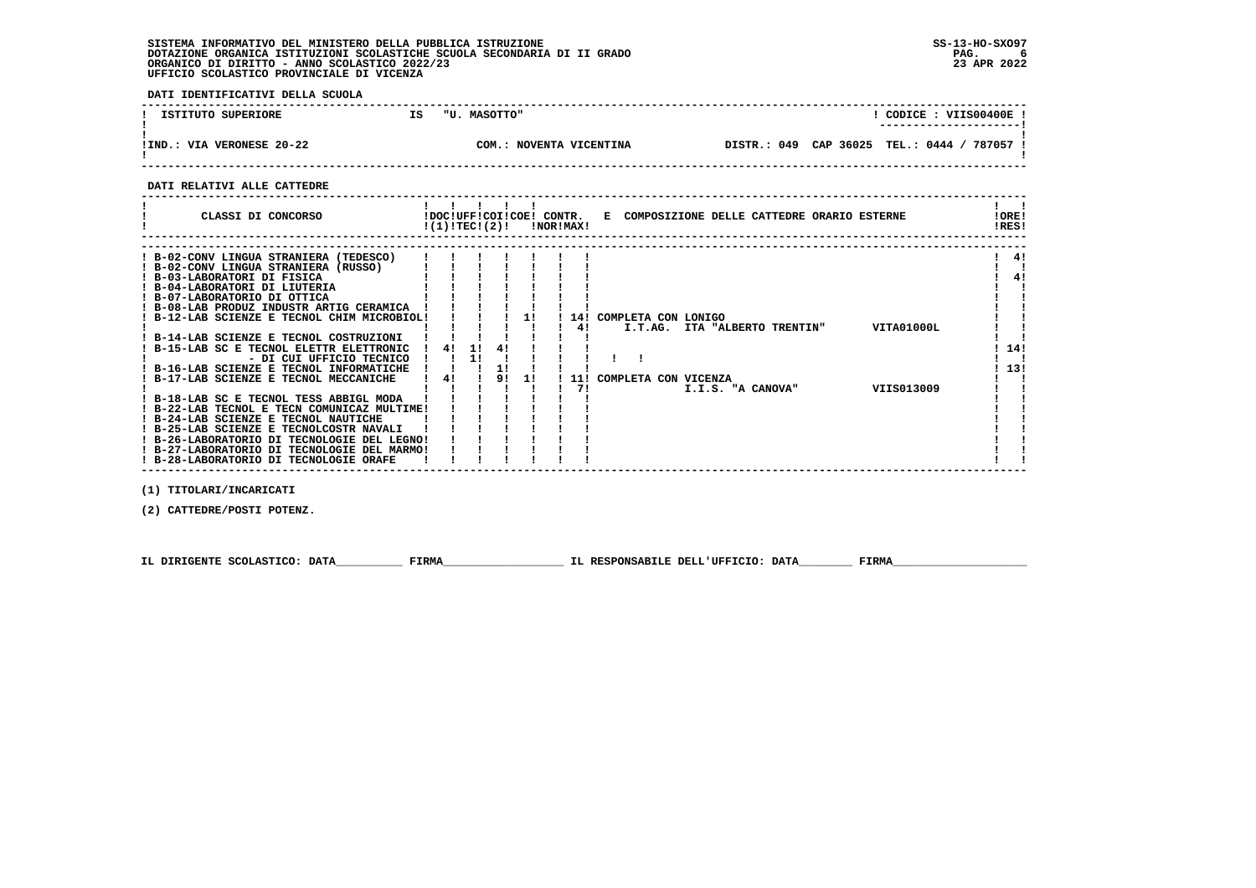- 1 - 1

 $\overline{\phantom{a}}$  $\mathbf{I}$  and  $\mathbf{I}$ 

 **DATI IDENTIFICATIVI DELLA SCUOLA ------------------------------------------------------------------------------------------------------------------------------------**! CODICE: VIIS00400E! **1 ISTITUTO SUPERIORE 15 IS TU. MASOTTO" ! ---------------------! ! ! !IND.: VIA VERONESE 20-22 COM.: NOVENTA VICENTINA DISTR.: 049 CAP 36025 TEL.: 0444 / 787057 !** $\blacksquare$  **! ! ------------------------------------------------------------------------------------------------------------------------------------ DATI RELATIVI ALLE CATTEDRE ------------------------------------------------------------------------------------------------------------------------------------** $1 - 1$  **! ! ! ! ! ! ! ! ! CLASSI DI CONCORSO !DOC!UFF!COI!COE! CONTR. E COMPOSIZIONE DELLE CATTEDRE ORARIO ESTERNE !ORE! ! !(1)!TEC!(2)! !NOR!MAX! !RES!IORE! IRES! ------------------------------------------------------------------------------------------------------------------------------------ ------------------------------------------------------------------------------------------------------------------------------------ ! B-02-CONV LINGUA STRANIERA (TEDESCO) ! ! ! ! ! ! ! ! 4! ! B-02-CONV LINGUA STRANIERA (RUSSO) ! ! ! ! ! ! ! ! !** $1 \quad 41$  $\mathbf{I}$   $\mathbf{I}$  $\frac{1}{1}$  41  **! B-03-LABORATORI DI FISICA ! ! ! ! ! ! ! ! 4! ! B-04-LABORATORI DI LIUTERIA ! ! ! ! ! ! ! ! ! ! B-07-LABORATORIO DI OTTICA ! ! ! ! ! ! ! ! ! ! B-08-LAB PRODUZ INDUSTR ARTIG CERAMICA ! ! ! ! ! ! ! ! ! ! B-12-LAB SCIENZE E TECNOL CHIM MICROBIOL! ! ! ! 1! ! 14! COMPLETA CON LONIGO ! !** $\mathbf{I}$   $\mathbf{I}$  $\mathbf{I}$   $\mathbf{I}$  $\mathbf{I}$  $\mathbf{i}$   $\mathbf{i}$  $\mathbf{I}$  and  $\mathbf{I}$  **! ! ! ! ! ! ! 4! I.T.AG. ITA "ALBERTO TRENTIN" VITA01000L ! ! ! B-14-LAB SCIENZE E TECNOL COSTRUZIONI ! ! ! ! ! ! ! ! ! ! B-15-LAB SC E TECNOL ELETTR ELETTRONIC ! 4! 1! 4! ! ! ! ! 14! ! - DI CUI UFFICIO TECNICO ! ! 1! ! ! ! ! ! ! ! !** $\blacksquare$  $1, 141$  $\mathbf{I}$   $\mathbf{I}$  $1, 131$  **! B-16-LAB SCIENZE E TECNOL INFORMATICHE ! ! ! 1! ! ! ! ! 13! ! B-17-LAB SCIENZE E TECNOL MECCANICHE ! 4! ! 9! 1! ! 11! COMPLETA CON VICENZA ! ! ! ! ! ! ! ! ! 7! I.I.S. "A CANOVA" VIIS013009 ! !** $\blacksquare$  $\blacksquare$  $\overline{\phantom{a}}$  **! B-18-LAB SC E TECNOL TESS ABBIGL MODA ! ! ! ! ! ! ! ! ! ! B-22-LAB TECNOL E TECN COMUNICAZ MULTIME! ! ! ! ! ! ! ! ! ! B-24-LAB SCIENZE E TECNOL NAUTICHE ! ! ! ! ! ! ! ! !**

 **(1) TITOLARI/INCARICATI**

 **(2) CATTEDRE/POSTI POTENZ.**

 **IL DIRIGENTE SCOLASTICO: DATA\_\_\_\_\_\_\_\_\_\_ FIRMA\_\_\_\_\_\_\_\_\_\_\_\_\_\_\_\_\_\_ IL RESPONSABILE DELL'UFFICIO: DATA\_\_\_\_\_\_\_\_ FIRMA\_\_\_\_\_\_\_\_\_\_\_\_\_\_\_\_\_\_\_\_**

 **! B-25-LAB SCIENZE E TECNOLCOSTR NAVALI ! ! ! ! ! ! ! ! ! ! B-26-LABORATORIO DI TECNOLOGIE DEL LEGNO! ! ! ! ! ! ! ! ! ! B-27-LABORATORIO DI TECNOLOGIE DEL MARMO! ! ! ! ! ! ! ! ! ! B-28-LABORATORIO DI TECNOLOGIE ORAFE ! ! ! ! ! ! ! ! !**

 **------------------------------------------------------------------------------------------------------------------------------------**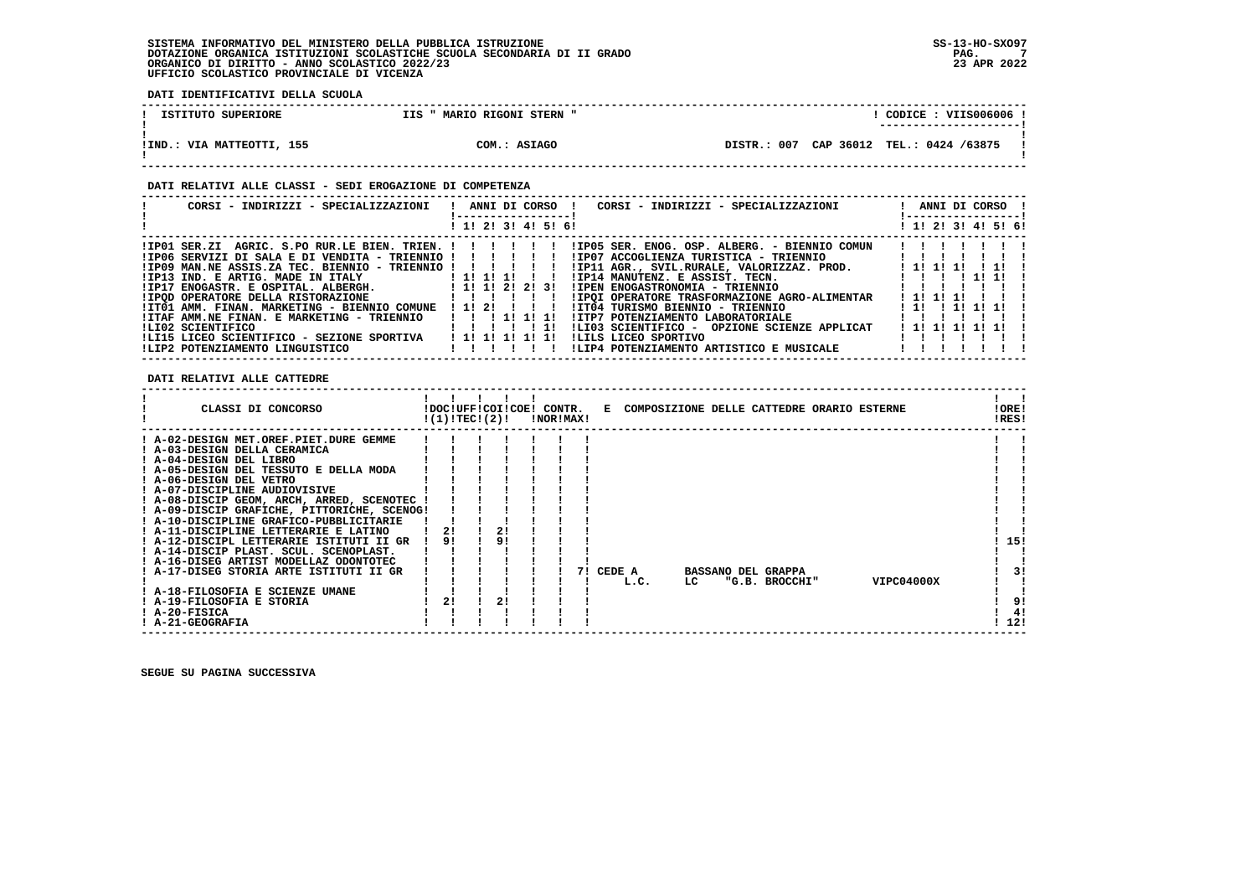**DATI IDENTIFICATIVI DELLA SCUOLA**

| ISTITUTO SUPERIORE         | MARIO RIGONI STERN "<br>IIS | $\overline{COLICE}$ : VIIS006006 !<br>---------------------- |
|----------------------------|-----------------------------|--------------------------------------------------------------|
| IIND.: VIA MATTEOTTI, 155! | COM.: ASIAGO                | DISTR.: 007 CAP 36012 TEL.: 0424 /63875                      |

#### **DATI RELATIVI ALLE CLASSI - SEDI EROGAZIONE DI COMPETENZA**

| CORSI - INDIRIZZI - SPECIALIZZAZIONI                        | ! ANNI DI CORSO !<br>CORSI - INDIRIZZI - SPECIALIZZAZIONI                                            | ANNI DI CORSO !<br>! -----------------! |
|-------------------------------------------------------------|------------------------------------------------------------------------------------------------------|-----------------------------------------|
|                                                             | ! 1! 2! 3! 4! 5! 6!                                                                                  | ! 1! 2! 3! 4! 5! 6!                     |
|                                                             | IP01 SER.ZI AGRIC. S.PO RUR.LE BIEN. TRIEN. !!!!!!!!!!!!D05 SER. ENOG. OSP. ALBERG. - BIENNIO COMUN! |                                         |
| $IIP06$ SERVIZI DI SALA E DI VENDITA - TRIENNIO !!!!!!!     | !IP07 ACCOGLIENZA TURISTICA - TRIENNIO                                                               |                                         |
| $!IP09$ MAN.NE ASSIS.ZA TEC. BIENNIO - TRIENNIO ! ! ! ! ! ! | !IP11 AGR., SVIL.RURALE, VALORIZZAZ. PROD.                                                           | 1 11 11 11<br>$1 \quad 11$              |
| ! IP13 IND. E ARTIG. MADE IN ITALY [1! 1! 1! 1! !!          | ! IP14 MANUTENZ. E ASSIST. TECN. [ ] ] ] ] ] ] ] ] ] ] ] ]                                           |                                         |
| $IIP17$ ENOGASTR. E OSPITAL. ALBERGH. $I1111212131$         | !IPEN ENOGASTRONOMIA - TRIENNIO                                                                      |                                         |
|                                                             | ! IPOI OPERATORE TRASFORMAZIONE AGRO-ALIMENTAR                                                       | 1 1 1 1 1 1 1                           |
| !IT01 AMM. FINAN. MARKETING - BIENNIO COMUNE                | 1 1 1 2 1<br>!IT04 TURISMO BIENNIO - TRIENNIO                                                        | 111 1111 111                            |
| !ITAF AMM.NE FINAN. E MARKETING - TRIENNIO                  | 11111111<br>!ITP7 POTENZIAMENTO LABORATORIALE                                                        |                                         |
| ILI02 SCIENTIFICO                                           | ILI03 SCIENTIFICO - OPZIONE SCIENZE APPLICAT<br>1111111                                              |                                         |
| !LI15 LICEO SCIENTIFICO - SEZIONE SPORTIVA                  | 1 1 1 1 1 1 1 1 1<br>ILILS LICEO SPORTIVO                                                            |                                         |
| ILIP2 POTENZIAMENTO LINGUISTICO                             | !LIP4 POTENZIAMENTO ARTISTICO E MUSICALE                                                             |                                         |

 **DATI RELATIVI ALLE CATTEDRE**

| ! A-02-DESIGN MET.OREF.PIET.DURE GEMME<br>! A-03-DESIGN DELLA CERAMICA<br>! A-04-DESIGN DEL LIBRO<br>! A-05-DESIGN DEL TESSUTO E DELLA MODA<br>! A-06-DESIGN DEL VETRO<br>! A-07-DISCIPLINE AUDIOVISIVE<br>! A-08-DISCIP GEOM, ARCH, ARRED, SCENOTEC<br>! A-09-DISCIP GRAFICHE, PITTORICHE, SCENOG!<br>! A-10-DISCIPLINE GRAFICO-PUBBLICITARIE<br>21<br>! A-11-DISCIPLINE LETTERARIE E LATINO<br>21<br>9!<br>15!<br>! A-12-DISCIPL LETTERARIE ISTITUTI II GR<br>9!<br>! A-14-DISCIP PLAST. SCUL. SCENOPLAST.<br>! A-16-DISEG ARTIST MODELLAZ ODONTOTEC<br>! A-17-DISEG STORIA ARTE ISTITUTI II GR<br>CEDE A<br>3!<br><b>BASSANO DEL GRAPPA</b><br>71<br>VIPC04000X<br>"G.B. BROCCHI"<br>LC<br>L.C.<br>! A-18-FILOSOFIA E SCIENZE UMANE<br>21<br>2!<br>! A-19-FILOSOFIA E STORIA<br>9!<br>! A-20-FISICA | CLASSI DI CONCORSO | !(1)!TEC!(2)! | !DOC!UFF!COI!COE! CONTR. | !NOR!MAX! |  |  |  | E COMPOSIZIONE DELLE CATTEDRE ORARIO ESTERNE | !ORE!<br>!RES! |
|--------------------------------------------------------------------------------------------------------------------------------------------------------------------------------------------------------------------------------------------------------------------------------------------------------------------------------------------------------------------------------------------------------------------------------------------------------------------------------------------------------------------------------------------------------------------------------------------------------------------------------------------------------------------------------------------------------------------------------------------------------------------------------------------------------|--------------------|---------------|--------------------------|-----------|--|--|--|----------------------------------------------|----------------|
|                                                                                                                                                                                                                                                                                                                                                                                                                                                                                                                                                                                                                                                                                                                                                                                                        |                    |               |                          |           |  |  |  |                                              |                |
|                                                                                                                                                                                                                                                                                                                                                                                                                                                                                                                                                                                                                                                                                                                                                                                                        |                    |               |                          |           |  |  |  |                                              |                |
|                                                                                                                                                                                                                                                                                                                                                                                                                                                                                                                                                                                                                                                                                                                                                                                                        |                    |               |                          |           |  |  |  |                                              |                |
|                                                                                                                                                                                                                                                                                                                                                                                                                                                                                                                                                                                                                                                                                                                                                                                                        |                    |               |                          |           |  |  |  |                                              |                |
|                                                                                                                                                                                                                                                                                                                                                                                                                                                                                                                                                                                                                                                                                                                                                                                                        |                    |               |                          |           |  |  |  |                                              |                |
|                                                                                                                                                                                                                                                                                                                                                                                                                                                                                                                                                                                                                                                                                                                                                                                                        |                    |               |                          |           |  |  |  |                                              |                |
|                                                                                                                                                                                                                                                                                                                                                                                                                                                                                                                                                                                                                                                                                                                                                                                                        |                    |               |                          |           |  |  |  |                                              |                |
|                                                                                                                                                                                                                                                                                                                                                                                                                                                                                                                                                                                                                                                                                                                                                                                                        |                    |               |                          |           |  |  |  |                                              |                |
|                                                                                                                                                                                                                                                                                                                                                                                                                                                                                                                                                                                                                                                                                                                                                                                                        |                    |               |                          |           |  |  |  |                                              |                |
|                                                                                                                                                                                                                                                                                                                                                                                                                                                                                                                                                                                                                                                                                                                                                                                                        |                    |               |                          |           |  |  |  |                                              |                |
|                                                                                                                                                                                                                                                                                                                                                                                                                                                                                                                                                                                                                                                                                                                                                                                                        |                    |               |                          |           |  |  |  |                                              |                |
|                                                                                                                                                                                                                                                                                                                                                                                                                                                                                                                                                                                                                                                                                                                                                                                                        |                    |               |                          |           |  |  |  |                                              |                |
|                                                                                                                                                                                                                                                                                                                                                                                                                                                                                                                                                                                                                                                                                                                                                                                                        |                    |               |                          |           |  |  |  |                                              |                |
|                                                                                                                                                                                                                                                                                                                                                                                                                                                                                                                                                                                                                                                                                                                                                                                                        |                    |               |                          |           |  |  |  |                                              |                |
|                                                                                                                                                                                                                                                                                                                                                                                                                                                                                                                                                                                                                                                                                                                                                                                                        |                    |               |                          |           |  |  |  |                                              |                |
|                                                                                                                                                                                                                                                                                                                                                                                                                                                                                                                                                                                                                                                                                                                                                                                                        |                    |               |                          |           |  |  |  |                                              |                |
|                                                                                                                                                                                                                                                                                                                                                                                                                                                                                                                                                                                                                                                                                                                                                                                                        |                    |               |                          |           |  |  |  |                                              |                |
|                                                                                                                                                                                                                                                                                                                                                                                                                                                                                                                                                                                                                                                                                                                                                                                                        |                    |               |                          |           |  |  |  |                                              | 4!             |
| 12!<br>! A-21-GEOGRAFIA                                                                                                                                                                                                                                                                                                                                                                                                                                                                                                                                                                                                                                                                                                                                                                                |                    |               |                          |           |  |  |  |                                              |                |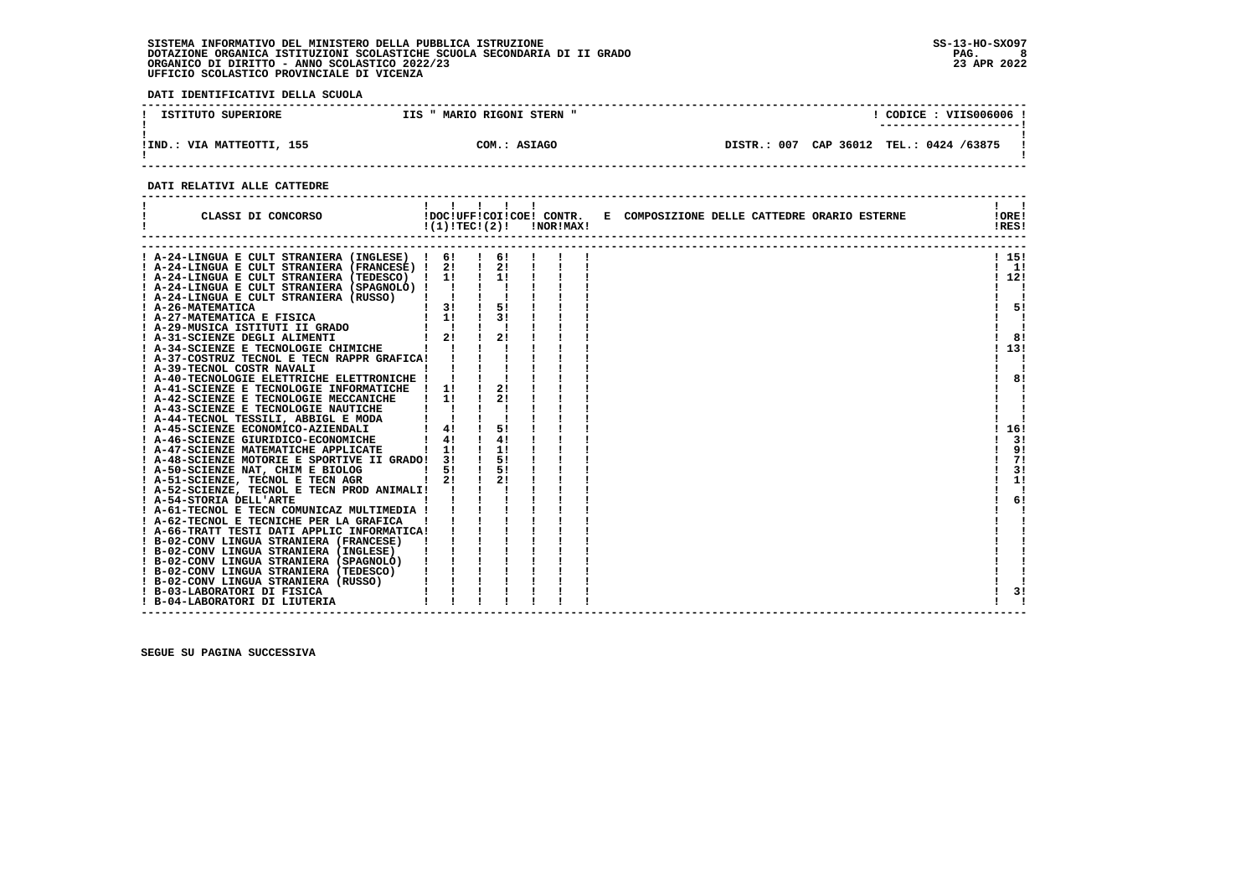**DATI IDENTIFICATIVI DELLA SCUOLA**

| ISTITUTO SUPERIORE          | MARIO RIGONI STERN "<br>IIS | CODICE: VIIS006006 !                          |
|-----------------------------|-----------------------------|-----------------------------------------------|
| VIA MATTEOTTI, 155<br>!IND. | COM.: ASIAGO                | CAP 36012<br>DISTR.: 007<br>TEL.: 0424 /63875 |

 **------------------------------------------------------------------------------------------------------------------------------------**

#### **DATI RELATIVI ALLE CATTEDRE**

| CLASSI DI CONCORSO                                                                                                                                                                                                                     | 1 1 1 1 1        |                    | $!(1)!TEC!(2)!$ $INORIMAX!$ |  | !DOC!UFF!COI!COE! CONTR. E COMPOSIZIONE DELLE CATTEDRE ORARIO ESTERNE | !ORE!<br>!RES! |
|----------------------------------------------------------------------------------------------------------------------------------------------------------------------------------------------------------------------------------------|------------------|--------------------|-----------------------------|--|-----------------------------------------------------------------------|----------------|
| A-24-LINGUA E CULT STRANIERA (INGLESE) ! 6! ! 6!                                                                                                                                                                                       |                  |                    |                             |  |                                                                       | ! 15!          |
| ! A-24-LINGUA E CULT STRANIERA (FRANCESE) ! 2! ! 2! !                                                                                                                                                                                  |                  |                    |                             |  |                                                                       | $1 \quad 11$   |
| ! A-24-LINGUA E CULT STRANIERA (TEDESCO) ! 1!                                                                                                                                                                                          |                  | $\frac{1}{2}$      |                             |  |                                                                       | 112!           |
| ! A-24-LINGUA E CULT STRANIERA (SPAGNOLO) !!!!                                                                                                                                                                                         |                  |                    |                             |  |                                                                       |                |
| ! A-24-LINGUA E CULT STRANIERA (RUSSO)                                                                                                                                                                                                 |                  |                    |                             |  |                                                                       |                |
|                                                                                                                                                                                                                                        |                  |                    |                             |  |                                                                       | 51             |
|                                                                                                                                                                                                                                        |                  |                    |                             |  |                                                                       |                |
| 1 A-26-MATEMATICA<br>1 A-27-MATEMATICA E FISICA<br>1 A-29-MUSICA ISTITUTI II GRADO 1 1 1 1 31<br>1 A-31-SCIENZE DEGLI ALIMENTI 1 21 1 21<br>1 21 1 21                                                                                  |                  |                    |                             |  |                                                                       |                |
|                                                                                                                                                                                                                                        |                  |                    |                             |  |                                                                       | 8!             |
| ! A-34-SCIENZE E TECNOLOGIE CHIMICHE                                                                                                                                                                                                   |                  |                    |                             |  |                                                                       | 13!            |
| ! A-37-COSTRUZ TECNOL E TECN RAPPR GRAFICA!                                                                                                                                                                                            |                  |                    |                             |  |                                                                       |                |
| : A-39-TECNOL COSTR NAVALI<br>: A-40-TECNOLOGIE ELETTRICHE ELETTRONICHE !                                                                                                                                                              |                  |                    |                             |  |                                                                       |                |
|                                                                                                                                                                                                                                        |                  |                    |                             |  |                                                                       | 8!             |
| ! A-41-SCIENZE E TECNOLOGIE INFORMATICHE ! 1! !                                                                                                                                                                                        |                  | 21                 |                             |  |                                                                       |                |
| ! A-42-SCIENZE E TECNOLOGIE MECCANICHE                                                                                                                                                                                                 | $\frac{1}{1}$    | 21                 |                             |  |                                                                       |                |
|                                                                                                                                                                                                                                        |                  |                    |                             |  |                                                                       |                |
|                                                                                                                                                                                                                                        |                  |                    |                             |  |                                                                       |                |
| 1 A-43-SCIENZE E TECNOLOGIE NAUTICHE<br>1 A-44-TECNOL TESSILI, ABBIGL E MODA<br>1 A-45-SCIENZE ECONOMICO-AZIENDALI<br>1 A-45-SCIENZE GIURIDICO-ECONOMICHE<br>1 41 1 4                                                                  |                  | 5!                 |                             |  |                                                                       | 16!            |
|                                                                                                                                                                                                                                        |                  | 4!                 |                             |  |                                                                       | 31             |
| ! A-47-SCIENZE MATEMATICHE APPLICATE                                                                                                                                                                                                   | $\frac{1}{1}$ 11 | $\frac{1}{1}$      |                             |  |                                                                       | 9!             |
| ! A-48-SCIENZE MOTORIE E SPORTIVE II GRADO! 3!                                                                                                                                                                                         |                  | 5!                 |                             |  |                                                                       | 71             |
| ! A-50-SCIENZE NAT, CHIM E BIOLOG                                                                                                                                                                                                      | 51               | 5!                 |                             |  |                                                                       | 3!             |
| $\frac{1}{2!}$<br>! A-51-SCIENZE, TECNOL E TECN AGR                                                                                                                                                                                    |                  | $\mathbf{I}$<br>2! |                             |  |                                                                       | 1!             |
| ! A-52-SCIENZE, TECNOL E TECN PROD ANIMALI!                                                                                                                                                                                            |                  |                    |                             |  |                                                                       |                |
| ! A-54-STORIA DELL'ARTE                                                                                                                                                                                                                |                  |                    |                             |  |                                                                       | 6!             |
| ! A-61-TECNOL E TECN COMUNICAZ MULTIMEDIA !                                                                                                                                                                                            |                  |                    |                             |  |                                                                       |                |
|                                                                                                                                                                                                                                        |                  |                    |                             |  |                                                                       |                |
|                                                                                                                                                                                                                                        |                  |                    |                             |  |                                                                       |                |
| 1 A-66-TRATT TESTI DATI APPLIC INFORMATICA<br>1 A-66-TRATT TESTI DATI APPLIC INFORMATICA!<br>1 B-02-CONV LINGUA STRANIERA (FRANCESE)        <br>1 B-02-CONV LINGUA STRANIERA (INGLESE)          <br>1 B-02-CONV LINGUA STRANIERA (SPAG |                  |                    |                             |  |                                                                       |                |
|                                                                                                                                                                                                                                        |                  |                    |                             |  |                                                                       |                |
|                                                                                                                                                                                                                                        |                  |                    |                             |  |                                                                       |                |
| ! B-02-CONV LINGUA STRANIERA (TEDESCO)                                                                                                                                                                                                 |                  |                    |                             |  |                                                                       |                |
| ! B-02-CONV LINGUA STRANIERA (RUSSO)                                                                                                                                                                                                   |                  |                    |                             |  |                                                                       |                |
| ! B-03-LABORATORI DI FISICA                                                                                                                                                                                                            |                  |                    |                             |  |                                                                       | 3!             |
| ! B-04-LABORATORI DI LIUTERIA                                                                                                                                                                                                          |                  |                    |                             |  |                                                                       |                |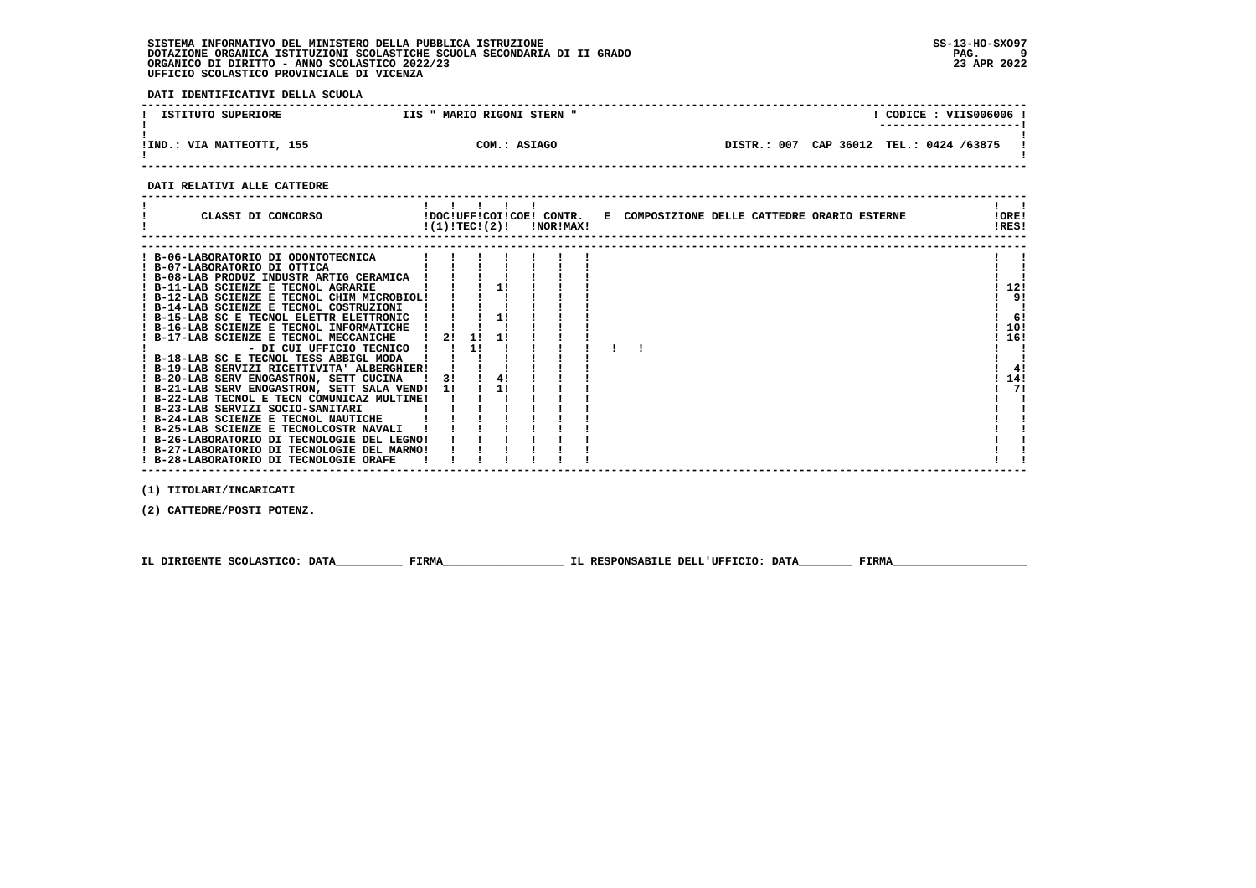**DATI IDENTIFICATIVI DELLA SCUOLA**

| ISTITUTO SUPERIORE            | " MARIO RIGONI STERN "<br>IIS | CODICE: VIIS006006 !<br>---------------------- |
|-------------------------------|-------------------------------|------------------------------------------------|
| : VIA MATTEOTTI, 155<br>!IND. | COM.: ASIAGO                  | DISTR.: 007 CAP 36012 TEL.: 0424 /63875        |

 **------------------------------------------------------------------------------------------------------------------------------------**

#### **DATI RELATIVI ALLE CATTEDRE**

| CLASSI DI CONCORSO<br>!DOC!UFF!COI!COE! CONTR. E COMPOSIZIONE DELLE CATTEDRE ORARIO ESTERNE<br>$!(1)!TEC!(2)!$ $INORIMAX!$ | !ORE!<br>!RES! |
|----------------------------------------------------------------------------------------------------------------------------|----------------|
|                                                                                                                            |                |
| ! B-06-LABORATORIO DI ODONTOTECNICA                                                                                        |                |
| ! B-07-LABORATORIO DI OTTICA                                                                                               |                |
| ! B-08-LAB PRODUZ INDUSTR ARTIG CERAMICA                                                                                   |                |
| 11<br>! B-11-LAB SCIENZE E TECNOL AGRARIE                                                                                  | 12!            |
| ! B-12-LAB SCIENZE E TECNOL CHIM MICROBIOL!                                                                                | 9!             |
| ! B-14-LAB SCIENZE E TECNOL COSTRUZIONI                                                                                    |                |
| ! B-15-LAB SC E TECNOL ELETTR ELETTRONIC                                                                                   | 6!             |
| ! B-16-LAB SCIENZE E TECNOL INFORMATICHE                                                                                   | 10!            |
| ! B-17-LAB SCIENZE E TECNOL MECCANICHE<br>1!<br>21<br>-11                                                                  | ! 16!          |
| 11<br>- DI CUI UFFICIO TECNICO                                                                                             |                |
| ! B-18-LAB SC E TECNOL TESS ABBIGL MODA                                                                                    |                |
| ! B-19-LAB SERVIZI RICETTIVITA' ALBERGHIER!                                                                                | 4!             |
| 4!<br>! B-20-LAB SERV ENOGASTRON, SETT CUCINA<br>31                                                                        | 14!            |
| ! B-21-LAB SERV ENOGASTRON, SETT SALA VEND!<br>11                                                                          | 71             |
| ! B-22-LAB TECNOL E TECN COMUNICAZ MULTIME!                                                                                |                |
| ! B-23-LAB SERVIZI SOCIO-SANITARI                                                                                          |                |
| ! B-24-LAB SCIENZE E TECNOL NAUTICHE                                                                                       |                |
| ! B-25-LAB SCIENZE E TECNOLCOSTR NAVALI                                                                                    |                |
| ! B-26-LABORATORIO DI TECNOLOGIE DEL LEGNO!                                                                                |                |
| ! B-27-LABORATORIO DI TECNOLOGIE DEL MARMO!                                                                                |                |
| ! B-28-LABORATORIO DI TECNOLOGIE ORAFE                                                                                     |                |

 **(1) TITOLARI/INCARICATI**

 **(2) CATTEDRE/POSTI POTENZ.**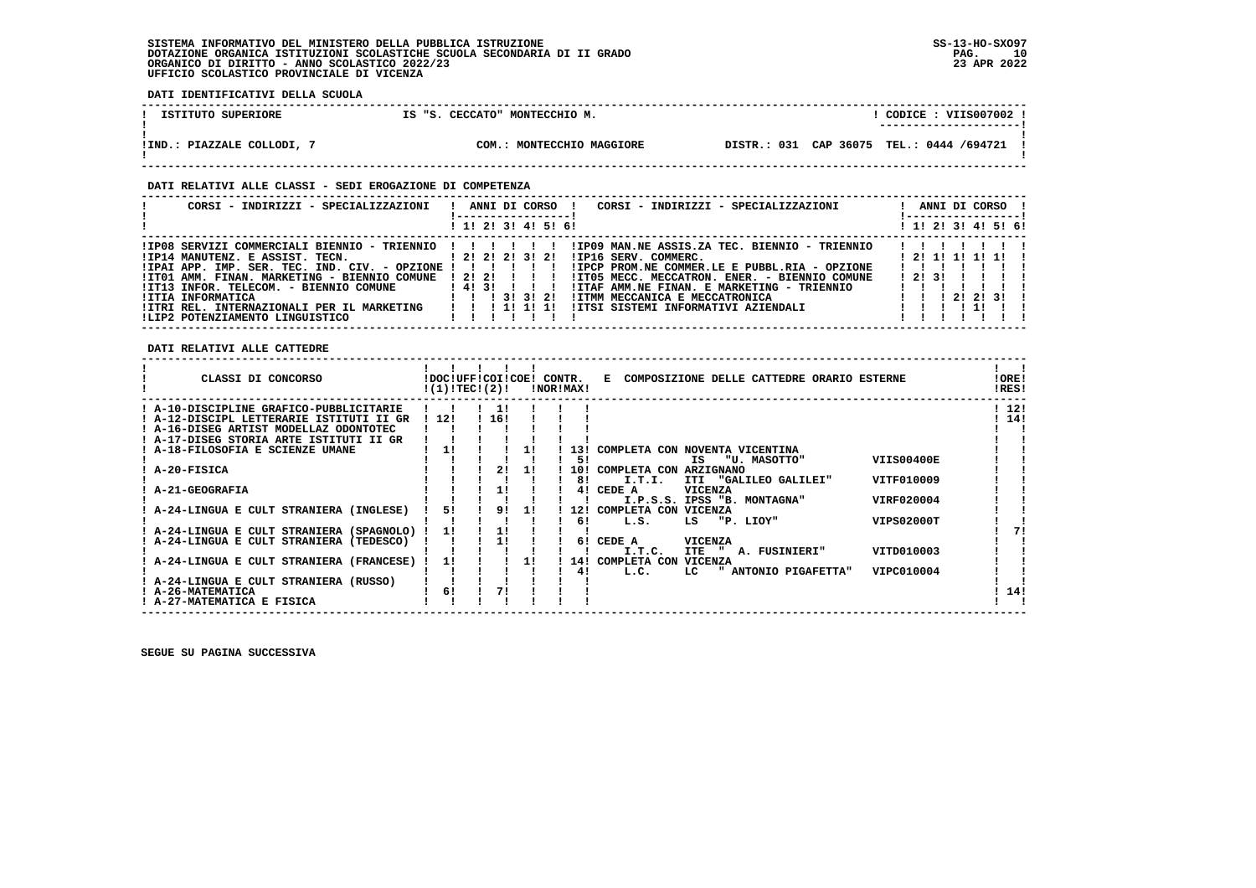**------------------------------------------------------------------------------------------------------------------------------------**! CODICE : VIIS007002 !  **1STITUTO SUPERIORE 1S "S. CECCATO" MONTECCHIO M. ! ---------------------! ! ! !IND.: PIAZZALE COLLODI, 7 COM.: MONTECCHIO MAGGIORE DISTR.: 031 CAP 36075 TEL.: 0444 /694721 ! ! !** $\mathbf{I}$ 

 **------------------------------------------------------------------------------------------------------------------------------------**

#### **DATI RELATIVI ALLE CLASSI - SEDI EROGAZIONE DI COMPETENZA**

| CORSI - INDIRIZZI - SPECIALIZZAZIONI                      | ANNI DI CORSO !<br>CORSI - INDIRIZZI - SPECIALIZZAZIONI  |       | ANNI DI CORSO !     |  |
|-----------------------------------------------------------|----------------------------------------------------------|-------|---------------------|--|
|                                                           | ! 1! 2! 3! 4! 5! 6!                                      |       | ! 1! 2! 3! 4! 5! 6! |  |
| ! IP08 SERVIZI COMMERCIALI BIENNIO - TRIENNIO ! ! ! ! ! ! | !IP09 MAN.NE ASSIS.ZA TEC. BIENNIO - TRIENNIO            |       |                     |  |
| !IP14 MANUTENZ, E ASSIST, TECN. [2! 2! 2! 3! 2!           | !IP16 SERV. COMMERC.                                     |       | 1 21 11 11 11 11    |  |
| !IPAI APP. IMP. SER. TEC. IND. CIV. - OPZIONE !           | !IPCP PROM.NE COMMER.LE E PUBBL.RIA - OPZIONE            |       |                     |  |
| !IT01 AMM. FINAN. MARKETING - BIENNIO COMUNE              | 1212111<br>!IT05 MECC. MECCATRON. ENER. - BIENNIO COMUNE | 12131 |                     |  |
| !IT13 INFOR. TELECOM. - BIENNIO COMUNE                    | 14131111<br>!ITAF AMM.NE FINAN. E MARKETING - TRIENNIO   |       |                     |  |
| !ITIA INFORMATICA                                         | IITMM MECCANICA E MECCATRONICA                           |       | 212131              |  |
| !ITRI REL. INTERNAZIONALI PER IL MARKETING                | 1111111<br>IITSI SISTEMI INFORMATIVI AZIENDALI           |       |                     |  |
| ILIP2 POTENZIAMENTO LINGUISTICO                           |                                                          |       |                     |  |

 **DATI RELATIVI ALLE CATTEDRE**

 **DATI IDENTIFICATIVI DELLA SCUOLA**

| CLASSI DI CONCORSO                                                                                                           | !DOC!UFF!COI!COE!<br>!(1)!TECI(2)! |           |    | CONTR. | !NOR!MAX! | COMPOSIZIONE DELLE CATTEDRE ORARIO ESTERNE<br>Е.                            | !ORE!<br>!RES! |
|------------------------------------------------------------------------------------------------------------------------------|------------------------------------|-----------|----|--------|-----------|-----------------------------------------------------------------------------|----------------|
| A-10-DISCIPLINE GRAFICO-PUBBLICITARIE<br>! A-12-DISCIPI, LETTERARIE ISTITUTI II GR<br>! A-16-DISEG ARTIST MODELLAZ ODONTOTEC | 12!                                | 11<br>16! |    |        |           |                                                                             | 12!<br>14!     |
| ! A-17-DISEG STORIA ARTE ISTITUTI II GR                                                                                      |                                    |           |    |        |           |                                                                             |                |
| A-18-FILOSOFIA E SCIENZE UMANE                                                                                               | 1!                                 |           |    |        | 131       | COMPLETA CON NOVENTA VICENTINA                                              |                |
| ! A-20-FISICA                                                                                                                |                                    | 21        | 11 |        | 51<br>10! | <b>VIIS00400E</b><br>"U. MASOTTO"<br>IS<br>COMPLETA CON<br><b>ARZIGNANO</b> |                |
|                                                                                                                              |                                    |           |    |        | 8!        | VITF010009<br>"GALILEO GALILEI"<br>I.T.I.<br>ITI                            |                |
| <b>A-21-GEOGRAFIA</b>                                                                                                        |                                    | 1!        |    |        | 41        | CEDE A<br><b>VICENZA</b>                                                    |                |
| A-24-LINGUA E CULT STRANIERA (INGLESE)                                                                                       | 51                                 | 91        | 11 |        | 12!       | VIRF020004<br>I.P.S.S. IPSS "B. MONTAGNA"<br>COMPLETA CON VICENZA           |                |
|                                                                                                                              |                                    |           |    |        | 61        | L.S.<br>VIPS02000T<br>LS<br>"P. LIOY"                                       |                |
| A-24-LINGUA E CULT STRANIERA (SPAGNOLO)                                                                                      | 11                                 |           |    |        |           |                                                                             | 71             |
| A-24-LINGUA E CULT STRANIERA (TEDESCO)                                                                                       |                                    |           |    |        | 61        | CEDE A<br><b>VICENZA</b><br>VITD010003<br>I.T.C.<br>ITE<br>A. FUSINIERI"    |                |
| A-24-LINGUA E CULT STRANIERA (FRANCESE)                                                                                      | 11                                 |           |    |        | 14!       | <b>VICENZA</b><br>COMPLETA CON                                              |                |
|                                                                                                                              |                                    |           |    |        | 41        | L.C.<br>" ANTONIO PIGAFETTA"<br>VIPC010004<br>LC.                           |                |
| A-24-LINGUA E CULT STRANIERA (RUSSO)                                                                                         |                                    |           |    |        |           |                                                                             |                |
| <b>A-26-MATEMATICA</b><br>! A-27-MATEMATICA E FISICA                                                                         | 61                                 |           |    |        |           |                                                                             | 14!            |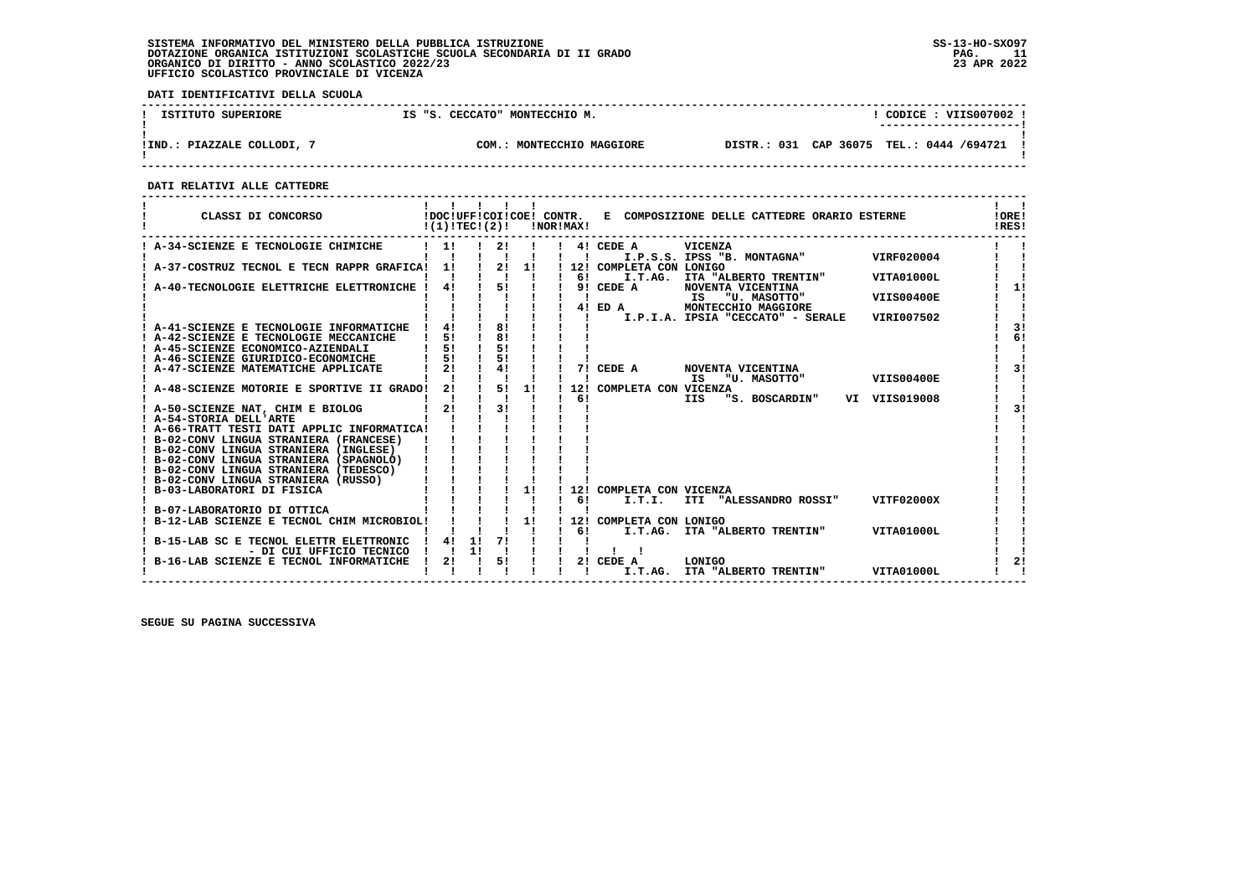**DATI IDENTIFICATIVI DELLA SCUOLA**

| ISTITUTO SUPERIORE         | IS "S. CECCATO" MONTECCHIO M. | CODICE: VIIS007002<br>---------------------- |
|----------------------------|-------------------------------|----------------------------------------------|
| !IND.: PIAZZALE COLLODI, 7 | COM.: MONTECCHIO MAGGIORE     | DISTR.: 031 CAP 36075 TEL.: 0444 /694721     |

 **------------------------------------------------------------------------------------------------------------------------------------**

 **DATI RELATIVI ALLE CATTEDRE**

| CLASSI DI CONCORSO                                                        | !DOC!UFF!COI!COE! CONTR.<br>!(1)!TEC!(2)! |    |          |    | !NOR!MAX! |                | E COMPOSIZIONE DELLE CATTEDRE ORARIO ESTERNE                 |                   | !ORE!<br>IRES! |
|---------------------------------------------------------------------------|-------------------------------------------|----|----------|----|-----------|----------------|--------------------------------------------------------------|-------------------|----------------|
| ! A-34-SCIENZE E TECNOLOGIE CHIMICHE                                      | 11                                        |    | 21       |    |           | $\blacksquare$ | 4! CEDE A<br><b>VICENZA</b><br>I.P.S.S. IPSS "B. MONTAGNA"   | VIRF020004        |                |
| A-37-COSTRUZ TECNOL E TECN RAPPR GRAFICA! 1!                              |                                           |    | 2!       | 1! |           |                | ! 12! COMPLETA CON LONIGO                                    |                   |                |
|                                                                           |                                           |    |          |    |           | 61             | I.T.AG.<br>ITA "ALBERTO TRENTIN"                             | VITA01000L        |                |
| A-40-TECNOLOGIE ELETTRICHE ELETTRONICHE !                                 | 41                                        |    | 5!       |    |           |                | 9! CEDE A<br>NOVENTA VICENTINA<br>IS<br>"U. MASOTTO"         | <b>VIIS00400E</b> | 1!             |
|                                                                           |                                           |    |          |    |           |                | 4! ED A<br>MONTECCHIO MAGGIORE                               |                   |                |
|                                                                           |                                           |    |          |    |           |                | I.P.I.A. IPSIA "CECCATO" - SERALE                            | VIRI007502        |                |
| ! A-41-SCIENZE E TECNOLOGIE INFORMATICHE !                                | 41                                        |    | 81       |    |           |                |                                                              |                   | 3 <sub>1</sub> |
| ! A-42-SCIENZE E TECNOLOGIE MECCANICHE                                    | 51                                        |    | 8!       |    |           |                |                                                              |                   | 6!             |
| ! A-45-SCIENZE ECONOMICO-AZIENDALI                                        | 51<br>51                                  |    | 51<br>51 |    |           |                |                                                              |                   |                |
| ! A-46-SCIENZE GIURIDICO-ECONOMICHE<br>A-47-SCIENZE MATEMATICHE APPLICATE | 21                                        |    | 4!       |    |           |                | 7! CEDE A<br>NOVENTA VICENTINA                               |                   | 31             |
|                                                                           |                                           |    |          |    |           |                | "U. MASOTTO"<br>ΙS                                           | <b>VIIS00400E</b> |                |
| ! A-48-SCIENZE MOTORIE E SPORTIVE II GRADO!                               | 21                                        |    | 51       | 11 |           | 121            | COMPLETA CON VICENZA                                         |                   |                |
|                                                                           |                                           |    |          |    |           | 61             | "S. BOSCARDIN" VI VIIS019008<br><b>IIS</b>                   |                   |                |
| ! A-50-SCIENZE NAT, CHIM E BIOLOG                                         | 21                                        |    | 31       |    |           |                |                                                              |                   | 31             |
| ! A-54-STORIA DELL'ARTE<br>! A-66-TRATT TESTI DATI APPLIC INFORMATICA!    |                                           |    |          |    |           |                |                                                              |                   |                |
| ! B-02-CONV LINGUA STRANIERA (FRANCESE)                                   |                                           |    |          |    |           |                |                                                              |                   |                |
| ! B-02-CONV LINGUA STRANIERA (INGLESE)                                    |                                           |    |          |    |           |                |                                                              |                   |                |
| ! B-02-CONV LINGUA STRANIERA (SPAGNOLO)                                   |                                           |    |          |    |           |                |                                                              |                   |                |
| ! B-02-CONV LINGUA STRANIERA (TEDESCO)                                    |                                           |    |          |    |           |                |                                                              |                   |                |
| ! B-02-CONV LINGUA STRANIERA (RUSSO)                                      |                                           |    |          |    |           |                |                                                              |                   |                |
| ! B-03-LABORATORI DI FISICA                                               |                                           |    |          | 1! |           | 61             | 12! COMPLETA CON VICENZA<br>I.T.I.<br>ITI "ALESSANDRO ROSSI" | VITF02000X        |                |
| B-07-LABORATORIO DI OTTICA                                                |                                           |    |          |    |           |                |                                                              |                   |                |
| ! B-12-LAB SCIENZE E TECNOL CHIM MICROBIOL!                               |                                           |    |          | 1! |           |                | 12! COMPLETA CON LONIGO                                      |                   |                |
|                                                                           |                                           |    |          |    |           | 61             | I.T.AG. ITA "ALBERTO TRENTIN"                                | VITA01000L        |                |
| B-15-LAB SC E TECNOL ELETTR ELETTRONIC                                    | 41                                        | 11 | 71       |    |           |                |                                                              |                   |                |
| - DI CUI UFFICIO TECNICO                                                  |                                           | 11 |          |    |           |                |                                                              |                   |                |
| B-16-LAB SCIENZE E TECNOL INFORMATICHE                                    | 21                                        |    | 51       |    |           |                | 2! CEDE A<br>LONIGO<br>I.T.AG.<br>ITA "ALBERTO TRENTIN"      | VITA01000L        | 21             |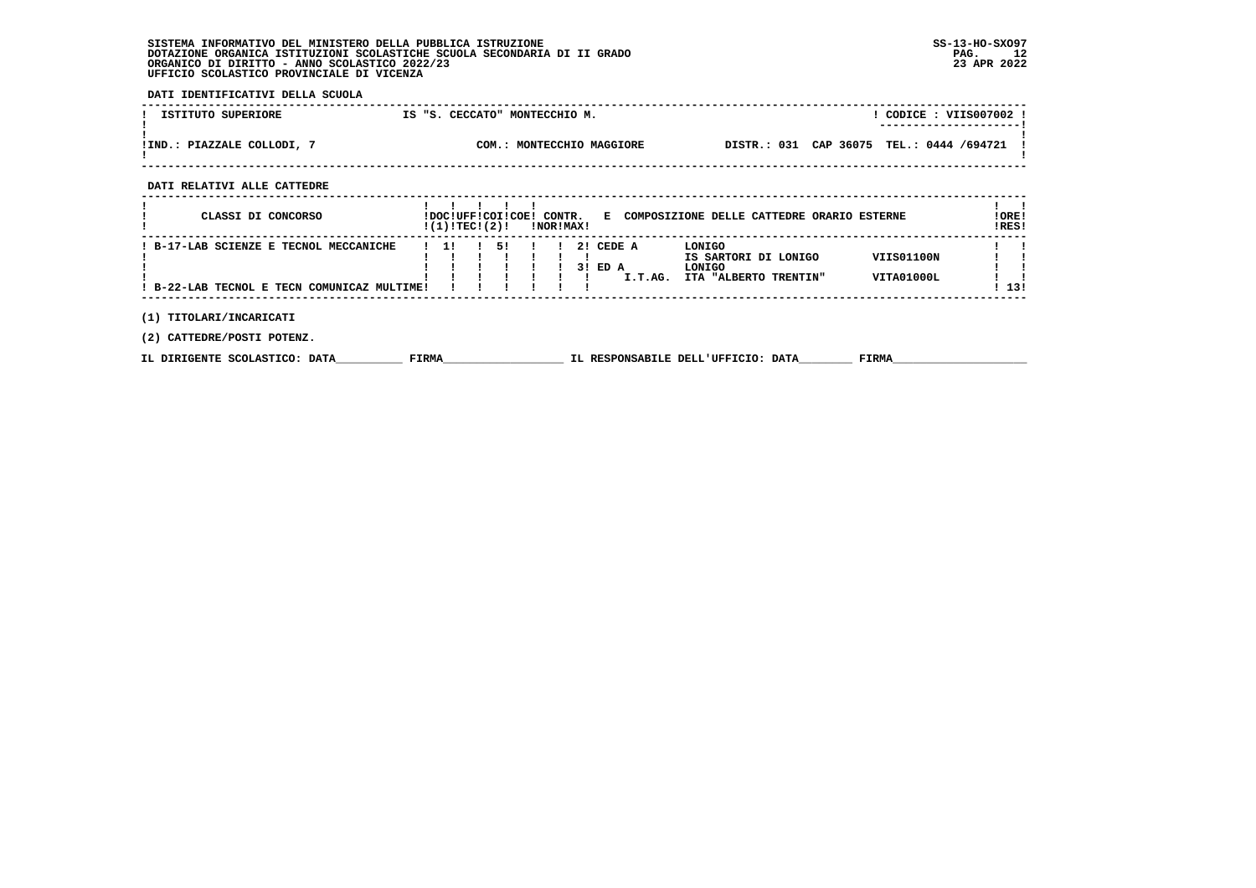**DATI IDENTIFICATIVI DELLA SCUOLA**

| ISTITUTO SUPERIORE         | IS "S. CECCATO" MONTECCHIO M. | CODICE: VIIS007002 !<br>---------------------- |
|----------------------------|-------------------------------|------------------------------------------------|
| !IND.: PIAZZALE COLLODI, 7 | COM.: MONTECCHIO MAGGIORE     | DISTR.: 031 CAP 36075 TEL.: 0444 /694721       |

 **------------------------------------------------------------------------------------------------------------------------------------**

 **DATI RELATIVI ALLE CATTEDRE**

| CLASSI DI CONCORSO                                                                    | !(1)!TECI(2)! | !DOC!UFF!COI!COE! CONTR. | !NOR!MAX! |     |                   |         | E COMPOSIZIONE DELLE CATTEDRE ORARIO ESTERNE                      |                          | !ORE!<br>!RES! |
|---------------------------------------------------------------------------------------|---------------|--------------------------|-----------|-----|-------------------|---------|-------------------------------------------------------------------|--------------------------|----------------|
| ! B-17-LAB SCIENZE E TECNOL MECCANICHE<br>! B-22-LAB TECNOL E TECN COMUNICAZ MULTIME! | -11           | 51                       |           | 3 I | 2! CEDE A<br>ED A | I.T.AG. | LONIGO<br>IS SARTORI DI LONIGO<br>LONIGO<br>ITA "ALBERTO TRENTIN" | VIIS01100N<br>VITA01000L | ! 13!          |
| (1) TITOLARI/INCARICATI<br>(2) CATTEDRE/POSTI POTENZ.                                 |               |                          |           |     |                   |         |                                                                   |                          |                |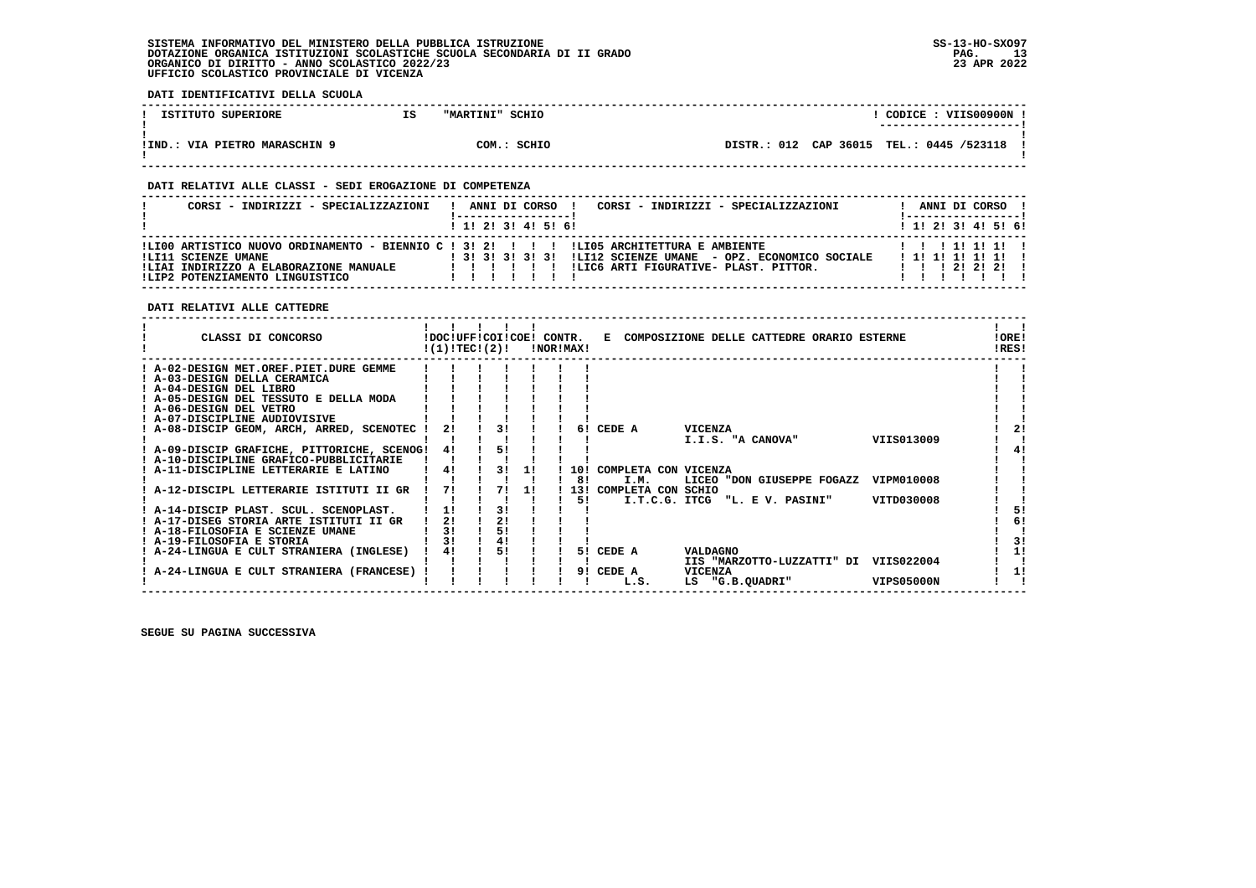**DATI IDENTIFICATIVI DELLA SCUOLA**

| ISTITUTO SUPERIORE            | IS | "MARTINI" SCHIO |             |                                          |  | CODICE: VIIS00900N<br>---------------------- |  |
|-------------------------------|----|-----------------|-------------|------------------------------------------|--|----------------------------------------------|--|
|                               |    |                 |             |                                          |  |                                              |  |
|                               |    |                 |             |                                          |  |                                              |  |
| !IND.: VIA PIETRO MARASCHIN 9 |    |                 | COM.: SCHIO | DISTR.: 012 CAP 36015 TEL.: 0445 /523118 |  |                                              |  |
|                               |    |                 |             |                                          |  |                                              |  |

 **------------------------------------------------------------------------------------------------------------------------------------**

#### **DATI RELATIVI ALLE CLASSI - SEDI EROGAZIONE DI COMPETENZA**

| CORSI - INDIRIZZI - SPECIALIZZAZIONI                                                                                                                                                        |  |  | ANNI DI CORSO       | CORSI - INDIRIZZI - SPECIALIZZAZIONI                                                                   |  |  | ANNI DI CORSO !                                           |  |
|---------------------------------------------------------------------------------------------------------------------------------------------------------------------------------------------|--|--|---------------------|--------------------------------------------------------------------------------------------------------|--|--|-----------------------------------------------------------|--|
|                                                                                                                                                                                             |  |  | 1 1! 2! 3! 4! 5! 6! |                                                                                                        |  |  | $1$ , 1!, 2!, 3!, 4!, 5!, 6!                              |  |
| !LI00 ARTISTICO NUOVO ORDINAMENTO - BIENNIO C ! 3! 2! ! ! !LI05 ARCHITETTURA E AMBIENTE<br>ILI11 SCIENZE UMANE<br>!LIAI INDIRIZZO A ELABORAZIONE MANUALE<br>!LIP2 POTENZIAMENTO LINGUISTICO |  |  |                     | ! 3! 3! 3! 3! 3! !LI12 SCIENZE UMANE - OPZ. ECONOMICO SOCIALE<br>ILIC6 ARTI FIGURATIVE- PLAST. PITTOR. |  |  | 1 1 1 1 1 1 1 1 1<br>1 1 1 1 1 1 1 1 1 1<br>1 2 1 2 1 2 1 |  |

 **DATI RELATIVI ALLE CATTEDRE**

| CLASSI DI CONCORSO                          | !DOC!UFF!COI!COE!<br>!(1)!TEC!(2)! |    |    | CONTR. | !NOR!MAX! | Е |                      |    |                 | COMPOSIZIONE DELLE CATTEDRE ORARIO ESTERNE |                   | !ORE!<br>!RES! |    |
|---------------------------------------------|------------------------------------|----|----|--------|-----------|---|----------------------|----|-----------------|--------------------------------------------|-------------------|----------------|----|
| ! A-02-DESIGN MET.OREF.PIET.DURE GEMME      |                                    |    |    |        |           |   |                      |    |                 |                                            |                   |                |    |
| ! A-03-DESIGN DELLA CERAMICA                |                                    |    |    |        |           |   |                      |    |                 |                                            |                   |                |    |
| ! A-04-DESIGN DEL LIBRO                     |                                    |    |    |        |           |   |                      |    |                 |                                            |                   |                |    |
| A-05-DESIGN DEL TESSUTO E DELLA MODA        |                                    |    |    |        |           |   |                      |    |                 |                                            |                   |                |    |
| ! A-06-DESIGN DEL VETRO                     |                                    |    |    |        |           |   |                      |    |                 |                                            |                   |                |    |
| ! A-07-DISCIPLINE AUDIOVISIVE               |                                    |    |    |        |           |   |                      |    |                 |                                            |                   |                |    |
| A-08-DISCIP GEOM, ARCH, ARRED, SCENOTEC     | 21                                 | 31 |    |        | 61        |   | CEDE A               |    | VICENZA         |                                            |                   |                | 21 |
|                                             |                                    |    |    |        |           |   |                      |    |                 | I.I.S. "A CANOVA"                          | VIIS013009        |                |    |
| ! A-09-DISCIP GRAFICHE, PITTORICHE, SCENOG! | 41                                 | 51 |    |        |           |   |                      |    |                 |                                            |                   |                | 41 |
| ! A-10-DISCIPLINE GRAFICO-PUBBLICITARIE     |                                    |    |    |        |           |   |                      |    |                 |                                            |                   |                |    |
| ! A-11-DISCIPLINE LETTERARIE E LATINO       | 4!                                 | 31 | 11 |        | 10 I      |   | COMPLETA CON VICENZA |    |                 |                                            |                   |                |    |
|                                             |                                    |    |    |        | 81        |   | I.M.                 |    |                 | LICEO "DON GIUSEPPE FOGAZZ                 | VIPM010008        |                |    |
| A-12-DISCIPL LETTERARIE ISTITUTI II GR      | 71                                 | 71 | 11 |        | 131       |   | COMPLETA CON SCHIO   |    |                 |                                            |                   |                |    |
|                                             |                                    |    |    |        | 51        |   | I.T.C.G. ITCG        |    |                 | "L. E V. PASINI"                           | VITD030008        |                |    |
| ! A-14-DISCIP PLAST. SCUL. SCENOPLAST.      |                                    | 31 |    |        |           |   |                      |    |                 |                                            |                   |                | 51 |
| ! A-17-DISEG STORIA ARTE ISTITUTI II GR     | 2!                                 | 2! |    |        |           |   |                      |    |                 |                                            |                   |                | 6! |
| ! A-18-FILOSOFIA E SCIENZE UMANE            | 31                                 | 5! |    |        |           |   |                      |    |                 |                                            |                   |                |    |
| ! A-19-FILOSOFIA E STORIA                   | 31                                 | 41 |    |        |           |   |                      |    |                 |                                            |                   |                | 31 |
| ! A-24-LINGUA E CULT STRANIERA (INGLESE)    | 4!                                 | 51 |    |        | 51.       |   | CEDE A               |    | <b>VALDAGNO</b> |                                            |                   |                | 1! |
|                                             |                                    |    |    |        |           |   |                      |    |                 | IIS "MARZOTTO-LUZZATTI" DI                 | VIIS022004        |                |    |
| A-24-LINGUA E CULT STRANIERA (FRANCESE)     |                                    |    |    |        | 91        |   | CEDE A               |    | VICENZA         |                                            |                   |                | 11 |
|                                             |                                    |    |    |        |           |   | L.S.                 | LS |                 | "G.B.QUADRI"                               | <b>VIPS05000N</b> |                |    |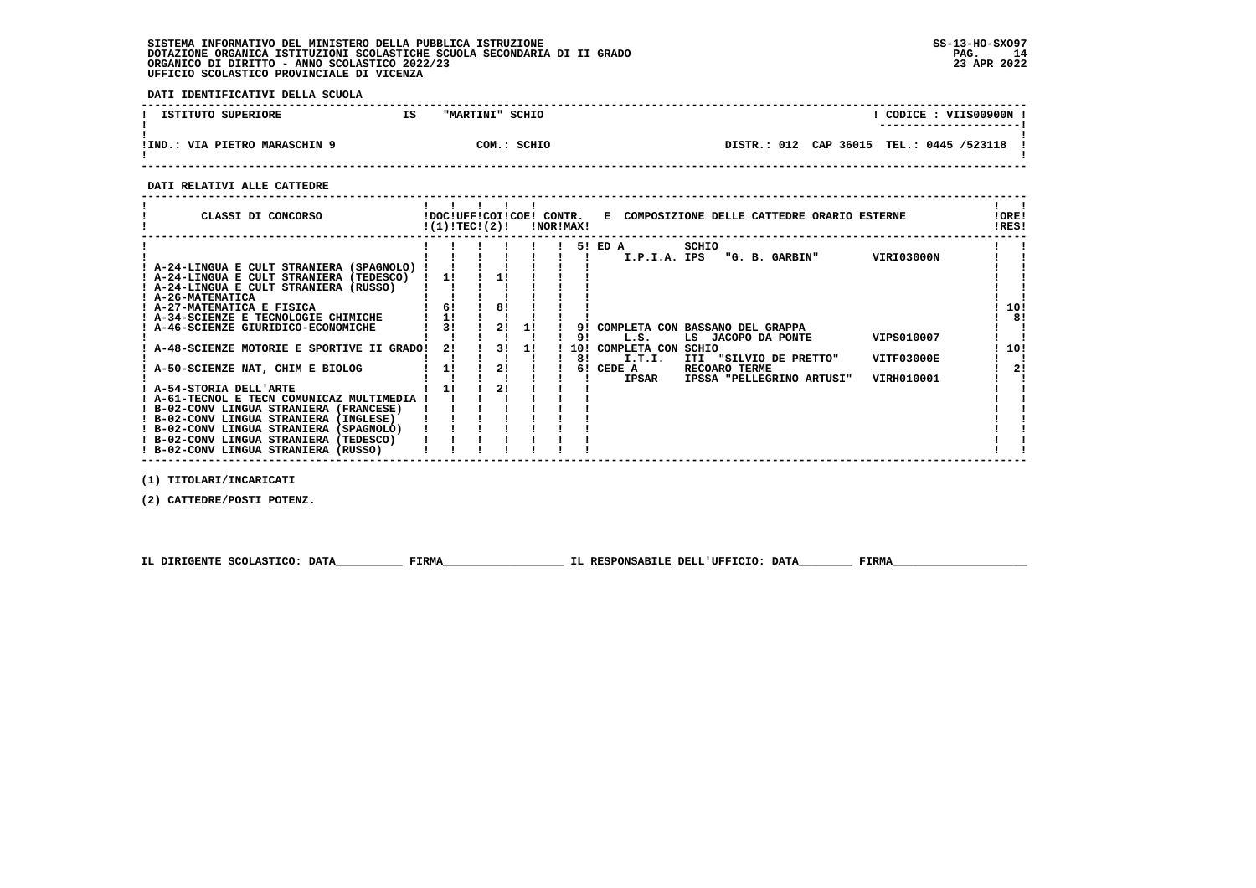**DATI IDENTIFICATIVI DELLA SCUOLA**

| ISTITUTO SUPERIORE                 | ΙS | "MARTINI" SCHIO | CODICE: VIIS00900N!                        |
|------------------------------------|----|-----------------|--------------------------------------------|
|                                    |    |                 |                                            |
|                                    |    |                 |                                            |
| .: VIA PIETRO MARASCHIN 9<br>!IND. |    | COM.: SCHIO     | DISTR.: 012 CAP 36015 TEL.: 0445 /523118 ! |
|                                    |    |                 |                                            |
|                                    |    |                 |                                            |

 **------------------------------------------------------------------------------------------------------------------------------------**

#### **DATI RELATIVI ALLE CATTEDRE**

| CLASSI DI CONCORSO                                                                                                                                                                                                                                                                                                                                                                                                                                                                                                                                                                                                                          | !DOC!UFF!COI!COE! CONTR.<br>!(1)!TECI(2)! |                             |          | !NOR!MAX!                   | E COMPOSIZIONE DELLE CATTEDRE ORARIO ESTERNE                                                                                                                                                                                                                                                                     | !ORE!<br>!RES!         |
|---------------------------------------------------------------------------------------------------------------------------------------------------------------------------------------------------------------------------------------------------------------------------------------------------------------------------------------------------------------------------------------------------------------------------------------------------------------------------------------------------------------------------------------------------------------------------------------------------------------------------------------------|-------------------------------------------|-----------------------------|----------|-----------------------------|------------------------------------------------------------------------------------------------------------------------------------------------------------------------------------------------------------------------------------------------------------------------------------------------------------------|------------------------|
| ! A-24-LINGUA E CULT STRANIERA (SPAGNOLO)<br>! A-24-LINGUA E CULT STRANIERA (TEDESCO)<br>! A-24-LINGUA E CULT STRANIERA (RUSSO)<br>! A-26-MATEMATICA<br>! A-27-MATEMATICA E FISICA<br>! A-34-SCIENZE E TECNOLOGIE CHIMICHE<br>! A-46-SCIENZE GIURIDICO-ECONOMICHE<br>A-48-SCIENZE MOTORIE E SPORTIVE II GRADO!<br>A-50-SCIENZE NAT, CHIM E BIOLOG<br>! A-54-STORIA DELL'ARTE<br>! A-61-TECNOL E TECN COMUNICAZ MULTIMEDIA<br>! B-02-CONV LINGUA STRANIERA (FRANCESE)<br>! B-02-CONV LINGUA STRANIERA (INGLESE)<br>! B-02-CONV LINGUA STRANIERA (SPAGNOLO)<br>! B-02-CONV LINGUA STRANIERA (TEDESCO)<br>! B-02-CONV LINGUA STRANIERA (RUSSO) | 11<br>6!<br>1!<br>3!<br>21<br>1!          | 81<br>2!<br>3 I<br>2!<br>21 | 11<br>11 | 91<br>9!<br>10!<br>81<br>61 | SCHIO<br>5! ED A<br>VIRI03000N<br>I.P.I.A. IPS<br>"G. B. GARBIN"<br>COMPLETA CON BASSANO DEL GRAPPA<br>VIPS010007<br>L.S.<br>LS JACOPO DA PONTE<br>COMPLETA CON<br>SCHIO<br>I.T.I.<br>VITF03000E<br>ITI "SILVIO DE PRETTO"<br>CEDE A<br>RECOARO TERME<br>VIRH010001<br><b>IPSAR</b><br>IPSSA "PELLEGRINO ARTUSI" | 10!<br>8!<br>10!<br>21 |

 **(1) TITOLARI/INCARICATI**

 **(2) CATTEDRE/POSTI POTENZ.**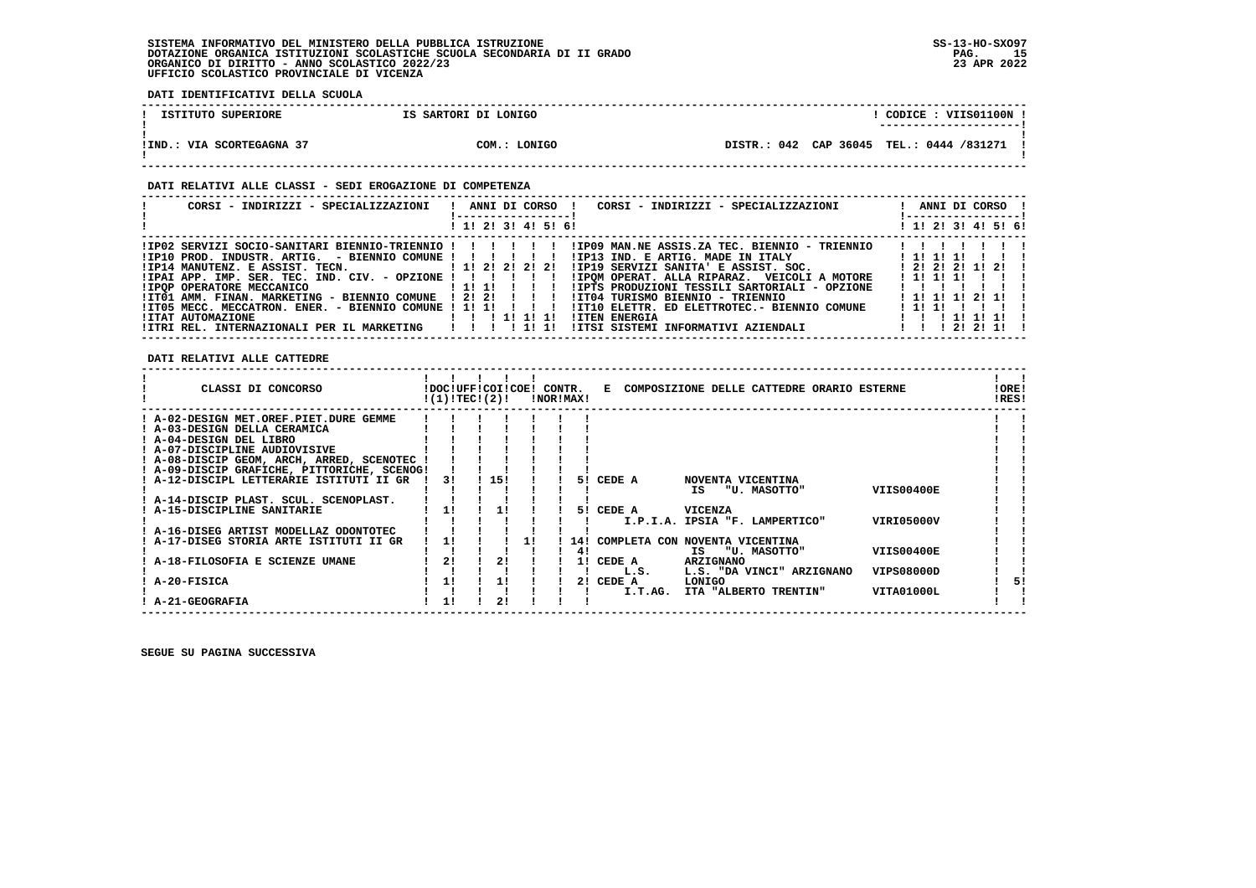**DATI IDENTIFICATIVI DELLA SCUOLA**

| ISTITUTO SUPERIORE        | IS SARTORI DI LONIGO | CODICE: VIIS01100N<br>---------------------- |
|---------------------------|----------------------|----------------------------------------------|
| !IND.: VIA SCORTEGAGNA 37 | COM.: LONIGO         | DISTR.: 042 CAP 36045 TEL.: 0444 /831271     |

#### **DATI RELATIVI ALLE CLASSI - SEDI EROGAZIONE DI COMPETENZA**

| CORSI - INDIRIZZI - SPECIALIZZAZIONI   ! ANNI DI CORSO  !     | CORSI - INDIRIZZI - SPECIALIZZAZIONI<br>! ------------------!                                             | ANNI DI CORSO !<br>! ------------------ ! |
|---------------------------------------------------------------|-----------------------------------------------------------------------------------------------------------|-------------------------------------------|
|                                                               | ! 1! 2! 3! 4! 5! 6!                                                                                       | ! 1! 2! 3! 4! 5! 6!                       |
|                                                               | IPO2 SERVIZI SOCIO-SANITARI BIENNIO-TRIENNIO !!!!!!!!!!PO9 MAN.NE ASSIS.ZA TEC. BIENNIO - TRIENNIO!!      |                                           |
|                                                               |                                                                                                           |                                           |
| !IP14 MANUTENZ. E ASSIST. TECN. [1! 2! 2! 2! 2!               | !IP19 SERVIZI SANITA' E ASSIST. SOC. [2! 2! 2! 1! 2! !                                                    |                                           |
| $IIPAI$ APP. IMP. SER. TEC. IND. CIV. - OPZIONE ! ! ! ! ! ! ! | !IPOM OPERAT. ALLA RIPARAZ. VEICOLI A MOTORE                                                              | 1111111111                                |
|                                                               |                                                                                                           | 1111                                      |
|                                                               |                                                                                                           |                                           |
|                                                               | ITT05 MECC. MECCATRON. ENER. - BIENNIO COMUNE ! 1! 1! ! !! ! ITT10 ELETTR. ED ELETTROTEC.- BIENNIO COMUNE | 1111                                      |
|                                                               | <b>!ITEN ENERGIA</b>                                                                                      | 1 1 1 1 1 1 1 1 1                         |
| !ITRI REL. INTERNAZIONALI PER IL MARKETING   !!!!!!!          |                                                                                                           |                                           |

 **DATI RELATIVI ALLE CATTEDRE**

| A-02-DESIGN MET.OREF.PIET.DURE GEMME<br>A-03-DESIGN DELLA CERAMICA<br>! A-04-DESIGN DEL LIBRO<br>A-07-DISCIPLINE AUDIOVISIVE<br>! A-08-DISCIP GEOM, ARCH, ARRED, SCENOTEC<br>! A-09-DISCIP GRAFICHE, PITTORICHE, SCENOG!<br>! A-12-DISCIPL LETTERARIE ISTITUTI II GR<br>! 15!<br>CEDE A<br>31<br>NOVENTA VICENTINA<br>51<br><b>VIIS00400E</b><br>"U. MASOTTO"<br>IS<br>! A-14-DISCIP PLAST. SCUL. SCENOPLAST.<br>A-15-DISCIPLINE SANITARIE<br>11<br>CEDE A<br>VICENZA<br>11<br>51.<br>VIRI05000V<br>I.P.I.A. IPSIA "F. LAMPERTICO"<br>! A-16-DISEG ARTIST MODELLAZ ODONTOTEC<br>A-17-DISEG STORIA ARTE ISTITUTI II GR<br>COMPLETA CON NOVENTA VICENTINA<br>14!<br><b>VIIS00400E</b><br>"U. MASOTTO"<br>IS.<br>41<br>21<br>2!<br>A-18-FILOSOFIA E SCIENZE UMANE<br>CEDE A<br><b>ARZIGNANO</b><br>11<br><b>VIPS08000D</b><br>L.S. "DA VINCI" ARZIGNANO<br>L.S.<br>A-20-FISICA<br>1!<br>CEDE A<br>LONIGO<br>11<br>51<br>21<br>VITA01000L<br>I.T.AG.<br>ITA "ALBERTO TRENTIN"<br>21 | CLASSI DI CONCORSO | !(1)!TEC!(2)! |  | !DOC!UFF!COI!COE! CONTR. | !NOR!MAX! | к. | COMPOSIZIONE DELLE CATTEDRE ORARIO ESTERNE |  | !ORE!<br>!RES! |
|---------------------------------------------------------------------------------------------------------------------------------------------------------------------------------------------------------------------------------------------------------------------------------------------------------------------------------------------------------------------------------------------------------------------------------------------------------------------------------------------------------------------------------------------------------------------------------------------------------------------------------------------------------------------------------------------------------------------------------------------------------------------------------------------------------------------------------------------------------------------------------------------------------------------------------------------------------------------------------|--------------------|---------------|--|--------------------------|-----------|----|--------------------------------------------|--|----------------|
|                                                                                                                                                                                                                                                                                                                                                                                                                                                                                                                                                                                                                                                                                                                                                                                                                                                                                                                                                                                 |                    |               |  |                          |           |    |                                            |  |                |
|                                                                                                                                                                                                                                                                                                                                                                                                                                                                                                                                                                                                                                                                                                                                                                                                                                                                                                                                                                                 |                    |               |  |                          |           |    |                                            |  |                |
|                                                                                                                                                                                                                                                                                                                                                                                                                                                                                                                                                                                                                                                                                                                                                                                                                                                                                                                                                                                 |                    |               |  |                          |           |    |                                            |  |                |
|                                                                                                                                                                                                                                                                                                                                                                                                                                                                                                                                                                                                                                                                                                                                                                                                                                                                                                                                                                                 |                    |               |  |                          |           |    |                                            |  |                |
|                                                                                                                                                                                                                                                                                                                                                                                                                                                                                                                                                                                                                                                                                                                                                                                                                                                                                                                                                                                 |                    |               |  |                          |           |    |                                            |  |                |
|                                                                                                                                                                                                                                                                                                                                                                                                                                                                                                                                                                                                                                                                                                                                                                                                                                                                                                                                                                                 |                    |               |  |                          |           |    |                                            |  |                |
|                                                                                                                                                                                                                                                                                                                                                                                                                                                                                                                                                                                                                                                                                                                                                                                                                                                                                                                                                                                 |                    |               |  |                          |           |    |                                            |  |                |
|                                                                                                                                                                                                                                                                                                                                                                                                                                                                                                                                                                                                                                                                                                                                                                                                                                                                                                                                                                                 |                    |               |  |                          |           |    |                                            |  |                |
|                                                                                                                                                                                                                                                                                                                                                                                                                                                                                                                                                                                                                                                                                                                                                                                                                                                                                                                                                                                 |                    |               |  |                          |           |    |                                            |  |                |
|                                                                                                                                                                                                                                                                                                                                                                                                                                                                                                                                                                                                                                                                                                                                                                                                                                                                                                                                                                                 |                    |               |  |                          |           |    |                                            |  |                |
|                                                                                                                                                                                                                                                                                                                                                                                                                                                                                                                                                                                                                                                                                                                                                                                                                                                                                                                                                                                 |                    |               |  |                          |           |    |                                            |  |                |
|                                                                                                                                                                                                                                                                                                                                                                                                                                                                                                                                                                                                                                                                                                                                                                                                                                                                                                                                                                                 |                    |               |  |                          |           |    |                                            |  |                |
|                                                                                                                                                                                                                                                                                                                                                                                                                                                                                                                                                                                                                                                                                                                                                                                                                                                                                                                                                                                 |                    |               |  |                          |           |    |                                            |  |                |
|                                                                                                                                                                                                                                                                                                                                                                                                                                                                                                                                                                                                                                                                                                                                                                                                                                                                                                                                                                                 |                    |               |  |                          |           |    |                                            |  |                |
|                                                                                                                                                                                                                                                                                                                                                                                                                                                                                                                                                                                                                                                                                                                                                                                                                                                                                                                                                                                 |                    |               |  |                          |           |    |                                            |  |                |
|                                                                                                                                                                                                                                                                                                                                                                                                                                                                                                                                                                                                                                                                                                                                                                                                                                                                                                                                                                                 |                    |               |  |                          |           |    |                                            |  |                |
|                                                                                                                                                                                                                                                                                                                                                                                                                                                                                                                                                                                                                                                                                                                                                                                                                                                                                                                                                                                 |                    |               |  |                          |           |    |                                            |  |                |
|                                                                                                                                                                                                                                                                                                                                                                                                                                                                                                                                                                                                                                                                                                                                                                                                                                                                                                                                                                                 |                    |               |  |                          |           |    |                                            |  |                |
|                                                                                                                                                                                                                                                                                                                                                                                                                                                                                                                                                                                                                                                                                                                                                                                                                                                                                                                                                                                 | A-21-GEOGRAFIA     |               |  |                          |           |    |                                            |  |                |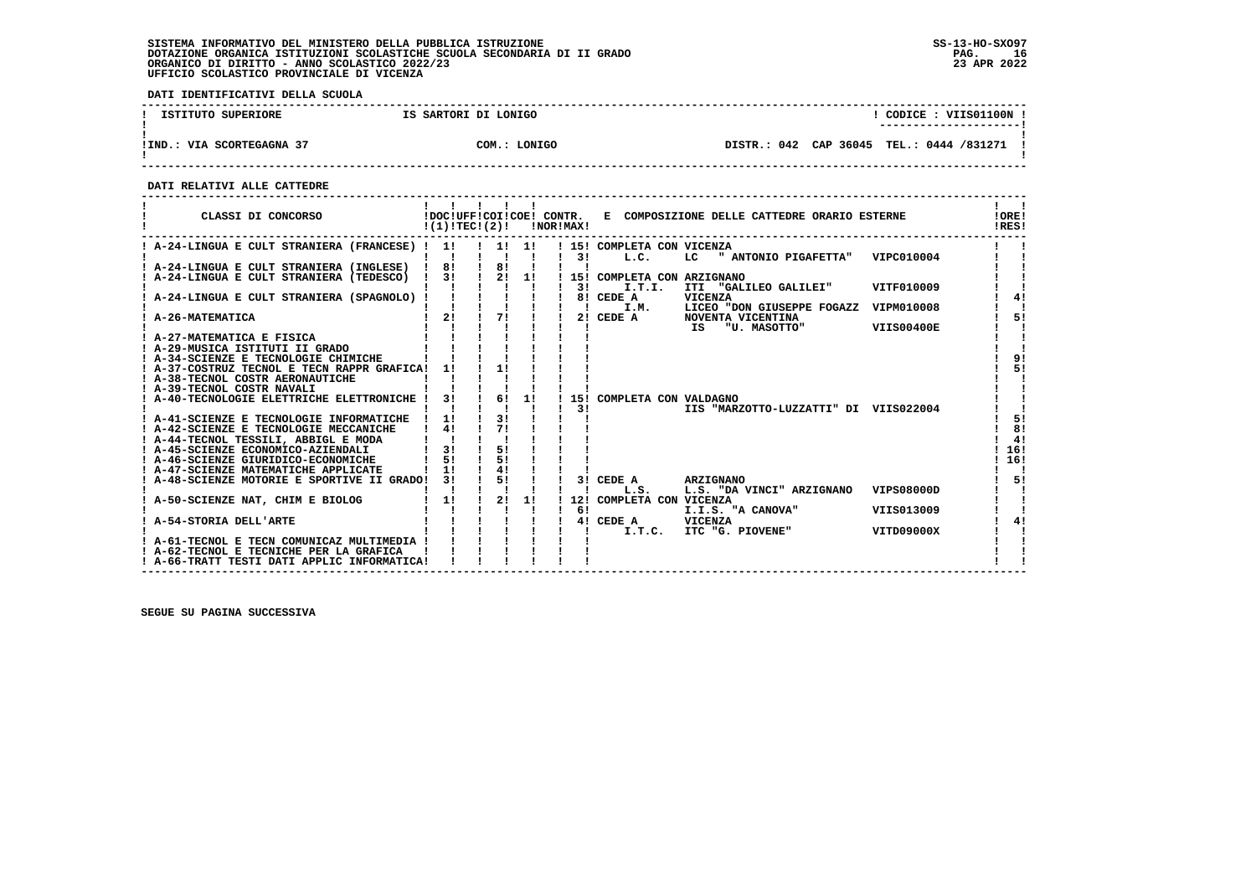**DATI IDENTIFICATIVI DELLA SCUOLA**

| ISTITUTO SUPERIORE        | IS SARTORI DI LONIGO | CODICE : VIIS01100N !<br>----------------------- |  |
|---------------------------|----------------------|--------------------------------------------------|--|
| !IND.: VIA SCORTEGAGNA 37 | COM.: LONIGO         | DISTR.: 042 CAP 36045 TEL.: 0444 /831271         |  |

 **------------------------------------------------------------------------------------------------------------------------------------**

 **DATI RELATIVI ALLE CATTEDRE**

| CLASSI DI CONCORSO                                                                     |                    | !DOC!UFF!COI!COE! CONTR.<br>!(1)!TEC!(2)! |    | !NOR!MAX! | E COMPOSIZIONE DELLE CATTEDRE ORARIO ESTERNE                      | !ORE!<br>!RES!    |
|----------------------------------------------------------------------------------------|--------------------|-------------------------------------------|----|-----------|-------------------------------------------------------------------|-------------------|
| ! A-24-LINGUA E CULT STRANIERA (FRANCESE) ! 1!                                         |                    | $\frac{1}{2}$ 1! 1!                       |    | 31        | ! 15! COMPLETA CON VICENZA<br>L.C.<br>LC " ANTONIO PIGAFETTA"     | VIPC010004        |
| ! A-24-LINGUA E CULT STRANIERA (INGLESE)                                               | 81                 | 81                                        |    |           |                                                                   |                   |
| A-24-LINGUA E CULT STRANIERA (TEDESCO)                                                 | 3!<br>$\mathbf{I}$ | 2!<br>$\mathbf{I}$                        | 1! |           | 15! COMPLETA CON ARZIGNANO                                        |                   |
|                                                                                        |                    |                                           |    | 3 I       | I.T.I.<br>ITI "GALILEO GALILEI"                                   | VITF010009        |
| A-24-LINGUA E CULT STRANIERA (SPAGNOLO) !                                              |                    |                                           |    |           | 8! CEDE A<br><b>VICENZA</b>                                       | 41                |
| A-26-MATEMATICA                                                                        | 21                 | 71                                        | п. | 21        | LICEO "DON GIUSEPPE FOGAZZ<br>I.M.<br>CEDE A<br>NOVENTA VICENTINA | VIPM010008<br>51  |
|                                                                                        |                    |                                           |    |           | "U. MASOTTO"<br>IS                                                | <b>VIIS00400E</b> |
| ! A-27-MATEMATICA E FISICA                                                             |                    |                                           |    |           |                                                                   |                   |
| ! A-29-MUSICA ISTITUTI II GRADO                                                        |                    |                                           |    |           |                                                                   |                   |
| ! A-34-SCIENZE E TECNOLOGIE CHIMICHE                                                   |                    |                                           |    |           |                                                                   | 91                |
| ! A-37-COSTRUZ TECNOL E TECN RAPPR GRAFICA!                                            | 11                 | 11                                        |    |           |                                                                   | 51                |
| ! A-38-TECNOL COSTR AERONAUTICHE<br>! A-39-TECNOL COSTR NAVALI                         |                    |                                           |    |           |                                                                   |                   |
| ! A-40-TECNOLOGIE ELETTRICHE ELETTRONICHE                                              | 31                 | 6!                                        | 1! |           | 15! COMPLETA CON VALDAGNO                                         |                   |
|                                                                                        |                    |                                           |    | 31        | IIS "MARZOTTO-LUZZATTI" DI VIIS022004                             |                   |
| ! A-41-SCIENZE E TECNOLOGIE INFORMATICHE                                               | 11                 | 31                                        |    |           |                                                                   | 51                |
| ! A-42-SCIENZE E TECNOLOGIE MECCANICHE                                                 | 41                 | 71                                        |    |           |                                                                   | 81                |
| ! A-44-TECNOL TESSILI, ABBIGL E MODA                                                   |                    |                                           |    |           |                                                                   | 41                |
| ! A-45-SCIENZE ECONOMICO-AZIENDALI                                                     | 31                 | 51                                        |    |           |                                                                   | 16!               |
| ! A-46-SCIENZE GIURIDICO-ECONOMICHE                                                    | 51<br>11           | 51<br>41                                  |    |           |                                                                   | 16!               |
| ! A-47-SCIENZE MATEMATICHE APPLICATE<br>A-48-SCIENZE MOTORIE E SPORTIVE II GRADO!      | 3 I                | 5!                                        |    |           | 3! CEDE A<br><b>ARZIGNANO</b>                                     | 5!                |
|                                                                                        |                    |                                           |    |           | L.S. "DA VINCI" ARZIGNANO<br>L.S.                                 | <b>VIPS08000D</b> |
| A-50-SCIENZE NAT, CHIM E BIOLOG                                                        | 1!                 | 2!                                        | 1! | 12!       | COMPLETA CON VICENZA                                              |                   |
|                                                                                        |                    |                                           |    | 61        | I.I.S. "A CANOVA"                                                 | VIIS013009        |
| A-54-STORIA DELL'ARTE                                                                  |                    |                                           |    |           | 4! CEDE A<br>VICENZA                                              | 41                |
|                                                                                        |                    |                                           |    |           | ITC "G. PIOVENE"<br>I.T.C.                                        | VITD09000X        |
| ! A-61-TECNOL E TECN COMUNICAZ MULTIMEDIA !                                            |                    |                                           |    |           |                                                                   |                   |
| ! A-62-TECNOL E TECNICHE PER LA GRAFICA<br>! A-66-TRATT TESTI DATI APPLIC INFORMATICA! |                    |                                           |    |           |                                                                   |                   |
|                                                                                        |                    |                                           |    |           |                                                                   |                   |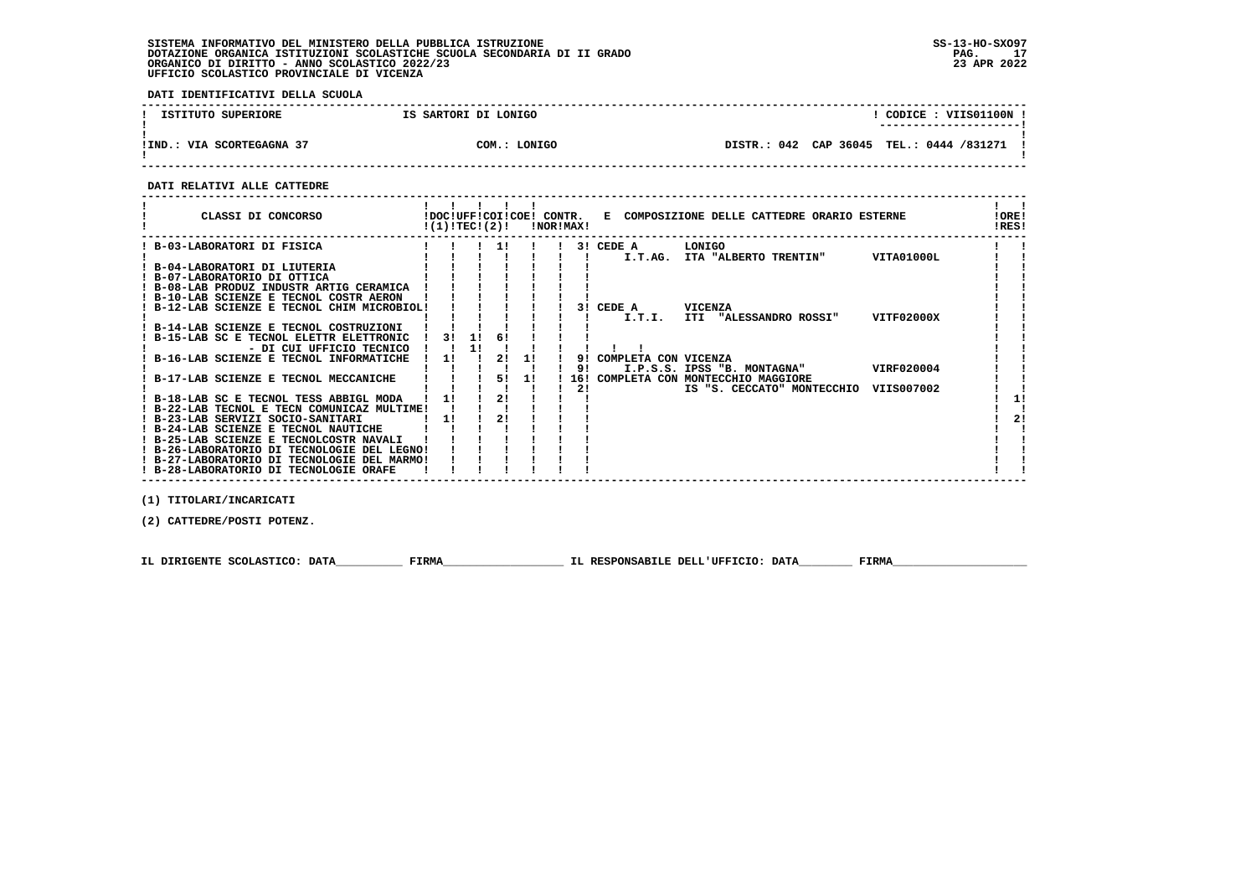**DATI IDENTIFICATIVI DELLA SCUOLA**

| ISTITUTO SUPERIORE        | IS SARTORI DI LONIGO | CODICE: VIIS01100N<br>--------------------- |  |
|---------------------------|----------------------|---------------------------------------------|--|
| !IND.: VIA SCORTEGAGNA 37 | COM.: LONIGO         | DISTR.: 042 CAP 36045 TEL.: 0444 /831271    |  |

 **------------------------------------------------------------------------------------------------------------------------------------**

#### **DATI RELATIVI ALLE CATTEDRE**

| CLASSI DI CONCORSO                       |                                             | !(1)!TECI(2)! |    |    |    | !NOR!MAX! |                      | !DOC!UFF!COI!COE! CONTR. E COMPOSIZIONE DELLE CATTEDRE ORARIO ESTERNE |            | ! ORE!<br>!RES! |
|------------------------------------------|---------------------------------------------|---------------|----|----|----|-----------|----------------------|-----------------------------------------------------------------------|------------|-----------------|
| B-03-LABORATORI DI FISICA                |                                             |               |    | 11 |    |           | 3! CEDE A            | LONIGO                                                                |            |                 |
|                                          |                                             |               |    |    |    |           | I.T.AG.              | ITA "ALBERTO TRENTIN"                                                 | VITA01000L |                 |
| ! B-04-LABORATORI DI LIUTERIA            |                                             |               |    |    |    |           |                      |                                                                       |            |                 |
| ! B-07-LABORATORIO DI OTTICA             |                                             |               |    |    |    |           |                      |                                                                       |            |                 |
| ! B-08-LAB PRODUZ INDUSTR ARTIG CERAMICA |                                             |               |    |    |    |           |                      |                                                                       |            |                 |
| B-10-LAB SCIENZE E TECNOL COSTR AERON    |                                             |               |    |    |    |           |                      |                                                                       |            |                 |
|                                          | ! B-12-LAB SCIENZE E TECNOL CHIM MICROBIOL! |               |    |    |    |           | 3! CEDE A            | <b>VICENZA</b>                                                        |            |                 |
|                                          |                                             |               |    |    |    |           | I.T.I.               | ITI "ALESSANDRO ROSSI"                                                | VITF02000X |                 |
| ! B-14-LAB SCIENZE E TECNOL COSTRUZIONI  |                                             |               |    |    |    |           |                      |                                                                       |            |                 |
| ! B-15-LAB SC E TECNOL ELETTR ELETTRONIC |                                             | 31            | 11 | 6! |    |           |                      |                                                                       |            |                 |
|                                          | - DI CUI UFFICIO TECNICO                    |               | 11 |    |    |           |                      |                                                                       |            |                 |
| ! B-16-LAB SCIENZE E TECNOL INFORMATICHE |                                             | 11            |    | 21 | 1! | 91        | COMPLETA CON VICENZA |                                                                       |            |                 |
|                                          |                                             |               |    |    |    | 91        |                      | I.P.S.S. IPSS "B. MONTAGNA"                                           | VIRF020004 |                 |
| ! B-17-LAB SCIENZE E TECNOL MECCANICHE   |                                             |               |    | 51 | 11 |           |                      | 16! COMPLETA CON MONTECCHIO MAGGIORE                                  |            |                 |
|                                          |                                             |               |    |    |    | 2!        |                      | IS "S. CECCATO" MONTECCHIO                                            | VIIS007002 |                 |
| ! B-18-LAB SC E TECNOL TESS ABBIGL MODA  |                                             |               |    | 2! |    |           |                      |                                                                       |            |                 |
|                                          | ! B-22-LAB TECNOL E TECN COMUNICAZ MULTIME! |               |    |    |    |           |                      |                                                                       |            |                 |
| ! B-23-LAB SERVIZI SOCIO-SANITARI        |                                             | 11            |    | 2! |    |           |                      |                                                                       |            | 21              |
| ! B-24-LAB SCIENZE E TECNOL NAUTICHE     |                                             |               |    |    |    |           |                      |                                                                       |            |                 |
| ! B-25-LAB SCIENZE E TECNOLCOSTR NAVALI  |                                             |               |    |    |    |           |                      |                                                                       |            |                 |
|                                          | ! B-26-LABORATORIO DI TECNOLOGIE DEL LEGNO! |               |    |    |    |           |                      |                                                                       |            |                 |
|                                          | ! B-27-LABORATORIO DI TECNOLOGIE DEL MARMO! |               |    |    |    |           |                      |                                                                       |            |                 |
| ! B-28-LABORATORIO DI TECNOLOGIE ORAFE   |                                             |               |    |    |    |           |                      |                                                                       |            |                 |
|                                          |                                             |               |    |    |    |           |                      |                                                                       |            |                 |

 **(1) TITOLARI/INCARICATI**

 **(2) CATTEDRE/POSTI POTENZ.**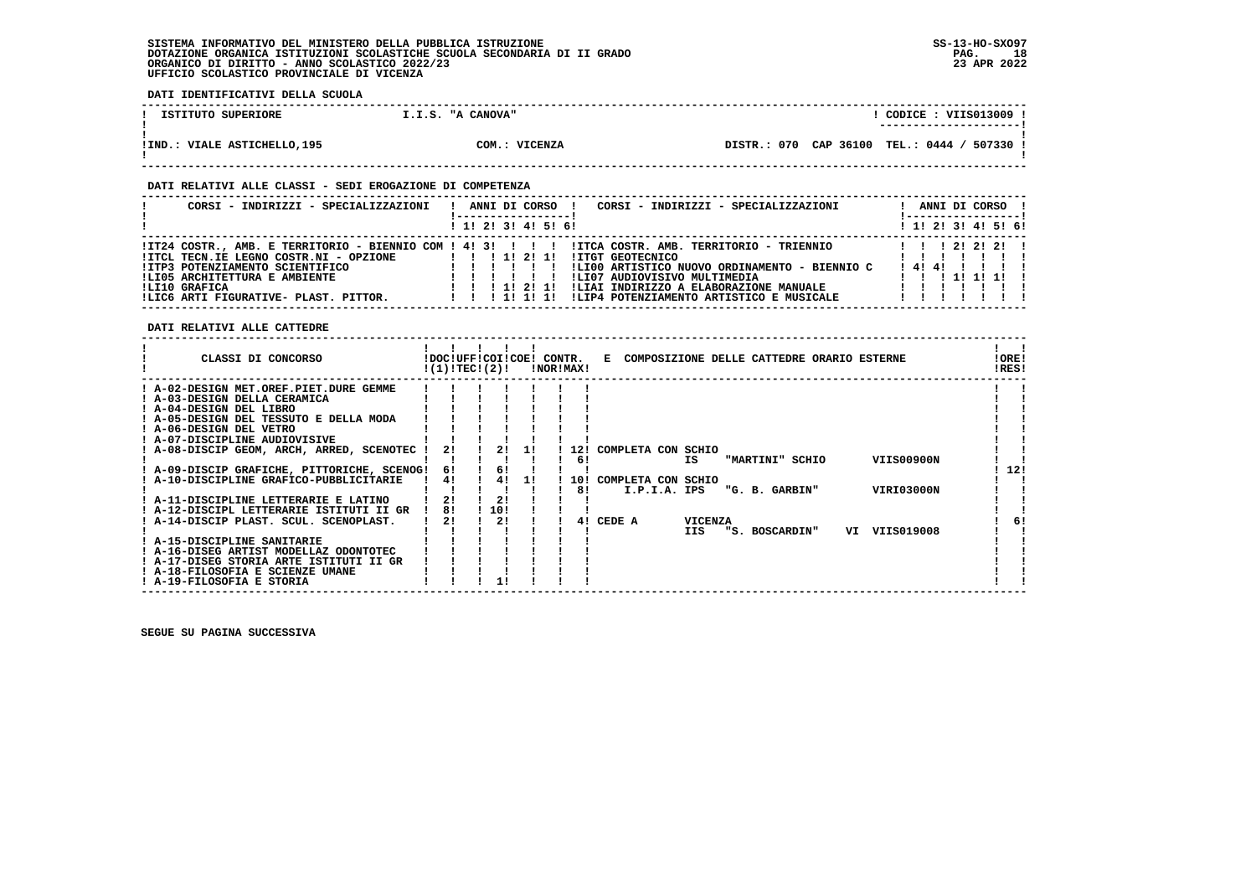**DATI IDENTIFICATIVI DELLA SCUOLA**

| ISTITUTO SUPERIORE           | I.I.S. "A CANOVA" | CODICE : VIIS013009 !<br>---------------------- |
|------------------------------|-------------------|-------------------------------------------------|
| !IND.: VIALE ASTICHELLO, 195 | COM.: VICENZA     | DISTR.: 070 CAP 36100 TEL.: 0444 / 507330 !     |

#### **DATI RELATIVI ALLE CLASSI - SEDI EROGAZIONE DI COMPETENZA**

| CORSI - INDIRIZZI - SPECIALIZZAZIONI                                                                                                                                 | CORSI - INDIRIZZI - SPECIALIZZAZIONI<br>ANNI DI CORSO                                                                                                                                                                                                                                                                                                                              | ANNI DI CORSO !<br>!-----------------!                     |
|----------------------------------------------------------------------------------------------------------------------------------------------------------------------|------------------------------------------------------------------------------------------------------------------------------------------------------------------------------------------------------------------------------------------------------------------------------------------------------------------------------------------------------------------------------------|------------------------------------------------------------|
|                                                                                                                                                                      | 1 1! 2! 3! 4! 5! 6!                                                                                                                                                                                                                                                                                                                                                                | $1$ 1! 2! 3! 4! 5! 6!                                      |
| !ITCL TECN.IE LEGNO COSTR.NI - OPZIONE<br>!ITP3 POTENZIAMENTO SCIENTIFICO<br>!LI05 ARCHITETTURA E AMBIENTE<br>ILI10 GRAFICA<br>ILIC6 ARTI FIGURATIVE- PLAST. PITTOR. | ITZ4 COSTR., AMB. E TERRITORIO - BIENNIO COM ! 4! 3!!!!!!!ITCA COSTR. AMB. TERRITORIO - TRIENNIO<br>1 1 1 1 2 1 1 1<br><b>!ITGT GEOTECNICO</b><br>!LI00 ARTISTICO NUOVO ORDINAMENTO - BIENNIO C<br>!LI07 AUDIOVISIVO MULTIMEDIA<br>!LIAI INDIRIZZO A ELABORAZIONE MANUALE<br>$1 \quad 1 \quad 11 \quad 21 \quad 11$<br>!LIP4 POTENZIAMENTO ARTISTICO E MUSICALE<br>1 1 1 1 1 1 1 1 | 1 1 1 2 1 2 1 2 1<br>1111111<br>! 4! 4!<br>1 1 1 1 1 1 1 1 |

 **DATI RELATIVI ALLE CATTEDRE**

| ! A-02-DESIGN MET.OREF.PIET.DURE GEMME                                                     |     |
|--------------------------------------------------------------------------------------------|-----|
| ! A-03-DESIGN DELLA CERAMICA                                                               |     |
| ! A-04-DESIGN DEL LIBRO                                                                    |     |
| ! A-05-DESIGN DEL TESSUTO E DELLA MODA                                                     |     |
| ! A-06-DESIGN DEL VETRO                                                                    |     |
| ! A-07-DISCIPLINE AUDIOVISIVE                                                              |     |
| ! A-08-DISCIP GEOM, ARCH, ARRED, SCENOTEC<br>21<br>21<br>! 12!<br>COMPLETA CON SCHIO<br>11 |     |
| VIIS00900N<br>IS<br>"MARTINI" SCHIO<br>6!                                                  |     |
| ! A-09-DISCIP GRAFICHE, PITTORICHE, SCENOG!<br>61<br>6!                                    | 12! |
| ! A-10-DISCIPLINE GRAFICO-PUBBLICITARIE<br>4!<br>41<br>10!<br>COMPLETA CON SCHIO<br>11     |     |
| <b>VIRI03000N</b><br>81<br>I.P.I.A. IPS<br>"G. B. GARBIN"                                  |     |
| 2!<br>21<br>! A-11-DISCIPLINE LETTERARIE E LATINO                                          |     |
| 81<br>110!<br>! A-12-DISCIPL LETTERARIE ISTITUTI II GR                                     |     |
| 21<br>2!<br>CEDE A<br><b>VICENZA</b><br>! A-14-DISCIP PLAST. SCUL. SCENOPLAST.<br>41       | 6!  |
| VIIS019008<br>IIS<br><b>BOSCARDIN"</b><br>"S.<br>VI                                        |     |
| ! A-15-DISCIPLINE SANITARIE                                                                |     |
| ! A-16-DISEG ARTIST MODELLAZ ODONTOTEC                                                     |     |
| ! A-17-DISEG STORIA ARTE ISTITUTI II GR                                                    |     |
| ! A-18-FILOSOFIA E SCIENZE UMANE                                                           |     |
| ! A-19-FILOSOFIA E STORIA                                                                  |     |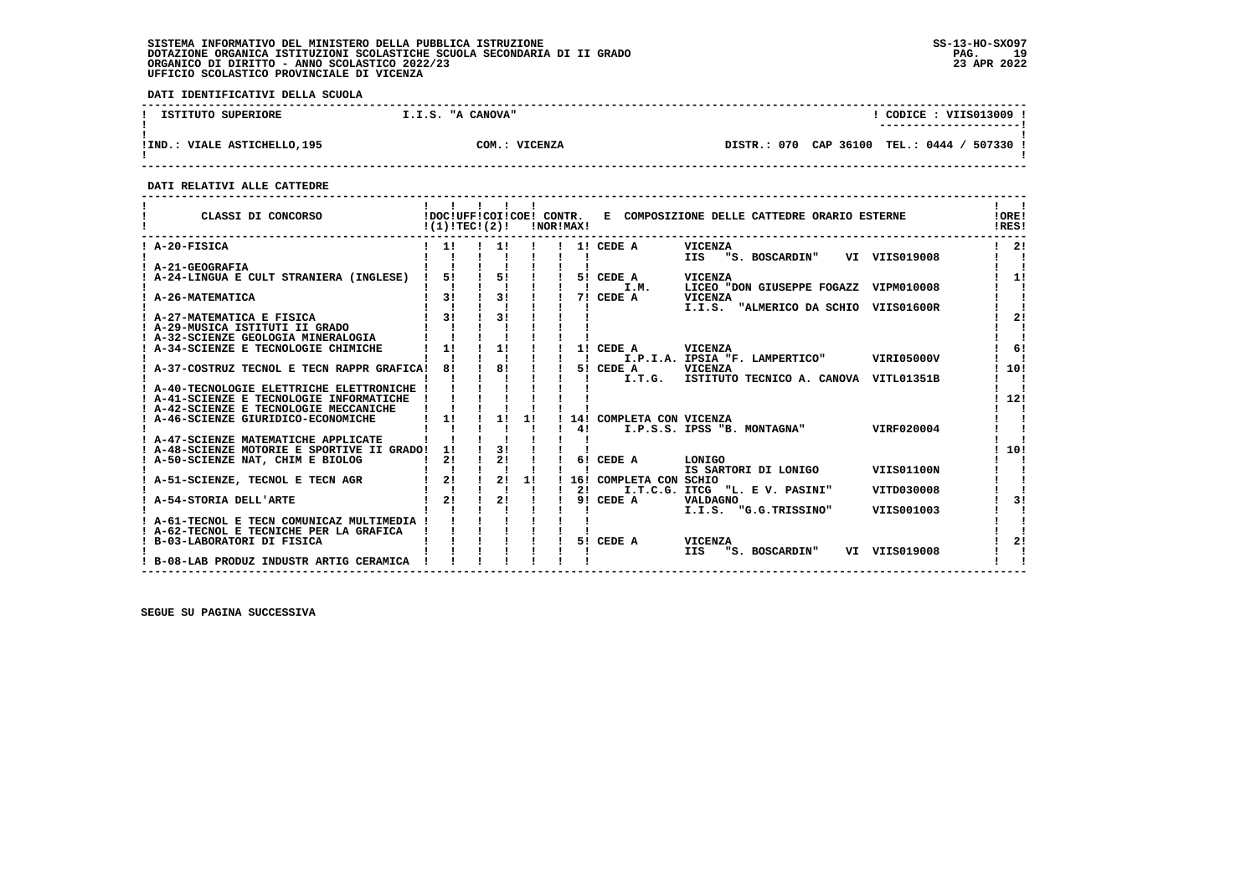**DATI IDENTIFICATIVI DELLA SCUOLA**

| ISTITUTO SUPERIORE          | I.I.S. "A CANOVA" | CODICE: VIIS013009<br>--------------------- |
|-----------------------------|-------------------|---------------------------------------------|
| IND.: VIALE ASTICHELLO, 195 | COM.: VICENZA     | DISTR.: 070 CAP 36100 TEL.: 0444 / 507330 ! |

 **------------------------------------------------------------------------------------------------------------------------------------**

 **DATI RELATIVI ALLE CATTEDRE**

| CLASSI DI CONCORSO                                                                  | !(1)!TEC!(2)! |    | !DOC!UFF!COI!COE! CONTR.<br>!NOR!MAX! |                          | E COMPOSIZIONE DELLE CATTEDRE ORARIO ESTERNE          | !ORE!<br>!RES! |
|-------------------------------------------------------------------------------------|---------------|----|---------------------------------------|--------------------------|-------------------------------------------------------|----------------|
| ! A-20-FISICA                                                                       | $\frac{1}{1}$ | 11 |                                       | 1! CEDE A                | <b>VICENZA</b><br>IIS "S. BOSCARDIN"<br>VI VIIS019008 | -21            |
| ! A-21-GEOGRAFIA                                                                    |               |    |                                       |                          |                                                       |                |
| A-24-LINGUA E CULT STRANIERA (INGLESE)                                              | 51            | 51 |                                       | 5! CEDE A                | VICENZA                                               | 11             |
|                                                                                     |               |    |                                       | I.M.                     | LICEO "DON GIUSEPPE FOGAZZ<br>VIPM010008              |                |
| A-26-MATEMATICA                                                                     | 3!            | 3! |                                       | 7! CEDE A                | <b>VICENZA</b>                                        |                |
|                                                                                     |               |    |                                       |                          | I.I.S.<br>"ALMERICO DA SCHIO<br>VIIS01600R            |                |
| ! A-27-MATEMATICA E FISICA                                                          | 3!            | 31 |                                       |                          |                                                       | 21             |
| ! A-29-MUSICA ISTITUTI II GRADO<br>! A-32-SCIENZE GEOLOGIA MINERALOGIA              |               |    |                                       |                          |                                                       |                |
| A-34-SCIENZE E TECNOLOGIE CHIMICHE                                                  | 1!            | 1! |                                       | 1! CEDE A                | VICENZA                                               | 6!             |
|                                                                                     |               |    |                                       | $\mathbf{I}$             | I.P.I.A. IPSIA "F. LAMPERTICO"<br>VIRI05000V          |                |
| ! A-37-COSTRUZ TECNOL E TECN RAPPR GRAFICA!                                         | 81            | 8! | $\blacksquare$                        | 5! CEDE A                | <b>VICENZA</b>                                        | 10!            |
|                                                                                     |               |    |                                       | I.T.G.                   | ISTITUTO TECNICO A. CANOVA VITL01351B                 |                |
| ! A-40-TECNOLOGIE ELETTRICHE ELETTRONICHE !                                         |               |    |                                       |                          |                                                       |                |
| ! A-41-SCIENZE E TECNOLOGIE INFORMATICHE                                            |               |    |                                       |                          |                                                       | 12!            |
| ! A-42-SCIENZE E TECNOLOGIE MECCANICHE                                              |               |    |                                       |                          |                                                       |                |
| ! A-46-SCIENZE GIURIDICO-ECONOMICHE                                                 | 11            | 1! | 1!                                    | 14! COMPLETA CON VICENZA |                                                       |                |
|                                                                                     |               |    |                                       | 41                       | I.P.S.S. IPSS "B. MONTAGNA"<br>VIRF020004             |                |
| ! A-47-SCIENZE MATEMATICHE APPLICATE<br>! A-48-SCIENZE MOTORIE E SPORTIVE II GRADO! | 11            | 31 |                                       |                          |                                                       | 10!            |
| A-50-SCIENZE NAT, CHIM E BIOLOG                                                     | 2!            | 21 |                                       | 6! CEDE A                | LONIGO                                                |                |
|                                                                                     |               |    |                                       |                          | IS SARTORI DI LONIGO<br><b>VIIS01100N</b>             |                |
| A-51-SCIENZE, TECNOL E TECN AGR                                                     | 2!            | 2! | 1!                                    | 16! COMPLETA CON SCHIO   |                                                       |                |
|                                                                                     |               |    |                                       | 21                       | I.T.C.G. ITCG "L. E V. PASINI"<br>VITD030008          |                |
| A-54-STORIA DELL'ARTE                                                               | 21            | 21 |                                       | 9! CEDE A                | <b>VALDAGNO</b>                                       | 31             |
|                                                                                     |               |    |                                       |                          | I.I.S. "G.G.TRISSINO"<br>VIIS001003                   |                |
| ! A-61-TECNOL E TECN COMUNICAZ MULTIMEDIA !                                         |               |    |                                       |                          |                                                       |                |
| ! A-62-TECNOL E TECNICHE PER LA GRAFICA                                             |               |    |                                       |                          |                                                       |                |
| B-03-LABORATORI DI FISICA                                                           |               |    |                                       | 5! CEDE A                | VICENZA                                               | 2!             |
| ! B-08-LAB PRODUZ INDUSTR ARTIG CERAMICA                                            |               |    |                                       |                          | VI VIIS019008<br>"S. BOSCARDIN"<br><b>IIS</b>         |                |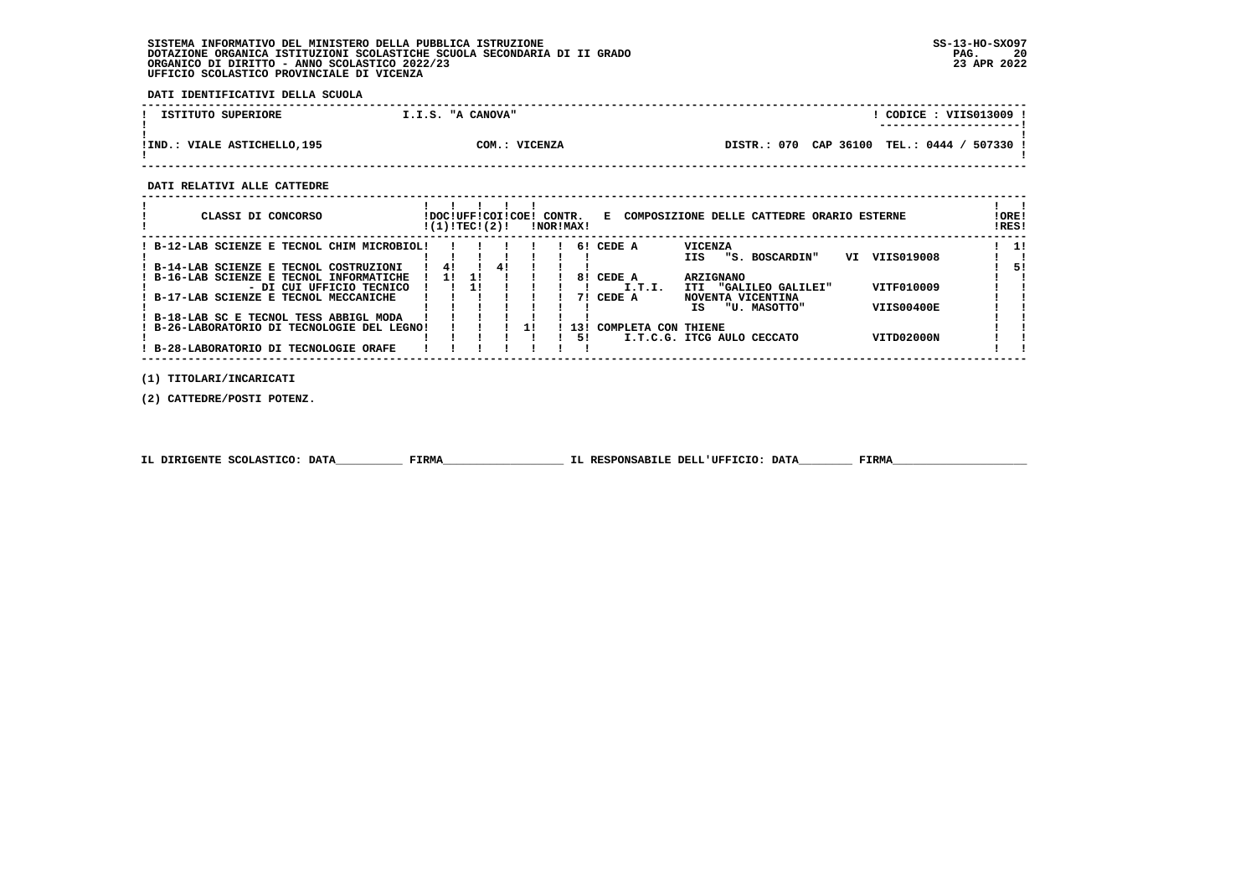**DATI IDENTIFICATIVI DELLA SCUOLA**

| ISTITUTO SUPERIORE             | I.I.S. "A CANOVA" | CODICE : VIIS013009<br>----------------------              |
|--------------------------------|-------------------|------------------------------------------------------------|
| VIALE ASTICHELLO,195<br>! IND. | COM.:<br>VICENZA  | CAP 36100<br><b>TEL.: 0444</b><br>507330<br>070<br>DISTR.: |

 **------------------------------------------------------------------------------------------------------------------------------------**

 **DATI RELATIVI ALLE CATTEDRE**

| CLASSI DI CONCORSO                                               | !DOC!UFF!COI!COE!<br>!(1)!TEC!(2)! |    |    | CONTR. | !NOR!MAX! |                     | E COMPOSIZIONE DELLE CATTEDRE ORARIO ESTERNE  |                   | ! ORE!<br>!RES! |
|------------------------------------------------------------------|------------------------------------|----|----|--------|-----------|---------------------|-----------------------------------------------|-------------------|-----------------|
| B-12-LAB SCIENZE E TECNOL CHIM MICROBIOL!                        |                                    |    |    |        |           | 6! CEDE A           | <b>VICENZA</b>                                |                   | -11             |
| ! B-14-LAB SCIENZE E TECNOL COSTRUZIONI                          | 41                                 |    | 41 |        |           |                     | "S. BOSCARDIN"<br>IIS                         | VIIS019008<br>VI  | 51              |
| B-16-LAB SCIENZE E TECNOL INFORMATICHE                           | -11                                | 11 |    |        | 81        | CEDE A              | <b>ARZIGNANO</b>                              |                   |                 |
| - DI CUI UFFICIO TECNICO<br>B-17-LAB SCIENZE E TECNOL MECCANICHE |                                    |    |    |        | 71        | I.T.I.<br>CEDE A    | "GALILEO GALILEI"<br>ITI<br>NOVENTA VICENTINA | VITF010009        |                 |
|                                                                  |                                    |    |    |        |           |                     | "U. MASOTTO"<br>TS.                           | <b>VIIS00400E</b> |                 |
| ! B-18-LAB SC E TECNOL TESS ABBIGL MODA                          |                                    |    |    |        |           |                     |                                               |                   |                 |
| B-26-LABORATORIO DI TECNOLOGIE DEL LEGNO!                        |                                    |    |    |        | 131<br>51 | COMPLETA CON THIENE | I.T.C.G. ITCG AULO CECCATO                    | VITD02000N        |                 |
| B-28-LABORATORIO DI TECNOLOGIE ORAFE                             |                                    |    |    |        |           |                     |                                               |                   |                 |

 **(1) TITOLARI/INCARICATI**

 **(2) CATTEDRE/POSTI POTENZ.**

|  | IL DIRIGENTE SCOLASTICO: DATA | FIRMA | IL RESPONSABILE DELL'UFFICIO: DATA | FIRM |
|--|-------------------------------|-------|------------------------------------|------|
|--|-------------------------------|-------|------------------------------------|------|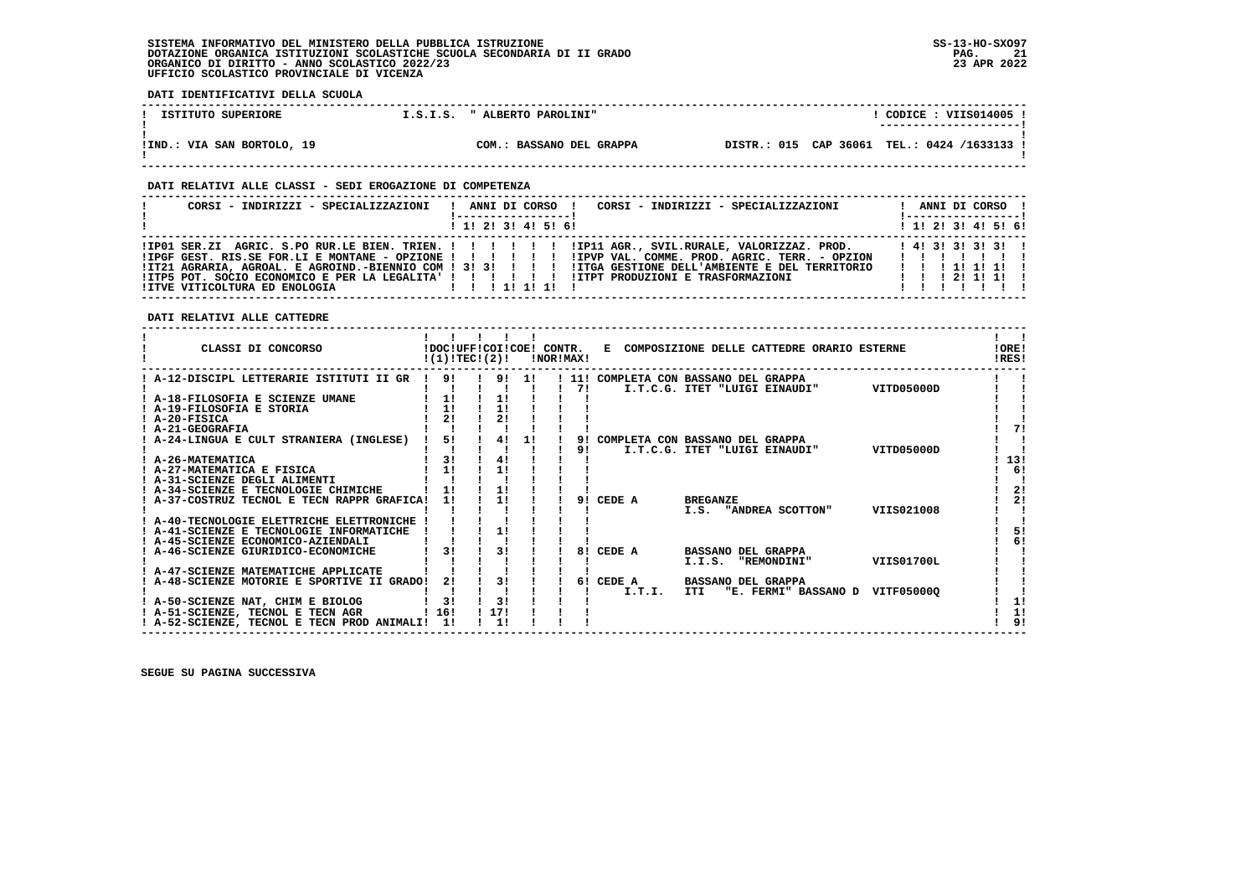**------------------------------------------------------------------------------------------------------------------------------------**! CODICE : VIIS014005 !  **! ISTITUTO SUPERIORE 1.S.I.S. " ALBERTO PAROLINI" ! ---------------------! ! ! !IND.: VIA SAN BORTOLO, 19 COM.: BASSANO DEL GRAPPA DISTR.: 015 CAP 36061 TEL.: 0424 /1633133 !** $\mathbf{I}$  **! !**

 **------------------------------------------------------------------------------------------------------------------------------------**

#### **DATI RELATIVI ALLE CLASSI - SEDI EROGAZIONE DI COMPETENZA**

| CORSI - INDIRIZZI - SPECIALIZZAZIONI | CORSI - INDIRIZZI - SPECIALIZZAZIONI<br>ANNI DI CORSO !<br>! ----------------- !                                                                                                                                                                                                                                                   | ANNI DI CORSO !                 |
|--------------------------------------|------------------------------------------------------------------------------------------------------------------------------------------------------------------------------------------------------------------------------------------------------------------------------------------------------------------------------------|---------------------------------|
|                                      | $1$ , 1! 2! 3! 4! 5! 6!                                                                                                                                                                                                                                                                                                            | ! 1! 2! 3! 4! 5! 6!             |
|                                      | IPGF GEST. RIS.SE FOR.LI E MONTANE - OPZIONE !!!!!!!!!!!PVP VAL. COMME. PROD. AGRIC. TERR. - OPZION!<br>ITZ1 AGRARIA, AGROAL, E AGROIND.-BIENNIO COM ! 3! 3! ! ! ! !ITGA GESTIONE DELL'AMBIENTE E DEL TERRITORIO<br>! ITP5 POT. SOCIO ECONOMICO E PER LA LEGALITA' ! !!!!!!! !ITPT PRODUZIONI E TRASFORMAZIONI   !!!!!!!!!!!!!!!!! | .<br>1 1 1 1 1 1 1 1<br>1111111 |

#### **DATI RELATIVI ALLE CATTEDRE**

 **DATI IDENTIFICATIVI DELLA SCUOLA**

| CLASSI DI CONCORSO                             | !(1)!TECI(2)!      |      |       | <b>!NOR!MAX!</b> |       |        | !DOC!UFF!COI!COE! CONTR. E COMPOSIZIONE DELLE CATTEDRE ORARIO ESTERNE |            | 10RE!<br>!RES! |
|------------------------------------------------|--------------------|------|-------|------------------|-------|--------|-----------------------------------------------------------------------|------------|----------------|
| ! A-12-DISCIPL LETTERARIE ISTITUTI II GR       | 91<br>$\mathbf{I}$ |      | 9! 1! |                  | ! 11! |        | COMPLETA CON BASSANO DEL GRAPPA                                       |            |                |
| ! A-18-FILOSOFIA E SCIENZE UMANE               | 1!                 | 1!   |       |                  | 71    |        | I.T.C.G. ITET "LUIGI EINAUDI"                                         | VITD05000D |                |
| ! A-19-FILOSOFIA E STORIA                      | 1!                 | 11   |       |                  |       |        |                                                                       |            |                |
| ! A-20-FISICA                                  | 21                 | 2!   |       |                  |       |        |                                                                       |            |                |
| ! A-21-GEOGRAFIA                               |                    |      |       |                  |       |        |                                                                       |            | 71             |
| ! A-24-LINGUA E CULT STRANIERA (INGLESE)       | 5!                 | 4!   | 1!    |                  | 91    |        | COMPLETA CON BASSANO DEL GRAPPA                                       |            |                |
|                                                |                    |      |       |                  | 91    |        | I.T.C.G. ITET "LUIGI EINAUDI"                                         | VITD05000D |                |
| ! A-26-MATEMATICA                              | 31                 | 41   |       |                  |       |        |                                                                       |            | 13!            |
| ! A-27-MATEMATICA E FISICA                     | 11                 | 11   |       |                  |       |        |                                                                       |            | 6!             |
| ! A-31-SCIENZE DEGLI ALIMENTI                  |                    |      |       |                  |       |        |                                                                       |            |                |
| ! A-34-SCIENZE E TECNOLOGIE CHIMICHE           |                    |      |       |                  |       |        |                                                                       |            | 2!             |
| ! A-37-COSTRUZ TECNOL E TECN RAPPR GRAFICA!    | 1!                 | 11   |       |                  | 91    | CEDE A | <b>BREGANZE</b>                                                       |            | 21             |
|                                                |                    |      |       |                  |       |        | I.S. "ANDREA SCOTTON"                                                 | VIIS021008 |                |
| ! A-40-TECNOLOGIE ELETTRICHE ELETTRONICHE !    |                    |      |       |                  |       |        |                                                                       |            |                |
| ! A-41-SCIENZE E TECNOLOGIE INFORMATICHE       |                    |      |       |                  |       |        |                                                                       |            | 51             |
| ! A-45-SCIENZE ECONOMICO-AZIENDALI             |                    |      |       |                  |       |        |                                                                       |            | 6!             |
| A-46-SCIENZE GIURIDICO-ECONOMICHE              | 31                 | 31   |       |                  | 81    | CEDE A | <b>BASSANO DEL GRAPPA</b>                                             |            |                |
|                                                |                    |      |       |                  |       |        | I.I.S. "REMONDINI"                                                    | VIIS01700L |                |
| ! A-47-SCIENZE MATEMATICHE APPLICATE           |                    |      |       |                  |       |        |                                                                       |            |                |
| : A-48-SCIENZE MOTORIE E SPORTIVE II GRADO!    | 21                 | 3!   |       |                  | 61    | CEDE A | <b>BASSANO DEL GRAPPA</b>                                             |            |                |
| ! A-50-SCIENZE NAT, CHIM E BIOLOG              | 31                 | 3!   |       |                  |       | I.T.I. | "E. FERMI" BASSANO D<br>ITI                                           | VITF050000 | 11             |
| ! A-51-SCIENZE, TECNOL E TECN AGR              | 116!               | !17! |       |                  |       |        |                                                                       |            | 1!             |
| ! A-52-SCIENZE, TECNOL E TECN PROD ANIMALI! 1! |                    | 11   |       |                  |       |        |                                                                       |            | 9!             |
|                                                |                    |      |       |                  |       |        |                                                                       |            |                |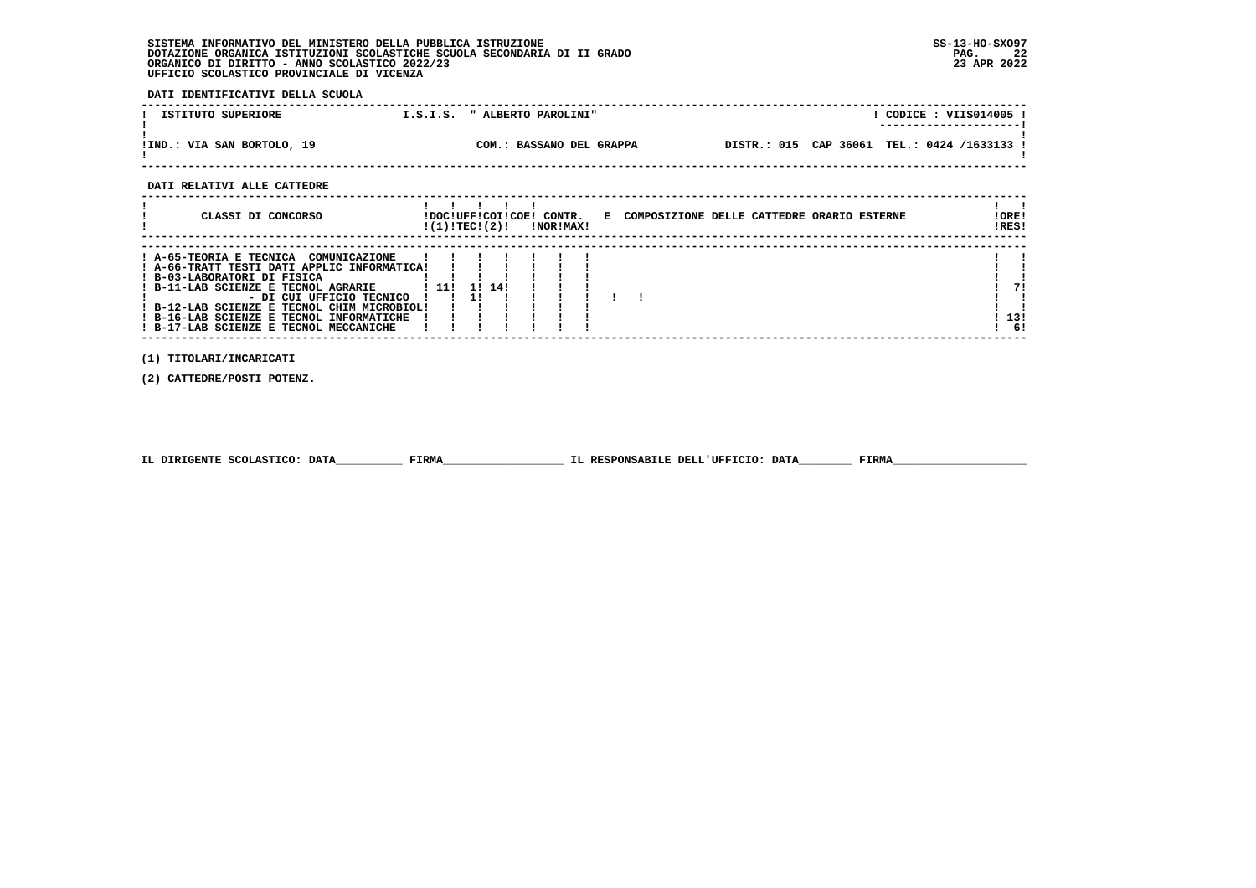**DATI IDENTIFICATIVI DELLA SCUOLA**

| ISTITUTO SUPERIORE         | " ALBERTO PAROLINI"<br>I.S.I.S. | CODICE: VIIS014005<br>---------------------- |
|----------------------------|---------------------------------|----------------------------------------------|
| !IND.: VIA SAN BORTOLO, 19 | COM.: BASSANO DEL GRAPPA        | DISTR.: 015 CAP 36061 TEL.: 0424 /1633133 !  |

 **------------------------------------------------------------------------------------------------------------------------------------**

 **DATI RELATIVI ALLE CATTEDRE**

| CLASSI DI CONCORSO                                                                                                                                                                                   | !(1)!TECI(2)! |    |        | !DOC!UFF!COI!COE! CONTR.<br>!NOR!MAX! |  | E COMPOSIZIONE DELLE CATTEDRE ORARIO ESTERNE | !ORE!<br>!RES!   |
|------------------------------------------------------------------------------------------------------------------------------------------------------------------------------------------------------|---------------|----|--------|---------------------------------------|--|----------------------------------------------|------------------|
| ! A-65-TEORIA E TECNICA<br>COMUNICAZIONE<br>! A-66-TRATT TESTI DATI APPLIC INFORMATICA!<br>! B-03-LABORATORI DI FISICA                                                                               |               |    |        |                                       |  |                                              |                  |
| ! B-11-LAB SCIENZE E TECNOL AGRARIE<br>- DI CUI UFFICIO TECNICO<br>! B-12-LAB SCIENZE E TECNOL CHIM MICROBIOL!<br>! B-16-LAB SCIENZE E TECNOL INFORMATICHE<br>! B-17-LAB SCIENZE E TECNOL MECCANICHE | ! 11!         | 1! | 11 141 |                                       |  |                                              | 71<br>13!<br>-61 |

 **------------------------------------------------------------------------------------------------------------------------------------**

 **(1) TITOLARI/INCARICATI**

 **(2) CATTEDRE/POSTI POTENZ.**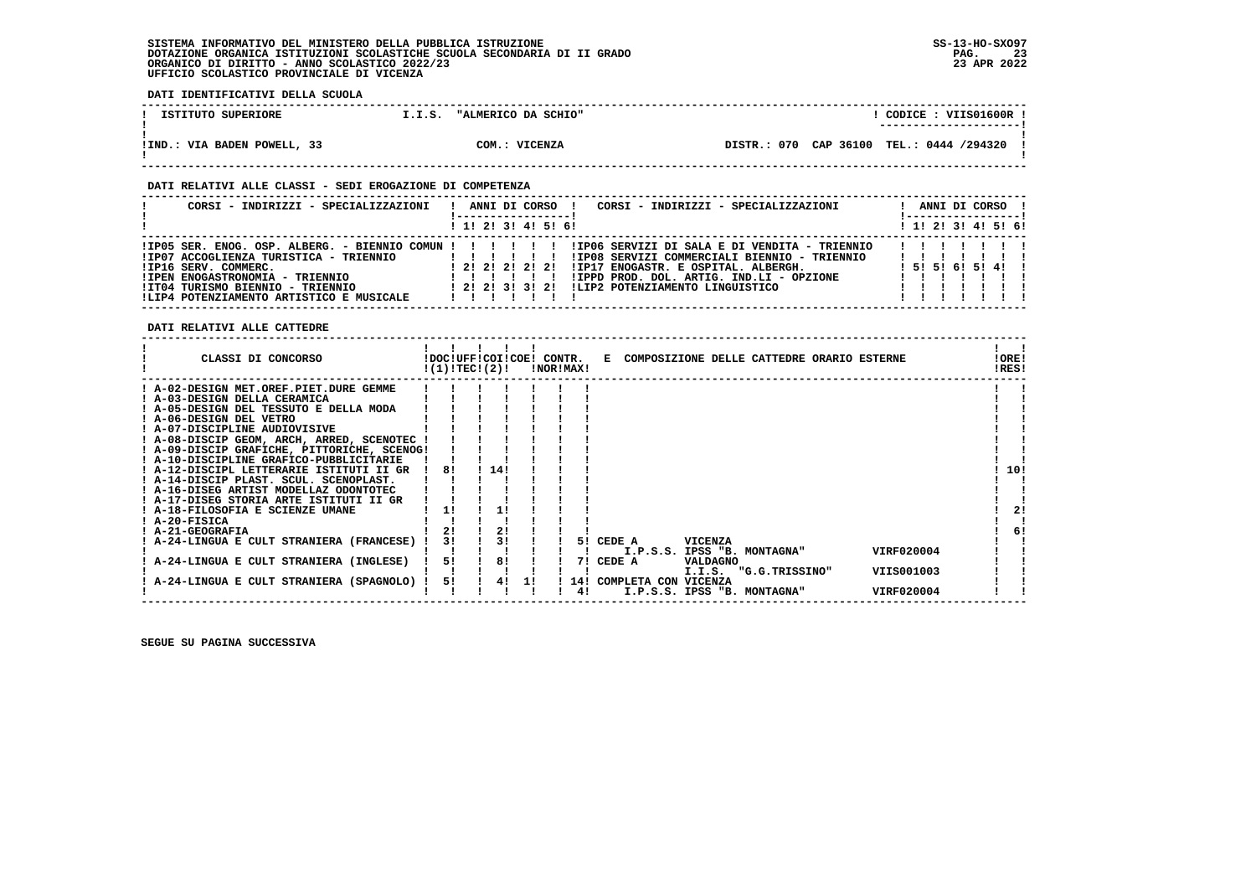**DATI IDENTIFICATIVI DELLA SCUOLA**

| ISTITUTO SUPERIORE          | "ALMERICO DA SCHIO"<br>I.I.S. | CODICE: VIIS01600R !<br>---------------------- |
|-----------------------------|-------------------------------|------------------------------------------------|
| !IND.: VIA BADEN POWELL, 33 | COM.: VICENZA                 | DISTR.: 070 CAP 36100 TEL.: 0444 /294320 !     |

### **DATI RELATIVI ALLE CLASSI - SEDI EROGAZIONE DI COMPETENZA**

| CORSI - INDIRIZZI - SPECIALIZZAZIONI                                                                                                                                                                                                         | CORSI - INDIRIZZI - SPECIALIZZAZIONI<br>ANNI DI CORSO                                                                                                                                                                                                              | ANNI DI CORSO !<br>! -----------------! |
|----------------------------------------------------------------------------------------------------------------------------------------------------------------------------------------------------------------------------------------------|--------------------------------------------------------------------------------------------------------------------------------------------------------------------------------------------------------------------------------------------------------------------|-----------------------------------------|
|                                                                                                                                                                                                                                              | 1 1! 2! 3! 4! 5! 6!                                                                                                                                                                                                                                                | ! 1! 2! 3! 4! 5! 6!                     |
| $!IP05$ SER. ENOG. OSP. ALBERG. - BIENNIO COMUN !!!!!!!<br>IIP07 ACCOGLIENZA TURISTICA - TRIENNIO<br>IIP16 SERV. COMMERC.<br>!IPEN ENOGASTRONOMIA - TRIENNIO<br>!IT04 TURISMO BIENNIO - TRIENNIO<br>!LIP4 POTENZIAMENTO ARTISTICO E MUSICALE | !IP06 SERVIZI DI SALA E DI VENDITA - TRIENNIO<br>!IP08 SERVIZI COMMERCIALI BIENNIO - TRIENNIO<br>111111<br>!IP17 ENOGASTR. E OSPITAL. ALBERGH.<br>! 2! 2! 2! 2! 2!<br>!IPPD PROD. DOL. ARTIG. IND.LI - OPZIONE<br>1 21 21 31 31 21 ILIP2 POTENZIAMENTO LINGUISTICO | 1 5 1 5 1 6 1 5 1 4 1 1                 |

 **DATI RELATIVI ALLE CATTEDRE**

| CLASSI DI CONCORSO                          | !DOC!UFF!COI!COE!<br>!(1)!TEC!(2)! |     |    | CONTR.<br>!NOR!MAX! |       | COMPOSIZIONE DELLE CATTEDRE ORARIO ESTERNE<br>Е | !ORE!<br>!RES! |
|---------------------------------------------|------------------------------------|-----|----|---------------------|-------|-------------------------------------------------|----------------|
| ! A-02-DESIGN MET.OREF.PIET.DURE GEMME      |                                    |     |    |                     |       |                                                 |                |
| ! A-03-DESIGN DELLA CERAMICA                |                                    |     |    |                     |       |                                                 |                |
| A-05-DESIGN DEL TESSUTO E DELLA MODA        |                                    |     |    |                     |       |                                                 |                |
| ! A-06-DESIGN DEL VETRO                     |                                    |     |    |                     |       |                                                 |                |
| ! A-07-DISCIPLINE AUDIOVISIVE               |                                    |     |    |                     |       |                                                 |                |
| A-08-DISCIP GEOM, ARCH, ARRED, SCENOTEC     |                                    |     |    |                     |       |                                                 |                |
| ! A-09-DISCIP GRAFICHE, PITTORICHE, SCENOG! |                                    |     |    |                     |       |                                                 |                |
| ! A-10-DISCIPLINE GRAFICO-PUBBLICITARIE     |                                    |     |    |                     |       |                                                 |                |
| ! A-12-DISCIPL LETTERARIE ISTITUTI II GR    | 81                                 | 14! |    |                     |       |                                                 | 10!            |
| ! A-14-DISCIP PLAST. SCUL. SCENOPLAST.      |                                    |     |    |                     |       |                                                 |                |
| A-16-DISEG ARTIST MODELLAZ ODONTOTEC        |                                    |     |    |                     |       |                                                 |                |
| ! A-17-DISEG STORIA ARTE ISTITUTI II GR     |                                    |     |    |                     |       |                                                 |                |
| ! A-18-FILOSOFIA E SCIENZE UMANE            | 11                                 |     |    |                     |       |                                                 | 2!             |
| ! A-20-FISICA                               |                                    |     |    |                     |       |                                                 |                |
| ! A-21-GEOGRAFIA                            |                                    | 21  |    |                     |       |                                                 | 6!             |
| A-24-LINGUA E CULT STRANIERA (FRANCESE)     | 31                                 | 3!  |    |                     | 51.   | CEDE A<br>VICENZA                               |                |
|                                             |                                    |     |    |                     |       | VIRF020004<br>I.P.S.S. IPSS "B. MONTAGNA"       |                |
| A-24-LINGUA E CULT STRANIERA (INGLESE)      | 5!                                 | 8!  |    |                     | 71    | CEDE A<br><b>VALDAGNO</b>                       |                |
|                                             |                                    |     |    |                     |       | VIIS001003<br>"G.G.TRISSINO"<br>I.I.S.          |                |
| A-24-LINGUA E CULT STRANIERA (SPAGNOLO) !   | 51                                 | 4!  | 11 |                     | ! 14! | COMPLETA CON VICENZA                            |                |
|                                             |                                    |     |    |                     | 41    | VIRF020004<br>I.P.S.S. IPSS "B. MONTAGNA"       |                |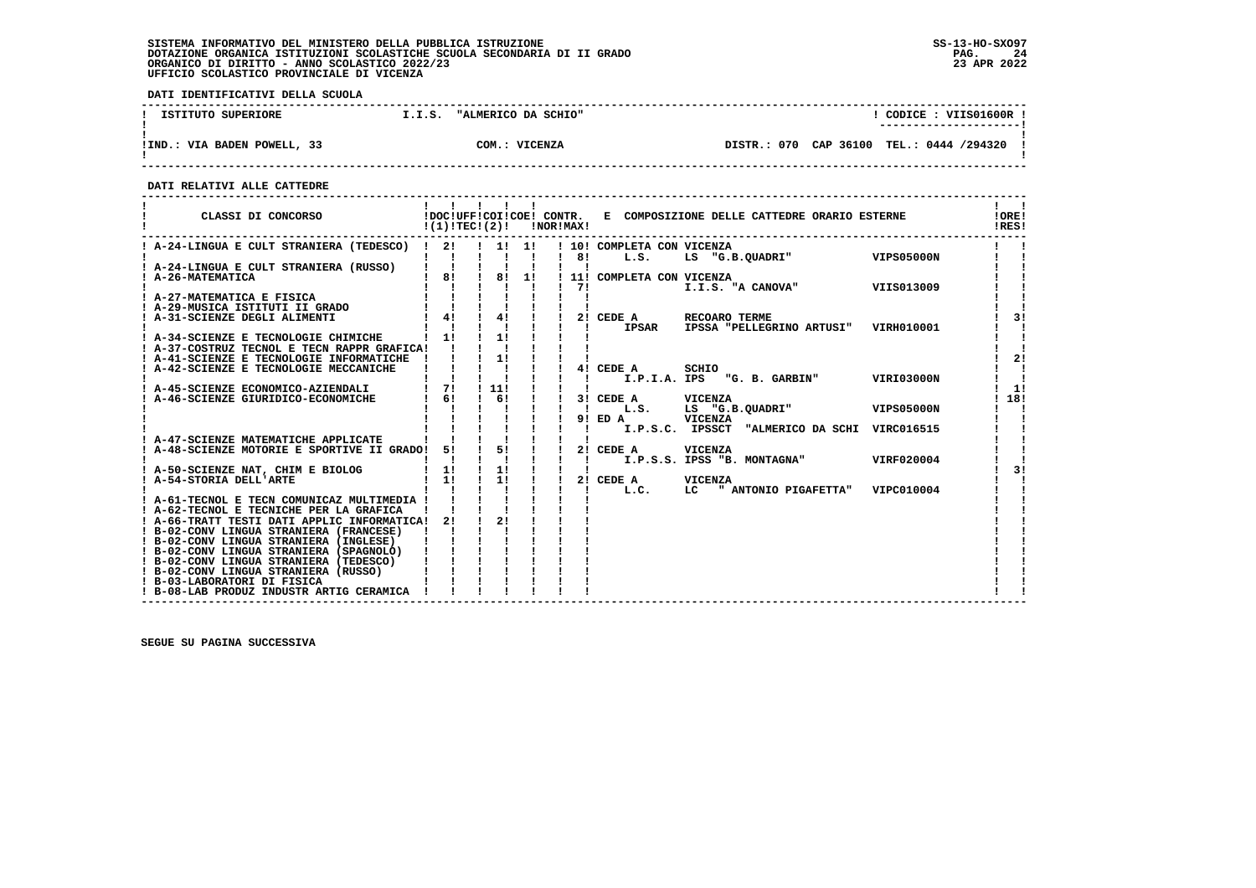**DATI IDENTIFICATIVI DELLA SCUOLA**

| ISTITUTO SUPERIORE          | "ALMERICO DA SCHIO"<br>I.I.S. | CODICE: VIIS01600R                       |
|-----------------------------|-------------------------------|------------------------------------------|
|                             |                               | ----------------------                   |
|                             |                               |                                          |
| !IND.: VIA BADEN POWELL, 33 | COM.: VICENZA                 | DISTR.: 070 CAP 36100 TEL.: 0444 /294320 |
|                             |                               |                                          |

 **------------------------------------------------------------------------------------------------------------------------------------**

 **DATI RELATIVI ALLE CATTEDRE**

| CLASSI DI CONCORSO                                                                                                                                                                         |                           | $!(1)!TEC!(2)!$ $INORIMAX!$                             |    |                  |                                    | !DOC!UFF!COI!COE! CONTR. E COMPOSIZIONE DELLE CATTEDRE ORARIO ESTERNE |            | !ORE!<br>!RES! |
|--------------------------------------------------------------------------------------------------------------------------------------------------------------------------------------------|---------------------------|---------------------------------------------------------|----|------------------|------------------------------------|-----------------------------------------------------------------------|------------|----------------|
| ! A-24-LINGUA E CULT STRANIERA (TEDESCO) ! 2!                                                                                                                                              | $\mathbf{I}$ $\mathbf{I}$ | . . 1. 1.                                               |    | $\frac{1}{1}$ 8! | ! 10! COMPLETA CON VICENZA<br>L.S. | LS "G.B.QUADRI" VIPS05000N                                            |            |                |
| A-24-LINGUA E CULT STRANIERA (RUSSO)<br>A-26-MATEMATICA                                                                                                                                    | $\mathbf{I}$ $\mathbf{I}$ | 181181                                                  | 11 |                  | ! 11! COMPLETA CON VICENZA         |                                                                       |            |                |
| ! A-20-mail<br>! A-27-MATEMATICA E FISICA   ! ! ! !<br>! A-29-MUSICA ISTITUTI II GRADO   ! ! ! !<br>! A-31-SCIENZE DEGLI ALIMENTI   ! ! ! ! ! !<br>! A-31-SCIENZE DEGLI ALIMENTI   ! ! ! ! |                           |                                                         |    | 71               |                                    | I.I.S. "A CANOVA" VIIS013009                                          |            |                |
|                                                                                                                                                                                            |                           |                                                         |    |                  | 2! CEDE A                          | RECOARO TERME                                                         |            | 31             |
| ! A-34-SCIENZE E TECNOLOGIE CHIMICHE                                                                                                                                                       | $\frac{1}{1}$             | $\mathbf{I}$ $\mathbf{I}$<br>$\frac{1}{1}$              |    |                  | $\mathbf{I}$<br>IPSAR              | IPSSA "PELLEGRINO ARTUSI" VIRH010001                                  |            |                |
| ! A-37-COSTRUZ TECNOL E TECN RAPPR GRAFICA!<br>! A-41-SCIENZE E TECNOLOGIE INFORMATICHE !                                                                                                  |                           | $\frac{1}{2}$                                           |    |                  |                                    |                                                                       |            | 2!             |
| ! A-42-SCIENZE E TECNOLOGIE MECCANICHE                                                                                                                                                     |                           | $\frac{1}{1}$ $\frac{1}{1}$ $\frac{1}{1}$ $\frac{1}{1}$ |    | $\mathbf{I}$     | 4! CEDE A                          | SCHIO<br>I.P.I.A. IPS "G. B. GARBIN" VIRI03000N                       |            |                |
| ! A-45-SCIENZE ECONOMICO-AZIENDALI<br>! A-46-SCIENZE GIURIDICO-ECONOMICHE                                                                                                                  | $1 \quad 61$              | $\frac{1}{1}$ 71 $\frac{1}{1}$ 111<br>$\frac{1}{6}$     |    |                  | 3! CEDE A VICENZA                  |                                                                       |            | 1!<br>18!      |
|                                                                                                                                                                                            |                           |                                                         |    | л.               | $9!$ ED A                          | L.S. LS "G.B.QUADRI" VIPS05000N<br>VICENZA                            |            |                |
| ! A-47-SCIENZE MATEMATICHE APPLICATE                                                                                                                                                       |                           |                                                         |    |                  |                                    | I.P.S.C. IPSSCT "ALMERICO DA SCHI VIRC016515                          |            |                |
| ! A-48-SCIENZE MOTORIE E SPORTIVE II GRADO! 5!                                                                                                                                             |                           |                                                         |    | $\blacksquare$   | 2! CEDE A VICENZA                  | I.P.S.S. IPSS "B. MONTAGNA"                                           | VIRF020004 |                |
| ! A-50-SCIENZE NAT, CHIM E BIOLOG<br>! A-54-STORIA DELL'ARTE                                                                                                                               |                           |                                                         |    |                  | 2! CEDE A VICENZA                  |                                                                       |            | 31             |
| ! A-61-TECNOL E TECN COMUNICAZ MULTIMEDIA !                                                                                                                                                |                           |                                                         |    |                  | L.C.                               | LC " ANTONIO PIGAFETTA" VIPC010004                                    |            |                |
| ! A-62-TECNOL E TECNICHE PER LA GRAFICA<br>! A-66-TRATT TESTI DATI APPLIC INFORMATICA! 2!                                                                                                  |                           | 21                                                      |    |                  |                                    |                                                                       |            |                |
| ! B-02-CONV LINGUA STRANIERA (FRANCESE)<br>! B-02-CONV LINGUA STRANIERA (INGLESE)                                                                                                          |                           |                                                         |    |                  |                                    |                                                                       |            |                |
| ! B-02-CONV LINGUA STRANIERA (SPAGNOLO)<br>! B-02-CONV LINGUA STRANIERA (TEDESCO)                                                                                                          |                           |                                                         |    |                  |                                    |                                                                       |            |                |
| ! B-02-CONV LINGUA STRANIERA (RUSSO)<br>! B-03-LABORATORI DI FISICA                                                                                                                        |                           |                                                         |    |                  |                                    |                                                                       |            |                |
| ! B-08-LAB PRODUZ INDUSTR ARTIG CERAMICA !                                                                                                                                                 |                           |                                                         |    |                  |                                    |                                                                       |            |                |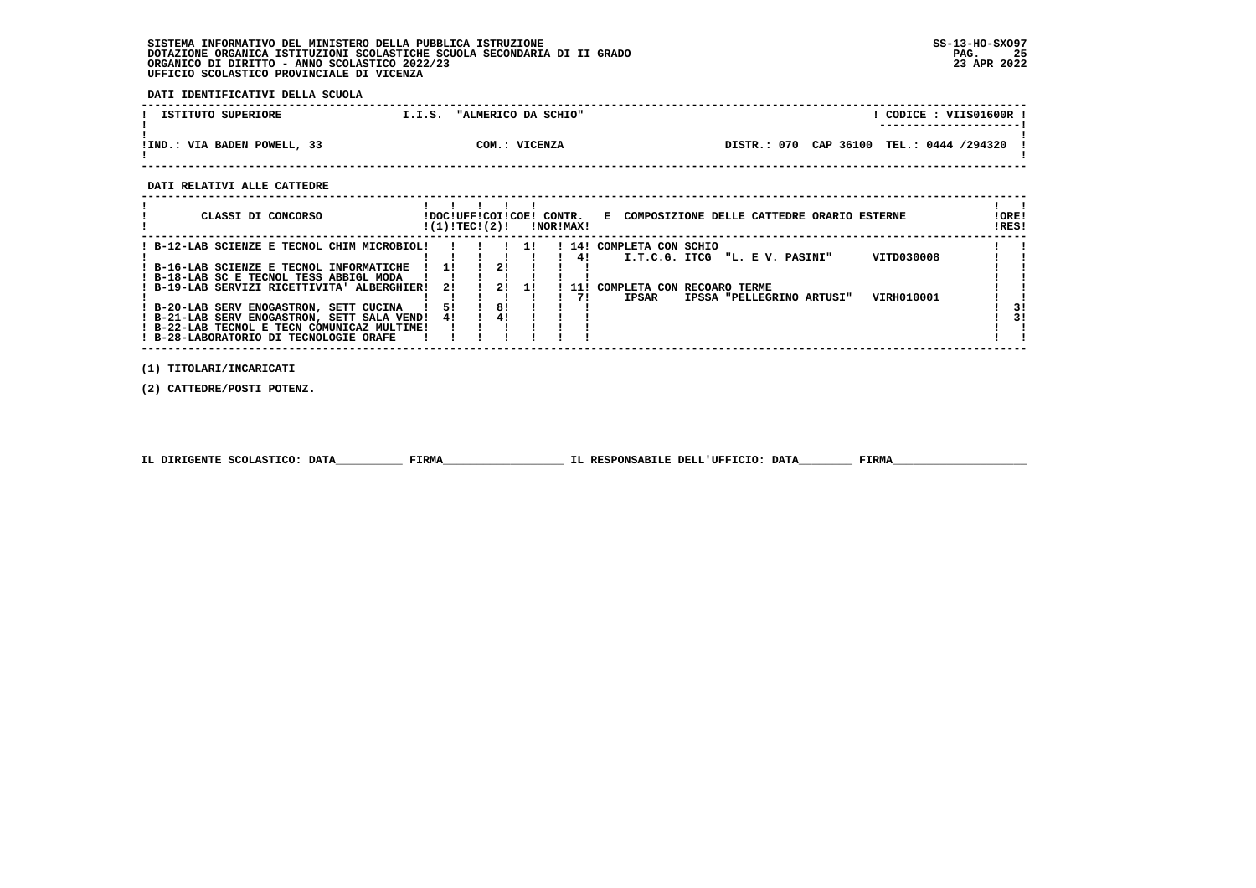**DATI IDENTIFICATIVI DELLA SCUOLA**

| ISTITUTO SUPERIORE          | "ALMERICO DA SCHIO"<br>[.I.S. | CODICE: VIIS01600R !                           |
|-----------------------------|-------------------------------|------------------------------------------------|
|                             |                               |                                                |
|                             |                               |                                                |
| !IND.: VIA BADEN POWELL, 33 | COM.: VICENZA                 | CAP 36100<br>TEL.: 0444 /294320<br>DISTR.: 070 |
|                             |                               |                                                |

 **------------------------------------------------------------------------------------------------------------------------------------**

 **DATI RELATIVI ALLE CATTEDRE**

| CLASSI DI CONCORSO                                                                                                                                                                                                                                                                                                                                                   |                 |    | !DOC!UFF!COI!COE! CONTR.<br>!(1)!TEC!(2)! |           | !NOR!MAX! |                  | E COMPOSIZIONE DELLE CATTEDRE ORARIO ESTERNE                                                                                                                    | ! ORE!<br>!RES! |
|----------------------------------------------------------------------------------------------------------------------------------------------------------------------------------------------------------------------------------------------------------------------------------------------------------------------------------------------------------------------|-----------------|----|-------------------------------------------|-----------|-----------|------------------|-----------------------------------------------------------------------------------------------------------------------------------------------------------------|-----------------|
| ! B-12-LAB SCIENZE E TECNOL CHIM MICROBIOL!<br>! B-16-LAB SCIENZE E TECNOL INFORMATICHE<br>! B-18-LAB SC E TECNOL TESS ABBIGL MODA<br>! B-19-LAB SERVIZI RICETTIVITA' ALBERGHIER!<br>! B-20-LAB SERV ENOGASTRON, SETT CUCINA<br>! B-21-LAB SERV ENOGASTRON, SETT SALA VEND!<br>! B-22-LAB TECNOL E TECN COMUNICAZ MULTIME!<br>! B-28-LABORATORIO DI TECNOLOGIE ORAFE | -11<br>21<br>4! | 51 | 2!<br>21<br>81<br>4!                      | 11<br>-11 |           | 41<br>11 !<br>71 | 14! COMPLETA CON SCHIO<br>VITD030008<br>I.T.C.G. ITCG "L. E V. PASINI"<br>COMPLETA CON RECOARO TERME<br><b>IPSAR</b><br>VIRH010001<br>IPSSA "PELLEGRINO ARTUSI" | 31<br>31        |

 **(1) TITOLARI/INCARICATI**

 **(2) CATTEDRE/POSTI POTENZ.**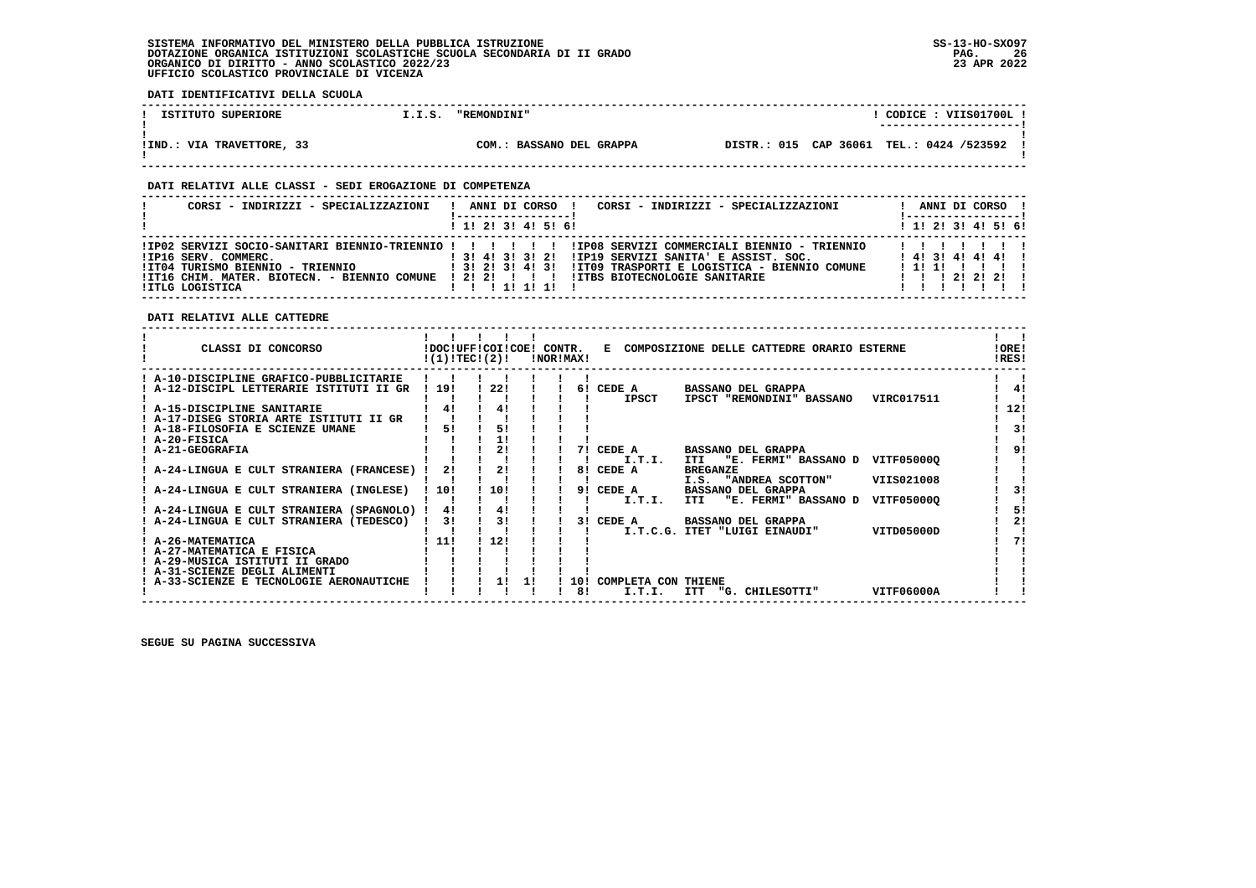**DATI IDENTIFICATIVI DELLA SCUOLA ------------------------------------------------------------------------------------------------------------------------------------**L CODICE : VIIS01700L L **1.1.5. "REMONDINI" 1.1.5. "REMONDINI" ! ---------------------! ! ! !IND.: VIA TRAVETTORE, 33 COM.: BASSANO DEL GRAPPA DISTR.: 015 CAP 36061 TEL.: 0424 /523592 !**DISTR.: 015 CAP 36061 TEL.: 0424 /523592 ! - 1  **! ! ------------------------------------------------------------------------------------------------------------------------------------ DATI RELATIVI ALLE CLASSI - SEDI EROGAZIONE DI COMPETENZA ------------------------------------------------------------------------------------------------------------------------------------ ! CORSI - INDIRIZZI - SPECIALIZZAZIONI ! ANNI DI CORSO ! CORSI - INDIRIZZI - SPECIALIZZAZIONI ! ANNI DI CORSO !**\_\_\_\_\_\_\_\_\_\_\_\_\_\_\_\_\_\_\_\_\_\_  **! !-----------------! !-----------------!**1 1 2 3 3 4 5 6  **! ! 1! 2! 3! 4! 5! 6! ! 1! 2! 3! 4! 5! 6! ------------------------------------------------------------------------------------------------------------------------------------ !IP02 SERVIZI SOCIO-SANITARI BIENNIO-TRIENNIO ! ! ! ! ! ! !IP08 SERVIZI COMMERCIALI BIENNIO - TRIENNIO ! ! ! ! ! ! ! !IP16 SERV. COMMERC. ! 3! 4! 3! 3! 2! !IP19 SERVIZI SANITA' E ASSIST. SOC. ! 4! 3! 4! 4! 4! ! !IT04 TURISMO BIENNIO - TRIENNIO ! 3! 2! 3! 4! 3! !IT09 TRASPORTI E LOGISTICA - BIENNIO COMUNE ! 1! 1! ! ! ! ! !IT16 CHIM. MATER. BIOTECN. - BIENNIO COMUNE ! 2! 2! ! ! ! !ITBS BIOTECNOLOGIE SANITARIE ! ! ! 2! 2! 2! ! !ITLG LOGISTICA ! ! ! 1! 1! 1! ! ! ! ! ! ! ! ! ------------------------------------------------------------------------------------------------------------------------------------ DATI RELATIVI ALLE CATTEDRE ------------------------------------------------------------------------------------------------------------------------------------** $\mathbf{I}$   $\mathbf{I}$ ا ! **! ! ! !!!! ! ! ! ! ! !!!!!**<br>! CLASSI DI CONCORSO ! DOC!UFF!COI!COE! CONTR. E COMPOSIZIONE DELLE CATTEDRE ORARIO ESTERNE !! ! !<br>! ! ! ! !RES!  $100F1$  $IPICI$   **------------------------------------------------------------------------------------------------------------------------------------** $\blacksquare$  **! A-10-DISCIPLINE GRAFICO-PUBBLICITARIE ! ! ! ! ! ! ! ! ! ! A-12-DISCIPL LETTERARIE ISTITUTI II GR ! 19! ! 22! ! ! 6! CEDE A BASSANO DEL GRAPPA ! 4!** $\frac{1}{4}$ ا ! ! I ! ! ! ! I ! ! ! I ! ! I I ! I I ! I ! A-15-DISCIPLINE SANITARIE ! ! ! ! ! ! ! ! ! A-15-DISCIPLINE SANITARIE<br>! A-17-DISEG STORIA ARTE ISTITUTI II GR ! ! ! ! ! ! ! ! ! ! ! ! ! A-17-DISEG STORIA ARTE ISTITUTI II GR !  $\overline{1}$ **EXECUTE IS A 18-FILOSOFIA E SCIENZE UMANE 1 51 1 51 1 51 1 1 1 1 2**  $\mathbf{I}$  **! A-20-FISICA ! ! ! 1! ! ! ! ! ! ! A-21-GEOGRAFIA ! ! ! 2! ! ! 7! CEDE A BASSANO DEL GRAPPA ! 9! ! ! ! ! ! ! ! ! I.T.I. ITI "E. FERMI" BASSANO D VITF05000Q ! !** $191$ **Contract Contract**  $\mathbf{I}$   $\mathbf{I}$  **! A-24-LINGUA E CULT STRANIERA (FRANCESE) ! 2! ! 2! ! ! 8! CEDE A BREGANZE ! ! ! ! ! ! ! ! ! ! I.S. "ANDREA SCOTTON" VIIS021008 ! ! ! A-24-LINGUA E CULT STRANIERA (INGLESE) ! 10! ! 10! ! ! 9! CEDE A BASSANO DEL GRAPPA ! 3!** $\mathbf{I}$  $1 \quad 31$  $\mathbf{r}$  **! ! ! ! ! ! ! ! I.T.I. ITI "E. FERMI" BASSANO D VITF05000Q ! ! ! A-24-LINGUA E CULT STRANIERA (SPAGNOLO) ! 4! ! 4! ! ! ! ! 5! ! A-24-LINGUA E CULT STRANIERA (TEDESCO) ! 3! ! 3! ! ! 3! CEDE A BASSANO DEL GRAPPA ! 2! ! ! ! ! ! ! ! ! I.T.C.G. ITET "LUIGI EINAUDI" VITD05000D ! ! ! A-26-MATEMATICA ! 11! ! 12! ! ! ! ! 7! ! A-27-MATEMATICA E FISICA ! ! ! ! ! ! ! ! !** $1.51$  $\frac{1}{2}$  $\mathbf{I}$  $171$  $\mathbf{I}$  $\mathbf{I}$  **! A-29-MUSICA ISTITUTI II GRADO ! ! ! ! ! ! ! ! ! ! A-31-SCIENZE DEGLI ALIMENTI ! ! ! ! ! ! ! ! !** $\mathbf{I}$  $\overline{\phantom{a}}$  **! A-33-SCIENZE E TECNOLOGIE AERONAUTICHE ! ! ! 1! 1! ! 10! COMPLETA CON THIENE ! ! ! ! ! ! ! ! ! 8! I.T.I. ITT "G. CHILESOTTI" VITF06000A ! !Contract Contract Contract** 

 **------------------------------------------------------------------------------------------------------------------------------------**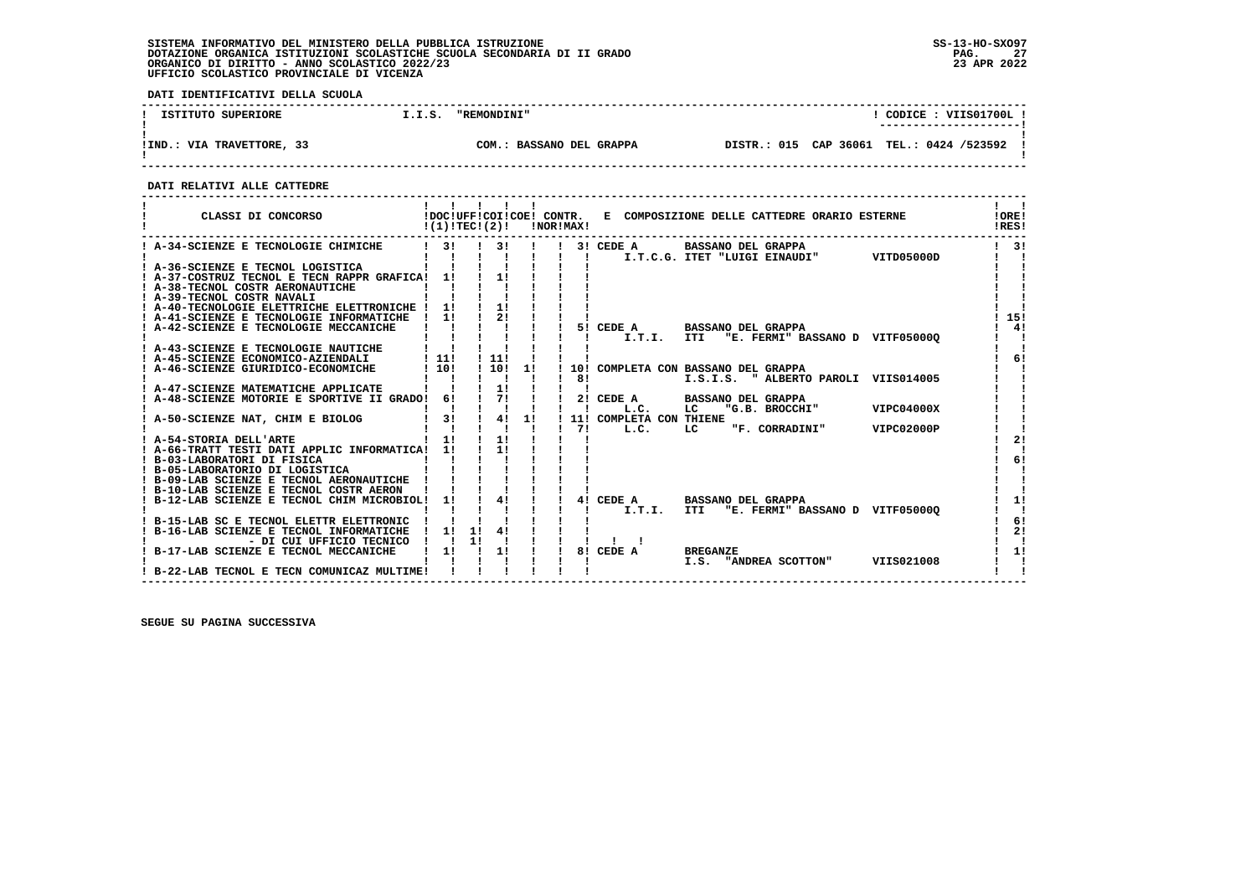**DATI IDENTIFICATIVI DELLA SCUOLA**

| ISTITUTO SUPERIORE        | I.I.S. | <b>"REMONDINI"</b>       | CODICE: VIIS01700L<br>---------------------- |  |                                          |  |  |  |
|---------------------------|--------|--------------------------|----------------------------------------------|--|------------------------------------------|--|--|--|
| !IND.: VIA TRAVETTORE, 33 |        | COM.: BASSANO DEL GRAPPA |                                              |  | DISTR.: 015 CAP 36061 TEL.: 0424 /523592 |  |  |  |

 **------------------------------------------------------------------------------------------------------------------------------------**

 **DATI RELATIVI ALLE CATTEDRE**

| CLASSI DI CONCORSO                                                           | !(1)!TEC!(2)!    |    |               |    | !NOR!MAX! |                         | !DOC!UFF!COI!COE! CONTR. E COMPOSIZIONE DELLE CATTEDRE ORARIO ESTERNE |            | !ORE!<br>!RES! |
|------------------------------------------------------------------------------|------------------|----|---------------|----|-----------|-------------------------|-----------------------------------------------------------------------|------------|----------------|
| ! A-34-SCIENZE E TECNOLOGIE CHIMICHE                                         | $1 \quad 31$     |    | 3!            |    |           | 3! CEDE A               | <b>BASSANO DEL GRAPPA</b><br>I.T.C.G. ITET "LUIGI EINAUDI"            | VITD05000D | $1 \quad 31$   |
| ! A-36-SCIENZE E TECNOL LOGISTICA                                            |                  |    |               |    |           |                         |                                                                       |            |                |
| ! A-37-COSTRUZ TECNOL E TECN RAPPR GRAFICA! 1!                               |                  |    | 11            |    |           |                         |                                                                       |            |                |
| ! A-38-TECNOL COSTR AERONAUTICHE                                             |                  |    |               |    |           |                         |                                                                       |            |                |
| ! A-39-TECNOL COSTR NAVALI<br>! A-40-TECNOLOGIE ELETTRICHE ELETTRONICHE ! 1! |                  |    |               |    |           |                         |                                                                       |            |                |
| ! A-41-SCIENZE E TECNOLOGIE INFORMATICHE                                     | 11               |    |               |    |           |                         |                                                                       |            | 15!            |
| ! A-42-SCIENZE E TECNOLOGIE MECCANICHE                                       |                  |    |               |    |           |                         | 5! CEDE A BASSANO DEL GRAPPA                                          |            | 4!             |
|                                                                              |                  |    |               |    |           |                         | I.T.I. ITI "E. FERMI" BASSANO D VITF050000                            |            |                |
| A-43-SCIENZE E TECNOLOGIE NAUTICHE                                           |                  |    |               |    |           |                         |                                                                       |            |                |
| ! A-45-SCIENZE ECONOMICO-AZIENDALI                                           | $\frac{1}{1}$    |    | $\frac{1}{1}$ |    |           |                         |                                                                       |            | 61             |
| A-46-SCIENZE GIURIDICO-ECONOMICHE                                            | 1101             |    | 11011         |    |           |                         | 10! COMPLETA CON BASSANO DEL GRAPPA                                   |            |                |
|                                                                              |                  |    |               |    | 81        |                         | I.S.I.S. " ALBERTO PAROLI VIIS014005                                  |            |                |
| ! A-47-SCIENZE MATEMATICHE APPLICATE                                         |                  |    | 1!            |    |           |                         |                                                                       |            |                |
| ! A-48-SCIENZE MOTORIE E SPORTIVE II GRADO!                                  | 61               |    | 71            |    |           | L.C.                    | 2! CEDE A BASSANO DEL GRAPPA<br>"G.B. BROCCHI"<br>LC                  | VIPC04000X |                |
| ! A-50-SCIENZE NAT, CHIM E BIOLOG                                            | 3!               |    | 4!            | 1! |           | 11! COMPLETA CON THIENE |                                                                       |            |                |
|                                                                              |                  |    |               |    | 71        |                         | L.C. LC "F. CORRADINI"                                                | VIPC02000P |                |
| ! A-54-STORIA DELL'ARTE                                                      | $1 \quad 11$     |    | 1!            |    |           |                         |                                                                       |            |                |
| ! A-66-TRATT TESTI DATI APPLIC INFORMATICA! 1!                               |                  |    | 11            |    |           |                         |                                                                       |            |                |
| ! B-03-LABORATORI DI FISICA                                                  |                  |    |               |    |           |                         |                                                                       |            | 6!             |
| ! B-05-LABORATORIO DI LOGISTICA                                              |                  |    |               |    |           |                         |                                                                       |            |                |
| ! B-09-LAB SCIENZE E TECNOL AERONAUTICHE !                                   |                  |    |               |    |           |                         |                                                                       |            |                |
| ! B-10-LAB SCIENZE E TECNOL COSTR AERON                                      |                  |    |               |    |           |                         |                                                                       |            |                |
| ! B-12-LAB SCIENZE E TECNOL CHIM MICROBIOL!                                  | 11               |    | 4!            |    |           | I.T.I.                  | 4! CEDE A BASSANO DEL GRAPPA<br><b>ITI</b>                            |            | 11             |
| ! B-15-LAB SC E TECNOL ELETTR ELETTRONIC                                     |                  |    |               |    |           |                         | "E. FERMI" BASSANO D VITF05000Q                                       |            | 6!             |
| ! B-16-LAB SCIENZE E TECNOL INFORMATICHE                                     | $\frac{1}{2}$ 11 | 11 | 41            |    |           |                         |                                                                       |            | 21             |
| - DI CUI UFFICIO TECNICO                                                     |                  | 11 |               |    |           |                         |                                                                       |            |                |
| ! B-17-LAB SCIENZE E TECNOL MECCANICHE                                       | 1!               |    | $\frac{1}{2}$ |    |           | 8! CEDE A               | <b>BREGANZE</b>                                                       |            | 1!             |
|                                                                              |                  |    |               |    |           |                         | I.S. "ANDREA SCOTTON"                                                 | VIIS021008 |                |
| ! B-22-LAB TECNOL E TECN COMUNICAZ MULTIME!                                  |                  |    |               |    |           |                         |                                                                       |            |                |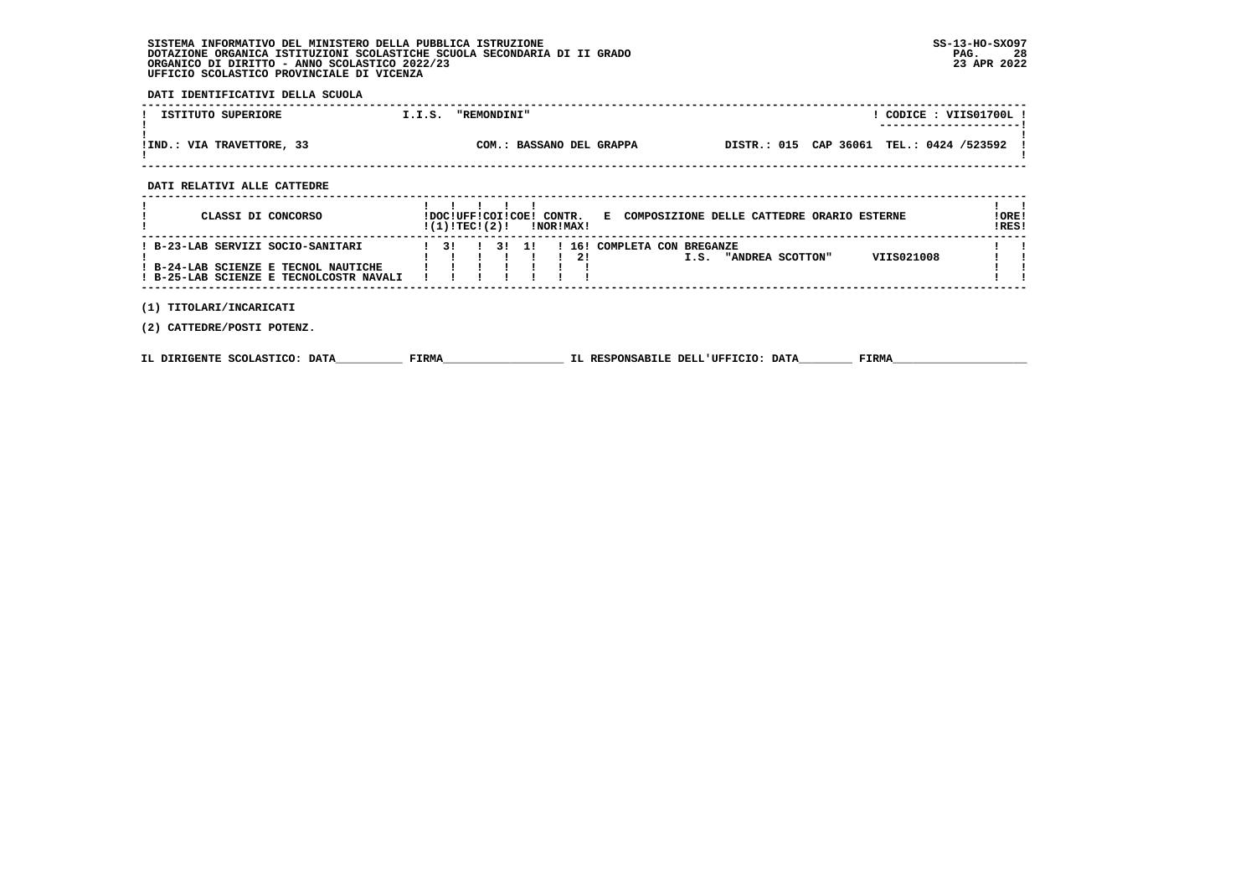**DATI IDENTIFICATIVI DELLA SCUOLA**

| ISTITUTO SUPERIORE        | I.I.S. | <b>"REMONDINI"</b>       |  | CODICE: VIIS01700L!<br>---------------------- |  |
|---------------------------|--------|--------------------------|--|-----------------------------------------------|--|
| !IND.: VIA TRAVETTORE, 33 |        | COM.: BASSANO DEL GRAPPA |  | DISTR.: 015 CAP 36061 TEL.: 0424 /523592      |  |

 **DATI RELATIVI ALLE CATTEDRE**

| CLASSI DI CONCORSO                                                                                                   | !(1)!TEC!(2)!                  |  | !DOC!UFF!COI!COE! CONTR. | !NOR!MAX! | COMPOSIZIONE DELLE CATTEDRE ORARIO ESTERNE<br>E.                      | !ORE!<br>IRES! |
|----------------------------------------------------------------------------------------------------------------------|--------------------------------|--|--------------------------|-----------|-----------------------------------------------------------------------|----------------|
| ! B-23-LAB SERVIZI SOCIO-SANITARI<br>! B-24-LAB SCIENZE E TECNOL NAUTICHE<br>! B-25-LAB SCIENZE E TECNOLCOSTR NAVALI | $\overline{1}$ $\overline{3}1$ |  | $\overline{11}$          | 2!        | ! 16! COMPLETA CON BREGANZE<br>VIIS021008<br>"ANDREA SCOTTON"<br>I.S. |                |

 **(1) TITOLARI/INCARICATI**

 **(2) CATTEDRE/POSTI POTENZ.**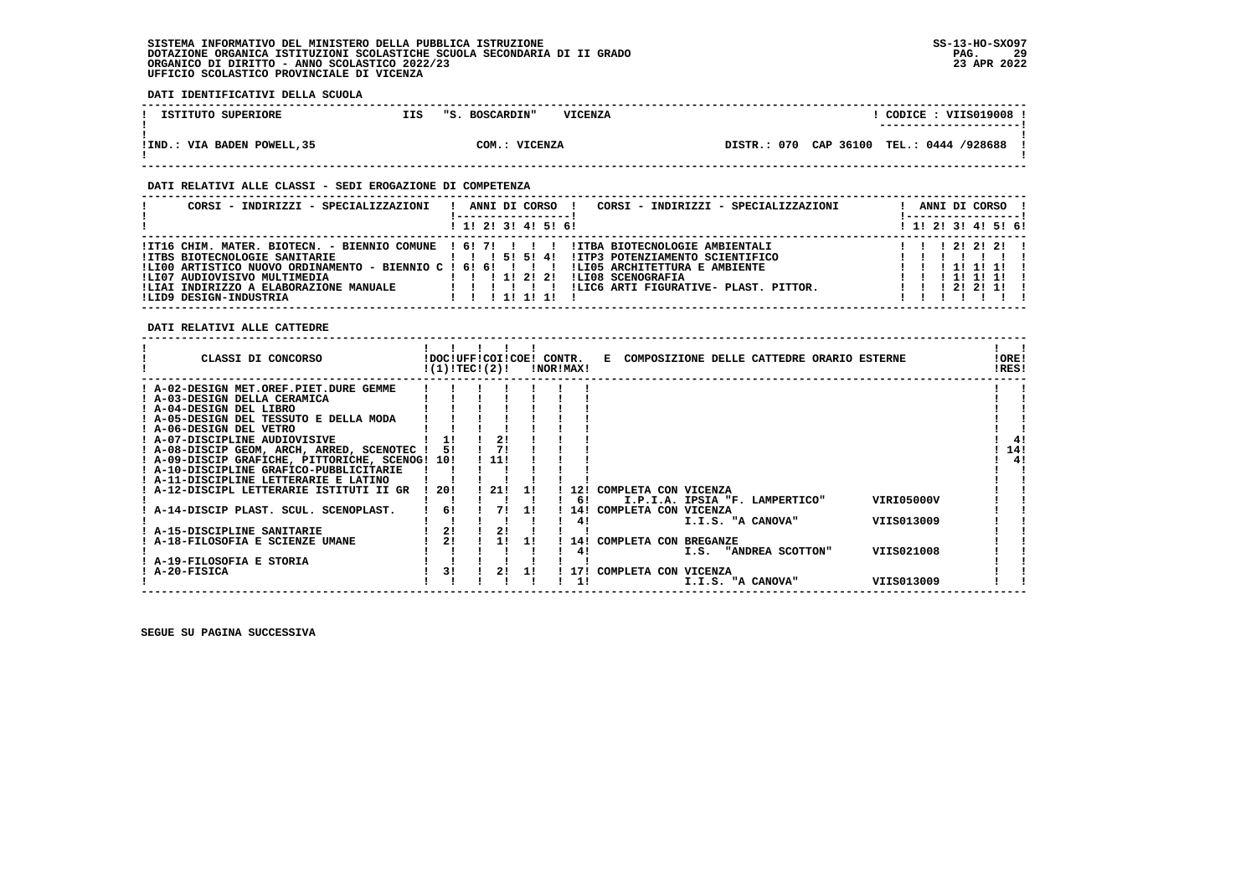**DATI IDENTIFICATIVI DELLA SCUOLA**

| ISTITUTO SUPERIORE          | IIS | "S. BOSCARDIN" | <b>VICENZA</b> |                                            |  | CODICE: VIIS019008 !<br>---------------------- |  |
|-----------------------------|-----|----------------|----------------|--------------------------------------------|--|------------------------------------------------|--|
| !IND.: VIA BADEN POWELL, 35 |     | COM.: VICENZA  |                | DISTR.: 070 CAP 36100 TEL.: 0444 /928688 ! |  |                                                |  |

#### **DATI RELATIVI ALLE CLASSI - SEDI EROGAZIONE DI COMPETENZA**

| CORSI - INDIRIZZI - SPECIALIZZAZIONI                                                                                                                                                                    | CORSI - INDIRIZZI - SPECIALIZZAZIONI<br>ANNI DI CORSO !                                                                                                                                                                                                                             | ANNI DI CORSO !<br>! ------------------                                                                                                      |
|---------------------------------------------------------------------------------------------------------------------------------------------------------------------------------------------------------|-------------------------------------------------------------------------------------------------------------------------------------------------------------------------------------------------------------------------------------------------------------------------------------|----------------------------------------------------------------------------------------------------------------------------------------------|
|                                                                                                                                                                                                         | ! 1! 2! 3! 4! 5! 6!                                                                                                                                                                                                                                                                 | ! 1! 2! 3! 4! 5! 6!                                                                                                                          |
| <b>!ITBS BIOTECNOLOGIE SANITARIE</b><br>!LI00 ARTISTICO NUOVO ORDINAMENTO - BIENNIO C ! 6! 6! ! ! !<br>!LI07 AUDIOVISIVO MULTIMEDIA<br>!LIAI INDIRIZZO A ELABORAZIONE MANUALE<br>!LID9 DESIGN-INDUSTRIA | ITI16 CHIM. MATER. BIOTECN. - BIENNIO COMUNE ! 6! 7!!!!!!!!!ITBA BIOTECNOLOGIE AMBIENTALI!<br>1 1 1 5 1 5 1 4 1<br>IITP3 POTENZIAMENTO SCIENTIFICO<br>!LI05 ARCHITETTURA E AMBIENTE<br>1 1 1 1 2 2 1<br>!LI08 SCENOGRAFIA<br>!LIC6 ARTI FIGURATIVE- PLAST, PITTOR,<br>1 1 1 1 1 1 1 | $1 \quad 1 \quad 1 \quad 21 \quad 21 \quad 21 \quad 1$<br>1 1 1 1 1 1<br>$1 \quad 1 \quad 1 \quad 11 \quad 11 \quad 11$<br>1 1 1 2 1 2 1 1 1 |

 **DATI RELATIVI ALLE CATTEDRE**

| CLASSI DI CONCORSO                              |      | !DOC!UFF!COI!COE!<br>!(1)!TEC!(2)! |    | CONTR. | !NOR!MAX! | COMPOSIZIONE DELLE CATTEDRE ORARIO ESTERNE<br>Е | !ORE!<br>!RES! |     |
|-------------------------------------------------|------|------------------------------------|----|--------|-----------|-------------------------------------------------|----------------|-----|
| : A-02-DESIGN MET.OREF.PIET.DURE GEMME          |      |                                    |    |        |           |                                                 |                |     |
| ! A-03-DESIGN DELLA CERAMICA                    |      |                                    |    |        |           |                                                 |                |     |
| ! A-04-DESIGN DEL LIBRO                         |      |                                    |    |        |           |                                                 |                |     |
| ! A-05-DESIGN DEL TESSUTO E DELLA MODA          |      |                                    |    |        |           |                                                 |                |     |
| ! A-06-DESIGN DEL VETRO                         |      |                                    |    |        |           |                                                 |                |     |
| ! A-07-DISCIPLINE AUDIOVISIVE                   |      | 21                                 |    |        |           |                                                 |                | -41 |
| ! A-08-DISCIP GEOM, ARCH, ARRED, SCENOTEC !     | 51   | 71                                 |    |        |           |                                                 |                | 14! |
| ! A-09-DISCIP GRAFICHE, PITTORICHE, SCENOG! 10! |      | ! 11!                              |    |        |           |                                                 |                | 4!  |
| ! A-10-DISCIPLINE GRAFICO-PUBBLICITARIE         |      |                                    |    |        |           |                                                 |                |     |
| ! A-11-DISCIPLINE LETTERARIE E LATINO           |      |                                    |    |        |           |                                                 |                |     |
| ! A-12-DISCIPL LETTERARIE ISTITUTI II GR        | -201 | 21!                                | 11 |        | 12!       | COMPLETA CON VICENZA                            |                |     |
|                                                 |      |                                    |    |        | 6!        | VIRI05000V<br>I.P.I.A. IPSIA "F. LAMPERTICO"    |                |     |
| ! A-14-DISCIP PLAST. SCUL. SCENOPLAST.          | 61   | 71                                 | 11 |        | 14!       | COMPLETA CON VICENZA                            |                |     |
|                                                 |      |                                    |    |        | 41        | VIIS013009<br>I.I.S. "A CANOVA"                 |                |     |
| ! A-15-DISCIPLINE SANITARIE                     | 2!   | 2 <sub>1</sub>                     |    |        |           |                                                 |                |     |
| ! A-18-FILOSOFIA E SCIENZE UMANE                | 21   | 11                                 | 11 |        | 141       | COMPLETA CON BREGANZE                           |                |     |
|                                                 |      |                                    |    |        | 41        | VIIS021008<br>I.S. "ANDREA SCOTTON"             |                |     |
| A-19-FILOSOFIA E STORIA                         |      |                                    |    |        |           |                                                 |                |     |
| A-20-FISICA                                     | 3!   | 21                                 | 11 |        | 171       | COMPLETA CON VICENZA                            |                |     |
|                                                 |      |                                    |    |        |           | VIIS013009<br>I.I.S. "A CANOVA"                 |                |     |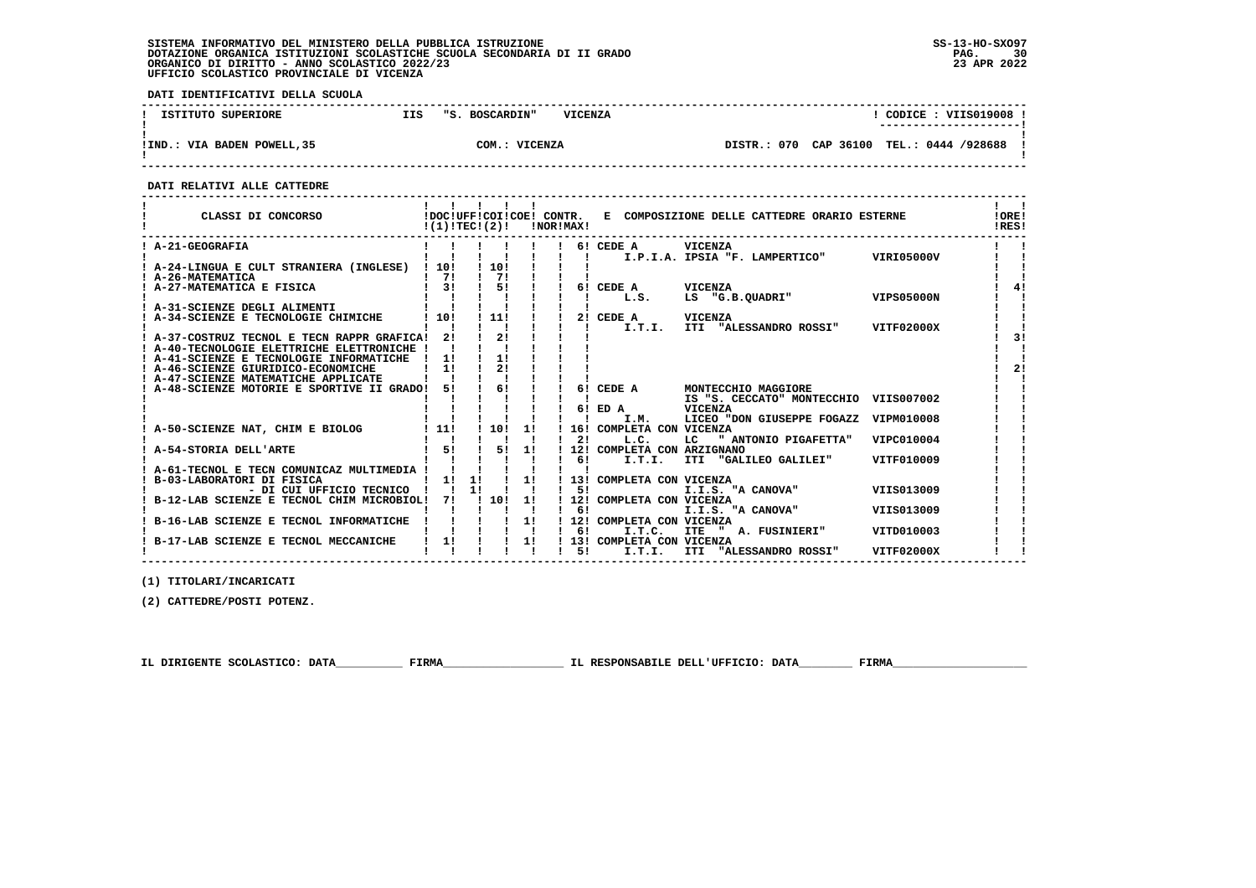**DATI IDENTIFICATIVI DELLA SCUOLA**

| ISTITUTO SUPERIORE          | IIS | "S. BOSCARDIN" | <b>VICENZA</b> |             |           | CODICE: VIIS019008 !<br>---------------------- |  |
|-----------------------------|-----|----------------|----------------|-------------|-----------|------------------------------------------------|--|
| !IND.: VIA BADEN POWELL, 35 |     | COM.: VICENZA  |                | DISTR.: 070 | CAP 36100 | TEL.: 0444 /928688                             |  |

 **------------------------------------------------------------------------------------------------------------------------------------**

 **DATI RELATIVI ALLE CATTEDRE**

| CLASSI DI CONCORSO                                                        | $!(1)!TEC!(2)!$ $INORIMAX!$                                                               |                       |                                                     |    |                              | !DOC!UFF!COI!COE! CONTR. E COMPOSIZIONE DELLE CATTEDRE ORARIO ESTERNE |            | <b>!ORE!</b><br>IRES! |
|---------------------------------------------------------------------------|-------------------------------------------------------------------------------------------|-----------------------|-----------------------------------------------------|----|------------------------------|-----------------------------------------------------------------------|------------|-----------------------|
| ! A-21-GEOGRAFIA                                                          |                                                                                           |                       |                                                     |    | 6! CEDE A                    | VICENZA                                                               |            |                       |
|                                                                           |                                                                                           |                       |                                                     |    |                              | ! ! I.P.I.A. IPSIA "F. LAMPERTICO" VIRI05000V                         |            |                       |
| A-24-LINGUA E CULT STRANIERA (INGLESE) ! 10!                              |                                                                                           | ! 10!<br>$1 \quad 71$ |                                                     |    |                              |                                                                       |            |                       |
| A-26-MATEMATICA<br>A-27-MATEMATICA E FISICA                               | $1 \quad 71$<br>$1 \quad 31 \quad 1 \quad 51 \quad 1$                                     |                       |                                                     |    |                              |                                                                       |            |                       |
|                                                                           |                                                                                           |                       |                                                     |    | 6! CEDE A VICENZA<br>L.S.    | LS "G.B.QUADRI" VIPS05000N                                            |            |                       |
| A-31-SCIENZE DEGLI ALIMENTI                                               |                                                                                           |                       |                                                     |    |                              |                                                                       |            |                       |
| A-34-SCIENZE E TECNOLOGIE CHIMICHE                                        | $\frac{1}{101}$                                                                           | $\frac{1}{111}$       |                                                     |    | 2! CEDE A VICENZA            |                                                                       |            |                       |
|                                                                           |                                                                                           |                       |                                                     |    |                              | I.T.I. ITI "ALESSANDRO ROSSI" VITF02000X                              |            |                       |
| ! A-37-COSTRUZ TECNOL E TECN RAPPR GRAFICA! 2!                            |                                                                                           | 21                    |                                                     |    |                              |                                                                       |            | 31                    |
| ! A-40-TECNOLOGIE ELETTRICHE ELETTRONICHE !                               |                                                                                           |                       |                                                     |    |                              |                                                                       |            |                       |
| ! A-41-SCIENZE E TECNOLOGIE INFORMATICHE                                  | 11                                                                                        | 11                    |                                                     |    |                              |                                                                       |            |                       |
| ! A-46-SCIENZE GIURIDICO-ECONOMICHE                                       | $1 \quad 11$                                                                              | 21                    |                                                     |    |                              |                                                                       |            | 2 <sub>1</sub>        |
| ! A-47-SCIENZE MATEMATICHE APPLICATE                                      |                                                                                           |                       |                                                     |    |                              |                                                                       |            |                       |
| A-48-SCIENZE MOTORIE E SPORTIVE II GRADO! 5!                              |                                                                                           | $\frac{1}{6}$         |                                                     |    | 6! CEDE A                    | MONTECCHIO MAGGIORE                                                   |            |                       |
|                                                                           |                                                                                           |                       |                                                     |    |                              | IS "S. CECCATO" MONTECCHIO VIIS007002                                 |            |                       |
|                                                                           |                                                                                           |                       |                                                     |    | 6! ED A                      | <b>VICENZA</b>                                                        |            |                       |
|                                                                           |                                                                                           |                       |                                                     |    | I.M.                         | LICEO "DON GIUSEPPE FOGAZZ                                            | VIPM010008 |                       |
| A-50-SCIENZE NAT, CHIM E BIOLOG   11! ! 10! 1! ! 16! COMPLETA CON VICENZA |                                                                                           |                       |                                                     |    |                              |                                                                       |            |                       |
|                                                                           |                                                                                           |                       |                                                     |    | $1 \quad 21$<br>L.C.         | LC " ANTONIO PIGAFETTA"                                               | VIPC010004 |                       |
| A-54-STORIA DELL'ARTE                                                     | $1 \quad 5! \quad 1 \quad 5! \quad 1!$                                                    |                       |                                                     |    | ! 12! COMPLETA CON ARZIGNANO |                                                                       |            |                       |
|                                                                           |                                                                                           |                       | $\mathbf{1}$ $\mathbf{1}$ $\mathbf{1}$ $\mathbf{1}$ |    | $\frac{1}{1}$ 6!<br>I.T.I.   | ITI "GALILEO GALILEI"                                                 | VITF010009 |                       |
| A-61-TECNOL E TECN COMUNICAZ MULTIMEDIA !                                 |                                                                                           |                       |                                                     |    |                              |                                                                       |            |                       |
| B-03-LABORATORI DI FISICA                                                 |                                                                                           |                       |                                                     |    |                              |                                                                       |            |                       |
|                                                                           |                                                                                           |                       |                                                     |    |                              | I.I.S. "A CANOVA"                                                     | VIIS013009 |                       |
| B-12-LAB SCIENZE E TECNOL CHIM MICROBIOL!                                 |                                                                                           | 7!! 10! 1!            |                                                     |    | ! 12! COMPLETA CON VICENZA   |                                                                       |            |                       |
|                                                                           |                                                                                           |                       |                                                     | 6! |                              | I.I.S. "A CANOVA"                                                     | VIIS013009 |                       |
| B-16-LAB SCIENZE E TECNOL INFORMATICHE                                    |                                                                                           |                       |                                                     |    | ! 12! COMPLETA CON VICENZA   |                                                                       |            |                       |
|                                                                           |                                                                                           |                       |                                                     | 6! | I.T.C.                       | " A. FUSINIERI"<br><b>ITE</b>                                         | VITD010003 |                       |
| B-17-LAB SCIENZE E TECNOL MECCANICHE                                      | $\begin{array}{ccccccccc} 1 & 1 & 1 & 1 & 1 & 1 \\ 1 & 11 & 1 & 1 & 1 & 1 \\ \end{array}$ |                       |                                                     |    | ! 13! COMPLETA CON VICENZA   |                                                                       |            |                       |
|                                                                           |                                                                                           |                       |                                                     |    | 51 .<br>I.T.I.               | ITI "ALESSANDRO ROSSI"                                                | VITF02000X |                       |

 **------------------------------------------------------------------------------------------------------------------------------------**

 **(1) TITOLARI/INCARICATI**

 **(2) CATTEDRE/POSTI POTENZ.**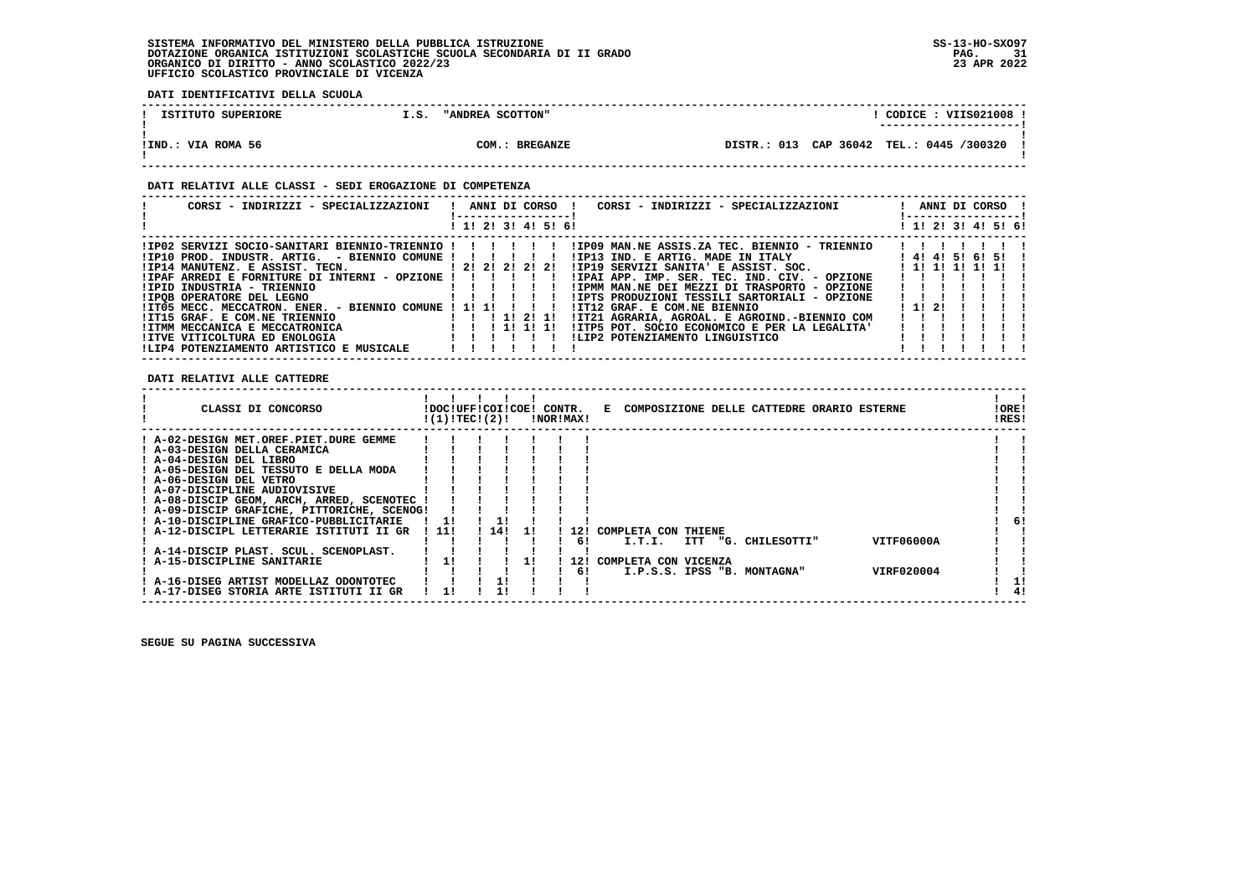**DATI IDENTIFICATIVI DELLA SCUOLA**

| ISTITUTO SUPERIORE | I.S. | "ANDREA SCOTTON" |  |  | CODICE: VIIS021008 !<br>---------------------- |  |
|--------------------|------|------------------|--|--|------------------------------------------------|--|
| !IND.: VIA ROMA 56 |      | COM.: BREGANZE   |  |  | DISTR.: 013 CAP 36042 TEL.: 0445 /300320       |  |

### **DATI RELATIVI ALLE CLASSI - SEDI EROGAZIONE DI COMPETENZA**

| CORSI - INDIRIZZI - SPECIALIZZAZIONI                                                                                                                                                                                                                                                                                                                                                                                     | ANNI DI CORSO !<br>CORSI - INDIRIZZI - SPECIALIZZAZIONI                                                                                                                                                                                                                                                                                                                                                                                                                                                                                                                                                                                                                                                                                                                                                   | ANNI DI CORSO !<br>------------------                                      |
|--------------------------------------------------------------------------------------------------------------------------------------------------------------------------------------------------------------------------------------------------------------------------------------------------------------------------------------------------------------------------------------------------------------------------|-----------------------------------------------------------------------------------------------------------------------------------------------------------------------------------------------------------------------------------------------------------------------------------------------------------------------------------------------------------------------------------------------------------------------------------------------------------------------------------------------------------------------------------------------------------------------------------------------------------------------------------------------------------------------------------------------------------------------------------------------------------------------------------------------------------|----------------------------------------------------------------------------|
|                                                                                                                                                                                                                                                                                                                                                                                                                          | ! 1! 2! 3! 4! 5! 6!                                                                                                                                                                                                                                                                                                                                                                                                                                                                                                                                                                                                                                                                                                                                                                                       | ! 1! 2! 3! 4! 5! 6!                                                        |
| $!$ IP10 PROD. INDUSTR. ARTIG. - BIENNIO COMUNE $!$ $!$ $!$ $!$ $!$ $!$ $!$<br>!IP14 MANUTENZ. E ASSIST. TECN. [2! 2! 2! 2! 2! 2!<br>! IPAF ARREDI E FORNITURE DI INTERNI - OPZIONE ! ! ! ! ! !<br>!IPID INDUSTRIA - TRIENNIO<br>!IPOB OPERATORE DEL LEGNO<br>!IT05 MECC. MECCATRON. ENER. - BIENNIO COMUNE ! 1! 1!<br>!IT15 GRAF. E COM.NE TRIENNIO<br>! ITMM MECCANICA E MECCATRONICA<br>IITVE VITICOLTURA ED ENOLOGIA | IPO2 SERVIZI SOCIO-SANITARI BIENNIO-TRIENNIO !!!!!!!!!!PO9 MAN.NE ASSIS.ZA TEC. BIENNIO - TRIENNIO!!<br>!IP13 IND. E ARTIG. MADE IN ITALY<br>!IP19 SERVIZI SANITA' E ASSIST. SOC.<br>!IPAI APP. IMP. SER. TEC. IND. CIV. - OPZIONE<br>!IPMM MAN.NE DEI MEZZI DI TRASPORTO - OPZIONE<br>!IPTS PRODUZIONI TESSILI SARTORIALI - OPZIONE<br>IIT12 GRAF. E COM.NE BIENNIO<br>1 1 1 1 2 1 1 1 1 1 2 1 1 1 1 2 1 2 1 1 1 1 2 1 2 1 1 1 $\sim$ 1 1 $\sim$ 1 1 $\sim$ 1 $\sim$ 1 $\sim$ 1 $\sim$ 1 $\sim$ 1 $\sim$ 1 $\sim$ 1 $\sim$ 1 $\sim$ 1 $\sim$ 1 $\sim$ 1 $\sim$ 1 $\sim$ 1 $\sim$ 1 $\sim$ 1 $\sim$ 1 $\sim$ 1 $\sim$ 1 $\sim$ 1 $\sim$ 1 $\sim$ 1 $\$<br>!IT21 AGRARIA, AGROAL. E AGROIND.-BIENNIO COM<br>!ITP5 POT, SOCIO ECONOMICO E PER LA LEGALITA'<br>1 11 11 11<br>!LIP2 POTENZIAMENTO LINGUISTICO | $1 \quad 1 \quad 1 \quad 1$<br>141415161511<br>1 1 1 1 1 1 1 1 1 1<br>1121 |
| !LIP4 POTENZIAMENTO ARTISTICO E MUSICALE                                                                                                                                                                                                                                                                                                                                                                                 |                                                                                                                                                                                                                                                                                                                                                                                                                                                                                                                                                                                                                                                                                                                                                                                                           |                                                                            |

 **DATI RELATIVI ALLE CATTEDRE**

| CLASSI DI CONCORSO                          | !DOC!UFF!COI!COE! CONTR.<br>!(1)!TEC!(2)! |      |     | !NOR!MAX! |       |     | E COMPOSIZIONE DELLE CATTEDRE ORARIO ESTERNE | !ORE!<br>!RES! |    |
|---------------------------------------------|-------------------------------------------|------|-----|-----------|-------|-----|----------------------------------------------|----------------|----|
| ! A-02-DESIGN MET.OREF.PIET.DURE GEMME      |                                           |      |     |           |       |     |                                              |                |    |
| ! A-03-DESIGN DELLA CERAMICA                |                                           |      |     |           |       |     |                                              |                |    |
| ! A-04-DESIGN DEL LIBRO                     |                                           |      |     |           |       |     |                                              |                |    |
| ! A-05-DESIGN DEL TESSUTO E DELLA MODA      |                                           |      |     |           |       |     |                                              |                |    |
| ! A-06-DESIGN DEL VETRO                     |                                           |      |     |           |       |     |                                              |                |    |
| ! A-07-DISCIPLINE AUDIOVISIVE               |                                           |      |     |           |       |     |                                              |                |    |
| ! A-08-DISCIP GEOM, ARCH, ARRED, SCENOTEC   |                                           |      |     |           |       |     |                                              |                |    |
| ! A-09-DISCIP GRAFICHE, PITTORICHE, SCENOG! |                                           |      |     |           |       |     |                                              |                |    |
| ! A-10-DISCIPLINE GRAFICO-PUBBLICITARIE     | 11                                        |      |     |           |       |     |                                              |                | 6! |
| ! A-12-DISCIPL LETTERARIE ISTITUTI II GR    | ! 11!                                     | 1141 | -11 |           | ! 12! |     | COMPLETA CON THIENE                          |                |    |
|                                             |                                           |      |     |           |       | 61  | VITF06000A<br>I.T.I.<br>ITT "G. CHILESOTTI"  |                |    |
| ! A-14-DISCIP PLAST. SCUL. SCENOPLAST.      |                                           |      |     |           |       |     |                                              |                |    |
| ! A-15-DISCIPLINE SANITARIE                 | 11                                        |      |     |           |       | 12! | COMPLETA CON VICENZA                         |                |    |
|                                             |                                           |      |     |           |       | 61  | VIRF020004<br>I.P.S.S. IPSS "B. MONTAGNA"    |                |    |
| ! A-16-DISEG ARTIST MODELLAZ ODONTOTEC      |                                           |      |     |           |       |     |                                              |                |    |
| ! A-17-DISEG STORIA ARTE ISTITUTI II GR     |                                           |      |     |           |       |     |                                              |                | 4! |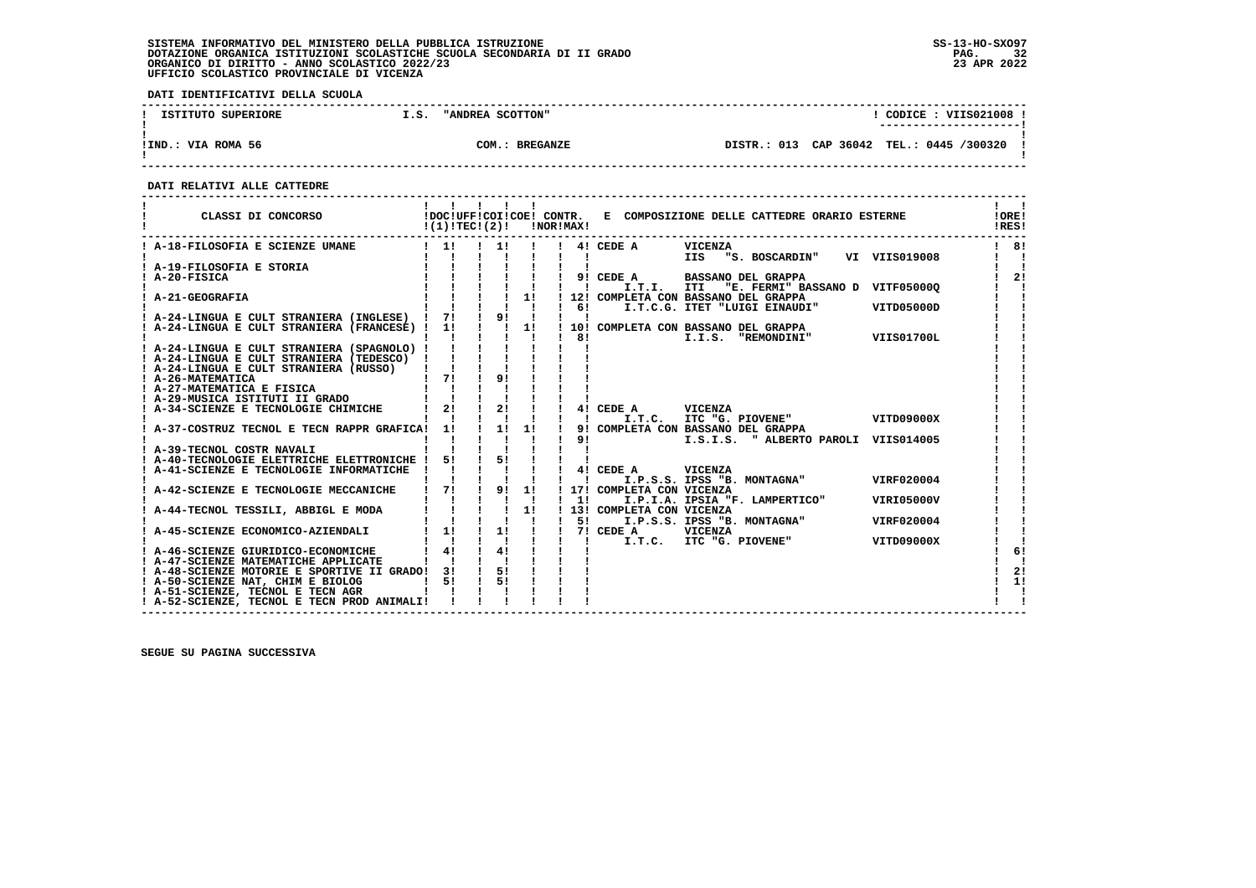**DATI IDENTIFICATIVI DELLA SCUOLA**

| ISTITUTO SUPERIORE | "ANDREA SCOTTON"<br>I.S. | CODICE: VIIS021008<br>---------------------- |
|--------------------|--------------------------|----------------------------------------------|
| !IND.: VIA ROMA 56 | COM.: BREGANZE           | DISTR.: 013 CAP 36042 TEL.: 0445 /300320     |

 **------------------------------------------------------------------------------------------------------------------------------------**

 **DATI RELATIVI ALLE CATTEDRE**

| CLASSI DI CONCORSO                                                                                                                                                                                                                                                                                         | $!(1)!TEC!(2)!$ $INORIMAX!$                                                       |                                        |                               | !DOC!UFF!COI!COE! CONTR. E COMPOSIZIONE DELLE CATTEDRE ORARIO ESTERNE         | !ORE!<br>!RES! |
|------------------------------------------------------------------------------------------------------------------------------------------------------------------------------------------------------------------------------------------------------------------------------------------------------------|-----------------------------------------------------------------------------------|----------------------------------------|-------------------------------|-------------------------------------------------------------------------------|----------------|
|                                                                                                                                                                                                                                                                                                            |                                                                                   |                                        |                               | ! 1! ! 1! ! ! 4! CEDE A<br><b>VICENZA</b><br>IIS "S. BOSCARDIN" VI VIIS019008 | 181            |
|                                                                                                                                                                                                                                                                                                            |                                                                                   |                                        |                               |                                                                               |                |
|                                                                                                                                                                                                                                                                                                            |                                                                                   |                                        |                               | ! 9! CEDE A BASSANO DEL GRAPPA                                                | 2!             |
|                                                                                                                                                                                                                                                                                                            |                                                                                   |                                        |                               | I.T.I. ITI<br>"E. FERMI" BASSANO D VITF050000                                 |                |
|                                                                                                                                                                                                                                                                                                            |                                                                                   |                                        |                               | ! 12! COMPLETA CON BASSANO DEL GRAPPA                                         |                |
|                                                                                                                                                                                                                                                                                                            |                                                                                   |                                        |                               | I.T.C.G. ITET "LUIGI EINAUDI" VITD05000D                                      |                |
|                                                                                                                                                                                                                                                                                                            |                                                                                   |                                        |                               | !! 1!! 10! COMPLETA CON BASSANO DEL GRAPPA                                    |                |
| ! A-24-LINGUA E CULT STRANIERA (FRANCESE) ! 1!                                                                                                                                                                                                                                                             |                                                                                   |                                        | $\frac{1}{1}$ 81              | I.I.S. "REMONDINI" VIIS01700L                                                 |                |
| ! A-24-LINGUA E CULT STRANIERA (SPAGNOLO) !                                                                                                                                                                                                                                                                |                                                                                   |                                        | $\mathbf{I}$ and $\mathbf{I}$ |                                                                               |                |
| ! A-24-LINGUA E CULT STRANIERA (TEDESCO) !                                                                                                                                                                                                                                                                 |                                                                                   |                                        |                               |                                                                               |                |
| ! A-24-LINGUA E CULT STRANIERA (RUSSO)                                                                                                                                                                                                                                                                     |                                                                                   |                                        |                               |                                                                               |                |
| ! A-26-MATEMATICA                                                                                                                                                                                                                                                                                          | $\frac{1}{1}$ $\frac{71}{1}$ $\frac{1}{1}$                                        | 91                                     |                               |                                                                               |                |
| ! A-27-MATEMATICA E FISICA                                                                                                                                                                                                                                                                                 |                                                                                   |                                        |                               |                                                                               |                |
| ! A-29-MUSICA ISTITUTI II GRADO                                                                                                                                                                                                                                                                            |                                                                                   |                                        |                               |                                                                               |                |
| ! A-34-SCIENZE E TECNOLOGIE CHIMICHE                                                                                                                                                                                                                                                                       | $\begin{array}{ccccccccc}\n1 & 1 & 1 & 1 & 1 \\ 1 & 21 & 1 & 21 & 1\n\end{array}$ |                                        |                               | 4! CEDE A VICENZA                                                             |                |
|                                                                                                                                                                                                                                                                                                            |                                                                                   | $\mathbf{1}$ $\mathbf{1}$ $\mathbf{1}$ | $\mathbf{I}$ $\mathbf{I}$     | I.T.C. ITC "G. PIOVENE" VITD09000X                                            |                |
| ! A-37-COSTRUZ TECNOL E TECN RAPPR GRAFICA! 1!                                                                                                                                                                                                                                                             |                                                                                   | $1 \quad 11 \quad 11$                  |                               | 9! COMPLETA CON BASSANO DEL GRAPPA                                            |                |
| A-39-TECNOL COSTR NAVALI                                                                                                                                                                                                                                                                                   |                                                                                   |                                        | 91                            | I.S.I.S. " ALBERTO PAROLI VIIS014005                                          |                |
| ! A-40-TECNOLOGIE ELETTRICHE ELETTRONICHE !                                                                                                                                                                                                                                                                | $5!$ $1$                                                                          | 51                                     |                               |                                                                               |                |
| ! A-41-SCIENZE E TECNOLOGIE INFORMATICHE ! !                                                                                                                                                                                                                                                               |                                                                                   |                                        |                               | 4! CEDE A<br><b>VICENZA</b>                                                   |                |
|                                                                                                                                                                                                                                                                                                            |                                                                                   |                                        | $\mathbf{I}$ $\mathbf{I}$     | VIRF020004<br>I.P.S.S. IPSS "B. MONTAGNA"                                     |                |
| ! A-42-SCIENZE E TECNOLOGIE MECCANICHE   7! ! 9! 1!                                                                                                                                                                                                                                                        |                                                                                   |                                        |                               | ! 17! COMPLETA CON VICENZA                                                    |                |
|                                                                                                                                                                                                                                                                                                            |                                                                                   |                                        | $1 \quad 11$                  | I.P.I.A. IPSIA "F. LAMPERTICO"<br>VIRI05000V                                  |                |
|                                                                                                                                                                                                                                                                                                            |                                                                                   |                                        |                               | 13! COMPLETA CON VICENZA                                                      |                |
|                                                                                                                                                                                                                                                                                                            |                                                                                   |                                        | $1 \quad 51$                  | I.P.S.S. IPSS "B. MONTAGNA"<br>VIRF020004                                     |                |
| $\frac{1}{1}$ A-45-SCIENZE ECONOMICO-AZIENDALI $\frac{1}{1}$ $\frac{1}{1}$ $\frac{1}{1}$ $\frac{1}{1}$ $\frac{1}{1}$ $\frac{1}{1}$ $\frac{1}{2}$ $\frac{1}{2}$ $\frac{1}{2}$ $\frac{1}{2}$ $\frac{1}{2}$ $\frac{1}{2}$ $\frac{1}{2}$ $\frac{1}{2}$ $\frac{1}{2}$ $\frac{1}{2}$ $\frac{1}{2}$ $\frac{1}{2}$ |                                                                                   |                                        |                               |                                                                               |                |
|                                                                                                                                                                                                                                                                                                            |                                                                                   | $\mathbf{I}$ $\mathbf{I}$              | $\mathbf{I}$ $\mathbf{I}$     | I.T.C. ITC "G. PIOVENE"<br>VITD09000X                                         |                |
| ! A-46-SCIENZE GIURIDICO-ECONOMICHE                                                                                                                                                                                                                                                                        | 41                                                                                | 41                                     |                               |                                                                               | 6!             |
| ! A-47-SCIENZE MATEMATICHE APPLICATE                                                                                                                                                                                                                                                                       |                                                                                   |                                        |                               |                                                                               |                |
| ! A-48-SCIENZE MOTORIE E SPORTIVE II GRADO! 3!                                                                                                                                                                                                                                                             | 51                                                                                | 51<br><b>Contract Contract</b><br>51   |                               |                                                                               | 2!<br>1!       |
| ! A-50-SCIENZE NAT, CHIM E BIOLOG<br>! A-51-SCIENZE, TECNOL E TECN AGR                                                                                                                                                                                                                                     |                                                                                   |                                        |                               |                                                                               |                |
| ! A-52-SCIENZE, TECNOL E TECN PROD ANIMALI!                                                                                                                                                                                                                                                                |                                                                                   |                                        |                               |                                                                               |                |
|                                                                                                                                                                                                                                                                                                            |                                                                                   |                                        |                               |                                                                               |                |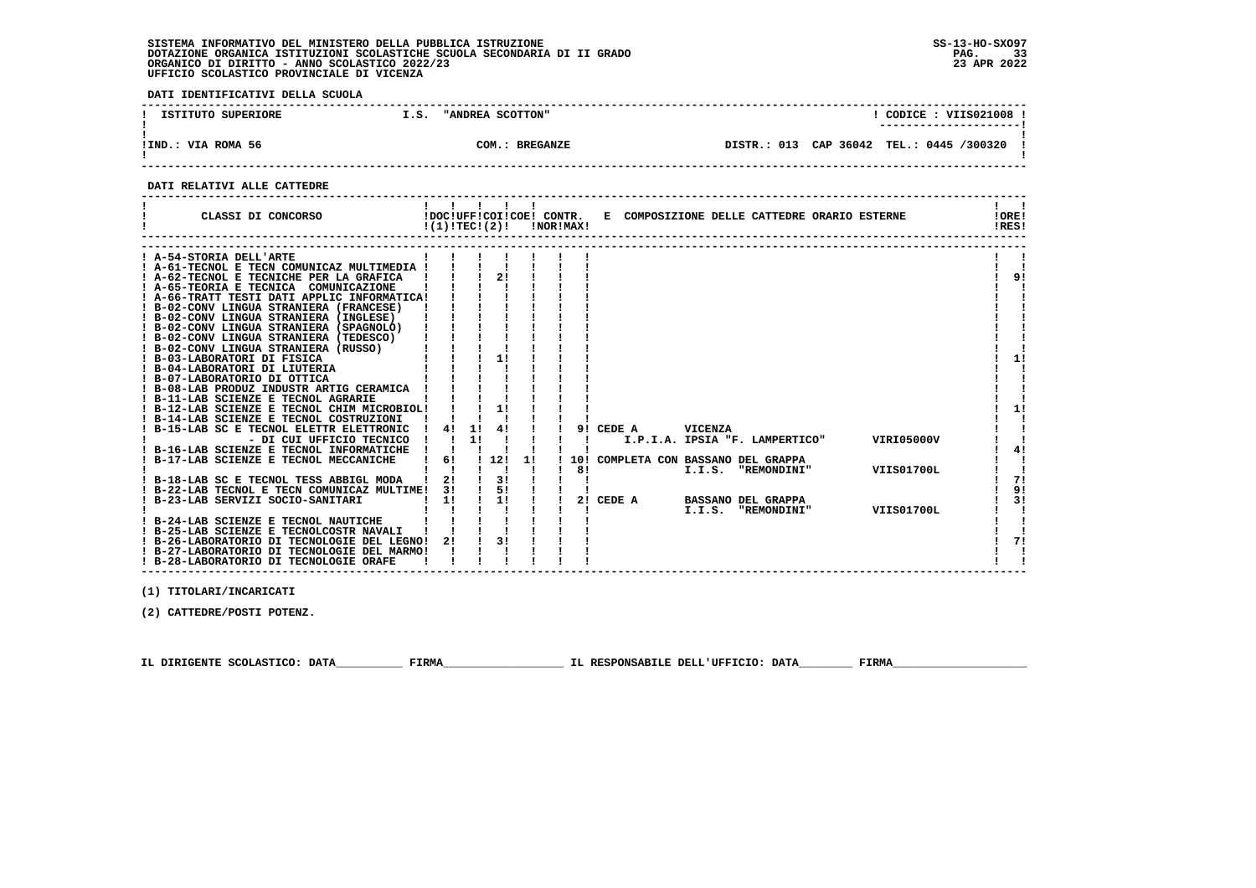$\blacksquare$ 

 **DATI IDENTIFICATIVI DELLA SCUOLA ------------------------------------------------------------------------------------------------------------------------------------**! CODICE : VIIS021008 ! **1 ISTITUTO SUPERIORE 1.S. "ANDREA SCOTTON" ! ---------------------! ! ! !IND.: VIA ROMA 56 COM.: BREGANZE DISTR.: 013 CAP 36042 TEL.: 0445 /300320 ! ! ! ------------------------------------------------------------------------------------------------------------------------------------ DATI RELATIVI ALLE CATTEDRE ------------------------------------------------------------------------------------------------------------------------------------** $1 \quad 1$ ا ! **! ! ! !!!! ! ! ! ! ! !!!!!**<br>! CLASSI DI CONCORSO ! DOC!UFF!COI!COE! CONTR. E COMPOSIZIONE DELLE CATTEDRE ORARIO ESTERNE !! ! !<br>! ! ! ! !RES! **IORE!** IRES!  **------------------------------------------------------------------------------------------------------------------------------------ ------------------------------------------------------------------------------------------------------------------------------------ ! A-54-STORIA DELL'ARTE ! ! ! ! ! ! ! ! ! ! A-61-TECNOL E TECN COMUNICAZ MULTIMEDIA ! ! ! ! ! ! ! ! ! ! A-62-TECNOL E TECNICHE PER LA GRAFICA ! ! ! 2! ! ! ! ! 9! ! A-65-TEORIA E TECNICA COMUNICAZIONE ! ! ! ! ! ! ! ! ! ! A-66-TRATT TESTI DATI APPLIC INFORMATICA! ! ! ! ! ! ! ! ! ! B-02-CONV LINGUA STRANIERA (FRANCESE) ! ! ! ! ! ! ! ! !** $\frac{1}{2}$   $\frac{1}{2}$  $\mathbf{i}$  i .<br>i 9i  $\frac{1}{2}$   $\frac{1}{2}$ 

| B-02-CONV LINGUA STRANIERA (INGLESE)        |            |    |      |    |    |                                              |    |
|---------------------------------------------|------------|----|------|----|----|----------------------------------------------|----|
| ! B-02-CONV LINGUA STRANIERA (SPAGNOLO)     |            |    |      |    |    |                                              |    |
| ! B-02-CONV LINGUA STRANIERA (TEDESCO)      |            |    |      |    |    |                                              |    |
| ! B-02-CONV LINGUA STRANIERA (RUSSO)        |            |    |      |    |    |                                              |    |
| ! B-03-LABORATORI DI FISICA                 |            |    |      |    |    |                                              |    |
| ! B-04-LABORATORI DI LIUTERIA               |            |    |      |    |    |                                              |    |
| ! B-07-LABORATORIO DI OTTICA                |            |    |      |    |    |                                              |    |
| ! B-08-LAB PRODUZ INDUSTR ARTIG CERAMICA    |            |    |      |    |    |                                              |    |
| ! B-11-LAB SCIENZE E TECNOL AGRARIE         |            |    |      |    |    |                                              |    |
| ! B-12-LAB SCIENZE E TECNOL CHIM MICROBIOL! |            |    |      |    |    |                                              | 11 |
| ! B-14-LAB SCIENZE E TECNOL COSTRUZIONI     |            |    |      |    |    |                                              |    |
| ! B-15-LAB SC E TECNOL ELETTR ELETTRONIC    | ! 4! 1! 4! |    |      |    |    | 9! CEDE A<br>VICENZA                         |    |
| - DI CUI UFFICIO TECNICO                    |            | 11 |      |    |    | VIRI05000V<br>I.P.I.A. IPSIA "F. LAMPERTICO" |    |
| ! B-16-LAB SCIENZE E TECNOL INFORMATICHE    |            |    |      |    |    |                                              | 4! |
| ! B-17-LAB SCIENZE E TECNOL MECCANICHE      | 6!         |    | 1121 | 11 |    | 10! COMPLETA CON BASSANO DEL GRAPPA          |    |
|                                             |            |    |      |    | 81 | VIIS01700L<br>I.I.S.<br><b>"REMONDINI"</b>   |    |
| ! B-18-LAB SC E TECNOL TESS ABBIGL MODA     | 21         |    | 3!   |    |    |                                              | 7! |
| ! B-22-LAB TECNOL E TECN COMUNICAZ MULTIME! | 31         |    | 51   |    |    |                                              | 9! |
| ! B-23-LAB SERVIZI SOCIO-SANITARI           | 11         |    | 11   |    |    | 2! CEDE A<br><b>BASSANO DEL GRAPPA</b>       | 3! |
|                                             |            |    |      |    |    | VIIS01700L<br>I.I.S. "REMONDINI"             |    |
| ! B-24-LAB SCIENZE E TECNOL NAUTICHE        |            |    |      |    |    |                                              |    |
| ! B-25-LAB SCIENZE E TECNOLCOSTR NAVALI     |            |    |      |    |    |                                              |    |
| ! B-26-LABORATORIO DI TECNOLOGIE DEL LEGNO! | 21         |    | 31   |    |    |                                              | 71 |
| ! B-27-LABORATORIO DI TECNOLOGIE DEL MARMO! |            |    |      |    |    |                                              |    |
| ! B-28-LABORATORIO DI TECNOLOGIE ORAFE      |            |    |      |    |    |                                              |    |
|                                             |            |    |      |    |    |                                              |    |

 **(1) TITOLARI/INCARICATI**

 **(2) CATTEDRE/POSTI POTENZ.**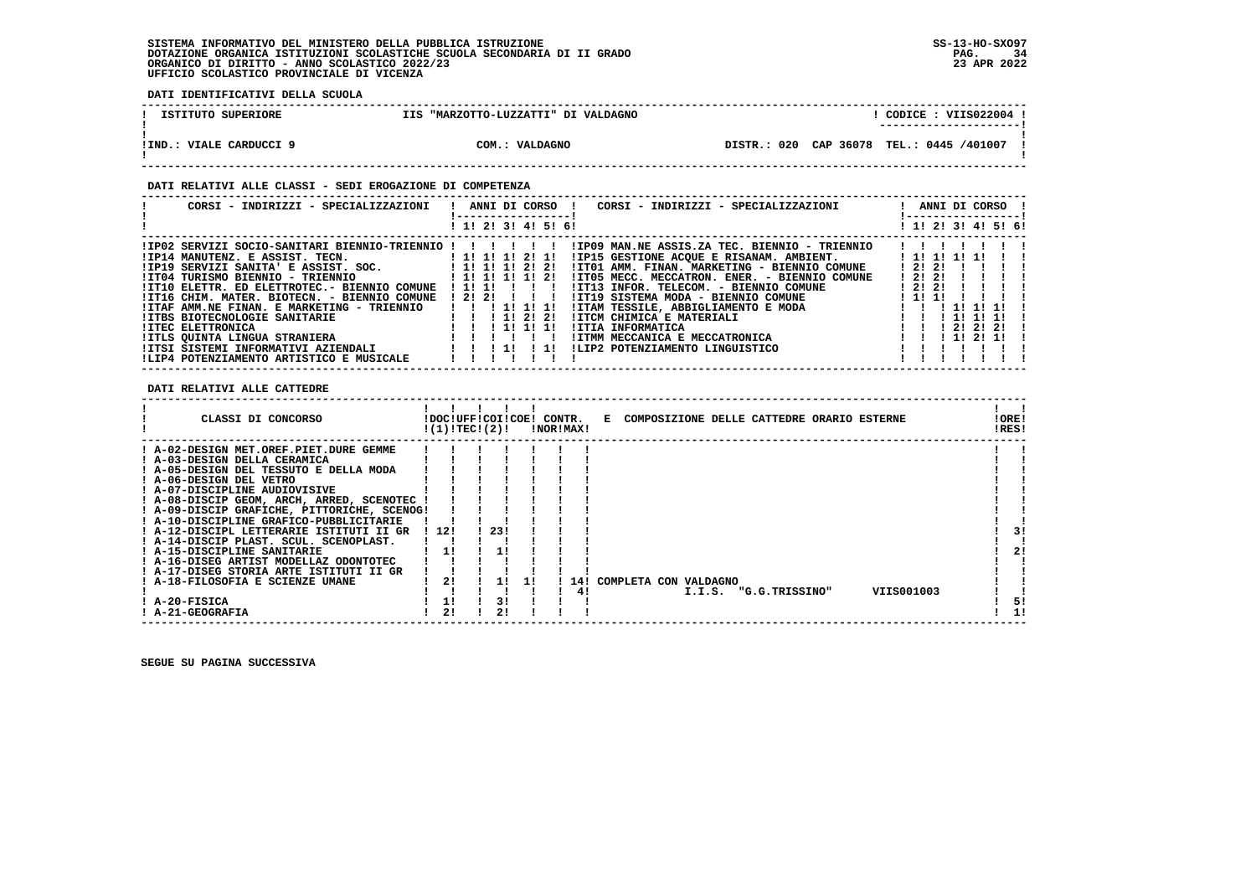**DATI IDENTIFICATIVI DELLA SCUOLA**

| ISTITUTO SUPERIORE        | "MARZOTTO-LUZZATTI" DI VALDAGNO<br><b>TTS</b> | CODICE: VIIS022004                          |
|---------------------------|-----------------------------------------------|---------------------------------------------|
| !IND.<br>VIALE CARDUCCI 9 | COM.:<br>VALDAGNO                             | 020 CAP 36078 TEL.: 0445 /401007<br>DISTR.: |

 **! ! ------------------------------------------------------------------------------------------------------------------------------------**

#### **DATI RELATIVI ALLE CLASSI - SEDI EROGAZIONE DI COMPETENZA**

|                                                                                                                                                                                                                                                                                                                                                                                                                                                                                                              | CORSI – INDIRIZZI – SPECIALIZZAZIONI – ! ANNI DI CORSO – ! CORSI – INDIRIZZI – SPECIALIZZAZIONI<br>-----------------                                                                                                                                                                                                                                                                                                                                                                        | ! ANNI DI CORSO !<br>!-----------------!                                                            |
|--------------------------------------------------------------------------------------------------------------------------------------------------------------------------------------------------------------------------------------------------------------------------------------------------------------------------------------------------------------------------------------------------------------------------------------------------------------------------------------------------------------|---------------------------------------------------------------------------------------------------------------------------------------------------------------------------------------------------------------------------------------------------------------------------------------------------------------------------------------------------------------------------------------------------------------------------------------------------------------------------------------------|-----------------------------------------------------------------------------------------------------|
|                                                                                                                                                                                                                                                                                                                                                                                                                                                                                                              | ! 1! 2! 3! 4! 5! 6!                                                                                                                                                                                                                                                                                                                                                                                                                                                                         | ! 1! 2! 3! 4! 5! 6!                                                                                 |
| ! IP02 SERVIZI SOCIO-SANITARI BIENNIO-TRIENNIO ! ! ! ! ! !<br>!IP14 MANUTENZ. E ASSIST. TECN. [1! 1! 1! 1! 2! 1!<br>!IP19 SERVIZI SANITA' E ASSIST. SOC.             ! 1! 1! 1! 2! 2!<br>!IT04 TURISMO BIENNIO - TRIENNIO<br>!IT10 ELETTR. ED ELETTROTEC.- BIENNIO COMUNE ! 1! 1! ! ! !<br>!IT16 CHIM. MATER. BIOTECN. - BIENNIO COMUNE ! 2! 2! ! ! !<br>!ITAF AMM.NE FINAN. E MARKETING - TRIENNIO   !!!!!!!!<br>IITBS BIOTECNOLOGIE SANITARIE<br><b>!ITEC ELETTRONICA</b><br>IITLS QUINTA LINGUA STRANIERA | !IP09 MAN.NE ASSIS.ZA TEC. BIENNIO - TRIENNIO<br>!IP15 GESTIONE ACOUE E RISANAM. AMBIENT.<br>!IT01 AMM. FINAN. MARKETING - BIENNIO COMUNE<br>1 1 1 1 1 1 1 1 2 1<br>!IT05 MECC. MECCATRON. ENER. - BIENNIO COMUNE<br>!IT13 INFOR. TELECOM. - BIENNIO COMUNE<br>!IT19 SISTEMA MODA - BIENNIO COMUNE<br>!ITAM TESSILE, ABBIGLIAMENTO E MODA<br>1 1 1 2 1 2 1<br>IITCM CHIMICA E MATERIALI<br>111111<br>!ITIA INFORMATICA<br>IITMM MECCANICA E MECCATRONICA<br>ILIP2 POTENZIAMENTO LINGUISTICO | 1 11 11 11 11<br>12121<br>12121<br>1 2 1 2 1<br>1 11 11<br>-11-11-11<br>11111<br>21 21 21<br>112111 |
| !LIP4 POTENZIAMENTO ARTISTICO E MUSICALE                                                                                                                                                                                                                                                                                                                                                                                                                                                                     |                                                                                                                                                                                                                                                                                                                                                                                                                                                                                             |                                                                                                     |

 **DATI RELATIVI ALLE CATTEDRE**

| CLASSI DI CONCORSO                          |       | !DOC!UFF!COI!COE! CONTR.<br>!(1)!TECI(2)! |      | !NOR!MAX! |     |    |                       |  |                       | E COMPOSIZIONE DELLE CATTEDRE ORARIO ESTERNE | !ORE!<br>!RES! |    |
|---------------------------------------------|-------|-------------------------------------------|------|-----------|-----|----|-----------------------|--|-----------------------|----------------------------------------------|----------------|----|
| ! A-02-DESIGN MET.OREF.PIET.DURE GEMME      |       |                                           |      |           |     |    |                       |  |                       |                                              |                |    |
| ! A-03-DESIGN DELLA CERAMICA                |       |                                           |      |           |     |    |                       |  |                       |                                              |                |    |
| ! A-05-DESIGN DEL TESSUTO E DELLA MODA      |       |                                           |      |           |     |    |                       |  |                       |                                              |                |    |
| ! A-06-DESIGN DEL VETRO                     |       |                                           |      |           |     |    |                       |  |                       |                                              |                |    |
| ! A-07-DISCIPLINE AUDIOVISIVE               |       |                                           |      |           |     |    |                       |  |                       |                                              |                |    |
| ! A-08-DISCIP GEOM, ARCH, ARRED, SCENOTEC   |       |                                           |      |           |     |    |                       |  |                       |                                              |                |    |
| ! A-09-DISCIP GRAFICHE, PITTORICHE, SCENOG! |       |                                           |      |           |     |    |                       |  |                       |                                              |                |    |
| ! A-10-DISCIPLINE GRAFICO-PUBBLICITARIE     |       |                                           |      |           |     |    |                       |  |                       |                                              |                |    |
| ! A-12-DISCIPL LETTERARIE ISTITUTI II GR    | ! 12! |                                           | -23! |           |     |    |                       |  |                       |                                              |                | 3! |
| ! A-14-DISCIP PLAST. SCUL. SCENOPLAST.      |       |                                           |      |           |     |    |                       |  |                       |                                              |                |    |
| ! A-15-DISCIPLINE SANITARIE                 |       |                                           |      |           |     |    |                       |  |                       |                                              |                | 2! |
| ! A-16-DISEG ARTIST MODELLAZ ODONTOTEC      |       |                                           |      |           |     |    |                       |  |                       |                                              |                |    |
| ! A-17-DISEG STORIA ARTE ISTITUTI II GR     |       |                                           |      |           |     |    |                       |  |                       |                                              |                |    |
| ! A-18-FILOSOFIA E SCIENZE UMANE            |       | 21                                        |      |           | 141 |    | COMPLETA CON VALDAGNO |  |                       |                                              |                |    |
|                                             |       |                                           |      |           |     | 41 |                       |  | I.I.S. "G.G.TRISSINO" | VIIS001003                                   |                |    |
| ! A-20-FISICA                               |       |                                           |      |           |     |    |                       |  |                       |                                              |                | 5! |
| ! A-21-GEOGRAFIA                            |       | 21                                        |      |           |     |    |                       |  |                       |                                              |                |    |

 **------------------------------------------------------------------------------------------------------------------------------------**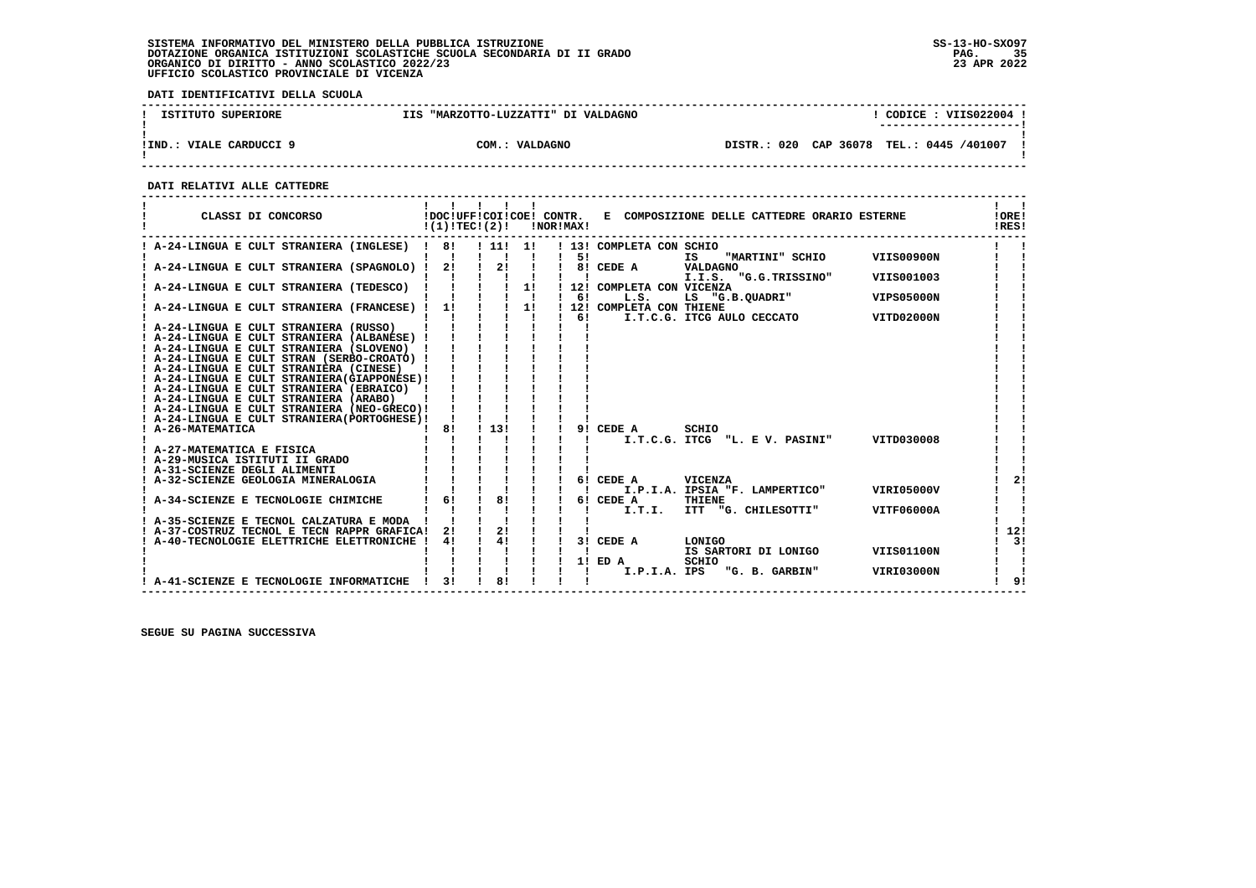**DATI IDENTIFICATIVI DELLA SCUOLA**

| ISTITUTO SUPERIORE         | "MARZOTTO-LUZZATTI" DI VALDAGNO<br>TTS. | CODICE: VIIS022004                                |
|----------------------------|-----------------------------------------|---------------------------------------------------|
|                            |                                         |                                                   |
|                            |                                         |                                                   |
| ! IND.<br>VIALE CARDUCCI 9 | COM.<br>VALDAGNO<br>. .                 | CAP 36078<br>020<br>TEL.: 0445 /401007<br>DTSTR.: |
|                            |                                         |                                                   |

 **------------------------------------------------------------------------------------------------------------------------------------**

 **DATI RELATIVI ALLE CATTEDRE**

| CLASSI DI CONCORSO                            | !DOC!UFF!COI!COE! CONTR.<br>!(1)!TEC!(2)! |       |                    | !NOR!MAX! |     |                            | E COMPOSIZIONE DELLE CATTEDRE ORARIO ESTERNE          | !ORE!<br>!RES! |
|-----------------------------------------------|-------------------------------------------|-------|--------------------|-----------|-----|----------------------------|-------------------------------------------------------|----------------|
| ! A-24-LINGUA E CULT STRANIERA (INGLESE) ! 8! |                                           | ! 11! | 11                 |           | 51  | ! 13! COMPLETA CON SCHIO   | "MARTINI" SCHIO<br>VIIS00900N<br>IS .                 |                |
| A-24-LINGUA E CULT STRANIERA (SPAGNOLO) !     | -21                                       | 2!    |                    |           |     | 8! CEDE A                  | VALDAGNO                                              |                |
|                                               |                                           |       |                    |           |     |                            | I.I.S. "G.G.TRISSINO"<br>VIIS001003                   |                |
| A-24-LINGUA E CULT STRANIERA (TEDESCO)        |                                           |       | 1!                 |           |     | ! 12! COMPLETA CON VICENZA |                                                       |                |
|                                               |                                           |       | $\blacksquare$     |           | 61  | L.S.                       | LS "G.B.QUADRI"<br><b>VIPS05000N</b>                  |                |
| A-24-LINGUA E CULT STRANIERA (FRANCESE) !     | 1!                                        |       | 1!<br>$\mathbf{I}$ |           | 61  | 12! COMPLETA CON THIENE    |                                                       |                |
| ! A-24-LINGUA E CULT STRANIERA (RUSSO)        |                                           |       |                    |           |     |                            | I.T.C.G. ITCG AULO CECCATO<br>VITD02000N              |                |
| A-24-LINGUA E CULT STRANIERA (ALBANESE) !     |                                           |       |                    |           |     |                            |                                                       |                |
| ! A-24-LINGUA E CULT STRANIERA (SLOVENO)      |                                           |       |                    |           |     |                            |                                                       |                |
| ! A-24-LINGUA E CULT STRAN (SERBO-CROATO) !   |                                           |       |                    |           |     |                            |                                                       |                |
| ! A-24-LINGUA E CULT STRANIERA (CINESE)       |                                           |       |                    |           |     |                            |                                                       |                |
| ! A-24-LINGUA E CULT STRANIERA (GIAPPONESE) ! |                                           |       |                    |           |     |                            |                                                       |                |
| ! A-24-LINGUA E CULT STRANIERA (EBRAICO)      |                                           |       |                    |           |     |                            |                                                       |                |
| ! A-24-LINGUA E CULT STRANIERA (ARABO)        |                                           |       |                    |           |     |                            |                                                       |                |
| ! A-24-LINGUA E CULT STRANIERA (NEO-GRECO)!   |                                           |       |                    |           |     |                            |                                                       |                |
| ! A-24-LINGUA E CULT STRANIERA (PORTOGHESE) ! |                                           | 1131  |                    |           |     |                            |                                                       |                |
| ! A-26-MATEMATICA                             | 81                                        |       |                    |           | 91  | CEDE A                     | SCHIO<br>I.T.C.G. ITCG "L. E V. PASINI"<br>VITD030008 |                |
| A-27-MATEMATICA E FISICA                      |                                           |       |                    |           |     |                            |                                                       |                |
| ! A-29-MUSICA ISTITUTI II GRADO               |                                           |       |                    |           |     |                            |                                                       |                |
| ! A-31-SCIENZE DEGLI ALIMENTI                 |                                           |       |                    |           |     |                            |                                                       |                |
| ! A-32-SCIENZE GEOLOGIA MINERALOGIA           |                                           |       |                    |           |     | 6! CEDE A                  | <b>VICENZA</b>                                        | 21             |
|                                               |                                           |       |                    |           |     |                            | I.P.I.A. IPSIA "F. LAMPERTICO"<br>VIRI05000V          |                |
| ! A-34-SCIENZE E TECNOLOGIE CHIMICHE          | 61                                        | 81    |                    |           |     | 6! CEDE A                  | THIENE                                                |                |
|                                               |                                           |       |                    |           |     | I.T.I.                     | ITT "G. CHILESOTTI"<br>VITF06000A                     |                |
| A-35-SCIENZE E TECNOL CALZATURA E MODA        |                                           |       |                    |           |     |                            |                                                       |                |
| ! A-37-COSTRUZ TECNOL E TECN RAPPR GRAFICA!   |                                           | 21    |                    |           |     |                            |                                                       | 12!            |
| A-40-TECNOLOGIE ELETTRICHE ELETTRONICHE       | 41                                        |       |                    |           | 31  | CEDE A                     | LONIGO                                                | 31             |
|                                               |                                           |       |                    |           |     |                            | IS SARTORI DI LONIGO<br>VIIS01100N                    |                |
|                                               |                                           |       |                    |           | 11. | ED A<br>I.P.I.A. IPS       | SCHIO<br>"G. B. GARBIN"<br>VIRI03000N                 |                |
| ! A-41-SCIENZE E TECNOLOGIE INFORMATICHE      | $\overline{31}$                           |       |                    |           |     |                            |                                                       | 91             |
|                                               |                                           |       |                    |           |     |                            |                                                       |                |

 **------------------------------------------------------------------------------------------------------------------------------------**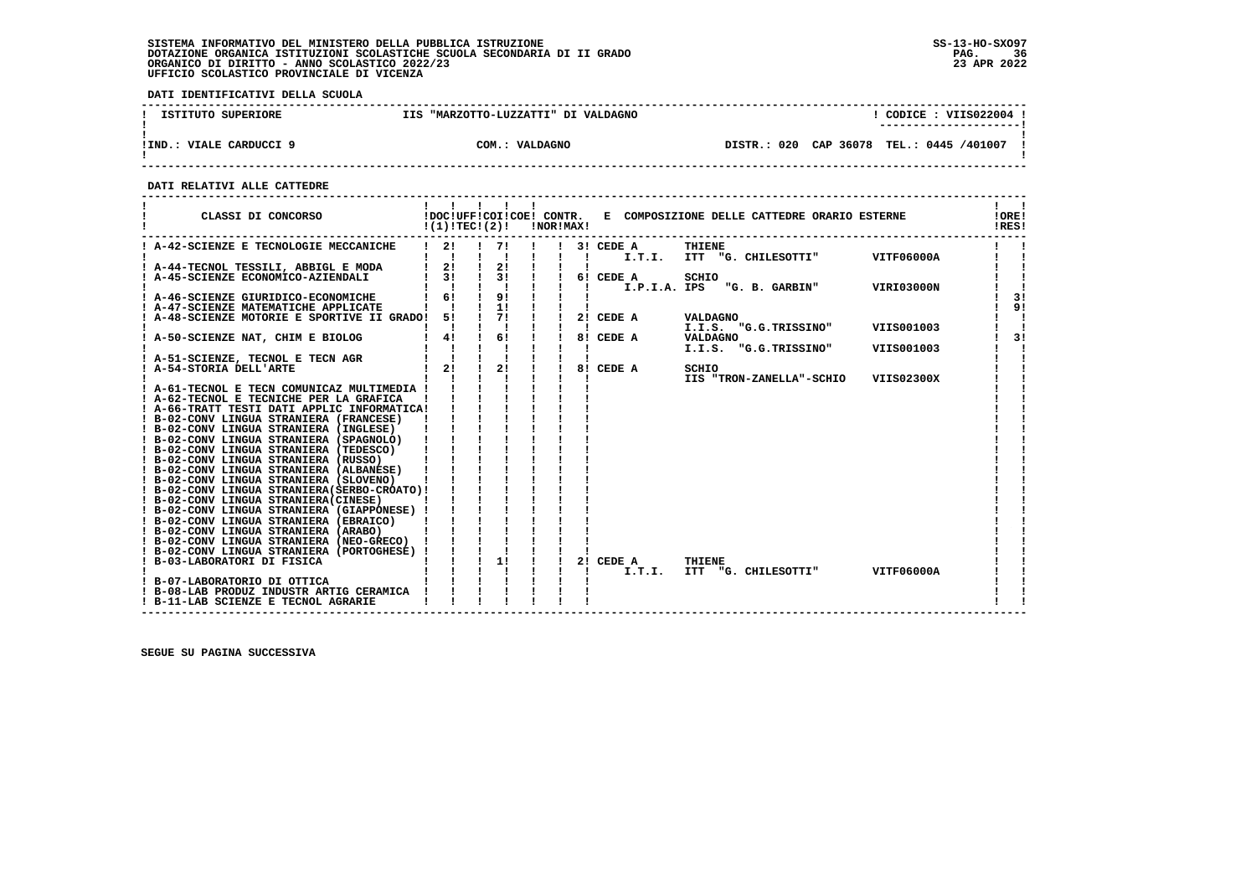**DATI IDENTIFICATIVI DELLA SCUOLA**

| ISTITUTO SUPERIORE         | "MARZOTTO-LUZZATTI" DI VALDAGNO<br>TTS | CODICE: VIIS022004                       |
|----------------------------|----------------------------------------|------------------------------------------|
|                            |                                        | ----------------------                   |
| VIALE CARDUCCI 9<br>!IND.: | COM.: VALDAGNO                         | DISTR.: 020 CAP 36078 TEL.: 0445 /401007 |

 **------------------------------------------------------------------------------------------------------------------------------------**

 **DATI RELATIVI ALLE CATTEDRE**

| CLASSI DI CONCORSO                                                                     | !(1)!TEC!(2)! |                                                                                                       | !NOR!MAX! |                           |                    | !DOC!UFF!COI!COE! CONTR. E COMPOSIZIONE DELLE CATTEDRE ORARIO ESTERNE |            | !ORE!<br>!RES! |
|----------------------------------------------------------------------------------------|---------------|-------------------------------------------------------------------------------------------------------|-----------|---------------------------|--------------------|-----------------------------------------------------------------------|------------|----------------|
| ! A-42-SCIENZE E TECNOLOGIE MECCANICHE                                                 | 21            | 71                                                                                                    |           |                           | $!$ 3! CEDE A      | THIENE<br>I.T.I. ITT "G. CHILESOTTI" VITF06000A                       |            |                |
| ! A-44-TECNOL TESSILI, ABBIGL E MODA                                                   |               |                                                                                                       |           |                           |                    |                                                                       |            |                |
| ! A-45-SCIENZE ECONOMICO-AZIENDALI                                                     |               |                                                                                                       |           |                           |                    | SCHIO                                                                 |            |                |
|                                                                                        |               | $\begin{array}{ccccccc}\n1 & 1 & 1 & 1 & 1 \\ 1 & 61 & 1 & 91 & 1 \\ 1 & 1 & 1 & 11 & 1\n\end{array}$ |           | $\mathbf{I}$ $\mathbf{I}$ |                    | I.P.I.A. IPS "G. B. GARBIN"                                           | VIRI03000N |                |
| ! A-46-SCIENZE GIURIDICO-ECONOMICHE                                                    |               |                                                                                                       |           |                           |                    |                                                                       |            | 31             |
| ! A-47-SCIENZE MATEMATICHE APPLICATE                                                   |               |                                                                                                       |           |                           |                    |                                                                       |            | 9!             |
| ! A-48-SCIENZE MOTORIE E SPORTIVE II GRADO!                                            | 51            | $\overline{1}$ $\overline{7}$ $\overline{1}$ $\overline{1}$                                           |           |                           | 2! CEDE A          | VALDAGNO                                                              |            |                |
|                                                                                        |               | $\begin{array}{ccc} 1 & 6 & 1 \end{array}$                                                            |           |                           | 8! CEDE A VALDAGNO | I.I.S. "G.G.TRISSINO" VIIS001003                                      |            | 3!             |
| ! A-50-SCIENZE NAT, CHIM E BIOLOG                                                      | 4!            |                                                                                                       |           |                           |                    | I.I.S. "G.G.TRISSINO"                                                 | VIIS001003 |                |
| ! A-51-SCIENZE, TECNOL E TECN AGR                                                      |               |                                                                                                       |           |                           |                    |                                                                       |            |                |
| ! A-54-STORIA DELL'ARTE                                                                | 2!            | 2!                                                                                                    |           |                           | 8! CEDE A          | SCHIO                                                                 |            |                |
|                                                                                        |               |                                                                                                       |           |                           |                    | IIS "TRON-ZANELLA"-SCHIO                                              | VIIS02300X |                |
| ! A-61-TECNOL E TECN COMUNICAZ MULTIMEDIA !                                            |               |                                                                                                       |           |                           |                    |                                                                       |            |                |
| ! A-62-TECNOL E TECNICHE PER LA GRAFICA                                                |               |                                                                                                       |           |                           |                    |                                                                       |            |                |
| ! A-66-TRATT TESTI DATI APPLIC INFORMATICA!                                            |               |                                                                                                       |           |                           |                    |                                                                       |            |                |
| ! B-02-CONV LINGUA STRANIERA (FRANCESE)                                                |               |                                                                                                       |           |                           |                    |                                                                       |            |                |
| ! B-02-CONV LINGUA STRANIERA (INGLESE)                                                 |               |                                                                                                       |           |                           |                    |                                                                       |            |                |
| ! B-02-CONV LINGUA STRANIERA (SPAGNOLO)                                                |               |                                                                                                       |           |                           |                    |                                                                       |            |                |
| ! B-02-CONV LINGUA STRANIERA (TEDESCO)                                                 |               |                                                                                                       |           |                           |                    |                                                                       |            |                |
| ! B-02-CONV LINGUA STRANIERA (RUSSO)                                                   |               |                                                                                                       |           |                           |                    |                                                                       |            |                |
| ! B-02-CONV LINGUA STRANIERA (ALBANESE)                                                |               |                                                                                                       |           |                           |                    |                                                                       |            |                |
| ! B-02-CONV LINGUA STRANIERA (SLOVENO)                                                 |               |                                                                                                       |           |                           |                    |                                                                       |            |                |
| ! B-02-CONV LINGUA STRANIERA (SERBO-CROATO) !<br>! B-02-CONV LINGUA STRANIERA (CINESE) |               |                                                                                                       |           |                           |                    |                                                                       |            |                |
| ! B-02-CONV LINGUA STRANIERA (GIAPPONESE) !                                            |               |                                                                                                       |           |                           |                    |                                                                       |            |                |
| ! B-02-CONV LINGUA STRANIERA (EBRAICO)                                                 |               |                                                                                                       |           |                           |                    |                                                                       |            |                |
| ! B-02-CONV LINGUA STRANIERA (ARABO)                                                   |               |                                                                                                       |           |                           |                    |                                                                       |            |                |
| ! B-02-CONV LINGUA STRANIERA (NEO-GRECO) !                                             |               |                                                                                                       |           |                           |                    |                                                                       |            |                |
| ! B-02-CONV LINGUA STRANIERA (PORTOGHESE) !                                            |               |                                                                                                       |           |                           |                    |                                                                       |            |                |
| ! B-03-LABORATORI DI FISICA                                                            |               | 1!                                                                                                    |           | 21                        | CEDE A             | THIENE                                                                |            |                |
|                                                                                        |               | $\frac{1}{1}$ $\frac{1}{1}$ $\frac{1}{1}$                                                             |           |                           | I.T.I.             | ITT "G. CHILESOTTI"                                                   | VITF06000A |                |
| ! B-07-LABORATORIO DI OTTICA                                                           |               |                                                                                                       |           |                           |                    |                                                                       |            |                |
| ! B-08-LAB PRODUZ INDUSTR ARTIG CERAMICA                                               |               |                                                                                                       |           |                           |                    |                                                                       |            |                |
| ! B-11-LAB SCIENZE E TECNOL AGRARIE                                                    |               |                                                                                                       |           |                           |                    |                                                                       |            |                |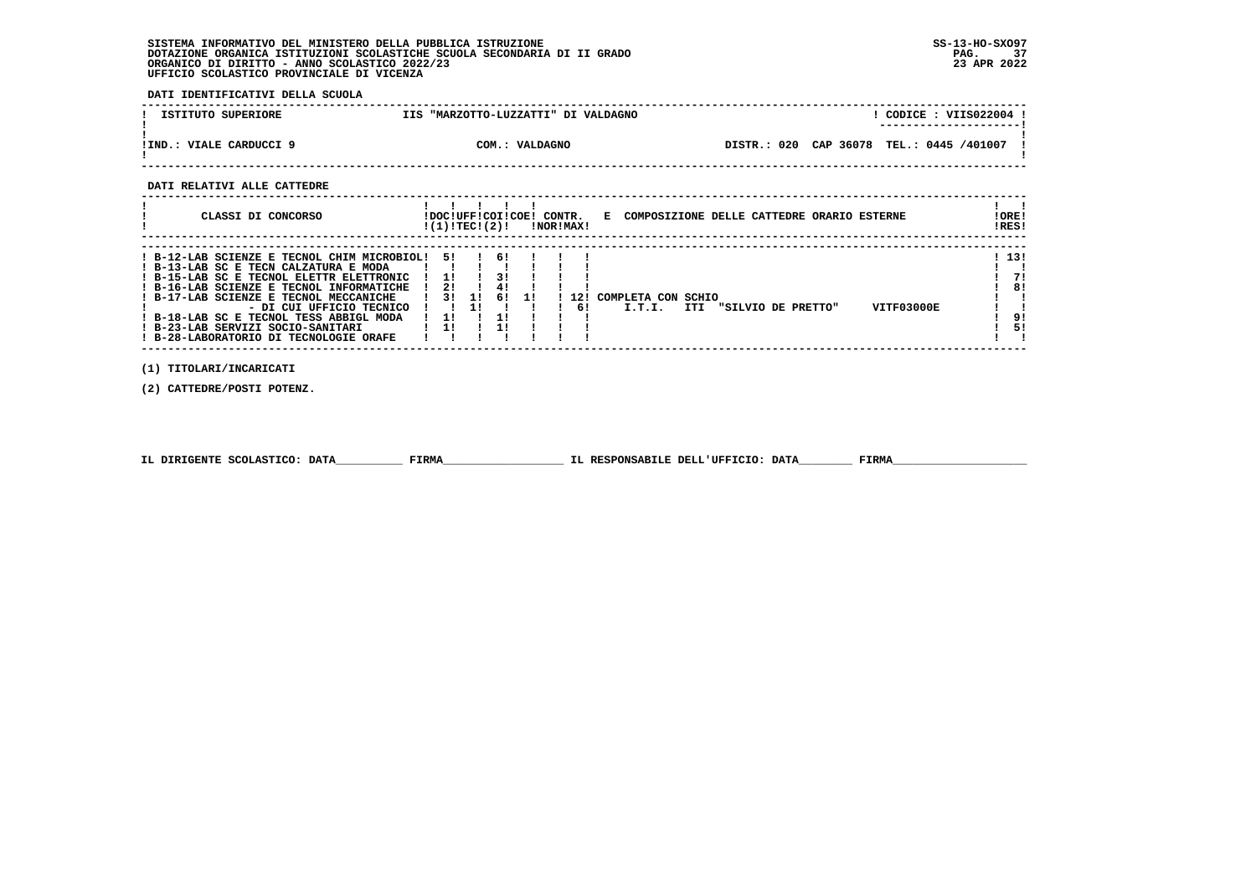# **SISTEMA INFORMATIVO DEL MINISTERO DELLA PUBBLICA ISTRUZIONE SS-13-HO-SXO97 DOTAZIONE ORGANICA ISTITUZIONI SCOLASTICHE SCUOLA SECONDARIA DI II GRADO PAG. 37ORGANICO DI DIRITTO - ANNO SCOLASTICO 2022/23 UFFICIO SCOLASTICO PROVINCIALE DI VICENZA**

 **DATI IDENTIFICATIVI DELLA SCUOLA**

| ISTITUTO SUPERIORE      | "MARZOTTO-LUZZATTI" DI VALDAGNO<br><b>TTS</b> |                                            | CODICE: VIIS022004 !<br>---------------------- |
|-------------------------|-----------------------------------------------|--------------------------------------------|------------------------------------------------|
| !IND.: VIALE CARDUCCI 9 | COM.: VALDAGNO                                | DISTR.: 020 CAP 36078 TEL.: 0445 /401007 ! |                                                |

# **DATI RELATIVI ALLE CATTEDRE**

| CLASSI DI CONCORSO                                                                                                                                                                                                                                                                                                                                                           | IDOCIUFFICOIICOEI CONTR.<br>!(1)!TECI(2)! |    |                      |    | !NOR!MAX!   |                              |     |  |                    | E COMPOSIZIONE DELLE CATTEDRE ORARIO ESTERNE | ! ORE!<br>!RES!               |
|------------------------------------------------------------------------------------------------------------------------------------------------------------------------------------------------------------------------------------------------------------------------------------------------------------------------------------------------------------------------------|-------------------------------------------|----|----------------------|----|-------------|------------------------------|-----|--|--------------------|----------------------------------------------|-------------------------------|
| ! B-12-LAB SCIENZE E TECNOL CHIM MICROBIOL!<br>! B-13-LAB SC E TECN CALZATURA E MODA<br>! B-15-LAB SC E TECNOL ELETTR ELETTRONIC<br>! B-16-LAB SCIENZE E TECNOL INFORMATICHE<br>! B-17-LAB SCIENZE E TECNOL MECCANICHE<br>- DI CUI UFFICIO TECNICO<br>! B-18-LAB SC E TECNOL TESS ABBIGL MODA<br>! B-23-LAB SERVIZI SOCIO-SANITARI<br>! B-28-LABORATORIO DI TECNOLOGIE ORAFE | 51.<br>11<br>21<br>3 I<br>1 !<br>1!       | 1! | 61<br>31<br>41<br>6! | 11 | L 2 1<br>61 | COMPLETA CON SCHIO<br>I.T.I. | ITI |  | "SILVIO DE PRETTO" | VITF03000E                                   | ! 13!<br>71<br>8!<br>91<br>51 |

 **(1) TITOLARI/INCARICATI**

 **(2) CATTEDRE/POSTI POTENZ.**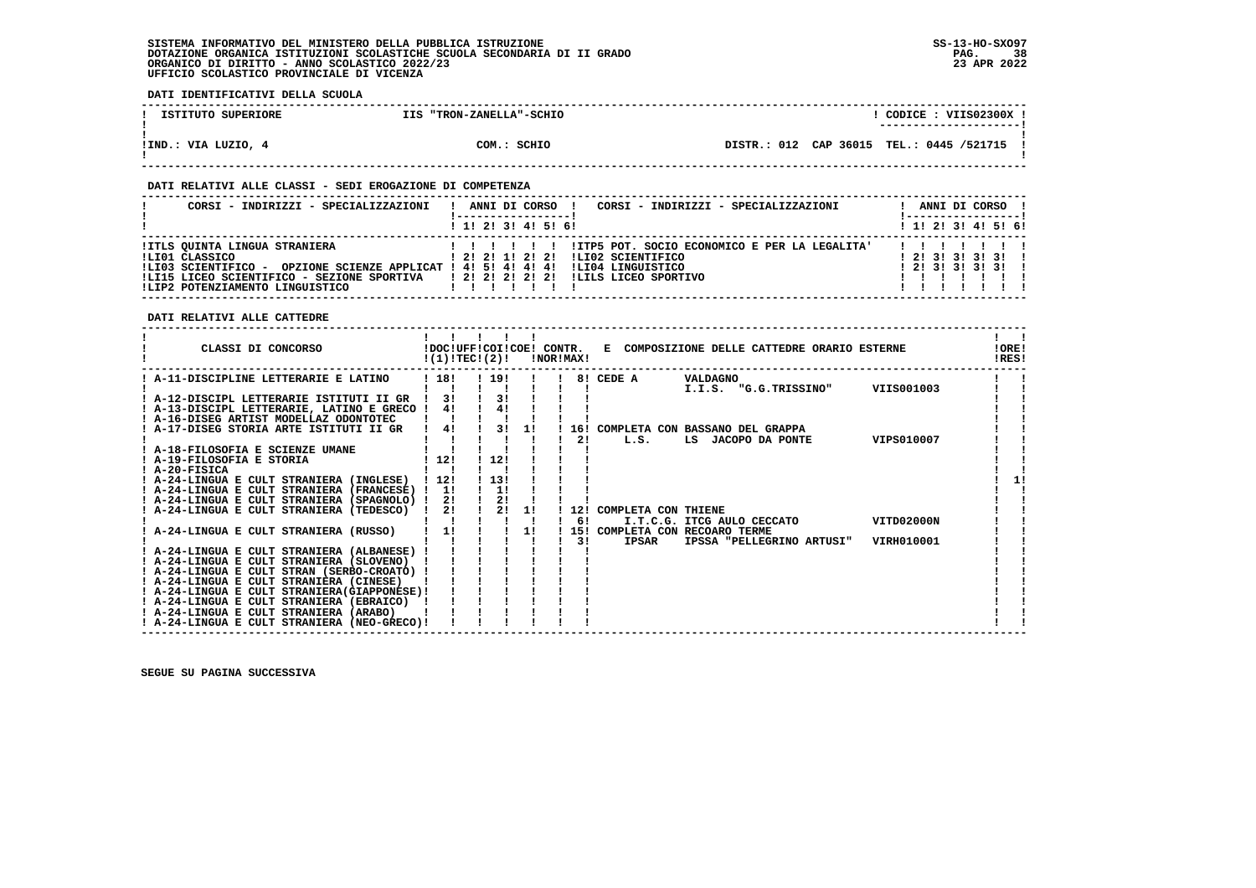# **SISTEMA INFORMATIVO DEL MINISTERO DELLA PUBBLICA ISTRUZIONE SS-13-HO-SXO97 DOTAZIONE ORGANICA ISTITUZIONI SCOLASTICHE SCUOLA SECONDARIA DI II GRADO PAG. 38ORGANICO DI DIRITTO - ANNO SCOLASTICO 2022/23 UFFICIO SCOLASTICO PROVINCIALE DI VICENZA**

 **DATI IDENTIFICATIVI DELLA SCUOLA**

| ISTITUTO SUPERIORE  | IIS "TRON-ZANELLA"-SCHIO | CODICE: VIIS02300X !<br>--------------------- |
|---------------------|--------------------------|-----------------------------------------------|
| !IND.: VIA LUZIO, 4 | COM.: SCHIO              | DISTR.: 012 CAP 36015 TEL.: 0445 /521715 !    |

# **DATI RELATIVI ALLE CLASSI - SEDI EROGAZIONE DI COMPETENZA**

| CORSI - INDIRIZZI - SPECIALIZZAZIONI                                                                                                                                                                                                           | CORSI - INDIRIZZI - SPECIALIZZAZIONI<br>ANNI DI CORSO !                                                        | ANNI DI CORSO !                            |
|------------------------------------------------------------------------------------------------------------------------------------------------------------------------------------------------------------------------------------------------|----------------------------------------------------------------------------------------------------------------|--------------------------------------------|
|                                                                                                                                                                                                                                                | $1$ , 1! 2! 3! 4! 5! 6!                                                                                        | $1$ , 1! 2! 3! 4! 5! 6!                    |
| !ITLS QUINTA LINGUA STRANIERA<br>!LI01 CLASSICO<br>OPZIONE SCIENZE APPLICAT ! 4! 5! 4! 4! 4!<br>ILI03 SCIENTIFICO -<br>!LI15 LICEO SCIENTIFICO - SEZIONE SPORTIVA     ! 2! 2! 2! 2! 2! ILILS LICEO SPORTIVO<br>!LIP2 POTENZIAMENTO LINGUISTICO | !ITP5 POT. SOCIO ECONOMICO E PER LA LEGALITA'<br>ILI02 SCIENTIFICO<br>1 2 1 2 1 1 2 1 2 1<br>ILI04 LINGUISTICO | 1 2 1 3 1 3 1 3 1 1<br>1 2 1 3 1 3 1 3 1 1 |

# **DATI RELATIVI ALLE CATTEDRE**

| CLASSI DI CONCORSO                                                                       |           | !(1)!TEC!(2)! |                | !NOR!MAX! |     | !DOC!UFF!COI!COE! CONTR. E COMPOSIZIONE DELLE CATTEDRE ORARIO ESTERNE      | !ORE!<br>!RES! |
|------------------------------------------------------------------------------------------|-----------|---------------|----------------|-----------|-----|----------------------------------------------------------------------------|----------------|
| ! A-11-DISCIPLINE LETTERARIE E LATINO                                                    | ! 18!     | ! 19!         |                |           |     | 8! CEDE A<br>VALDAGNO                                                      |                |
| ! A-12-DISCIPL LETTERARIE ISTITUTI II GR<br>! A-13-DISCIPL LETTERARIE, LATINO E GRECO !  | 3!<br>41  |               | 3!<br>41       |           |     | VIIS001003<br>I.I.S. "G.G.TRISSINO"                                        |                |
| ! A-16-DISEG ARTIST MODELLAZ ODONTOTEC<br>! A-17-DISEG STORIA ARTE ISTITUTI II GR        | 4!        |               | 3!<br>1!       |           |     | 16! COMPLETA CON BASSANO DEL GRAPPA                                        |                |
| ! A-18-FILOSOFIA E SCIENZE UMANE                                                         |           |               |                |           | 2!  | VIPS010007<br>L.S.<br>LS JACOPO DA PONTE                                   |                |
| ! A-19-FILOSOFIA E STORIA<br>$I$ A-20-FISICA                                             | 12!       | 12!           |                |           |     |                                                                            |                |
| ! A-24-LINGUA E CULT STRANIERA (INGLESE)<br>! A-24-LINGUA E CULT STRANIERA (FRANCESE) !  | 12!<br>1! | 13!<br>1!     |                |           |     |                                                                            |                |
| ! A-24-LINGUA E CULT STRANIERA (SPAGNOLO) !<br>A-24-LINGUA E CULT STRANIERA (TEDESCO)    | 2!<br>2!  |               | 2!<br>2!<br>1! |           | 12! | COMPLETA CON THIENE                                                        |                |
| A-24-LINGUA E CULT STRANIERA (RUSSO)                                                     | 1!        |               | 11             |           | 61  | VITD02000N<br>I.T.C.G. ITCG AULO CECCATO<br>15! COMPLETA CON RECOARO TERME |                |
| ! A-24-LINGUA E CULT STRANIERA (ALBANESE)                                                |           |               |                |           | 31  | <b>IPSAR</b><br>IPSSA "PELLEGRINO ARTUSI"<br>VIRH010001                    |                |
| ! A-24-LINGUA E CULT STRANIERA (SLOVENO)<br>! A-24-LINGUA E CULT STRAN (SERBO-CROATO) !  |           |               |                |           |     |                                                                            |                |
| ! A-24-LINGUA E CULT STRANIERA (CINESE)<br>! A-24-LINGUA E CULT STRANIERA (GIAPPONESE) ! |           |               |                |           |     |                                                                            |                |
| ! A-24-LINGUA E CULT STRANIERA (EBRAICO)<br>! A-24-LINGUA E CULT STRANIERA (ARABO)       |           |               |                |           |     |                                                                            |                |
| ! A-24-LINGUA E CULT STRANIERA (NEO-GRECO)!                                              |           |               |                |           |     |                                                                            |                |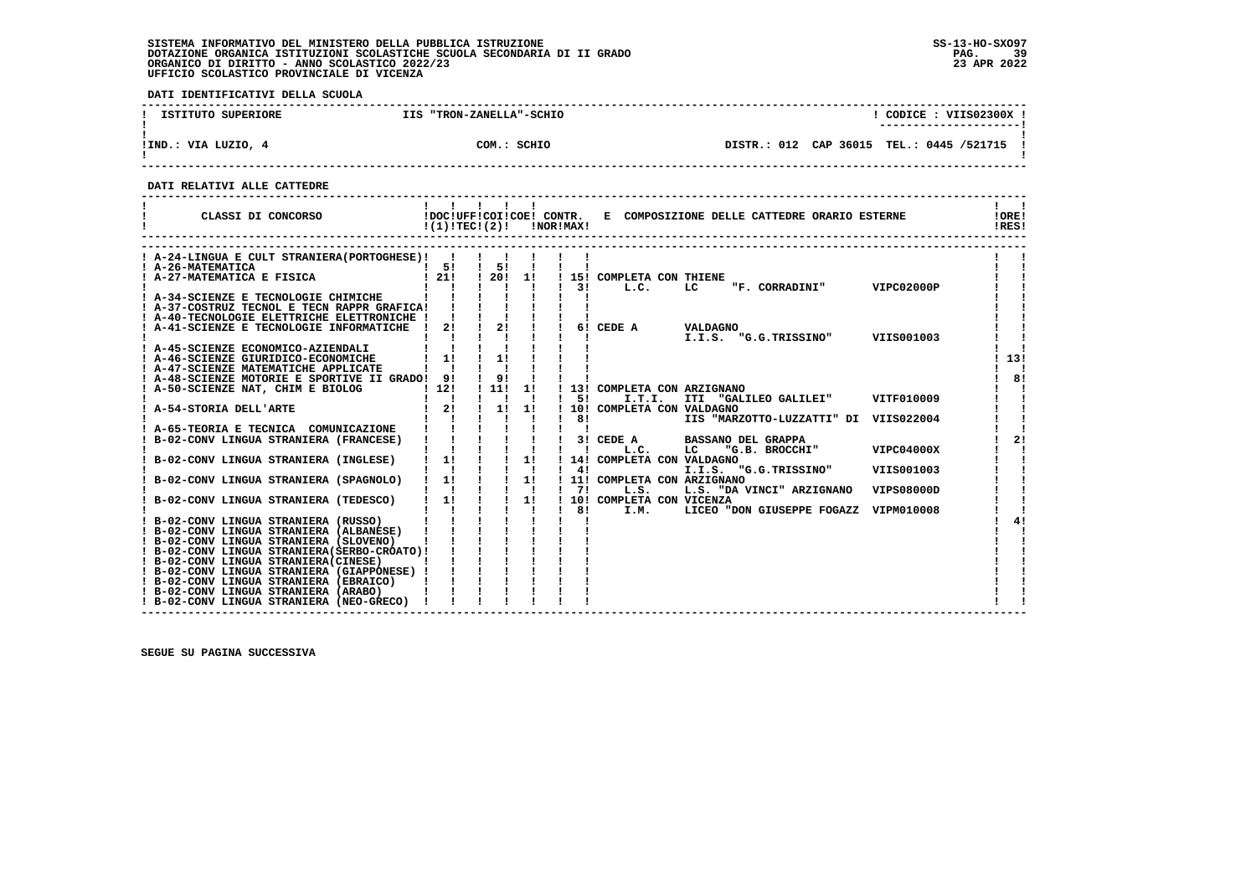# **SISTEMA INFORMATIVO DEL MINISTERO DELLA PUBBLICA ISTRUZIONE SS-13-HO-SXO97 DOTAZIONE ORGANICA ISTITUZIONI SCOLASTICHE SCUOLA SECONDARIA DI II GRADO PAG. 39**ORGANICO DI DIRITTO - ANNO SCOLASTICO 2022/23  **UFFICIO SCOLASTICO PROVINCIALE DI VICENZA**

 **DATI IDENTIFICATIVI DELLA SCUOLA**

| ISTITUTO SUPERIORE  | IIS "TRON-ZANELLA"-SCHIO | CODICE: VIIS02300X !                                                  |
|---------------------|--------------------------|-----------------------------------------------------------------------|
| !IND.: VIA LUZIO, 4 | COM.: SCHIO              | ---------------------- <br>DISTR.: 012 CAP 36015 TEL.: 0445 /521715 ! |

 **------------------------------------------------------------------------------------------------------------------------------------**

 **DATI RELATIVI ALLE CATTEDRE**

| CLASSI DI CONCORSO                                                                   | !(1)!TEC!(2)!                                       |                                           |                | !NOR!MAX! |                                        | !DOC!UFF!COI!COE! CONTR. E COMPOSIZIONE DELLE CATTEDRE ORARIO ESTERNE |                   | !ORE!<br>!RES! |
|--------------------------------------------------------------------------------------|-----------------------------------------------------|-------------------------------------------|----------------|-----------|----------------------------------------|-----------------------------------------------------------------------|-------------------|----------------|
| ! A-24-LINGUA E CULT STRANIERA (PORTOGHESE) !!                                       |                                                     |                                           |                |           |                                        |                                                                       |                   |                |
|                                                                                      |                                                     | $\frac{1}{5!}$                            |                |           |                                        |                                                                       |                   |                |
|                                                                                      |                                                     | 120!11                                    |                |           | ! 15! COMPLETA CON THIENE              |                                                                       |                   |                |
|                                                                                      |                                                     |                                           |                | 31        | L.C.                                   | LC<br>"F. CORRADINI"                                                  | VIPC02000P        |                |
| A-34-SCIENZE E TECNOLOGIE CHIMICHE                                                   |                                                     |                                           |                |           |                                        |                                                                       |                   |                |
| ! A-37-COSTRUZ TECNOL E TECN RAPPR GRAFICA!                                          |                                                     |                                           |                |           |                                        |                                                                       |                   |                |
| ! A-40-TECNOLOGIE ELETTRICHE ELETTRONICHE !                                          |                                                     |                                           |                |           |                                        |                                                                       |                   |                |
| ! A-41-SCIENZE E TECNOLOGIE INFORMATICHE                                             | 21<br>$\mathbf{I}$                                  | 21                                        |                |           | 6! CEDE A                              | <b>VALDAGNO</b>                                                       |                   |                |
|                                                                                      |                                                     |                                           |                |           |                                        | I.I.S. "G.G.TRISSINO"                                                 | VIIS001003        |                |
| ! A-45-SCIENZE ECONOMICO-AZIENDALI                                                   |                                                     |                                           |                |           |                                        |                                                                       |                   |                |
| ! A-46-SCIENZE GIURIDICO-ECONOMICHE                                                  | 11                                                  | 11                                        |                |           |                                        |                                                                       |                   | 13!            |
| ! A-47-SCIENZE MATEMATICHE APPLICATE                                                 |                                                     |                                           |                |           |                                        |                                                                       |                   |                |
| ! A-48-SCIENZE MOTORIE E SPORTIVE II GRADO! 9!                                       |                                                     | 9!                                        |                |           |                                        |                                                                       |                   | 81             |
| ! A-50-SCIENZE NAT, CHIM E BIOLOG                                                    | 112!                                                | ! 11!                                     | -11            | 51        | ! 13! COMPLETA CON ARZIGNANO<br>I.T.I. | ITI "GALILEO GALILEI"                                                 | VITF010009        |                |
| ! A-54-STORIA DELL'ARTE                                                              | 21                                                  | $\frac{1}{2}$                             | 1!             |           | 10! COMPLETA CON VALDAGNO              |                                                                       |                   |                |
|                                                                                      |                                                     | $\mathbf{I}$                              |                | 8!        |                                        | IIS "MARZOTTO-LUZZATTI" DI VIIS022004                                 |                   |                |
| A-65-TEORIA E TECNICA COMUNICAZIONE                                                  | $\mathbf{i}$ $\mathbf{j}$ $\mathbf{k}$ $\mathbf{k}$ |                                           |                |           |                                        |                                                                       |                   |                |
| B-02-CONV LINGUA STRANIERA (FRANCESE)                                                |                                                     | $1 \quad 1 \quad 1$                       | п.             |           | 3! CEDE A                              | <b>BASSANO DEL GRAPPA</b>                                             |                   | 21             |
|                                                                                      |                                                     |                                           |                |           | L.C.                                   | LC<br>"G.B. BROCCHI"                                                  | VIPC04000X        |                |
| B-02-CONV LINGUA STRANIERA (INGLESE)                                                 | $1 \quad 11$                                        |                                           | 1!             |           | 14! COMPLETA CON VALDAGNO              |                                                                       |                   |                |
|                                                                                      |                                                     | $\frac{1}{2}$ $\frac{1}{2}$ $\frac{1}{2}$ |                | 4!        |                                        | I.I.S. "G.G.TRISSINO"                                                 | VIIS001003        |                |
| B-02-CONV LINGUA STRANIERA (SPAGNOLO)                                                | $1 \quad 11$                                        |                                           | $1 - 11$       |           | ! 11! COMPLETA CON ARZIGNANO           |                                                                       |                   |                |
|                                                                                      | $\mathbf{I}$ $\mathbf{I}$                           |                                           | $\blacksquare$ | 71        | L.S.                                   | L.S. "DA VINCI" ARZIGNANO                                             | <b>VIPS08000D</b> |                |
| B-02-CONV LINGUA STRANIERA (TEDESCO)                                                 | $1 \quad 11$                                        |                                           | 11             |           | 10! COMPLETA CON VICENZA               |                                                                       |                   |                |
|                                                                                      |                                                     |                                           |                | 81        | I.M.                                   | LICEO "DON GIUSEPPE FOGAZZ                                            | VIPM010008        |                |
| ! B-02-CONV LINGUA STRANIERA (RUSSO)                                                 |                                                     |                                           |                |           |                                        |                                                                       |                   | 41             |
| ! B-02-CONV LINGUA STRANIERA (ALBANESE)                                              |                                                     |                                           |                |           |                                        |                                                                       |                   |                |
| ! B-02-CONV LINGUA STRANIERA (SLOVENO)                                               |                                                     |                                           |                |           |                                        |                                                                       |                   |                |
| ! B-02-CONV LINGUA STRANIERA (SERBO-CROATO) !                                        |                                                     |                                           |                |           |                                        |                                                                       |                   |                |
| ! B-02-CONV LINGUA STRANIERA (CINESE)<br>! B-02-CONV LINGUA STRANIERA (GIAPPONESE) ! |                                                     |                                           |                |           |                                        |                                                                       |                   |                |
| ! B-02-CONV LINGUA STRANIERA (EBRAICO)                                               |                                                     |                                           |                |           |                                        |                                                                       |                   |                |
| ! B-02-CONV LINGUA STRANIERA (ARABO)                                                 |                                                     |                                           |                |           |                                        |                                                                       |                   |                |
| ! B-02-CONV LINGUA STRANIERA (NEO-GRECO)                                             |                                                     |                                           |                |           |                                        |                                                                       |                   |                |

 **------------------------------------------------------------------------------------------------------------------------------------**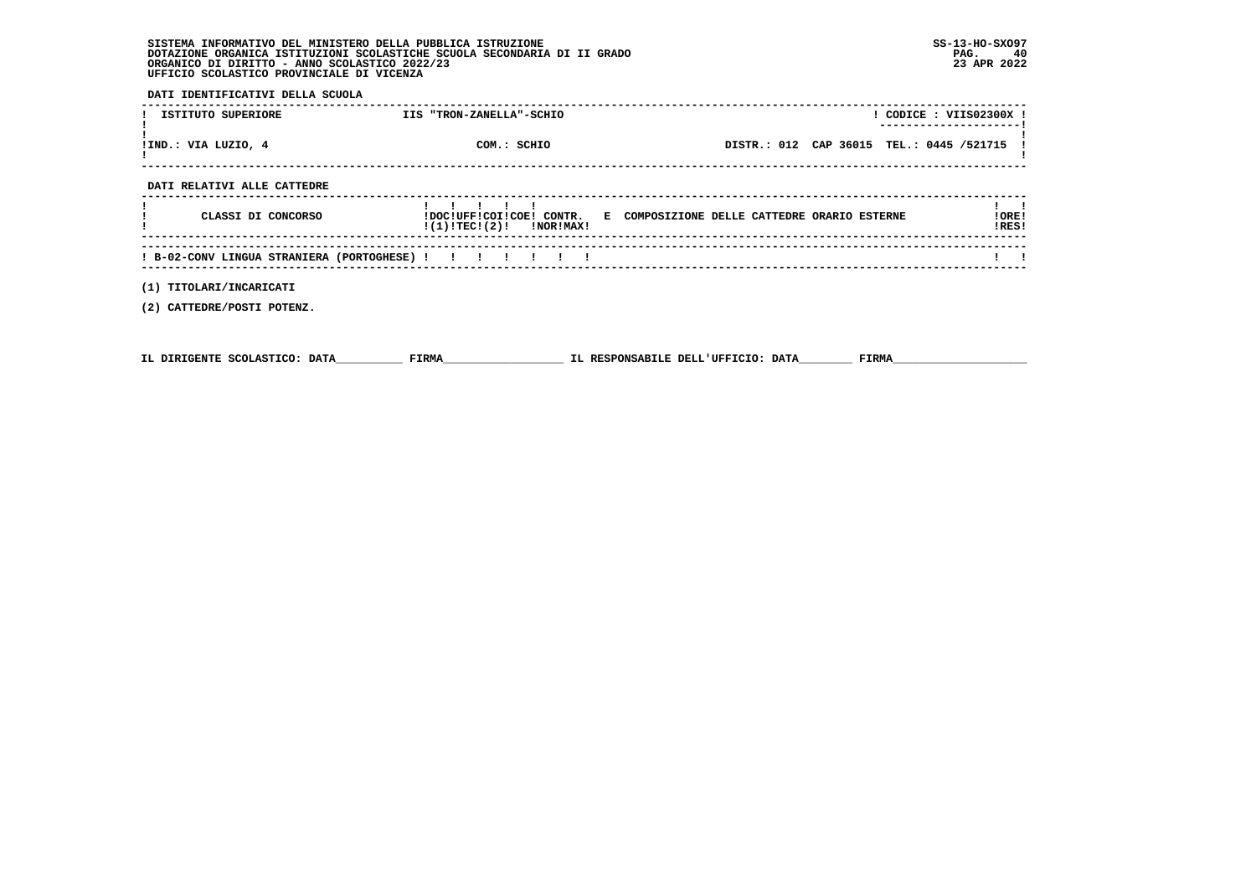# **SISTEMA INFORMATIVO DEL MINISTERO DELLA PUBBLICA ISTRUZIONE SS-13-HO-SXO97 DOTAZIONE ORGANICA ISTITUZIONI SCOLASTICHE SCUOLA SECONDARIA DI II GRADO PAG. 40**ORGANICO DI DIRITTO - ANNO SCOLASTICO 2022/23  **UFFICIO SCOLASTICO PROVINCIALE DI VICENZA**

 **DATI IDENTIFICATIVI DELLA SCUOLA**

| ISTITUTO SUPERIORE          | IIS "TRON-ZANELLA"-SCHIO          |                                                                       | CODICE: VIIS02300X ! |
|-----------------------------|-----------------------------------|-----------------------------------------------------------------------|----------------------|
| !IND.: VIA LUZIO, 4         | COM.: SCHIO                       | DISTR.: 012 CAP 36015 TEL.: 0445 /521715                              |                      |
| DATI RELATIVI ALLE CATTEDRE |                                   |                                                                       |                      |
| CLASSI DI CONCORSO          | !(1)!TEC!(2)!<br><b>!NOR!MAX!</b> | !DOC!UFF!COI!COE! CONTR. E COMPOSIZIONE DELLE CATTEDRE ORARIO ESTERNE | !ORE!<br>!RES!       |
|                             |                                   |                                                                       |                      |

 **------------------------------------------------------------------------------------------------------------------------------------ ! B-02-CONV LINGUA STRANIERA (PORTOGHESE) ! ! ! ! ! ! ! ! !** $\mathbf{1}$   $\mathbf{1}$  **------------------------------------------------------------------------------------------------------------------------------------**

 **(1) TITOLARI/INCARICATI**

 **(2) CATTEDRE/POSTI POTENZ.**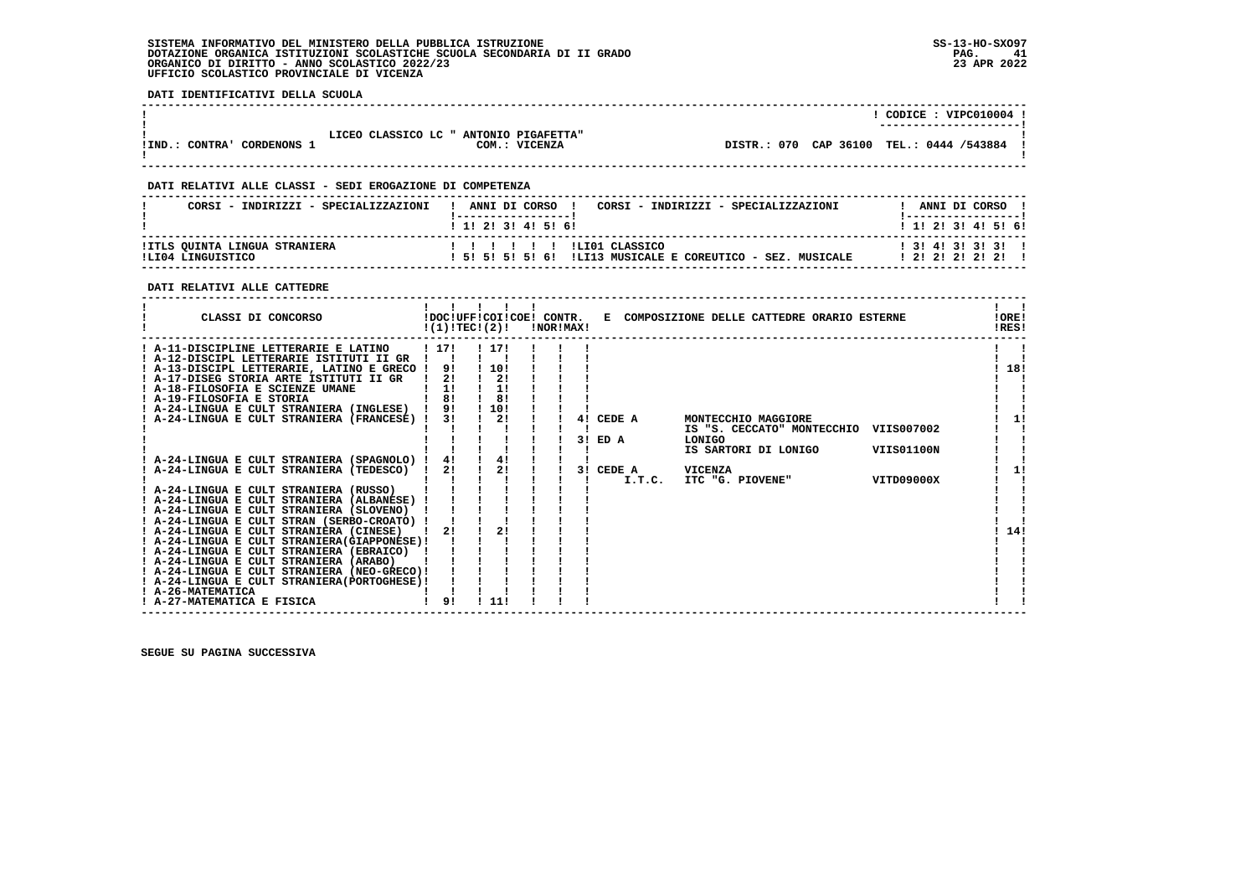## **SISTEMA INFORMATIVO DEL MINISTERO DELLA PUBBLICA ISTRUZIONE SS-13-HO-SXO97 DOTAZIONE ORGANICA ISTITUZIONI SCOLASTICHE SCUOLA SECONDARIA DI II GRADO** ORGANICO DI DIRITTO - ANNO SCOLASTICO 2022/23  **UFFICIO SCOLASTICO PROVINCIALE DI VICENZA**

 **DATI IDENTIFICATIVI DELLA SCUOLA**

|                               |                                                         | CODICE: VIPC010004 !<br>----------------------- |
|-------------------------------|---------------------------------------------------------|-------------------------------------------------|
| CORDENONS 1<br>!IND.: CONTRA' | LICEO CLASSICO LC " ANTONIO PIGAFETTA"<br>COM.: VICENZA | DISTR.: 070 CAP 36100 TEL.: 0444 /543884 !      |

 **------------------------------------------------------------------------------------------------------------------------------------**

# **DATI RELATIVI ALLE CLASSI - SEDI EROGAZIONE DI COMPETENZA**

| CORSI - INDIRIZZI - SPECIALIZZAZIONI               | ANNI DI CORSO<br>CORSI - INDIRIZZI - SPECIALIZZAZIONI<br>$1$ 1! 2! 3! 4! 5! 6!   | ANNI DI CORSO<br>1 1 2 3 3 4 5 5 6            |
|----------------------------------------------------|----------------------------------------------------------------------------------|-----------------------------------------------|
| !ITLS QUINTA LINGUA STRANIERA<br>ILT04 LINGUISTICO | ILIO1 CLASSICO<br>.<br>ILI13 MUSICALE E COREUTICO - SEZ. MUSICALE<br>15151515161 | $1$ 3! 4! 3! 3! 3! 1<br>1 2 1 2 1 2 1 2 1 2 1 |

#### **DATI RELATIVI ALLE CATTEDRE**

| CLASSI DI CONCORSO                                                                                                                                                              |                   | !(1)!TEC!(2)!                   | !NOR!MAX! |    |                     | !DOC!UFF!COI!COE! CONTR. E COMPOSIZIONE DELLE CATTEDRE ORARIO ESTERNE |            | !ORE!<br>!RES! |
|---------------------------------------------------------------------------------------------------------------------------------------------------------------------------------|-------------------|---------------------------------|-----------|----|---------------------|-----------------------------------------------------------------------|------------|----------------|
| ! A-11-DISCIPLINE LETTERARIE E LATINO<br>! A-12-DISCIPL LETTERARIE ISTITUTI II GR<br>! A-13-DISCIPL LETTERARIE, LATINO E GRECO !<br>! A-17-DISEG STORIA ARTE ISTITUTI II GR   ! | ! 17!<br>91<br>2! | ! 17!<br>! 10!<br>$\frac{1}{2}$ |           |    |                     |                                                                       |            | 18!            |
| ! A-18-FILOSOFIA E SCIENZE UMANE<br>! A-19-FILOSOFIA E STORIA                                                                                                                   | 1!<br>81          | 1!<br>8!                        |           |    |                     |                                                                       |            |                |
| ! A-24-LINGUA E CULT STRANIERA (INGLESE) ! 9!<br>! A-24-LINGUA E CULT STRANIERA (FRANCESE) !                                                                                    | 3 I               | ! 10!<br>2!                     |           |    | 4! CEDE A           | MONTECCHIO MAGGIORE<br>IS "S. CECCATO" MONTECCHIO VIIS007002          |            | 11             |
| ! A-24-LINGUA E CULT STRANIERA (SPAGNOLO) !                                                                                                                                     | 4!                | 4!                              |           | 31 | ED A                | LONIGO<br>IS SARTORI DI LONIGO                                        | VIIS01100N |                |
| ! A-24-LINGUA E CULT STRANIERA (TEDESCO) !                                                                                                                                      | 21                | 21                              |           |    | 3! CEDE A<br>I.T.C. | VICENZA<br>ITC "G. PIOVENE"                                           | VITD09000X | 11             |
| ! A-24-LINGUA E CULT STRANIERA (RUSSO)<br>! A-24-LINGUA E CULT STRANIERA (ALBANESE) !<br>! A-24-LINGUA E CULT STRANIERA (SLOVENO)                                               |                   |                                 |           |    |                     |                                                                       |            |                |
| ! A-24-LINGUA E CULT STRAN (SERBO-CROATO) !<br>! A-24-LINGUA E CULT STRANIERA (CINESE)<br>! A-24-LINGUA E CULT STRANIERA (GIAPPONESE) !                                         | 21                | 21                              |           |    |                     |                                                                       |            | 14!            |
| ! A-24-LINGUA E CULT STRANIERA (EBRAICO) !<br>! A-24-LINGUA E CULT STRANIERA (ARABO)                                                                                            |                   |                                 |           |    |                     |                                                                       |            |                |
| ! A-24-LINGUA E CULT STRANIERA (NEO-GRECO)!<br>! A-24-LINGUA E CULT STRANIERA (PORTOGHESE) !<br>! A-26-MATEMATICA                                                               |                   |                                 |           |    |                     |                                                                       |            |                |
| ! A-27-MATEMATICA E FISICA                                                                                                                                                      | 91                | 11!                             |           |    |                     |                                                                       |            |                |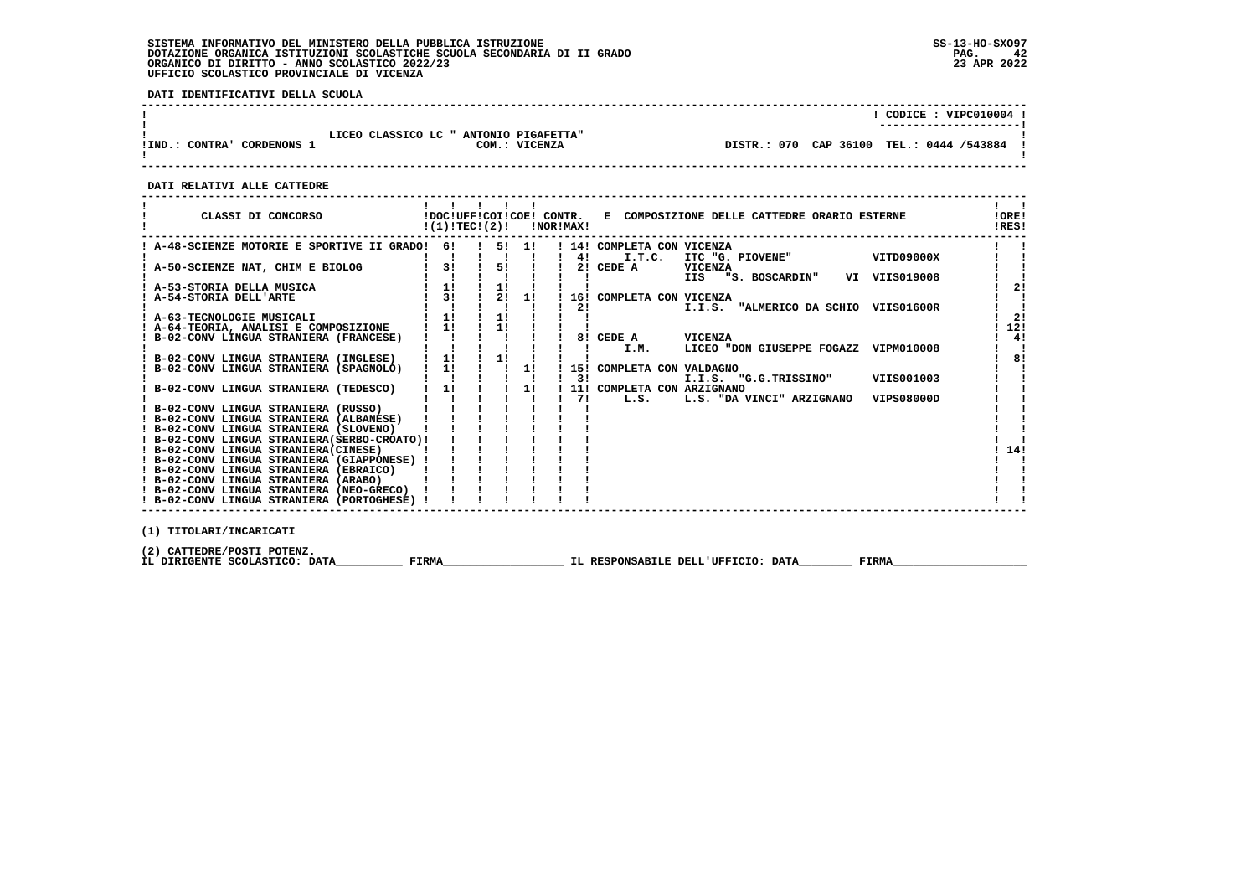# **SISTEMA INFORMATIVO DEL MINISTERO DELLA PUBBLICA ISTRUZIONE SS-13-HO-SXO97 DOTAZIONE ORGANICA ISTITUZIONI SCOLASTICHE SCUOLA SECONDARIA DI II GRADO PAG. 42 ORGANICO DI DIRITTO - ANNO SCOLASTICO 2022/23 23 APR 2022 UFFICIO SCOLASTICO PROVINCIALE DI VICENZA**

 **DATI IDENTIFICATIVI DELLA SCUOLA**

|                                      |                                                         | CODICE: VIPC010004 !<br>----------------------- |
|--------------------------------------|---------------------------------------------------------|-------------------------------------------------|
| CORDENONS<br><b>CONTRA'</b><br>'IND. | LICEO CLASSICO LC " ANTONIO PIGAFETTA"<br>COM.: VICENZA | DISTR.: 070 CAP 36100 TEL.: 0444 /543884        |

 **------------------------------------------------------------------------------------------------------------------------------------**

 **DATI RELATIVI ALLE CATTEDRE**

| CLASSI DI CONCORSO                            | !(1)!TEC!(2)! |    |    | !NOR!MAX! |     | !DOC!UFF!COI!COE! CONTR. E COMPOSIZIONE DELLE CATTEDRE ORARIO ESTERNE | !ORE!<br>!RES! |  |
|-----------------------------------------------|---------------|----|----|-----------|-----|-----------------------------------------------------------------------|----------------|--|
| A-48-SCIENZE MOTORIE E SPORTIVE II GRADO!     | 61            | 51 | 11 |           |     | 14! COMPLETA CON VICENZA                                              |                |  |
|                                               |               |    |    |           | 4!  | VITD09000X<br>I.T.C.<br>ITC "G. PIOVENE"                              |                |  |
| A-50-SCIENZE NAT, CHIM E BIOLOG               | 3!            | 5! |    |           | 2!  | CEDE A<br>VICENZA                                                     |                |  |
|                                               |               |    |    |           |     | IIS "S. BOSCARDIN"<br>VI VIIS019008                                   |                |  |
| ! A-53-STORIA DELLA MUSICA                    | 1!            | 1! |    |           |     |                                                                       | 2!             |  |
| A-54-STORIA DELL'ARTE                         | 3!            | 21 | 1! |           |     | 16! COMPLETA CON VICENZA                                              |                |  |
|                                               |               |    |    |           | 2!  | I.I.S. "ALMERICO DA SCHIO<br>VIIS01600R                               |                |  |
| ! A-63-TECNOLOGIE MUSICALI                    | 1!            | 1! |    |           |     |                                                                       | 2 <sub>1</sub> |  |
| ! A-64-TEORIA, ANALISI E COMPOSIZIONE         | 11            | 1! |    |           |     |                                                                       | 12!            |  |
| ! B-02-CONV LINGUA STRANIERA (FRANCESE)       |               |    |    |           |     | 8! CEDE A<br>VICENZA                                                  | 4!             |  |
|                                               |               |    |    |           |     | LICEO "DON GIUSEPPE FOGAZZ VIPM010008<br>I.M.                         |                |  |
| B-02-CONV LINGUA STRANIERA (INGLESE)          | 1!            | 1! |    |           |     |                                                                       | 8!             |  |
| B-02-CONV LINGUA STRANIERA (SPAGNOLO)         | 1!            |    | 1! |           | 15! | COMPLETA CON VALDAGNO                                                 |                |  |
|                                               |               |    |    |           | 31  | VIIS001003<br>I.I.S. "G.G.TRISSINO"                                   |                |  |
| B-02-CONV LINGUA STRANIERA (TEDESCO)          | 1!            |    | 11 |           |     | 11! COMPLETA CON ARZIGNANO                                            |                |  |
|                                               |               |    |    |           | 71  | L.S.<br>L.S. "DA VINCI" ARZIGNANO<br>VIPS08000D                       |                |  |
| ! B-02-CONV LINGUA STRANIERA (RUSSO)          |               |    |    |           |     |                                                                       |                |  |
| ! B-02-CONV LINGUA STRANIERA (ALBANESE)       |               |    |    |           |     |                                                                       |                |  |
| ! B-02-CONV LINGUA STRANIERA (SLOVENO)        |               |    |    |           |     |                                                                       |                |  |
| ! B-02-CONV LINGUA STRANIERA (SERBO-CROATO) ! |               |    |    |           |     |                                                                       |                |  |
| ! B-02-CONV LINGUA STRANIERA (CINESE)         |               |    |    |           |     |                                                                       | 14!            |  |
| ! B-02-CONV LINGUA STRANIERA (GIAPPONESE) !   |               |    |    |           |     |                                                                       |                |  |
| ! B-02-CONV LINGUA STRANIERA (EBRAICO)        |               |    |    |           |     |                                                                       |                |  |
| ! B-02-CONV LINGUA STRANIERA (ARABO)          |               |    |    |           |     |                                                                       |                |  |
| ! B-02-CONV LINGUA STRANIERA (NEO-GRECO)      |               |    |    |           |     |                                                                       |                |  |
| ! B-02-CONV LINGUA STRANIERA (PORTOGHESE)     |               |    |    |           |     |                                                                       |                |  |
|                                               |               |    |    |           |     |                                                                       |                |  |

 **(1) TITOLARI/INCARICATI**

(2) CATTEDRE/POSTI POTENZ**.**<br>IL DIRIGENTE SCOLASTICO: DATA\_\_\_\_\_\_\_\_\_\_\_\_ FIRMA\_\_\_\_\_\_\_\_\_\_\_\_\_\_\_\_\_\_\_\_\_\_\_\_IL RESPONSABILE DELL'UFFICIO: DATA\_\_\_\_\_\_\_\_\_\_\_ FIRMA\_\_\_\_\_\_\_\_\_\_\_\_\_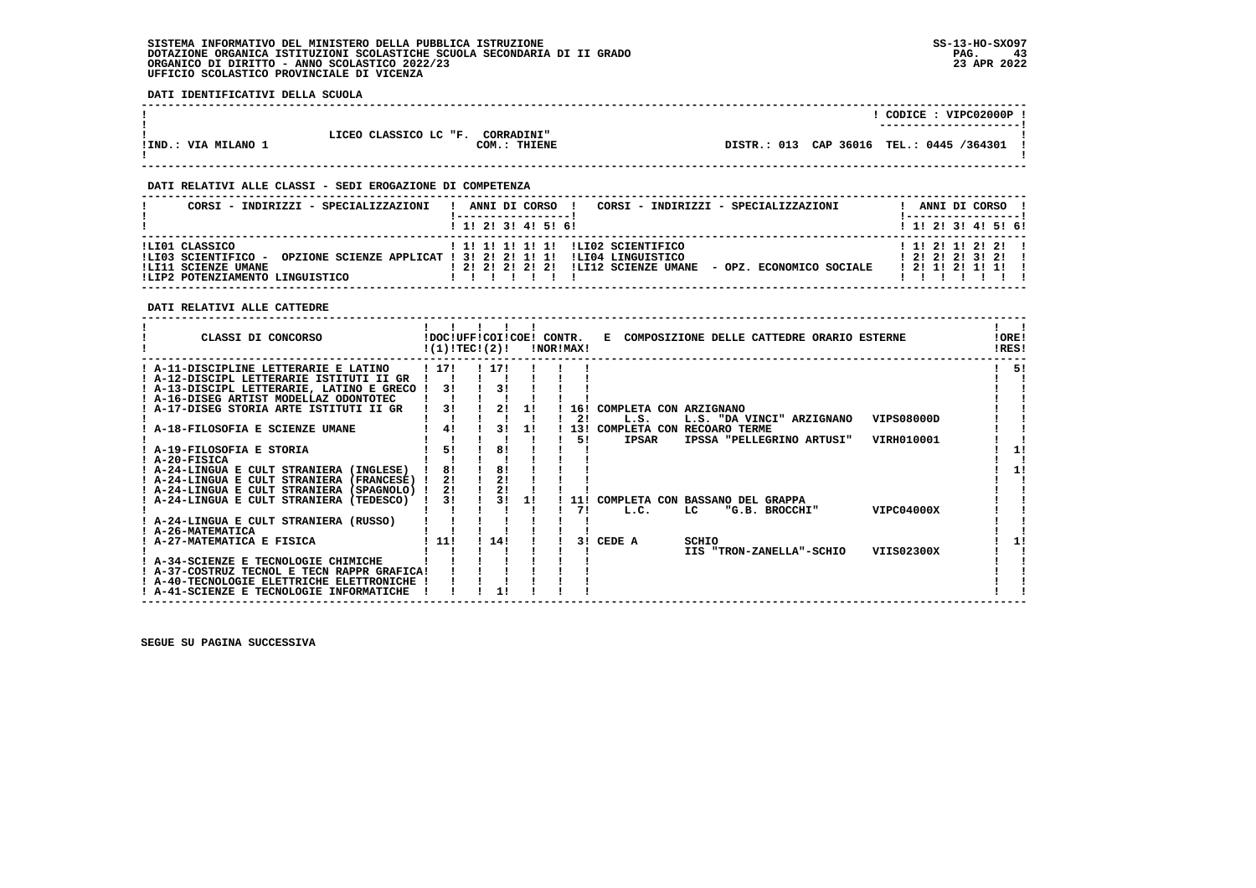**DATI IDENTIFICATIVI DELLA SCUOLA**

|                   |                                            | CODICE: VIPC02000P                       |  |
|-------------------|--------------------------------------------|------------------------------------------|--|
|                   |                                            | -----------------------                  |  |
|                   | LICEO CLASSICO LC "F.<br><b>CORRADINI"</b> |                                          |  |
| !IND.: VIA MILANO | COM.: THIENE                               | DISTR.: 013 CAP 36016 TEL.: 0445 /364301 |  |
|                   |                                            |                                          |  |

 **------------------------------------------------------------------------------------------------------------------------------------**

# **DATI RELATIVI ALLE CLASSI - SEDI EROGAZIONE DI COMPETENZA**

| CORSI - INDIRIZZI - SPECIALIZZAZIONI                                                            | CORSI - INDIRIZZI - SPECIALIZZAZIONI<br>ANNI DI CORSO                                                                                                              | ANNI DI CORSO                                                     |
|-------------------------------------------------------------------------------------------------|--------------------------------------------------------------------------------------------------------------------------------------------------------------------|-------------------------------------------------------------------|
|                                                                                                 | $1$ , 1! 2! 3! 4! 5! 6!                                                                                                                                            | $1$ 1! 2! 3! 4! 5! 6!                                             |
| !LI01 CLASSICO<br>!LI03 SCIENTIFICO -<br>ILI11 SCIENZE UMANE<br>!LIP2 POTENZIAMENTO LINGUISTICO | ! 1! 1! 1! 1! 1! !LI02 SCIENTIFICO<br>OPZIONE SCIENZE APPLICAT ! 3! 2! 2! 1! 1! !LI04 LINGUISTICO<br>! 2! 2! 2! 2! 2! !LI12 SCIENZE UMANE - OPZ. ECONOMICO SOCIALE | $1 \; 11 \; 21 \; 11 \; 21 \; 21 \; 1$<br>1 2 1 2 1 2 1 3 1 2 1 1 |

 **DATI RELATIVI ALLE CATTEDRE**

| CLASSI DI CONCORSO                          |       | !DOC!UFF!COI!COE! CONTR.<br>!(1)!TECI(2)! |    | !NOR!MAX! |     |                        | E COMPOSIZIONE DELLE CATTEDRE ORARIO ESTERNE |            | !ORE!<br>!RES! |
|---------------------------------------------|-------|-------------------------------------------|----|-----------|-----|------------------------|----------------------------------------------|------------|----------------|
| ! A-11-DISCIPLINE LETTERARIE E LATINO       | ! 17! | ! 17!                                     |    |           |     |                        |                                              |            | -51            |
| ! A-12-DISCIPL LETTERARIE ISTITUTI II GR    |       |                                           |    |           |     |                        |                                              |            |                |
| ! A-13-DISCIPL LETTERARIE, LATINO E GRECO ! | 31    | 31                                        |    |           |     |                        |                                              |            |                |
| ! A-16-DISEG ARTIST MODELLAZ ODONTOTEC      |       |                                           |    |           |     |                        |                                              |            |                |
| A-17-DISEG STORIA ARTE ISTITUTI II GR       | 3!    | 2!                                        | 1! |           | 16! | COMPLETA CON ARZIGNANO |                                              |            |                |
|                                             |       |                                           |    |           | 21  | L.S.                   | L.S. "DA VINCI" ARZIGNANO                    | VIPS08000D |                |
| A-18-FILOSOFIA E SCIENZE UMANE              | 4!    | 31                                        | 1! |           | 131 | COMPLETA CON           | <b>RECOARO TERME</b>                         |            |                |
|                                             |       |                                           |    |           | 51  | <b>IPSAR</b>           | IPSSA "PELLEGRINO ARTUSI"                    | VIRH010001 |                |
| ! A-19-FILOSOFIA E STORIA                   | 51    | 81                                        |    |           |     |                        |                                              |            |                |
| ! A-20-FISICA                               |       |                                           |    |           |     |                        |                                              |            |                |
| ! A-24-LINGUA E CULT STRANIERA (INGLESE)    | 81    | 81                                        |    |           |     |                        |                                              |            | 11             |
| ! A-24-LINGUA E CULT STRANIERA (FRANCESE) ! | 21    | 21                                        |    |           |     |                        |                                              |            |                |
| ! A-24-LINGUA E CULT STRANIERA (SPAGNOLO) ! | 21    | 21                                        |    |           |     |                        |                                              |            |                |
| ! A-24-LINGUA E CULT STRANIERA (TEDESCO)    | 3!    | 31                                        | 1! |           | 11! |                        | COMPLETA CON BASSANO DEL GRAPPA              |            |                |
|                                             |       |                                           |    |           | 71  | L.C.                   | LC<br>"G.B. BROCCHI"                         | VIPC04000X |                |
| ! A-24-LINGUA E CULT STRANIERA (RUSSO)      |       |                                           |    |           |     |                        |                                              |            |                |
| ! A-26-MATEMATICA                           |       |                                           |    |           |     |                        |                                              |            |                |
| A-27-MATEMATICA E FISICA                    | ! 11! | 14!                                       |    |           | 3 I | CEDE A                 | SCHIO                                        |            |                |
|                                             |       |                                           |    |           |     |                        | IIS "TRON-ZANELLA"-SCHIO                     | VIIS02300X |                |
| ! A-34-SCIENZE E TECNOLOGIE CHIMICHE        |       |                                           |    |           |     |                        |                                              |            |                |
| ! A-37-COSTRUZ TECNOL E TECN RAPPR GRAFICA! |       |                                           |    |           |     |                        |                                              |            |                |
| ! A-40-TECNOLOGIE ELETTRICHE ELETTRONICHE   |       |                                           |    |           |     |                        |                                              |            |                |
| ! A-41-SCIENZE E TECNOLOGIE INFORMATICHE    |       |                                           |    |           |     |                        |                                              |            |                |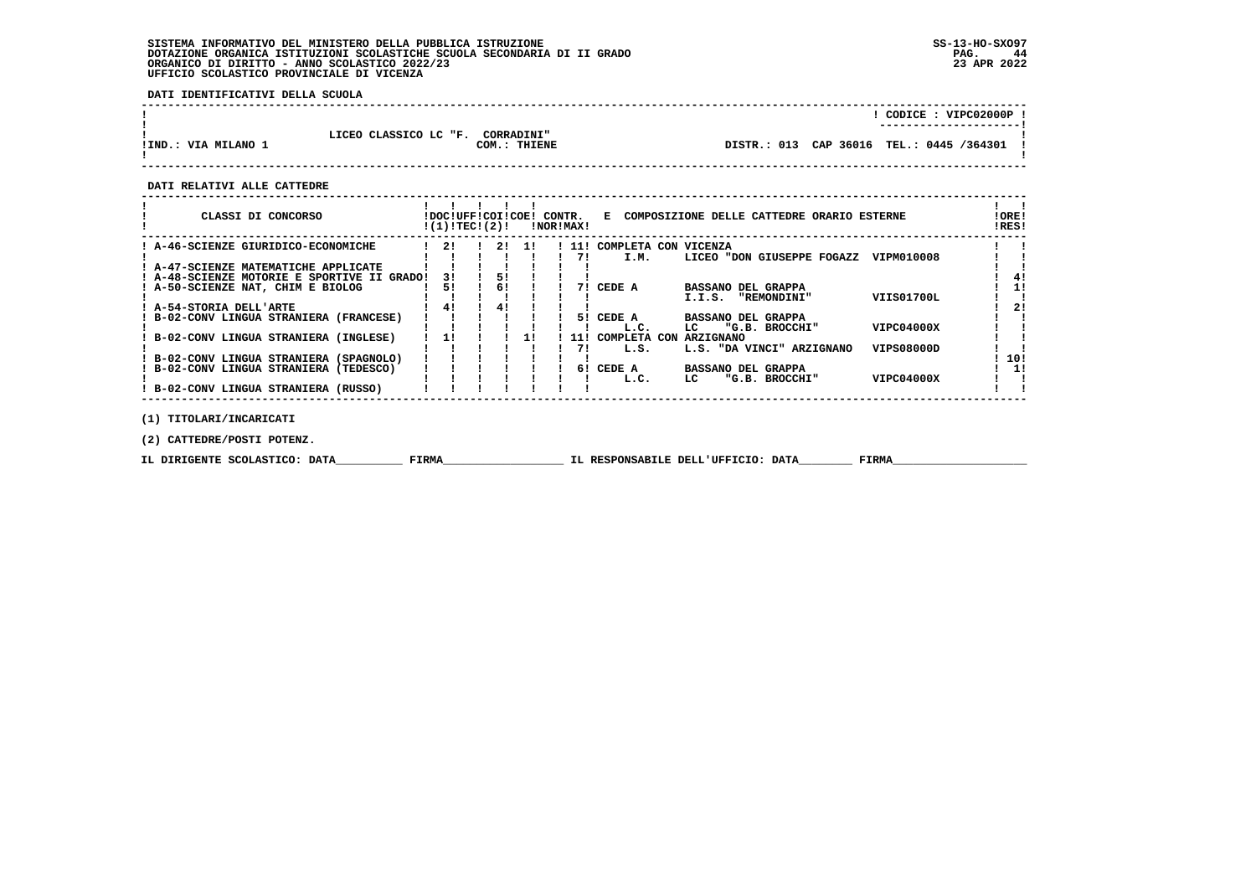# **SISTEMA INFORMATIVO DEL MINISTERO DELLA PUBBLICA ISTRUZIONE SS-13-HO-SXO97 DOTAZIONE ORGANICA ISTITUZIONI SCOLASTICHE SCUOLA SECONDARIA DI II GRADO PAG. 44 ORGANICO DI DIRITTO - ANNO SCOLASTICO 2022/23 23 APR 2022 UFFICIO SCOLASTICO PROVINCIALE DI VICENZA**

 **DATI IDENTIFICATIVI DELLA SCUOLA**

|                     |                                                            | CODICE: VIPC02000P !<br>---------------------- |
|---------------------|------------------------------------------------------------|------------------------------------------------|
| !IND.: VIA MILANO 1 | LICEO CLASSICO LC "F.<br><b>CORRADINI"</b><br>COM.: THIENE | DISTR.: 013 CAP 36016 TEL.: 0445 /364301       |

 **------------------------------------------------------------------------------------------------------------------------------------**

 **DATI RELATIVI ALLE CATTEDRE**

| CLASSI DI CONCORSO                          | !DOC!UFF!COI!COE! CONTR.<br>!(1)!TEC!(2)! |    |     | !NOR!MAX! |     |                      | E COMPOSIZIONE DELLE CATTEDRE ORARIO ESTERNE   | !ORE!<br>!RES! |
|---------------------------------------------|-------------------------------------------|----|-----|-----------|-----|----------------------|------------------------------------------------|----------------|
| : A-46-SCIENZE GIURIDICO-ECONOMICHE         | 21                                        | 21 | -11 |           | 11! | COMPLETA CON VICENZA |                                                |                |
|                                             |                                           |    |     |           | 71  | I.M.                 | VIPM010008<br>LICEO "DON GIUSEPPE FOGAZZ       |                |
| ! A-47-SCIENZE MATEMATICHE APPLICATE        |                                           |    |     |           |     |                      |                                                |                |
| ! A-48-SCIENZE MOTORIE E SPORTIVE II GRADO! | 31                                        | 51 |     |           |     |                      |                                                | 41             |
| ! A-50-SCIENZE NAT, CHIM E BIOLOG           | 51                                        | 61 |     |           | 71  | CEDE A               | <b>BASSANO DEL GRAPPA</b>                      | 11             |
|                                             |                                           |    |     |           |     |                      | VIIS01700L<br><b>"REMONDINI"</b><br>I.I.S.     |                |
| ! A-54-STORIA DELL'ARTE                     | 41                                        | 41 |     |           |     |                      |                                                | 2!             |
| B-02-CONV LINGUA STRANIERA (FRANCESE)       |                                           |    |     |           | 51. | CEDE A               | <b>BASSANO DEL GRAPPA</b>                      |                |
|                                             |                                           |    |     |           |     | L.C.                 | VIPC04000X<br>"G.B. BROCCHI"<br>LC.            |                |
| ! B-02-CONV LINGUA STRANIERA (INGLESE)      |                                           |    |     |           | 11! |                      | COMPLETA CON ARZIGNANO                         |                |
|                                             |                                           |    |     |           | 71  | L.S.                 | <b>VIPS08000D</b><br>L.S. "DA VINCI" ARZIGNANO |                |
| ! B-02-CONV LINGUA STRANIERA (SPAGNOLO)     |                                           |    |     |           |     |                      |                                                | 10!            |
| ! B-02-CONV LINGUA STRANIERA (TEDESCO)      |                                           |    |     |           | 61  | CEDE A               | <b>BASSANO DEL GRAPPA</b>                      | 1!             |
|                                             |                                           |    |     |           |     | L.C.                 | "G.B. BROCCHI"<br>VIPC04000X<br>LC             |                |
| ! B-02-CONV LINGUA STRANIERA (RUSSO)        |                                           |    |     |           |     |                      |                                                |                |
| (1) TITOLARI/INCARICATI                     |                                           |    |     |           |     |                      |                                                |                |

 **(2) CATTEDRE/POSTI POTENZ.**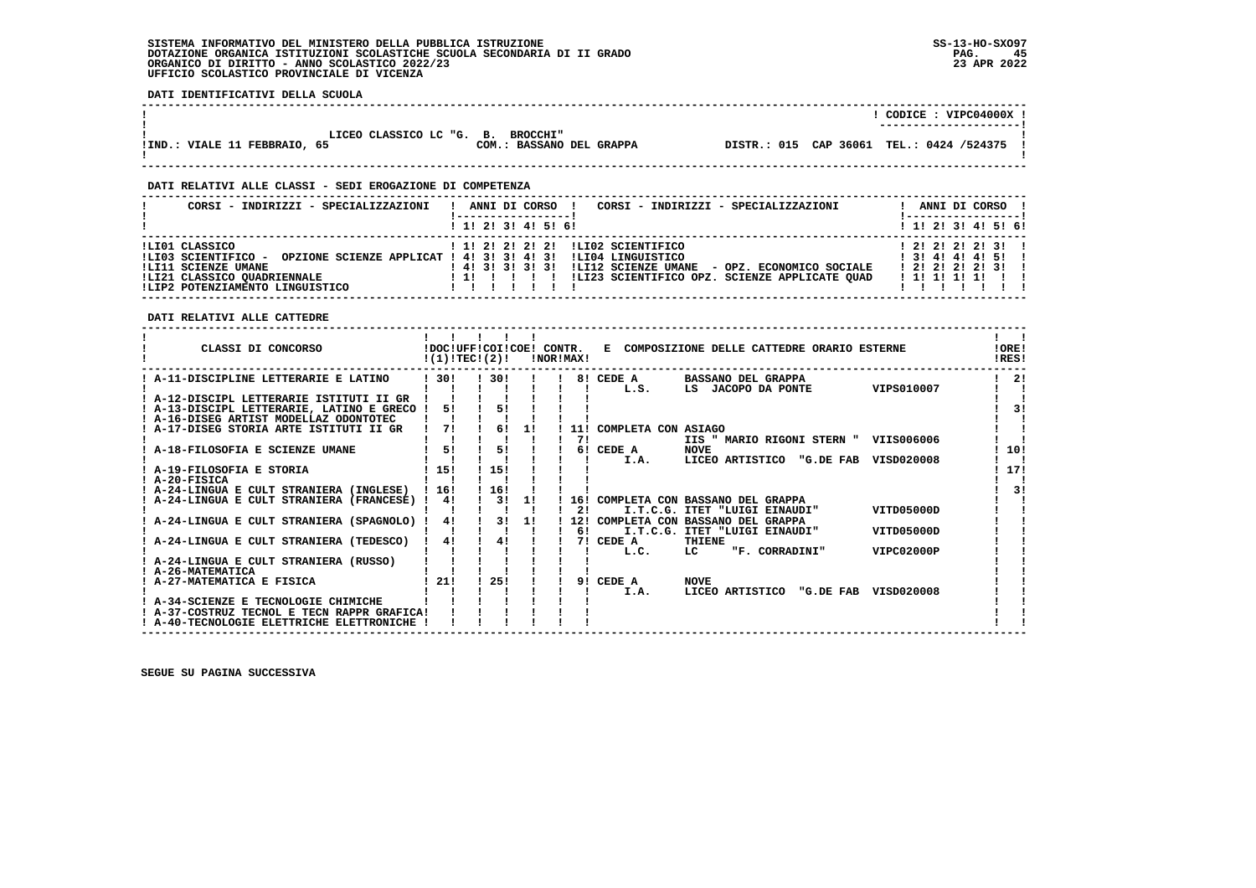## **SISTEMA INFORMATIVO DEL MINISTERO DELLA PUBBLICA ISTRUZIONE SS-13-HO-SXO97 DOTAZIONE ORGANICA ISTITUZIONI SCOLASTICHE SCUOLA SECONDARIA DI II GRADO PAG. 45**ORGANICO DI DIRITTO - ANNO SCOLASTICO 2022/23  **UFFICIO SCOLASTICO PROVINCIALE DI VICENZA**

 **DATI IDENTIFICATIVI DELLA SCUOLA**

|                                   |                          | CODICE: VIPC04000X !                     |
|-----------------------------------|--------------------------|------------------------------------------|
|                                   |                          | ----------------------                   |
|                                   |                          |                                          |
| LICEO CLASSICO LC "G. B. BROCCHI" |                          |                                          |
| IIND.: VIALE 11 FEBBRAIO, 65      | COM.: BASSANO DEL GRAPPA | DISTR.: 015 CAP 36061 TEL.: 0424 /524375 |
|                                   |                          |                                          |

 **------------------------------------------------------------------------------------------------------------------------------------**

# **DATI RELATIVI ALLE CLASSI - SEDI EROGAZIONE DI COMPETENZA**

| CORSI - INDIRIZZI - SPECIALIZZAZIONI                                                                                                                                     | CORSI - INDIRIZZI - SPECIALIZZAZIONI<br>ANNI DI CORSO !                                                                                                                                         | ANNI DI CORSO !                                                                        |
|--------------------------------------------------------------------------------------------------------------------------------------------------------------------------|-------------------------------------------------------------------------------------------------------------------------------------------------------------------------------------------------|----------------------------------------------------------------------------------------|
|                                                                                                                                                                          | 1 1! 2! 3! 4! 5! 6!                                                                                                                                                                             | $1$ 1! 2! 3! 4! 5! 6!                                                                  |
| !LI01 CLASSICO<br>!LI03 SCIENTIFICO - OPZIONE SCIENZE APPLICAT ! 4! 3! 3! 4! 3!<br>!LI11 SCIENZE UMANE<br>!LI21 CLASSICO OUADRIENNALE<br>!LIP2 POTENZIAMENTO LINGUISTICO | ! 1! 2! 2! 2! 2! !LI02 SCIENTIFICO<br>ILI04 LINGUISTICO<br>!LI12 SCIENZE UMANE - OPZ. ECONOMICO SOCIALE<br>1 4 1 3 1 3 1 3 1 3 1<br>!LI23 SCIENTIFICO OPZ. SCIENZE APPLICATE OUAD<br>11 11 11 1 | $1$ 2! 2! 2! 2! 3!!<br>$1$ 3! 4! 4! 4! 5!!<br>$1$ 2! 2! 2! 2! 3!!<br>1 1 1 1 1 1 1 1 1 |

 **------------------------------------------------------------------------------------------------------------------------------------**

# **DATI RELATIVI ALLE CATTEDRE**

| CLASSI DI CONCORSO                          |      | !DOC!UFF!COI!COE! CONTR.<br>!(1)!TEC!(2)! |           | !NOR!MAX! |                     | E COMPOSIZIONE DELLE CATTEDRE ORARIO ESTERNE |            | !ORE!<br>IRES! |
|---------------------------------------------|------|-------------------------------------------|-----------|-----------|---------------------|----------------------------------------------|------------|----------------|
| A-11-DISCIPLINE LETTERARIE E LATINO         | 130! | 130!                                      |           |           | 8! CEDE A           | <b>BASSANO DEL GRAPPA</b>                    |            | 21             |
|                                             |      |                                           |           |           | L.S.                | LS JACOPO DA PONTE                           | VIPS010007 |                |
| ! A-12-DISCIPL LETTERARIE ISTITUTI II GR    |      |                                           |           |           |                     |                                              |            |                |
| ! A-13-DISCIPL LETTERARIE, LATINO E GRECO ! | 51   |                                           | 51        |           |                     |                                              |            | 31             |
| ! A-16-DISEG ARTIST MODELLAZ ODONTOTEC      |      |                                           |           |           |                     |                                              |            |                |
| A-17-DISEG STORIA ARTE ISTITUTI II GR       | 71   |                                           | 61<br>11  | 11!       | COMPLETA CON ASIAGO |                                              |            |                |
|                                             |      |                                           |           | 71        |                     | IIS " MARIO RIGONI STERN "                   | VIIS006006 |                |
| A-18-FILOSOFIA E SCIENZE UMANE              | 51   |                                           | 51        |           | 6! CEDE A           | <b>NOVE</b>                                  |            | 10!            |
|                                             |      |                                           |           |           | I.A.                | LICEO ARTISTICO<br>"G.DE FAB                 | VISD020008 |                |
| ! A-19-FILOSOFIA E STORIA                   | 15!  | 115!                                      |           |           |                     |                                              |            | 17!            |
| ! A-20-FISICA                               |      |                                           |           |           |                     |                                              |            |                |
| ! A-24-LINGUA E CULT STRANIERA (INGLESE)    | 1161 | 116!                                      |           |           |                     |                                              |            | 31             |
| A-24-LINGUA E CULT STRANIERA (FRANCESE)     | 4!   |                                           | 31<br>-11 |           |                     | 16! COMPLETA CON BASSANO DEL GRAPPA          |            |                |
|                                             |      |                                           |           | 21        |                     | I.T.C.G. ITET "LUIGI EINAUDI"                | VITD05000D |                |
| A-24-LINGUA E CULT STRANIERA (SPAGNOLO)     | 4!   |                                           | 31<br>11  | 12!       |                     | COMPLETA CON BASSANO DEL GRAPPA              |            |                |
|                                             |      |                                           |           | 61        |                     | I.T.C.G. ITET "LUIGI EINAUDI"                | VITD05000D |                |
| A-24-LINGUA E CULT STRANIERA (TEDESCO)      | 41   |                                           | 41        |           | 7! CEDE A           | THIENE                                       |            |                |
|                                             |      |                                           |           |           | L.C.                | "F. CORRADINI"<br>LC.                        | VIPC02000P |                |
| A-24-LINGUA E CULT STRANIERA (RUSSO)        |      |                                           |           |           |                     |                                              |            |                |
| ! A-26-MATEMATICA                           |      |                                           |           |           |                     |                                              |            |                |
| ! A-27-MATEMATICA E FISICA                  | 21!  | 25!                                       |           |           | 9! CEDE A           | <b>NOVE</b>                                  |            |                |
|                                             |      |                                           |           |           | I.A.                | LICEO ARTISTICO<br>"G.DE FAB                 | VISD020008 |                |
| A-34-SCIENZE E TECNOLOGIE CHIMICHE          |      |                                           |           |           |                     |                                              |            |                |
| ! A-37-COSTRUZ TECNOL E TECN RAPPR GRAFICA! |      |                                           |           |           |                     |                                              |            |                |
| ! A-40-TECNOLOGIE ELETTRICHE ELETTRONICHE   |      |                                           |           |           |                     |                                              |            |                |
|                                             |      |                                           |           |           |                     |                                              |            |                |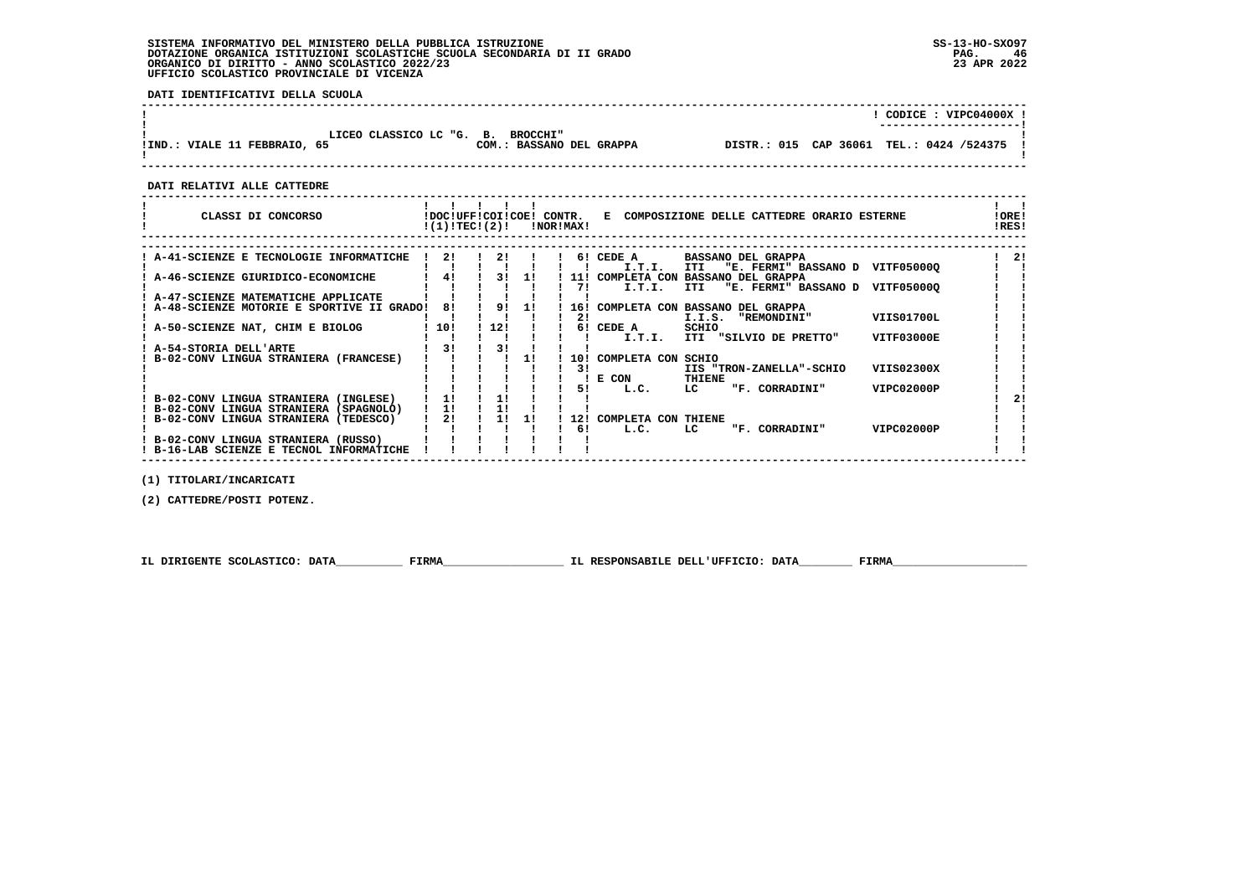# **SISTEMA INFORMATIVO DEL MINISTERO DELLA PUBBLICA ISTRUZIONE SS-13-HO-SXO97 DOTAZIONE ORGANICA ISTITUZIONI SCOLASTICHE SCUOLA SECONDARIA DI II GRADO PAG. 46**ORGANICO DI DIRITTO - ANNO SCOLASTICO 2022/23  **UFFICIO SCOLASTICO PROVINCIALE DI VICENZA**

 **DATI IDENTIFICATIVI DELLA SCUOLA**

|                                                                   |                          |                                            | CODICE: VIPC04000X !<br>----------------------- |
|-------------------------------------------------------------------|--------------------------|--------------------------------------------|-------------------------------------------------|
| LICEO CLASSICO LC "G. B. BROCCHI"<br>IIND.: VIALE 11 FEBBRAIO, 65 | COM.: BASSANO DEL GRAPPA | DISTR.: 015 CAP 36061 TEL.: 0424 /524375 ! |                                                 |
|                                                                   |                          |                                            |                                                 |

 **------------------------------------------------------------------------------------------------------------------------------------**

 **DATI RELATIVI ALLE CATTEDRE**

| CLASSI DI CONCORSO                          |     | !DOC!UFF!COI!COE!<br>!(1)!TECI(2)! |    | CONTR.<br>!NOR!MAX! | COMPOSIZIONE DELLE CATTEDRE ORARIO ESTERNE<br>Е                                               | !ORE!<br>!RES! |
|---------------------------------------------|-----|------------------------------------|----|---------------------|-----------------------------------------------------------------------------------------------|----------------|
|                                             | 21  | 21                                 |    |                     |                                                                                               | 21             |
| ! A-41-SCIENZE E TECNOLOGIE INFORMATICHE    |     |                                    |    |                     | 6! CEDE A<br><b>BASSANO DEL GRAPPA</b><br>"E. FERMI" BASSANO D<br>I.T.I.<br>VITF050000<br>ITI |                |
| : A-46-SCIENZE GIURIDICO-ECONOMICHE         |     | 31                                 | 11 | 11 !                | COMPLETA CON<br><b>BASSANO DEL GRAPPA</b>                                                     |                |
|                                             |     |                                    |    | 71                  | "E. FERMI" BASSANO D<br>I.T.I.<br>VITF050000<br>ITI                                           |                |
| A-47-SCIENZE MATEMATICHE APPLICATE          |     |                                    |    |                     |                                                                                               |                |
| ! A-48-SCIENZE MOTORIE E SPORTIVE II GRADO! | 81  | 91                                 | 11 | 16!                 | COMPLETA CON BASSANO DEL GRAPPA                                                               |                |
|                                             |     |                                    |    | 21                  | <b>VIIS01700L</b><br>I.I.S.<br>"REMONDINI"                                                    |                |
| A-50-SCIENZE NAT, CHIM E BIOLOG             | 10! | 12!                                |    | 61                  | SCHIO<br>CEDE A                                                                               |                |
|                                             |     |                                    |    |                     | ITI "SILVIO DE PRETTO"<br>VITF03000E<br>I.T.I.                                                |                |
| ! A-54-STORIA DELL'ARTE                     | 31  | 31                                 |    |                     |                                                                                               |                |
| B-02-CONV LINGUA STRANIERA (FRANCESE)       |     |                                    | 11 | <b>10!</b>          | COMPLETA CON<br>SCHIO                                                                         |                |
|                                             |     |                                    |    | 31                  | VIIS02300X<br>IIS "TRON-ZANELLA"-SCHIO<br>E CON<br>THIENE                                     |                |
|                                             |     |                                    |    | 51                  | VIPC02000P<br>"F. CORRADINI"<br>LC<br>L.C.                                                    |                |
| ! B-02-CONV LINGUA STRANIERA (INGLESE)      | 11  |                                    |    |                     |                                                                                               | 21             |
| ! B-02-CONV LINGUA STRANIERA (SPAGNOLO)     | 11  |                                    |    |                     |                                                                                               |                |
| B-02-CONV LINGUA STRANIERA (TEDESCO)        | 2!  | 11                                 | 11 | 12!                 | COMPLETA CON THIENE                                                                           |                |
|                                             |     |                                    |    | 6!                  | VIPC02000P<br>L.C.<br>LC<br>"F. CORRADINI"                                                    |                |
| ! B-02-CONV LINGUA STRANIERA (RUSSO)        |     |                                    |    |                     |                                                                                               |                |
| ! B-16-LAB SCIENZE E TECNOL INFORMATICHE    |     |                                    |    |                     |                                                                                               |                |

 **(1) TITOLARI/INCARICATI**

 **(2) CATTEDRE/POSTI POTENZ.**

 **IL DIRIGENTE SCOLASTICO: DATA\_\_\_\_\_\_\_\_\_\_ FIRMA\_\_\_\_\_\_\_\_\_\_\_\_\_\_\_\_\_\_ IL RESPONSABILE DELL'UFFICIO: DATA\_\_\_\_\_\_\_\_ FIRMA\_\_\_\_\_\_\_\_\_\_\_\_\_\_\_\_\_\_\_\_**

 **------------------------------------------------------------------------------------------------------------------------------------**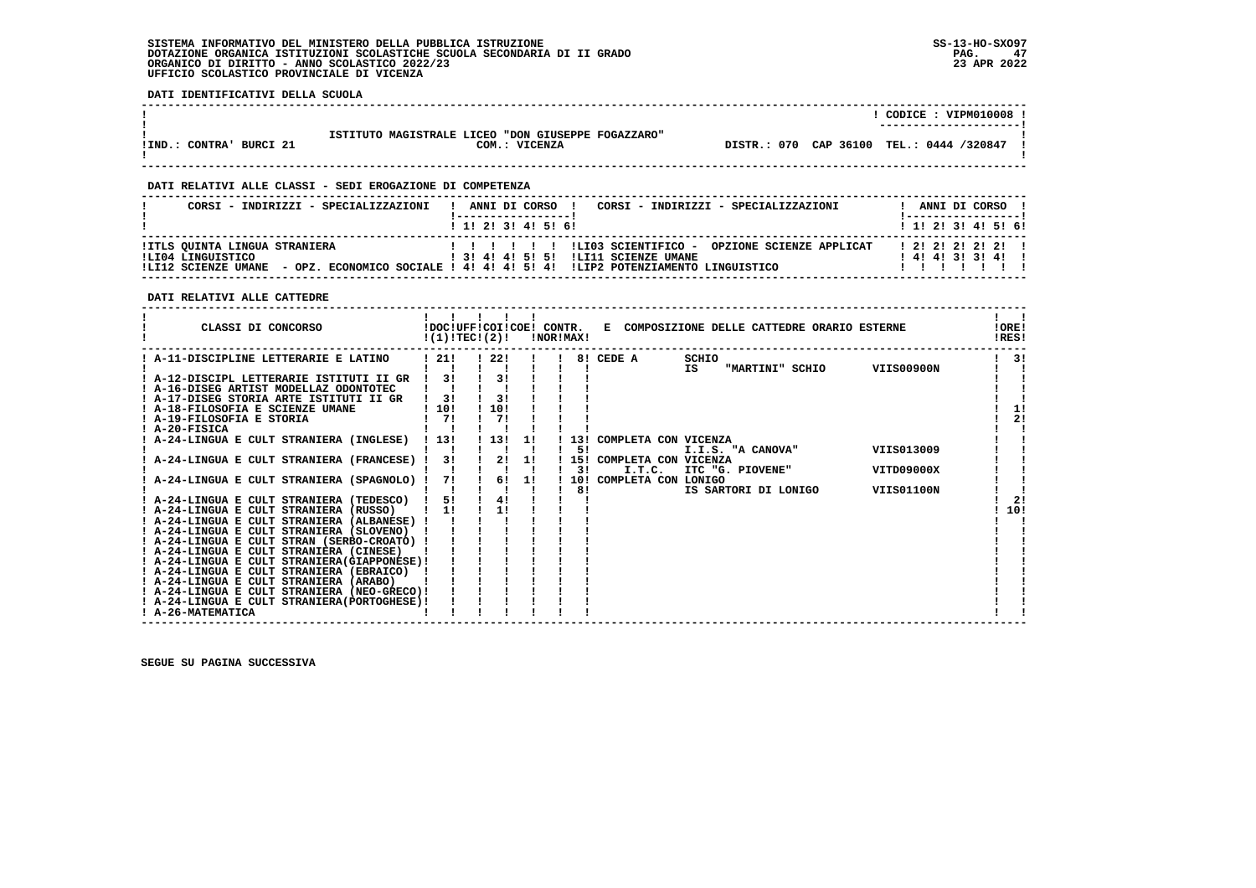# **SISTEMA INFORMATIVO DEL MINISTERO DELLA PUBBLICA ISTRUZIONE SS-13-HO-SXO97 DOTAZIONE ORGANICA ISTITUZIONI SCOLASTICHE SCUOLA SECONDARIA DI II GRADO** ORGANICO DI DIRITTO - ANNO SCOLASTICO 2022/23  **UFFICIO SCOLASTICO PROVINCIALE DI VICENZA**

 **DATI IDENTIFICATIVI DELLA SCUOLA**

|                                         |                                                                     |  | CODICE: VIPM010008<br>---------------------- |
|-----------------------------------------|---------------------------------------------------------------------|--|----------------------------------------------|
| BURCI 21<br><b>CONTRA'</b><br>$!$ IND.: | ISTITUTO MAGISTRALE LICEO "DON GIUSEPPE FOGAZZARO"<br>COM.: VICENZA |  | DISTR.: 070 CAP 36100 TEL.: 0444 /320847     |

 **------------------------------------------------------------------------------------------------------------------------------------**

 **------------------------------------------------------------------------------------------------------------------------------------**

# **DATI RELATIVI ALLE CLASSI - SEDI EROGAZIONE DI COMPETENZA**

| CORSI - INDIRIZZI - SPECIALIZZAZIONI               | CORSI - INDIRIZZI - SPECIALIZZAZIONI<br>ANNI DI CORSO !<br>$\mathbf{I}$                                                               | ANNI DI CORSO !<br>! ------------------ <sub>-</sub> |
|----------------------------------------------------|---------------------------------------------------------------------------------------------------------------------------------------|------------------------------------------------------|
|                                                    | $1$ , 1, 2, 3, 4, 5, 6,                                                                                                               | $1$ , 1! 2! 3! 4! 5! 6!                              |
| !ITLS QUINTA LINGUA STRANIERA<br>ILI04 LINGUISTICO | ! 3! 4! 4! 5! 5! !LI11 SCIENZE UMANE<br>ILI12 SCIENZE UMANE - OPZ. ECONOMICO SOCIALE ! 4! 4! 4! 5! 4! ILIP2 POTENZIAMENTO LINGUISTICO | 1 2 1 2 1 2 1 2 1 1<br>141413131411                  |

# **DATI RELATIVI ALLE CATTEDRE**

|                                          | CLASSI DI CONCORSO                                                                        | !DOC!UFF!COI!COE! CONTR.<br>!(1)!TECI(2)! |           |    | !NOR!MAX! |                                    | E COMPOSIZIONE DELLE CATTEDRE ORARIO ESTERNE |            | !ORE!<br>!RES! |
|------------------------------------------|-------------------------------------------------------------------------------------------|-------------------------------------------|-----------|----|-----------|------------------------------------|----------------------------------------------|------------|----------------|
|                                          | A-11-DISCIPLINE LETTERARIE E LATINO                                                       | 121!                                      | - 22 !    |    | 81        | CEDE A                             | SCHIO<br>IS<br>"MARTINI" SCHIO               | VIIS00900N | 31             |
|                                          | ! A-12-DISCIPL LETTERARIE ISTITUTI II GR<br>! A-16-DISEG ARTIST MODELLAZ ODONTOTEC        | 3!                                        | 3!        |    |           |                                    |                                              |            |                |
| ! A-18-FILOSOFIA E SCIENZE UMANE         | ! A-17-DISEG STORIA ARTE ISTITUTI II GR                                                   | 31<br>1101                                | 31<br>10! |    |           |                                    |                                              |            | 11             |
| A-19-FILOSOFIA E STORIA<br>! A-20-FISICA |                                                                                           | 71                                        | 71        |    |           |                                    |                                              |            | 2!             |
|                                          | ! A-24-LINGUA E CULT STRANIERA (INGLESE)                                                  | 13!                                       | 13!       | 11 | 131<br>5! | COMPLETA CON VICENZA               | I.I.S. "A CANOVA"                            | VIIS013009 |                |
|                                          | A-24-LINGUA E CULT STRANIERA (FRANCESE) !                                                 | 3!                                        | 2!        | 11 | 3!        | 15! COMPLETA CON VICENZA<br>I.T.C. | ITC "G. PIOVENE"                             | VITD09000X |                |
|                                          | A-24-LINGUA E CULT STRANIERA (SPAGNOLO) !                                                 | 71                                        | 61        | 11 | 10!<br>81 | COMPLETA CON LONIGO                | IS SARTORI DI LONIGO                         | VIIS01100N |                |
|                                          | ! A-24-LINGUA E CULT STRANIERA (TEDESCO)<br>! A-24-LINGUA E CULT STRANIERA (RUSSO)        | 5!<br>1!                                  | 4!<br>1!  |    |           |                                    |                                              |            | 2!<br>10!      |
|                                          | ! A-24-LINGUA E CULT STRANIERA (ALBANESE) !<br>! A-24-LINGUA E CULT STRANIERA (SLOVENO)   |                                           |           |    |           |                                    |                                              |            |                |
|                                          | ! A-24-LINGUA E CULT STRAN (SERBO-CROATO) !<br>! A-24-LINGUA E CULT STRANIERA (CINESE)    |                                           |           |    |           |                                    |                                              |            |                |
|                                          | ! A-24-LINGUA E CULT STRANIERA (GIAPPONESE) !<br>! A-24-LINGUA E CULT STRANIERA (EBRAICO) |                                           |           |    |           |                                    |                                              |            |                |
|                                          | ! A-24-LINGUA E CULT STRANIERA (ARABO)<br>! A-24-LINGUA E CULT STRANIERA (NEO-GRECO)!     |                                           |           |    |           |                                    |                                              |            |                |
| ! A-26-MATEMATICA                        | ! A-24-LINGUA E CULT STRANIERA (PORTOGHESE) !                                             |                                           |           |    |           |                                    |                                              |            |                |
|                                          |                                                                                           |                                           |           |    |           |                                    |                                              |            |                |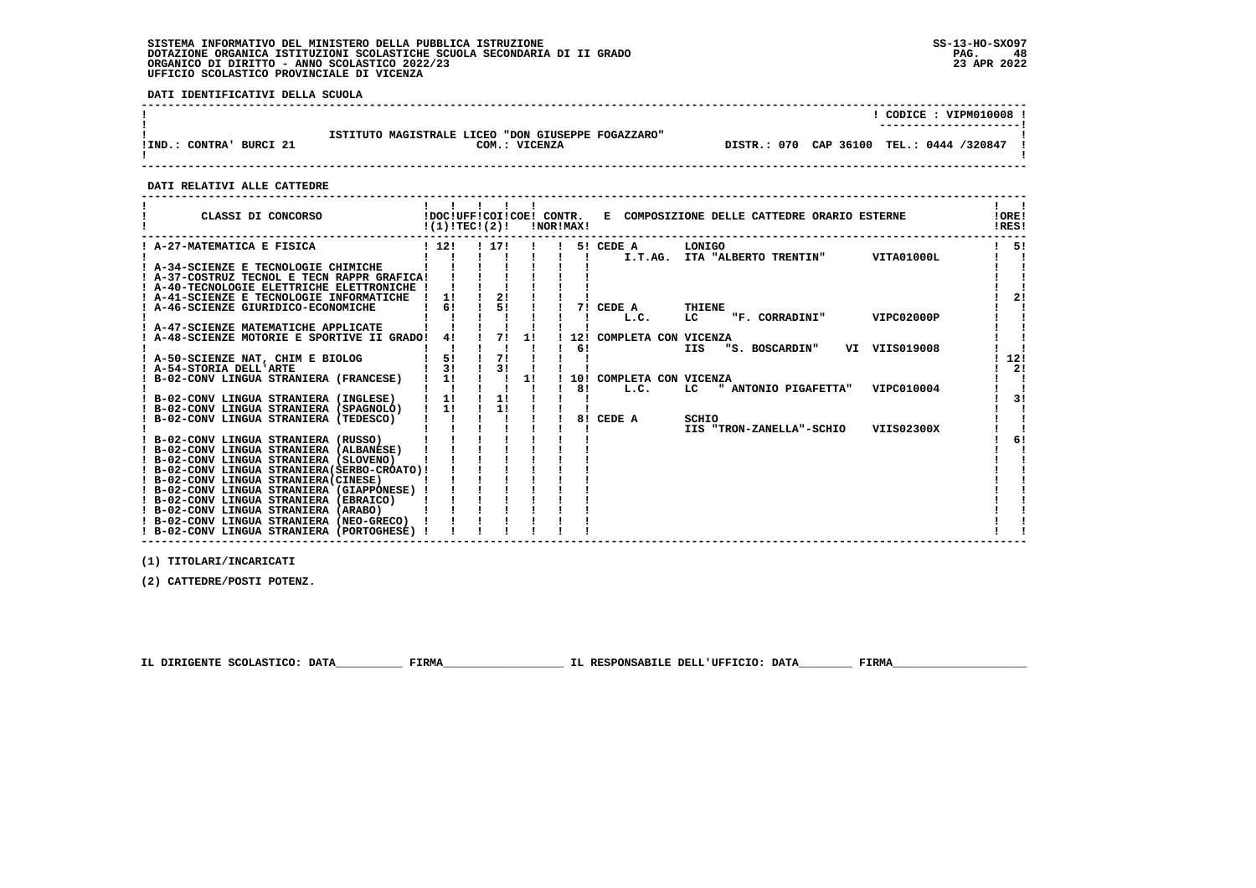# **SISTEMA INFORMATIVO DEL MINISTERO DELLA PUBBLICA ISTRUZIONE SS-13-HO-SXO97 DOTAZIONE ORGANICA ISTITUZIONI SCOLASTICHE SCUOLA SECONDARIA DI II GRADO PAG. 48**ORGANICO DI DIRITTO - ANNO SCOLASTICO 2022/23  **UFFICIO SCOLASTICO PROVINCIALE DI VICENZA**

 **DATI IDENTIFICATIVI DELLA SCUOLA**

|                                         |                                                                     |                                          | CODICE: VIPM010008 !<br>---------------------- |
|-----------------------------------------|---------------------------------------------------------------------|------------------------------------------|------------------------------------------------|
| BURCI 21<br><b>CONTRA'</b><br>$!$ IND.: | ISTITUTO MAGISTRALE LICEO "DON GIUSEPPE FOGAZZARO"<br>COM.: VICENZA | DISTR.: 070 CAP 36100 TEL.: 0444 /320847 |                                                |

 **------------------------------------------------------------------------------------------------------------------------------------**

 **DATI RELATIVI ALLE CATTEDRE**

| CLASSI DI CONCORSO                                                                    |               | $!(1)!TEC!(2)!$ $INORIMAX!$ |    |    |                          | !DOC!UFF!COI!COE! CONTR. E COMPOSIZIONE DELLE CATTEDRE ORARIO ESTERNE |               | !ORE!<br>!RES! |
|---------------------------------------------------------------------------------------|---------------|-----------------------------|----|----|--------------------------|-----------------------------------------------------------------------|---------------|----------------|
| ! A-27-MATEMATICA E FISICA                                                            | 112!          | ! 17!                       |    |    | 5! CEDE A                | LONIGO                                                                |               | 51             |
|                                                                                       |               |                             |    |    |                          | I.T.AG. ITA "ALBERTO TRENTIN"                                         | VITA01000L    |                |
| ! A-34-SCIENZE E TECNOLOGIE CHIMICHE                                                  |               |                             |    |    |                          |                                                                       |               |                |
| ! A-37-COSTRUZ TECNOL E TECN RAPPR GRAFICA!                                           |               |                             |    |    |                          |                                                                       |               |                |
| ! A-40-TECNOLOGIE ELETTRICHE ELETTRONICHE !                                           |               |                             |    |    |                          |                                                                       |               |                |
| A-41-SCIENZE E TECNOLOGIE INFORMATICHE                                                | 1!            | 2!                          |    |    |                          |                                                                       |               | 2 <sub>1</sub> |
| A-46-SCIENZE GIURIDICO-ECONOMICHE                                                     | 6!            | 51                          |    |    | 7! CEDE A                | THIENE                                                                |               |                |
|                                                                                       |               |                             |    |    | L.C.                     | LC<br>"F. CORRADINI"                                                  | VIPC02000P    |                |
| ! A-47-SCIENZE MATEMATICHE APPLICATE                                                  |               |                             |    |    |                          |                                                                       |               |                |
| ! A-48-SCIENZE MOTORIE E SPORTIVE II GRADO!                                           | 41            | 71                          | 11 |    | 12! COMPLETA CON VICENZA |                                                                       |               |                |
|                                                                                       |               |                             |    | 61 |                          | <b>IIS</b><br>"S. BOSCARDIN"                                          | VI VIIS019008 |                |
| ! A-50-SCIENZE NAT, CHIM E BIOLOG                                                     | 5!            | 71                          |    |    |                          |                                                                       |               | 12!            |
| ! A-54-STORIA DELL'ARTE                                                               | 3!            | 3!                          |    |    |                          |                                                                       |               | 2!             |
| B-02-CONV LINGUA STRANIERA (FRANCESE)                                                 | $1 \quad 1!$  |                             | 1! |    | 10! COMPLETA CON VICENZA |                                                                       |               |                |
|                                                                                       |               |                             |    | 81 | L.C.                     | " ANTONIO PIGAFETTA"<br>LC.                                           | VIPC010004    |                |
| B-02-CONV LINGUA STRANIERA (INGLESE)                                                  | 1!            | $\frac{1!}{1!}$             |    |    |                          |                                                                       |               | 31             |
| ! B-02-CONV LINGUA STRANIERA (SPAGNOLO)                                               | $\frac{1}{2}$ |                             |    |    |                          |                                                                       |               |                |
| ! B-02-CONV LINGUA STRANIERA (TEDESCO)                                                |               |                             |    |    | 8! CEDE A                | SCHIO                                                                 |               |                |
|                                                                                       |               |                             |    |    |                          | IIS "TRON-ZANELLA"-SCHIO                                              | VIIS02300X    |                |
| ! B-02-CONV LINGUA STRANIERA (RUSSO)                                                  |               |                             |    |    |                          |                                                                       |               | 6!             |
| ! B-02-CONV LINGUA STRANIERA (ALBANESE)                                               |               |                             |    |    |                          |                                                                       |               |                |
| ! B-02-CONV LINGUA STRANIERA (SLOVENO)                                                |               |                             |    |    |                          |                                                                       |               |                |
| ! B-02-CONV LINGUA STRANIERA (SERBO-CROATO) !                                         |               |                             |    |    |                          |                                                                       |               |                |
| ! B-02-CONV LINGUA STRANIERA (CINESE)                                                 |               |                             |    |    |                          |                                                                       |               |                |
| ! B-02-CONV LINGUA STRANIERA (GIAPPONESE) !<br>! B-02-CONV LINGUA STRANIERA (EBRAICO) |               |                             |    |    |                          |                                                                       |               |                |
| ! B-02-CONV LINGUA STRANIERA (ARABO)                                                  |               |                             |    |    |                          |                                                                       |               |                |
| ! B-02-CONV LINGUA STRANIERA (NEO-GRECO)                                              |               |                             |    |    |                          |                                                                       |               |                |
| ! B-02-CONV LINGUA STRANIERA (PORTOGHESE) !                                           |               |                             |    |    |                          |                                                                       |               |                |
|                                                                                       |               |                             |    |    |                          |                                                                       |               |                |

 **------------------------------------------------------------------------------------------------------------------------------------**

 **(1) TITOLARI/INCARICATI**

 **(2) CATTEDRE/POSTI POTENZ.**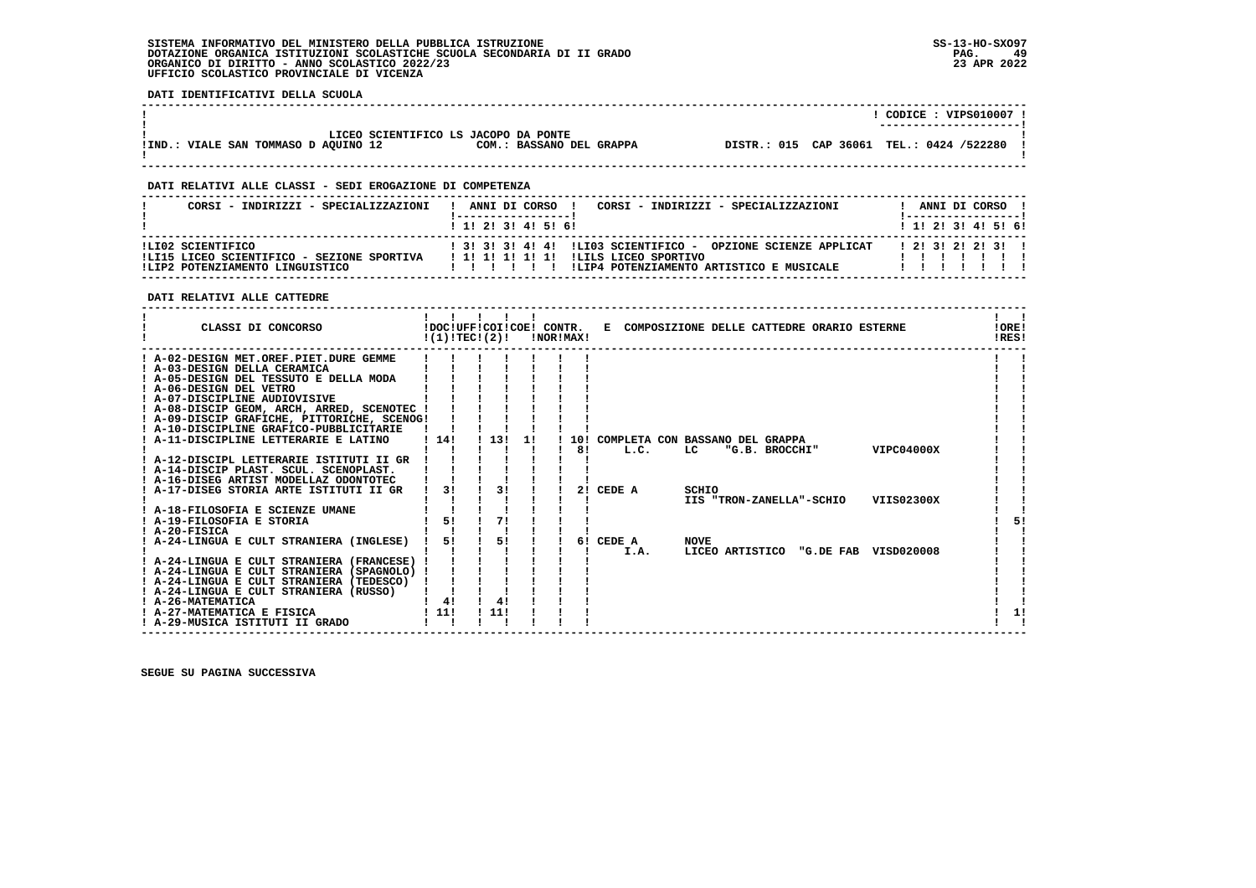# **SISTEMA INFORMATIVO DEL MINISTERO DELLA PUBBLICA ISTRUZIONE SS-13-HO-SXO97 DOTAZIONE ORGANICA ISTITUZIONI SCOLASTICHE SCUOLA SECONDARIA DI II GRADO PAG. 49**ORGANICO DI DIRITTO - ANNO SCOLASTICO 2022/23  **UFFICIO SCOLASTICO PROVINCIALE DI VICENZA**

 **DATI IDENTIFICATIVI DELLA SCUOLA**

|                                      |                                      |  | CODICE: VIPS010007 !                     |
|--------------------------------------|--------------------------------------|--|------------------------------------------|
|                                      |                                      |  | ----------------------                   |
|                                      | LICEO SCIENTIFICO LS JACOPO DA PONTE |  |                                          |
| !IND.: VIALE SAN TOMMASO D AOUINO 12 | COM.: BASSANO DEL GRAPPA             |  | DISTR.: 015 CAP 36061 TEL.: 0424 /522280 |
|                                      |                                      |  |                                          |
|                                      |                                      |  |                                          |

 **------------------------------------------------------------------------------------------------------------------------------------**

# **DATI RELATIVI ALLE CLASSI - SEDI EROGAZIONE DI COMPETENZA**

| CORSI - INDIRIZZI - SPECIALIZZAZIONI                                                               | ANNI DI CORSO !<br>CORSI - INDIRIZZI - SPECIALIZZAZIONI<br>1 1 2 3 3 4 5 6 1                                                            | ANNI DI CORSO<br>1 1 1 2 1 3 1 4 1 5 1 6 1 |
|----------------------------------------------------------------------------------------------------|-----------------------------------------------------------------------------------------------------------------------------------------|--------------------------------------------|
| ILI02 SCIENTIFICO<br>!LI15 LICEO SCIENTIFICO - SEZIONE SPORTIVA<br>ILIP2 POTENZIAMENTO LINGUISTICO | 1 31 31 41 41 ILIO3 SCIENTIFICO - OPZIONE SCIENZE APPLICAT<br>ILILS LICEO SPORTIVO<br>ILIP4 POTENZIAMENTO ARTISTICO E MUSICALE<br>11111 | 121312121311                               |

# **DATI RELATIVI ALLE CATTEDRE**

| CLASSI DI CONCORSO                                                               |      |    | $!(1)!TEC!(2)!$ $INORIMAX!$ |    |    |                                     |             |                | !DOC!UFF!COI!COE! CONTR. E COMPOSIZIONE DELLE CATTEDRE ORARIO ESTERNE |                                      | !ORE!<br>!RES! |  |
|----------------------------------------------------------------------------------|------|----|-----------------------------|----|----|-------------------------------------|-------------|----------------|-----------------------------------------------------------------------|--------------------------------------|----------------|--|
| ! A-02-DESIGN MET.OREF.PIET.DURE GEMME                                           |      |    |                             |    |    |                                     |             |                |                                                                       |                                      |                |  |
| ! A-03-DESIGN DELLA CERAMICA                                                     |      |    |                             |    |    |                                     |             |                |                                                                       |                                      |                |  |
| ! A-05-DESIGN DEL TESSUTO E DELLA MODA                                           |      |    |                             |    |    |                                     |             |                |                                                                       |                                      |                |  |
| ! A-06-DESIGN DEL VETRO                                                          |      |    |                             |    |    |                                     |             |                |                                                                       |                                      |                |  |
| ! A-07-DISCIPLINE AUDIOVISIVE                                                    |      |    |                             |    |    |                                     |             |                |                                                                       |                                      |                |  |
| ! A-08-DISCIP GEOM, ARCH, ARRED, SCENOTEC !                                      |      |    |                             |    |    |                                     |             |                |                                                                       |                                      |                |  |
| ! A-09-DISCIP GRAFICHE, PITTORICHE, SCENOG!                                      |      |    |                             |    |    |                                     |             |                |                                                                       |                                      |                |  |
| ! A-10-DISCIPLINE GRAFICO-PUBBLICITARIE                                          |      |    |                             |    |    |                                     |             |                |                                                                       |                                      |                |  |
| A-11-DISCIPLINE LETTERARIE E LATINO                                              | 1141 |    | 1131                        | 1! |    | 10! COMPLETA CON BASSANO DEL GRAPPA |             |                |                                                                       |                                      |                |  |
|                                                                                  |      |    |                             |    | 81 | L.C.                                | LC          | "G.B. BROCCHI" |                                                                       | VIPC04000X                           |                |  |
| ! A-12-DISCIPL LETTERARIE ISTITUTI II GR                                         |      |    |                             |    |    |                                     |             |                |                                                                       |                                      |                |  |
| ! A-14-DISCIP PLAST. SCUL. SCENOPLAST.<br>! A-16-DISEG ARTIST MODELLAZ ODONTOTEC |      |    |                             |    |    |                                     |             |                |                                                                       |                                      |                |  |
| ! A-17-DISEG STORIA ARTE ISTITUTI II GR                                          |      | 31 | 3 <sub>1</sub>              |    | 21 | CEDE A                              | SCHIO       |                |                                                                       |                                      |                |  |
|                                                                                  |      |    |                             |    |    |                                     |             |                | IIS "TRON-ZANELLA"-SCHIO                                              | VIIS02300X                           |                |  |
| ! A-18-FILOSOFIA E SCIENZE UMANE                                                 |      |    |                             |    |    |                                     |             |                |                                                                       |                                      |                |  |
| ! A-19-FILOSOFIA E STORIA                                                        |      | 5! | 71                          |    |    |                                     |             |                |                                                                       |                                      | 51             |  |
| $I$ A-20-FISICA                                                                  |      |    |                             |    |    |                                     |             |                |                                                                       |                                      |                |  |
| ! A-24-LINGUA E CULT STRANIERA (INGLESE)                                         |      | 51 | 51                          |    |    | 6! CEDE A                           | <b>NOVE</b> |                |                                                                       |                                      |                |  |
|                                                                                  |      |    |                             |    |    | I.A.                                |             |                |                                                                       | LICEO ARTISTICO "G.DE FAB VISD020008 |                |  |
| ! A-24-LINGUA E CULT STRANIERA (FRANCESE) !                                      |      |    |                             |    |    |                                     |             |                |                                                                       |                                      |                |  |
| ! A-24-LINGUA E CULT STRANIERA (SPAGNOLO) !                                      |      |    |                             |    |    |                                     |             |                |                                                                       |                                      |                |  |
| ! A-24-LINGUA E CULT STRANIERA (TEDESCO)                                         |      |    |                             |    |    |                                     |             |                |                                                                       |                                      |                |  |
| ! A-24-LINGUA E CULT STRANIERA (RUSSO)                                           |      |    |                             |    |    |                                     |             |                |                                                                       |                                      |                |  |
| ! A-26-MATEMATICA                                                                | 41   |    | 4!                          |    |    |                                     |             |                |                                                                       |                                      |                |  |
| ! A-27-MATEMATICA E FISICA                                                       | 1111 |    | 111                         |    |    |                                     |             |                |                                                                       |                                      | 11             |  |
| ! A-29-MUSICA ISTITUTI II GRADO                                                  |      |    |                             |    |    |                                     |             |                |                                                                       |                                      |                |  |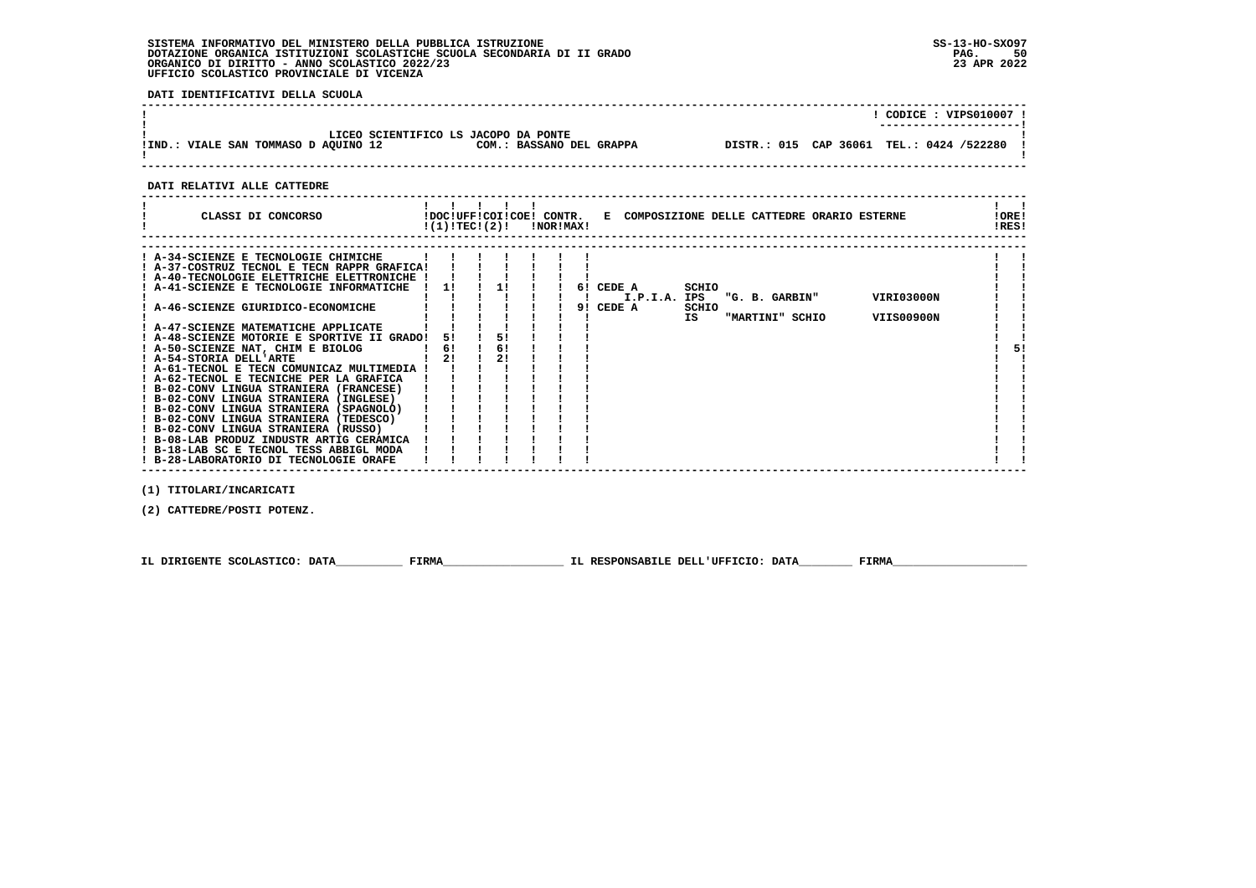# **SISTEMA INFORMATIVO DEL MINISTERO DELLA PUBBLICA ISTRUZIONE SS-13-HO-SXO97 DOTAZIONE ORGANICA ISTITUZIONI SCOLASTICHE SCUOLA SECONDARIA DI II GRADO PAG. 50ORGANICO DI DIRITTO - ANNO SCOLASTICO 2022/23 UFFICIO SCOLASTICO PROVINCIALE DI VICENZA**

 **DATI IDENTIFICATIVI DELLA SCUOLA**

| LICEO SCIENTIFICO LS JACOPO DA PONTE<br>DISTR.: 015 CAP 36061 TEL.: 0424 /522280<br>COM.: BASSANO DEL GRAPPA<br>!IND.: VIALE SAN TOMMASO D AQUINO 12 |  | CODICE: VIPS010007 !   |
|------------------------------------------------------------------------------------------------------------------------------------------------------|--|------------------------|
|                                                                                                                                                      |  | ---------------------- |
|                                                                                                                                                      |  |                        |

 **DATI RELATIVI ALLE CATTEDRE**

| CLASSI DI CONCORSO | .<br>CONTR.<br>!DOC!UFF!COI!COE!<br>!(1)!TEC!(2)!<br><b>INOR IMAX!</b> | E. | COMPOSIZIONE DELLE CATTEDRE ORARIO ESTERNE | .ORE!<br>RES! |
|--------------------|------------------------------------------------------------------------|----|--------------------------------------------|---------------|
|                    |                                                                        |    |                                            |               |

| ! A-34-SCIENZE E TECNOLOGIE CHIMICHE        |    |    |  |  |              |       |                 |            |    |
|---------------------------------------------|----|----|--|--|--------------|-------|-----------------|------------|----|
| ! A-37-COSTRUZ TECNOL E TECN RAPPR GRAFICA! |    |    |  |  |              |       |                 |            |    |
| ! A-40-TECNOLOGIE ELETTRICHE ELETTRONICHE ! |    |    |  |  |              |       |                 |            |    |
| ! A-41-SCIENZE E TECNOLOGIE INFORMATICHE    | 11 |    |  |  | 6! CEDE A    | SCHIO |                 |            |    |
|                                             |    |    |  |  | I.P.I.A. IPS |       | "G. B. GARBIN"  | VIRI03000N |    |
| ! A-46-SCIENZE GIURIDICO-ECONOMICHE         |    |    |  |  | 9! CEDE A    | SCHIO |                 |            |    |
|                                             |    |    |  |  |              | IS    | "MARTINI" SCHIO | VIIS00900N |    |
| ! A-47-SCIENZE MATEMATICHE APPLICATE        |    |    |  |  |              |       |                 |            |    |
| ! A-48-SCIENZE MOTORIE E SPORTIVE II GRADO! | 51 | 51 |  |  |              |       |                 |            |    |
| ! A-50-SCIENZE NAT, CHIM E BIOLOG           | 6! | 6! |  |  |              |       |                 |            | 5! |
| ! A-54-STORIA DELL'ARTE                     | 2! | 21 |  |  |              |       |                 |            |    |
| ! A-61-TECNOL E TECN COMUNICAZ MULTIMEDIA ! |    |    |  |  |              |       |                 |            |    |
| ! A-62-TECNOL E TECNICHE PER LA GRAFICA     |    |    |  |  |              |       |                 |            |    |
| ! B-02-CONV LINGUA STRANIERA (FRANCESE)     |    |    |  |  |              |       |                 |            |    |
| ! B-02-CONV LINGUA STRANIERA (INGLESE)      |    |    |  |  |              |       |                 |            |    |
| ! B-02-CONV LINGUA STRANIERA (SPAGNOLO)     |    |    |  |  |              |       |                 |            |    |
| ! B-02-CONV LINGUA STRANIERA (TEDESCO)      |    |    |  |  |              |       |                 |            |    |
| ! B-02-CONV LINGUA STRANIERA (RUSSO)        |    |    |  |  |              |       |                 |            |    |
| ! B-08-LAB PRODUZ INDUSTR ARTIG CERAMICA    |    |    |  |  |              |       |                 |            |    |
| ! B-18-LAB SC E TECNOL TESS ABBIGL MODA     |    |    |  |  |              |       |                 |            |    |
| ! B-28-LABORATORIO DI TECNOLOGIE ORAFE      |    |    |  |  |              |       |                 |            |    |
|                                             |    |    |  |  |              |       |                 |            |    |

 **(1) TITOLARI/INCARICATI**

 **(2) CATTEDRE/POSTI POTENZ.**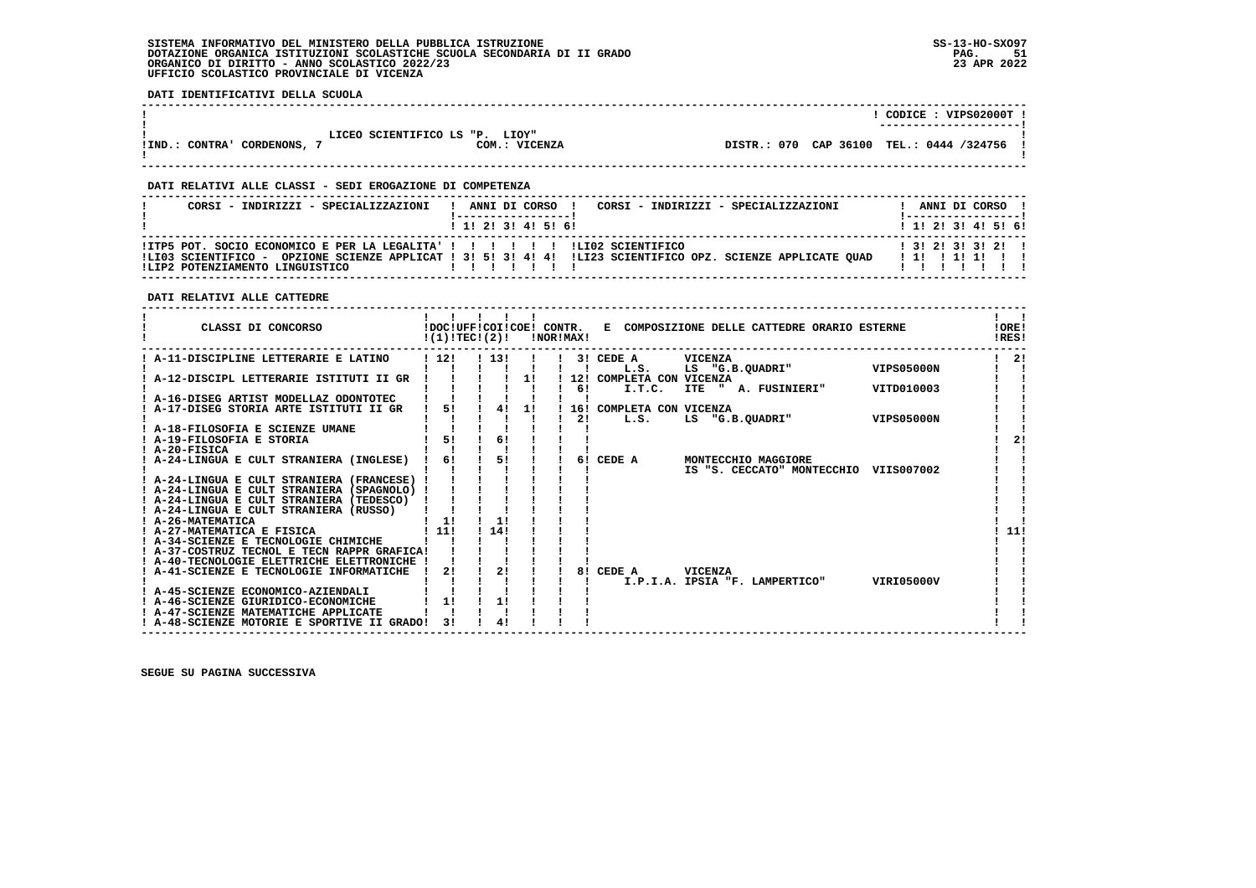# **SISTEMA INFORMATIVO DEL MINISTERO DELLA PUBBLICA ISTRUZIONE SS-13-HO-SXO97 DOTAZIONE ORGANICA ISTITUZIONI SCOLASTICHE SCUOLA SECONDARIA DI II GRADO PAG. 51**ORGANICO DI DIRITTO - ANNO SCOLASTICO 2022/23  **UFFICIO SCOLASTICO PROVINCIALE DI VICENZA**

 **DATI IDENTIFICATIVI DELLA SCUOLA**

|                                                              |               |  | CODICE: VIPS02000T !<br>---------------------- |  |
|--------------------------------------------------------------|---------------|--|------------------------------------------------|--|
| LICEO SCIENTIFICO LS "P. LIOY"<br>! IND.: CONTRA' CORDENONS, | COM.: VICENZA |  | DISTR.: 070 CAP 36100 TEL.: 0444 /324756       |  |

 **------------------------------------------------------------------------------------------------------------------------------------**

# **DATI RELATIVI ALLE CLASSI - SEDI EROGAZIONE DI COMPETENZA**

| CORSI - INDIRIZZI - SPECIALIZZAZIONI                                                                              | ANNI DI CORSO !<br>CORSI - INDIRIZZI - SPECIALIZZAZIONI                                                     | ANNI DI CORSO !                             |
|-------------------------------------------------------------------------------------------------------------------|-------------------------------------------------------------------------------------------------------------|---------------------------------------------|
|                                                                                                                   | 1 1 1 2 1 3 1 4 1 5 1 6 1                                                                                   | 1 1 1 2 1 3 1 4 1 5 1 6 1                   |
| !ITP5 POT. SOCIO ECONOMICO E PER LA LEGALITA' ! ! ! ! ! ! ! ! LI02 SCIENTIFICO<br>!LIP2 POTENZIAMENTO LINGUISTICO | ILI03 SCIENTIFICO - OPZIONE SCIENZE APPLICAT ! 3! 5! 3! 4! 4! ILI23 SCIENTIFICO OPZ. SCIENZE APPLICATE OUAD | $1$ 3! 2! 3! 3! 2! !<br>1 1 1 1 1 1 1 1 1 1 |

# **DATI RELATIVI ALLE CATTEDRE**

| CLASSI DI CONCORSO                          | !DOC!UFF!COI!COE! CONTR.<br>!(1)!TEC!(2)! |      |    | !NOR!MAX! |                          | E COMPOSIZIONE DELLE CATTEDRE ORARIO ESTERNE |                   | !ORE!<br>!RES! |
|---------------------------------------------|-------------------------------------------|------|----|-----------|--------------------------|----------------------------------------------|-------------------|----------------|
| A-11-DISCIPLINE LETTERARIE E LATINO         | 112!                                      | 113! |    |           | 3! CEDE A                | VICENZA                                      |                   | 2!             |
|                                             |                                           |      |    |           | L.S.                     | "G.B.QUADRI"<br>LS                           | <b>VIPS05000N</b> |                |
| A-12-DISCIPL LETTERARIE ISTITUTI II GR      |                                           |      | 11 |           | 12! COMPLETA CON VICENZA |                                              |                   |                |
|                                             |                                           |      |    | 61        | I.T.C.                   | ITE " A. FUSINIERI"                          | VITD010003        |                |
| ! A-16-DISEG ARTIST MODELLAZ ODONTOTEC      |                                           |      |    |           |                          |                                              |                   |                |
| A-17-DISEG STORIA ARTE ISTITUTI II GR       | 5!                                        | 41   | 1! |           | 16! COMPLETA CON VICENZA |                                              |                   |                |
|                                             |                                           |      |    | 2!        | L.S.                     | LS "G.B.QUADRI"                              | VIPS05000N        |                |
| ! A-18-FILOSOFIA E SCIENZE UMANE            |                                           |      |    |           |                          |                                              |                   |                |
| A-19-FILOSOFIA E STORIA                     | 51                                        | 61   |    |           |                          |                                              |                   | 2!             |
| ! A-20-FISICA                               | 61                                        | 5!   |    | 61        | CEDE A                   | MONTECCHIO MAGGIORE                          |                   |                |
| ! A-24-LINGUA E CULT STRANIERA (INGLESE)    |                                           |      |    |           |                          | IS "S. CECCATO" MONTECCHIO                   | VIIS007002        |                |
| ! A-24-LINGUA E CULT STRANIERA (FRANCESE)   |                                           |      |    |           |                          |                                              |                   |                |
| ! A-24-LINGUA E CULT STRANIERA (SPAGNOLO) ! |                                           |      |    |           |                          |                                              |                   |                |
| ! A-24-LINGUA E CULT STRANIERA (TEDESCO)    |                                           |      |    |           |                          |                                              |                   |                |
| ! A-24-LINGUA E CULT STRANIERA (RUSSO)      |                                           |      |    |           |                          |                                              |                   |                |
| ! A-26-MATEMATICA                           | 11                                        | 1!   |    |           |                          |                                              |                   |                |
| ! A-27-MATEMATICA E FISICA                  | 11!                                       | 14!  |    |           |                          |                                              |                   | 11!            |
| ! A-34-SCIENZE E TECNOLOGIE CHIMICHE        |                                           |      |    |           |                          |                                              |                   |                |
| ! A-37-COSTRUZ TECNOL E TECN RAPPR GRAFICA! |                                           |      |    |           |                          |                                              |                   |                |
| ! A-40-TECNOLOGIE ELETTRICHE ELETTRONICHE ! |                                           |      |    |           |                          |                                              |                   |                |
| A-41-SCIENZE E TECNOLOGIE INFORMATICHE      | 21                                        | 2!   |    | 81        | CEDE A                   | <b>VICENZA</b>                               |                   |                |
|                                             |                                           |      |    |           |                          | I.P.I.A. IPSIA "F. LAMPERTICO"               | VIRI05000V        |                |
| A-45-SCIENZE ECONOMICO-AZIENDALI            |                                           |      |    |           |                          |                                              |                   |                |
| ! A-46-SCIENZE GIURIDICO-ECONOMICHE         | 1!                                        | 1!   |    |           |                          |                                              |                   |                |
| ! A-47-SCIENZE MATEMATICHE APPLICATE        |                                           |      |    |           |                          |                                              |                   |                |
| ! A-48-SCIENZE MOTORIE E SPORTIVE II GRADO! | 31                                        | 4!   |    |           |                          |                                              |                   |                |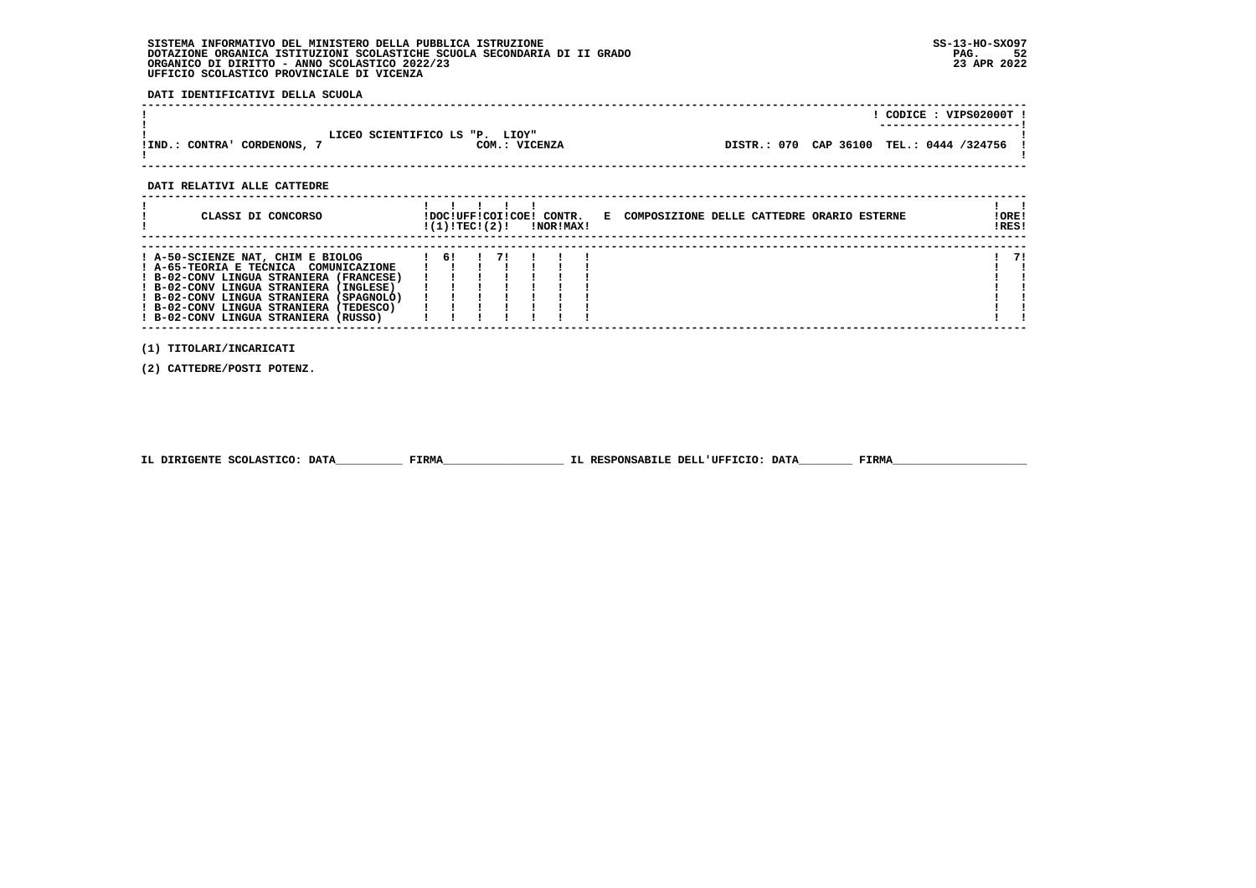# **SISTEMA INFORMATIVO DEL MINISTERO DELLA PUBBLICA ISTRUZIONE SS-13-HO-SXO97 DOTAZIONE ORGANICA ISTITUZIONI SCOLASTICHE SCUOLA SECONDARIA DI II GRADO PAG. 52ORGANICO DI DIRITTO - ANNO SCOLASTICO 2022/23 UFFICIO SCOLASTICO PROVINCIALE DI VICENZA**

 **DATI IDENTIFICATIVI DELLA SCUOLA**

|                                                                |               |                                            | CODICE: VIPS02000T !<br>--------------------- |
|----------------------------------------------------------------|---------------|--------------------------------------------|-----------------------------------------------|
| LICEO SCIENTIFICO LS "P. LIOY"<br>!IND.: CONTRA'<br>CORDENONS, | COM.: VICENZA | DISTR.: 070 CAP 36100 TEL.: 0444 /324756 ! |                                               |

 **------------------------------------------------------------------------------------------------------------------------------------**

 **DATI RELATIVI ALLE CATTEDRE**

| CLASSI DI CONCORSO                                                                                                                                                                                                                                                                           | !DOC!UFF!COI!COE! CONTR.<br>!(1)!TECI(2)! |  | !NOR!MAX! | E COMPOSIZIONE DELLE CATTEDRE ORARIO ESTERNE | !ORE!<br>!RES! |
|----------------------------------------------------------------------------------------------------------------------------------------------------------------------------------------------------------------------------------------------------------------------------------------------|-------------------------------------------|--|-----------|----------------------------------------------|----------------|
| ! A-50-SCIENZE NAT, CHIM E BIOLOG<br>! A-65-TEORIA E TECNICA COMUNICAZIONE<br>! B-02-CONV LINGUA STRANIERA (FRANCESE)<br>! B-02-CONV LINGUA STRANIERA (INGLESE)<br>! B-02-CONV LINGUA STRANIERA (SPAGNOLO)<br>! B-02-CONV LINGUA STRANIERA (TEDESCO)<br>! B-02-CONV LINGUA STRANIERA (RUSSO) | -61                                       |  |           |                                              | 71             |

 **(1) TITOLARI/INCARICATI**

 **(2) CATTEDRE/POSTI POTENZ.**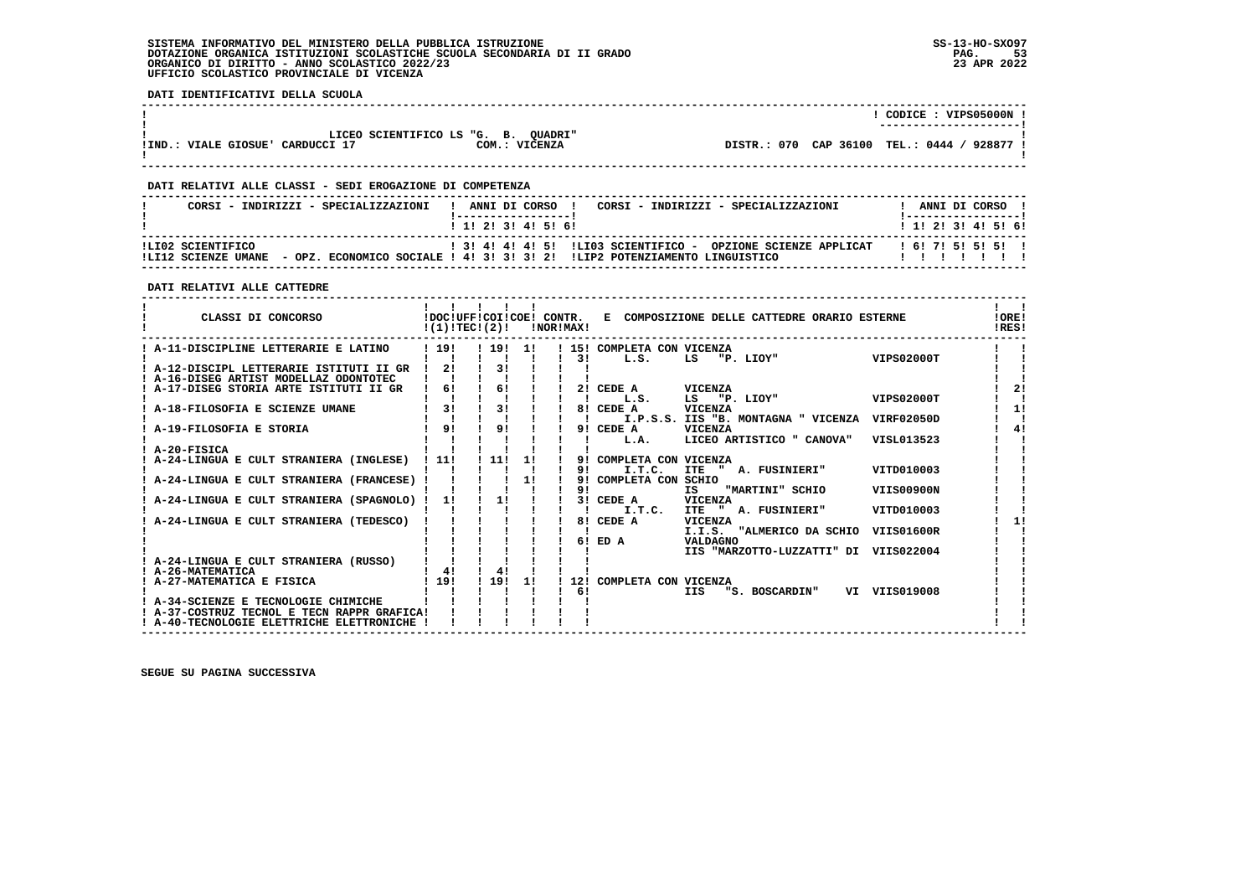# **SISTEMA INFORMATIVO DEL MINISTERO DELLA PUBBLICA ISTRUZIONE SS-13-HO-SXO97 DOTAZIONE ORGANICA ISTITUZIONI SCOLASTICHE SCUOLA SECONDARIA DI II GRADO PAG. 53**ORGANICO DI DIRITTO - ANNO SCOLASTICO 2022/23  **UFFICIO SCOLASTICO PROVINCIALE DI VICENZA**

 **DATI IDENTIFICATIVI DELLA SCUOLA**

|                                                                             |               | CODICE: VIPS05000N !<br>---------------------- |
|-----------------------------------------------------------------------------|---------------|------------------------------------------------|
| LICEO SCIENTIFICO LS "G. B. QUADRI"<br>!IND.<br>: VIALE GIOSUE' CARDUCCI 17 | COM.: VICENZA | DISTR.: 070 CAP 36100 TEL.: 0444 /<br>928877 ! |

# **DATI RELATIVI ALLE CLASSI - SEDI EROGAZIONE DI COMPETENZA**

| CORSI - INDIRIZZI - SPECIALIZZAZIONI     | ANNI DI CORSO !<br>CORSI - INDIRIZZI - SPECIALIZZAZIONI<br>1 1 1 2 1 3 1 4 1 5 1 6 1                                                    | ANNI DI CORSO<br>1 1 1 2 1 3 1 4 1 5 1 6 1 |
|------------------------------------------|-----------------------------------------------------------------------------------------------------------------------------------------|--------------------------------------------|
| ILI02 SCIENTIFICO<br>ILT12 SCIENZE UMANE | 1 31 41 41 51 ILIO3 SCIENTIFICO - OPZIONE SCIENZE APPLICAT<br>- OPZ, ECONOMICO SOCIALE ! 4! 3! 3! 3! 2! !LIP2 POTENZIAMENTO LINGUISTICO | 161715151511                               |

### **DATI RELATIVI ALLE CATTEDRE**

| CLASSI DI CONCORSO                          | !DOC!UFF!COI!COE! CONTR.<br>!(1)!TEC!(2)! |       |     | INOR IMAX ! | E COMPOSIZIONE DELLE CATTEDRE ORARIO ESTERNE             | !ORE!<br>IRES! |
|---------------------------------------------|-------------------------------------------|-------|-----|-------------|----------------------------------------------------------|----------------|
| A-11-DISCIPLINE LETTERARIE E LATINO         | 1191                                      | ! 19! | -11 |             | ! 15! COMPLETA CON VICENZA                               |                |
|                                             |                                           |       |     | 31          | <b>VIPS02000T</b><br>L.S.<br>LS<br>"P. LIOY"             |                |
| ! A-12-DISCIPL LETTERARIE ISTITUTI II GR    | 21                                        | 31    |     |             |                                                          |                |
| A-16-DISEG ARTIST MODELLAZ ODONTOTEC        |                                           |       |     |             |                                                          |                |
| A-17-DISEG STORIA ARTE ISTITUTI II GR       | 6!                                        | 6!    |     | 21          | CEDE A<br>VICENZA                                        | 21             |
|                                             |                                           |       |     |             | "P. LIOY"<br>VIPS02000T<br>L.S.<br>LS                    |                |
| A-18-FILOSOFIA E SCIENZE UMANE              | 3 <sub>1</sub>                            | 31    |     |             | <b>VICENZA</b><br>8! CEDE A                              | 11             |
|                                             |                                           |       |     |             | I.P.S.S. IIS "B. MONTAGNA " VICENZA<br><b>VIRF02050D</b> |                |
| A-19-FILOSOFIA E STORIA                     | 91                                        | 91    |     |             | 9! CEDE A<br><b>VICENZA</b>                              | 4!             |
|                                             |                                           |       |     |             | LICEO ARTISTICO " CANOVA"<br>VISL013523<br>L.A.          |                |
| A-20-FISICA                                 |                                           |       |     |             |                                                          |                |
| A-24-LINGUA E CULT STRANIERA (INGLESE)      | ! 11!                                     | 11!   | 1!  | 9!          | COMPLETA CON VICENZA                                     |                |
|                                             |                                           |       |     | 91<br>9!    | I.T.C.<br>VITD010003<br>ITE " A. FUSINIERI"              |                |
| A-24-LINGUA E CULT STRANIERA (FRANCESE) !   |                                           |       | 11  | 91          | COMPLETA CON SCHIO<br>IS.<br>VIIS00900N                  |                |
| A-24-LINGUA E CULT STRANIERA (SPAGNOLO)     | 11                                        | 11    |     | 3 L         | "MARTINI" SCHIO<br><b>VICENZA</b><br>CEDE A              |                |
|                                             |                                           |       |     |             | I.T.C.<br><b>ITE</b><br>A. FUSINIERI"<br>VITD010003      |                |
| A-24-LINGUA E CULT STRANIERA (TEDESCO)      |                                           |       |     | 81          | CEDE A<br><b>VICENZA</b>                                 | 11             |
|                                             |                                           |       |     |             | I.I.S. "ALMERICO DA SCHIO<br>VIIS01600R                  |                |
|                                             |                                           |       |     | 61          | ED A<br>VALDAGNO                                         |                |
|                                             |                                           |       |     |             | IIS "MARZOTTO-LUZZATTI" DI<br>VIIS022004                 |                |
| A-24-LINGUA E CULT STRANIERA (RUSSO)        |                                           |       |     |             |                                                          |                |
| ! A-26-MATEMATICA                           | 41                                        | 4!    |     |             |                                                          |                |
| ! A-27-MATEMATICA E FISICA                  | ! 19!                                     | 1191  | 11  | 121         | COMPLETA CON VICENZA                                     |                |
|                                             |                                           |       |     | 6!          | VI VIIS019008<br>IIS<br>"S. BOSCARDIN"                   |                |
| A-34-SCIENZE E TECNOLOGIE CHIMICHE          |                                           |       |     |             |                                                          |                |
| ! A-37-COSTRUZ TECNOL E TECN RAPPR GRAFICA! |                                           |       |     |             |                                                          |                |
| ! A-40-TECNOLOGIE ELETTRICHE ELETTRONICHE   |                                           |       |     |             |                                                          |                |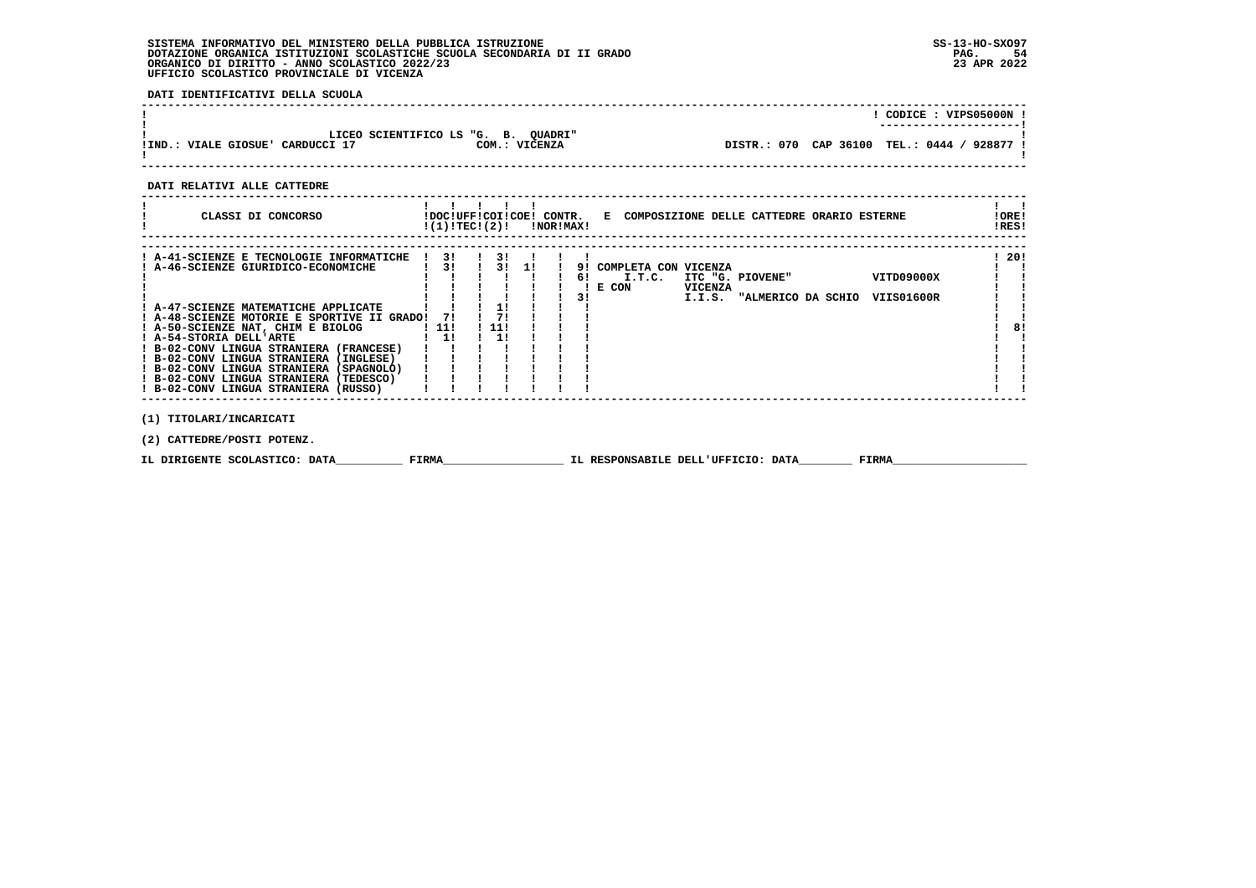# **SISTEMA INFORMATIVO DEL MINISTERO DELLA PUBBLICA ISTRUZIONE SS-13-HO-SXO97 DOTAZIONE ORGANICA ISTITUZIONI SCOLASTICHE SCUOLA SECONDARIA DI II GRADO PAG. 54ORGANICO DI DIRITTO - ANNO SCOLASTICO 2022/23 UFFICIO SCOLASTICO PROVINCIALE DI VICENZA**

 **DATI IDENTIFICATIVI DELLA SCUOLA**

|                                                                                         | CODICE: VIPS05000N !<br>---------------------- |
|-----------------------------------------------------------------------------------------|------------------------------------------------|
| LICEO SCIENTIFICO LS "G. B. OUADRI"<br>COM.: VICENZA<br>IND.: VIALE GIOSUE' CARDUCCI 17 | DISTR.: 070 CAP 36100 TEL.: 0444 / 928877 !    |
|                                                                                         |                                                |

 **DATI RELATIVI ALLE CATTEDRE**

| CLASSI DI CONCORSO                                                              | !(1)!TEC!(2)!                                |    | !DOC!UFF!COI!COE! CONTR.<br>INORIMAXI |                |                      |                | E COMPOSIZIONE DELLE CATTEDRE ORARIO ESTERNE |            | !ORE!<br>IRES! |
|---------------------------------------------------------------------------------|----------------------------------------------|----|---------------------------------------|----------------|----------------------|----------------|----------------------------------------------|------------|----------------|
|                                                                                 | 31                                           |    |                                       |                |                      |                |                                              |            | -201           |
| ! A-41-SCIENZE E TECNOLOGIE INFORMATICHE<br>! A-46-SCIENZE GIURIDICO-ECONOMICHE | $\overline{1}$ $\overline{3}$ $\overline{1}$ | 31 |                                       | Q <sub>1</sub> | COMPLETA CON VICENZA |                |                                              |            |                |
|                                                                                 |                                              |    |                                       |                | I.T.C.<br>E CON      | <b>VICENZA</b> | ITC "G. PIOVENE"                             | VITD09000X |                |

|                                             |      |       |  |  | E CON | <b>VICENZA</b> |                    |  |            |  |    |
|---------------------------------------------|------|-------|--|--|-------|----------------|--------------------|--|------------|--|----|
|                                             |      |       |  |  |       | I.I.S.         | "ALMERICO DA SCHIO |  | VIIS01600R |  |    |
| A-47-SCIENZE MATEMATICHE APPLICATE          |      |       |  |  |       |                |                    |  |            |  |    |
| ! A-48-SCIENZE MOTORIE E SPORTIVE II GRADO! | 71   |       |  |  |       |                |                    |  |            |  |    |
| ! A-50-SCIENZE NAT, CHIM E BIOLOG           | -11! | ! 11! |  |  |       |                |                    |  |            |  | 8! |
| ! A-54-STORIA DELL'ARTE                     |      |       |  |  |       |                |                    |  |            |  |    |
| ! B-02-CONV LINGUA STRANIERA (FRANCESE)     |      |       |  |  |       |                |                    |  |            |  |    |
| ! B-02-CONV LINGUA STRANIERA (INGLESE)      |      |       |  |  |       |                |                    |  |            |  |    |
| ! B-02-CONV LINGUA STRANIERA (SPAGNOLO)     |      |       |  |  |       |                |                    |  |            |  |    |
| ! B-02-CONV LINGUA STRANIERA (TEDESCO)      |      |       |  |  |       |                |                    |  |            |  |    |
| ! B-02-CONV LINGUA STRANIERA (RUSSO)        |      |       |  |  |       |                |                    |  |            |  |    |
|                                             |      |       |  |  |       |                |                    |  |            |  |    |
|                                             |      |       |  |  |       |                |                    |  |            |  |    |

 **(1) TITOLARI/INCARICATI**

 **(2) CATTEDRE/POSTI POTENZ.**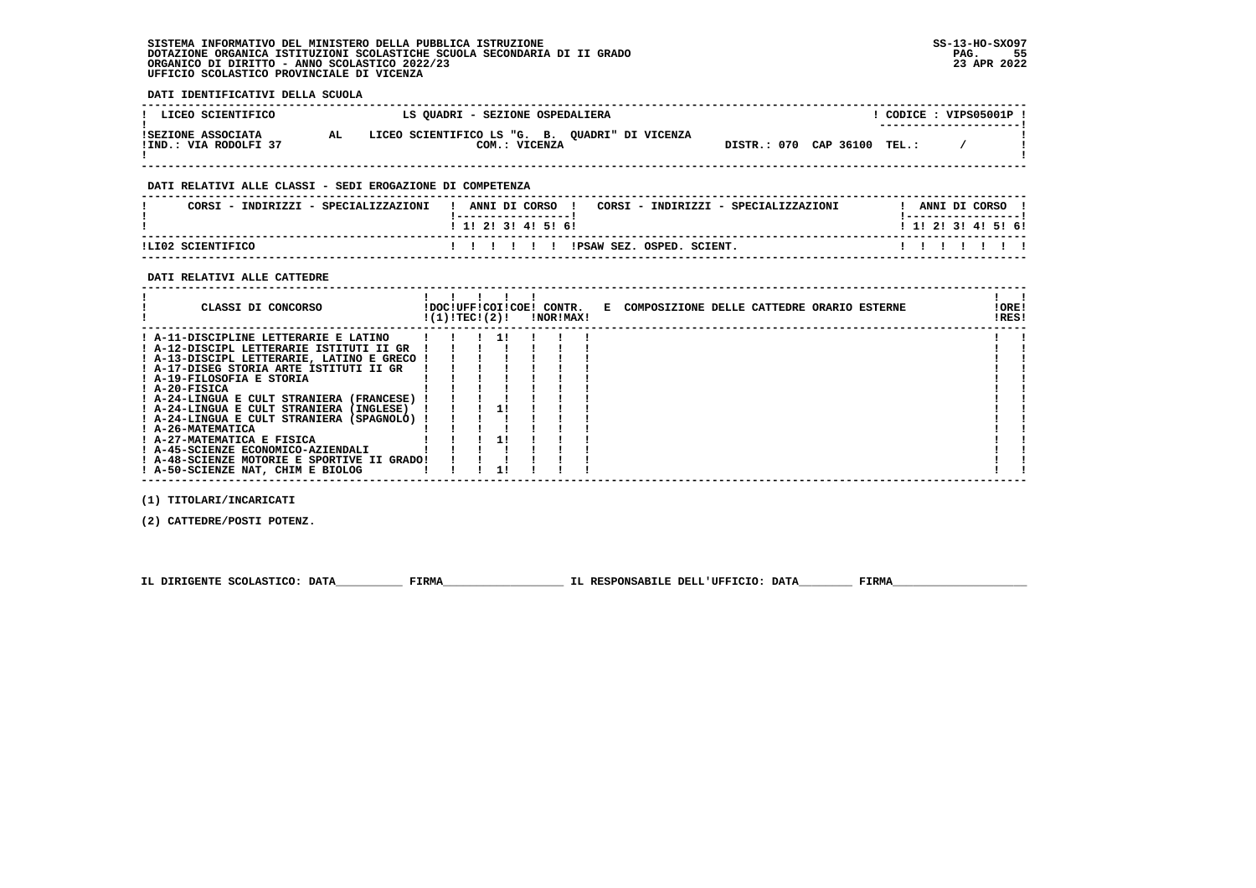**SISTEMA INFORMATIVO DEL MINISTERO DELLA PUBBLICA ISTRUZIONE SS-13-HO-SXO97 DOTAZIONE ORGANICA ISTITUZIONI SCOLASTICHE SCUOLA SECONDARIA DI II GRADO PAG. 55ORGANICO DI DIRITTO - ANNO SCOLASTICO 2022/23 UFFICIO SCOLASTICO PROVINCIALE DI VICENZA**

 **DATI IDENTIFICATIVI DELLA SCUOLA**

| LICEO SCIENTIFICO                           | LS QUADRI - SEZIONE OSPEDALIERA                                       |                             | CODICE: VIPS05001P !<br>------------------- |
|---------------------------------------------|-----------------------------------------------------------------------|-----------------------------|---------------------------------------------|
| ISEZIONE ASSOCIATA<br>!IND.: VIA RODOLFI 37 | LICEO SCIENTIFICO LS "G. B. OUADRI" DI VICENZA<br>AL<br>COM.: VICENZA | DISTR.: 070 CAP 36100 TEL.: |                                             |
|                                             | DATI RELATIVI ALLE CLASSI - SEDI EROGAZIONE DI COMPETENZA             |                             |                                             |
| CORSI - INDIRIZZI - SPECIALIZZAZIONI        | CORSI - INDIRIZZI - SPECIALIZZAZIONI<br>ANNI DI CORSO                 |                             | ANNI DI CORSO                               |

| ILI02 SCIENTIFICO | IPSAW SEZ.<br>OSPED.<br>SCIENT |  |  |  |  |
|-------------------|--------------------------------|--|--|--|--|

# **DATI RELATIVI ALLE CATTEDRE**

| CLASSI DI CONCORSO                          | !(1)!TEC!(2)! |  | !DOC!UFF!COI!COE! CONTR.<br>INORIMAXI | E COMPOSIZIONE DELLE CATTEDRE ORARIO ESTERNE | !ORE!<br>!RES! |
|---------------------------------------------|---------------|--|---------------------------------------|----------------------------------------------|----------------|
| ! A-11-DISCIPLINE LETTERARIE E LATINO       |               |  |                                       |                                              |                |
| ! A-12-DISCIPL LETTERARIE ISTITUTI II GR    |               |  |                                       |                                              |                |
| ! A-13-DISCIPL LETTERARIE, LATINO E GRECO ! |               |  |                                       |                                              |                |
| ! A-17-DISEG STORIA ARTE ISTITUTI II GR     |               |  |                                       |                                              |                |
| ! A-19-FILOSOFIA E STORIA                   |               |  |                                       |                                              |                |
| $I$ A-20-FISICA                             |               |  |                                       |                                              |                |
| ! A-24-LINGUA E CULT STRANIERA (FRANCESE) ! |               |  |                                       |                                              |                |
| ! A-24-LINGUA E CULT STRANIERA (INGLESE)    |               |  |                                       |                                              |                |
| ! A-24-LINGUA E CULT STRANIERA (SPAGNOLO) ! |               |  |                                       |                                              |                |
| ! A-26-MATEMATICA                           |               |  |                                       |                                              |                |
| ! A-27-MATEMATICA E FISICA                  |               |  |                                       |                                              |                |
| ! A-45-SCIENZE ECONOMICO-AZIENDALI          |               |  |                                       |                                              |                |
| ! A-48-SCIENZE MOTORIE E SPORTIVE II GRADO! |               |  |                                       |                                              |                |
| ! A-50-SCIENZE NAT, CHIM E BIOLOG           |               |  |                                       |                                              |                |

 **(1) TITOLARI/INCARICATI**

 **(2) CATTEDRE/POSTI POTENZ.**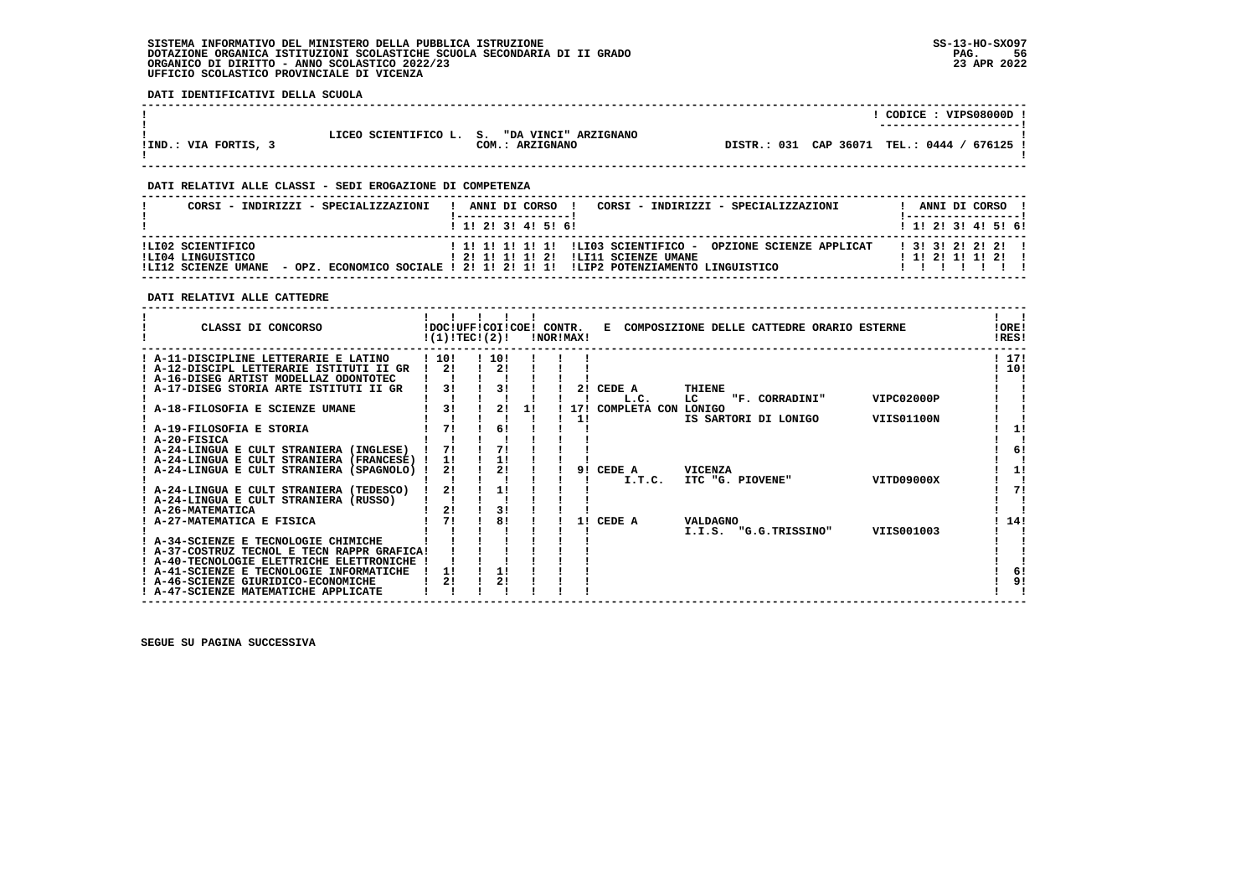# **SISTEMA INFORMATIVO DEL MINISTERO DELLA PUBBLICA ISTRUZIONE SS-13-HO-SXO97 DOTAZIONE ORGANICA ISTITUZIONI SCOLASTICHE SCUOLA SECONDARIA DI II GRADO** ORGANICO DI DIRITTO - ANNO SCOLASTICO 2022/23  **UFFICIO SCOLASTICO PROVINCIALE DI VICENZA**

 **DATI IDENTIFICATIVI DELLA SCUOLA**

|                      |                         |                                         |  | CODICE: VIPS08000D !<br>--------------------- |
|----------------------|-------------------------|-----------------------------------------|--|-----------------------------------------------|
| !IND.: VIA FORTIS, 3 | LICEO SCIENTIFICO L. S. | "DA VINCI" ARZIGNANO<br>COM.: ARZIGNANO |  | DISTR.: 031 CAP 36071 TEL.: 0444 / 676125 !   |

 **------------------------------------------------------------------------------------------------------------------------------------**

 **------------------------------------------------------------------------------------------------------------------------------------**

# **DATI RELATIVI ALLE CLASSI - SEDI EROGAZIONE DI COMPETENZA**

|                                        | CORSI - INDIRIZZI - SPECIALIZZAZIONI | CORSI - INDIRIZZI - SPECIALIZZAZIONI<br>ANNI DI CORSO !                                               | ANNI DI CORSO !                              |
|----------------------------------------|--------------------------------------|-------------------------------------------------------------------------------------------------------|----------------------------------------------|
|                                        |                                      | 1 1 1 2 1 3 1 4 1 5 1 6 1                                                                             | 1 1 1 2 1 3 1 4 1 5 1 6 1                    |
| ILI02 SCIENTIFICO<br>ILI04 LINGUISTICO |                                      | ! 1! 1! 1! 1! 1! !LIO3 SCIENTIFICO - OPZIONE SCIENZE APPLICAT<br>! 2! 1! 1! 1! 2! !LI11 SCIENZE UMANE | 1 3 1 3 1 2 1 2 1 2 1<br>$1$ 1! 2! 1! 1! 2!! |
| !LI12 SCIENZE UMANE                    |                                      | - OPZ. ECONOMICO SOCIALE ! 2! 1! 2! 1! 1! !LIP2 POTENZIAMENTO LINGUISTICO                             |                                              |

# **DATI RELATIVI ALLE CATTEDRE**

| CLASSI DI CONCORSO                                          | !DOC!UFF!COI!COE! CONTR.<br>!(1)!TEC!(2)! |     |    | !NOR!MAX! | Е            | COMPOSIZIONE DELLE CATTEDRE ORARIO ESTERNE |                   | !ORE!<br>!RES! |
|-------------------------------------------------------------|-------------------------------------------|-----|----|-----------|--------------|--------------------------------------------|-------------------|----------------|
| A-11-DISCIPLINE LETTERARIE E LATINO                         | 1101                                      | 10! |    |           |              |                                            |                   | 1171           |
| ! A-12-DISCIPL LETTERARIE ISTITUTI II GR                    | 2!                                        | 2!  |    |           |              |                                            |                   | ! 10!          |
| A-16-DISEG ARTIST MODELLAZ ODONTOTEC                        |                                           |     |    |           |              |                                            |                   |                |
| ! A-17-DISEG STORIA ARTE ISTITUTI II GR                     | 31                                        | 31  |    | 21        | CEDE A       | <b>THIENE</b>                              |                   |                |
|                                                             |                                           |     |    |           | L.C.         | LC<br>"F. CORRADINI"                       | VIPC02000P        |                |
| A-18-FILOSOFIA E SCIENZE UMANE                              | 3!                                        | 21  | 11 | 171       | COMPLETA CON | LONIGO                                     |                   |                |
|                                                             |                                           |     |    | 11        |              | IS SARTORI DI LONIGO                       | <b>VIIS01100N</b> |                |
| A-19-FILOSOFIA E STORIA                                     | 71                                        | 6!  |    |           |              |                                            |                   | 11             |
| ! A-20-FISICA                                               |                                           |     |    |           |              |                                            |                   |                |
| A-24-LINGUA E CULT STRANIERA (INGLESE)                      | 71                                        | 71  |    |           |              |                                            |                   | 6!             |
| A-24-LINGUA E CULT STRANIERA (FRANCESE)                     | 11                                        | 11  |    |           |              |                                            |                   |                |
| ! A-24-LINGUA E CULT STRANIERA (SPAGNOLO)                   | 2!                                        | 2!  |    | 91        | CEDE A       | <b>VICENZA</b>                             |                   | 1!             |
|                                                             | 21                                        |     |    |           | I.T.C.       | ITC "G. PIOVENE"                           | VITD09000X        | 71             |
| ! A-24-LINGUA E CULT STRANIERA (TEDESCO)                    |                                           | 1!  |    |           |              |                                            |                   |                |
| ! A-24-LINGUA E CULT STRANIERA (RUSSO)<br>! A-26-MATEMATICA | 21                                        | 3!  |    |           |              |                                            |                   |                |
| A-27-MATEMATICA E FISICA                                    | 71                                        | 81  |    | 11        | CEDE A       | <b>VALDAGNO</b>                            |                   | 14!            |
|                                                             |                                           |     |    |           |              | I.I.S. "G.G.TRISSINO"                      | VIIS001003        |                |
| ! A-34-SCIENZE E TECNOLOGIE CHIMICHE                        |                                           |     |    |           |              |                                            |                   |                |
| ! A-37-COSTRUZ TECNOL E TECN RAPPR GRAFICA!                 |                                           |     |    |           |              |                                            |                   |                |
| ! A-40-TECNOLOGIE ELETTRICHE ELETTRONICHE                   |                                           |     |    |           |              |                                            |                   |                |
| A-41-SCIENZE E TECNOLOGIE INFORMATICHE                      | 11                                        | 1!  |    |           |              |                                            |                   | 6!             |
| ! A-46-SCIENZE GIURIDICO-ECONOMICHE                         | 21                                        | 2!  |    |           |              |                                            |                   | 9!             |
| ! A-47-SCIENZE MATEMATICHE APPLICATE                        |                                           |     |    |           |              |                                            |                   |                |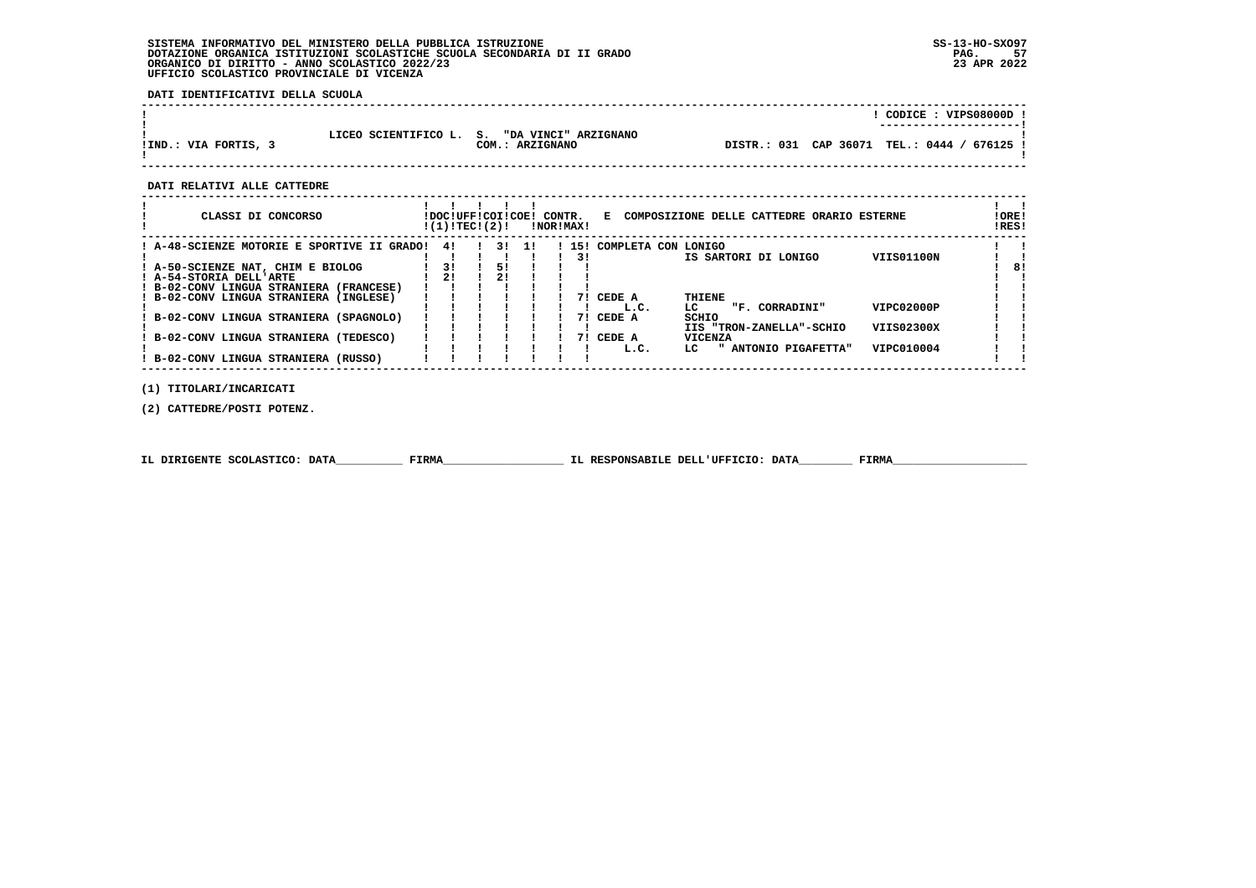# **SISTEMA INFORMATIVO DEL MINISTERO DELLA PUBBLICA ISTRUZIONE SS-13-HO-SXO97**DOTAZIONE ORGANICA ISTITUZIONI SCOLASTICHE SCUOLA SECONDARIA DI II GRADO<br>ORGANICO DI DIRITTO - ANNO SCOLASTICO 2022/23<br>UFFICIO SCOLASTICO PROVINCIALE DI VICENZA

 **DATI IDENTIFICATIVI DELLA SCUOLA**

|                      |                         |                                         |  | CODICE: VIPS08000D !<br>---------------------- |
|----------------------|-------------------------|-----------------------------------------|--|------------------------------------------------|
| IIND.: VIA FORTIS, 3 | LICEO SCIENTIFICO L. S. | "DA VINCI" ARZIGNANO<br>COM.: ARZIGNANO |  | DISTR.: 031 CAP 36071 TEL.: 0444 / 676125 !    |

 **------------------------------------------------------------------------------------------------------------------------------------**

 **DATI RELATIVI ALLE CATTEDRE**

| CLASSI DI CONCORSO                                                                                          | !DOC!UFF!COI!COE!<br>!(1)!TEC!(2)! |          |       | CONTR.<br>!NOR!MAX! |           | E.                       | COMPOSIZIONE DELLE CATTEDRE ORARIO ESTERNE                                        |                          | !ORE!<br>!RES! |
|-------------------------------------------------------------------------------------------------------------|------------------------------------|----------|-------|---------------------|-----------|--------------------------|-----------------------------------------------------------------------------------|--------------------------|----------------|
| ! A-48-SCIENZE MOTORIE E SPORTIVE II GRADO!<br>! A-50-SCIENZE NAT, CHIM E BIOLOG<br>! A-54-STORIA DELL'ARTE | 41<br>31<br>21                     | 51<br>21 | 31 11 |                     | 151<br>31 | COMPLETA CON LONIGO      | IS SARTORI DI LONIGO                                                              | <b>VIIS01100N</b>        | 8!             |
| ! B-02-CONV LINGUA STRANIERA (FRANCESE)<br>! B-02-CONV LINGUA STRANIERA (INGLESE)                           |                                    |          |       |                     | 71        | CEDE A<br>L.C.           | THIENE<br>LC.<br>"F. CORRADINI"                                                   | VIPC02000P               |                |
| B-02-CONV LINGUA STRANIERA (SPAGNOLO)<br>B-02-CONV LINGUA STRANIERA (TEDESCO)                               |                                    |          |       |                     | 71<br>7 I | CEDE A<br>CEDE A<br>L.C. | SCHIO<br>IIS "TRON-ZANELLA"-SCHIO<br><b>VICENZA</b><br>" ANTONIO PIGAFETTA"<br>LC | VIIS02300X<br>VIPC010004 |                |
| ! B-02-CONV LINGUA STRANIERA (RUSSO)                                                                        |                                    |          |       |                     |           |                          |                                                                                   |                          |                |

 **(1) TITOLARI/INCARICATI**

 **(2) CATTEDRE/POSTI POTENZ.**

|  | IL DIRIGENTE SCOLASTICO: DATA | <b>FIRMA</b> | IL RESPONSABILE DELL'UFFICIO: DATA | FIRM |
|--|-------------------------------|--------------|------------------------------------|------|
|--|-------------------------------|--------------|------------------------------------|------|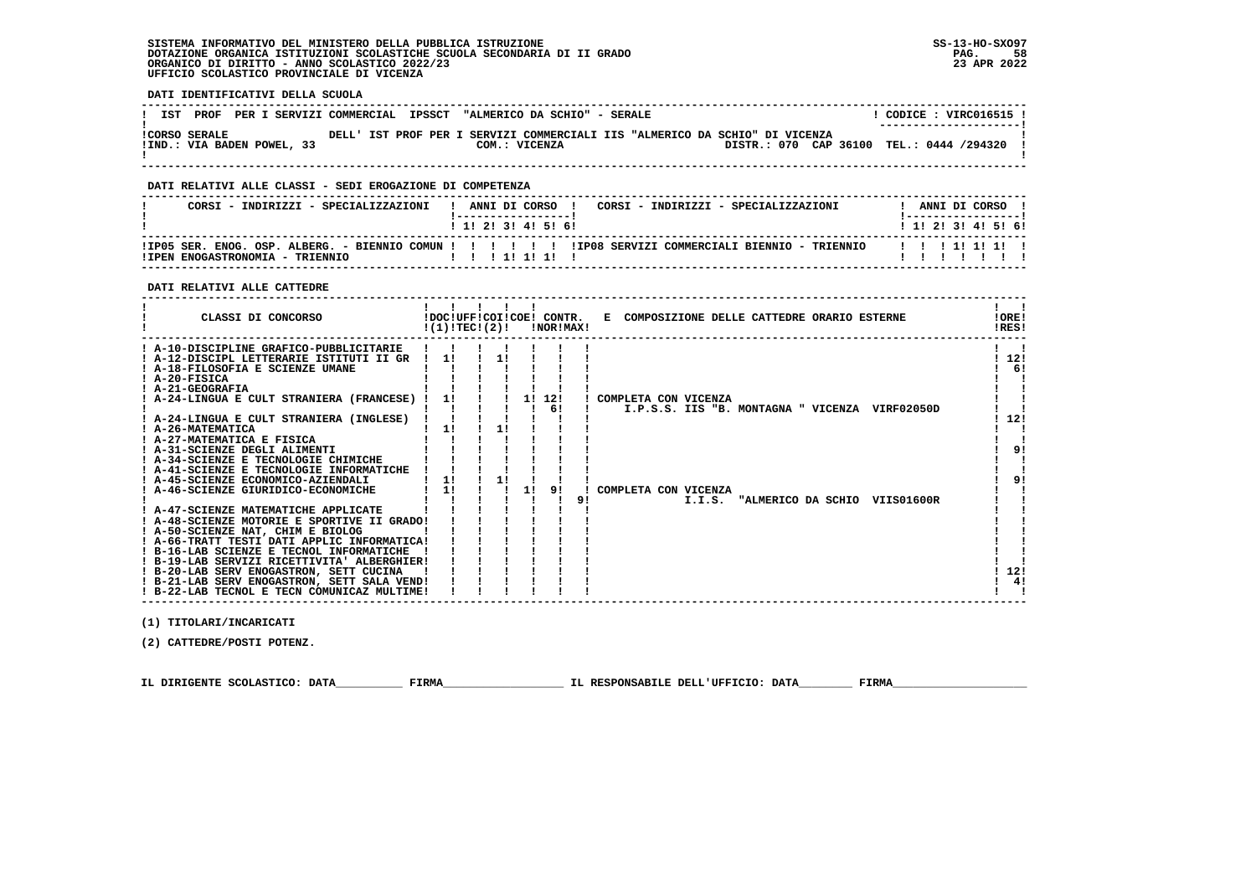# **SISTEMA INFORMATIVO DEL MINISTERO DELLA PUBBLICA ISTRUZIONE SS-13-HO-SXO97 DOTAZIONE ORGANICA ISTITUZIONI SCOLASTICHE SCUOLA SECONDARIA DI II GRADO PAG. 58**ORGANICO DI DIRITTO - ANNO SCOLASTICO 2022/23  **UFFICIO SCOLASTICO PROVINCIALE DI VICENZA**

 **DATI IDENTIFICATIVI DELLA SCUOLA**

|                      |                            | IST PROF PER I SERVIZI COMMERCIAL IPSSCT "ALMERICO DA SCHIO" - SERALE |               |                                                                             | CODICE : VIRC016515 !<br>---------------------- |
|----------------------|----------------------------|-----------------------------------------------------------------------|---------------|-----------------------------------------------------------------------------|-------------------------------------------------|
| <b>!CORSO SERALE</b> | !IND.: VIA BADEN POWEL, 33 |                                                                       | COM.: VICENZA | DELL' IST PROF PER I SERVIZI COMMERCIALI IIS "ALMERICO DA SCHIO" DI VICENZA | DISTR.: 070 CAP 36100 TEL.: 0444 /294320        |

 **------------------------------------------------------------------------------------------------------------------------------------**

# **DATI RELATIVI ALLE CLASSI - SEDI EROGAZIONE DI COMPETENZA**

| CORSI - INDIRIZZI - SPECIALIZZAZIONI | ANNI DI CORSO<br>CORSI - INDIRIZZI - SPECIALIZZAZIONI<br>1 1 1 2 1 3 1 4 1 5 1 6 1 | ANNI DI CORSO<br>1 1 1 2 1 3 1 4 1 5 1 6 1 |
|--------------------------------------|------------------------------------------------------------------------------------|--------------------------------------------|
| ITPEN ENOGASTRONOMIA - TRIENNIO      |                                                                                    |                                            |

#### **DATI RELATIVI ALLE CATTEDRE**

| CLASSI DI CONCORSO                                                               | !(1)!TEC!(2)! |    |    | !NOR!MAX! |    | !DOC!UFF!COI!COE! CONTR. E COMPOSIZIONE DELLE CATTEDRE ORARIO ESTERNE | !ORE!<br>!RES! |
|----------------------------------------------------------------------------------|---------------|----|----|-----------|----|-----------------------------------------------------------------------|----------------|
| ! A-10-DISCIPLINE GRAFICO-PUBBLICITARIE                                          |               |    |    |           |    |                                                                       |                |
| ! A-12-DISCIPL LETTERARIE ISTITUTI II GR<br>! A-18-FILOSOFIA E SCIENZE UMANE     |               |    |    |           |    |                                                                       | 12!<br>6!      |
| ! A-20-FISICA                                                                    |               |    |    |           |    |                                                                       |                |
| ! A-21-GEOGRAFIA                                                                 |               |    |    |           |    |                                                                       |                |
| ! A-24-LINGUA E CULT STRANIERA (FRANCESE) !                                      | 11            |    | 11 | 12!       |    | ! COMPLETA CON VICENZA                                                |                |
|                                                                                  |               |    |    | 6!        |    | I.P.S.S. IIS "B. MONTAGNA " VICENZA VIRF02050D                        |                |
| ! A-24-LINGUA E CULT STRANIERA (INGLESE)                                         |               |    |    |           |    |                                                                       | 12!            |
| ! A-26-MATEMATICA                                                                | 1!            | 1! |    |           |    |                                                                       |                |
| ! A-27-MATEMATICA E FISICA                                                       |               |    |    |           |    |                                                                       |                |
| ! A-31-SCIENZE DEGLI ALIMENTI                                                    |               |    |    |           |    |                                                                       | 9!             |
| ! A-34-SCIENZE E TECNOLOGIE CHIMICHE                                             |               |    |    |           |    |                                                                       |                |
| ! A-41-SCIENZE E TECNOLOGIE INFORMATICHE                                         |               |    |    |           |    |                                                                       |                |
| ! A-45-SCIENZE ECONOMICO-AZIENDALI                                               | 11            | 1! |    |           |    |                                                                       | 9!             |
| ! A-46-SCIENZE GIURIDICO-ECONOMICHE                                              | 1!            |    | 1! |           |    | COMPLETA CON VICENZA                                                  |                |
|                                                                                  |               |    |    |           | 9! | "ALMERICO DA SCHIO VIIS01600R<br>I.I.S.                               |                |
| ! A-47-SCIENZE MATEMATICHE APPLICATE                                             |               |    |    |           |    |                                                                       |                |
| ! A-48-SCIENZE MOTORIE E SPORTIVE II GRADO!                                      |               |    |    |           |    |                                                                       |                |
| ! A-50-SCIENZE NAT, CHIM E BIOLOG<br>! A-66-TRATT TESTI DATI APPLIC INFORMATICA! |               |    |    |           |    |                                                                       |                |
| ! B-16-LAB SCIENZE E TECNOL INFORMATICHE                                         |               |    |    |           |    |                                                                       |                |
| ! B-19-LAB SERVIZI RICETTIVITA' ALBERGHIER!                                      |               |    |    |           |    |                                                                       |                |
| ! B-20-LAB SERV ENOGASTRON, SETT CUCINA                                          |               |    |    |           |    |                                                                       | 12!            |
| ! B-21-LAB SERV ENOGASTRON, SETT SALA VEND!                                      |               |    |    |           |    |                                                                       | 4!             |
| ! B-22-LAB TECNOL E TECN COMUNICAZ MULTIME!                                      |               |    |    |           |    |                                                                       |                |
|                                                                                  |               |    |    |           |    |                                                                       |                |

 **(1) TITOLARI/INCARICATI**

 **(2) CATTEDRE/POSTI POTENZ.**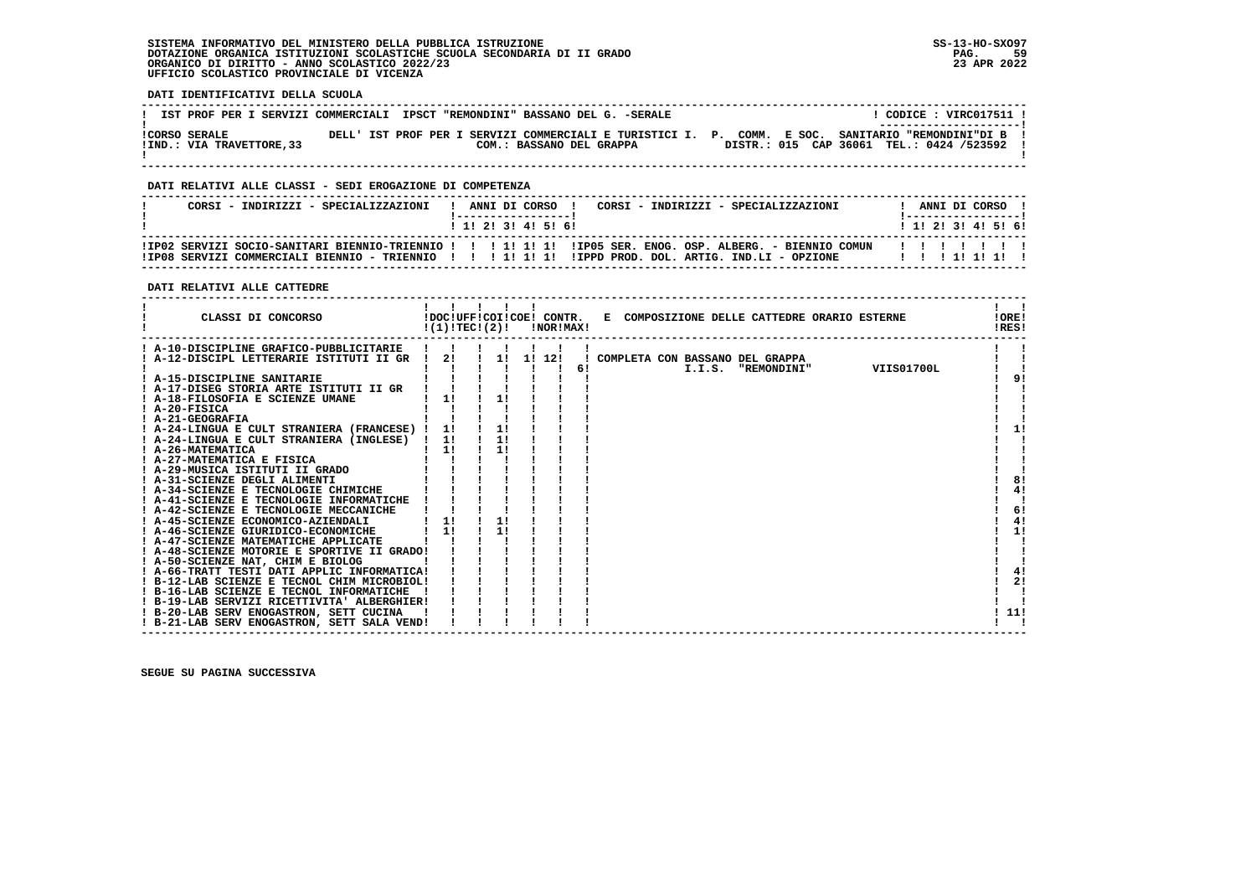# **SISTEMA INFORMATIVO DEL MINISTERO DELLA PUBBLICA ISTRUZIONE SS-13-HO-SXO97 DOTAZIONE ORGANICA ISTITUZIONI SCOLASTICHE SCUOLA SECONDARIA DI II GRADO PAG. 59ORGANICO DI DIRITTO - ANNO SCOLASTICO 2022/23 UFFICIO SCOLASTICO PROVINCIALE DI VICENZA**

 **DATI IDENTIFICATIVI DELLA SCUOLA**

|                           | IST PROF PER I SERVIZI COMMERCIALI IPSCT "REMONDINI" BASSANO DEL G. -SERALE | CODICE : VIRC017511 !                                                                                                          |
|---------------------------|-----------------------------------------------------------------------------|--------------------------------------------------------------------------------------------------------------------------------|
| <b>!CORSO SERALE</b>      |                                                                             | ---------------------- <br>DELL' IST PROF PER I SERVIZI COMMERCIALI E TURISTICI I. P. COMM. E SOC. SANITARIO "REMONDINI"DI B ! |
| !IND.: VIA TRAVETTORE, 33 | COM.: BASSANO DEL GRAPPA                                                    | DISTR.: 015 CAP 36061 TEL.: 0424 /523592 !                                                                                     |

 **------------------------------------------------------------------------------------------------------------------------------------**

# **DATI RELATIVI ALLE CLASSI - SEDI EROGAZIONE DI COMPETENZA**

| CORSI - INDIRIZZI - SPECIALIZZAZIONI | ANNI DI CORSO !<br>CORSI - INDIRIZZI - SPECIALIZZAZIONI<br>1 1 1 2 1 3 1 4 1 5 1 6 1                                                                                                                           | ANNI DI CORSO<br>1 1 1 2 1 3 1 4 1 5 1 6 1 |
|--------------------------------------|----------------------------------------------------------------------------------------------------------------------------------------------------------------------------------------------------------------|--------------------------------------------|
|                                      | IIPO2 SERVIZI SOCIO-SANITARI BIENNIO-TRIENNIO !!!!!!!!!!!!!PO5 SER. ENOG. OSP. ALBERG. - BIENNIO COMUN<br>ITPOS SERVIZI COMMERCIALI BIENNIO - TRIENNIO II IIIII IIIII IIPPO PROD. DOL. ARTIG. IND.LI - OPZIONE |                                            |

# **DATI RELATIVI ALLE CATTEDRE**

| CLASSI DI CONCORSO                                               | !DOC!UFF!COI!COE! CONTR.<br>!(1)!TECI(2)! | - 1 1 1 | !NOR!MAX! |    | E COMPOSIZIONE DELLE CATTEDRE ORARIO ESTERNE | !ORE!<br>!RES! |
|------------------------------------------------------------------|-------------------------------------------|---------|-----------|----|----------------------------------------------|----------------|
| ! A-10-DISCIPLINE GRAFICO-PUBBLICITARIE                          |                                           |         |           |    |                                              |                |
| ! A-12-DISCIPL LETTERARIE ISTITUTI II GR                         | 21                                        |         | 1! 1! 12! |    | COMPLETA CON BASSANO DEL GRAPPA              |                |
|                                                                  |                                           |         |           | 6! | VIIS01700L<br>I.I.S. "REMONDINI"             |                |
| ! A-15-DISCIPLINE SANITARIE                                      |                                           |         |           |    |                                              | 9!             |
| ! A-17-DISEG STORIA ARTE ISTITUTI II GR                          |                                           |         |           |    |                                              |                |
| ! A-18-FILOSOFIA E SCIENZE UMANE                                 | 1!                                        |         |           |    |                                              |                |
| ! A-20-FISICA                                                    |                                           |         |           |    |                                              |                |
| ! A-21-GEOGRAFIA                                                 |                                           |         |           |    |                                              |                |
| ! A-24-LINGUA E CULT STRANIERA (FRANCESE) !                      | 11                                        |         |           |    |                                              | -11            |
| ! A-24-LINGUA E CULT STRANIERA (INGLESE) !                       | 1!                                        | 1!      |           |    |                                              |                |
| ! A-26-MATEMATICA<br>! A-27-MATEMATICA E FISICA                  | 1!                                        | 1!      |           |    |                                              |                |
|                                                                  |                                           |         |           |    |                                              |                |
| ! A-29-MUSICA ISTITUTI II GRADO<br>! A-31-SCIENZE DEGLI ALIMENTI |                                           |         |           |    |                                              | 8!             |
| ! A-34-SCIENZE E TECNOLOGIE CHIMICHE                             |                                           |         |           |    |                                              | 4!             |
| ! A-41-SCIENZE E TECNOLOGIE INFORMATICHE                         |                                           |         |           |    |                                              |                |
| ! A-42-SCIENZE E TECNOLOGIE MECCANICHE                           |                                           |         |           |    |                                              | 6!             |
| ! A-45-SCIENZE ECONOMICO-AZIENDALI                               | 11                                        | 1!      |           |    |                                              | 4!             |
| ! A-46-SCIENZE GIURIDICO-ECONOMICHE                              | 1!                                        | 11      |           |    |                                              | 1!             |
| ! A-47-SCIENZE MATEMATICHE APPLICATE                             |                                           |         |           |    |                                              |                |
| ! A-48-SCIENZE MOTORIE E SPORTIVE II GRADO!                      |                                           |         |           |    |                                              |                |
| ! A-50-SCIENZE NAT, CHIM E BIOLOG                                |                                           |         |           |    |                                              |                |
| ! A-66-TRATT TESTI DATI APPLIC INFORMATICA!                      |                                           |         |           |    |                                              | 4!             |
| ! B-12-LAB SCIENZE E TECNOL CHIM MICROBIOL!                      |                                           |         |           |    |                                              | 2!             |
| ! B-16-LAB SCIENZE E TECNOL INFORMATICHE                         |                                           |         |           |    |                                              |                |
| ! B-19-LAB SERVIZI RICETTIVITA' ALBERGHIER!                      |                                           |         |           |    |                                              |                |
| ! B-20-LAB SERV ENOGASTRON, SETT CUCINA                          |                                           |         |           |    |                                              | -11!           |
| ! B-21-LAB SERV ENOGASTRON, SETT SALA VEND!                      |                                           |         |           |    |                                              |                |
|                                                                  |                                           |         |           |    |                                              |                |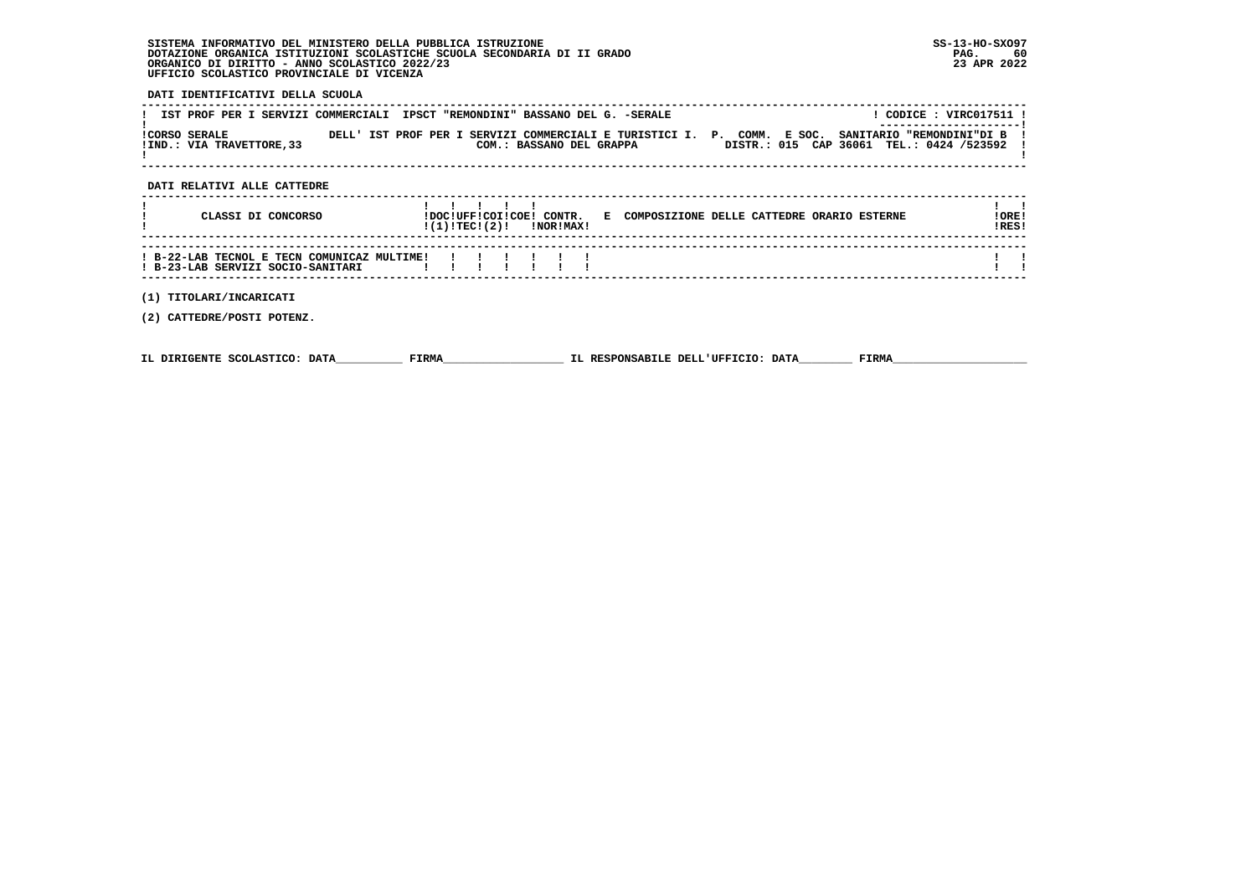# **SISTEMA INFORMATIVO DEL MINISTERO DELLA PUBBLICA ISTRUZIONE SS-13-HO-SXO97 DOTAZIONE ORGANICA ISTITUZIONI SCOLASTICHE SCUOLA SECONDARIA DI II GRADO PAG. 60ORGANICO DI DIRITTO - ANNO SCOLASTICO 2022/23 UFFICIO SCOLASTICO PROVINCIALE DI VICENZA**

# **DATI IDENTIFICATIVI DELLA SCUOLA**

| IST PROF PER I SERVIZI COMMERCIALI IPSCT "REMONDINI" BASSANO DEL G. -SERALE |  |                          | CODICE : VIRC017511 !                                                                                                          |
|-----------------------------------------------------------------------------|--|--------------------------|--------------------------------------------------------------------------------------------------------------------------------|
| ICORSO SERALE                                                               |  |                          | ---------------------- <br>DELL' IST PROF PER I SERVIZI COMMERCIALI E TURISTICI I. P. COMM. E SOC. SANITARIO "REMONDINI"DI B ! |
| ! IND.: VIA TRAVETTORE, 33                                                  |  | COM.: BASSANO DEL GRAPPA | DISTR.: 015 CAP 36061 TEL.: 0424 /523592 !                                                                                     |
|                                                                             |  |                          |                                                                                                                                |

# **DATI RELATIVI ALLE CATTEDRE**

| CLASSI DI CONCORSO                                                               | IDOCIUFFICOIICOEI CONTR.<br>!(1)!TEC!(2)! |  | <b>!NOR!MAX!</b> | E. | COMPOSIZIONE DELLE CATTEDRE ORARIO ESTERNE | ! ORE ! | IRES! |
|----------------------------------------------------------------------------------|-------------------------------------------|--|------------------|----|--------------------------------------------|---------|-------|
| ! B-22-LAB TECNOL E TECN COMUNICAZ MULTIME!<br>! B-23-LAB SERVIZI SOCIO-SANITARI | .                                         |  |                  |    |                                            |         |       |

 **------------------------------------------------------------------------------------------------------------------------------------**

# **(1) TITOLARI/INCARICATI**

 **(2) CATTEDRE/POSTI POTENZ.**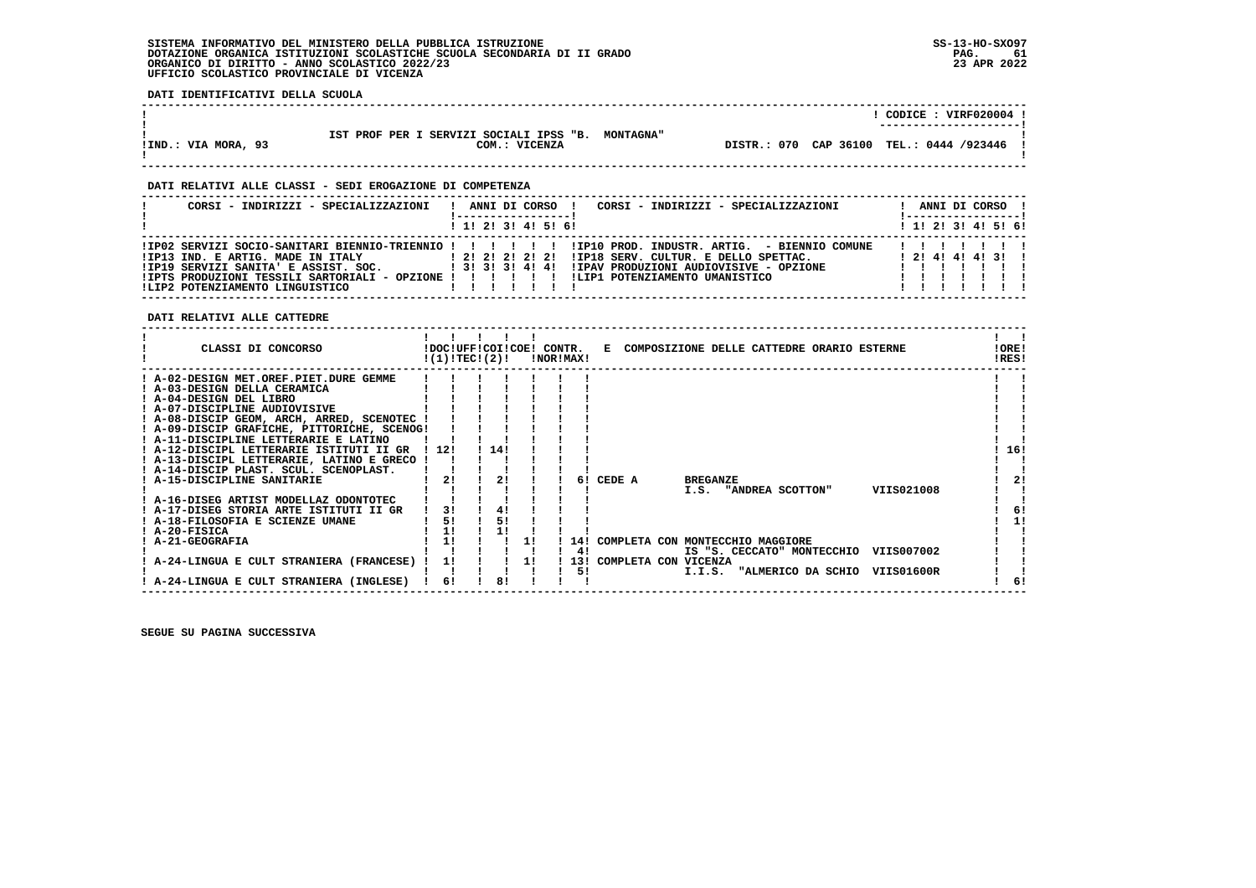### **SISTEMA INFORMATIVO DEL MINISTERO DELLA PUBBLICA ISTRUZIONE SS-13-HO-SXO97 DOTAZIONE ORGANICA ISTITUZIONI SCOLASTICHE SCUOLA SECONDARIA DI II GRADO** ORGANICO DI DIRITTO - ANNO SCOLASTICO 2022/23  **UFFICIO SCOLASTICO PROVINCIALE DI VICENZA**

PAG. 61 23 APR 2022

> $\blacksquare$  $\frac{1}{6}$  $\frac{1}{1}$  11  $\mathbf{I}$   $\mathbf{I}$

 $1 \quad 1$ 

 $\mathbf{1}$   $\mathbf{1}$  $\frac{1}{1}$  61

 **DATI IDENTIFICATIVI DELLA SCUOLA**

| IST PROF PER I SERVIZI SOCIALI IPSS "B. MONTAGNA"<br>!IND.: VIA MORA, 93<br>COM.: VICENZA                                                                                                                                                                                                                                                                                             |                                                             |                           |                    | !<br>! DISTR.: 070 CAP 36100 TEL.: 0444 /923446                          | ! CODICE : VIRF020004 !                          |                                             |
|---------------------------------------------------------------------------------------------------------------------------------------------------------------------------------------------------------------------------------------------------------------------------------------------------------------------------------------------------------------------------------------|-------------------------------------------------------------|---------------------------|--------------------|--------------------------------------------------------------------------|--------------------------------------------------|---------------------------------------------|
| DATI RELATIVI ALLE CLASSI - SEDI EROGAZIONE DI COMPETENZA                                                                                                                                                                                                                                                                                                                             |                                                             |                           |                    |                                                                          | -----------------------                          |                                             |
| CORSI - INDIRIZZI - SPECIALIZZAZIONI                                                                                                                                                                                                                                                                                                                                                  |                                                             | 1 1 2 2 1 3 1 4 1 5 1 6 1 |                    | ! ANNI DI CORSO ! CORSI - INDIRIZZI - SPECIALIZZAZIONI ! ANNI DI CORSO ! | !-----------------!<br>1 1 2 2 1 3 1 4 1 5 1 6 1 |                                             |
| !IPO2 SERVIZI SOCIO-SANITARI BIENNIO-TRIENNIO ! ! ! ! ! ! !IP10 PROD. INDUSTR. ARTIG. - BIENNIO COMUNE ! ! !<br>!IP13 IND. E ARTIG. MADE IN ITALY                 ! 2! 2! 2! 2! 2! 1IP18 SERV. CULTUR. E DELLO SPETTAC.               ! 2! 4! 4! 3! !<br>!IP19 SERVIZI SANITA'E ASSIST. SOC.            ! 3! 3! 3! 4! 4! !IPAV PRODUZIONI AUDIOVI<br>! LIP2 POTENZIAMENTO LINGUISTICO |                                                             |                           |                    |                                                                          |                                                  |                                             |
| DATI RELATIVI ALLE CATTEDRE                                                                                                                                                                                                                                                                                                                                                           |                                                             |                           |                    |                                                                          |                                                  |                                             |
|                                                                                                                                                                                                                                                                                                                                                                                       | $\blacksquare$<br>$!(1)!TEC!(2)!$ $INORIMAX!$               |                           |                    |                                                                          |                                                  | $\mathbf{1}$ $\mathbf{1}$<br>!ORE!<br>!RES! |
| $!$ A-08-DISCIP GEOM, ARCH, ARRED, SCENOTEC $!$ $!$ $!$ $!$<br>! A-09-DISCIP GRAFICHE, PITTORICHE, SCENOG!<br>! A-11-DISCIPLINE LETTERARIE E LATINO<br>! A-12-DISCIPL LETTERARIE ISTITUTI II GR ! 12! ! 14!                                                                                                                                                                           | $\frac{1}{2}$ $\frac{1}{2}$ $\frac{1}{2}$                   |                           |                    |                                                                          |                                                  | ! 16!                                       |
| ! A-13-DISCIPL LETTERARIE, LATINO E GRECO ! ! !<br>! A-14-DISCIP PLAST. SCUL. SCENOPLAST.        <br>$\frac{1}{2!}$ 21 1 21 1 1<br>! A-15-DISCIPLINE SANITARIE<br>! A-16-DISEG ARTIST MODELLAZ ODONTOTEC      <br>! A-17-DISEG STORIA ARTE ISTITUTI II GR   3! ! 4!<br>! A-18-FILOSOFIA E SCIENZE UMANE                                                                               | $1 \quad 1 \quad 1 \quad 1$<br>$\mathbf{I}$<br>$1 \quad 51$ | 51                        | 6! CEDE A BREGANZE | I.S. "ANDREA SCOTTON" VIIS021008                                         |                                                  | 2!<br>6!<br>1!                              |

 **! A-20-FISICA ! 1! ! 1! ! ! ! ! ! ! A-21-GEOGRAFIA ! 1! ! ! 1! ! 14! COMPLETA CON MONTECCHIO MAGGIORE ! ! ! ! ! ! ! ! ! 4! IS "S. CECCATO" MONTECCHIO VIIS007002 ! ! ! A-24-LINGUA E CULT STRANIERA (FRANCESE) ! 1! ! ! 1! ! 13! COMPLETA CON VICENZA ! ! ! ! ! ! ! ! ! 5! I.I.S. "ALMERICO DA SCHIO VIIS01600R ! ! ! A-24-LINGUA E CULT STRANIERA (INGLESE) ! 6! ! 8! ! ! ! ! 6!**

 **------------------------------------------------------------------------------------------------------------------------------------**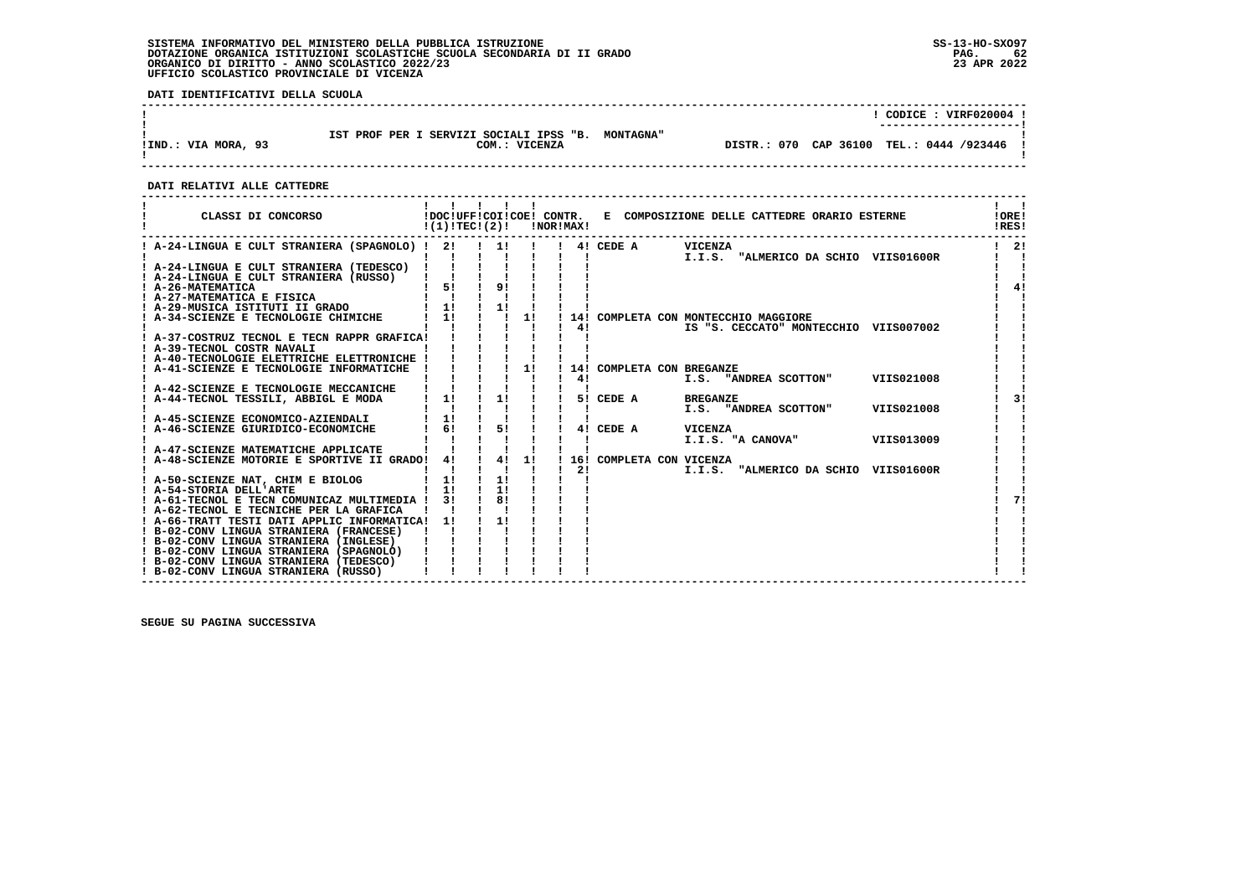# **SISTEMA INFORMATIVO DEL MINISTERO DELLA PUBBLICA ISTRUZIONE SS-13-HO-SXO97**DOTAZIONE ORGANICA ISTITUZIONI SCOLASTICHE SCUOLA SECONDARIA DI II GRADO<br>ORGANICO DI DIRITTO - ANNO SCOLASTICO 2022/23<br>UFFICIO SCOLASTICO PROVINCIALE DI VICENZA

 **DATI IDENTIFICATIVI DELLA SCUOLA**

|                     |                                                                    | CODICE: VIRF020004 !                       |
|---------------------|--------------------------------------------------------------------|--------------------------------------------|
| !IND.: VIA MORA, 93 | IST PROF PER I SERVIZI SOCIALI IPSS "B. MONTAGNA"<br>COM.: VICENZA | DISTR.: 070 CAP 36100 TEL.: 0444 /923446 ! |

 **------------------------------------------------------------------------------------------------------------------------------------**

# **DATI RELATIVI ALLE CATTEDRE**

| CLASSI DI CONCORSO                                                                                                                   | $!(1)!TEC!(2)!$ $INORIMAX!$ |                       |    |              |                     | !DOC!UFF!COI!COE! CONTR. E COMPOSIZIONE DELLE CATTEDRE ORARIO ESTERNE | !ORE!<br>!RES! |
|--------------------------------------------------------------------------------------------------------------------------------------|-----------------------------|-----------------------|----|--------------|---------------------|-----------------------------------------------------------------------|----------------|
| ! A-24-LINGUA E CULT STRANIERA (SPAGNOLO) ! 2! ! 1! !                                                                                |                             |                       |    |              | $1 \quad 41$ CEDE A | <b>VICENZA</b><br>I.I.S. "ALMERICO DA SCHIO VIIS01600R                | $1 \quad 21$   |
| ! A-24-LINGUA E CULT STRANIERA (TEDESCO) !                                                                                           |                             |                       |    |              |                     |                                                                       |                |
|                                                                                                                                      |                             |                       |    |              |                     |                                                                       |                |
| 1 A-24-LINGUA E CULT STRANIERA (RUSSO)        <br>  A-26-MATEMATICA     5     <br>  A-27-MATEMATICA E FISICA                         |                             | 91                    |    |              |                     |                                                                       | 4!             |
|                                                                                                                                      |                             |                       |    |              |                     |                                                                       |                |
|                                                                                                                                      |                             | $\frac{1}{1}$ 11      |    |              |                     |                                                                       |                |
| ! A-34-SCIENZE E TECNOLOGIE CHIMICHE   1! ! !                                                                                        |                             |                       | 1! |              |                     | 14! COMPLETA CON MONTECCHIO MAGGIORE                                  |                |
|                                                                                                                                      |                             |                       |    | $1 \quad 41$ |                     | IS "S. CECCATO" MONTECCHIO VIIS007002                                 |                |
| ! A-37-COSTRUZ TECNOL E TECN RAPPR GRAFICA!                                                                                          |                             |                       |    |              |                     |                                                                       |                |
| ! A-39-TECNOL COSTR NAVALI                                                                                                           |                             |                       |    |              |                     |                                                                       |                |
| ! A-40-TECNOLOGIE ELETTRICHE ELETTRONICHE !                                                                                          |                             |                       |    |              |                     |                                                                       |                |
| A-41-SCIENZE E TECNOLOGIE INFORMATICHE                                                                                               |                             | $1 \quad 1$           | 1! |              |                     | 14! COMPLETA CON BREGANZE                                             |                |
|                                                                                                                                      |                             |                       |    | 41           |                     | I.S. "ANDREA SCOTTON"<br>VIIS021008                                   |                |
| ! A-42-SCIENZE E TECNOLOGIE MECCANICHE                                                                                               |                             |                       |    |              |                     |                                                                       |                |
| ! A-44-TECNOL TESSILI, ABBIGL E MODA                                                                                                 | 1!                          | 1!                    |    |              | 5! CEDE A           | <b>BREGANZE</b>                                                       | 31             |
|                                                                                                                                      |                             |                       |    |              |                     | I.S. "ANDREA SCOTTON"<br>VIIS021008                                   |                |
| ! A-45-SCIENZE ECONOMICO-AZIENDALI                                                                                                   | 1!                          |                       |    |              |                     |                                                                       |                |
| A-46-SCIENZE GIURIDICO-ECONOMICHE                                                                                                    | $1 \quad 61$                | 5!                    |    |              |                     | 4! CEDE A VICENZA                                                     |                |
|                                                                                                                                      |                             |                       |    |              |                     | I.I.S. "A CANOVA" VIIS013009                                          |                |
| ! A-47-SCIENZE MATEMATICHE APPLICATE                                                                                                 |                             |                       |    |              |                     |                                                                       |                |
| ! A-48-SCIENZE MOTORIE E SPORTIVE II GRADO!                                                                                          | 4!                          | $1 \quad 4! \quad 1!$ |    |              |                     | ! 16! COMPLETA CON VICENZA                                            |                |
|                                                                                                                                      |                             |                       |    | 2!           |                     | I.I.S. "ALMERICO DA SCHIO VIIS01600R                                  |                |
| ! A-50-SCIENZE NAT, CHIM E BIOLOG                                                                                                    | 1!<br>$1 - 11$              | 1!                    |    |              |                     |                                                                       |                |
| ! A-54-STORIA DELL'ARTE                                                                                                              |                             | 11                    |    |              |                     |                                                                       |                |
| ! A-61-TECNOL E TECN COMUNICAZ MULTIMEDIA ! 3!                                                                                       |                             | 81                    |    |              |                     |                                                                       |                |
| ! A-62-TECNOL E TECNICHE PER LA GRAFICA !!                                                                                           |                             |                       |    |              |                     |                                                                       |                |
| ! A-66-TRATT TESTI DATI APPLIC INFORMATICA! 1!                                                                                       |                             |                       |    |              |                     |                                                                       |                |
| ! B-02-CONV LINGUA STRANIERA (FRANCESE) ! !                                                                                          |                             |                       |    |              |                     |                                                                       |                |
| . D-02-CONV LINGUA STRANIERA (INGLESE)    <br>! B-02-CONV LINGUA STRANIERA (SPAGNOLO)    <br>! B-02-CONV LINGUA GERANTERA (FERENCIO) |                             |                       |    |              |                     |                                                                       |                |
|                                                                                                                                      |                             |                       |    |              |                     |                                                                       |                |
| ! B-02-CONV LINGUA STRANIERA (TEDESCO)                                                                                               |                             |                       |    |              |                     |                                                                       |                |
| ! B-02-CONV LINGUA STRANIERA (RUSSO)                                                                                                 |                             |                       |    |              |                     |                                                                       |                |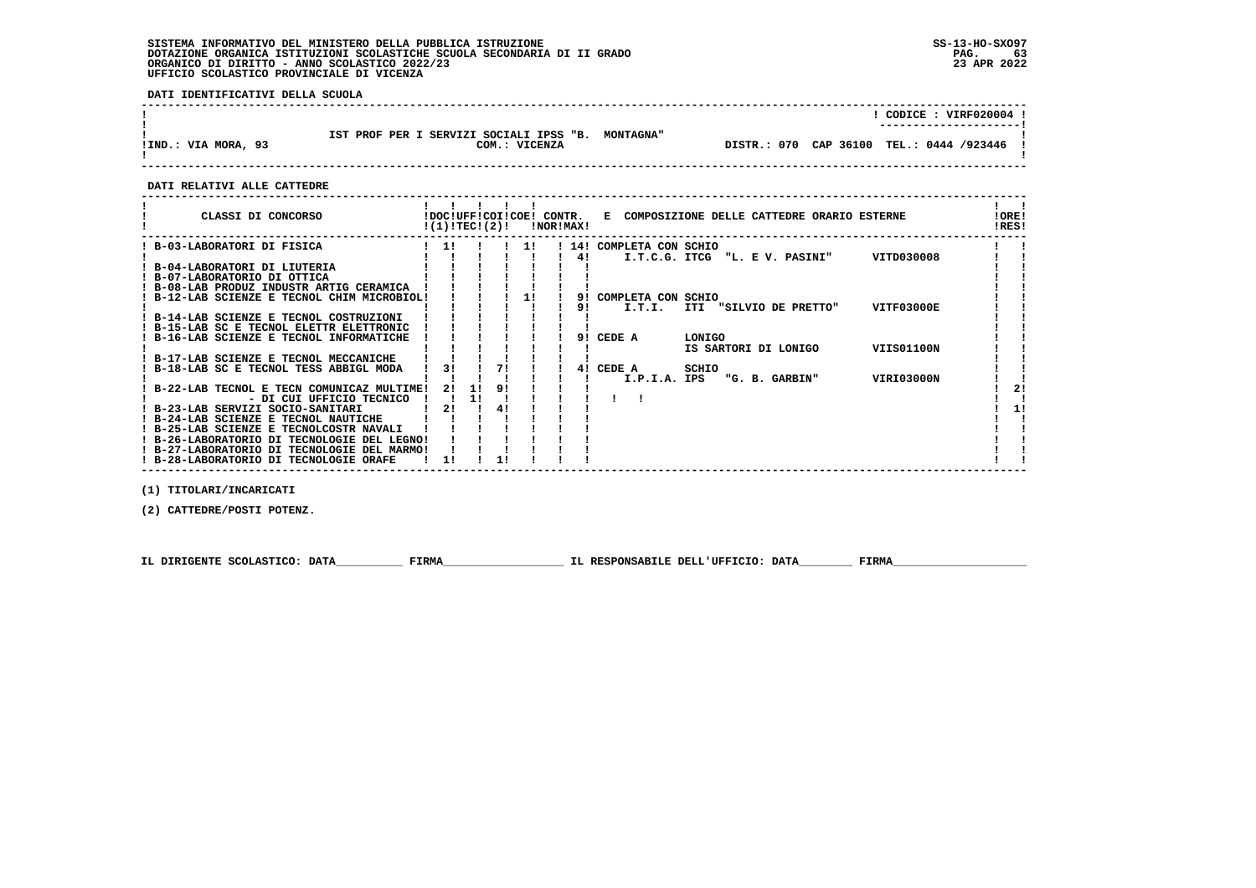# **SISTEMA INFORMATIVO DEL MINISTERO DELLA PUBBLICA ISTRUZIONE SS-13-HO-SXO97 DOTAZIONE ORGANICA ISTITUZIONI SCOLASTICHE SCUOLA SECONDARIA DI II GRADO PAG. 63**ORGANICO DI DIRITTO - ANNO SCOLASTICO 2022/23  **UFFICIO SCOLASTICO PROVINCIALE DI VICENZA**

 **DATI IDENTIFICATIVI DELLA SCUOLA**

|                     |                                                                    |                                            | CODICE: VIRF020004 !<br>---------------------- |
|---------------------|--------------------------------------------------------------------|--------------------------------------------|------------------------------------------------|
| !IND.: VIA MORA, 93 | IST PROF PER I SERVIZI SOCIALI IPSS "B. MONTAGNA"<br>COM.: VICENZA | DISTR.: 070 CAP 36100 TEL.: 0444 /923446 ! |                                                |

 **------------------------------------------------------------------------------------------------------------------------------------**

#### **DATI RELATIVI ALLE CATTEDRE**

| CLASSI DI CONCORSO                          | !DOC!UFF!COI!COE! CONTR.<br>!(1)!TECI(2)! |    |    |    | !NOR!MAX! |    | E COMPOSIZIONE DELLE CATTEDRE ORARIO ESTERNE   | !ORE!<br>!RES! |
|---------------------------------------------|-------------------------------------------|----|----|----|-----------|----|------------------------------------------------|----------------|
| B-03-LABORATORI DI FISICA                   | 11                                        |    |    | 11 |           |    | 14! COMPLETA CON SCHIO                         |                |
|                                             |                                           |    |    |    |           | 4! | VITD030008<br>I.T.C.G. ITCG "L. E V. PASINI"   |                |
| B-04-LABORATORI DI LIUTERIA                 |                                           |    |    |    |           |    |                                                |                |
| ! B-07-LABORATORIO DI OTTICA                |                                           |    |    |    |           |    |                                                |                |
| ! B-08-LAB PRODUZ INDUSTR ARTIG CERAMICA    |                                           |    |    |    |           |    |                                                |                |
| ! B-12-LAB SCIENZE E TECNOL CHIM MICROBIOL! |                                           |    |    |    |           | 91 | COMPLETA CON SCHIO                             |                |
|                                             |                                           |    |    |    |           | 91 | VITF03000E<br>I.T.I.<br>ITI "SILVIO DE PRETTO" |                |
| ! B-14-LAB SCIENZE E TECNOL COSTRUZIONI     |                                           |    |    |    |           |    |                                                |                |
| ! B-15-LAB SC E TECNOL ELETTR ELETTRONIC    |                                           |    |    |    |           |    |                                                |                |
| B-16-LAB SCIENZE E TECNOL INFORMATICHE      |                                           |    |    |    |           | 91 | CEDE A<br>LONIGO                               |                |
|                                             |                                           |    |    |    |           |    | VIIS01100N<br>IS SARTORI DI LONIGO             |                |
| ! B-17-LAB SCIENZE E TECNOL MECCANICHE      |                                           |    |    |    |           |    |                                                |                |
| B-18-LAB SC E TECNOL TESS ABBIGL MODA       | 31                                        |    | 71 |    |           | 41 | CEDE A<br>SCHIO                                |                |
|                                             |                                           |    |    |    |           |    | VIRI03000N<br>I.P.I.A. IPS<br>"G. B. GARBIN"   |                |
| B-22-LAB TECNOL E TECN COMUNICAZ MULTIME!   | 2!                                        |    | 9! |    |           |    |                                                |                |
| - DI CUI UFFICIO TECNICO                    |                                           | 11 |    |    |           |    |                                                |                |
| ! B-23-LAB SERVIZI SOCIO-SANITARI           | 21                                        |    | 4! |    |           |    |                                                | 11             |
| B-24-LAB SCIENZE E TECNOL NAUTICHE          |                                           |    |    |    |           |    |                                                |                |
| ! B-25-LAB SCIENZE E TECNOLCOSTR NAVALI     |                                           |    |    |    |           |    |                                                |                |
| ! B-26-LABORATORIO DI TECNOLOGIE DEL LEGNO! |                                           |    |    |    |           |    |                                                |                |
| ! B-27-LABORATORIO DI TECNOLOGIE DEL MARMO! |                                           |    |    |    |           |    |                                                |                |
| ! B-28-LABORATORIO DI TECNOLOGIE ORAFE      | 11                                        |    |    |    |           |    |                                                |                |

 **(1) TITOLARI/INCARICATI**

 **(2) CATTEDRE/POSTI POTENZ.**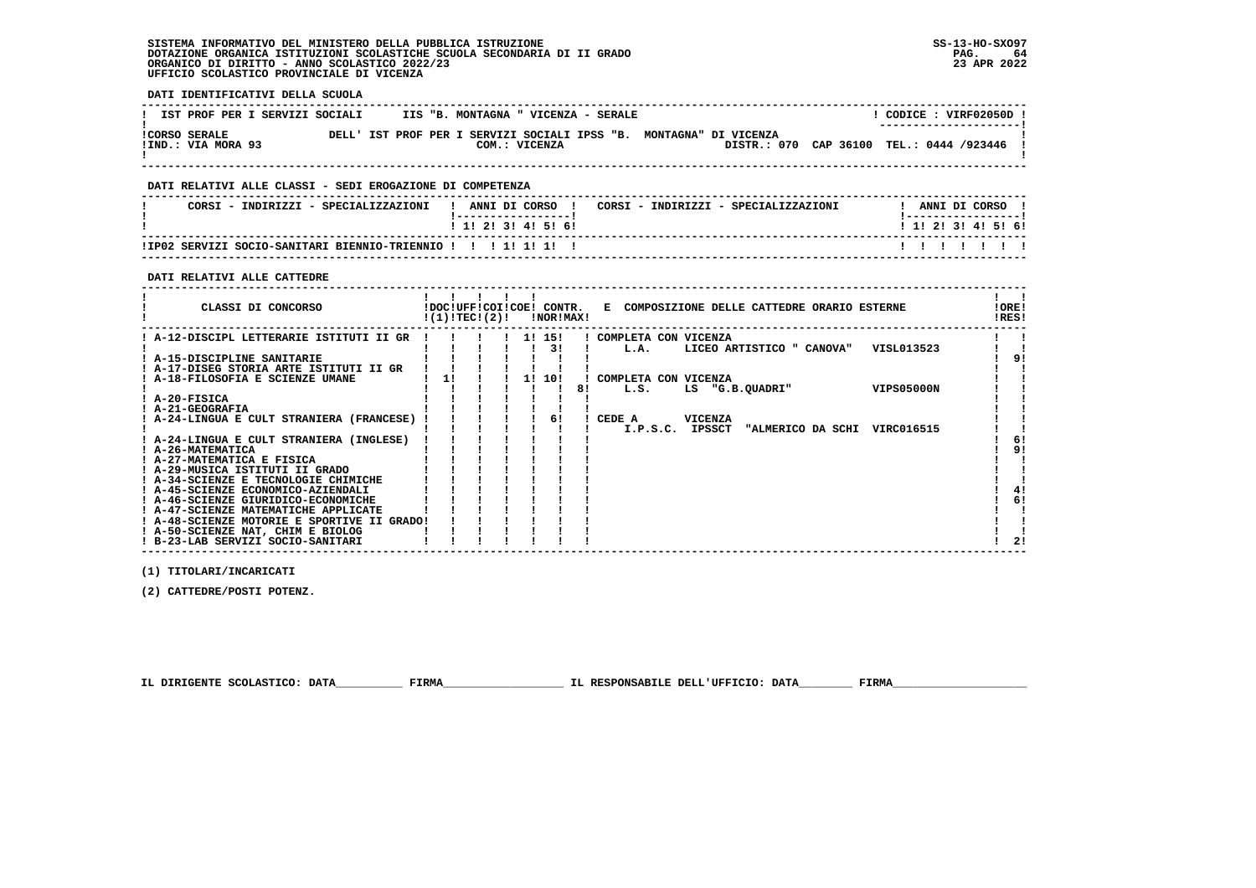# **SISTEMA INFORMATIVO DEL MINISTERO DELLA PUBBLICA ISTRUZIONE SS-13-HO-SXO97 DOTAZIONE ORGANICA ISTITUZIONI SCOLASTICHE SCUOLA SECONDARIA DI II GRADO PAG. 64ORGANICO DI DIRITTO - ANNO SCOLASTICO 2022/23 UFFICIO SCOLASTICO PROVINCIALE DI VICENZA**

 **DATI IDENTIFICATIVI DELLA SCUOLA**

| IST PROF PER I SERVIZI SOCIALI             |  |  | IIS "B. MONTAGNA " VICENZA - SERALE |               |  |                                                                                                                |  | CODICE: VIRF02050D    |  |
|--------------------------------------------|--|--|-------------------------------------|---------------|--|----------------------------------------------------------------------------------------------------------------|--|-----------------------|--|
| <b>!CORSO SERALE</b><br>!IND.: VIA MORA 93 |  |  |                                     | COM.: VICENZA |  | DELL' IST PROF PER I SERVIZI SOCIALI IPSS "B. MONTAGNA" DI VICENZA<br>DISTR.: 070 CAP 36100 TEL.: 0444 /923446 |  | --------------------- |  |
|                                            |  |  |                                     |               |  |                                                                                                                |  |                       |  |

 **------------------------------------------------------------------------------------------------------------------------------------**

# **DATI RELATIVI ALLE CLASSI - SEDI EROGAZIONE DI COMPETENZA**

| CORSI - INDIRIZZI - SPECIALIZZAZIONI                            | ANNI DI CORSO<br>CORSI - INDIRIZZI - SPECIALIZZAZIONI | ANNI DI CORSO             |
|-----------------------------------------------------------------|-------------------------------------------------------|---------------------------|
|                                                                 | 1 1 1 2 1 3 1 4 1 5 1 6 1                             | 1 1 1 2 1 3 1 4 1 5 1 6 1 |
| ! IP02 SERVIZI SOCIO-SANITARI BIENNIO-TRIENNIO ! ! ! 1! 1! 1! ! |                                                       |                           |

 **------------------------------------------------------------------------------------------------------------------------------------**

# **DATI RELATIVI ALLE CATTEDRE**

| CLASSI DI CONCORSO                          |    | !(1)!TEC!(2)! |  | !DOC!UFF!COI!COE! CONTR.<br>!NOR!MAX! |    | E COMPOSIZIONE DELLE CATTEDRE ORARIO ESTERNE       | !ORE!<br>!RES! |  |
|---------------------------------------------|----|---------------|--|---------------------------------------|----|----------------------------------------------------|----------------|--|
| ! A-12-DISCIPL LETTERARIE ISTITUTI II GR    |    |               |  | 1! 15!                                |    | ! COMPLETA CON VICENZA                             |                |  |
|                                             |    |               |  | 31                                    |    | LICEO ARTISTICO " CANOVA"<br>VISL013523<br>L.A.    |                |  |
| ! A-15-DISCIPLINE SANITARIE                 |    |               |  |                                       |    |                                                    |                |  |
| ! A-17-DISEG STORIA ARTE ISTITUTI II GR     |    |               |  |                                       |    |                                                    |                |  |
| ! A-18-FILOSOFIA E SCIENZE UMANE            | 11 |               |  | 1! 10!                                |    | COMPLETA CON VICENZA                               |                |  |
|                                             |    |               |  |                                       | 8! | <b>VIPS05000N</b><br>L.S.<br>LS "G.B.QUADRI"       |                |  |
| ! A-20-FISICA                               |    |               |  |                                       |    |                                                    |                |  |
| ! A-21-GEOGRAFIA                            |    |               |  |                                       |    |                                                    |                |  |
| A-24-LINGUA E CULT STRANIERA (FRANCESE)     |    |               |  | 6!                                    |    | VICENZA<br>CEDE A                                  |                |  |
|                                             |    |               |  |                                       |    | I.P.S.C. IPSSCT<br>"ALMERICO DA SCHI<br>VIRC016515 |                |  |
| ! A-24-LINGUA E CULT STRANIERA (INGLESE)    |    |               |  |                                       |    |                                                    | 6!             |  |
| ! A-26-MATEMATICA                           |    |               |  |                                       |    |                                                    | 91             |  |
| ! A-27-MATEMATICA E FISICA                  |    |               |  |                                       |    |                                                    |                |  |
| ! A-29-MUSICA ISTITUTI II GRADO             |    |               |  |                                       |    |                                                    |                |  |
| ! A-34-SCIENZE E TECNOLOGIE CHIMICHE        |    |               |  |                                       |    |                                                    |                |  |
| ! A-45-SCIENZE ECONOMICO-AZIENDALI          |    |               |  |                                       |    |                                                    |                |  |
| ! A-46-SCIENZE GIURIDICO-ECONOMICHE         |    |               |  |                                       |    |                                                    | 6!             |  |
| ! A-47-SCIENZE MATEMATICHE APPLICATE        |    |               |  |                                       |    |                                                    |                |  |
| ! A-48-SCIENZE MOTORIE E SPORTIVE II GRADO! |    |               |  |                                       |    |                                                    |                |  |
| ! A-50-SCIENZE NAT, CHIM E BIOLOG           |    |               |  |                                       |    |                                                    |                |  |
| ! B-23-LAB SERVIZI SOCIO-SANITARI           |    |               |  |                                       |    |                                                    | 2!             |  |

 **------------------------------------------------------------------------------------------------------------------------------------**

 **(1) TITOLARI/INCARICATI**

 **(2) CATTEDRE/POSTI POTENZ.**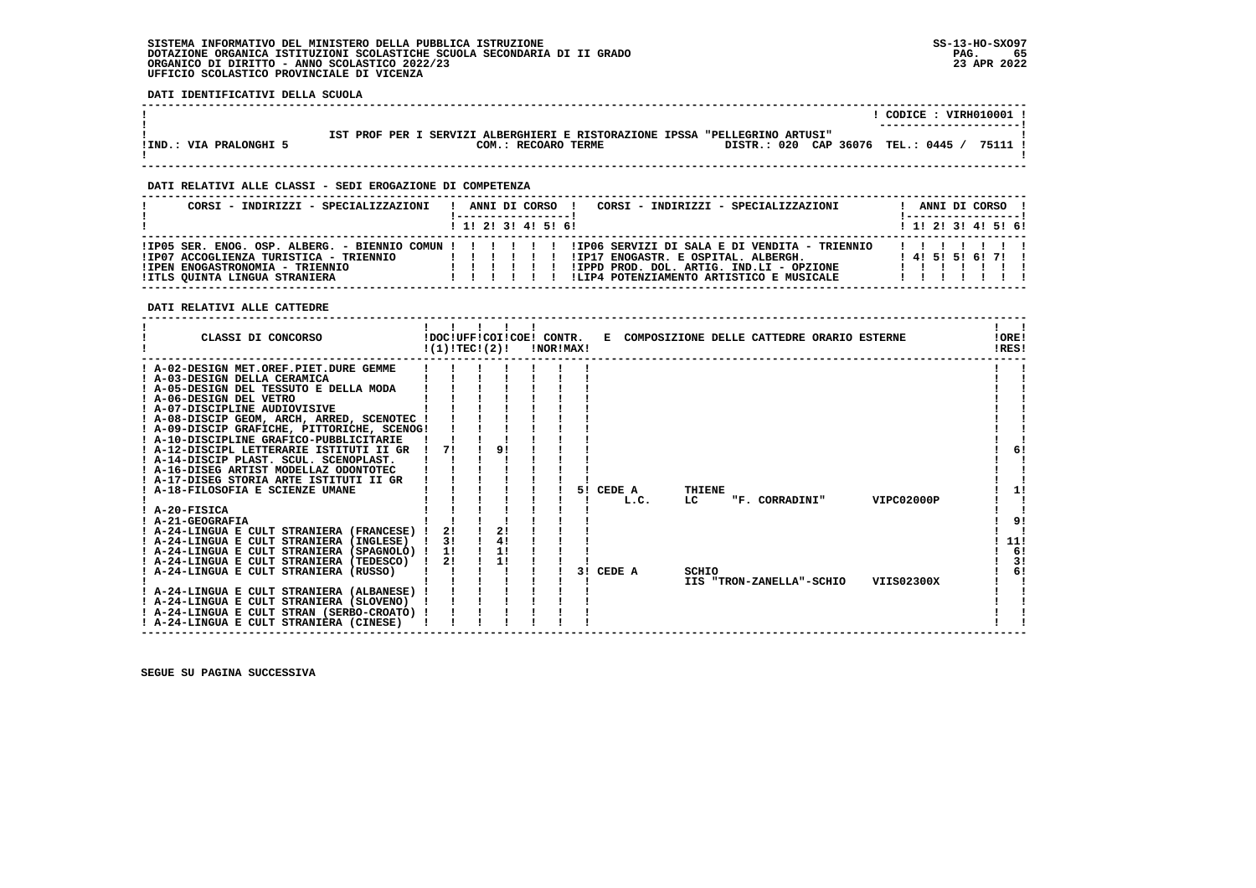## **SISTEMA INFORMATIVO DEL MINISTERO DELLA PUBBLICA ISTRUZIONE SS-13-HO-SXO97 DOTAZIONE ORGANICA ISTITUZIONI SCOLASTICHE SCUOLA SECONDARIA DI II GRADO PAG. 65**ORGANICO DI DIRITTO - ANNO SCOLASTICO 2022/23  **UFFICIO SCOLASTICO PROVINCIALE DI VICENZA**

 **DATI IDENTIFICATIVI DELLA SCUOLA**

|                        |                                                                                                                                           | $CODE: VIRH010001$ !<br>----------------------- |
|------------------------|-------------------------------------------------------------------------------------------------------------------------------------------|-------------------------------------------------|
| !IND.: VIA PRALONGHI 5 | SERVIZI ALBERGHIERI E RISTORAZIONE IPSSA "PELLEGRINO ARTUSI"<br>IST PROF PER<br>DISTR.: 020 CAP 36076 TEL.: 0445 /<br>COM.: RECOARO TERME | 75111 !                                         |

 **------------------------------------------------------------------------------------------------------------------------------------**

 **------------------------------------------------------------------------------------------------------------------------------------**

# **DATI RELATIVI ALLE CLASSI - SEDI EROGAZIONE DI COMPETENZA**

| CORSI - INDIRIZZI - SPECIALIZZAZIONI                                                                       |                    |  | ANNI DI CORSO !                             | CORSI - INDIRIZZI - SPECIALIZZAZIONI                                                                                                                                                                                                |  | ANNI DI CORSO !         |  |  |
|------------------------------------------------------------------------------------------------------------|--------------------|--|---------------------------------------------|-------------------------------------------------------------------------------------------------------------------------------------------------------------------------------------------------------------------------------------|--|-------------------------|--|--|
|                                                                                                            |                    |  | $1 \; 1 \; 2 \; 3 \; 3 \; 4 \; 5 \; 6 \; 6$ |                                                                                                                                                                                                                                     |  | $1$ , 1! 2! 3! 4! 5! 6! |  |  |
| !IP07 ACCOGLIENZA TURISTICA - TRIENNIO<br>!IPEN ENOGASTRONOMIA - TRIENNIO<br>!ITLS QUINTA LINGUA STRANIERA | 11111<br>, , , , , |  |                                             | IIP05 SER. ENOG. OSP. ALBERG. - BIENNIO COMUN !!!!!!!!!!!P06 SERVIZI DI SALA E DI VENDITA - TRIENNIO<br>!IP17 ENOGASTR. E OSPITAL. ALBERGH.<br>!IPPD PROD. DOL. ARTIG. IND.LI - OPZIONE<br>!LIP4 POTENZIAMENTO ARTISTICO E MUSICALE |  | 1 4 1 5 1 5 1 6 1 7 1 1 |  |  |

 **DATI RELATIVI ALLE CATTEDRE**

| CLASSI DI CONCORSO                                                                | !(1)!TEC!(2)! | $\mathbf{I}$ | $\mathbf{I}$<br>!DOC!UFF!COI!COE! CONTR. | !NOR!MAX! |    |        |      |        | E COMPOSIZIONE DELLE CATTEDRE ORARIO ESTERNE |  |            | !ORE!<br>!RES! |
|-----------------------------------------------------------------------------------|---------------|--------------|------------------------------------------|-----------|----|--------|------|--------|----------------------------------------------|--|------------|----------------|
| ! A-02-DESIGN MET.OREF.PIET.DURE GEMME                                            |               |              |                                          |           |    |        |      |        |                                              |  |            |                |
| ! A-03-DESIGN DELLA CERAMICA                                                      |               |              |                                          |           |    |        |      |        |                                              |  |            |                |
| ! A-05-DESIGN DEL TESSUTO E DELLA MODA                                            |               |              |                                          |           |    |        |      |        |                                              |  |            |                |
| ! A-06-DESIGN DEL VETRO                                                           |               |              |                                          |           |    |        |      |        |                                              |  |            |                |
| ! A-07-DISCIPLINE AUDIOVISIVE                                                     |               |              |                                          |           |    |        |      |        |                                              |  |            |                |
| ! A-08-DISCIP GEOM, ARCH, ARRED, SCENOTEC                                         |               |              |                                          |           |    |        |      |        |                                              |  |            |                |
| ! A-09-DISCIP GRAFICHE, PITTORICHE, SCENOG!                                       |               |              |                                          |           |    |        |      |        |                                              |  |            |                |
| ! A-10-DISCIPLINE GRAFICO-PUBBLICITARIE                                           |               |              |                                          |           |    |        |      |        |                                              |  |            |                |
| ! A-12-DISCIPL LETTERARIE ISTITUTI II GR                                          | 71            |              | 91                                       |           |    |        |      |        |                                              |  |            | 6!             |
| ! A-14-DISCIP PLAST. SCUL. SCENOPLAST.                                            |               |              |                                          |           |    |        |      |        |                                              |  |            |                |
| ! A-16-DISEG ARTIST MODELLAZ ODONTOTEC<br>! A-17-DISEG STORIA ARTE ISTITUTI II GR |               |              |                                          |           |    |        |      |        |                                              |  |            |                |
| A-18-FILOSOFIA E SCIENZE UMANE                                                    |               |              |                                          |           | 51 | CEDE A |      | THIENE |                                              |  |            | 1!             |
|                                                                                   |               |              |                                          |           |    |        | L.C. | LC     | "F. CORRADINI"                               |  | VIPC02000P |                |
| $I$ A-20-FISICA                                                                   |               |              |                                          |           |    |        |      |        |                                              |  |            |                |
| ! A-21-GEOGRAFIA                                                                  |               |              |                                          |           |    |        |      |        |                                              |  |            | 9!             |
| ! A-24-LINGUA E CULT STRANIERA (FRANCESE)                                         | 21            |              | 2!                                       |           |    |        |      |        |                                              |  |            |                |
| ! A-24-LINGUA E CULT STRANIERA (INGLESE)                                          | 3!            |              | 4!                                       |           |    |        |      |        |                                              |  |            | 11!            |
| ! A-24-LINGUA E CULT STRANIERA (SPAGNOLO) !                                       | 11            |              | 1!                                       |           |    |        |      |        |                                              |  |            | 6!             |
| ! A-24-LINGUA E CULT STRANIERA (TEDESCO)                                          | 2!            |              | 1!                                       |           |    |        |      |        |                                              |  |            | 3!             |
| ! A-24-LINGUA E CULT STRANIERA (RUSSO)                                            |               |              |                                          |           | 31 | CEDE A |      | SCHIO  |                                              |  |            | 6!             |
|                                                                                   |               |              |                                          |           |    |        |      |        | IIS "TRON-ZANELLA"-SCHIO                     |  | VIIS02300X |                |
| ! A-24-LINGUA E CULT STRANIERA (ALBANESE)                                         |               |              |                                          |           |    |        |      |        |                                              |  |            |                |
| ! A-24-LINGUA E CULT STRANIERA (SLOVENO)                                          |               |              |                                          |           |    |        |      |        |                                              |  |            |                |
| ! A-24-LINGUA E CULT STRAN (SERBO-CROATO) !                                       |               |              |                                          |           |    |        |      |        |                                              |  |            |                |
| ! A-24-LINGUA E CULT STRANIERA (CINESE)                                           |               |              |                                          |           |    |        |      |        |                                              |  |            |                |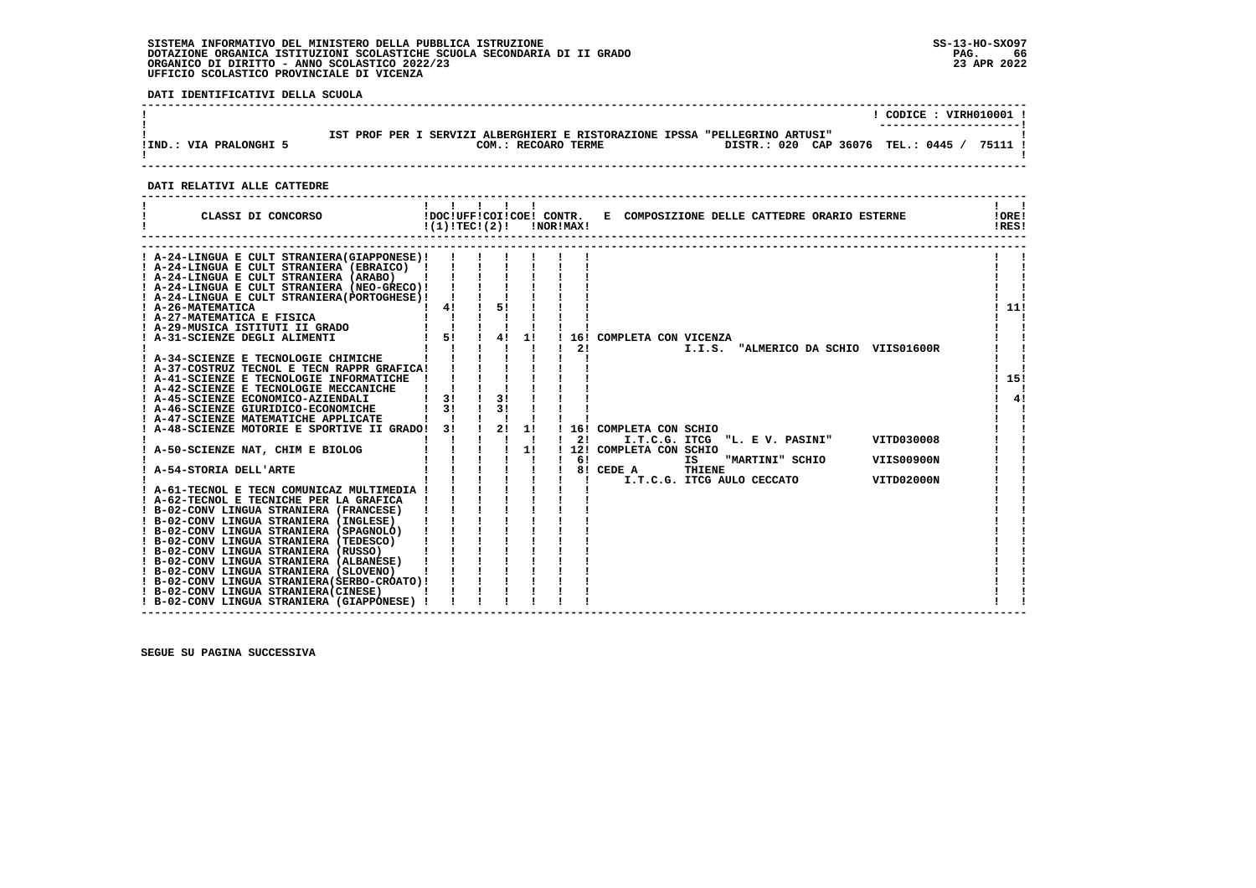# **SISTEMA INFORMATIVO DEL MINISTERO DELLA PUBBLICA ISTRUZIONE SS-13-HO-SXO97**DOTAZIONE ORGANICA ISTITUZIONI SCOLASTICHE SCUOLA SECONDARIA DI II GRADO<br>ORGANICO DI DIRITTO - ANNO SCOLASTICO 2022/23<br>UFFICIO SCOLASTICO PROVINCIALE DI VICENZA

 **DATI IDENTIFICATIVI DELLA SCUOLA**

|                        |                                                                                                    | $CODICE: VIRH010001$ !                     |
|------------------------|----------------------------------------------------------------------------------------------------|--------------------------------------------|
| !IND.: VIA PRALONGHI 5 | IST PROF PER I SERVIZI ALBERGHIERI E RISTORAZIONE IPSSA "PELLEGRINO ARTUSI"<br>COM.: RECOARO TERME | DISTR.: 020 CAP 36076 TEL.: 0445 / 75111 ! |

# **DATI RELATIVI ALLE CATTEDRE**

| CLASSI DI CONCORSO                                                                                                                                                                                                                                                                                                                                                                                                                                                                                                                                                                                                                                                                                                                                                                                                                                                                                                                                                                                                                                                                                                                                                                                                                                                                       | !DOC!UFF!COI!COE! CONTR.<br>!(1)!TECI(2)!                                                                                                                                                                                                                                                                                                                                                                                                                                                                                              |                                 |    | !NOR!MAX! |                | E COMPOSIZIONE DELLE CATTEDRE ORARIO ESTERNE                                                                                                                                                                                                                                          | !ORE!<br>!RES!    |
|------------------------------------------------------------------------------------------------------------------------------------------------------------------------------------------------------------------------------------------------------------------------------------------------------------------------------------------------------------------------------------------------------------------------------------------------------------------------------------------------------------------------------------------------------------------------------------------------------------------------------------------------------------------------------------------------------------------------------------------------------------------------------------------------------------------------------------------------------------------------------------------------------------------------------------------------------------------------------------------------------------------------------------------------------------------------------------------------------------------------------------------------------------------------------------------------------------------------------------------------------------------------------------------|----------------------------------------------------------------------------------------------------------------------------------------------------------------------------------------------------------------------------------------------------------------------------------------------------------------------------------------------------------------------------------------------------------------------------------------------------------------------------------------------------------------------------------------|---------------------------------|----|-----------|----------------|---------------------------------------------------------------------------------------------------------------------------------------------------------------------------------------------------------------------------------------------------------------------------------------|-------------------|
| ! A-24-LINGUA E CULT STRANIERA(GIAPPONESE)!<br>1 A-24-LINGUA E CULT STRANIERA (EBRAICO) 1 1 1<br>1 A-24-LINGUA E CULT STRANIERA (ARABO) 1 1 1<br>1 A-24-LINGUA E CULT STRANIERA (NEO-GRECO) 1 1 1<br>1 A-24-LINGUA E CULT STRANIERA (OORECO) 1 1 1<br>! A-26-MATEMATICA<br>! A-27-MATEMATICA E FISICA<br><b>! A-29-MUSICA ISTITUTI II GRADO<br/>! A-31-SCIENZE DEGLI ALIMENTI</b><br>A-34-SCIENZE E TECNOLOGIE CHIMICHE<br>A-37-COSTRUZ TECNOL E TECN RAPPR GRAFICA!<br>! A-41-SCIENZE E TECNOLOGIE INFORMATICHE<br>! A-42-SCIENZE E TECNOLOGIE MECCANICHE<br>! A-45-SCIENZE ECONOMICO-AZIENDALI<br>! A-46-SCIENZE GIURIDICO-ECONOMICHE<br>! A-47-SCIENZE MATEMATICHE APPLICATE<br>A-48-SCIENZE MOTORIE E SPORTIVE II GRADO! 3!<br>! A-50-SCIENZE NAT, CHIM E BIOLOG<br>A-54-STORIA DELL'ARTE<br>! A-61-TECNOL E TECN COMUNICAZ MULTIMEDIA !<br>! A-62-TECNOL E TECNICHE PER LA GRAFICA<br>! B-02-CONV LINGUA STRANIERA (FRANCESE)<br>! B-02-CONV LINGUA STRANIERA (INGLESE)<br>! B-02-CONV LINGUA STRANIERA (SPAGNOLO)<br>! B-02-CONV LINGUA STRANIERA (TEDESCO)<br>! B-02-CONV LINGUA STRANIERA (RUSSO)<br>! B-02-CONV LINGUA STRANIERA (ALBANESE)<br>! B-02-CONV LINGUA STRANIERA (SLOVENO)<br>! B-02-CONV LINGUA STRANIERA (SERBO-CROATO) !<br>! B-02-CONV LINGUA STRANIERA (CINESE) | $\frac{1}{2}$ 41 $\frac{1}{2}$<br>$\begin{array}{cc} 1 & 1 \\ 1 & 51 \end{array}$<br>3!<br>3!<br>$\begin{array}{ccccccccc} \texttt{11} & \texttt{31} & & \texttt{12} & \texttt{11} \\ \texttt{1} & \texttt{1} & \texttt{1} & \texttt{1} & \texttt{1} \\ \texttt{1} & \texttt{1} & \texttt{1} & \texttt{1} & \texttt{1} \\ \texttt{1} & \texttt{1} & \texttt{1} & \texttt{1} & \texttt{1} \\ \texttt{1} & \texttt{1} & \texttt{1} & \texttt{1} & \texttt{1} \\ \texttt{1} & \texttt{1} & \texttt{1} & \texttt{1} & \texttt{1} \\ \end{$ | 51<br>$\frac{1}{4}$<br>3!<br>31 | 1! |           | 21<br>21<br>61 | 16! COMPLETA CON VICENZA<br>I.I.S. "ALMERICO DA SCHIO VIIS01600R<br>16! COMPLETA CON SCHIO<br>I.T.C.G. ITCG "L. E V. PASINI"<br>VITD030008<br>12! COMPLETA CON SCHIO<br>IS<br>"MARTINI" SCHIO<br>VIIS00900N<br>8! CEDE A<br><b>THIENE</b><br>I.T.C.G. ITCG AULO CECCATO<br>VITD02000N | !11!<br>15!<br>4! |
| ! B-02-CONV LINGUA STRANIERA (GIAPPONESE) !                                                                                                                                                                                                                                                                                                                                                                                                                                                                                                                                                                                                                                                                                                                                                                                                                                                                                                                                                                                                                                                                                                                                                                                                                                              |                                                                                                                                                                                                                                                                                                                                                                                                                                                                                                                                        |                                 |    |           |                |                                                                                                                                                                                                                                                                                       |                   |

 **------------------------------------------------------------------------------------------------------------------------------------**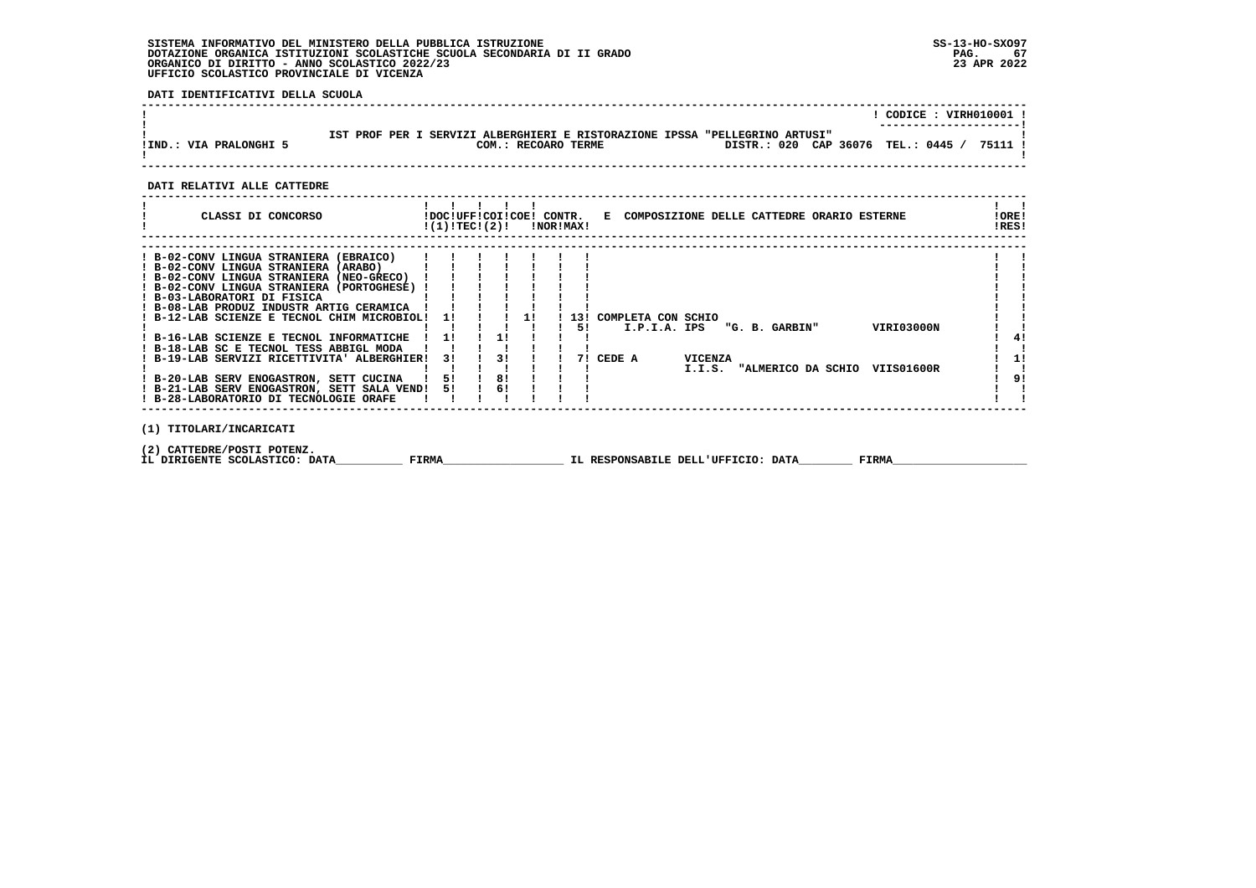# **SISTEMA INFORMATIVO DEL MINISTERO DELLA PUBBLICA ISTRUZIONE SS-13-HO-SXO97**DOTAZIONE ORGANICA ISTITUZIONI SCOLASTICHE SCUOLA SECONDARIA DI II GRADO<br>ORGANICO DI DIRITTO - ANNO SCOLASTICO 2022/23<br>UFFICIO SCOLASTICO PROVINCIALE DI VICENZA

 **DATI IDENTIFICATIVI DELLA SCUOLA**

|                        |                                                                                                                                          | CODICE: VIRH010001 |
|------------------------|------------------------------------------------------------------------------------------------------------------------------------------|--------------------|
| IIND.: VIA PRALONGHI 5 | IST PROF PER I SERVIZI ALBERGHIERI E RISTORAZIONE IPSSA "PELLEGRINO ARTUSI"<br>DISTR.: 020 CAP 36076 TEL.: 0445 /<br>COM.: RECOARO TERME | 75111              |
|                        |                                                                                                                                          |                    |

# **DATI RELATIVI ALLE CATTEDRE**

| CLASSI DI CONCORSO                                                                                                                                                                                                                                                                                                                                                                                                                                                                                                                                                            | !DOC!UFF!COI!COE! CONTR.<br>!(1)!TEC!(2)! |                       | !NOR!MAX! |           |           | E COMPOSIZIONE DELLE CATTEDRE ORARIO ESTERNE |                          |                                      |  |                          | ! ORE!<br>!RES! |                |
|-------------------------------------------------------------------------------------------------------------------------------------------------------------------------------------------------------------------------------------------------------------------------------------------------------------------------------------------------------------------------------------------------------------------------------------------------------------------------------------------------------------------------------------------------------------------------------|-------------------------------------------|-----------------------|-----------|-----------|-----------|----------------------------------------------|--------------------------|--------------------------------------|--|--------------------------|-----------------|----------------|
| ! B-02-CONV LINGUA STRANIERA (EBRAICO)<br>! B-02-CONV LINGUA STRANIERA (ARABO)<br>! B-02-CONV LINGUA STRANIERA (NEO-GRECO)<br>! B-02-CONV LINGUA STRANIERA (PORTOGHESE) !<br>! B-03-LABORATORI DI FISICA<br>! B-08-LAB PRODUZ INDUSTR ARTIG CERAMICA<br>! B-12-LAB SCIENZE E TECNOL CHIM MICROBIOL!<br>! B-16-LAB SCIENZE E TECNOL INFORMATICHE<br>! B-18-LAB SC E TECNOL TESS ABBIGL MODA<br>! B-19-LAB SERVIZI RICETTIVITA' ALBERGHIER!<br>! B-20-LAB SERV ENOGASTRON, SETT CUCINA<br>! B-21-LAB SERV ENOGASTRON, SETT SALA VEND!<br>! B-28-LABORATORIO DI TECNOLOGIE ORAFE | 11<br>-11<br>31<br>51<br>51               | -11<br>31<br>8!<br>61 |           | 131<br>51 | 7! CEDE A | COMPLETA CON SCHIO<br>I.P.I.A. IPS           | <b>VICENZA</b><br>I.I.S. | "G. B. GARBIN"<br>"ALMERICO DA SCHIO |  | VIRI03000N<br>VIIS01600R |                 | 41<br>1!<br>91 |
| (1) TITOLARI/INCARICATI                                                                                                                                                                                                                                                                                                                                                                                                                                                                                                                                                       |                                           |                       |           |           |           |                                              |                          |                                      |  |                          |                 |                |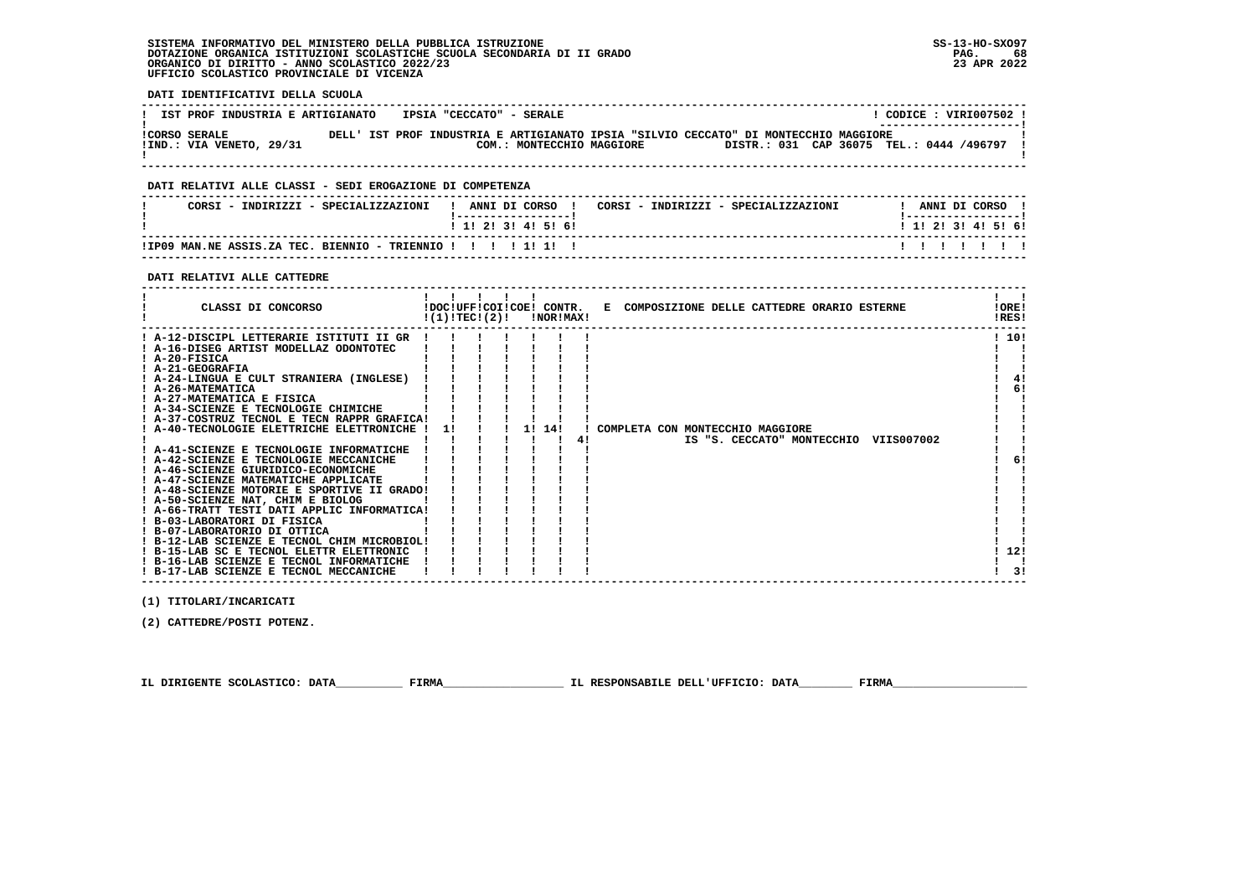#### **SISTEMA INFORMATIVO DEL MINISTERO DELLA PUBBLICA ISTRUZIONE SS-13-HO-SXO97 DOTAZIONE ORGANICA ISTITUZIONI SCOLASTICHE SCUOLA SECONDARIA DI II GRADO PAG. 68**ORGANICO DI DIRITTO - ANNO SCOLASTICO 2022/23  **UFFICIO SCOLASTICO PROVINCIALE DI VICENZA**

 $\blacksquare$ 

**LORE!** 

 $1.101$ 

 $1 \quad 41$  $1<sub>61</sub>$  $\overline{\phantom{a}}$ - 1

 $\mathbf{I}$  $\blacksquare$ 

- 1

 $61$  $\blacksquare$ 

> - 1  $\blacksquare$

 $1, 121$ 

 $\mathbf{I}$   $\mathbf{I}$  $\overline{1}$   $\overline{3}$   $\overline{1}$ 

 **DATI IDENTIFICATIVI DELLA SCUOLA ------------------------------------------------------------------------------------------------------------------------------------**! CODICE : VIRI007502 ! **! IST PROF INDUSTRIA E ARTIGIANATO : IPSIA "CECCATO" - SERALE** ---------------------- **! ---------------------! !CORSO SERALE DELL' IST PROF INDUSTRIA E ARTIGIANATO IPSIA "SILVIO CECCATO" DI MONTECCHIO MAGGIORE ! !IND.: VIA VENETO, 29/31 COM.: MONTECCHIO MAGGIORE DISTR.: 031 CAP 36075 TEL.: 0444 /496797 ! ! !**COM.: MONTECCHIO MAGGIORE DISTR.: 031 CAP 36075 TEL.: 0444 /496797 I  **------------------------------------------------------------------------------------------------------------------------------------ DATI RELATIVI ALLE CLASSI - SEDI EROGAZIONE DI COMPETENZA ------------------------------------------------------------------------------------------------------------------------------------**! ANNI DI CORSO !  **! CORSI - INDIRIZZI - SPECIALIZZAZIONI ! ANNI DI CORSO ! CORSI - INDIRIZZI - SPECIALIZZAZIONI ! ANNI DI CORSO !**\_\_\_\_\_\_\_\_\_\_\_\_\_\_\_\_\_\_\_\_\_\_  **! !-----------------! !-----------------!**1 1 2 3 3 4 5 6  **! ! 1! 2! 3! 4! 5! 6! ! 1! 2! 3! 4! 5! 6! ------------------------------------------------------------------------------------------------------------------------------------ !IP09 MAN.NE ASSIS.ZA TEC. BIENNIO - TRIENNIO ! ! ! ! 1! 1! ! ! ! ! ! ! ! ! ------------------------------------------------------------------------------------------------------------------------------------ DATI RELATIVI ALLE CATTEDRE ------------------------------------------------------------------------------------------------------------------------------------** $\mathbf{I}$  and  $\mathbf{I}$  **! ! ! ! ! ! ! ! ! CLASSI DI CONCORSO !DOC!UFF!COI!COE! CONTR. E COMPOSIZIONE DELLE CATTEDRE ORARIO ESTERNE !ORE!** $RRSI$  **! !(1)!TEC!(2)! !NOR!MAX! !RES! ------------------------------------------------------------------------------------------------------------------------------------ ! A-12-DISCIPL LETTERARIE ISTITUTI II GR ! ! ! ! ! ! ! ! 10! ! A-16-DISEG ARTIST MODELLAZ ODONTOTEC ! ! ! ! ! ! ! ! ! ! A-20-FISICA ! ! ! ! ! ! ! ! ! ! A-21-GEOGRAFIA ! ! ! ! ! ! ! ! ! ! A-24-LINGUA E CULT STRANIERA (INGLESE) ! ! ! ! ! ! ! ! 4! ! A-26-MATEMATICA ! ! ! ! ! ! ! ! 6! ! A-27-MATEMATICA E FISICA ! ! ! ! ! ! ! ! ! ! A-34-SCIENZE E TECNOLOGIE CHIMICHE ! ! ! ! ! ! ! ! ! ! A-37-COSTRUZ TECNOL E TECN RAPPR GRAFICA! ! ! ! ! ! ! ! ! ! A-40-TECNOLOGIE ELETTRICHE ELETTRONICHE ! 1! ! ! 1! 14! ! COMPLETA CON MONTECCHIO MAGGIORE ! ! ! ! ! ! ! ! ! 4! IS "S. CECCATO" MONTECCHIO VIIS007002 ! ! ! A-41-SCIENZE E TECNOLOGIE INFORMATICHE ! ! ! ! ! ! ! ! ! ! A-42-SCIENZE E TECNOLOGIE MECCANICHE ! ! ! ! ! ! ! ! 6! ! A-46-SCIENZE GIURIDICO-ECONOMICHE ! ! ! ! ! ! ! ! ! ! A-47-SCIENZE MATEMATICHE APPLICATE ! ! ! ! ! ! ! ! ! ! A-48-SCIENZE MOTORIE E SPORTIVE II GRADO! ! ! ! ! ! ! ! ! ! A-50-SCIENZE NAT, CHIM E BIOLOG ! ! ! ! ! ! ! ! ! ! A-66-TRATT TESTI DATI APPLIC INFORMATICA! ! ! ! ! ! ! ! ! ! B-03-LABORATORI DI FISICA ! ! ! ! ! ! ! ! ! ! B-07-LABORATORIO DI OTTICA ! ! ! ! ! ! ! ! !**

 **! B-15-LAB SC E TECNOL ELETTR ELETTRONIC ! ! ! ! ! ! ! ! 12! ! B-16-LAB SCIENZE E TECNOL INFORMATICHE ! ! ! ! ! ! ! ! ! ! B-17-LAB SCIENZE E TECNOL MECCANICHE ! ! ! ! ! ! ! ! 3! ------------------------------------------------------------------------------------------------------------------------------------**

 **! B-12-LAB SCIENZE E TECNOL CHIM MICROBIOL! ! ! ! ! ! ! ! !**

 **(1) TITOLARI/INCARICATI**

 **(2) CATTEDRE/POSTI POTENZ.**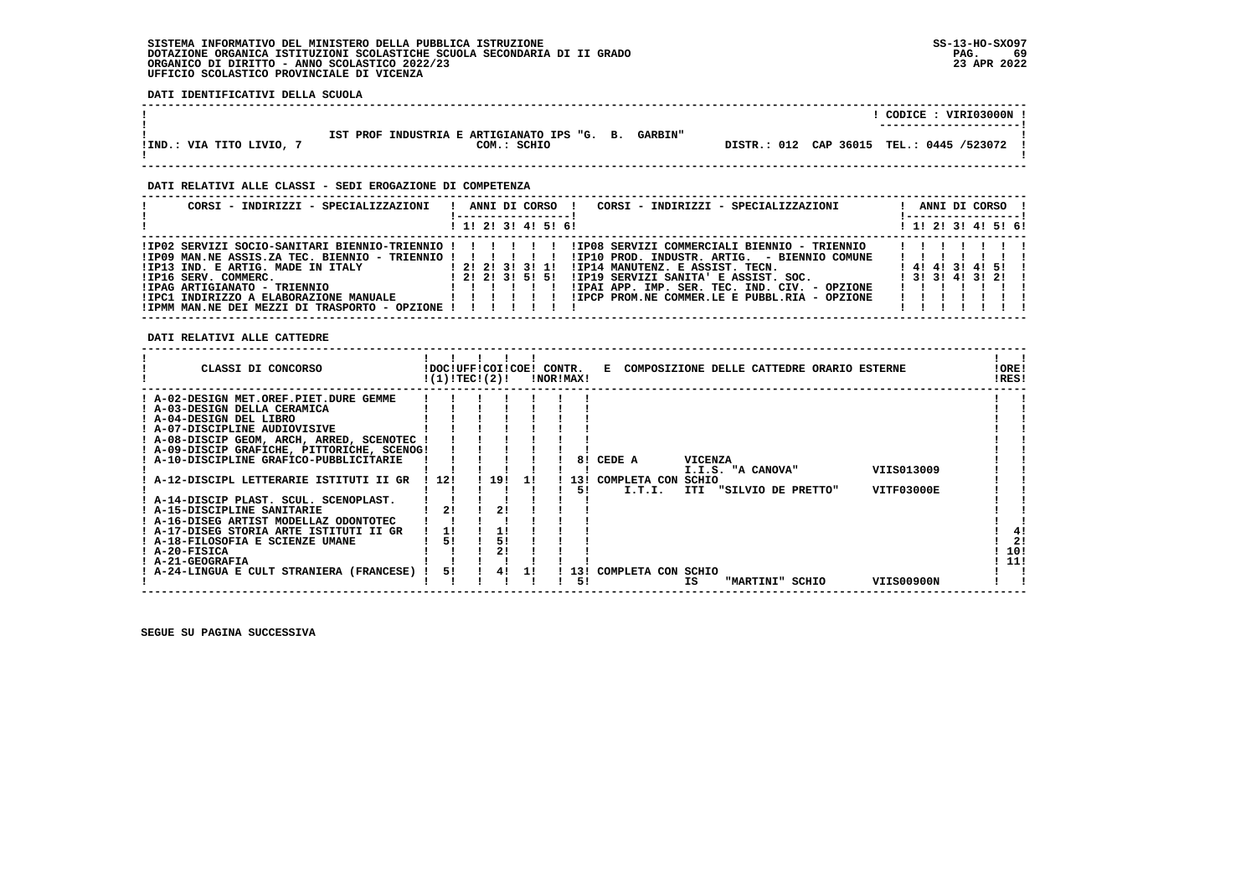# **SISTEMA INFORMATIVO DEL MINISTERO DELLA PUBBLICA ISTRUZIONE SS-13-HO-SXO97 DOTAZIONE ORGANICA ISTITUZIONI SCOLASTICHE SCUOLA SECONDARIA DI II GRADO PAG. 69**ORGANICO DI DIRITTO - ANNO SCOLASTICO 2022/23  **UFFICIO SCOLASTICO PROVINCIALE DI VICENZA**

 **DATI IDENTIFICATIVI DELLA SCUOLA**

|                          |                                                                              | CODICE: VIRI03000N !<br>----------------------- |
|--------------------------|------------------------------------------------------------------------------|-------------------------------------------------|
| IIND.: VIA TITO LIVIO, 7 | IST PROF INDUSTRIA E ARTIGIANATO IPS "G. B.<br><b>GARBIN"</b><br>COM.: SCHIO | DISTR.: 012 CAP 36015 TEL.: 0445 /523072 !      |

 **------------------------------------------------------------------------------------------------------------------------------------**

 **------------------------------------------------------------------------------------------------------------------------------------**

# **DATI RELATIVI ALLE CLASSI - SEDI EROGAZIONE DI COMPETENZA**

| CORSI - INDIRIZZI - SPECIALIZZAZIONI                                                                                                                                                                                                                                                     | $\mathbf{I}$ |  |  | ANNI DI CORSO !     | CORSI - INDIRIZZI - SPECIALIZZAZIONI                                                                                                                     | !------------------ <u> </u> |  | ANNI DI CORSO ! |  |
|------------------------------------------------------------------------------------------------------------------------------------------------------------------------------------------------------------------------------------------------------------------------------------------|--------------|--|--|---------------------|----------------------------------------------------------------------------------------------------------------------------------------------------------|------------------------------|--|-----------------|--|
|                                                                                                                                                                                                                                                                                          |              |  |  | ! 1! 2! 3! 4! 5! 6! |                                                                                                                                                          | ! 1! 2! 3! 4! 5! 6!          |  |                 |  |
| !IP02 SERVIZI SOCIO-SANITARI BIENNIO-TRIENNIO !!!!!!!!!P08 SERVIZI COMMERCIALI BIENNIO - TRIENNIO   !!!!<br>!IP13 IND. E ARTIG. MADE IN ITALY [2! 2! 2! 3! 1!]<br>!IP16 SERV. COMMERC.<br>!IPAG ARTIGIANATO - TRIENNIO<br>! IPMM MAN.NE DEI MEZZI DI TRASPORTO - OPZIONE ! ! ! ! ! ! ! ! |              |  |  |                     | ! IP14 MANUTENZ. E ASSIST. TECN. [4!4!3!4!5!]<br>!IP19 SERVIZI SANITA' E ASSIST. SOC. [3! 3! 4! 3! 2! !<br>!IPAI APP. IMP. SER. TEC. IND. CIV. - OPZIONE | .<br>.<br>.                  |  |                 |  |

 **DATI RELATIVI ALLE CATTEDRE**

| CLASSI DI CONCORSO                          |       | !DOC!UFF!COI!COE!<br>!(1)!TECI(2)! |     | CONTR. | !NOR!MAX! | E COMPOSIZIONE DELLE CATTEDRE ORARIO ESTERNE   | !ORE!<br>!RES! |
|---------------------------------------------|-------|------------------------------------|-----|--------|-----------|------------------------------------------------|----------------|
| ! A-02-DESIGN MET.OREF.PIET.DURE GEMME      |       |                                    |     |        |           |                                                |                |
| ! A-03-DESIGN DELLA CERAMICA                |       |                                    |     |        |           |                                                |                |
| ! A-04-DESIGN DEL LIBRO                     |       |                                    |     |        |           |                                                |                |
| ! A-07-DISCIPLINE AUDIOVISIVE               |       |                                    |     |        |           |                                                |                |
| ! A-08-DISCIP GEOM, ARCH, ARRED, SCENOTEC   |       |                                    |     |        |           |                                                |                |
| ! A-09-DISCIP GRAFICHE, PITTORICHE, SCENOG! |       |                                    |     |        |           |                                                |                |
| ! A-10-DISCIPLINE GRAFICO-PUBBLICITARIE     |       |                                    |     |        | 81        | CEDE A<br><b>VICENZA</b>                       |                |
|                                             |       |                                    |     |        |           | VIIS013009<br>I.I.S. "A CANOVA"                |                |
| ! A-12-DISCIPL LETTERARIE ISTITUTI II GR    | ! 12! | 19!                                | 1 L |        | 13 I      | COMPLETA CON<br>SCHIO                          |                |
|                                             |       |                                    |     |        | 51        | I.T.I.<br>VITF03000E<br>ITI "SILVIO DE PRETTO" |                |
| ! A-14-DISCIP PLAST. SCUL. SCENOPLAST.      |       |                                    |     |        |           |                                                |                |
| ! A-15-DISCIPLINE SANITARIE                 | 21    | 2 <sub>1</sub>                     |     |        |           |                                                |                |
| ! A-16-DISEG ARTIST MODELLAZ ODONTOTEC      |       |                                    |     |        |           |                                                |                |
| ! A-17-DISEG STORIA ARTE ISTITUTI II GR     | 1!    |                                    |     |        |           |                                                | 4!             |
| ! A-18-FILOSOFIA E SCIENZE UMANE            |       | 51                                 |     |        |           |                                                | 21             |
| ! A-20-FISICA                               |       |                                    |     |        |           |                                                | 10!            |
| ! A-21-GEOGRAFIA                            |       |                                    |     |        |           |                                                | 11!            |
| ! A-24-LINGUA E CULT STRANIERA (FRANCESE)   | 51    | 41                                 | 11  |        | ! 13!     | COMPLETA CON SCHIO                             |                |
|                                             |       |                                    |     |        | 51        | VIIS00900N<br>IS<br>"MARTINI" SCHIO            |                |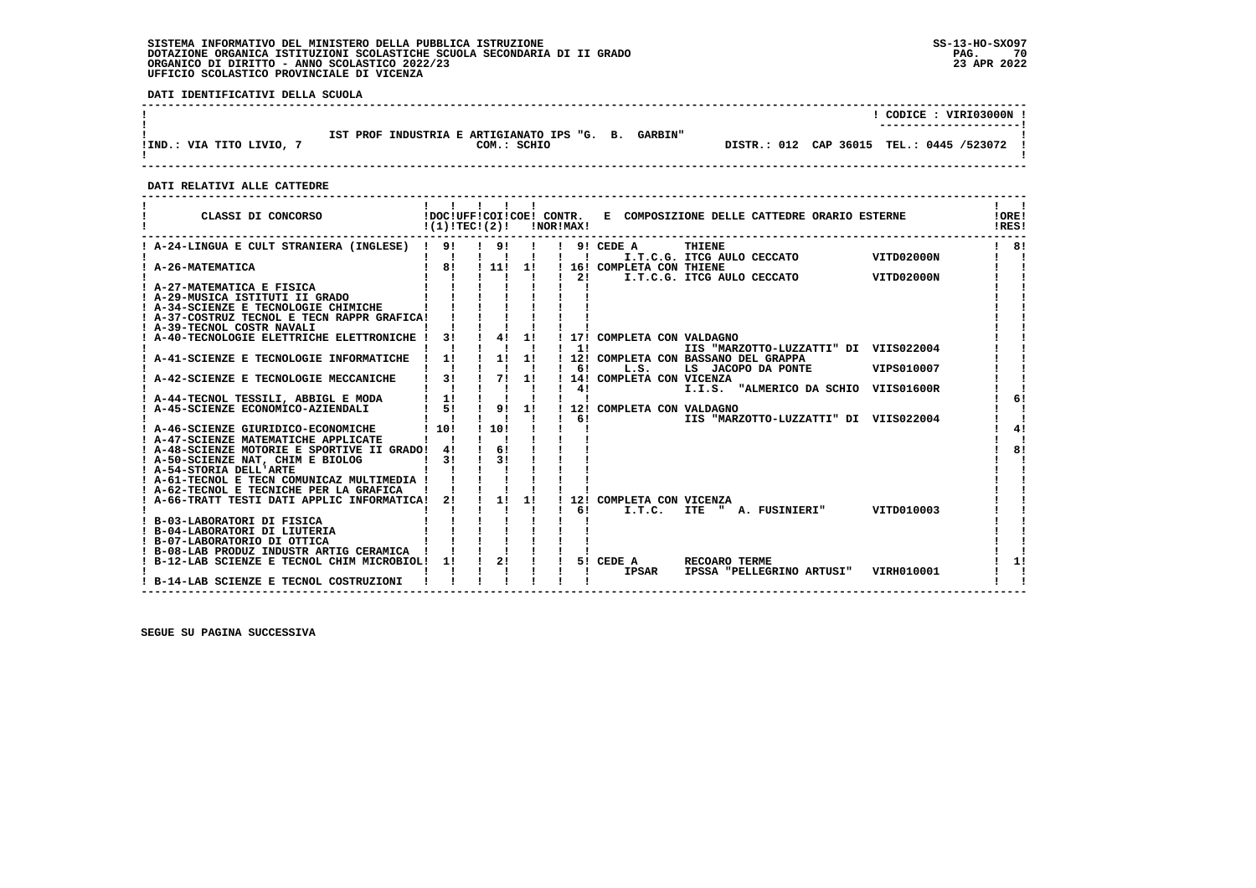# **SISTEMA INFORMATIVO DEL MINISTERO DELLA PUBBLICA ISTRUZIONE SS-13-HO-SXO97 DOTAZIONE ORGANICA ISTITUZIONI SCOLASTICHE SCUOLA SECONDARIA DI II GRADO PAG. 70**ORGANICO DI DIRITTO - ANNO SCOLASTICO 2022/23  **UFFICIO SCOLASTICO PROVINCIALE DI VICENZA**

 **DATI IDENTIFICATIVI DELLA SCUOLA**

|                          |                                                                              | CODICE: VIRI03000N !<br>---------------------- |
|--------------------------|------------------------------------------------------------------------------|------------------------------------------------|
| IIND.: VIA TITO LIVIO, 7 | IST PROF INDUSTRIA E ARTIGIANATO IPS "G. B.<br><b>GARBIN"</b><br>COM.: SCHIO | DISTR.: 012 CAP 36015 TEL.: 0445 /523072 !     |

 **------------------------------------------------------------------------------------------------------------------------------------**

# **DATI RELATIVI ALLE CATTEDRE**

| CLASSI DI CONCORSO                                                                        | !(1)!TECI(2)!                              |                                      |                | !NOR!MAX!      |                                    | !DOC!UFF!COI!COE! CONTR. E COMPOSIZIONE DELLE CATTEDRE ORARIO ESTERNE |            | <b>!ORE!</b><br>!RES! |
|-------------------------------------------------------------------------------------------|--------------------------------------------|--------------------------------------|----------------|----------------|------------------------------------|-----------------------------------------------------------------------|------------|-----------------------|
| ! A-24-LINGUA E CULT STRANIERA (INGLESE) ! 9!                                             |                                            | ! 9!                                 |                | $\blacksquare$ | $!$ 9! CEDE A                      | THIENE<br>I.T.C.G. ITCG AULO CECCATO                                  | VITD02000N | 8!                    |
| A-26-MATEMATICA                                                                           | 81                                         | $\frac{1}{111}$                      | 11             | 21             | ! 16! COMPLETA CON THIENE          | I.T.C.G. ITCG AULO CECCATO                                            | VITD02000N |                       |
| ! A-27-MATEMATICA E FISICA                                                                |                                            |                                      |                |                |                                    |                                                                       |            |                       |
| A-29-MUSICA ISTITUTI II GRADO<br>! A-34-SCIENZE E TECNOLOGIE CHIMICHE                     |                                            |                                      |                |                |                                    |                                                                       |            |                       |
| ! A-37-COSTRUZ TECNOL E TECN RAPPR GRAFICA!                                               |                                            |                                      |                |                |                                    |                                                                       |            |                       |
| ! A-39-TECNOL COSTR NAVALI                                                                |                                            |                                      |                |                |                                    |                                                                       |            |                       |
| ! A-40-TECNOLOGIE ELETTRICHE ELETTRONICHE !                                               | 3!                                         | $1 \quad 41 \quad 11$                |                | $1 \quad 11$   | ! 17! COMPLETA CON VALDAGNO        | IIS "MARZOTTO-LUZZATTI" DI VIIS022004                                 |            |                       |
| ! A-41-SCIENZE E TECNOLOGIE INFORMATICHE                                                  | $\frac{1}{2}$ 1!                           | $1 \quad 1! \quad 1!$                |                |                |                                    | ! 12! COMPLETA CON BASSANO DEL GRAPPA                                 |            |                       |
| A-42-SCIENZE E TECNOLOGIE MECCANICHE                                                      | $\mathbf{I}$ $\mathbf{I}$<br>$\frac{1}{3}$ | $\mathbf{1}$ $\mathbf{1}$<br>! 7! 1! | $\blacksquare$ | $1 \quad 61$   | L.S.<br>! 14! COMPLETA CON VICENZA | LS JACOPO DA PONTE                                                    | VIPS010007 |                       |
|                                                                                           |                                            |                                      | $\mathbf{I}$   | 4!             |                                    | I.I.S. "ALMERICO DA SCHIO VIIS01600R                                  |            |                       |
| ! A-44-TECNOL TESSILI, ABBIGL E MODA                                                      | 1!                                         |                                      |                |                |                                    |                                                                       |            |                       |
| ! A-45-SCIENZE ECONOMICO-AZIENDALI                                                        | $1 \quad 51$                               | ! 9!                                 | 1!             | 6!             | ! 12! COMPLETA CON VALDAGNO        | IIS "MARZOTTO-LUZZATTI" DI VIIS022004                                 |            |                       |
| ! A-46-SCIENZE GIURIDICO-ECONOMICHE                                                       | !10!                                       | ! 10!                                |                |                |                                    |                                                                       |            | 41                    |
| ! A-47-SCIENZE MATEMATICHE APPLICATE                                                      |                                            |                                      |                |                |                                    |                                                                       |            |                       |
| ! A-48-SCIENZE MOTORIE E SPORTIVE II GRADO! 4!<br>! A-50-SCIENZE NAT, CHIM E BIOLOG       | 31                                         | 61<br>31                             |                |                |                                    |                                                                       |            | 81                    |
| ! A-54-STORIA DELL'ARTE                                                                   |                                            |                                      |                |                |                                    |                                                                       |            |                       |
| ! A-61-TECNOL E TECN COMUNICAZ MULTIMEDIA !                                               |                                            |                                      |                |                |                                    |                                                                       |            |                       |
| ! A-62-TECNOL E TECNICHE PER LA GRAFICA<br>! A-66-TRATT TESTI DATI APPLIC INFORMATICA! 2! |                                            | $\frac{1}{2}$                        | 11             |                | ! 12! COMPLETA CON VICENZA         |                                                                       |            |                       |
|                                                                                           |                                            |                                      |                | 61             | I.T.C.                             | ITE " A. FUSINIERI"                                                   | VITD010003 |                       |
| ! B-03-LABORATORI DI FISICA                                                               |                                            |                                      |                |                |                                    |                                                                       |            |                       |
| ! B-04-LABORATORI DI LIUTERIA<br>! B-07-LABORATORIO DI OTTICA                             |                                            |                                      |                |                |                                    |                                                                       |            |                       |
| ! B-08-LAB PRODUZ INDUSTR ARTIG CERAMICA                                                  |                                            |                                      |                |                |                                    |                                                                       |            |                       |
| ! B-12-LAB SCIENZE E TECNOL CHIM MICROBIOL! 1!                                            |                                            | $\frac{1}{2}$                        | $\mathbf{I}$   |                | 5! CEDE A                          | RECOARO TERME                                                         |            | 11                    |
| B-14-LAB SCIENZE E TECNOL COSTRUZIONI                                                     |                                            |                                      |                |                | <b>IPSAR</b>                       | IPSSA "PELLEGRINO ARTUSI"                                             | VIRH010001 |                       |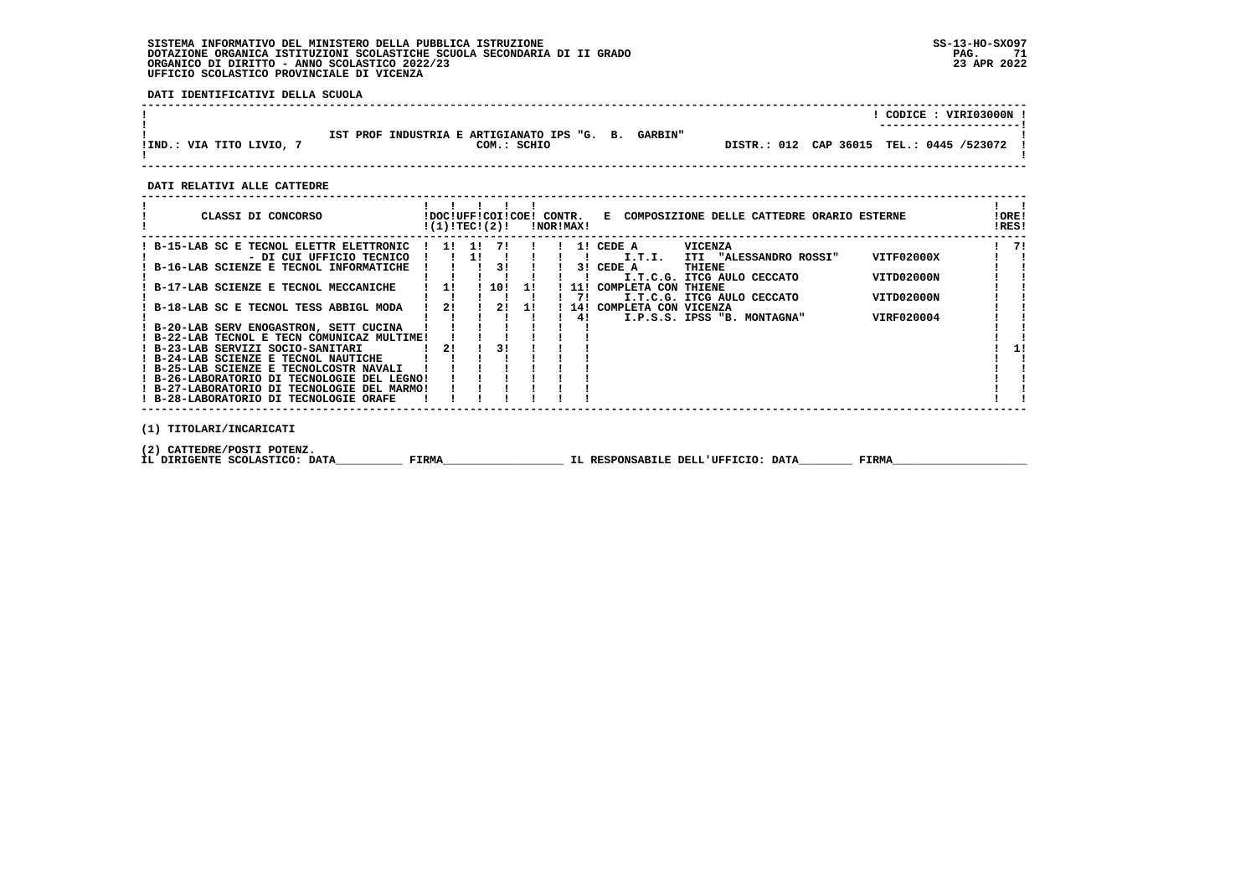# **SISTEMA INFORMATIVO DEL MINISTERO DELLA PUBBLICA ISTRUZIONE SS-13-HO-SXO97 DOTAZIONE ORGANICA ISTITUZIONI SCOLASTICHE SCUOLA SECONDARIA DI II GRADO PAG. 71ORGANICO DI DIRITTO - ANNO SCOLASTICO 2022/23 UFFICIO SCOLASTICO PROVINCIALE DI VICENZA**

 **DATI IDENTIFICATIVI DELLA SCUOLA**

|                          |                                                                              | CODICE: VIRI03000N !<br>---------------------- |
|--------------------------|------------------------------------------------------------------------------|------------------------------------------------|
| IIND.: VIA TITO LIVIO, 7 | IST PROF INDUSTRIA E ARTIGIANATO IPS "G. B.<br><b>GARBIN"</b><br>COM.: SCHIO | DISTR.: 012 CAP 36015 TEL.: 0445 /523072 !     |

 **------------------------------------------------------------------------------------------------------------------------------------**

 **DATI RELATIVI ALLE CATTEDRE**

| CLASSI DI CONCORSO                          | !(1)!TECI(2)! |       |      |     | !NOR!MAX! | !DOC!UFF!COI!COE! CONTR. E COMPOSIZIONE DELLE CATTEDRE ORARIO ESTERNE | ! ORE!<br>!RES! |    |
|---------------------------------------------|---------------|-------|------|-----|-----------|-----------------------------------------------------------------------|-----------------|----|
| ! B-15-LAB SC E TECNOL ELETTR ELETTRONIC    |               | 1! 1! | 71   |     |           | <b>VICENZA</b><br>1! CEDE A                                           |                 | 71 |
| - DI CUI UFFICIO TECNICO                    |               |       |      |     |           | VITF02000X<br>I.T.I.<br>ITI "ALESSANDRO ROSSI"                        |                 |    |
| ! B-16-LAB SCIENZE E TECNOL INFORMATICHE    |               |       | 31   |     |           | 3! CEDE A<br>THIENE                                                   |                 |    |
|                                             |               |       |      |     |           | VITD02000N<br>I.T.C.G. ITCG AULO CECCATO                              |                 |    |
| ! B-17-LAB SCIENZE E TECNOL MECCANICHE      | 11            |       | 110! | -11 | 11!       | COMPLETA CON<br>THIENE                                                |                 |    |
|                                             |               |       |      |     | 71        | VITD02000N<br>I.T.C.G. ITCG AULO CECCATO                              |                 |    |
| ! B-18-LAB SC E TECNOL TESS ABBIGL MODA     | 21            |       | 21   | -11 | 141       | COMPLETA CON VICENZA                                                  |                 |    |
|                                             |               |       |      |     | 41        | VIRF020004<br>I.P.S.S. IPSS "B. MONTAGNA"                             |                 |    |
| ! B-20-LAB SERV ENOGASTRON, SETT CUCINA     |               |       |      |     |           |                                                                       |                 |    |
| ! B-22-LAB TECNOL E TECN COMUNICAZ MULTIME! |               |       |      |     |           |                                                                       |                 |    |
| ! B-23-LAB SERVIZI SOCIO-SANITARI           | 21            |       |      |     |           |                                                                       |                 | 1! |
| ! B-24-LAB SCIENZE E TECNOL NAUTICHE        |               |       |      |     |           |                                                                       |                 |    |
| ! B-25-LAB SCIENZE E TECNOLCOSTR NAVALI     |               |       |      |     |           |                                                                       |                 |    |
| ! B-26-LABORATORIO DI TECNOLOGIE DEL LEGNO! |               |       |      |     |           |                                                                       |                 |    |
| ! B-27-LABORATORIO DI TECNOLOGIE DEL MARMO! |               |       |      |     |           |                                                                       |                 |    |
| ! B-28-LABORATORIO DI TECNOLOGIE ORAFE      |               |       |      |     |           |                                                                       |                 |    |
| (1) TITOLARI/INCARICATI                     |               |       |      |     |           |                                                                       |                 |    |

 **(2) CATTEDRE/POSTI POTENZ.**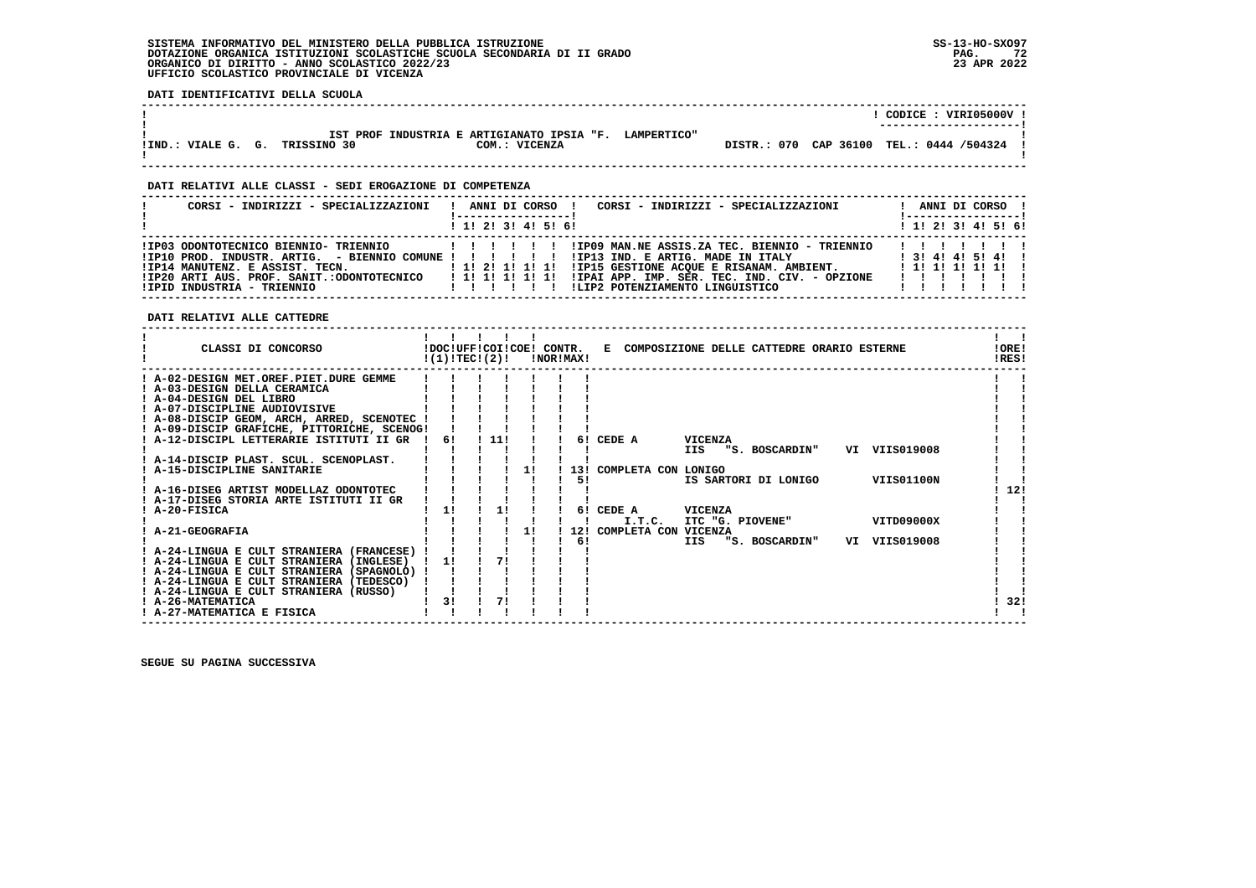### **SISTEMA INFORMATIVO DEL MINISTERO DELLA PUBBLICA ISTRUZIONE SS-13-HO-SXO97 DOTAZIONE ORGANICA ISTITUZIONI SCOLASTICHE SCUOLA SECONDARIA DI II GRADO PAG. 72**ORGANICO DI DIRITTO - ANNO SCOLASTICO 2022/23  **UFFICIO SCOLASTICO PROVINCIALE DI VICENZA**

**PAG.** 72 23 APR 2022

 **DATI IDENTIFICATIVI DELLA SCUOLA ------------------------------------------------------------------------------------------------------------------------------------ ! ! CODICE : VIRI05000V ! ! ---------------------! ! IST PROF INDUSTRIA E ARTIGIANATO IPSIA "F. LAMPERTICO" ! !IND.: VIALE G. G. TRISSINO 30 COM.: VICENZA DISTR.: 070 CAP 36100 TEL.: 0444 /504324 !**- 1  **! ! ------------------------------------------------------------------------------------------------------------------------------------ DATI RELATIVI ALLE CLASSI - SEDI EROGAZIONE DI COMPETENZA ------------------------------------------------------------------------------------------------------------------------------------ ! CORSI - INDIRIZZI - SPECIALIZZAZIONI ! ANNI DI CORSO ! CORSI - INDIRIZZI - SPECIALIZZAZIONI ! ANNI DI CORSO !**\_\_\_\_\_\_\_\_\_\_\_\_\_\_\_\_\_\_\_\_\_\_  **! !-----------------! !-----------------!**1 1 2 3 3 4 5 6  **! ! 1! 2! 3! 4! 5! 6! ! 1! 2! 3! 4! 5! 6! ------------------------------------------------------------------------------------------------------------------------------------ !IP03 ODONTOTECNICO BIENNIO- TRIENNIO ! ! ! ! ! ! !IP09 MAN.NE ASSIS.ZA TEC. BIENNIO - TRIENNIO ! ! ! ! ! ! ! !IP10 PROD. INDUSTR. ARTIG. - BIENNIO COMUNE ! ! ! ! ! ! !IP13 IND. E ARTIG. MADE IN ITALY ! 3! 4! 4! 5! 4! ! !IP14 MANUTENZ. E ASSIST. TECN. ! 1! 2! 1! 1! 1! !IP15 GESTIONE ACQUE E RISANAM. AMBIENT. ! 1! 1! 1! 1! 1! ! !IP20 ARTI AUS. PROF. SANIT.:ODONTOTECNICO ! 1! 1! 1! 1! 1! !IPAI APP. IMP. SER. TEC. IND. CIV. - OPZIONE ! ! ! ! ! ! ! !IPID INDUSTRIA - TRIENNIO ! ! ! ! ! ! !LIP2 POTENZIAMENTO LINGUISTICO ! ! ! ! ! ! ! ------------------------------------------------------------------------------------------------------------------------------------ DATI RELATIVI ALLE CATTEDRE ------------------------------------------------------------------------------------------------------------------------------------** $\mathbf{I}$   $\mathbf{I}$  **! ! ! ! ! ! ! ! ! CLASSI DI CONCORSO !DOC!UFF!COI!COE! CONTR. E COMPOSIZIONE DELLE CATTEDRE ORARIO ESTERNE !ORE! ! !(1)!TEC!(2)! !NOR!MAX! !RES!LORE!**  $IPICI$   **------------------------------------------------------------------------------------------------------------------------------------ ! A-02-DESIGN MET.OREF.PIET.DURE GEMME ! ! ! ! ! ! ! ! ! ! A-03-DESIGN DELLA CERAMICA ! ! ! ! ! ! ! ! ! ! A-04-DESIGN DEL LIBRO ! ! ! ! ! ! ! ! ! ! A-07-DISCIPLINE AUDIOVISIVE ! ! ! ! ! ! ! ! ! ! A-08-DISCIP GEOM, ARCH, ARRED, SCENOTEC ! ! ! ! ! ! ! ! ! ! A-09-DISCIP GRAFICHE, PITTORICHE, SCENOG! ! ! ! ! ! ! ! ! ! A-12-DISCIPL LETTERARIE ISTITUTI II GR ! 6! ! 11! ! ! 6! CEDE A VICENZA ! ! ! ! ! ! ! ! ! ! IIS "S. BOSCARDIN" VI VIIS019008 ! ! ! A-14-DISCIP PLAST. SCUL. SCENOPLAST. ! ! ! ! ! ! ! ! !** $\blacksquare$  $\mathbf{I}$  $\blacksquare$  **! A-15-DISCIPLINE SANITARIE ! ! ! ! 1! ! 13! COMPLETA CON LONIGO ! !**- 1  **! ! ! ! ! ! ! 5! IS SARTORI DI LONIGO VIIS01100N ! ! ! A-16-DISEG ARTIST MODELLAZ ODONTOTEC ! ! ! ! ! ! ! ! 12! ! A-17-DISEG STORIA ARTE ISTITUTI II GR ! ! ! ! ! ! ! ! !1** 121  $\mathbf{I}$   $\mathbf{I}$  **! A-20-FISICA ! 1! ! 1! ! ! 6! CEDE A VICENZA ! ! ! ! ! ! ! ! ! ! I.T.C. ITC "G. PIOVENE" VITD09000X ! !**- 1  **! A-21-GEOGRAFIA ! ! ! ! 1! ! 12! COMPLETA CON VICENZA ! ! ! ! ! ! ! ! ! 6! IIS "S. BOSCARDIN" VI VIIS019008 ! ! ! A-24-LINGUA E CULT STRANIERA (FRANCESE) ! ! ! ! ! ! ! ! ! ! A-24-LINGUA E CULT STRANIERA (INGLESE) ! 1! ! 7! ! ! ! ! !** $\mathbf{I}$ - 1  **! A-24-LINGUA E CULT STRANIERA (SPAGNOLO) ! ! ! ! ! ! ! ! !** $\mathbf{I}$  **! A-24-LINGUA E CULT STRANIERA (TEDESCO) ! ! ! ! ! ! ! ! ! ! A-24-LINGUA E CULT STRANIERA (RUSSO) ! ! ! ! ! ! ! ! ! ! A-26-MATEMATICA ! 3! ! 7! ! ! ! ! 32!**- 1  $1321$  $\mathbf{1}$   $\mathbf{1}$  **! A-27-MATEMATICA E FISICA ! ! ! ! ! ! ! ! !**

 **------------------------------------------------------------------------------------------------------------------------------------**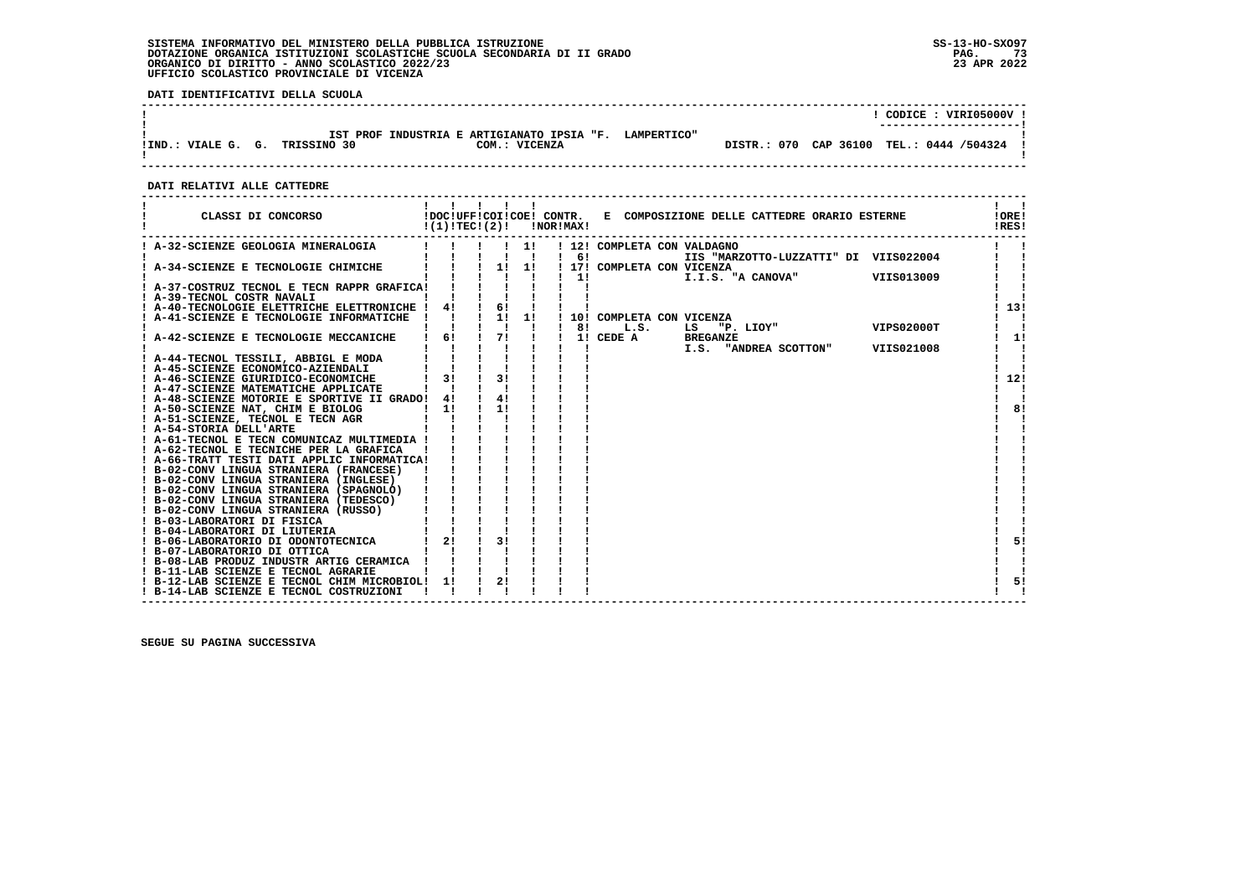**DATI IDENTIFICATIVI DELLA SCUOLA**

|                                      |                                                                         |                                          | CODICE: VIRI05000V !<br>---------------------- |
|--------------------------------------|-------------------------------------------------------------------------|------------------------------------------|------------------------------------------------|
| TRISSINO 30<br>IIND.: VIALE G.<br>G. | IST PROF INDUSTRIA E ARTIGIANATO IPSIA "F. LAMPERTICO"<br>COM.: VICENZA | DISTR.: 070 CAP 36100 TEL.: 0444 /504324 |                                                |
|                                      |                                                                         |                                          |                                                |

 **------------------------------------------------------------------------------------------------------------------------------------**

 **DATI RELATIVI ALLE CATTEDRE**

| CLASSI DI CONCORSO                                                                     | !(1)!TEC!(2)! |                             |                                 | !NOR!MAX!    | !DOC!UFF!COI!COE! CONTR. E COMPOSIZIONE DELLE CATTEDRE ORARIO ESTERNE | !ORE!<br>!RES! |
|----------------------------------------------------------------------------------------|---------------|-----------------------------|---------------------------------|--------------|-----------------------------------------------------------------------|----------------|
| ! A-32-SCIENZE GEOLOGIA MINERALOGIA                                                    |               |                             | $\frac{1}{2}$<br>$\blacksquare$ | $1 \quad 61$ | ! 12! COMPLETA CON VALDAGNO<br>IIS "MARZOTTO-LUZZATTI" DI VIIS022004  |                |
| A-34-SCIENZE E TECNOLOGIE CHIMICHE                                                     |               | $\frac{1}{2}$               | 11                              | 11           | ! 17! COMPLETA CON VICENZA<br>VIIS013009<br>I.I.S. "A CANOVA"         |                |
| ! A-37-COSTRUZ TECNOL E TECN RAPPR GRAFICA!                                            |               |                             |                                 |              |                                                                       |                |
| ! A-39-TECNOL COSTR NAVALI<br>A-40-TECNOLOGIE ELETTRICHE ELETTRONICHE !                | 4!            | $\frac{1}{6}$               |                                 |              |                                                                       | 13!            |
| A-41-SCIENZE E TECNOLOGIE INFORMATICHE                                                 |               | $1 \quad 1! \quad 1!$<br>Ι. |                                 | 81           | 10! COMPLETA CON VICENZA<br>VIPS02000T<br>L.S.<br>"P. LIOY"<br>LS     |                |
| A-42-SCIENZE E TECNOLOGIE MECCANICHE                                                   | $\frac{1}{6}$ | 71                          |                                 |              | 1! CEDE A<br><b>BREGANZE</b>                                          | 1!             |
| ! A-44-TECNOL TESSILI, ABBIGL E MODA                                                   |               |                             |                                 |              | I.S. "ANDREA SCOTTON"<br>VIIS021008                                   |                |
| ! A-45-SCIENZE ECONOMICO-AZIENDALI<br>! A-46-SCIENZE GIURIDICO-ECONOMICHE              | 31            | 31                          |                                 |              |                                                                       | 12!            |
| ! A-47-SCIENZE MATEMATICHE APPLICATE<br>! A-48-SCIENZE MOTORIE E SPORTIVE II GRADO!    | 4!            | 41                          |                                 |              |                                                                       |                |
| ! A-50-SCIENZE NAT, CHIM E BIOLOG                                                      | 11            | 11                          |                                 |              |                                                                       | 8!             |
| ! A-51-SCIENZE, TECNOL E TECN AGR<br>! A-54-STORIA DELL'ARTE                           |               |                             |                                 |              |                                                                       |                |
| ! A-61-TECNOL E TECN COMUNICAZ MULTIMEDIA !<br>! A-62-TECNOL E TECNICHE PER LA GRAFICA |               |                             |                                 |              |                                                                       |                |
| ! A-66-TRATT TESTI DATI APPLIC INFORMATICA!                                            |               |                             |                                 |              |                                                                       |                |
| ! B-02-CONV LINGUA STRANIERA (FRANCESE)<br>! B-02-CONV LINGUA STRANIERA (INGLESE)      |               |                             |                                 |              |                                                                       |                |
| ! B-02-CONV LINGUA STRANIERA (SPAGNOLO)<br>! B-02-CONV LINGUA STRANIERA (TEDESCO)      |               |                             |                                 |              |                                                                       |                |
| ! B-02-CONV LINGUA STRANIERA (RUSSO)                                                   |               |                             |                                 |              |                                                                       |                |
| ! B-03-LABORATORI DI FISICA<br>! B-04-LABORATORI DI LIUTERIA                           |               |                             |                                 |              |                                                                       |                |
| ! B-06-LABORATORIO DI ODONTOTECNICA<br>! B-07-LABORATORIO DI OTTICA                    | $1 \quad 21$  | 31                          |                                 |              |                                                                       | 5!             |
| ! B-08-LAB PRODUZ INDUSTR ARTIG CERAMICA !<br>! B-11-LAB SCIENZE E TECNOL AGRARIE      |               |                             |                                 |              |                                                                       |                |
| ! B-12-LAB SCIENZE E TECNOL CHIM MICROBIOL!                                            | 11            | 2!                          |                                 |              |                                                                       | 5!             |
| ! B-14-LAB SCIENZE E TECNOL COSTRUZIONI                                                |               |                             |                                 |              |                                                                       |                |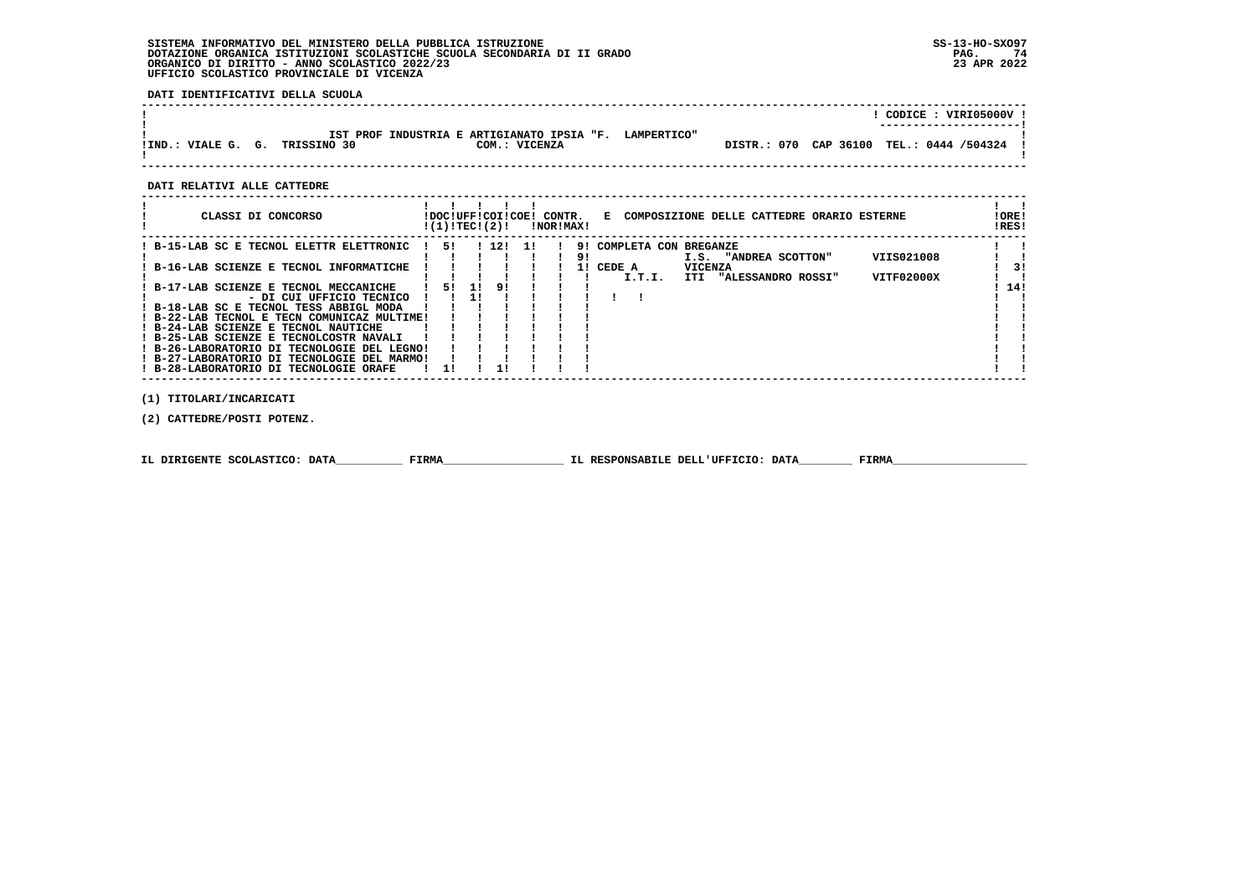**DATI IDENTIFICATIVI DELLA SCUOLA**

|                                      |                                                             |                    | CODICE: VIRI05000V !<br>--------------------- |
|--------------------------------------|-------------------------------------------------------------|--------------------|-----------------------------------------------|
| TRISSINO 30<br>IIND.: VIALE G.<br>G. | IST PROF INDUSTRIA E ARTIGIANATO IPSIA "F.<br>COM.: VICENZA | <b>LAMPERTICO"</b> | DISTR.: 070 CAP 36100 TEL.: 0444 /504324      |

 **------------------------------------------------------------------------------------------------------------------------------------**

 **DATI RELATIVI ALLE CATTEDRE**

| CLASSI DI CONCORSO                          |           | !DOC!UFF!COI!COE! CONTR.<br>!(1)!TEC!(2)! | !NOR!MAX! |    | E COMPOSIZIONE DELLE CATTEDRE ORARIO ESTERNE   | !ORE!<br>IRES! |
|---------------------------------------------|-----------|-------------------------------------------|-----------|----|------------------------------------------------|----------------|
| ! B-15-LAB SC E TECNOL ELETTR ELETTRONIC    | -51       | 1 12 11                                   |           |    | 9! COMPLETA CON BREGANZE                       |                |
|                                             |           |                                           |           | 91 | VIIS021008<br>I.S. "ANDREA SCOTTON"            |                |
| B-16-LAB SCIENZE E TECNOL INFORMATICHE      |           |                                           |           | 11 | CEDE A<br><b>VICENZA</b>                       | 31             |
|                                             |           |                                           |           |    | VITF02000X<br>I.T.I.<br>ITI "ALESSANDRO ROSSI" |                |
| B-17-LAB SCIENZE E TECNOL MECCANICHE        | 51.<br>11 | -91                                       |           |    |                                                | 14!            |
| - DI CUI UFFICIO TECNICO                    |           |                                           |           |    |                                                |                |
| ! B-18-LAB SC E TECNOL TESS ABBIGL MODA     |           |                                           |           |    |                                                |                |
| ! B-22-LAB TECNOL E TECN COMUNICAZ MULTIME! |           |                                           |           |    |                                                |                |
| ! B-24-LAB SCIENZE E TECNOL NAUTICHE        |           |                                           |           |    |                                                |                |
| ! B-25-LAB SCIENZE E TECNOLCOSTR NAVALI     |           |                                           |           |    |                                                |                |
| ! B-26-LABORATORIO DI TECNOLOGIE DEL LEGNO! |           |                                           |           |    |                                                |                |
| ! B-27-LABORATORIO DI TECNOLOGIE DEL MARMO! |           |                                           |           |    |                                                |                |
| ! B-28-LABORATORIO DI TECNOLOGIE ORAFE      |           |                                           |           |    |                                                |                |
|                                             |           |                                           |           |    |                                                |                |

 **(1) TITOLARI/INCARICATI**

 **(2) CATTEDRE/POSTI POTENZ.**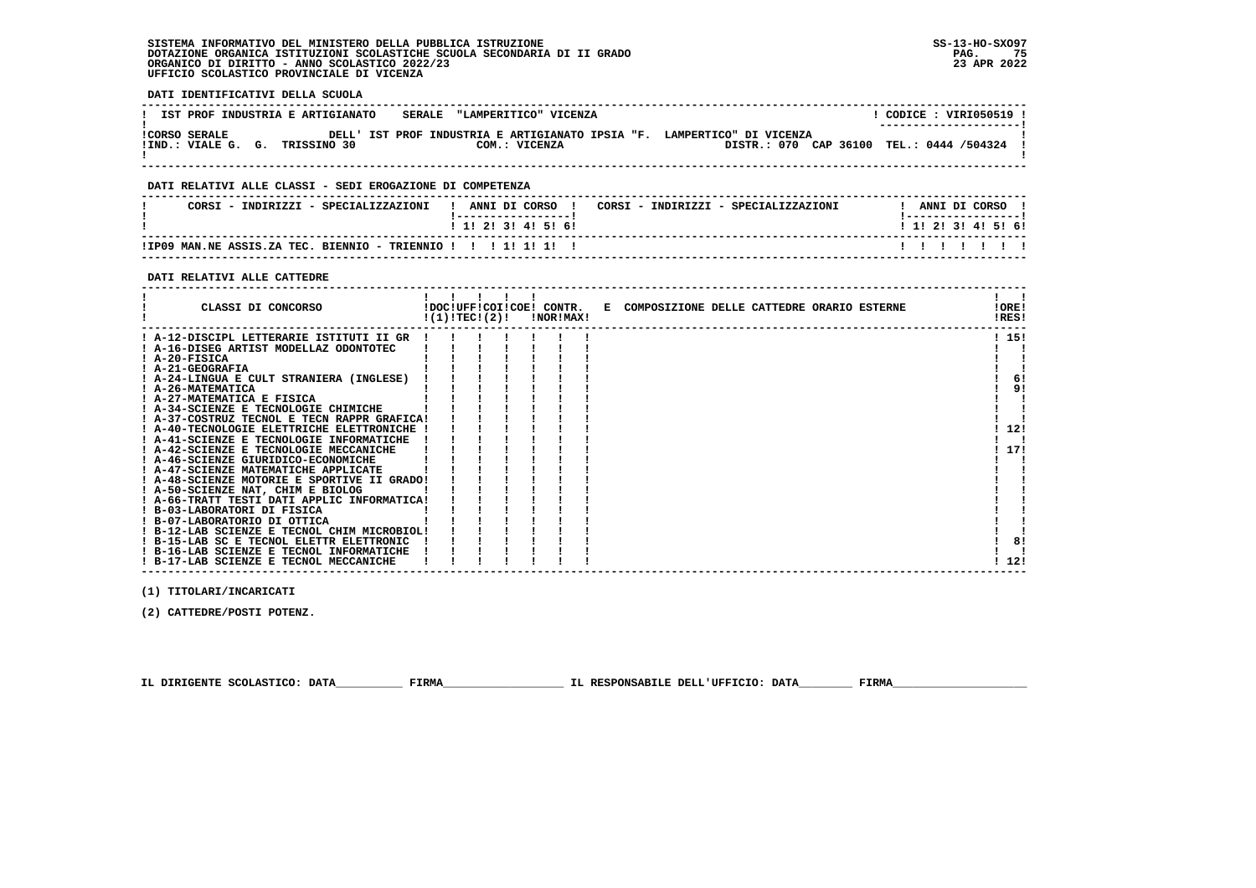- 1

 $1, 121$ 

 **DATI IDENTIFICATIVI DELLA SCUOLA ------------------------------------------------------------------------------------------------------------------------------------**! CODICE : VIRI050519 ! **! IST PROF INDUSTRIA E ARTIGIANATO : SERALE "LAMPERITICO" VICENZA** \_\_\_\_\_\_\_\_\_\_\_\_\_\_\_\_\_\_\_\_\_\_\_\_  **! ---------------------! !CORSO SERALE DELL' IST PROF INDUSTRIA E ARTIGIANATO IPSIA "F. LAMPERTICO" DI VICENZA ! !IND.: VIALE G. G. TRISSINO 30 COM.: VICENZA DISTR.: 070 CAP 36100 TEL.: 0444 /504324 !**- 1  **! ! ------------------------------------------------------------------------------------------------------------------------------------ DATI RELATIVI ALLE CLASSI - SEDI EROGAZIONE DI COMPETENZA ------------------------------------------------------------------------------------------------------------------------------------**! ANNI DI CORSO !  **! CORSI - INDIRIZZI - SPECIALIZZAZIONI ! ANNI DI CORSO ! CORSI - INDIRIZZI - SPECIALIZZAZIONI ! ANNI DI CORSO !**\_\_\_\_\_\_\_\_\_\_\_\_\_\_\_\_\_\_\_\_\_\_  **! !-----------------! !-----------------!**1 1 2 3 3 4 5 6  **! ! 1! 2! 3! 4! 5! 6! ! 1! 2! 3! 4! 5! 6! ------------------------------------------------------------------------------------------------------------------------------------ !IP09 MAN.NE ASSIS.ZA TEC. BIENNIO - TRIENNIO ! ! ! 1! 1! 1! ! ! ! ! ! ! ! ! ------------------------------------------------------------------------------------------------------------------------------------ DATI RELATIVI ALLE CATTEDRE ------------------------------------------------------------------------------------------------------------------------------------** $\mathbf{I}$  and  $\mathbf{I}$  **! ! ! ! ! ! ! ! ! CLASSI DI CONCORSO !DOC!UFF!COI!COE! CONTR. E COMPOSIZIONE DELLE CATTEDRE ORARIO ESTERNE !ORE! ! !(1)!TEC!(2)! !NOR!MAX! !RES!IORE!**  $RRSI$   **------------------------------------------------------------------------------------------------------------------------------------** $1.151$  **! A-12-DISCIPL LETTERARIE ISTITUTI II GR ! ! ! ! ! ! ! ! 15! ! A-16-DISEG ARTIST MODELLAZ ODONTOTEC ! ! ! ! ! ! ! ! !** $\mathbf{I}$   $\mathbf{I}$  **! A-20-FISICA ! ! ! ! ! ! ! ! ! ! A-21-GEOGRAFIA ! ! ! ! ! ! ! ! ! ! A-24-LINGUA E CULT STRANIERA (INGLESE) ! ! ! ! ! ! ! ! 6! ! A-26-MATEMATICA ! ! ! ! ! ! ! ! 9! ! A-27-MATEMATICA E FISICA ! ! ! ! ! ! ! ! !** $\blacksquare$  $1 \t 6!$  $1 \overline{91}$  $\mathbf{I}$   $\mathbf{I}$  $\mathbf{I}$  **! A-34-SCIENZE E TECNOLOGIE CHIMICHE ! ! ! ! ! ! ! ! ! ! A-37-COSTRUZ TECNOL E TECN RAPPR GRAFICA! ! ! ! ! ! ! ! !**- 1  $1, 121$  **! A-40-TECNOLOGIE ELETTRICHE ELETTRONICHE ! ! ! ! ! ! ! ! 12! ! A-41-SCIENZE E TECNOLOGIE INFORMATICHE ! ! ! ! ! ! ! ! ! ! A-42-SCIENZE E TECNOLOGIE MECCANICHE ! ! ! ! ! ! ! ! 17! ! A-46-SCIENZE GIURIDICO-ECONOMICHE ! ! ! ! ! ! ! ! ! ! A-47-SCIENZE MATEMATICHE APPLICATE ! ! ! ! ! ! ! ! ! ! A-48-SCIENZE MOTORIE E SPORTIVE II GRADO! ! ! ! ! ! ! ! ! ! A-50-SCIENZE NAT, CHIM E BIOLOG ! ! ! ! ! ! ! ! ! ! A-66-TRATT TESTI DATI APPLIC INFORMATICA! ! ! ! ! ! ! ! !** $\sim$  $1.171$  $\mathbf{I}$  and  $\mathbf{I}$  $\blacksquare$ - 1 - 1  **! B-03-LABORATORI DI FISICA ! ! ! ! ! ! ! ! ! ! B-07-LABORATORIO DI OTTICA ! ! ! ! ! ! ! ! ! ! B-12-LAB SCIENZE E TECNOL CHIM MICROBIOL! ! ! ! ! ! ! ! !** $\blacksquare$  $\blacksquare$  $181$  **! B-15-LAB SC E TECNOL ELETTR ELETTRONIC ! ! ! ! ! ! ! ! 8!**

 **(1) TITOLARI/INCARICATI**

 **(2) CATTEDRE/POSTI POTENZ.**

 **IL DIRIGENTE SCOLASTICO: DATA\_\_\_\_\_\_\_\_\_\_ FIRMA\_\_\_\_\_\_\_\_\_\_\_\_\_\_\_\_\_\_ IL RESPONSABILE DELL'UFFICIO: DATA\_\_\_\_\_\_\_\_ FIRMA\_\_\_\_\_\_\_\_\_\_\_\_\_\_\_\_\_\_\_\_**

 **! B-16-LAB SCIENZE E TECNOL INFORMATICHE ! ! ! ! ! ! ! ! ! ! B-17-LAB SCIENZE E TECNOL MECCANICHE ! ! ! ! ! ! ! ! 12!**

 **------------------------------------------------------------------------------------------------------------------------------------**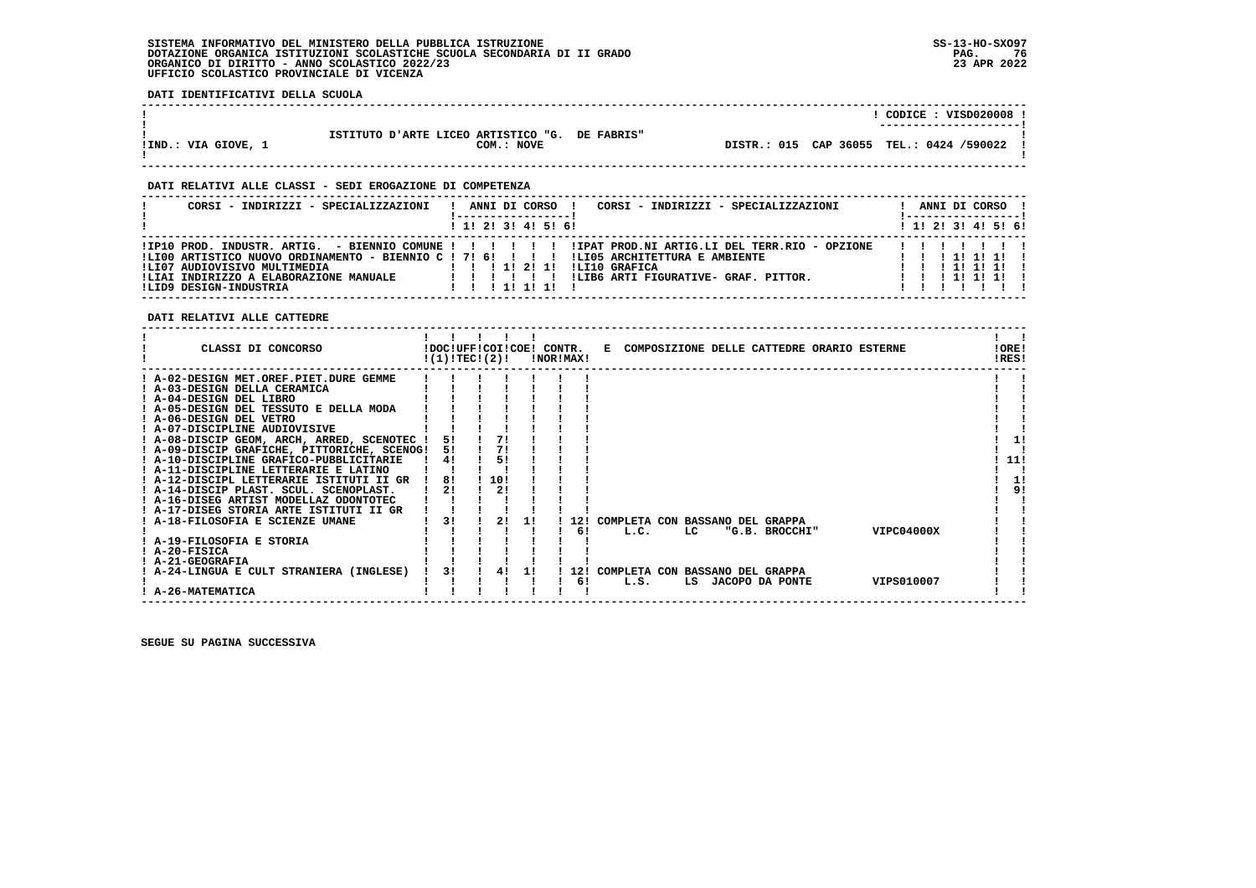**DATI IDENTIFICATIVI DELLA SCUOLA**

|                                                                                                                                                                                                                                                                                                                                                                                                                                                                                                                                                                                                                                                                                                                                                                         |                                                                                                                                                                                                                                                                                                                                                                                                                     |                     |                                             |                           |                                                                                                                                                                                                                                                                                                                                                                                                                                                                                                                                                  |                                            |            | ! CODICE : VISD020008 ! |  |                                                                  |
|-------------------------------------------------------------------------------------------------------------------------------------------------------------------------------------------------------------------------------------------------------------------------------------------------------------------------------------------------------------------------------------------------------------------------------------------------------------------------------------------------------------------------------------------------------------------------------------------------------------------------------------------------------------------------------------------------------------------------------------------------------------------------|---------------------------------------------------------------------------------------------------------------------------------------------------------------------------------------------------------------------------------------------------------------------------------------------------------------------------------------------------------------------------------------------------------------------|---------------------|---------------------------------------------|---------------------------|--------------------------------------------------------------------------------------------------------------------------------------------------------------------------------------------------------------------------------------------------------------------------------------------------------------------------------------------------------------------------------------------------------------------------------------------------------------------------------------------------------------------------------------------------|--------------------------------------------|------------|-------------------------|--|------------------------------------------------------------------|
| ISTITUTO D'ARTE LICEO ARTISTICO "G. DE FABRIS"<br>!IND.: VIA GIOVE, 1                                                                                                                                                                                                                                                                                                                                                                                                                                                                                                                                                                                                                                                                                                   |                                                                                                                                                                                                                                                                                                                                                                                                                     | COM.: NOVE          |                                             |                           |                                                                                                                                                                                                                                                                                                                                                                                                                                                                                                                                                  | DISTR.: 015 CAP 36055 TEL.: 0424 /590022 ! |            |                         |  |                                                                  |
| DATI RELATIVI ALLE CLASSI - SEDI EROGAZIONE DI COMPETENZA                                                                                                                                                                                                                                                                                                                                                                                                                                                                                                                                                                                                                                                                                                               |                                                                                                                                                                                                                                                                                                                                                                                                                     |                     |                                             |                           |                                                                                                                                                                                                                                                                                                                                                                                                                                                                                                                                                  |                                            |            |                         |  |                                                                  |
| CORSI - INDIRIZZI - SPECIALIZZAZIONI                                                                                                                                                                                                                                                                                                                                                                                                                                                                                                                                                                                                                                                                                                                                    |                                                                                                                                                                                                                                                                                                                                                                                                                     |                     | <u> 1 - - - - - - - - - - - - - - - - 1</u> |                           | ! ANNI DI CORSO ! CORSI - INDIRIZZI - SPECIALIZZAZIONI                                                                                                                                                                                                                                                                                                                                                                                                                                                                                           |                                            |            |                         |  | ! ANNI DI CORSO !<br><u> 1 - - - - - - - - - - - - - - - - 1</u> |
|                                                                                                                                                                                                                                                                                                                                                                                                                                                                                                                                                                                                                                                                                                                                                                         |                                                                                                                                                                                                                                                                                                                                                                                                                     |                     | ! 1! 2! 3! 4! 5! 6!                         |                           |                                                                                                                                                                                                                                                                                                                                                                                                                                                                                                                                                  |                                            |            |                         |  | 1 1 2 2 1 3 1 4 1 5 1 6 1                                        |
| IIP10 PROD. INDUSTR. ARTIG. - BIENNIO COMUNE ! ! ! ! ! ! ! IIPAT PROD.NI ARTIG.LI DEL TERR.RIO - OPZIONE                                                                                                                                                                                                                                                                                                                                                                                                                                                                                                                                                                                                                                                                |                                                                                                                                                                                                                                                                                                                                                                                                                     |                     |                                             |                           |                                                                                                                                                                                                                                                                                                                                                                                                                                                                                                                                                  |                                            |            |                         |  | 1 1 1 1 1 1 1                                                    |
| DATI RELATIVI ALLE CATTEDRE                                                                                                                                                                                                                                                                                                                                                                                                                                                                                                                                                                                                                                                                                                                                             |                                                                                                                                                                                                                                                                                                                                                                                                                     |                     |                                             |                           |                                                                                                                                                                                                                                                                                                                                                                                                                                                                                                                                                  |                                            |            |                         |  |                                                                  |
| CLASSI DI CONCORSO             IDOC!UFF!COI!COE! CONTR.   E COMPOSIZIONE DELLE CATTEDRE ORARIO ESTERNE                                                                                                                                                                                                                                                                                                                                                                                                                                                                                                                                                                                                                                                                  | $\begin{array}{ccccccccccccccccc}\n1 & 1 & 1 & 1 & 1 & 1\n\end{array}$<br>$!(1)!$ TEC! $(2)!$ $\qquad$ $\qquad$ $\qquad$ $\qquad$ $\qquad$ $\qquad$ $\qquad$ $\qquad$ $\qquad$ $\qquad$ $\qquad$ $\qquad$ $\qquad$ $\qquad$ $\qquad$ $\qquad$ $\qquad$ $\qquad$ $\qquad$ $\qquad$ $\qquad$ $\qquad$ $\qquad$ $\qquad$ $\qquad$ $\qquad$ $\qquad$ $\qquad$ $\qquad$ $\qquad$ $\qquad$ $\qquad$ $\qquad$ $\qquad$ $\$ |                     |                                             |                           |                                                                                                                                                                                                                                                                                                                                                                                                                                                                                                                                                  |                                            |            |                         |  | $\mathbf{1}$ $\mathbf{1}$<br>!ORE!<br>!RES!                      |
| ! A-02-DESIGN MET.OREF.PIET.DURE GEMME ! ! ! ! ! ! ! !<br>$\begin{array}{ccccccccccccc}\n1 & A-03-DESIGN DELLA CERAMICA & & & & & & & 1 & & 1 \\ 1 & A-04-DESIGN DEL LIBRO & & & & & & & & 1 & & 1\n\end{array}$<br>! A-05-DESIGN DEL TESSUTO E DELLA MODA ! ! ! !<br>! A-06-DESIGN DEL VETRO<br>! A-07-DISCIPLINE AUDIOVISIVE<br>! A-08-DISCIP GEOM, ARCH, ARRED, SCENOTEC ! 5! ! 7! !<br>! A-09-DISCIP GRAFICHE, PITTORICHE, SCENOG! 5! ! 7!<br>! A-10-DISCIPLINE GRAFICO-PUBBLICITARIE   4! ! 5!<br>! A-11-DISCIPLINE LETTERARIE E LATINO        <br>! A-12-DISCIPL LETTERARIE ISTITUTI II GR ! 8! ! 10!<br>! A-14-DISCIP PLAST. SCUL. SCENOPLAST.   2! ! 2!<br>! A-16-DISEG ARTIST MODELLAZ ODONTOTEC   !!!!<br>! A-17-DISEG STORIA ARTE ISTITUTI II GR ! ! ! ! ! ! |                                                                                                                                                                                                                                                                                                                                                                                                                     |                     |                                             |                           |                                                                                                                                                                                                                                                                                                                                                                                                                                                                                                                                                  |                                            |            |                         |  | 11<br>11!<br>п<br>-11<br>9!                                      |
| ! A-18-FILOSOFIA E SCIENZE UMANE<br>! A-19-FILOSOFIA E STORIA<br>! A-20-FISICA                                                                                                                                                                                                                                                                                                                                                                                                                                                                                                                                                                                                                                                                                          | $\begin{array}{cccccccccccccc} 1 & 1 & 1 & 1 & 1 & 1 & 1 & \end{array}$                                                                                                                                                                                                                                                                                                                                             |                     |                                             |                           | 1 3! 1 2! 1! 1 12! COMPLETA CON BASSANO DEL GRAPPA<br>$\blacksquare$ $\blacksquare$ $\blacksquare$ $\blacksquare$ $\blacksquare$ $\blacksquare$ $\blacksquare$ $\blacksquare$ $\blacksquare$ $\blacksquare$ $\blacksquare$ $\blacksquare$ $\blacksquare$ $\blacksquare$ $\blacksquare$ $\blacksquare$ $\blacksquare$ $\blacksquare$ $\blacksquare$ $\blacksquare$ $\blacksquare$ $\blacksquare$ $\blacksquare$ $\blacksquare$ $\blacksquare$ $\blacksquare$ $\blacksquare$ $\blacksquare$ $\blacksquare$ $\blacksquare$ $\blacksquare$ $\blacks$ |                                            |            |                         |  |                                                                  |
| $\begin{array}{ccccccccc} 1 & 1 & 1 & 1 & 1 & 1 & 1 \\ 1 & 2 & 1 & 2 & 1 & 1 & 1 \\ 2 & 3 & 2 & 4 & -1 & 1 & 1 & 1 & 1 \end{array}$ COMPLETA CON BASSANO DEL GRAPPA<br>! A-26-MATEMATICA                                                                                                                                                                                                                                                                                                                                                                                                                                                                                                                                                                                |                                                                                                                                                                                                                                                                                                                                                                                                                     | $1 \quad 1 \quad 1$ |                                             | $\mathbf{1}$ $\mathbf{1}$ | ! 6! L.S. LS JACOPO DA PONTE                                                                                                                                                                                                                                                                                                                                                                                                                                                                                                                     |                                            | VIPS010007 |                         |  |                                                                  |

 **! A-26-MATEMATICA ! ! ! ! ! ! ! ! ! ------------------------------------------------------------------------------------------------------------------------------------**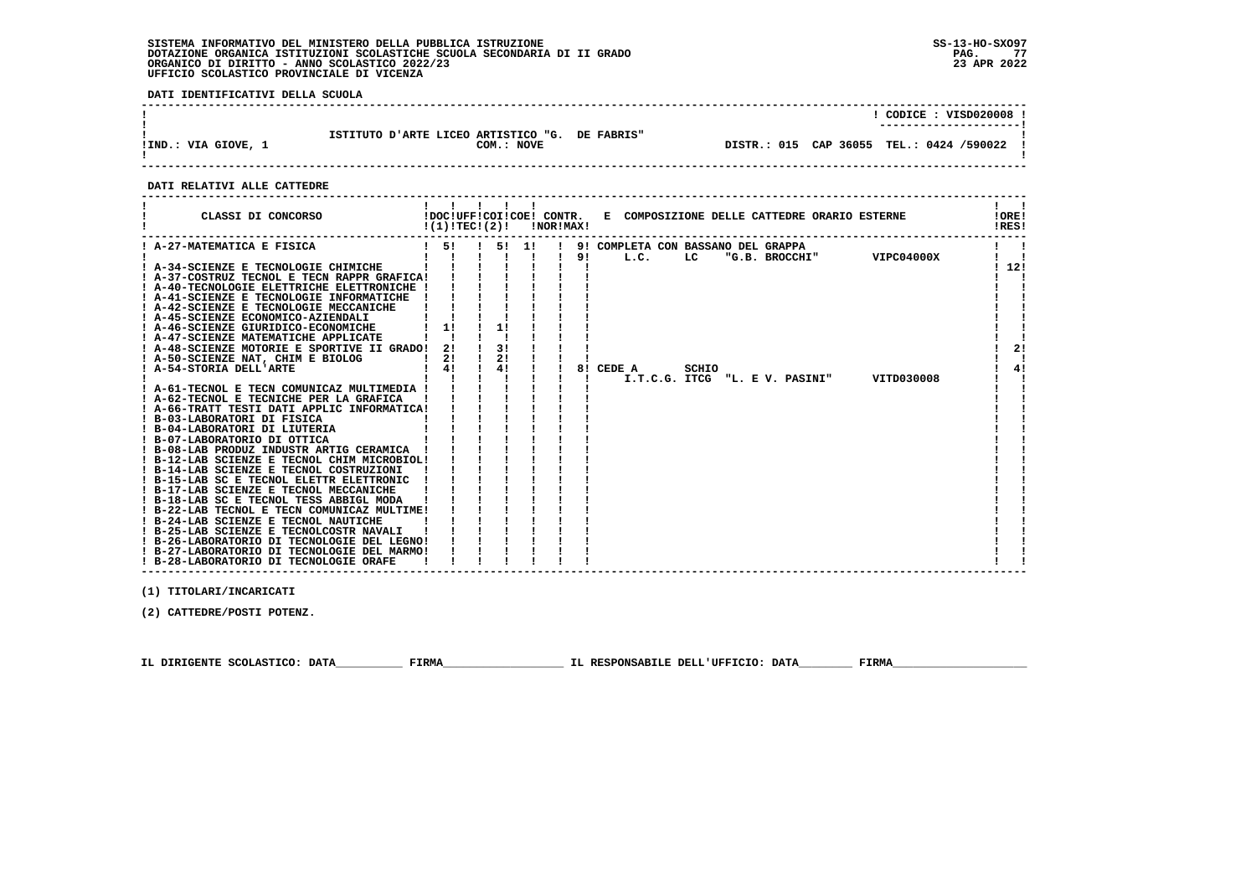**DATI IDENTIFICATIVI DELLA SCUOLA**

|                     |                                                              |  | CODICE: VISD020008 !<br>---------------------- |  |
|---------------------|--------------------------------------------------------------|--|------------------------------------------------|--|
| !IND.: VIA GIOVE, 1 | ISTITUTO D'ARTE LICEO ARTISTICO "G. DE FABRIS"<br>COM.: NOVE |  | DISTR.: 015 CAP 36055 TEL.: 0424 /590022       |  |

 **------------------------------------------------------------------------------------------------------------------------------------**

#### **DATI RELATIVI ALLE CATTEDRE**

| CLASSI DI CONCORSO                                                                                                                                                                                                                                                                                                                                                                                                                                                                                                                                                                                                                                                                                                                                                                                                                                                                                                                                                                                                          |                      | !DOC!UFF!COI!COE! CONTR.<br>!(1)!TEC!(2)! |       | <b>!NOR!MAX!</b> | E COMPOSIZIONE DELLE CATTEDRE ORARIO ESTERNE                                                                     | !ORE!<br>!RES!    |
|-----------------------------------------------------------------------------------------------------------------------------------------------------------------------------------------------------------------------------------------------------------------------------------------------------------------------------------------------------------------------------------------------------------------------------------------------------------------------------------------------------------------------------------------------------------------------------------------------------------------------------------------------------------------------------------------------------------------------------------------------------------------------------------------------------------------------------------------------------------------------------------------------------------------------------------------------------------------------------------------------------------------------------|----------------------|-------------------------------------------|-------|------------------|------------------------------------------------------------------------------------------------------------------|-------------------|
| ! A-27-MATEMATICA E FISICA                                                                                                                                                                                                                                                                                                                                                                                                                                                                                                                                                                                                                                                                                                                                                                                                                                                                                                                                                                                                  | $1 \quad 51$         |                                           | 5! 1! |                  | 9! COMPLETA CON BASSANO DEL GRAPPA                                                                               |                   |
| ! A-34-SCIENZE E TECNOLOGIE CHIMICHE<br>! A-37-COSTRUZ TECNOL E TECN RAPPR GRAFICA!<br>! A-40-TECNOLOGIE ELETTRICHE ELETTRONICHE !<br>! A-41-SCIENZE E TECNOLOGIE INFORMATICHE<br>! A-42-SCIENZE E TECNOLOGIE MECCANICHE<br>! A-45-SCIENZE ECONOMICO-AZIENDALI<br>! A-46-SCIENZE GIURIDICO-ECONOMICHE<br>! A-47-SCIENZE MATEMATICHE APPLICATE<br>! A-48-SCIENZE MOTORIE E SPORTIVE II GRADO!<br>! A-50-SCIENZE NAT, CHIM E BIOLOG<br>! A-54-STORIA DELL'ARTE<br>! A-61-TECNOL E TECN COMUNICAZ MULTIMEDIA !<br>! A-62-TECNOL E TECNICHE PER LA GRAFICA<br>! A-66-TRATT TESTI DATI APPLIC INFORMATICA!<br>! B-03-LABORATORI DI FISICA<br>! B-04-LABORATORI DI LIUTERIA<br>! B-07-LABORATORIO DI OTTICA<br>! B-08-LAB PRODUZ INDUSTR ARTIG CERAMICA<br>! B-12-LAB SCIENZE E TECNOL CHIM MICROBIOL!<br>! B-14-LAB SCIENZE E TECNOL COSTRUZIONI<br>! B-15-LAB SC E TECNOL ELETTR ELETTRONIC<br>! B-17-LAB SCIENZE E TECNOL MECCANICHE<br>! B-18-LAB SC E TECNOL TESS ABBIGL MODA<br>! B-22-LAB TECNOL E TECN COMUNICAZ MULTIME! | 11<br>21<br>21<br>4! | 11<br>3!<br>21<br>4!                      |       | 91               | VIPC04000X<br>L.C.<br>LC<br>"G.B. BROCCHI"<br>8! CEDE A<br>SCHIO<br>I.T.C.G. ITCG "L. E V. PASINI"<br>VITD030008 | ! 12!<br>2!<br>4! |
| ! B-24-LAB SCIENZE E TECNOL NAUTICHE<br>! B-25-LAB SCIENZE E TECNOLCOSTR NAVALI                                                                                                                                                                                                                                                                                                                                                                                                                                                                                                                                                                                                                                                                                                                                                                                                                                                                                                                                             |                      |                                           |       |                  |                                                                                                                  |                   |
| ! B-26-LABORATORIO DI TECNOLOGIE DEL LEGNO!                                                                                                                                                                                                                                                                                                                                                                                                                                                                                                                                                                                                                                                                                                                                                                                                                                                                                                                                                                                 |                      |                                           |       |                  |                                                                                                                  |                   |
| ! B-27-LABORATORIO DI TECNOLOGIE DEL MARMO!<br>! B-28-LABORATORIO DI TECNOLOGIE ORAFE                                                                                                                                                                                                                                                                                                                                                                                                                                                                                                                                                                                                                                                                                                                                                                                                                                                                                                                                       |                      |                                           |       |                  |                                                                                                                  |                   |

 **------------------------------------------------------------------------------------------------------------------------------------**

 **(1) TITOLARI/INCARICATI**

 **(2) CATTEDRE/POSTI POTENZ.**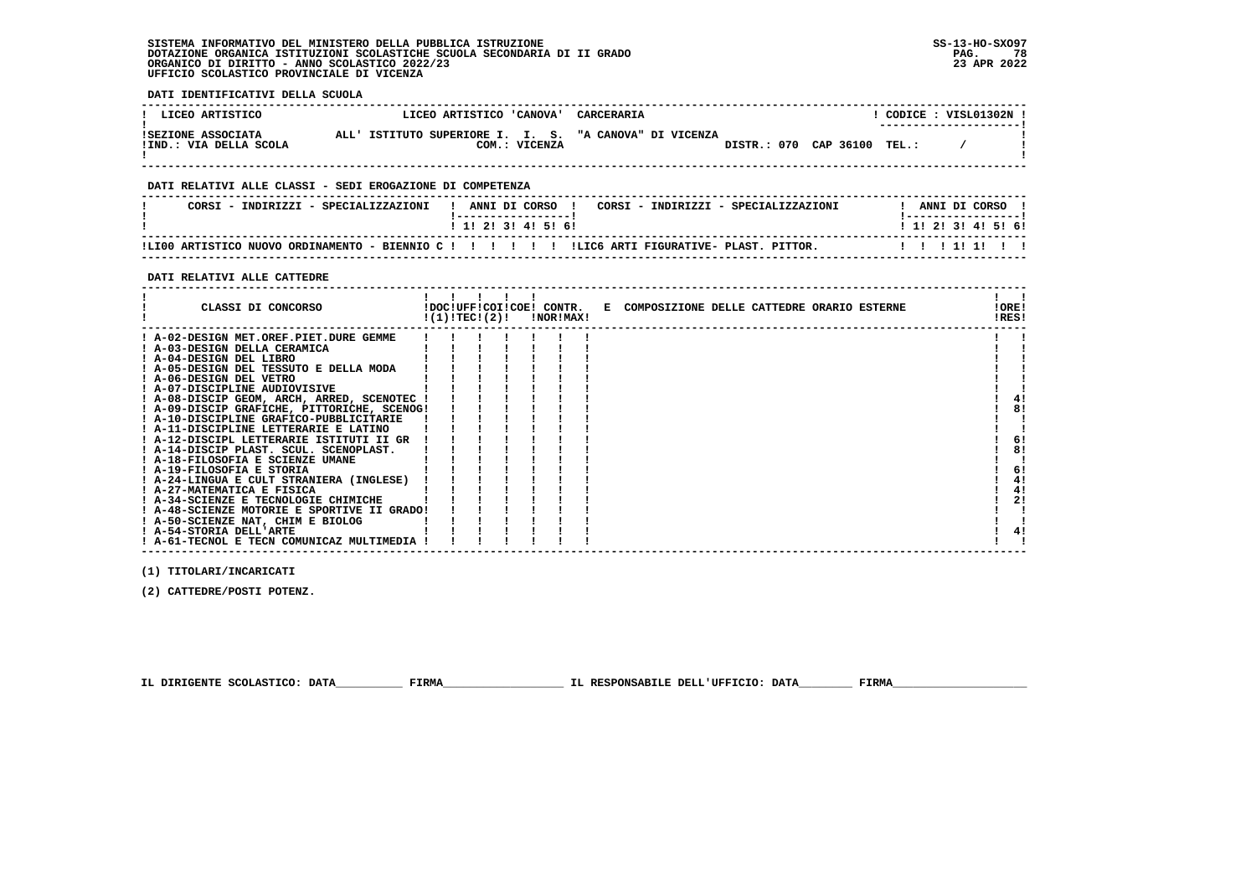**DATI IDENTIFICATIVI DELLA SCUOLA**

| ! LICEO ARTISTICO                            | LICEO ARTISTICO 'CANOVA'                                                | CARCERARIA            |       | CODICE: VISL01302N !   |
|----------------------------------------------|-------------------------------------------------------------------------|-----------------------|-------|------------------------|
| ISEZIONE ASSOCIATA<br>!IND.: VIA DELLA SCOLA | ALL' ISTITUTO SUPERIORE I. I. S. "A CANOVA" DI VICENZA<br>COM.: VICENZA | DISTR.: 070 CAP 36100 | TEL.: | ---------------------- |

 **------------------------------------------------------------------------------------------------------------------------------------**

## **DATI RELATIVI ALLE CLASSI - SEDI EROGAZIONE DI COMPETENZA**

| CORSI - INDIRIZZI - SPECIALIZZAZIONI |  | ANNI DI CORSO             |  |  | CORSI - INDIRIZZI - SPECIALIZZAZIONI |  | ANNI DI CORSO             |  |  |
|--------------------------------------|--|---------------------------|--|--|--------------------------------------|--|---------------------------|--|--|
|                                      |  | 1 1 1 2 1 3 1 4 1 5 1 6 1 |  |  |                                      |  | 1 1 1 2 1 3 1 4 1 5 1 6 1 |  |  |
|                                      |  |                           |  |  |                                      |  |                           |  |  |

 **------------------------------------------------------------------------------------------------------------------------------------**

#### **DATI RELATIVI ALLE CATTEDRE**

| CLASSI DI CONCORSO                          |  |  | !DOC!UFF!COI!COE! CONTR.<br>$!(1)!TEC!(2)!$ $INORIMAX!$ |  | E COMPOSIZIONE DELLE CATTEDRE ORARIO ESTERNE | IORE!<br>!RES! |
|---------------------------------------------|--|--|---------------------------------------------------------|--|----------------------------------------------|----------------|
| ! A-02-DESIGN MET.OREF.PIET.DURE GEMME      |  |  |                                                         |  |                                              |                |
| ! A-03-DESIGN DELLA CERAMICA                |  |  |                                                         |  |                                              |                |
| ! A-04-DESIGN DEL LIBRO                     |  |  |                                                         |  |                                              |                |
| ! A-05-DESIGN DEL TESSUTO E DELLA MODA      |  |  |                                                         |  |                                              |                |
| ! A-06-DESIGN DEL VETRO                     |  |  |                                                         |  |                                              |                |
| ! A-07-DISCIPLINE AUDIOVISIVE               |  |  |                                                         |  |                                              |                |
| ! A-08-DISCIP GEOM, ARCH, ARRED, SCENOTEC ! |  |  |                                                         |  |                                              |                |
| ! A-09-DISCIP GRAFICHE, PITTORICHE, SCENOG! |  |  |                                                         |  |                                              | 8!             |
| ! A-10-DISCIPLINE GRAFICO-PUBBLICITARIE     |  |  |                                                         |  |                                              |                |
| ! A-11-DISCIPLINE LETTERARIE E LATINO       |  |  |                                                         |  |                                              |                |
| ! A-12-DISCIPL LETTERARIE ISTITUTI II GR    |  |  |                                                         |  |                                              | 6!             |
| ! A-14-DISCIP PLAST. SCUL. SCENOPLAST.      |  |  |                                                         |  |                                              | 8!             |
| ! A-18-FILOSOFIA E SCIENZE UMANE            |  |  |                                                         |  |                                              |                |
| ! A-19-FILOSOFIA E STORIA                   |  |  |                                                         |  |                                              | 6!             |
| ! A-24-LINGUA E CULT STRANIERA (INGLESE)    |  |  |                                                         |  |                                              | 4!             |
| ! A-27-MATEMATICA E FISICA                  |  |  |                                                         |  |                                              | 4!             |
| ! A-34-SCIENZE E TECNOLOGIE CHIMICHE        |  |  |                                                         |  |                                              | 2!             |
| ! A-48-SCIENZE MOTORIE E SPORTIVE II GRADO! |  |  |                                                         |  |                                              |                |
| ! A-50-SCIENZE NAT, CHIM E BIOLOG           |  |  |                                                         |  |                                              |                |
| ! A-54-STORIA DELL'ARTE                     |  |  |                                                         |  |                                              | 4!             |
| ! A-61-TECNOL E TECN COMUNICAZ MULTIMEDIA ! |  |  |                                                         |  |                                              |                |

 **(1) TITOLARI/INCARICATI**

 **(2) CATTEDRE/POSTI POTENZ.**

 **IL DIRIGENTE SCOLASTICO: DATA\_\_\_\_\_\_\_\_\_\_ FIRMA\_\_\_\_\_\_\_\_\_\_\_\_\_\_\_\_\_\_ IL RESPONSABILE DELL'UFFICIO: DATA\_\_\_\_\_\_\_\_ FIRMA\_\_\_\_\_\_\_\_\_\_\_\_\_\_\_\_\_\_\_\_**

 **------------------------------------------------------------------------------------------------------------------------------------**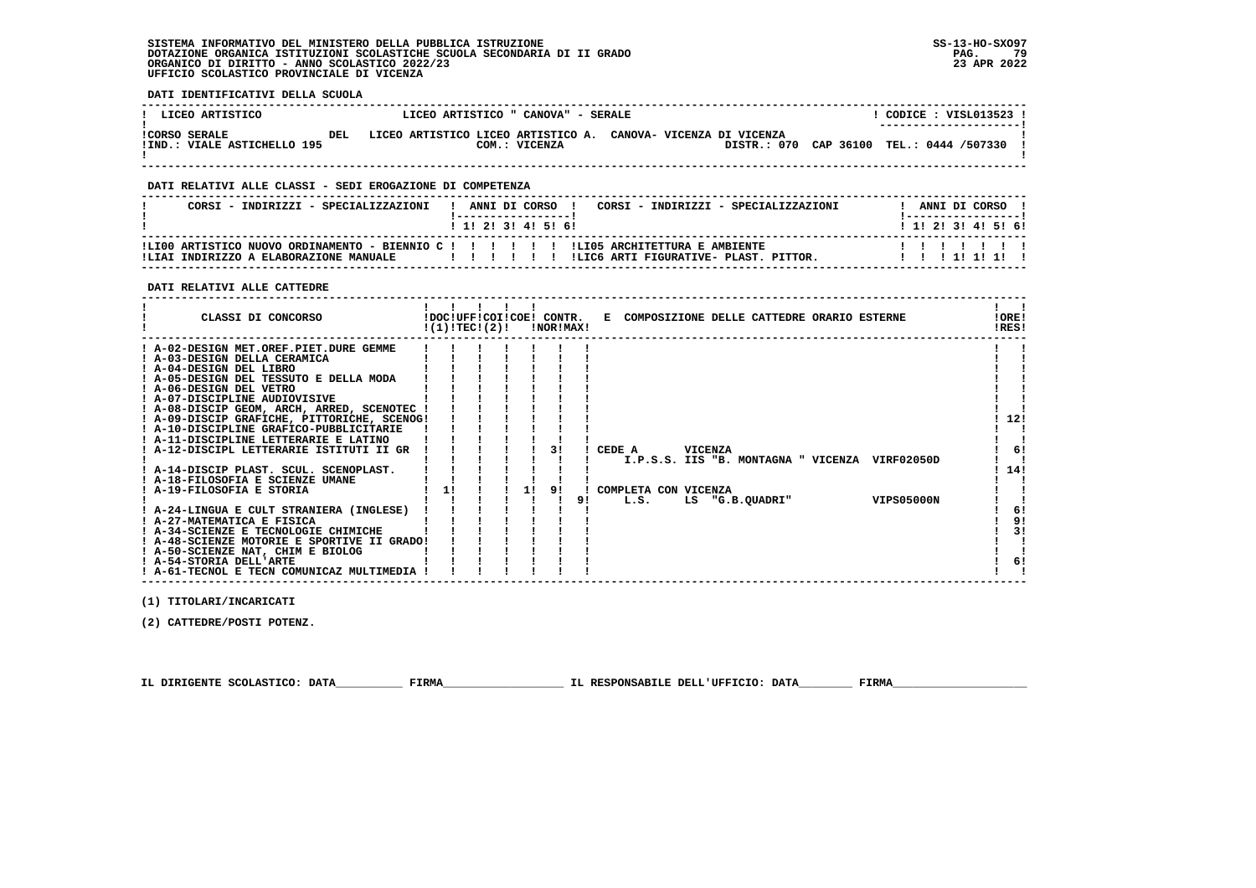**DATI IDENTIFICATIVI DELLA SCUOLA**

| ! LICEO ARTISTICO                                   |      | LICEO ARTISTICO " CANOVA" - SERALE |               |                                                               | CODICE : VISL013523 !<br>--------------------- |  |
|-----------------------------------------------------|------|------------------------------------|---------------|---------------------------------------------------------------|------------------------------------------------|--|
| <b>!CORSO SERALE</b><br>IIND.: VIALE ASTICHELLO 195 | DET. |                                    | COM.: VICENZA | LICEO ARTISTICO LICEO ARTISTICO A. CANOVA- VICENZA DI VICENZA | DISTR.: 070 CAP 36100 TEL.: 0444 /507330       |  |

 **------------------------------------------------------------------------------------------------------------------------------------**

#### **DATI RELATIVI ALLE CLASSI - SEDI EROGAZIONE DI COMPETENZA**

| CORSI - INDIRIZZI - SPECIALIZZAZIONI                                                                                                     | ANNI DI CORSO !<br>1 1 1 2 1 3 1 4 1 5 1 6 1 |  |  | CORSI - INDIRIZZI - SPECIALIZZAZIONI  |  |  | ANNI DI CORSO<br>1 1 1 2 1 3 1 4 1 5 1 6 1 |  |
|------------------------------------------------------------------------------------------------------------------------------------------|----------------------------------------------|--|--|---------------------------------------|--|--|--------------------------------------------|--|
| ILI00 ARTISTICO NUOVO ORDINAMENTO - BIENNIO C ! ! ! ! ! ! ! ILI05 ARCHITETTURA E AMBIENTE<br>!LIAI INDIRIZZO A ELABORAZIONE MANUALE<br>. |                                              |  |  | ILIC6 ARTI FIGURATIVE- PLAST, PITTOR, |  |  | ,,,,,,,,,<br>11111111                      |  |

 **------------------------------------------------------------------------------------------------------------------------------------**

 **DATI RELATIVI ALLE CATTEDRE**

| CLASSI DI CONCORSO                          | !(1)!TEC!(2)! |  |    | !DOC!UFF!COI!COE! CONTR.<br>!NOR!MAX! |    |                      |         | E COMPOSIZIONE DELLE CATTEDRE ORARIO ESTERNE |                   | !ORE!<br>!RES! |    |
|---------------------------------------------|---------------|--|----|---------------------------------------|----|----------------------|---------|----------------------------------------------|-------------------|----------------|----|
| ! A-02-DESIGN MET.OREF.PIET.DURE GEMME      |               |  |    |                                       |    |                      |         |                                              |                   |                |    |
| ! A-03-DESIGN DELLA CERAMICA                |               |  |    |                                       |    |                      |         |                                              |                   |                |    |
| ! A-04-DESIGN DEL LIBRO                     |               |  |    |                                       |    |                      |         |                                              |                   |                |    |
| ! A-05-DESIGN DEL TESSUTO E DELLA MODA      |               |  |    |                                       |    |                      |         |                                              |                   |                |    |
| ! A-06-DESIGN DEL VETRO                     |               |  |    |                                       |    |                      |         |                                              |                   |                |    |
| ! A-07-DISCIPLINE AUDIOVISIVE               |               |  |    |                                       |    |                      |         |                                              |                   |                |    |
| ! A-08-DISCIP GEOM, ARCH, ARRED, SCENOTEC   |               |  |    |                                       |    |                      |         |                                              |                   |                |    |
| ! A-09-DISCIP GRAFICHE, PITTORICHE, SCENOG! |               |  |    |                                       |    |                      |         |                                              |                   | 12!            |    |
| ! A-10-DISCIPLINE GRAFICO-PUBBLICITARIE     |               |  |    |                                       |    |                      |         |                                              |                   |                |    |
| ! A-11-DISCIPLINE LETTERARIE E LATINO       |               |  |    |                                       |    |                      |         |                                              |                   |                |    |
| ! A-12-DISCIPL LETTERARIE ISTITUTI II GR    |               |  |    | 31                                    |    | CEDE A               | VICENZA |                                              |                   |                | 6! |
|                                             |               |  |    |                                       |    |                      |         | I.P.S.S. IIS "B. MONTAGNA " VICENZA          | VIRF02050D        |                |    |
| ! A-14-DISCIP PLAST. SCUL. SCENOPLAST.      |               |  |    |                                       |    |                      |         |                                              |                   | 14!            |    |
| ! A-18-FILOSOFIA E SCIENZE UMANE            |               |  |    |                                       |    |                      |         |                                              |                   |                |    |
| ! A-19-FILOSOFIA E STORIA                   | 11            |  | 11 | 91                                    |    | COMPLETA CON VICENZA |         |                                              |                   |                |    |
|                                             |               |  |    |                                       | 91 | L.S.                 |         | LS "G.B.QUADRI"                              | <b>VIPS05000N</b> |                |    |
| ! A-24-LINGUA E CULT STRANIERA (INGLESE)    |               |  |    |                                       |    |                      |         |                                              |                   |                | 6! |
| ! A-27-MATEMATICA E FISICA                  |               |  |    |                                       |    |                      |         |                                              |                   |                | 9! |
| ! A-34-SCIENZE E TECNOLOGIE CHIMICHE        |               |  |    |                                       |    |                      |         |                                              |                   |                | 31 |
| ! A-48-SCIENZE MOTORIE E SPORTIVE II GRADO! |               |  |    |                                       |    |                      |         |                                              |                   |                |    |
| ! A-50-SCIENZE NAT, CHIM E BIOLOG           |               |  |    |                                       |    |                      |         |                                              |                   |                |    |
| ! A-54-STORIA DELL'ARTE                     |               |  |    |                                       |    |                      |         |                                              |                   |                | 6! |
| ! A-61-TECNOL E TECN COMUNICAZ MULTIMEDIA   |               |  |    |                                       |    |                      |         |                                              |                   |                |    |

 **(1) TITOLARI/INCARICATI**

 **(2) CATTEDRE/POSTI POTENZ.**

 **IL DIRIGENTE SCOLASTICO: DATA\_\_\_\_\_\_\_\_\_\_ FIRMA\_\_\_\_\_\_\_\_\_\_\_\_\_\_\_\_\_\_ IL RESPONSABILE DELL'UFFICIO: DATA\_\_\_\_\_\_\_\_ FIRMA\_\_\_\_\_\_\_\_\_\_\_\_\_\_\_\_\_\_\_\_**

 **------------------------------------------------------------------------------------------------------------------------------------**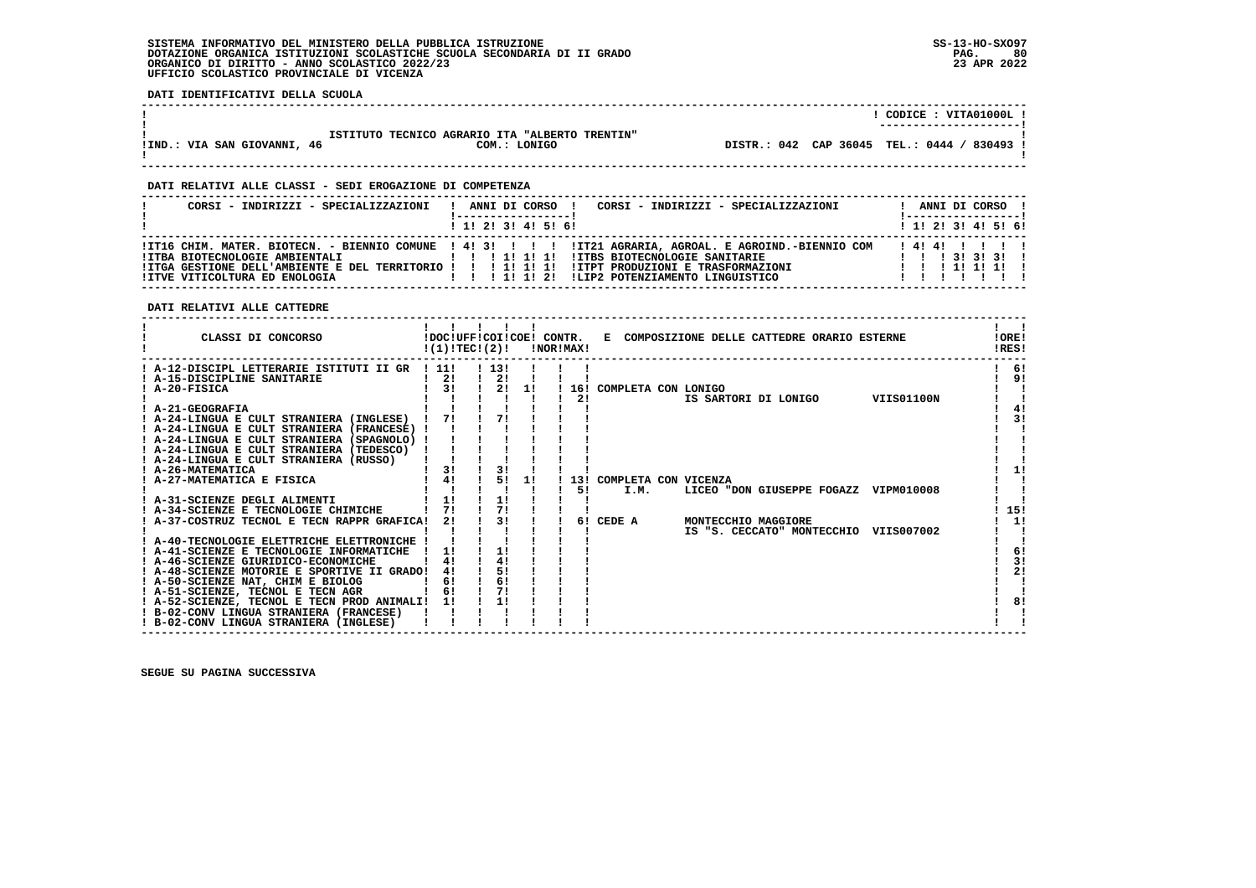**DATI IDENTIFICATIVI DELLA SCUOLA**

|                             |                                                                | CODICE: VITA01000L!<br>---------------------- |
|-----------------------------|----------------------------------------------------------------|-----------------------------------------------|
| !IND.: VIA SAN GIOVANNI, 46 | ISTITUTO TECNICO AGRARIO ITA "ALBERTO TRENTIN"<br>COM.: LONIGO | DISTR.: 042 CAP 36045 TEL.: 0444 / 830493 !   |

 **------------------------------------------------------------------------------------------------------------------------------------**

 **DATI RELATIVI ALLE CLASSI - SEDI EROGAZIONE DI COMPETENZA**

| CORSI - INDIRIZZI - SPECIALIZZAZIONI                            | CORSI - INDIRIZZI - SPECIALIZZAZIONI<br>ANNI DI CORSO !                                                                                                                                                                                 |  |  | ANNI DI CORSO !<br><u>   ------------------  </u>                                      |  |
|-----------------------------------------------------------------|-----------------------------------------------------------------------------------------------------------------------------------------------------------------------------------------------------------------------------------------|--|--|----------------------------------------------------------------------------------------|--|
|                                                                 | ! 1! 2! 3! 4! 5! 6!                                                                                                                                                                                                                     |  |  | $1 \; 1 \; 2 \; 3 \; 1 \; 4 \; 5 \; 6 \; 6$                                            |  |
| IITBA BIOTECNOLOGIE AMBIENTALI<br>IITVE VITICOLTURA ED ENOLOGIA | ITI6 CHIM. MATER. BIOTECN. - BIENNIO COMUNE ! 4! 3! ! ! ! IT21 AGRARIA, AGROAL. E AGROIND.-BIENNIO COM<br>!ITBS BIOTECNOLOGIE SANITARIE<br>ITGA GESTIONE DELL'AMBIENTE E DEL TERRITORIO ! ! ! 1! 1! 1! ITPT PRODUZIONI E TRASFORMAZIONI |  |  | 141411111<br>$1 \quad 1 \quad 1 \quad 31 \quad 31 \quad 31 \quad 1$<br>1 1 1 1 1 1 1 1 |  |

 **DATI RELATIVI ALLE CATTEDRE**

| CLASSI DI CONCORSO                                                                        | !(1)!TECI(2)! |          |    | <b>!NOR!MAX!</b> |     |                           | !DOC!UFF!COI!COE! CONTR. E COMPOSIZIONE DELLE CATTEDRE ORARIO ESTERNE | !ORE!<br>!RES! |     |
|-------------------------------------------------------------------------------------------|---------------|----------|----|------------------|-----|---------------------------|-----------------------------------------------------------------------|----------------|-----|
| ! A-12-DISCIPL LETTERARIE ISTITUTI II GR                                                  | . . 11.       | 1131     |    |                  |     |                           |                                                                       |                | -61 |
| A-15-DISCIPLINE SANITARIE                                                                 | 21            | 2!       |    |                  |     |                           |                                                                       |                | 9!  |
| ! A-20-FISICA                                                                             | 3!            | 21       | 11 |                  |     | ! 16! COMPLETA CON LONIGO |                                                                       |                |     |
|                                                                                           |               |          |    |                  | 2!  |                           | IS SARTORI DI LONIGO<br>VIIS01100N                                    |                |     |
| ! A-21-GEOGRAFIA                                                                          |               |          |    |                  |     |                           |                                                                       |                | 4!  |
| ! A-24-LINGUA E CULT STRANIERA (INGLESE)                                                  | 71            | 71       |    |                  |     |                           |                                                                       |                | 31  |
| ! A-24-LINGUA E CULT STRANIERA (FRANCESE)                                                 |               |          |    |                  |     |                           |                                                                       |                |     |
| ! A-24-LINGUA E CULT STRANIERA (SPAGNOLO) !                                               |               |          |    |                  |     |                           |                                                                       |                |     |
| ! A-24-LINGUA E CULT STRANIERA (TEDESCO)                                                  |               |          |    |                  |     |                           |                                                                       |                |     |
| ! A-24-LINGUA E CULT STRANIERA (RUSSO)                                                    |               |          |    |                  |     |                           |                                                                       |                |     |
| ! A-26-MATEMATICA                                                                         | 3!            | 3!       |    |                  |     |                           |                                                                       |                |     |
| A-27-MATEMATICA E FISICA                                                                  | 4!            | 51       | 11 |                  | 13! | COMPLETA CON VICENZA      |                                                                       |                |     |
|                                                                                           |               |          |    |                  | 51  | I.M.                      | LICEO "DON GIUSEPPE FOGAZZ VIPM010008                                 |                |     |
| ! A-31-SCIENZE DEGLI ALIMENTI                                                             | 1!            | 1!       |    |                  |     |                           |                                                                       |                |     |
| ! A-34-SCIENZE E TECNOLOGIE CHIMICHE                                                      | 71            | 71       |    |                  |     |                           |                                                                       |                | 15! |
| A-37-COSTRUZ TECNOL E TECN RAPPR GRAFICA!                                                 | 2!            | 3!       |    |                  | 61  | CEDE A                    | MONTECCHIO MAGGIORE                                                   |                | 1!  |
|                                                                                           |               |          |    |                  |     |                           | IS "S. CECCATO" MONTECCHIO<br>VIIS007002                              |                |     |
| ! A-40-TECNOLOGIE ELETTRICHE ELETTRONICHE !                                               |               |          |    |                  |     |                           |                                                                       |                |     |
| ! A-41-SCIENZE E TECNOLOGIE INFORMATICHE                                                  | 11            | 1!       |    |                  |     |                           |                                                                       |                | 6!  |
| ! A-46-SCIENZE GIURIDICO-ECONOMICHE                                                       |               |          |    |                  |     |                           |                                                                       |                | 3!  |
| ! A-48-SCIENZE MOTORIE E SPORTIVE II GRADO!                                               | 4!            | 5!       |    |                  |     |                           |                                                                       |                | 2!  |
| ! A-50-SCIENZE NAT, CHIM E BIOLOG                                                         | 6!<br>6!      | 6!<br>7! |    |                  |     |                           |                                                                       |                |     |
| ! A-51-SCIENZE, TECNOL E TECN AGR                                                         |               | 1!       |    |                  |     |                           |                                                                       |                | 81  |
| ! A-52-SCIENZE, TECNOL E TECN PROD ANIMALI! 1!<br>! B-02-CONV LINGUA STRANIERA (FRANCESE) |               |          |    |                  |     |                           |                                                                       |                |     |
| ! B-02-CONV LINGUA STRANIERA (INGLESE)                                                    |               |          |    |                  |     |                           |                                                                       |                |     |
|                                                                                           |               |          |    |                  |     |                           |                                                                       |                |     |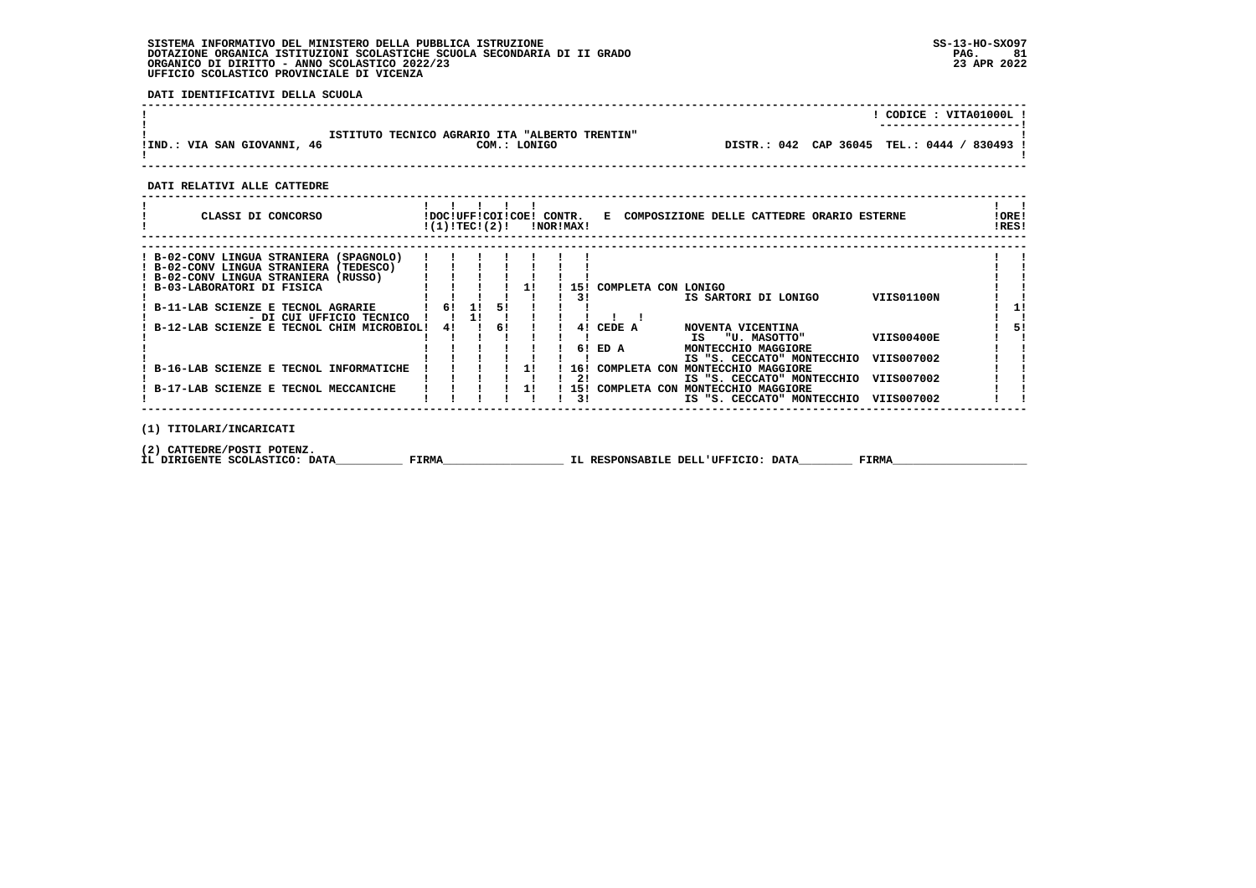**DATI IDENTIFICATIVI DELLA SCUOLA**

|                             |                                                |              |  | CODICE: VITA01000L!                         |
|-----------------------------|------------------------------------------------|--------------|--|---------------------------------------------|
| !IND.: VIA SAN GIOVANNI, 46 | ISTITUTO TECNICO AGRARIO ITA "ALBERTO TRENTIN" | COM.: LONIGO |  | DISTR.: 042 CAP 36045 TEL.: 0444 / 830493 ! |

 **DATI RELATIVI ALLE CATTEDRE**

| CLASSI DI CONCORSO                          | !DOC!UFF!COI!COE!<br>!(1)!TECI(2)! |    |    |    | CONTR. | !NOR!MAX! |                     |    | E COMPOSIZIONE DELLE CATTEDRE ORARIO ESTERNE |                   | !ORE!<br>!RES! |
|---------------------------------------------|------------------------------------|----|----|----|--------|-----------|---------------------|----|----------------------------------------------|-------------------|----------------|
|                                             |                                    |    |    |    |        |           |                     |    |                                              |                   |                |
| ! B-02-CONV LINGUA STRANIERA (SPAGNOLO)     |                                    |    |    |    |        |           |                     |    |                                              |                   |                |
| ! B-02-CONV LINGUA STRANIERA (TEDESCO)      |                                    |    |    |    |        |           |                     |    |                                              |                   |                |
| ! B-02-CONV LINGUA STRANIERA (RUSSO)        |                                    |    |    |    |        |           |                     |    |                                              |                   |                |
| ! B-03-LABORATORI DI FISICA                 |                                    |    |    |    |        | 151       | COMPLETA CON LONIGO |    |                                              |                   |                |
|                                             |                                    |    |    |    |        | 31        |                     |    | IS SARTORI DI LONIGO                         | VIIS01100N        |                |
| B-11-LAB SCIENZE E TECNOL AGRARIE           | 6!                                 | 11 | 51 |    |        |           |                     |    |                                              |                   |                |
| - DI CUI UFFICIO TECNICO                    |                                    |    |    |    |        |           |                     |    |                                              |                   |                |
| ! B-12-LAB SCIENZE E TECNOL CHIM MICROBIOL! | 4!                                 |    | 6! |    |        | 41        | CEDE A              |    | NOVENTA VICENTINA                            |                   |                |
|                                             |                                    |    |    |    |        |           |                     | IS | "U. MASOTTO"                                 | <b>VIIS00400E</b> |                |
|                                             |                                    |    |    |    |        | 61        | ED A                |    | MONTECCHIO MAGGIORE                          |                   |                |
|                                             |                                    |    |    |    |        |           |                     |    | IS "S. CECCATO" MONTECCHIO                   | VIIS007002        |                |
| B-16-LAB SCIENZE E TECNOL INFORMATICHE      |                                    |    |    | 11 |        | 16!       | COMPLETA CON        |    | MONTECCHIO MAGGIORE                          |                   |                |
|                                             |                                    |    |    |    |        | 21        |                     |    | IS "S. CECCATO" MONTECCHIO                   | VIIS007002        |                |
| B-17-LAB SCIENZE E TECNOL MECCANICHE        |                                    |    |    | 11 |        | 151       | COMPLETA CON        |    | MONTECCHIO MAGGIORE                          |                   |                |
|                                             |                                    |    |    |    |        | 31        |                     |    | IS "S. CECCATO" MONTECCHIO                   | VIIS007002        |                |

 **------------------------------------------------------------------------------------------------------------------------------------**

 **(1) TITOLARI/INCARICATI**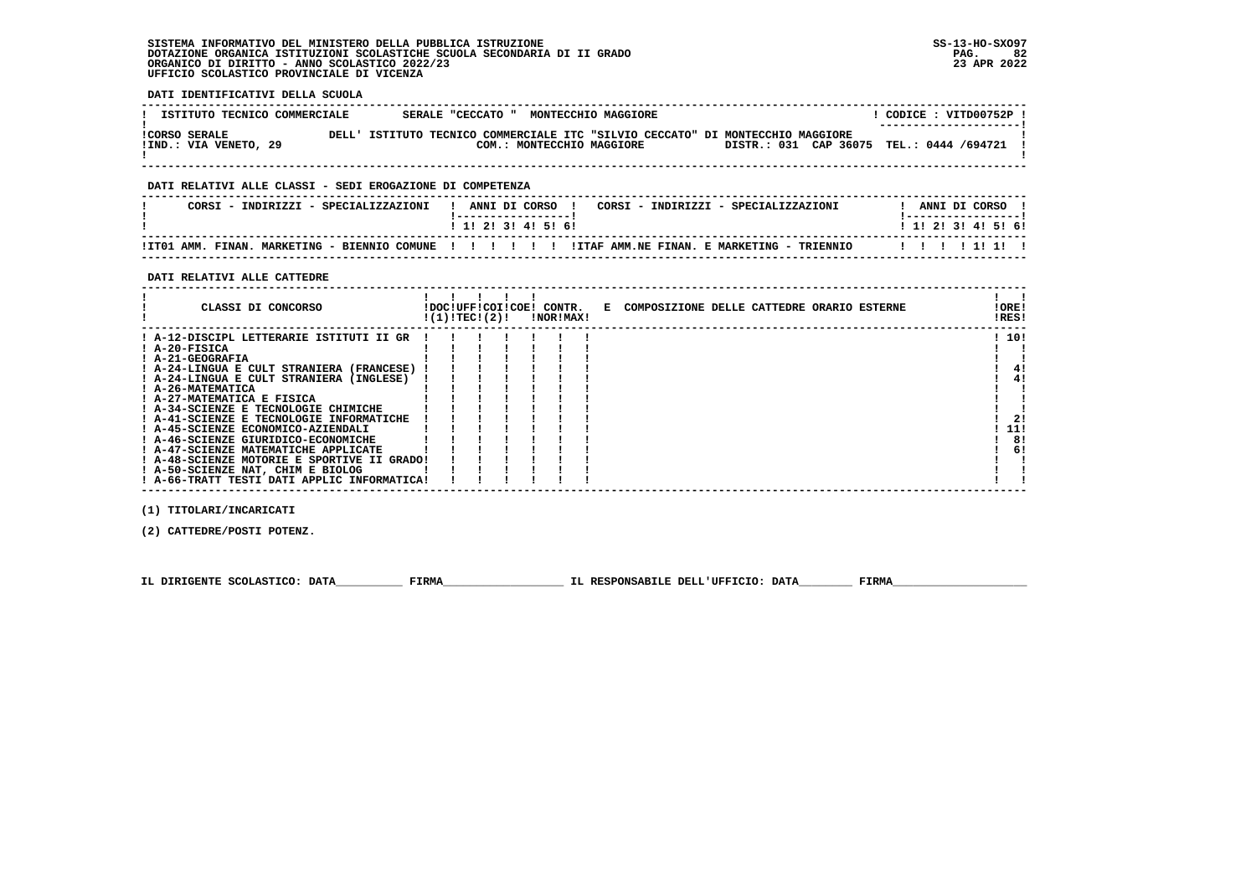**DATI IDENTIFICATIVI DELLA SCUOLA**

| ISTITUTO TECNICO COMMERCIALE                  |         | SERALE "CECCATO "         | MONTECCHIO MAGGIORE |                                                                                                                        | CODICE : VITD00752P !<br>--------------------- |
|-----------------------------------------------|---------|---------------------------|---------------------|------------------------------------------------------------------------------------------------------------------------|------------------------------------------------|
| <b>!CORSO SERALE</b><br>IIND.: VIA VENETO, 29 | י דאת ה | COM.: MONTECCHIO MAGGIORE |                     | ISTITUTO TECNICO COMMERCIALE ITC "SILVIO CECCATO" DI MONTECCHIO MAGGIORE<br>DISTR.: 031 CAP 36075 TEL.: 0444 /694721 ! |                                                |

 **------------------------------------------------------------------------------------------------------------------------------------**

## **DATI RELATIVI ALLE CLASSI - SEDI EROGAZIONE DI COMPETENZA**

| CORSI - INDIRIZZI - SPECIALIZZAZIONI                        | ANNI DI CORSO<br>CORSI - INDIRIZZI - SPECIALIZZAZIONI | ANNI DI CORSO             |
|-------------------------------------------------------------|-------------------------------------------------------|---------------------------|
|                                                             | 1 1 2 3 3 4 5 6 6                                     | 1 1 1 2 1 3 1 4 1 5 1 6 1 |
| !IT01 AMM. FINAN.<br>MARKETING - BIENNIO COMUNE ! ! ! ! ! ! | ITTAF AMM NE FINAN, E MARKETING - TRIENNIO            | 11111111                  |

 **------------------------------------------------------------------------------------------------------------------------------------**

## **DATI RELATIVI ALLE CATTEDRE**

| CLASSI DI CONCORSO                          | !(1)!TEC!(2)! |  | !DOC!UFF!COI!COE! CONTR.<br>INORIMAXI | E COMPOSIZIONE DELLE CATTEDRE ORARIO ESTERNE | !ORE!<br>!RES! |
|---------------------------------------------|---------------|--|---------------------------------------|----------------------------------------------|----------------|
| ! A-12-DISCIPL LETTERARIE ISTITUTI II GR    |               |  |                                       |                                              | ! 10!          |
| ! A-20-FISICA                               |               |  |                                       |                                              |                |
| ! A-21-GEOGRAFIA                            |               |  |                                       |                                              |                |
| ! A-24-LINGUA E CULT STRANIERA (FRANCESE)   |               |  |                                       |                                              | 4!             |
| ! A-24-LINGUA E CULT STRANIERA (INGLESE)    |               |  |                                       |                                              | 41             |
| ! A-26-MATEMATICA                           |               |  |                                       |                                              |                |
| ! A-27-MATEMATICA E FISICA                  |               |  |                                       |                                              |                |
| ! A-34-SCIENZE E TECNOLOGIE CHIMICHE        |               |  |                                       |                                              |                |
| ! A-41-SCIENZE E TECNOLOGIE INFORMATICHE    |               |  |                                       |                                              | 21             |
| ! A-45-SCIENZE ECONOMICO-AZIENDALI          |               |  |                                       |                                              | 11!            |
| ! A-46-SCIENZE GIURIDICO-ECONOMICHE         |               |  |                                       |                                              | 8!             |
| ! A-47-SCIENZE MATEMATICHE APPLICATE        |               |  |                                       |                                              | 6!             |
| ! A-48-SCIENZE MOTORIE E SPORTIVE II GRADO! |               |  |                                       |                                              |                |
| ! A-50-SCIENZE NAT, CHIM E BIOLOG           |               |  |                                       |                                              |                |
| ! A-66-TRATT TESTI DATI APPLIC INFORMATICA! |               |  |                                       |                                              |                |

 **(1) TITOLARI/INCARICATI**

 **(2) CATTEDRE/POSTI POTENZ.**

 **IL DIRIGENTE SCOLASTICO: DATA\_\_\_\_\_\_\_\_\_\_ FIRMA\_\_\_\_\_\_\_\_\_\_\_\_\_\_\_\_\_\_ IL RESPONSABILE DELL'UFFICIO: DATA\_\_\_\_\_\_\_\_ FIRMA\_\_\_\_\_\_\_\_\_\_\_\_\_\_\_\_\_\_\_\_**

 **------------------------------------------------------------------------------------------------------------------------------------**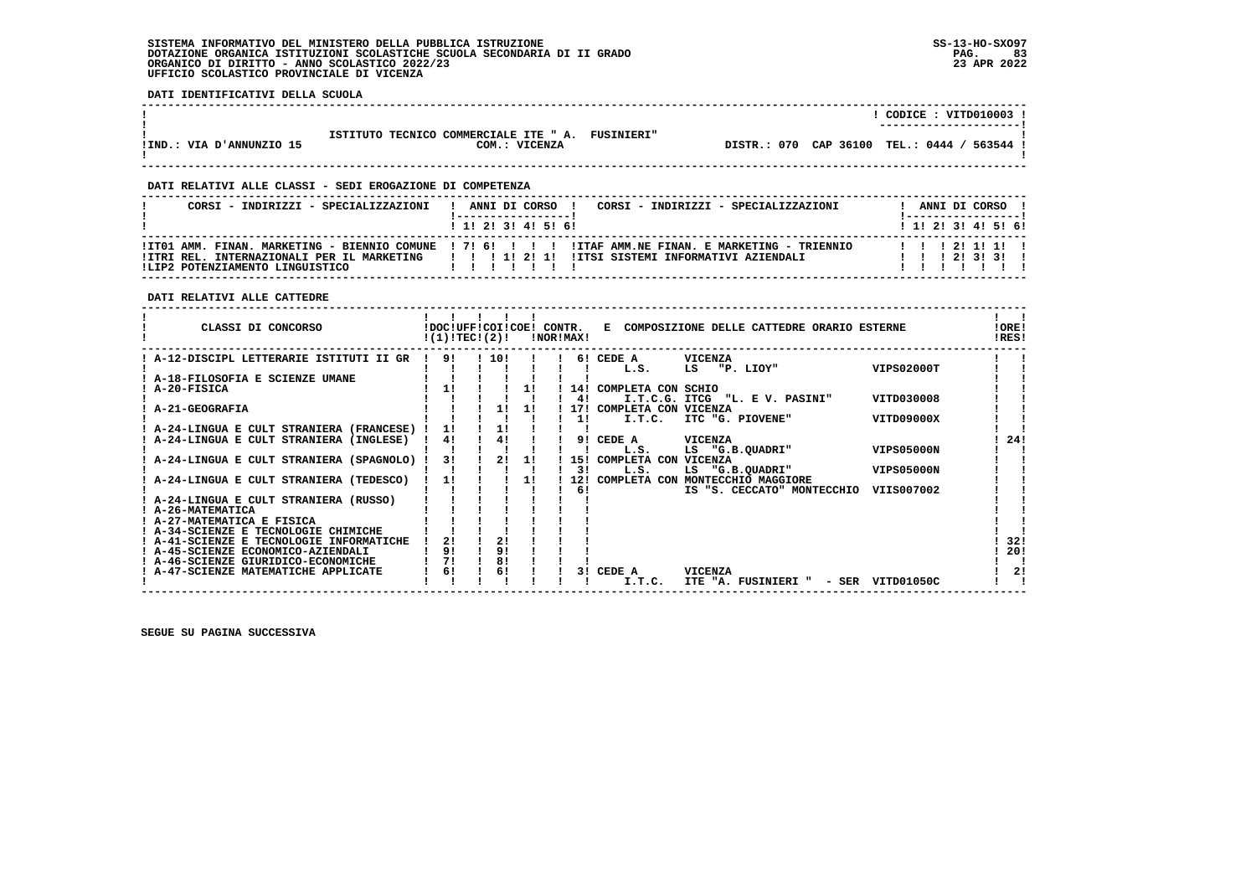**DATI IDENTIFICATIVI DELLA SCUOLA**

|                          |                                                            | CODICE: VITD010003                                |
|--------------------------|------------------------------------------------------------|---------------------------------------------------|
|                          | ISTITUTO TECNICO COMMERCIALE ITE " A.<br><b>FUSINIERI"</b> | -----------------------                           |
| IIND.: VIA D'ANNUNZIO 15 | COM.: VICENZA                                              | TEL.: 0444 / 563544 !<br>CAP 36100<br>DISTR.: 070 |
|                          |                                                            |                                                   |

 **------------------------------------------------------------------------------------------------------------------------------------**

 **------------------------------------------------------------------------------------------------------------------------------------**

## **DATI RELATIVI ALLE CLASSI - SEDI EROGAZIONE DI COMPETENZA**

| CORSI - INDIRIZZI - SPECIALIZZAZIONI | CORSI - INDIRIZZI - SPECIALIZZAZIONI<br>ANNI DI CORSO !<br>$\mathbf{I}$                                                                                                                              | ANNI DI CORSO !                          |  |
|--------------------------------------|------------------------------------------------------------------------------------------------------------------------------------------------------------------------------------------------------|------------------------------------------|--|
|                                      | 1 1 1 2 1 3 1 4 1 5 1 6 1                                                                                                                                                                            | 1 1 2 3 3 4 5 5 6 1                      |  |
| ILIP2 POTENZIAMENTO LINGUISTICO      | ITO1 AMM. FINAN. MARKETING - BIENNIO COMUNE ! 7! 6! ! ! !! !ITAF AMM.NE FINAN. E MARKETING - TRIENNIO<br>ITRI REL. INTERNAZIONALI PER IL MARKETING   ! ! 1! 2! 1! ITSI SISTEMI INFORMATIVI AZIENDALI | 1 1 1 2 1 1 1 1 1<br>1 1 1 2 1 3 1 3 1 1 |  |

## **DATI RELATIVI ALLE CATTEDRE**

| CLASSI DI CONCORSO                      | !DOC!UFF!COI!COE! CONTR.<br>!(1)!TECI(2)! |     |    | !NOR!MAX! |     | COMPOSIZIONE DELLE CATTEDRE ORARIO ESTERNE<br>Е.       | !ORE!<br>!RES! |
|-----------------------------------------|-------------------------------------------|-----|----|-----------|-----|--------------------------------------------------------|----------------|
| A-12-DISCIPL LETTERARIE ISTITUTI II GR  | 91                                        | 10! |    |           |     | <b>VICENZA</b><br>6! CEDE A                            |                |
|                                         |                                           |     |    |           |     | <b>VIPS02000T</b><br>"P. LIOY"<br>LS<br>L.S.           |                |
| A-18-FILOSOFIA E SCIENZE UMANE          |                                           |     |    |           |     |                                                        |                |
| A-20-FISICA                             | 11                                        |     |    |           | 14! | COMPLETA CON SCHIO                                     |                |
|                                         |                                           |     |    |           | 41  | VITD030008<br>I.T.C.G. ITCG<br>"L. E V. PASINI"        |                |
| A-21-GEOGRAFIA                          |                                           | 11  | 11 |           | 171 | COMPLETA CON VICENZA                                   |                |
|                                         |                                           |     |    |           | 11  | VITD09000X<br>I.T.C.<br>ITC "G. PIOVENE"               |                |
| A-24-LINGUA E CULT STRANIERA (FRANCESE) | 11                                        | 1!  |    |           |     |                                                        |                |
| A-24-LINGUA E CULT STRANIERA (INGLESE)  | 4!                                        | 4!  |    |           | 91  | CEDE A<br><b>VICENZA</b>                               | 24!            |
|                                         |                                           |     |    |           |     | LS "G.B.QUADRI"<br><b>VIPS05000N</b><br>L.S.           |                |
| A-24-LINGUA E CULT STRANIERA (SPAGNOLO) | 31                                        | 21  | 1! |           | 15! | <b>VICENZA</b><br>COMPLETA CON                         |                |
|                                         |                                           |     |    |           | 31  | L.S.<br><b>VIPS05000N</b><br>LS "G.B.QUADRI"           |                |
| A-24-LINGUA E CULT STRANIERA (TEDESCO)  | 11                                        |     | 11 |           | 12! | COMPLETA CON<br>MONTECCHIO MAGGIORE                    |                |
|                                         |                                           |     |    |           | 6!  | VIIS007002<br>IS "S. CECCATO" MONTECCHIO               |                |
| A-24-LINGUA E CULT STRANIERA (RUSSO)    |                                           |     |    |           |     |                                                        |                |
| A-26-MATEMATICA                         |                                           |     |    |           |     |                                                        |                |
| A-27-MATEMATICA E FISICA                |                                           |     |    |           |     |                                                        |                |
| A-34-SCIENZE E TECNOLOGIE CHIMICHE      |                                           |     |    |           |     |                                                        |                |
| A-41-SCIENZE E TECNOLOGIE INFORMATICHE  | 21                                        | 21  |    |           |     |                                                        | 32!            |
| A-45-SCIENZE ECONOMICO-AZIENDALI        | 9!                                        | 9!  |    |           |     |                                                        | 20!            |
| A-46-SCIENZE GIURIDICO-ECONOMICHE       | 71                                        | 81  |    |           |     |                                                        |                |
| A-47-SCIENZE MATEMATICHE APPLICATE      | 61                                        | 6!  |    |           | 31  | CEDE A<br><b>VICENZA</b>                               | 2!             |
|                                         |                                           |     |    |           |     | I.T.C.<br>ITE "A. FUSINIERI "<br>VITD01050C<br>$-$ SER |                |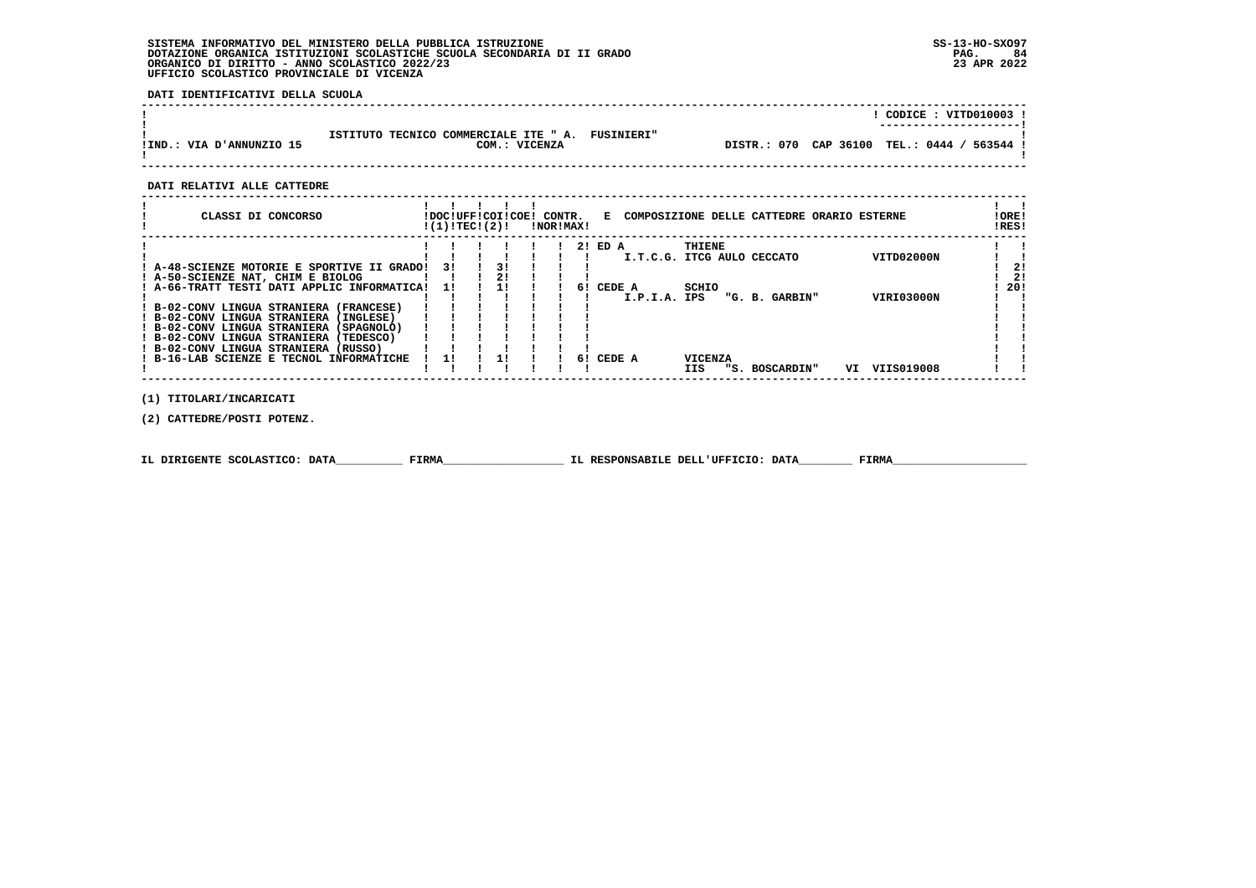**DATI IDENTIFICATIVI DELLA SCUOLA**

|                          |                                                                   |                                             | CODICE: VITD010003 !<br>---------------------- |
|--------------------------|-------------------------------------------------------------------|---------------------------------------------|------------------------------------------------|
| IIND.: VIA D'ANNUNZIO 15 | ISTITUTO TECNICO COMMERCIALE ITE " A. FUSINIERI"<br>COM.: VICENZA | DISTR.: 070 CAP 36100 TEL.: 0444 / 563544 ! |                                                |

 **------------------------------------------------------------------------------------------------------------------------------------**

## **DATI RELATIVI ALLE CATTEDRE**

| CLASSI DI CONCORSO                          | !DOC!UFF!COI!COE! CONTR.<br>!(1)!TEC!(2)! |    | !NOR!MAX! |    |         |              |                | E COMPOSIZIONE DELLE CATTEDRE ORARIO ESTERNE |    |            | ! ORE!<br>!RES! |
|---------------------------------------------|-------------------------------------------|----|-----------|----|---------|--------------|----------------|----------------------------------------------|----|------------|-----------------|
|                                             |                                           |    |           |    | 2! ED A |              | THIENE         |                                              |    |            |                 |
|                                             |                                           |    |           |    |         |              |                | I.T.C.G. ITCG AULO CECCATO                   |    | VITD02000N |                 |
| ! A-48-SCIENZE MOTORIE E SPORTIVE II GRADO! | 31                                        | 31 |           |    |         |              |                |                                              |    |            |                 |
| ! A-50-SCIENZE NAT, CHIM E BIOLOG           |                                           | 21 |           |    |         |              |                |                                              |    |            | 21              |
| ! A-66-TRATT TESTI DATI APPLIC INFORMATICA! | 11                                        |    |           | 61 | CEDE A  | SCHIO        |                |                                              |    |            | 20!             |
|                                             |                                           |    |           |    |         | I.P.I.A. IPS |                | "G. B. GARBIN"                               |    | VIRI03000N |                 |
| ! B-02-CONV LINGUA STRANIERA (FRANCESE)     |                                           |    |           |    |         |              |                |                                              |    |            |                 |
| ! B-02-CONV LINGUA STRANIERA (INGLESE)      |                                           |    |           |    |         |              |                |                                              |    |            |                 |
| ! B-02-CONV LINGUA STRANIERA (SPAGNOLO)     |                                           |    |           |    |         |              |                |                                              |    |            |                 |
| ! B-02-CONV LINGUA STRANIERA (TEDESCO)      |                                           |    |           |    |         |              |                |                                              |    |            |                 |
| ! B-02-CONV LINGUA STRANIERA (RUSSO)        |                                           |    |           |    |         |              |                |                                              |    |            |                 |
| ! B-16-LAB SCIENZE E TECNOL INFORMATICHE    |                                           |    |           | 61 | CEDE A  |              | <b>VICENZA</b> |                                              |    |            |                 |
|                                             |                                           |    |           |    |         | IIS          | "S. -          | <b>BOSCARDIN"</b>                            | VI | VIIS019008 |                 |
|                                             |                                           |    |           |    |         |              |                |                                              |    |            |                 |

 **(1) TITOLARI/INCARICATI**

 **(2) CATTEDRE/POSTI POTENZ.**

|  | IL DIRIGENTE SCOLASTICO: DATA | FIRMA | IL RESPONSABILE DELL'UFFICIO: DATA | FIRM |
|--|-------------------------------|-------|------------------------------------|------|
|--|-------------------------------|-------|------------------------------------|------|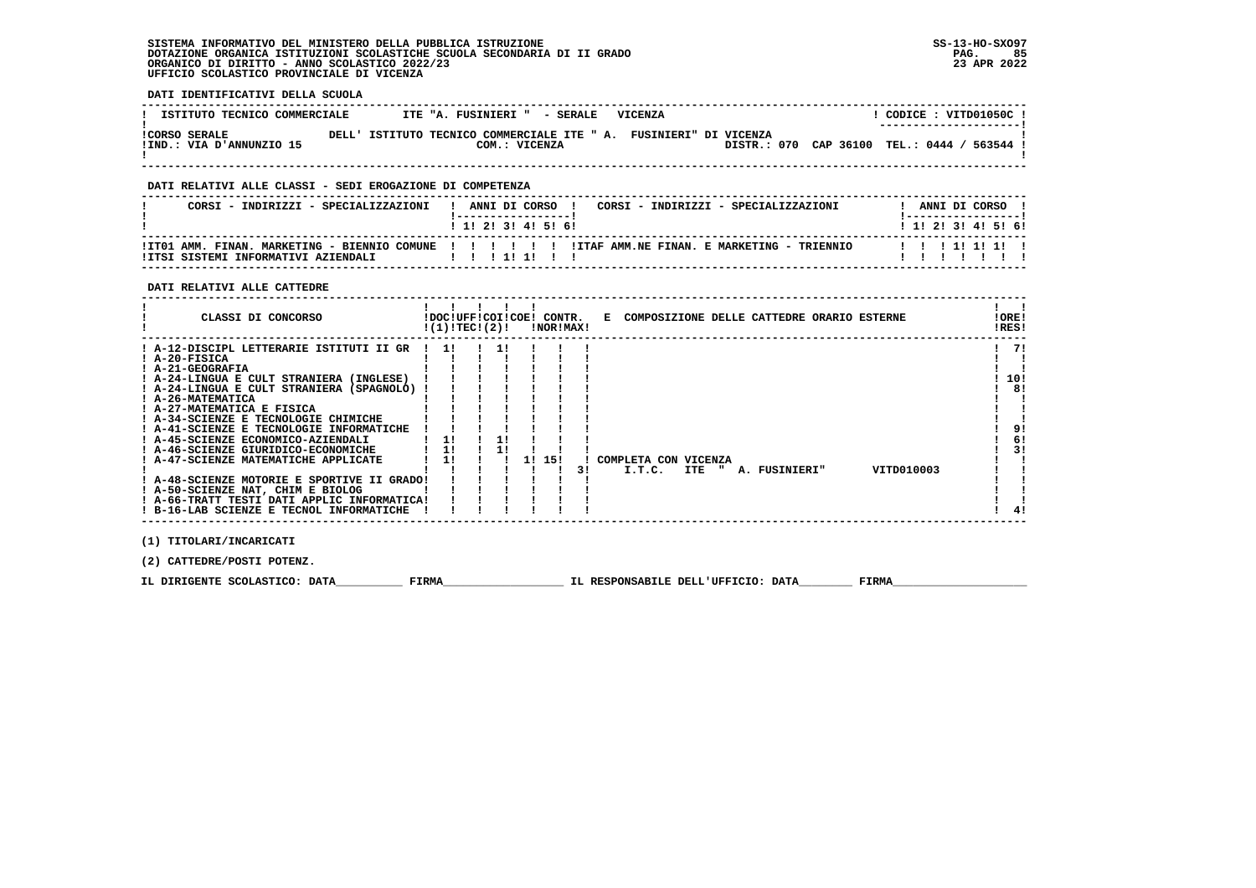## **DATI IDENTIFICATIVI DELLA SCUOLA**

| ISTITUTO TECNICO COMMERCIALE                     | ITE "A. FUSINIERI " - SERALE                                                       | VICENZA |                                             |  | CODICE: VITD01050C!<br>---------------------- |
|--------------------------------------------------|------------------------------------------------------------------------------------|---------|---------------------------------------------|--|-----------------------------------------------|
| <b>!CORSO SERALE</b><br>IIND.: VIA D'ANNUNZIO 15 | DELL' ISTITUTO TECNICO COMMERCIALE ITE " A. FUSINIERI" DI VICENZA<br>COM.: VICENZA |         | DISTR.: 070 CAP 36100 TEL.: 0444 / 563544 ! |  |                                               |

 **------------------------------------------------------------------------------------------------------------------------------------**

## **DATI RELATIVI ALLE CLASSI - SEDI EROGAZIONE DI COMPETENZA**

| CORSI - INDIRIZZI - SPECIALIZZAZIONI                      | ! ANNI DI CORSO !<br>CORSI - INDIRIZZI - SPECIALIZZAZIONI                                        | ANNI DI CORSO             |
|-----------------------------------------------------------|--------------------------------------------------------------------------------------------------|---------------------------|
|                                                           | 1 1 2 3 3 4 5 6 1                                                                                | 1 1 1 2 1 3 1 4 1 5 1 6 1 |
| !ITSI SISTEMI INFORMATIVI AZIENDALI              !!!!!!!! | ITTO1 AMM. FINAN. MARKETING - BIENNIO COMUNE !!!!!!!!!!ITAF AMM.NE FINAN. E MARKETING - TRIENNIO | 111111111                 |

 **------------------------------------------------------------------------------------------------------------------------------------**

#### **DATI RELATIVI ALLE CATTEDRE**

| CLASSI DI CONCORSO                                                                                                    | !(1)!TECI(2)! |    | !DOC!UFF!COI!COE! CONTR.<br>!NOR!MAX! |    |                                |       |  | E COMPOSIZIONE DELLE CATTEDRE ORARIO ESTERNE |            | !ORE!<br>!RES! |
|-----------------------------------------------------------------------------------------------------------------------|---------------|----|---------------------------------------|----|--------------------------------|-------|--|----------------------------------------------|------------|----------------|
| ! A-12-DISCIPL LETTERARIE ISTITUTI II GR<br>! A-20-FISICA<br>! A-21-GEOGRAFIA                                         | 11            | 11 |                                       |    |                                |       |  |                                              |            | 71             |
| ! A-24-LINGUA E CULT STRANIERA (INGLESE)<br>! A-24-LINGUA E CULT STRANIERA (SPAGNOLO)<br>! A-26-MATEMATICA            |               |    |                                       |    |                                |       |  |                                              |            | 10!<br>81      |
| ! A-27-MATEMATICA E FISICA<br>! A-34-SCIENZE E TECNOLOGIE CHIMICHE                                                    |               |    |                                       |    |                                |       |  |                                              |            |                |
| ! A-41-SCIENZE E TECNOLOGIE INFORMATICHE<br>! A-45-SCIENZE ECONOMICO-AZIENDALI<br>! A-46-SCIENZE GIURIDICO-ECONOMICHE | 1!<br>1!      |    |                                       |    |                                |       |  |                                              |            | 9!<br>6!<br>31 |
| ! A-47-SCIENZE MATEMATICHE APPLICATE<br>! A-48-SCIENZE MOTORIE E SPORTIVE II GRADO!                                   | 11            |    | 1! 15!                                | 31 | COMPLETA CON VICENZA<br>I.T.C. | ITE " |  | A. FUSINIERI"                                | VITD010003 |                |
| ! A-50-SCIENZE NAT, CHIM E BIOLOG<br>! A-66-TRATT TESTI DATI APPLIC INFORMATICA!                                      |               |    |                                       |    |                                |       |  |                                              |            |                |
| ! B-16-LAB SCIENZE E TECNOL INFORMATICHE                                                                              |               |    |                                       |    |                                |       |  |                                              |            |                |

 **(1) TITOLARI/INCARICATI**

 **(2) CATTEDRE/POSTI POTENZ.**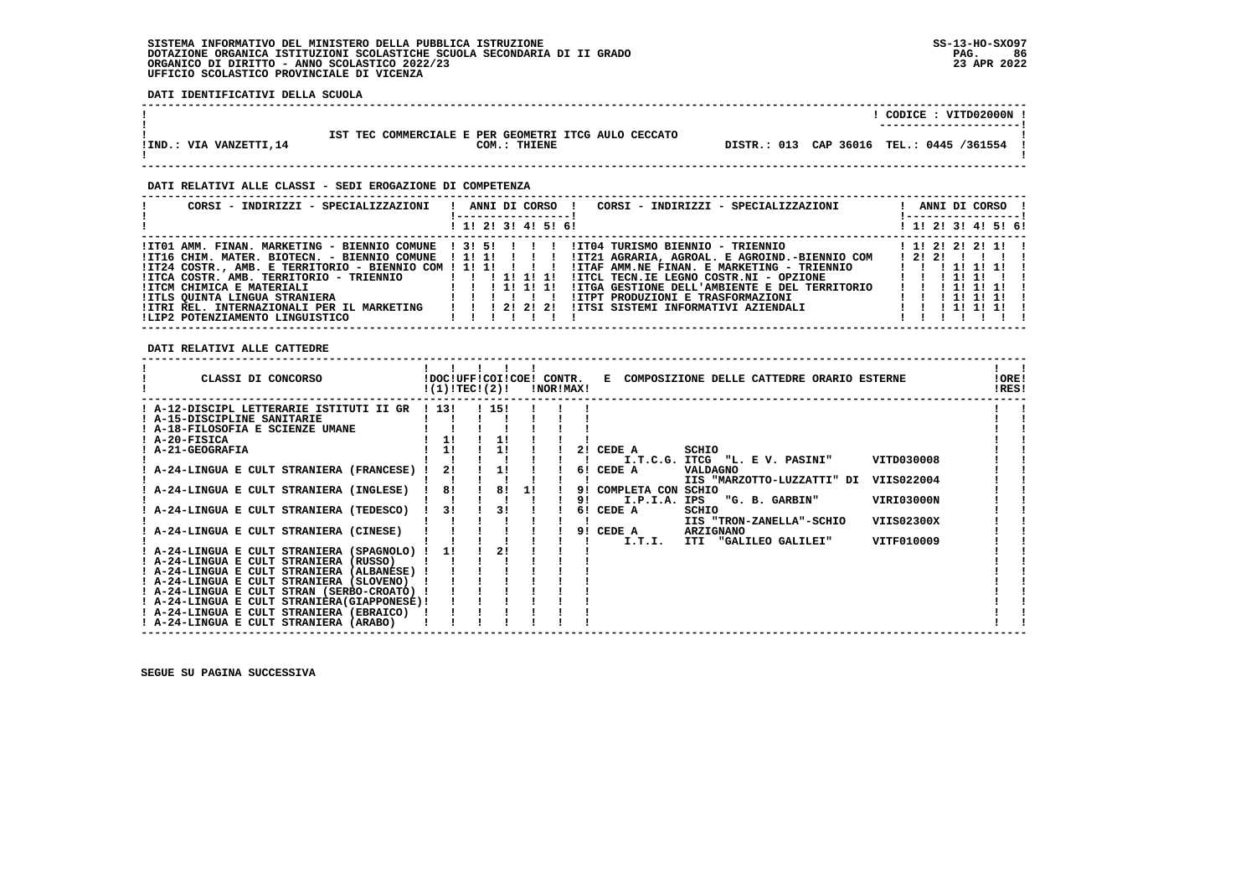$\mathbf{I}$ 

 $\mathbf{I}$ 

 $\mathbf{I}$ - 1  $\blacksquare$  $\blacksquare$  $\blacksquare$  $\mathbf{I}$ 

 $\mathbf{I}$  $\mathbf{I}$ 

 $\mathbf{I}$ 

 $\mathbf{I}$ 

 **DATI IDENTIFICATIVI DELLA SCUOLA**

|                                                                                                                                                                                                                                                                           |  |                     |                                              |                                                                          | ! CODICE: VITD02000N !                                                        |                                             |  |
|---------------------------------------------------------------------------------------------------------------------------------------------------------------------------------------------------------------------------------------------------------------------------|--|---------------------|----------------------------------------------|--------------------------------------------------------------------------|-------------------------------------------------------------------------------|---------------------------------------------|--|
| IST TEC COMMERCIALE E PER GEOMETRI ITCG AULO CECCATO<br>! IND.: VIA VANZETTI, 14<br>COM.: THIENE                                                                                                                                                                          |  |                     |                                              | DISTR.: 013 CAP 36016 TEL.: 0445 /361554 !                               |                                                                               |                                             |  |
| DATI RELATIVI ALLE CLASSI - SEDI EROGAZIONE DI COMPETENZA                                                                                                                                                                                                                 |  |                     |                                              |                                                                          |                                                                               |                                             |  |
| CORSI - INDIRIZZI - SPECIALIZZAZIONI                                                                                                                                                                                                                                      |  |                     |                                              | ! ANNI DI CORSO ! CORSI - INDIRIZZI - SPECIALIZZAZIONI ! ANNI DI CORSO ! |                                                                               |                                             |  |
|                                                                                                                                                                                                                                                                           |  |                     |                                              |                                                                          |                                                                               |                                             |  |
|                                                                                                                                                                                                                                                                           |  | ! 1! 2! 3! 4! 5! 6! |                                              |                                                                          | 1 1! 2! 3! 4! 5! 6!                                                           |                                             |  |
| ! ITO1 AMM. FINAN. MARKETING - BIENNIO COMUNE ! 3! 5!!!!! ITO4 TURISMO BIENNIO - TRIENNIO   1!!!!!!!!!!!!!!!!!<br>!IT16 CHIM. MATER. BIOTECN. - BIENNIO COMUNE ! 1! 1! ! !! !IT21 AGRARIA, AGROAL. E AGROIND.-BIENNIO COM ! 2! 2! !! !<br>ILIP2 POTENZIAMENTO LINGUISTICO |  |                     |                                              |                                                                          | $\mathbf{1}$ $\mathbf{1}$ $\mathbf{1}$ $\mathbf{1}$ $\mathbf{1}$ $\mathbf{1}$ |                                             |  |
| DATI RELATIVI ALLE CATTEDRE                                                                                                                                                                                                                                               |  |                     |                                              |                                                                          |                                                                               |                                             |  |
| CLASSI DI CONCORSO             IDOC!UFF!COI!COE! CONTR.   E COMPOSIZIONE DELLE CATTEDRE ORARIO ESTERNE<br>$!(1)!TEC!(2)!$ : NOR!MAX!                                                                                                                                      |  |                     |                                              |                                                                          |                                                                               | $\mathbf{1}$ $\mathbf{1}$<br>!ORE!<br>IRES! |  |
| $!$ A-12-DISCIPL LETTERARIE ISTITUTI II GR $!$ 13! $!$ 15! $!$ 1                                                                                                                                                                                                          |  |                     |                                              |                                                                          |                                                                               |                                             |  |
|                                                                                                                                                                                                                                                                           |  |                     |                                              |                                                                          |                                                                               |                                             |  |
| ! A-24-LINGUA E CULT STRANIERA (INGLESE) ! 8! ! 8! 1!                                                                                                                                                                                                                     |  |                     | ! 9! COMPLETA CON SCHIO<br>$9!$ I.P.I.A. IPS | IIS "MARZOTTO-LUZZATTI" DI VIIS022004<br>"G. B. GARBIN"                  | VIRI03000N                                                                    |                                             |  |

 **! A-24-LINGUA E CULT STRANIERA (TEDESCO) ! 3! ! 3! ! ! 6! CEDE A SCHIO ! !**

 **! ! ! ! ! ! ! ! IIS "TRON-ZANELLA"-SCHIO VIIS02300X ! ! ! A-24-LINGUA E CULT STRANIERA (CINESE) ! ! ! ! ! ! 9! CEDE A ARZIGNANO ! ! ! ! ! ! ! ! ! ! I.T.I. ITI "GALILEO GALILEI" VITF010009 ! ! ! A-24-LINGUA E CULT STRANIERA (SPAGNOLO) ! 1! ! 2! ! ! ! ! ! ! A-24-LINGUA E CULT STRANIERA (RUSSO) ! ! ! ! ! ! ! ! ! ! A-24-LINGUA E CULT STRANIERA (ALBANESE) ! ! ! ! ! ! ! ! !**

 **! A-24-LINGUA E CULT STRANIERA (SLOVENO) ! ! ! ! ! ! ! ! ! ! A-24-LINGUA E CULT STRAN (SERBO-CROATO) ! ! ! ! ! ! ! ! !**

 **! A-24-LINGUA E CULT STRANIERA(GIAPPONESE)! ! ! ! ! ! ! ! !**

 **! A-24-LINGUA E CULT STRANIERA (EBRAICO) ! ! ! ! ! ! ! ! !**

 **! A-24-LINGUA E CULT STRANIERA (ARABO) ! ! ! ! ! ! ! ! ! ------------------------------------------------------------------------------------------------------------------------------------**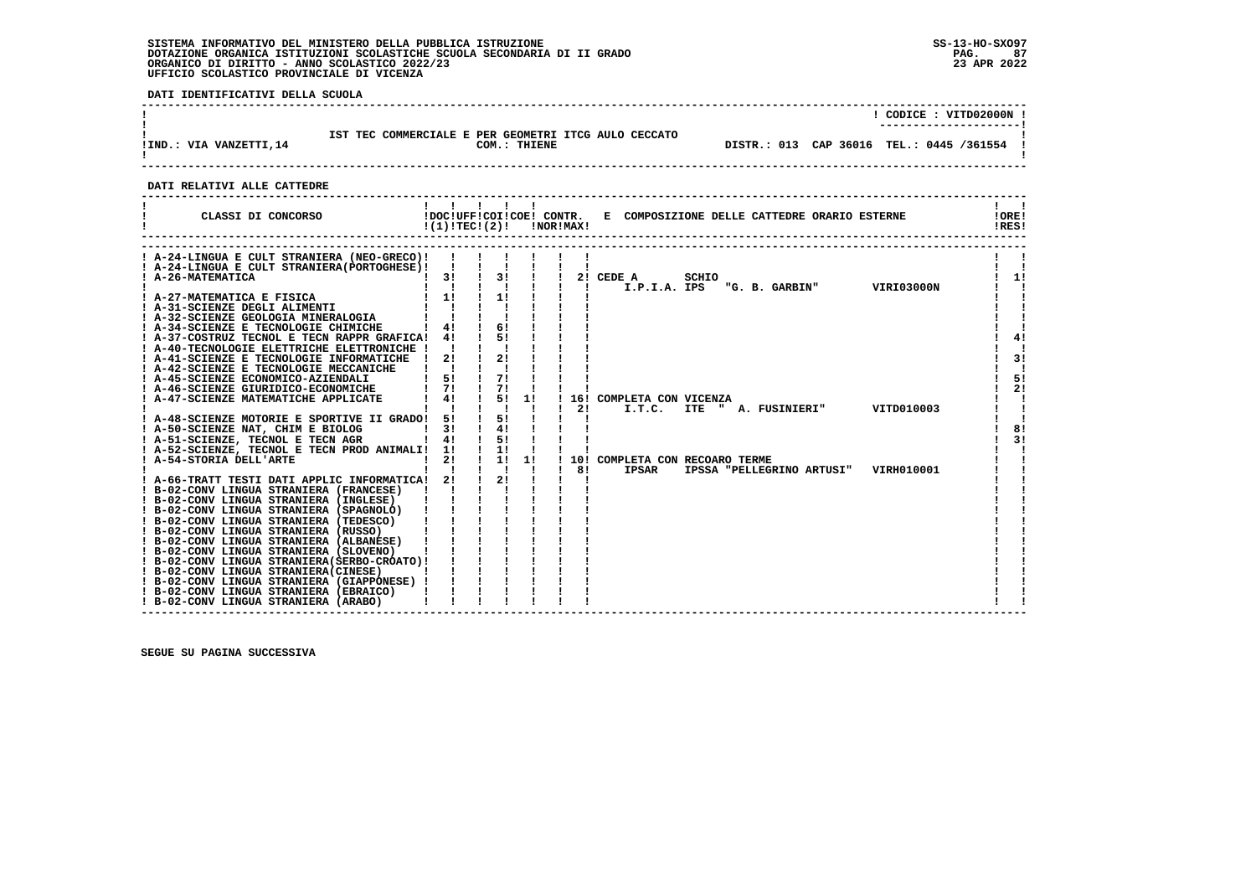**DATI IDENTIFICATIVI DELLA SCUOLA**

|                        |                                                                      | CODICE: VITD02000N !<br>----------------------- |
|------------------------|----------------------------------------------------------------------|-------------------------------------------------|
| IIND.: VIA VANZETTI,14 | IST TEC COMMERCIALE E PER GEOMETRI ITCG AULO CECCATO<br>COM.: THIENE | DISTR.: 013 CAP 36016 TEL.: 0445 /361554 !      |

 **------------------------------------------------------------------------------------------------------------------------------------**

#### **DATI RELATIVI ALLE CATTEDRE**

| CLASSI DI CONCORSO                                                                                                                                                                         | 1111<br>$!(1)!TEC!(2)!$ $INORIMAX!$                  |                                                                     |                      |                    | !DOC!UFF!COI!COE! CONTR. E COMPOSIZIONE DELLE CATTEDRE ORARIO ESTERNE              | !ORE!<br>!RES! |
|--------------------------------------------------------------------------------------------------------------------------------------------------------------------------------------------|------------------------------------------------------|---------------------------------------------------------------------|----------------------|--------------------|------------------------------------------------------------------------------------|----------------|
| ! A-24-LINGUA E CULT STRANIERA (NEO-GRECO)!<br>! A-24-LINGUA E CULT STRANIERA (PORTOGHESE) !<br>! A-26-MATEMATICA                                                                          | $\mathbf{I}$<br>$1 \quad 3! \quad 1$                 | 3!                                                                  |                      | $\mathbf{L}$       | 2! CEDE A<br>SCHIO<br>"G. B. GARBIN" VIRI03000N<br>I.P.I.A. IPS                    | 1!             |
| A-31-SCIENZE DEGLI ALIMENTI<br>  A-32-SCIENZE DEGLI ALIMENTI<br>  A-32-SCIENZE GEOLOGTA MINERAL COLO<br>! A-34-SCIENZE E TECNOLOGIE CHIMICHE                                               | $\begin{bmatrix} 1 & 1 \\ 1 & 1 \end{bmatrix}$<br>4! | $\frac{1}{1}$<br>61                                                 |                      |                    |                                                                                    |                |
| ! A-37-COSTRUZ TECNOL E TECN RAPPR GRAFICA! 4!<br>! A-40-TECNOLOGIE ELETTRICHE ELETTRONICHE ! !<br>! A-41-SCIENZE E TECNOLOGIE INFORMATICHE ! 2!<br>! A-42-SCIENZE E TECNOLOGIE MECCANICHE | $\mathbf{I}$ $\mathbf{I}$                            | $\frac{1}{51}$                                                      |                      |                    |                                                                                    | 4!<br>3!       |
| ! A-45-SCIENZE ECONOMICO-AZIENDALI<br>! A-46-SCIENZE GIURIDICO-ECONOMICHE<br>! A-47-SCIENZE MATEMATICHE APPLICATE                                                                          | 51<br>71<br>4!                                       | 71<br>71<br>5!<br>$\mathbf{I}$ $\mathbf{I}$                         | 11<br>$\blacksquare$ | 21<br>$\mathbf{I}$ | 16! COMPLETA CON VICENZA<br>ITE " A. FUSINIERI" VITD010003<br>I.T.C.               | 5!<br>2!       |
| ! A-48-SCIENZE MOTORIE E SPORTIVE II GRADO! 5!<br>! A-50-SCIENZE NAT, CHIM E BIOLOG<br>! A-51-SCIENZE, TECNOL E TECN AGR<br>! A-52-SCIENZE, TECNOL E TECN PROD ANIMALI! 1!                 | 3!<br>4!                                             | $\frac{1}{51}$<br>$\frac{1}{4}$<br>$1 \quad 51$<br>$\frac{1}{2}$    |                      |                    |                                                                                    | 8!<br>3!       |
| ! A-54-STORIA DELL'ARTE<br>! A-66-TRATT TESTI DATI APPLIC INFORMATICA! 2!<br>! B-02-CONV LINGUA STRANIERA (FRANCESE)                                                                       | 2!<br>$\mathbf{1}$ $\mathbf{1}$ $\mathbf{1}$         | $1 \quad 1! \quad 1!$<br>$\mathbf{1}$ $\mathbf{1}$<br>$\frac{1}{2}$ | $\blacksquare$       | 81<br>$\mathbf{I}$ | 10! COMPLETA CON RECOARO TERME<br>IPSAR<br>IPSSA "PELLEGRINO ARTUSI"<br>VIRH010001 |                |
| ! B-02-CONV LINGUA STRANIERA (INGLESE)<br>! B-02-CONV LINGUA STRANIERA (SPAGNOLO)<br>! B-02-CONV LINGUA STRANIERA (TEDESCO)<br>! B-02-CONV LINGUA STRANIERA (RUSSO)                        |                                                      |                                                                     |                      |                    |                                                                                    |                |
| ! B-02-CONV LINGUA STRANIERA (ALBANESE)                                                                                                                                                    |                                                      |                                                                     |                      |                    |                                                                                    |                |
| ! B-02-CONV LINGUA STRANIERA (EBRAICO)<br>! B-02-CONV LINGUA STRANIERA (ARABO)                                                                                                             |                                                      |                                                                     |                      |                    |                                                                                    |                |

 **------------------------------------------------------------------------------------------------------------------------------------**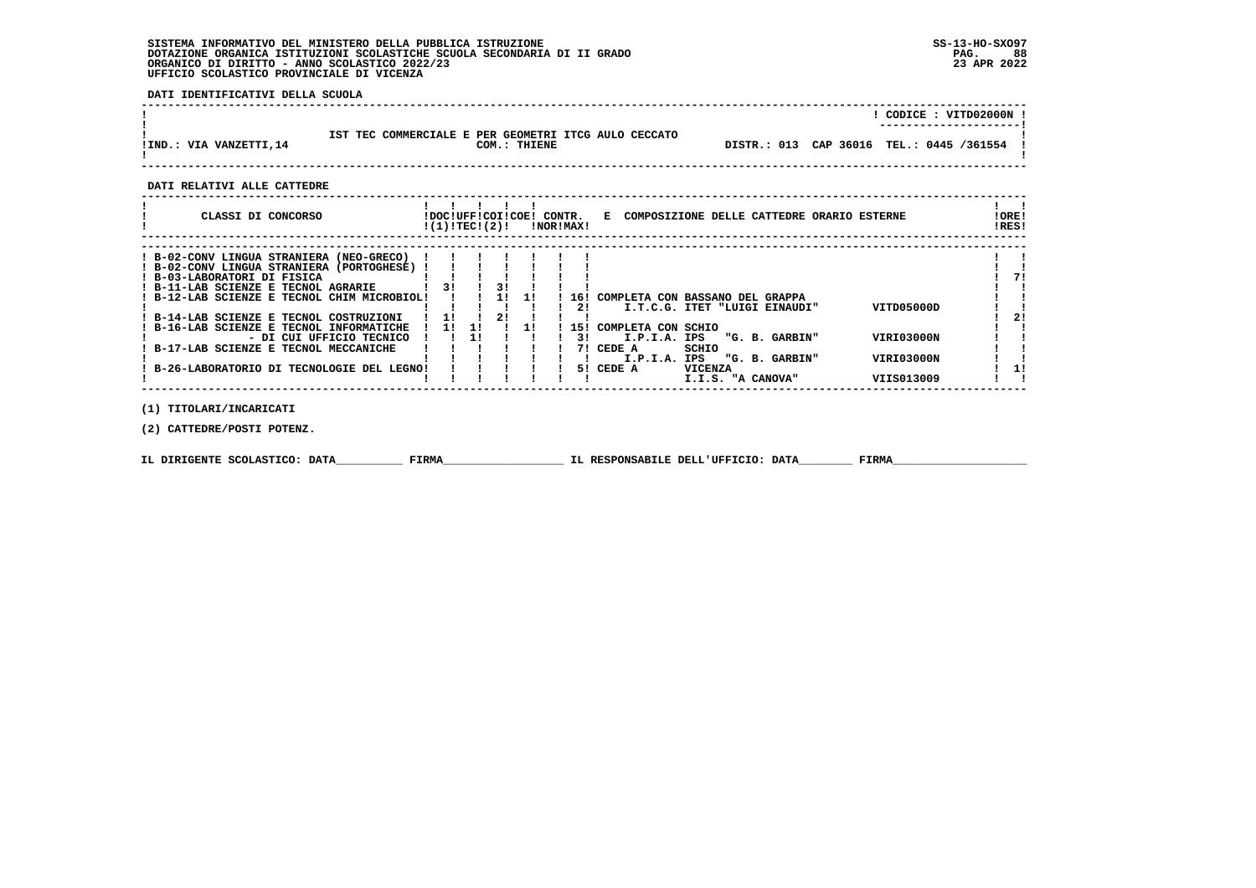**DATI IDENTIFICATIVI DELLA SCUOLA**

|                        |                                                                      |                                            | CODICE : VITD02000N !<br>---------------------- |
|------------------------|----------------------------------------------------------------------|--------------------------------------------|-------------------------------------------------|
| IIND.: VIA VANZETTI,14 | IST TEC COMMERCIALE E PER GEOMETRI ITCG AULO CECCATO<br>COM.: THIENE | DISTR.: 013 CAP 36016 TEL.: 0445 /361554 ! |                                                 |

 **------------------------------------------------------------------------------------------------------------------------------------**

#### **DATI RELATIVI ALLE CATTEDRE**

| CLASSI DI CONCORSO                                                                                                                                                                                                                                                                                                                                                  | !DOC!UFF!COI!COE!<br>!(1)!TECI(2)! |          |          |    | CONTR.<br>!NOR!MAX!          | E COMPOSIZIONE DELLE CATTEDRE ORARIO ESTERNE                                                                                     |                |  |                                  |                                        | !ORE!<br>!RES! |
|---------------------------------------------------------------------------------------------------------------------------------------------------------------------------------------------------------------------------------------------------------------------------------------------------------------------------------------------------------------------|------------------------------------|----------|----------|----|------------------------------|----------------------------------------------------------------------------------------------------------------------------------|----------------|--|----------------------------------|----------------------------------------|----------------|
| ! B-02-CONV LINGUA STRANIERA (NEO-GRECO)<br>! B-02-CONV LINGUA STRANIERA (PORTOGHESE)<br>! B-03-LABORATORI DI FISICA<br>! B-11-LAB SCIENZE E TECNOL AGRARIE<br>! B-12-LAB SCIENZE E TECNOL CHIM MICROBIOL!<br>! B-14-LAB SCIENZE E TECNOL COSTRUZIONI<br>B-16-LAB SCIENZE E TECNOL INFORMATICHE<br>- DI CUI UFFICIO TECNICO<br>B-17-LAB SCIENZE E TECNOL MECCANICHE | 3 I<br>11                          | 11<br>11 | 31<br>21 | 11 | 16!<br>21<br>151<br>31<br>71 | COMPLETA CON BASSANO DEL GRAPPA<br>I.T.C.G. ITET "LUIGI EINAUDI"<br>COMPLETA CON SCHIO<br>I.P.I.A. IPS<br>CEDE A<br>I.P.I.A. IPS | SCHIO          |  | "G. B. GARBIN"<br>"G. B. GARBIN" | VITD05000D<br>VIRI03000N<br>VIRI03000N | 71<br>21       |
| B-26-LABORATORIO DI TECNOLOGIE DEL LEGNO!                                                                                                                                                                                                                                                                                                                           |                                    |          |          |    | 51.                          | CEDE A                                                                                                                           | <b>VICENZA</b> |  | I.I.S. "A CANOVA"                | VIIS013009                             | 11             |

 **(1) TITOLARI/INCARICATI**

 **(2) CATTEDRE/POSTI POTENZ.**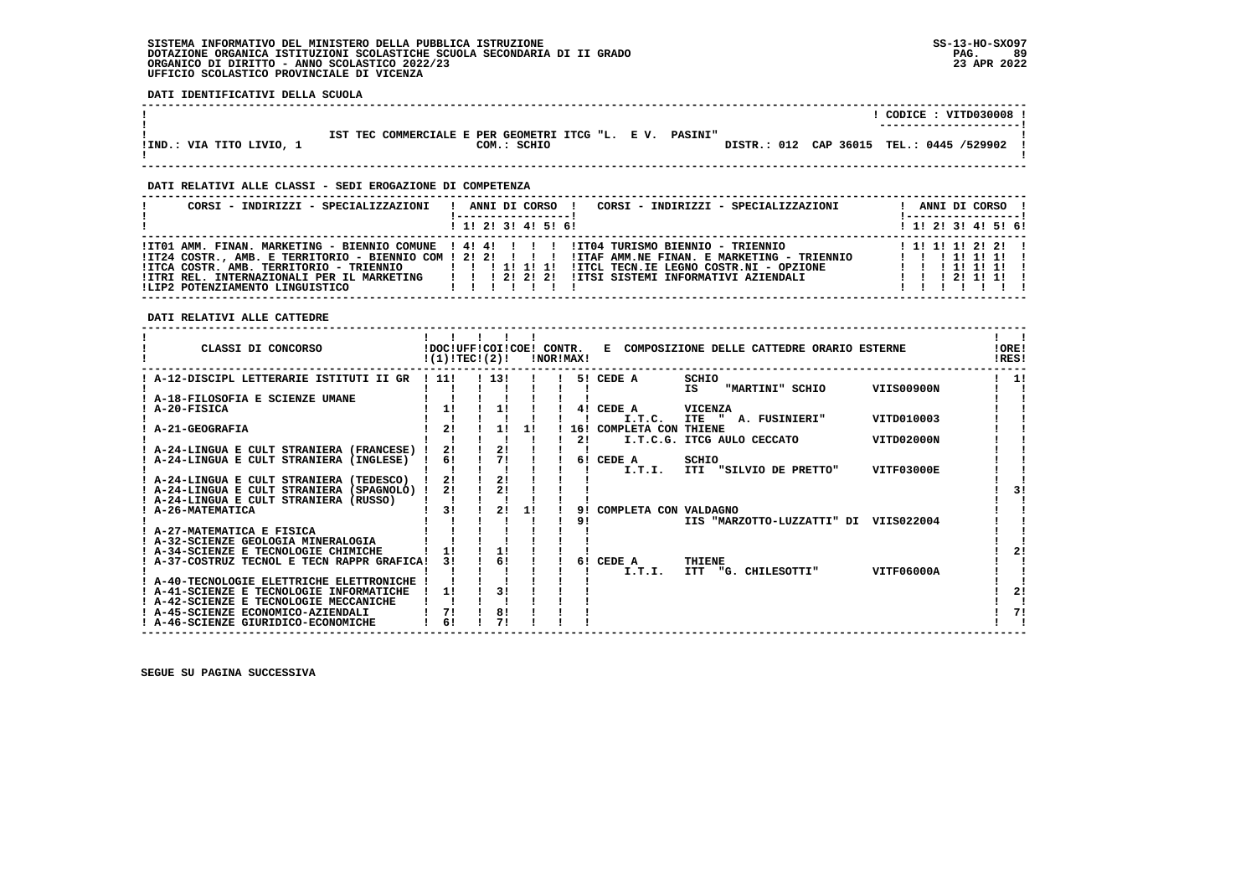**DATI IDENTIFICATIVI DELLA SCUOLA**

|                          |                                                          | CODICE: VITD030008 !                     |
|--------------------------|----------------------------------------------------------|------------------------------------------|
|                          |                                                          | ----------------------                   |
|                          |                                                          |                                          |
|                          | IST TEC COMMERCIALE E PER GEOMETRI ITCG "L. E V. PASINI" |                                          |
| !IND.: VIA TITO LIVIO, 1 | COM.: SCHIO                                              | DISTR.: 012 CAP 36015 TEL.: 0445 /529902 |
|                          |                                                          |                                          |
|                          |                                                          |                                          |
|                          |                                                          |                                          |

 **------------------------------------------------------------------------------------------------------------------------------------**

## **DATI RELATIVI ALLE CLASSI - SEDI EROGAZIONE DI COMPETENZA**

| CORSI - INDIRIZZI - SPECIALIZZAZIONI                                                                                                    | CORSI - INDIRIZZI - SPECIALIZZAZIONI<br>ANNI DI CORSO !                                                                                                                                                                                                                                  | ANNI DI CORSO !<br>l ------------------ l                                         |
|-----------------------------------------------------------------------------------------------------------------------------------------|------------------------------------------------------------------------------------------------------------------------------------------------------------------------------------------------------------------------------------------------------------------------------------------|-----------------------------------------------------------------------------------|
|                                                                                                                                         | $1$ , 1! 2! 3! 4! 5! 6!                                                                                                                                                                                                                                                                  | ! 1! 2! 3! 4! 5! 6!                                                               |
| !ITCA COSTR. AMB. TERRITORIO - TRIENNIO<br>!ITRI REL. INTERNAZIONALI PER IL MARKETING   ! ! 2! 2! 2!<br>!LIP2 POTENZIAMENTO LINGUISTICO | ITO1 AMM. FINAN. MARKETING - BIENNIO COMUNE ! 4! 4! ! !!! ITO4 TURISMO BIENNIO - TRIENNIO<br>IT24 COSTR., AMB. E TERRITORIO - BIENNIO COM ! 2! 2! ! ! ! !ITAF AMM.NE FINAN. E MARKETING - TRIENNIO<br>!ITCL TECN.IE LEGNO COSTR.NI - OPZIONE<br>IITSI SISTEMI INFORMATIVI AZIENDALI<br>. | $1$ 1! 1! 1! 2! 2! 1<br>1 1 1 1 1 1 1 1<br>1 1 1 1 1 1 1 1 1<br>1 1 1 2 1 1 1 1 1 |

 **DATI RELATIVI ALLE CATTEDRE**

| CLASSI DI CONCORSO                                        | !DOC!UFF!COI!COE! CONTR.<br>!(1)!TEC!(2)! |      |    | !NOR!MAX! |                       | E COMPOSIZIONE DELLE CATTEDRE ORARIO ESTERNE        | !ORE!<br>!RES! |
|-----------------------------------------------------------|-------------------------------------------|------|----|-----------|-----------------------|-----------------------------------------------------|----------------|
| ! A-12-DISCIPL LETTERARIE ISTITUTI II GR                  | ! 11!                                     | 1131 |    | 51        | CEDE A                | SCHIO<br><b>VIIS00900N</b><br>IS<br>"MARTINI" SCHIO | 1!             |
| A-18-FILOSOFIA E SCIENZE UMANE                            |                                           |      |    |           |                       |                                                     |                |
| A-20-FISICA                                               |                                           |      |    | 41        | CEDE A                | <b>VICENZA</b>                                      |                |
|                                                           |                                           |      |    |           | I.T.C.                | VITD010003<br><b>ITE</b><br>A. FUSINIERI"           |                |
| A-21-GEOGRAFIA                                            | 21                                        | 11   | 11 | 16!       | COMPLETA CON THIENE   |                                                     |                |
|                                                           |                                           |      |    | 2!        |                       | VITD02000N<br>I.T.C.G. ITCG AULO CECCATO            |                |
| A-24-LINGUA E CULT STRANIERA (FRANCESE) !                 | 2!                                        | 2!   |    |           |                       |                                                     |                |
| A-24-LINGUA E CULT STRANIERA (INGLESE)                    | 6!                                        | 71   |    | 61        | CEDE A                | SCHIO                                               |                |
|                                                           |                                           |      |    |           | I.T.I.                | ITI "SILVIO DE PRETTO"<br>VITF03000E                |                |
| ! A-24-LINGUA E CULT STRANIERA (TEDESCO)                  | 21                                        | 2!   |    |           |                       |                                                     |                |
| ! A-24-LINGUA E CULT STRANIERA (SPAGNOLO) !               | 2!                                        | 2!   |    |           |                       |                                                     |                |
| ! A-24-LINGUA E CULT STRANIERA (RUSSO)<br>A-26-MATEMATICA | 31                                        | 2!   | 11 | 9!        |                       |                                                     |                |
|                                                           |                                           |      |    | 91        | COMPLETA CON VALDAGNO | IIS "MARZOTTO-LUZZATTI" DI VIIS022004               |                |
| ! A-27-MATEMATICA E FISICA                                |                                           |      |    |           |                       |                                                     |                |
| ! A-32-SCIENZE GEOLOGIA MINERALOGIA                       |                                           |      |    |           |                       |                                                     |                |
| A-34-SCIENZE E TECNOLOGIE CHIMICHE                        |                                           | 1!   |    |           |                       |                                                     | 21             |
| ! A-37-COSTRUZ TECNOL E TECN RAPPR GRAFICA!               | 31                                        | 6!   |    | 61        | CEDE A                | <b>THIENE</b>                                       |                |
|                                                           |                                           |      |    |           | I.T.I.                | <b>ITT</b><br>VITF06000A<br>"G. CHILESOTTI"         |                |
| ! A-40-TECNOLOGIE ELETTRICHE ELETTRONICHE                 |                                           |      |    |           |                       |                                                     |                |
| A-41-SCIENZE E TECNOLOGIE INFORMATICHE                    | 11                                        | 31   |    |           |                       |                                                     | 21             |
| ! A-42-SCIENZE E TECNOLOGIE MECCANICHE                    |                                           |      |    |           |                       |                                                     |                |
| ! A-45-SCIENZE ECONOMICO-AZIENDALI                        | 71                                        | 81   |    |           |                       |                                                     | 71             |
| ! A-46-SCIENZE GIURIDICO-ECONOMICHE                       | 6!                                        | 71   |    |           |                       |                                                     |                |
|                                                           |                                           |      |    |           |                       |                                                     |                |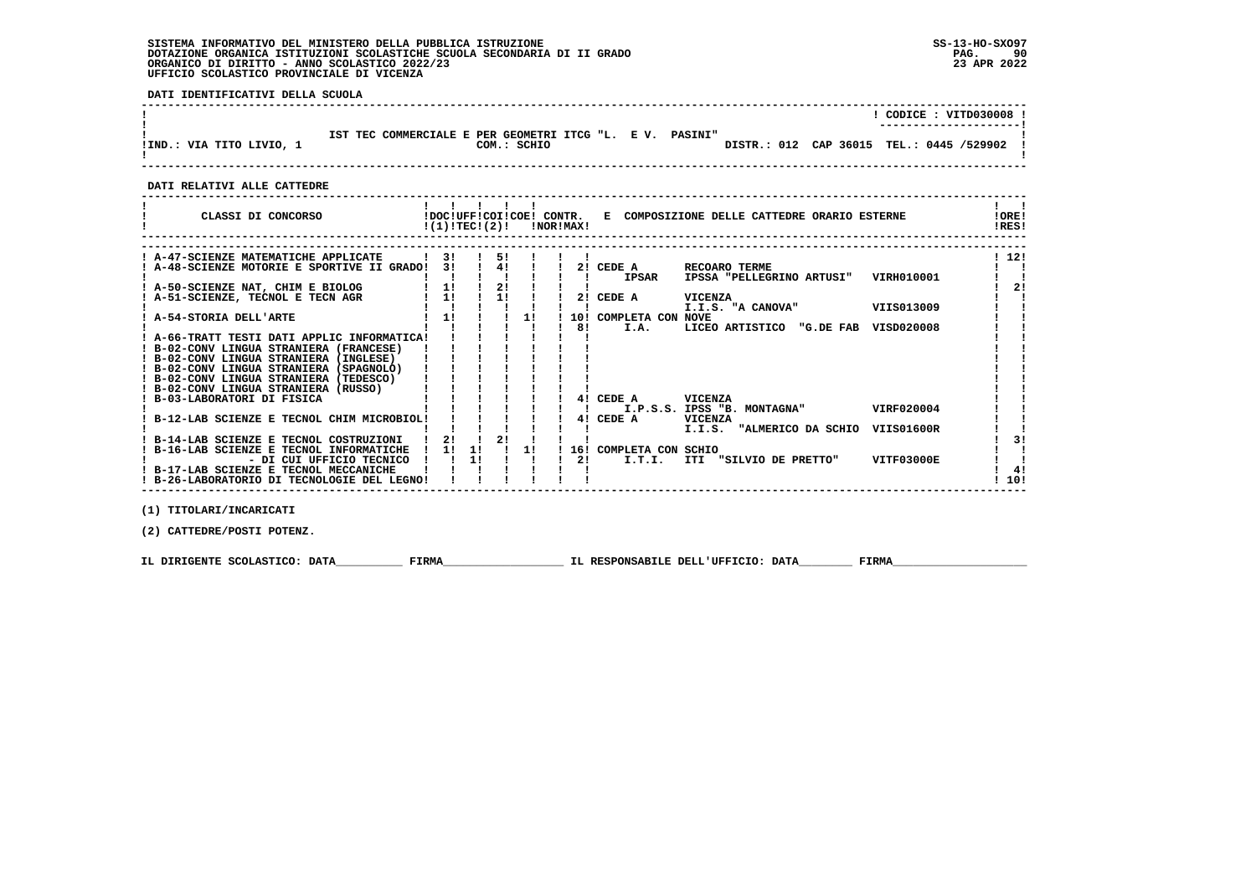**DATI IDENTIFICATIVI DELLA SCUOLA**

|                          |                                                                         | CODICE: VITD030008 !<br>---------------------- |
|--------------------------|-------------------------------------------------------------------------|------------------------------------------------|
| IIND.: VIA TITO LIVIO, 1 | IST TEC COMMERCIALE E PER GEOMETRI ITCG "L. E V. PASINI"<br>COM.: SCHIO | DISTR.: 012 CAP 36015 TEL.: 0445 /529902 !     |

 **------------------------------------------------------------------------------------------------------------------------------------**

 **DATI RELATIVI ALLE CATTEDRE**

| CLASSI DI CONCORSO                          |    | !(1)!TECI(2)! |    | !DOC!UFF!COI!COE! CONTR. | INORIMAXI | E COMPOSIZIONE DELLE CATTEDRE ORARIO ESTERNE            | !ORE!<br>!RES! |
|---------------------------------------------|----|---------------|----|--------------------------|-----------|---------------------------------------------------------|----------------|
|                                             |    |               |    |                          |           |                                                         |                |
| A-47-SCIENZE MATEMATICHE APPLICATE          | 3! |               | 5! |                          |           |                                                         | ! 12!          |
| A-48-SCIENZE MOTORIE E SPORTIVE II GRADO!   | 31 |               | 41 |                          | 21        | CEDE A<br>RECOARO TERME                                 |                |
|                                             |    |               |    |                          |           | <b>IPSAR</b><br>VIRH010001<br>IPSSA "PELLEGRINO ARTUSI" |                |
| ! A-50-SCIENZE NAT, CHIM E BIOLOG           | 11 |               | 2! |                          |           |                                                         | 21             |
| A-51-SCIENZE, TECNOL E TECN AGR             | 11 |               | 11 |                          | 21        | CEDE A<br>VICENZA                                       |                |
|                                             |    |               |    |                          |           | VIIS013009<br>I.I.S. "A CANOVA"                         |                |
| ! A-54-STORIA DELL'ARTE                     | 1! |               |    | 11                       | 10!       | COMPLETA CON<br><b>NOVE</b>                             |                |
|                                             |    |               |    |                          | 81        | VISD020008<br>I.A.<br>LICEO ARTISTICO<br>"G.DE FAB      |                |
| ! A-66-TRATT TESTI DATI APPLIC INFORMATICA! |    |               |    |                          |           |                                                         |                |
| ! B-02-CONV LINGUA STRANIERA (FRANCESE)     |    |               |    |                          |           |                                                         |                |
| ! B-02-CONV LINGUA STRANIERA (INGLESE)      |    |               |    |                          |           |                                                         |                |
| ! B-02-CONV LINGUA STRANIERA (SPAGNOLO)     |    |               |    |                          |           |                                                         |                |
| ! B-02-CONV LINGUA STRANIERA (TEDESCO)      |    |               |    |                          |           |                                                         |                |
| ! B-02-CONV LINGUA STRANIERA (RUSSO)        |    |               |    |                          |           |                                                         |                |
| ! B-03-LABORATORI DI FISICA                 |    |               |    |                          | 41        | CEDE A<br><b>VICENZA</b>                                |                |
|                                             |    |               |    |                          |           | VIRF020004<br>I.P.S.S. IPSS "B. MONTAGNA"               |                |
| B-12-LAB SCIENZE E TECNOL CHIM MICROBIOL!   |    |               |    |                          | 41        | CEDE A<br><b>VICENZA</b>                                |                |
|                                             |    |               |    |                          |           | I.I.S. "ALMERICO DA SCHIO<br>VIIS01600R                 |                |
| B-14-LAB SCIENZE E TECNOL COSTRUZIONI       | 21 |               | 21 |                          |           |                                                         | 31             |
| B-16-LAB SCIENZE E TECNOL INFORMATICHE      | 11 | 11            |    | 11                       | 16!       | COMPLETA CON SCHIO                                      |                |
| - DI CUI UFFICIO TECNICO                    |    | 11            |    |                          | 21        | VITF03000E<br>I.T.I.<br>ITI "SILVIO DE PRETTO"          |                |
| I B-17-LAB SCIENZE E TECNOL MECCANICHE      |    |               |    |                          |           |                                                         | 41             |
| ! B-26-LABORATORIO DI TECNOLOGIE DEL LEGNO! |    |               |    |                          |           |                                                         | 10!            |

 **------------------------------------------------------------------------------------------------------------------------------------**

 **(1) TITOLARI/INCARICATI**

 **(2) CATTEDRE/POSTI POTENZ.**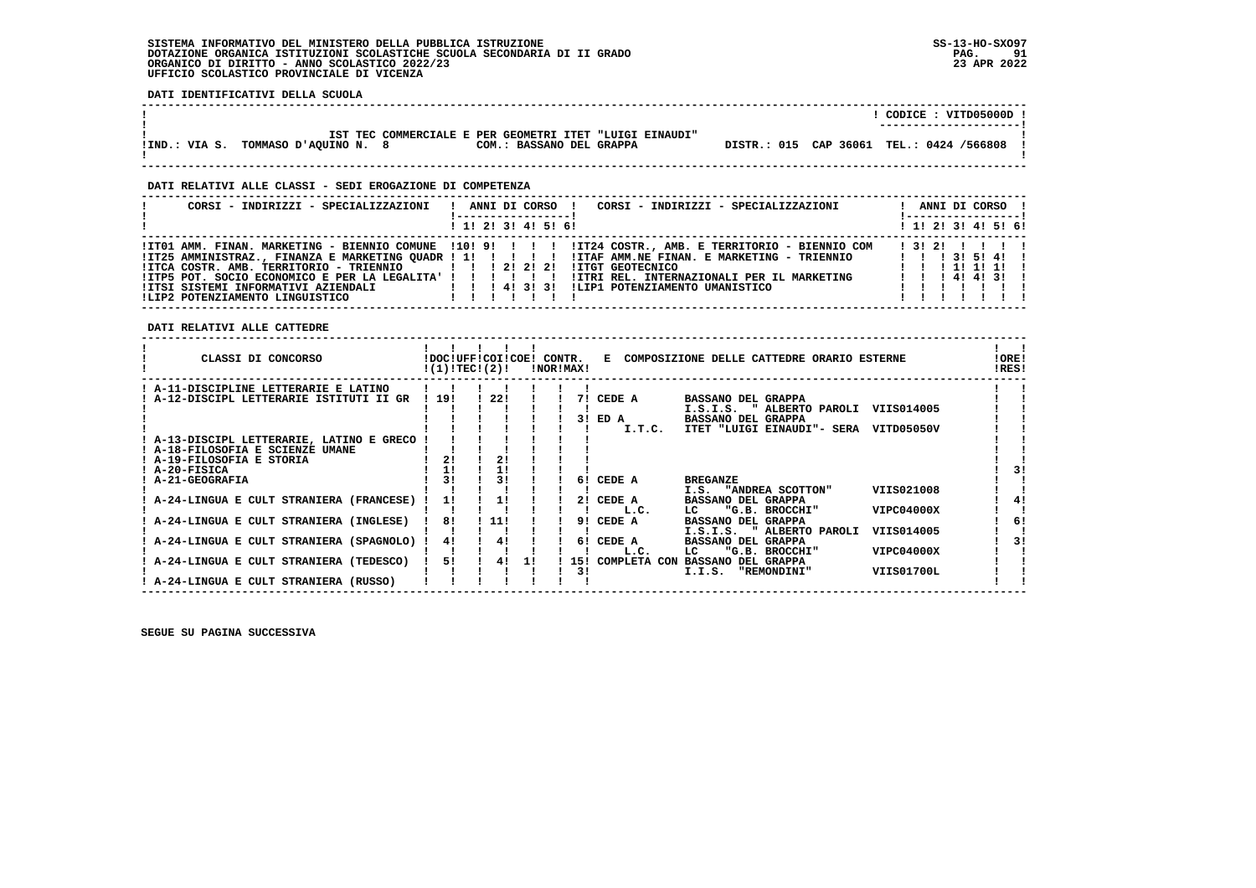$\ddot{\phantom{a}}$ 

 **DATI IDENTIFICATIVI DELLA SCUOLA**

|                                     |                                                         |                          |  | CODICE: VITD05000D !<br>---------------------- |
|-------------------------------------|---------------------------------------------------------|--------------------------|--|------------------------------------------------|
| IIND.: VIA S. TOMMASO D'AOUINO N. 8 | IST TEC COMMERCIALE E PER GEOMETRI ITET "LUIGI EINAUDI" | COM.: BASSANO DEL GRAPPA |  | DISTR.: 015 CAP 36061 TEL.: 0424 /566808       |
|                                     |                                                         |                          |  |                                                |

 **------------------------------------------------------------------------------------------------------------------------------------**

## **DATI RELATIVI ALLE CLASSI - SEDI EROGAZIONE DI COMPETENZA**

| CORSI - INDIRIZZI - SPECIALIZZAZIONI                                                                                | CORSI - INDIRIZZI - SPECIALIZZAZIONI<br>ANNI DI CORSO !                                                                                                                                                                                                                                       | ANNI DI CORSO !                                      |
|---------------------------------------------------------------------------------------------------------------------|-----------------------------------------------------------------------------------------------------------------------------------------------------------------------------------------------------------------------------------------------------------------------------------------------|------------------------------------------------------|
|                                                                                                                     | $1$ , 1! 2! 3! 4! 5! 6!                                                                                                                                                                                                                                                                       | $1$ 1! 2! 3! 4! 5! 6!                                |
| !ITCA COSTR. AMB. TERRITORIO - TRIENNIO   !!! 2! 2! 2!<br>!ITP5 POT. SOCIO ECONOMICO E PER LA LEGALITA' ! ! ! ! ! ! | ITO1 AMM. FINAN. MARKETING - BIENNIO COMUNE 1101 91 1 1 1 1IT24 COSTR., AMB. E TERRITORIO - BIENNIO COM<br>!IT25 AMMINISTRAZ., FINANZA E MARKETING QUADR ! 1! !!!!ITAF AMM.NE FINAN. E MARKETING - TRIENNIO   !!! 3! 5! 4!!<br>!ITGT GEOTECNICO<br>!ITRI REL. INTERNAZIONALI PER IL MARKETING | 13121 1111<br>1 1 1 1 1 1 1 1 1<br>1 1 1 4 1 4 1 3 1 |

 **------------------------------------------------------------------------------------------------------------------------------------**

 **DATI RELATIVI ALLE CATTEDRE**

| CLASSI DI CONCORSO                        | !DOC!UFF!COI!COE! CONTR.<br>!(1)!TEC!(2)! |     |    | !NOR!MAX! |     |              | E COMPOSIZIONE DELLE CATTEDRE ORARIO ESTERNE |            | !ORE!<br>!RES! |    |
|-------------------------------------------|-------------------------------------------|-----|----|-----------|-----|--------------|----------------------------------------------|------------|----------------|----|
| ! A-11-DISCIPLINE LETTERARIE E LATINO     |                                           |     |    |           |     |              |                                              |            |                |    |
| A-12-DISCIPL LETTERARIE ISTITUTI II GR    | ! 19!                                     | 22! |    |           | 71  | CEDE A       | <b>BASSANO DEL GRAPPA</b>                    |            |                |    |
|                                           |                                           |     |    |           |     |              | " ALBERTO PAROLI<br>I.S.I.S.                 | VIIS014005 |                |    |
|                                           |                                           |     |    |           |     | 3! ED A      | <b>BASSANO DEL GRAPPA</b>                    |            |                |    |
|                                           |                                           |     |    |           |     | I.T.C.       | ITET "LUIGI EINAUDI"- SERA                   | VITD05050V |                |    |
| ! A-13-DISCIPL LETTERARIE, LATINO E GRECO |                                           |     |    |           |     |              |                                              |            |                |    |
| ! A-18-FILOSOFIA E SCIENZE UMANE          |                                           |     |    |           |     |              |                                              |            |                |    |
| ! A-19-FILOSOFIA E STORIA                 | 21                                        | 21  |    |           |     |              |                                              |            |                |    |
| ! A-20-FISICA                             | 1!                                        |     |    |           |     |              |                                              |            |                |    |
| ! A-21-GEOGRAFIA                          | 31                                        | 31  |    |           | 61  | CEDE A       | <b>BREGANZE</b>                              |            |                |    |
|                                           |                                           |     |    |           |     |              | I.S. "ANDREA SCOTTON"                        | VIIS021008 |                |    |
| A-24-LINGUA E CULT STRANIERA (FRANCESE)   | 11                                        | 11  |    |           |     | 2! CEDE A    | <b>BASSANO DEL GRAPPA</b>                    |            |                | 41 |
|                                           |                                           |     |    |           |     | L.C.         | "G.B. BROCCHI"<br>LC                         | VIPC04000X |                |    |
| A-24-LINGUA E CULT STRANIERA (INGLESE)    | 81                                        | 11! |    |           | 91  | CEDE A       | <b>BASSANO DEL GRAPPA</b>                    |            |                | 6! |
|                                           |                                           |     |    |           |     |              | " ALBERTO PAROLI<br>I.S.I.S.                 | VIIS014005 |                |    |
| A-24-LINGUA E CULT STRANIERA (SPAGNOLO)   | 41                                        | 41  |    |           |     | 6! CEDE A    | <b>BASSANO DEL GRAPPA</b>                    |            |                | 31 |
|                                           |                                           |     |    |           |     | L.C.         | "G.B. BROCCHI"<br>LC                         | VIPC04000X |                |    |
| A-24-LINGUA E CULT STRANIERA (TEDESCO)    | 51                                        | 4!  | 11 |           | 151 | COMPLETA CON | <b>BASSANO DEL GRAPPA</b>                    |            |                |    |
| ! A-24-LINGUA E CULT STRANIERA (RUSSO)    |                                           |     |    |           | 31  |              | I.I.S.<br>"REMONDINI"                        | VIIS01700L |                |    |
|                                           |                                           |     |    |           |     |              |                                              |            |                |    |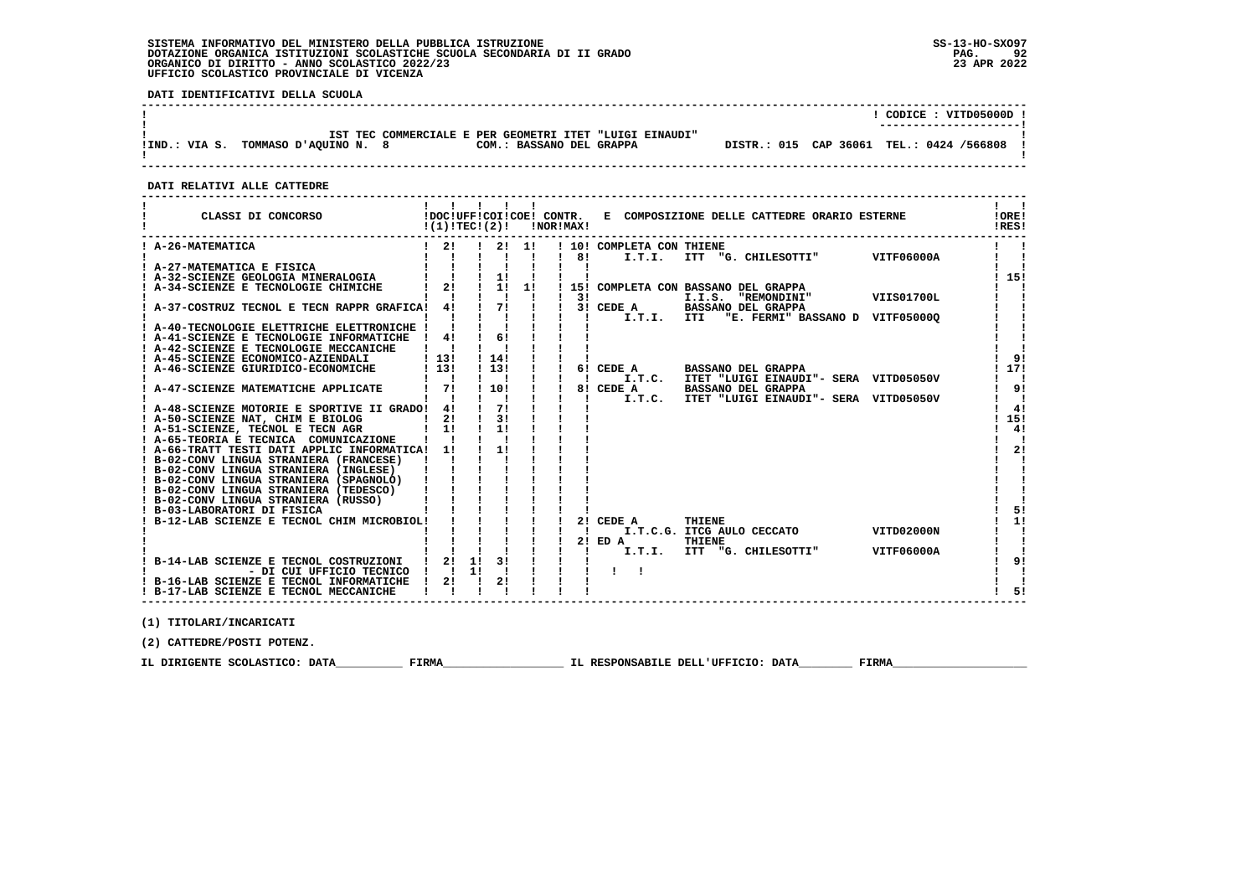$\ddot{\phantom{a}}$ 

 **DATI IDENTIFICATIVI DELLA SCUOLA**

|                                                                                                                            | CODICE: VITD05000D !<br>---------------------- |
|----------------------------------------------------------------------------------------------------------------------------|------------------------------------------------|
| IST TEC COMMERCIALE E PER GEOMETRI ITET "LUIGI EINAUDI"<br>IIND.: VIA S. TOMMASO D'AOUINO N. 8<br>COM.: BASSANO DEL GRAPPA | DISTR.: 015 CAP 36061 TEL.: 0424 /566808       |
|                                                                                                                            |                                                |

 **DATI RELATIVI ALLE CATTEDRE**

| CLASSI DI CONCORSO           IDOCIUFFICOIICOE! CONTR.   E COMPOSIZIONE DELLE CATTEDRE ORARIO ESTERNE<br>$!(1)!TEC!(2)!$ $ NORIMAX $ |                           | 11111                                                   |                |              |                           |                                                                                        | $\mathbf{I}$ $\mathbf{I}$<br>!ORE!<br>!RES! |
|-------------------------------------------------------------------------------------------------------------------------------------|---------------------------|---------------------------------------------------------|----------------|--------------|---------------------------|----------------------------------------------------------------------------------------|---------------------------------------------|
| ! A-26-MATEMATICA                                                                                                                   |                           |                                                         |                |              | ! 10! COMPLETA CON THIENE |                                                                                        |                                             |
|                                                                                                                                     |                           |                                                         |                |              |                           |                                                                                        |                                             |
|                                                                                                                                     |                           |                                                         |                |              |                           |                                                                                        | 115!                                        |
| ! A-34-SCIENZE E TECNOLOGIE CHIMICHE                                                                                                |                           |                                                         |                |              |                           | $\overline{1}$ 21 $\overline{1}$ 11 $\overline{1}$ 151 COMPLETA CON BASSANO DEL GRAPPA |                                             |
|                                                                                                                                     |                           | $\frac{1}{2}$ $\frac{1}{2}$ $\frac{1}{2}$ $\frac{1}{2}$ |                | $1 \quad 31$ |                           | I.I.S. "REMONDINI" VIIS01700L                                                          |                                             |
| ! A-37-COSTRUZ TECNOL E TECN RAPPR GRAFICA! 4! ! 7! ! ! 3! CEDE A BASSANO DEL GRAPPA                                                |                           |                                                         |                |              |                           |                                                                                        |                                             |
|                                                                                                                                     |                           |                                                         |                |              |                           | ! !! !! ! I.T.I. ITI "E. FERMI" BASSANO D VITF05000Q                                   |                                             |
| ! A-40-TECNOLOGIE ELETTRICHE ELETTRONICHE !                                                                                         |                           | <u>iiiiii</u>                                           |                |              |                           |                                                                                        |                                             |
| ! A-41-SCIENZE E TECNOLOGIE INFORMATICHE ! 4! ! 6! !                                                                                |                           |                                                         |                |              |                           |                                                                                        |                                             |
| ! A-42-SCIENZE E TECNOLOGIE MECCANICHE ! ! ! !                                                                                      |                           |                                                         |                |              |                           |                                                                                        |                                             |
| ! A-45-SCIENZE ECONOMICO-AZIENDALI   13!                                                                                            |                           | ! 14!                                                   |                |              |                           |                                                                                        | 91                                          |
| ! A-46-SCIENZE GIURIDICO-ECONOMICHE                                                                                                 | 1131                      | ! 13!                                                   | $\blacksquare$ |              |                           | ! 6! CEDE A BASSANO DEL GRAPPA                                                         | 117!                                        |
|                                                                                                                                     | $\mathbf{1}$ $\mathbf{1}$ | $\blacksquare$                                          |                |              |                           | I.T.C. ITET "LUIGI EINAUDI"- SERA VITD05050V                                           | $\mathbf{1}$ $\mathbf{1}$                   |
| ! A-47-SCIENZE MATEMATICHE APPLICATE                                                                                                | $1 \quad 71$              | 1 10 1                                                  |                |              |                           | !! 8! CEDE A BASSANO DEL GRAPPA                                                        | 91<br>$1 \quad 1$                           |
| ! A-48-SCIENZE MOTORIE E SPORTIVE II GRADO! 4! ! 7! !                                                                               |                           |                                                         |                |              |                           | !! I T.T.C. ITET "LUIGI EINAUDI"- SERA VITD05050V                                      | 4!                                          |
| ! A-50-SCIENZE NAT, CHIM E BIOLOG   2! ! 3!                                                                                         |                           |                                                         |                |              |                           |                                                                                        | 115!                                        |
|                                                                                                                                     |                           |                                                         |                |              |                           |                                                                                        | 4!                                          |
| ! A-65-TEORIA E TECNICA COMUNICAZIONE ! !                                                                                           |                           |                                                         |                |              |                           |                                                                                        | - 1                                         |
| ! A-66-TRATT TESTI DATI APPLIC INFORMATICA! 1!                                                                                      |                           | $\frac{1}{2}$                                           |                |              |                           |                                                                                        | 2!                                          |
| ! B-02-CONV LINGUA STRANIERA (FRANCESE) ! !                                                                                         |                           |                                                         |                |              |                           |                                                                                        |                                             |
| ! B-02-CONV LINGUA STRANIERA (INGLESE)                                                                                              |                           |                                                         |                |              |                           |                                                                                        |                                             |
| ! B-02-CONV LINGUA STRANIERA (SPAGNOLO)                                                                                             |                           |                                                         |                |              |                           |                                                                                        |                                             |
| ! B-02-CONV LINGUA STRANIERA (TEDESCO)                                                                                              |                           |                                                         |                |              |                           |                                                                                        |                                             |
| ! B-02-CONV LINGUA STRANIERA (RUSSO)                                                                                                |                           |                                                         |                |              |                           |                                                                                        |                                             |
| B-03-LABORATORI DI FISICA (NUMBRO 1994)<br>! B-03-LABORATORI DI FISICA                                                              |                           |                                                         |                |              |                           |                                                                                        | 51                                          |
|                                                                                                                                     |                           |                                                         |                |              | 2! CEDE A                 | THIENE<br>CEDE A THIENE<br>I.T.C.G. ITCG AULO CECCATO VITD02000N                       | 1!                                          |
|                                                                                                                                     |                           |                                                         |                |              |                           |                                                                                        |                                             |
|                                                                                                                                     |                           |                                                         |                |              | !!! 2! ED A               | THIENE                                                                                 |                                             |
|                                                                                                                                     |                           |                                                         |                |              |                           |                                                                                        |                                             |
|                                                                                                                                     |                           |                                                         |                |              |                           |                                                                                        | 91                                          |
| ! B-16-LAB SCIENZE E TECNOL INFORMATICHE                                                                                            | 2!                        |                                                         |                |              |                           |                                                                                        |                                             |
| ! B-17-LAB SCIENZE E TECNOL MECCANICHE                                                                                              |                           |                                                         |                |              |                           |                                                                                        | -51                                         |
|                                                                                                                                     |                           |                                                         |                |              |                           |                                                                                        |                                             |
| (1) TITOLARI/INCARICATI                                                                                                             |                           |                                                         |                |              |                           |                                                                                        |                                             |

 **(2) CATTEDRE/POSTI POTENZ.**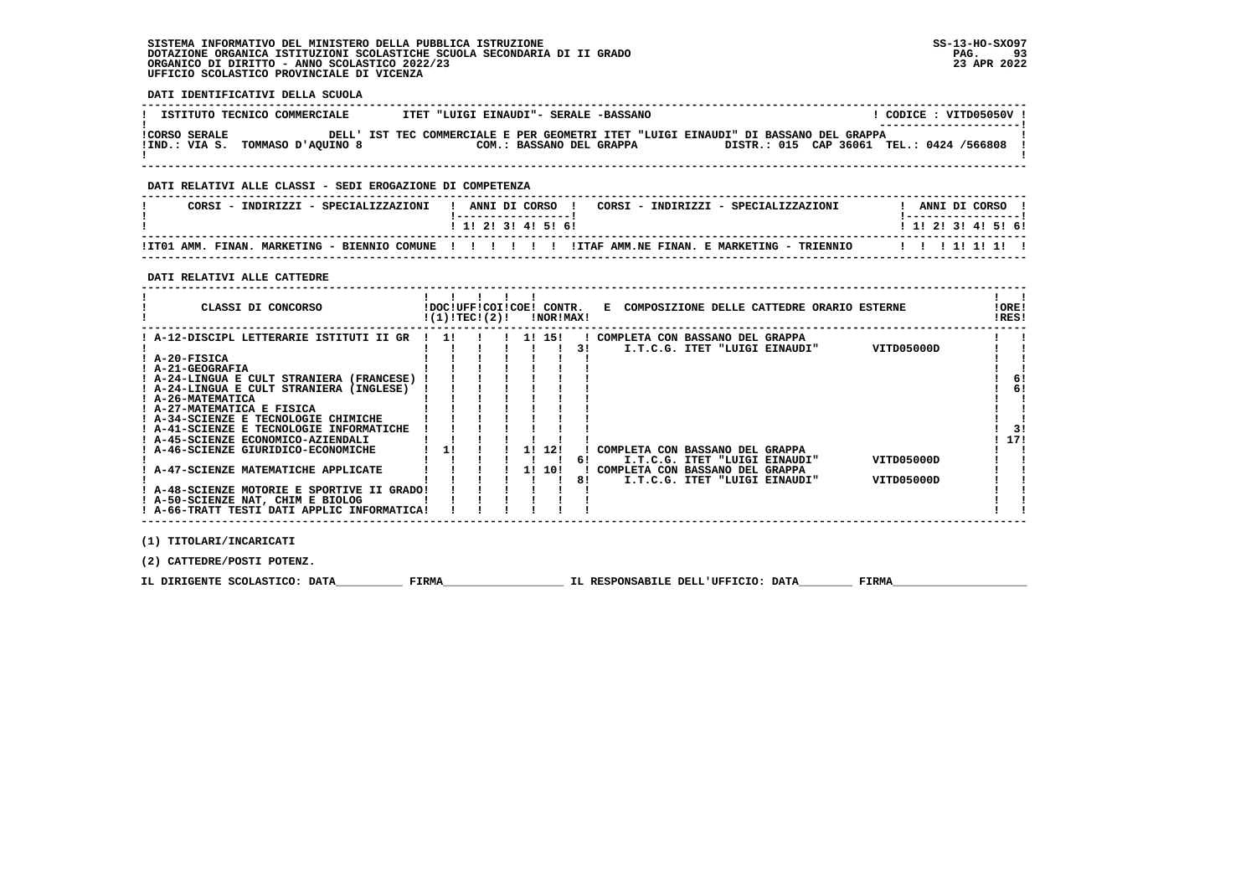**DATI IDENTIFICATIVI DELLA SCUOLA**

| ISTITUTO TECNICO COMMERCIALE                             | ITET "LUIGI EINAUDI"- SERALE -BASSANO                                                                           | CODICE: VITD05050V!<br>_______________________ |
|----------------------------------------------------------|-----------------------------------------------------------------------------------------------------------------|------------------------------------------------|
| <b>!CORSO SERALE</b><br>IIND.: VIA S. TOMMASO D'AOUINO 8 | DELL' IST TEC COMMERCIALE E PER GEOMETRI ITET "LUIGI EINAUDI" DI BASSANO DEL GRAPPA<br>COM.: BASSANO DEL GRAPPA | DISTR.: 015 CAP 36061 TEL.: 0424 /566808       |

 **------------------------------------------------------------------------------------------------------------------------------------**

## **DATI RELATIVI ALLE CLASSI - SEDI EROGAZIONE DI COMPETENZA**

| CORSI - INDIRIZZI - SPECIALIZZAZIONI                        | ANNI DI CORSO<br>CORSI - INDIRIZZI - SPECIALIZZAZIONI | ANNI DI CORSO             |
|-------------------------------------------------------------|-------------------------------------------------------|---------------------------|
|                                                             | 1 1 1 2 1 3 1 4 1 5 1 6 1                             | 1 1 1 2 1 3 1 4 1 5 1 6 1 |
| !IT01 AMM. FINAN.<br>MARKETING - BIENNIO COMUNE ! ! ! ! ! ! | ITTAF AMM.NE FINAN. E MARKETING - TRIENNIO            | 11111111                  |

 **------------------------------------------------------------------------------------------------------------------------------------**

 **DATI RELATIVI ALLE CATTEDRE**

| CLASSI DI CONCORSO                              | !(1)!TEC!(2)! |  |        | !NOR!MAX! | !DOC!UFF!COI!COE! CONTR. E COMPOSIZIONE DELLE CATTEDRE ORARIO ESTERNE | ! ORE!<br>!RES! |
|-------------------------------------------------|---------------|--|--------|-----------|-----------------------------------------------------------------------|-----------------|
| ! A-12-DISCIPL LETTERARIE ISTITUTI II GR  !  1! |               |  |        |           | ! COMPLETA CON BASSANO DEL GRAPPA                                     |                 |
|                                                 |               |  |        | 31        | VITD05000D<br>I.T.C.G. ITET "LUIGI EINAUDI"                           |                 |
| $I$ A-20-FISICA                                 |               |  |        |           |                                                                       |                 |
| ! A-21-GEOGRAFIA                                |               |  |        |           |                                                                       |                 |
| ! A-24-LINGUA E CULT STRANIERA (FRANCESE) !     |               |  |        |           |                                                                       | 6!              |
| ! A-24-LINGUA E CULT STRANIERA (INGLESE)        |               |  |        |           |                                                                       | 6!              |
| ! A-26-MATEMATICA                               |               |  |        |           |                                                                       |                 |
| ! A-27-MATEMATICA E FISICA                      |               |  |        |           |                                                                       |                 |
| ! A-34-SCIENZE E TECNOLOGIE CHIMICHE            |               |  |        |           |                                                                       |                 |
| ! A-41-SCIENZE E TECNOLOGIE INFORMATICHE        |               |  |        |           |                                                                       | 31              |
| ! A-45-SCIENZE ECONOMICO-AZIENDALI              |               |  |        |           |                                                                       | 17!             |
| ! A-46-SCIENZE GIURIDICO-ECONOMICHE             | 1!            |  | 1! 12! |           | COMPLETA CON BASSANO DEL GRAPPA                                       |                 |
|                                                 |               |  |        | 61        | VITD05000D<br>I.T.C.G. ITET "LUIGI EINAUDI"                           |                 |
| ! A-47-SCIENZE MATEMATICHE APPLICATE            |               |  | 1! 10! |           | COMPLETA CON BASSANO DEL GRAPPA                                       |                 |
|                                                 |               |  |        | 81        | VITD05000D<br>I.T.C.G. ITET "LUIGI EINAUDI"                           |                 |
| ! A-48-SCIENZE MOTORIE E SPORTIVE II GRADO!     |               |  |        |           |                                                                       |                 |
| ! A-50-SCIENZE NAT, CHIM E BIOLOG               |               |  |        |           |                                                                       |                 |
| ! A-66-TRATT TESTI DATI APPLIC INFORMATICA!     |               |  |        |           |                                                                       |                 |
|                                                 |               |  |        |           |                                                                       |                 |
| (1) TITOLARI/INCARICATI                         |               |  |        |           |                                                                       |                 |

 **(2) CATTEDRE/POSTI POTENZ.**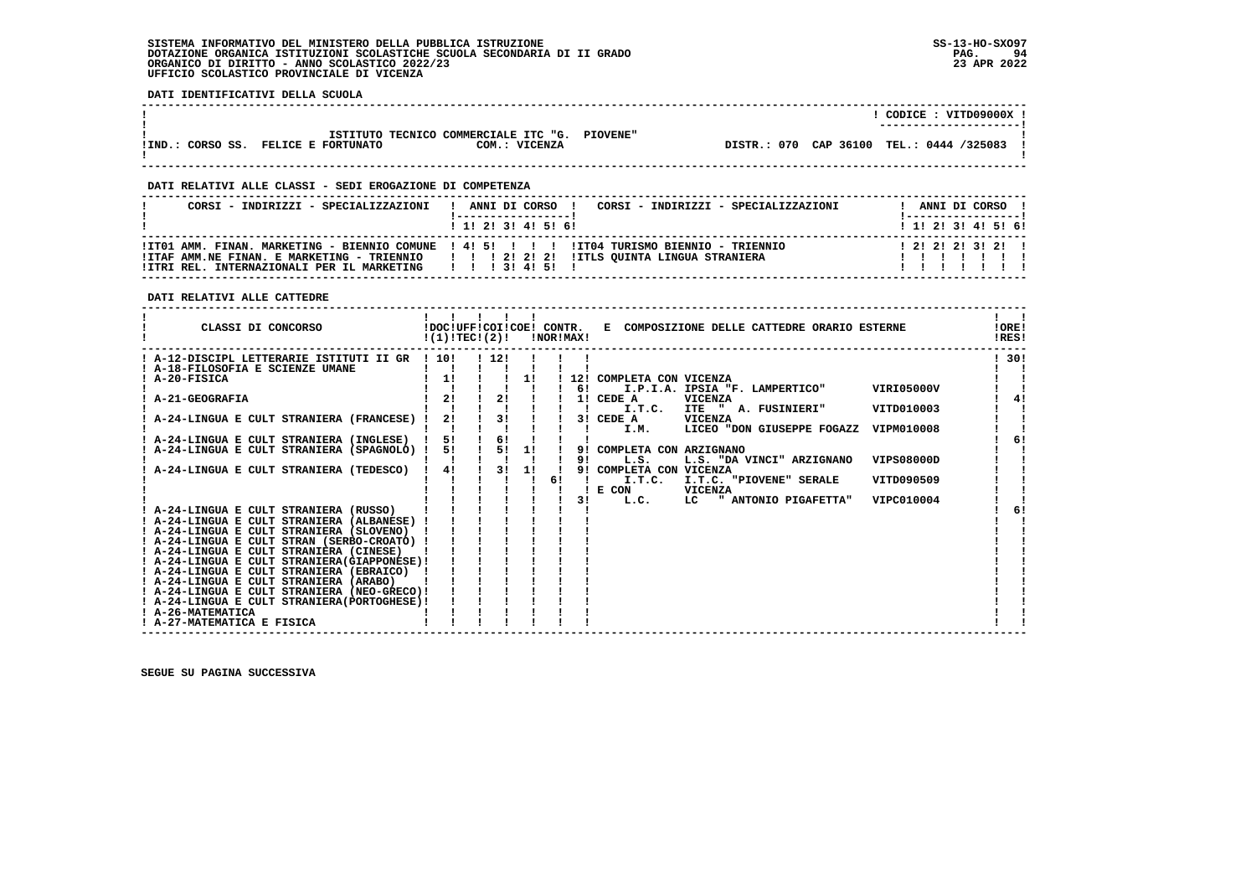**DATI IDENTIFICATIVI DELLA SCUOLA**

| CORSO SS.<br>IIND. | <b>FELICE E FORTUNATO</b> | COM.: VICENZA                                 |  | DISTR.: 070 CAP 36100 TEL.: 0444 /325083 |  |
|--------------------|---------------------------|-----------------------------------------------|--|------------------------------------------|--|
|                    |                           | ISTITUTO TECNICO COMMERCIALE ITC "G. PIOVENE" |  |                                          |  |
|                    |                           |                                               |  | ----------------------                   |  |
|                    |                           |                                               |  | VTTD09000X<br>CODICE :                   |  |

 **------------------------------------------------------------------------------------------------------------------------------------**

## **DATI RELATIVI ALLE CLASSI - SEDI EROGAZIONE DI COMPETENZA**

| CORSI - INDIRIZZI - SPECIALIZZAZIONI                       | CORSI - INDIRIZZI - SPECIALIZZAZIONI<br>ANNI DI CORSO !<br>and the state of the state of the                                                                                              | ANNI DI CORSO !<br>! ------------------ |
|------------------------------------------------------------|-------------------------------------------------------------------------------------------------------------------------------------------------------------------------------------------|-----------------------------------------|
|                                                            | ! 1! 2! 3! 4! 5! 6!                                                                                                                                                                       | ! 1! 2! 3! 4! 5! 6!                     |
| !ITRI REL. INTERNAZIONALI PER IL MARKETING   !! 3! 4! 5! ! | ITT01 AMM. FINAN. MARKETING - BIENNIO COMUNE 1 41 51 1 1 1 11T04 TURISMO BIENNIO - TRIENNIO<br>IITAF AMM.NE FINAN. E MARKETING - TRIENNIO       2   2   2   IITLS OUINTA LINGUA STRANIERA | $1$ 2! 2! 2! 3! 2! 1                    |

## **DATI RELATIVI ALLE CATTEDRE**

| CLASSI DI CONCORSO                            | !DOC!UFF!COI!COE! CONTR.<br>!(1)!TECI(2)! |      |    | INORIMAXI |          | E COMPOSIZIONE DELLE CATTEDRE ORARIO ESTERNE                            | !ORE!<br>!RES! |
|-----------------------------------------------|-------------------------------------------|------|----|-----------|----------|-------------------------------------------------------------------------|----------------|
| ! A-12-DISCIPL LETTERARIE ISTITUTI II GR      | $\sqrt{101}$                              | 1121 |    |           |          |                                                                         | ! 30!          |
| ! A-18-FILOSOFIA E SCIENZE UMANE              |                                           |      |    |           |          |                                                                         |                |
| A-20-FISICA                                   | 1!                                        |      | 11 |           | 12!      | COMPLETA CON VICENZA                                                    |                |
|                                               |                                           |      |    |           | 6!       | I.P.I.A. IPSIA "F. LAMPERTICO"<br>VIRI05000V                            |                |
| <b>A-21-GEOGRAFIA</b>                         | 21                                        | 21   |    |           |          | 1! CEDE A<br><b>VICENZA</b>                                             | 41             |
|                                               |                                           |      |    |           |          | I.T.C.<br><b>ITE</b><br>" A. FUSINIERI"<br>VITD010003                   |                |
| A-24-LINGUA E CULT STRANIERA (FRANCESE)       | 2!                                        | 3!   |    |           |          | 3! CEDE A<br>VICENZA                                                    |                |
|                                               |                                           |      |    |           |          | I.M.<br>LICEO "DON GIUSEPPE FOGAZZ<br>VIPM010008                        |                |
| A-24-LINGUA E CULT STRANIERA (INGLESE)        | 5!                                        | 61   |    |           |          |                                                                         | 6!             |
| A-24-LINGUA E CULT STRANIERA (SPAGNOLO) !     | 5!                                        | 5!   | 1! |           | 91<br>91 | COMPLETA CON ARZIGNANO<br><b>VIPS08000D</b><br>L.S.                     |                |
|                                               | 41                                        | 3!   | 11 |           | 91       | L.S. "DA VINCI" ARZIGNANO                                               |                |
| A-24-LINGUA E CULT STRANIERA (TEDESCO)        |                                           |      |    |           |          | COMPLETA CON VICENZA<br>I.T.C.<br>I.T.C. "PIOVENE" SERALE<br>VITD090509 |                |
|                                               |                                           |      |    |           |          | E CON<br><b>VICENZA</b>                                                 |                |
|                                               |                                           |      |    |           | 31       | " ANTONIO PIGAFETTA"<br>VIPC010004<br>L.C.<br>LC.                       |                |
| ! A-24-LINGUA E CULT STRANIERA (RUSSO)        |                                           |      |    |           |          |                                                                         |                |
| ! A-24-LINGUA E CULT STRANIERA (ALBANESE)     |                                           |      |    |           |          |                                                                         |                |
| ! A-24-LINGUA E CULT STRANIERA (SLOVENO)      |                                           |      |    |           |          |                                                                         |                |
| ! A-24-LINGUA E CULT STRAN (SERBO-CROATO) !   |                                           |      |    |           |          |                                                                         |                |
| ! A-24-LINGUA E CULT STRANIERA (CINESE)       |                                           |      |    |           |          |                                                                         |                |
| ! A-24-LINGUA E CULT STRANIERA (GIAPPONESE) ! |                                           |      |    |           |          |                                                                         |                |
| ! A-24-LINGUA E CULT STRANIERA (EBRAICO)      |                                           |      |    |           |          |                                                                         |                |
| ! A-24-LINGUA E CULT STRANIERA (ARABO)        |                                           |      |    |           |          |                                                                         |                |
| ! A-24-LINGUA E CULT STRANIERA (NEO-GRECO)!   |                                           |      |    |           |          |                                                                         |                |
| ! A-24-LINGUA E CULT STRANIERA (PORTOGHESE) ! |                                           |      |    |           |          |                                                                         |                |
| ! A-26-MATEMATICA                             |                                           |      |    |           |          |                                                                         |                |
| ! A-27-MATEMATICA E FISICA                    |                                           |      |    |           |          |                                                                         |                |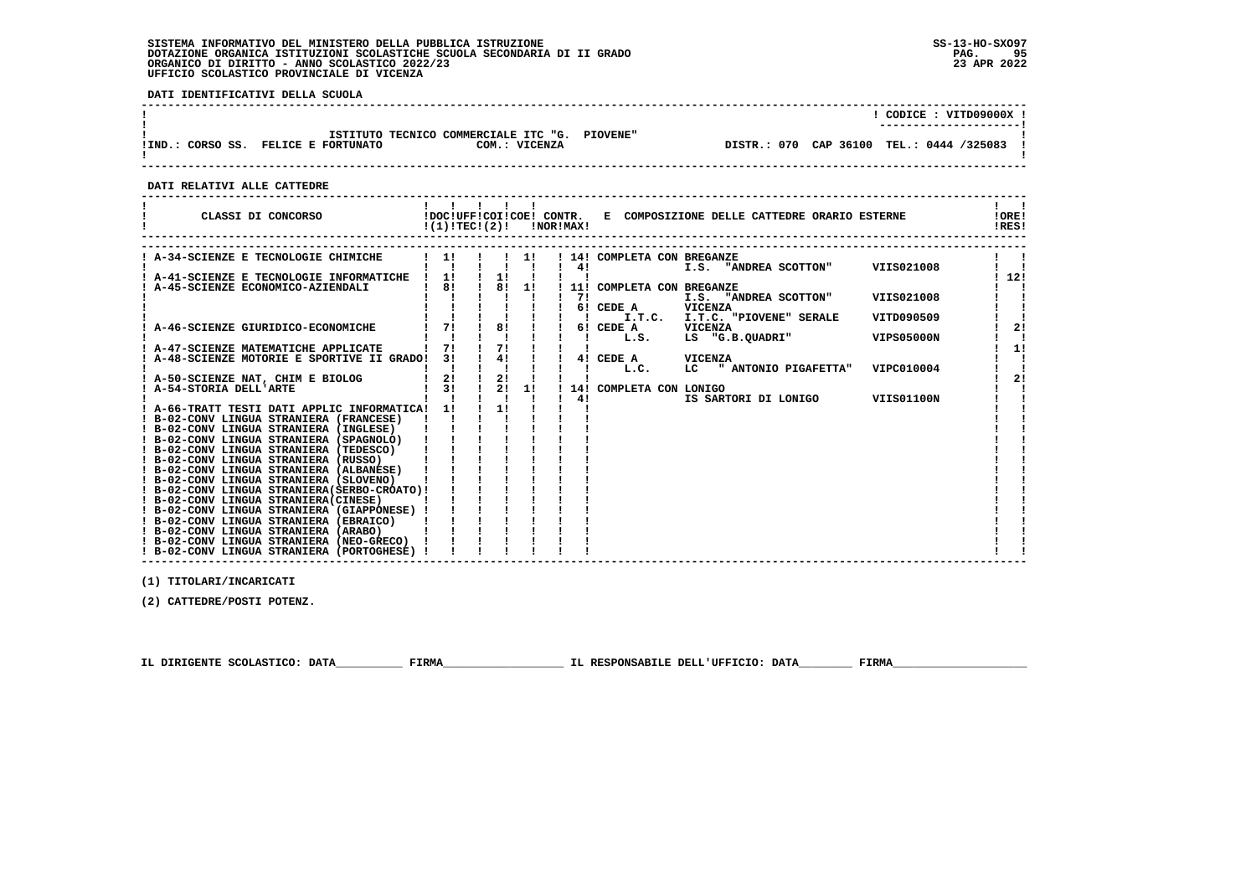PAG. 95 23 APR 2022

 $\mathbf{I}$ 

 **DATI IDENTIFICATIVI DELLA SCUOLA ------------------------------------------------------------------------------------------------------------------------------------ ! ! CODICE : VITD09000X ! ! ---------------------! ! ISTITUTO TECNICO COMMERCIALE ITC "G. PIOVENE" !**DISTR.: 070 CAP 36100 TEL.: 0444 /325083 ! **IIND.: CORSO SS. FELICE E FORTUNATO COM.: VICENZA ! ! ------------------------------------------------------------------------------------------------------------------------------------ DATI RELATIVI ALLE CATTEDRE ------------------------------------------------------------------------------------------------------------------------------------** $1 - 1$  **! ! ! ! ! ! ! !IORE! ! CLASSI DI CONCORSO !DOC!UFF!COI!COE! CONTR. E COMPOSIZIONE DELLE CATTEDRE ORARIO ESTERNE !ORE!**!RES!  **! !(1)!TEC!(2)! !NOR!MAX! !RES! ------------------------------------------------------------------------------------------------------------------------------------**

| A-34-SCIENZE E TECNOLOGIE CHIMICHE            | 11       |    | 11 |     | 14! COMPLETA CON BREGANZE                       |     |
|-----------------------------------------------|----------|----|----|-----|-------------------------------------------------|-----|
|                                               |          |    |    | 4!  | VIIS021008<br>I.S. "ANDREA SCOTTON"             |     |
| ! A-41-SCIENZE E TECNOLOGIE INFORMATICHE      | 1!<br>81 | 11 |    |     |                                                 | 12! |
| A-45-SCIENZE ECONOMICO-AZIENDALI              |          | 8! | 1! |     | 11! COMPLETA CON BREGANZE                       |     |
|                                               |          |    |    | 71  | VIIS021008<br>I.S. "ANDREA SCOTTON"             |     |
|                                               |          |    |    |     | <b>VICENZA</b><br>6! CEDE A                     |     |
|                                               |          |    |    |     | I.T.C.<br>I.T.C. "PIOVENE" SERALE<br>VITD090509 |     |
| A-46-SCIENZE GIURIDICO-ECONOMICHE             | 71       | 81 |    |     | 6! CEDE A<br>VICENZA                            | 2!  |
|                                               |          |    |    |     | LS "G.B.QUADRI"<br><b>VIPS05000N</b><br>L.S.    |     |
| ! A-47-SCIENZE MATEMATICHE APPLICATE          | 71       | 7! |    |     |                                                 | 1!  |
| ! A-48-SCIENZE MOTORIE E SPORTIVE II GRADO!   | 31       | 4! |    |     | 4! CEDE A<br>VICENZA                            |     |
|                                               |          |    |    |     | LC " ANTONIO PIGAFETTA"<br>VIPC010004<br>L.C.   |     |
| ! A-50-SCIENZE NAT, CHIM E BIOLOG             | 2!       | 2! |    |     |                                                 | 2!  |
| ! A-54-STORIA DELL'ARTE                       | 31       | 21 | 11 | 14! | COMPLETA CON LONIGO                             |     |
|                                               |          |    |    | 4!  | <b>VIIS01100N</b><br>IS SARTORI DI LONIGO       |     |
| ! A-66-TRATT TESTI DATI APPLIC INFORMATICA!   | 11       | 11 |    |     |                                                 |     |
| ! B-02-CONV LINGUA STRANIERA (FRANCESE)       |          |    |    |     |                                                 |     |
| ! B-02-CONV LINGUA STRANIERA (INGLESE)        |          |    |    |     |                                                 |     |
| ! B-02-CONV LINGUA STRANIERA (SPAGNOLO)       |          |    |    |     |                                                 |     |
| ! B-02-CONV LINGUA STRANIERA (TEDESCO)        |          |    |    |     |                                                 |     |
| ! B-02-CONV LINGUA STRANIERA (RUSSO)          |          |    |    |     |                                                 |     |
| ! B-02-CONV LINGUA STRANIERA (ALBANESE)       |          |    |    |     |                                                 |     |
| ! B-02-CONV LINGUA STRANIERA (SLOVENO)        |          |    |    |     |                                                 |     |
| ! B-02-CONV LINGUA STRANIERA (SERBO-CROATO) ! |          |    |    |     |                                                 |     |
| ! B-02-CONV LINGUA STRANIERA (CINESE)         |          |    |    |     |                                                 |     |
| ! B-02-CONV LINGUA STRANIERA (GIAPPONESE)     |          |    |    |     |                                                 |     |
| ! B-02-CONV LINGUA STRANIERA (EBRAICO)        |          |    |    |     |                                                 |     |
| ! B-02-CONV LINGUA STRANIERA (ARABO)          |          |    |    |     |                                                 |     |
| ! B-02-CONV LINGUA STRANIERA (NEO-GRECO)      |          |    |    |     |                                                 |     |
| ! B-02-CONV LINGUA STRANIERA (PORTOGHESE) !   |          |    |    |     |                                                 |     |
|                                               |          |    |    |     |                                                 |     |

 **------------------------------------------------------------------------------------------------------------------------------------**

 **(1) TITOLARI/INCARICATI**

 **(2) CATTEDRE/POSTI POTENZ.**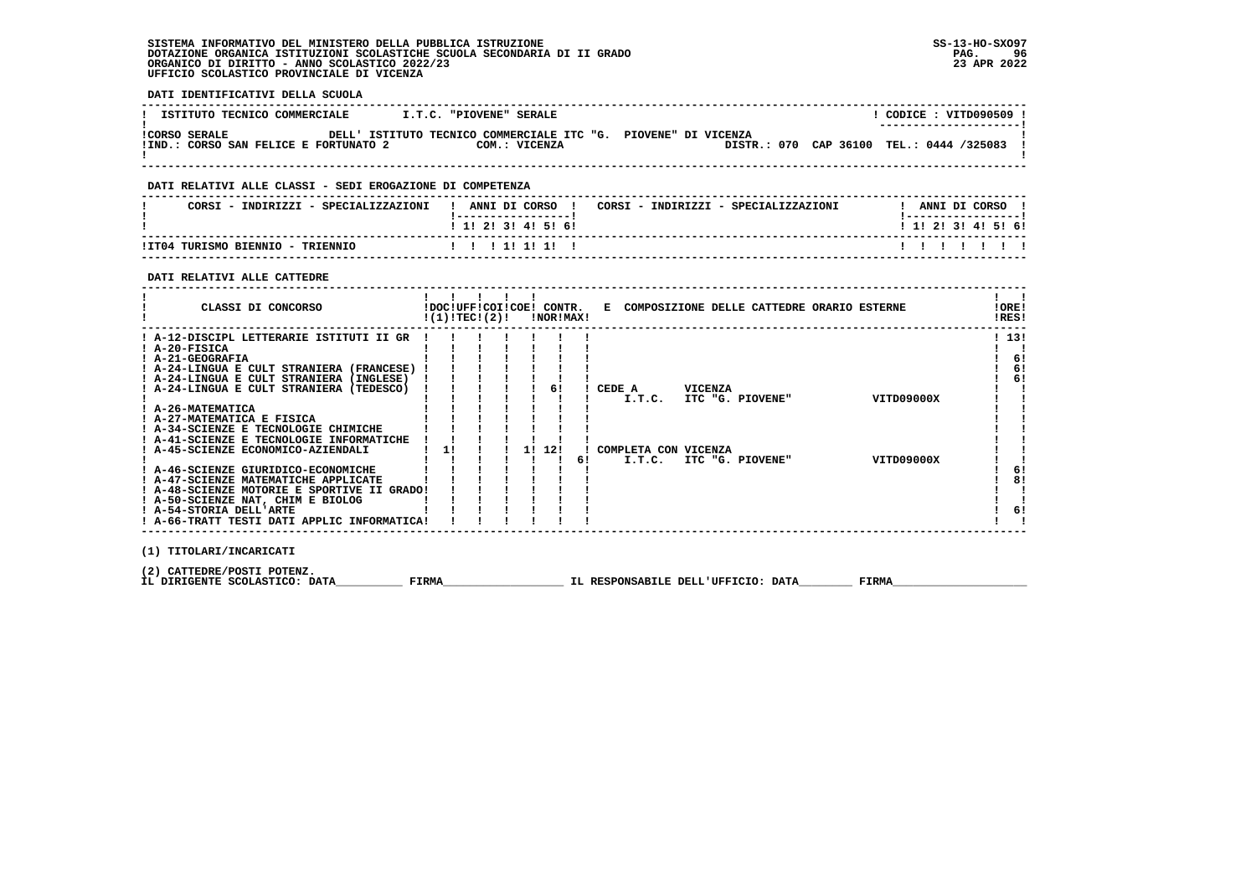**! A-66-TRATT TESTI DATI APPLIC INFORMATICA! ! ! ! ! ! ! ! !**

 $\mathbf{I}$  $\blacksquare$ - 1

 $\mathbf{I}$ 

 $1<sub>61</sub>$ 

 $\overline{1}$  81  $\blacksquare$  $\sim$  $1<sub>61</sub>$  $\mathbf{I}$  and  $\mathbf{I}$ 

 **DATI IDENTIFICATIVI DELLA SCUOLA ------------------------------------------------------------------------------------------------------------------------------------**! CODICE : VITD090509 ! **! ISTITUTO TECNICO COMMERCIALE : I.T.C. "PIOVENE" SERALE** \_\_\_\_\_\_\_\_\_\_\_\_\_\_\_\_\_\_\_\_\_\_\_\_  **! ---------------------! !CORSO SERALE DELL' ISTITUTO TECNICO COMMERCIALE ITC "G. PIOVENE" DI VICENZA !**DISTR.: 070 CAP 36100 TEL.: 0444 /325083 !  **!IND.: CORSO SAN FELICE E FORTUNATO 2 COM.: VICENZA** - 1  **! ! ------------------------------------------------------------------------------------------------------------------------------------ DATI RELATIVI ALLE CLASSI - SEDI EROGAZIONE DI COMPETENZA ------------------------------------------------------------------------------------------------------------------------------------**! ANNI DI CORSO !  **! CORSI - INDIRIZZI - SPECIALIZZAZIONI ! ANNI DI CORSO ! CORSI - INDIRIZZI - SPECIALIZZAZIONI ! ANNI DI CORSO !**\_\_\_\_\_\_\_\_\_\_\_\_\_\_\_\_\_\_\_\_\_\_  **! !-----------------! !-----------------!**1 1 2 3 3 4 5 6  **! ! 1! 2! 3! 4! 5! 6! ! 1! 2! 3! 4! 5! 6! ------------------------------------------------------------------------------------------------------------------------------------** $11111111$  **!IT04 TURISMO BIENNIO - TRIENNIO ! ! ! 1! 1! 1! ! ! ! ! ! ! ! ! ------------------------------------------------------------------------------------------------------------------------------------ DATI RELATIVI ALLE CATTEDRE ------------------------------------------------------------------------------------------------------------------------------------** $\mathbf{I}$  and  $\mathbf{I}$  **! ! ! ! ! ! ! !LORE! ! CLASSI DI CONCORSO !DOC!UFF!COI!COE! CONTR. E COMPOSIZIONE DELLE CATTEDRE ORARIO ESTERNE !ORE!** $RRSI$  **! !(1)!TEC!(2)! !NOR!MAX! !RES! ------------------------------------------------------------------------------------------------------------------------------------** $1, 131$  **! A-12-DISCIPL LETTERARIE ISTITUTI II GR ! ! ! ! ! ! ! ! 13! ! A-20-FISICA ! ! ! ! ! ! ! ! !** $\mathbf{I}$   $\mathbf{I}$  $1 \quad 61$  **! A-21-GEOGRAFIA ! ! ! ! ! ! ! ! 6! ! A-24-LINGUA E CULT STRANIERA (FRANCESE) ! ! ! ! ! ! ! ! 6! ! A-24-LINGUA E CULT STRANIERA (INGLESE) ! ! ! ! ! ! ! ! 6! ! A-24-LINGUA E CULT STRANIERA (TEDESCO) ! ! ! ! ! 6! ! CEDE A VICENZA ! ! ! ! ! ! ! ! ! ! I.T.C. ITC "G. PIOVENE" VITD09000X ! ! ! A-26-MATEMATICA ! ! ! ! ! ! ! ! ! ! A-27-MATEMATICA E FISICA ! ! ! ! ! ! ! ! ! ! A-34-SCIENZE E TECNOLOGIE CHIMICHE ! ! ! ! ! ! ! ! !** $\sqrt{1}$  6!  $\frac{1}{6}$  6!  $\mathbf{I}$ 

 **(1) TITOLARI/INCARICATI**

 **(2) CATTEDRE/POSTI POTENZ.**

 **IL DIRIGENTE SCOLASTICO: DATA\_\_\_\_\_\_\_\_\_\_ FIRMA\_\_\_\_\_\_\_\_\_\_\_\_\_\_\_\_\_\_ IL RESPONSABILE DELL'UFFICIO: DATA\_\_\_\_\_\_\_\_ FIRMA\_\_\_\_\_\_\_\_\_\_\_\_\_\_\_\_\_\_\_\_**

 **! A-41-SCIENZE E TECNOLOGIE INFORMATICHE ! ! ! ! ! ! ! ! ! ! A-45-SCIENZE ECONOMICO-AZIENDALI ! 1! ! ! 1! 12! ! COMPLETA CON VICENZA ! !**

 **! A-46-SCIENZE GIURIDICO-ECONOMICHE ! ! ! ! ! ! ! ! 6! ! A-47-SCIENZE MATEMATICHE APPLICATE ! ! ! ! ! ! ! ! 8! ! A-48-SCIENZE MOTORIE E SPORTIVE II GRADO! ! ! ! ! ! ! ! ! ! A-50-SCIENZE NAT, CHIM E BIOLOG ! ! ! ! ! ! ! ! ! ! A-54-STORIA DELL'ARTE ! ! ! ! ! ! ! ! 6!**

 **------------------------------------------------------------------------------------------------------------------------------------**

 **! ! ! ! ! ! ! 6! I.T.C. ITC "G. PIOVENE" VITD09000X ! !**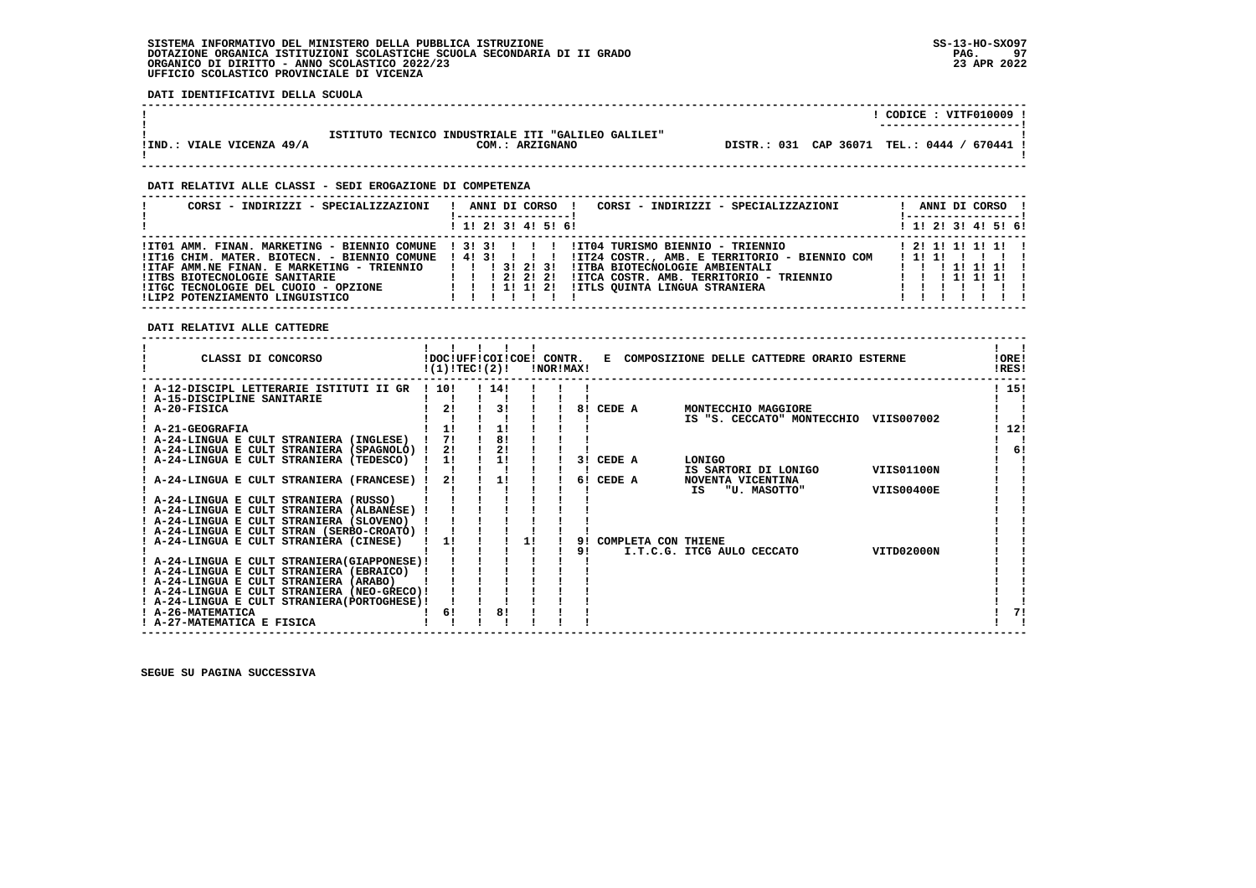**DATI IDENTIFICATIVI DELLA SCUOLA**

|                           |                                                                       | CODICE: VITF010009<br>--------------------- |
|---------------------------|-----------------------------------------------------------------------|---------------------------------------------|
| IIND.: VIALE VICENZA 49/A | ISTITUTO TECNICO INDUSTRIALE ITI "GALILEO GALILEI"<br>COM.: ARZIGNANO | DISTR.: 031 CAP 36071 TEL.: 0444 / 670441 ! |

 **------------------------------------------------------------------------------------------------------------------------------------**

 **------------------------------------------------------------------------------------------------------------------------------------**

## **DATI RELATIVI ALLE CLASSI - SEDI EROGAZIONE DI COMPETENZA**

| CORSI - INDIRIZZI - SPECIALIZZAZIONI                                                                                                                                         | CORSI - INDIRIZZI - SPECIALIZZAZIONI<br>ANNI DI CORSO !                                                                                                                                                                                                                                                           | ANNI DI CORSO !<br>! ------------------ !                                |
|------------------------------------------------------------------------------------------------------------------------------------------------------------------------------|-------------------------------------------------------------------------------------------------------------------------------------------------------------------------------------------------------------------------------------------------------------------------------------------------------------------|--------------------------------------------------------------------------|
|                                                                                                                                                                              | 1 1! 2! 3! 4! 5! 6!                                                                                                                                                                                                                                                                                               | $1$ 1! 2! 3! 4! 5! 6!                                                    |
| !ITAF AMM.NE FINAN. E MARKETING - TRIENNIO       3! 2! 3!<br><b>!ITBS BIOTECNOLOGIE SANITARIE</b><br>IITGC TECNOLOGIE DEL CUOIO - OPZIONE<br>!LIP2 POTENZIAMENTO LINGUISTICO | ITO1 AMM. FINAN. MARKETING - BIENNIO COMUNE ! 3! 3! ! ! !! !ITO4 TURISMO BIENNIO - TRIENNIO<br>ITI6 CHIM. MATER. BIOTECN. - BIENNIO COMUNE ! 4! 3! ! ! ! !IT24 COSTR., AMB. E TERRITORIO - BIENNIO COM<br>!ITBA BIOTECNOLOGIE AMBIENTALI<br>IITCA COSTR. AMB. TERRITORIO - TRIENNIO<br>1 1 1 2 1 2 1 2 1<br>11111 | 1 2 1 1 1 1 1 1 1<br>111111111<br>1 1 1 1 1 1 1 1 1<br>1 1 1 1 1 1 1 1 1 |

 **DATI RELATIVI ALLE CATTEDRE**

| CLASSI DI CONCORSO                                                                        |      | !DOC!UFF!COI!COE! CONTR.<br>!(1)!TECI(2)! |    | INOR IMAX ! |    |        |                     |                            | E COMPOSIZIONE DELLE CATTEDRE ORARIO ESTERNE |                   | !ORE!<br>!RES! |
|-------------------------------------------------------------------------------------------|------|-------------------------------------------|----|-------------|----|--------|---------------------|----------------------------|----------------------------------------------|-------------------|----------------|
| ! A-12-DISCIPL LETTERARIE ISTITUTI II GR                                                  | 110! | 114!                                      |    |             |    |        |                     |                            |                                              |                   | ! 15!          |
| ! A-15-DISCIPLINE SANITARIE                                                               |      |                                           |    |             |    |        |                     |                            |                                              |                   |                |
| A-20-FISICA                                                                               | 21   | 31                                        |    |             | 81 | CEDE A |                     |                            | MONTECCHIO MAGGIORE                          |                   |                |
|                                                                                           |      |                                           |    |             |    |        |                     |                            | IS "S. CECCATO" MONTECCHIO                   | VIIS007002        |                |
| ! A-21-GEOGRAFIA                                                                          | 11   | 1!                                        |    |             |    |        |                     |                            |                                              |                   | 12!            |
| ! A-24-LINGUA E CULT STRANIERA (INGLESE)                                                  | 71   | 8!                                        |    |             |    |        |                     |                            |                                              |                   |                |
| ! A-24-LINGUA E CULT STRANIERA (SPAGNOLO) !                                               | 21   | 2!                                        |    |             |    |        |                     |                            |                                              |                   | 61             |
| A-24-LINGUA E CULT STRANIERA (TEDESCO)                                                    | 11   | 1!                                        |    |             | 31 | CEDE A |                     | LONIGO                     |                                              |                   |                |
|                                                                                           |      |                                           |    |             |    |        |                     |                            | IS SARTORI DI LONIGO                         | <b>VIIS01100N</b> |                |
| A-24-LINGUA E CULT STRANIERA (FRANCESE)                                                   | 2!   | 11                                        |    |             | 6! | CEDE A |                     | NOVENTA VICENTINA          |                                              |                   |                |
|                                                                                           |      |                                           |    |             |    |        |                     | IS                         | "U. MASOTTO"                                 | <b>VIIS00400E</b> |                |
| ! A-24-LINGUA E CULT STRANIERA (RUSSO)                                                    |      |                                           |    |             |    |        |                     |                            |                                              |                   |                |
| ! A-24-LINGUA E CULT STRANIERA (ALBANESE)                                                 |      |                                           |    |             |    |        |                     |                            |                                              |                   |                |
| ! A-24-LINGUA E CULT STRANIERA (SLOVENO)                                                  |      |                                           |    |             |    |        |                     |                            |                                              |                   |                |
| A-24-LINGUA E CULT STRAN (SERBO-CROATO) !                                                 |      |                                           |    |             |    |        |                     |                            |                                              |                   |                |
| ! A-24-LINGUA E CULT STRANIERA (CINESE)                                                   | 1!   |                                           | 11 |             | 91 |        | COMPLETA CON THIENE |                            |                                              |                   |                |
|                                                                                           |      |                                           |    |             | 91 |        |                     | I.T.C.G. ITCG AULO CECCATO |                                              | VITD02000N        |                |
| ! A-24-LINGUA E CULT STRANIERA (GIAPPONESE) !<br>! A-24-LINGUA E CULT STRANIERA (EBRAICO) |      |                                           |    |             |    |        |                     |                            |                                              |                   |                |
| ! A-24-LINGUA E CULT STRANIERA (ARABO)                                                    |      |                                           |    |             |    |        |                     |                            |                                              |                   |                |
| ! A-24-LINGUA E CULT STRANIERA (NEO-GRECO)!                                               |      |                                           |    |             |    |        |                     |                            |                                              |                   |                |
| ! A-24-LINGUA E CULT STRANIERA (PORTOGHESE) !                                             |      |                                           |    |             |    |        |                     |                            |                                              |                   |                |
| ! A-26-MATEMATICA                                                                         | 6!   | 8!                                        |    |             |    |        |                     |                            |                                              |                   | 71             |
| ! A-27-MATEMATICA E FISICA                                                                |      |                                           |    |             |    |        |                     |                            |                                              |                   |                |
|                                                                                           |      |                                           |    |             |    |        |                     |                            |                                              |                   |                |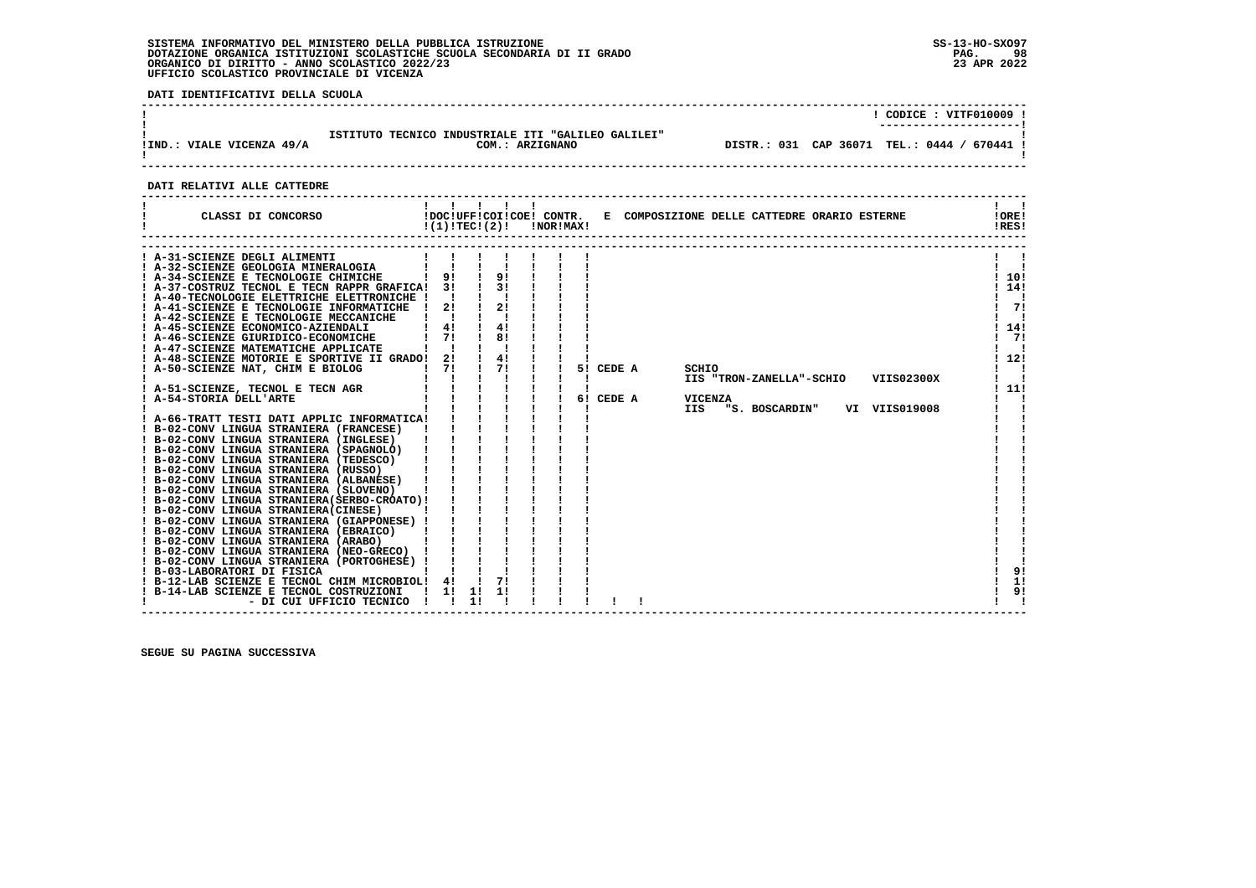**DATI IDENTIFICATIVI DELLA SCUOLA**

|                           |                                                                       |                                             | $CODE: VITF010009$ ! |
|---------------------------|-----------------------------------------------------------------------|---------------------------------------------|----------------------|
| !IND.: VIALE VICENZA 49/A | ISTITUTO TECNICO INDUSTRIALE ITI "GALILEO GALILEI"<br>COM.: ARZIGNANO | DISTR.: 031 CAP 36071 TEL.: 0444 / 670441 ! |                      |
|                           |                                                                       |                                             |                      |

## **DATI RELATIVI ALLE CATTEDRE**

| CLASSI DI CONCORSO                                                                                                                                                                                                                                                                                                                                                                                                                                                                                                                                                                                                                                                                                                                                                                                                                                                                                                                                                                                                                                                                                                                                                                                                                           | 1111<br>!(1)!TEC!(2)!                  |          |                                  | <b>!NOR!MAX!</b> |    |                     | !DOC!UFF!COI!COE! CONTR. E COMPOSIZIONE DELLE CATTEDRE ORARIO ESTERNE |                                            |                             | !ORE!<br>!RES!                               |
|----------------------------------------------------------------------------------------------------------------------------------------------------------------------------------------------------------------------------------------------------------------------------------------------------------------------------------------------------------------------------------------------------------------------------------------------------------------------------------------------------------------------------------------------------------------------------------------------------------------------------------------------------------------------------------------------------------------------------------------------------------------------------------------------------------------------------------------------------------------------------------------------------------------------------------------------------------------------------------------------------------------------------------------------------------------------------------------------------------------------------------------------------------------------------------------------------------------------------------------------|----------------------------------------|----------|----------------------------------|------------------|----|---------------------|-----------------------------------------------------------------------|--------------------------------------------|-----------------------------|----------------------------------------------|
| ! A-31-SCIENZE DEGLI ALIMENTI<br>A-32-SCIENZE GEOLOGIA MINERALOGIA<br>A-34-SCIENZE E TECNOLOGIE CHIMICHE<br>! A-37-COSTRUZ TECNOL E TECN RAPPR GRAFICA!<br>! A-40-TECNOLOGIE ELETTRICHE ELETTRONICHE !<br>! A-41-SCIENZE E TECNOLOGIE INFORMATICHE<br>! A-42-SCIENZE E TECNOLOGIE MECCANICHE<br>! A-45-SCIENZE ECONOMICO-AZIENDALI<br>! A-46-SCIENZE GIURIDICO-ECONOMICHE<br>! A-47-SCIENZE MATEMATICHE APPLICATE<br>A-48-SCIENZE MOTORIE E SPORTIVE II GRADO!<br>! A-50-SCIENZE NAT, CHIM E BIOLOG<br>! A-51-SCIENZE, TECNOL E TECN AGR<br>! A-54-STORIA DELL'ARTE<br>! A-66-TRATT TESTI DATI APPLIC INFORMATICA!<br>! B-02-CONV LINGUA STRANIERA (FRANCESE)<br>! B-02-CONV LINGUA STRANIERA (INGLESE)<br>! B-02-CONV LINGUA STRANIERA (SPAGNOLO)<br>! B-02-CONV LINGUA STRANIERA (TEDESCO)<br>! B-02-CONV LINGUA STRANIERA (RUSSO)<br>! B-02-CONV LINGUA STRANIERA (ALBANESE)<br>! B-02-CONV LINGUA STRANIERA (SLOVENO)<br>! B-02-CONV LINGUA STRANIERA (SERBO-CROATO) !<br>! B-02-CONV LINGUA STRANIERA(CINESE)<br>! B-02-CONV LINGUA STRANIERA (GIAPPONESE) !<br>! B-02-CONV LINGUA STRANIERA (EBRAICO)<br>! B-02-CONV LINGUA STRANIERA (ARABO)<br>! B-02-CONV LINGUA STRANIERA (NEO-GRECO)<br>! B-02-CONV LINGUA STRANIERA (PORTOGHESE) | 91<br>31<br>2!<br>4!<br>71<br>2!<br>71 |          | 91<br>21<br>41<br>81<br>41<br>71 |                  | 61 | 5! CEDE A<br>CEDE A | SCHIO<br><b>VICENZA</b><br>IIS                                        | IIS "TRON-ZANELLA"-SCHIO<br>"S. BOSCARDIN" | VIIS02300X<br>VI VIIS019008 | 10!<br>1141<br>71<br>14!<br>71<br>12!<br>111 |
| ! B-03-LABORATORI DI FISICA<br>! B-12-LAB SCIENZE E TECNOL CHIM MICROBIOL!<br>! B-14-LAB SCIENZE E TECNOL COSTRUZIONI<br>- DI CUI UFFICIO TECNICO                                                                                                                                                                                                                                                                                                                                                                                                                                                                                                                                                                                                                                                                                                                                                                                                                                                                                                                                                                                                                                                                                            | 4!<br>1!                               | 11<br>11 |                                  |                  |    |                     |                                                                       |                                            |                             | 9!<br>1!<br>9!                               |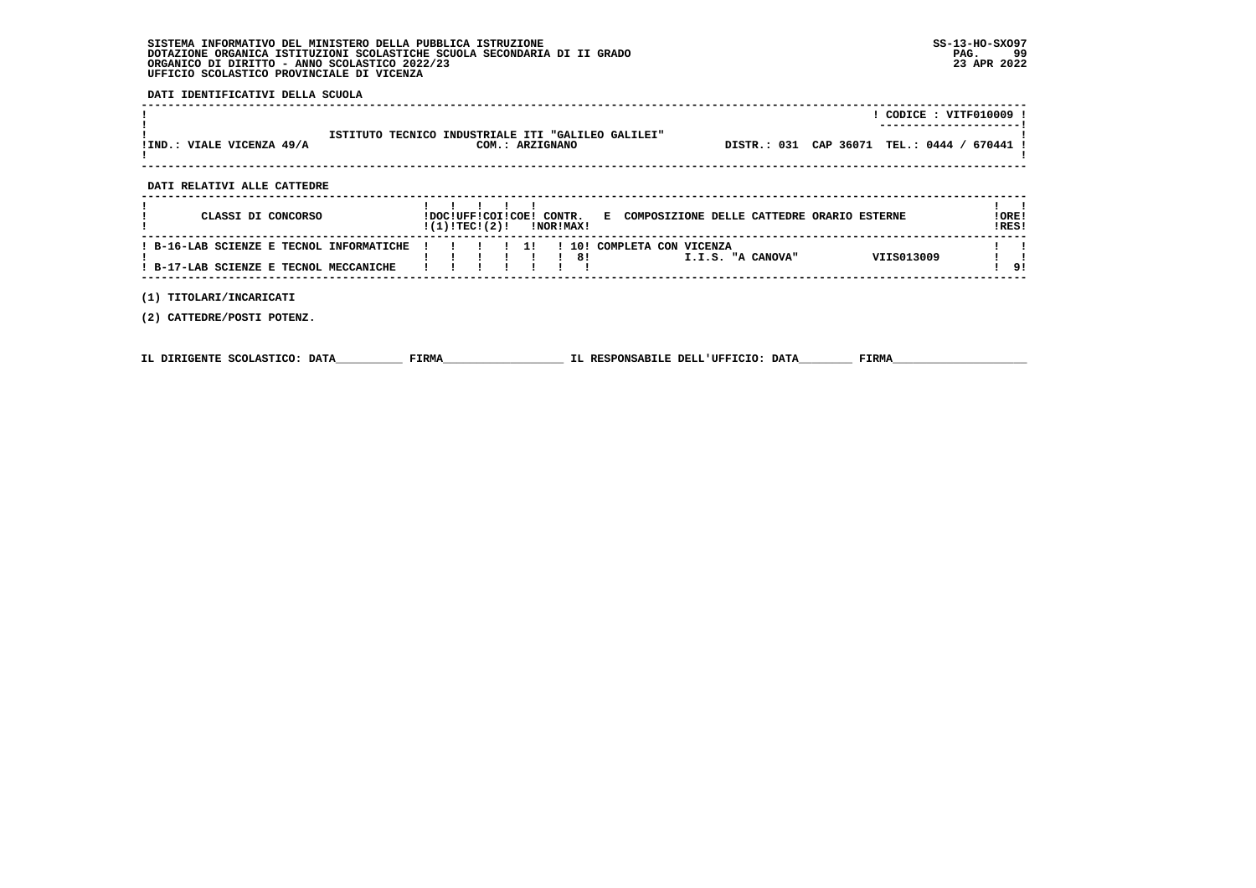**DATI IDENTIFICATIVI DELLA SCUOLA**

| !IND.: VIALE VICENZA 49/A   | ISTITUTO TECNICO INDUSTRIALE ITI "GALILEO GALILEI"<br>COM.: ARZIGNANO | DISTR.: 031 CAP 36071 TEL.: 0444 / 670441 ! | CODICE: VITF010009 ! |
|-----------------------------|-----------------------------------------------------------------------|---------------------------------------------|----------------------|
| DATI RELATIVI ALLE CATTEDRE |                                                                       |                                             |                      |

| CLASSI DI CONCORSO                                                                                                        |                                                | !DOC!UFF!COI!COE! CONTR.<br>!(1)!TEC!(2)! |  |  | <b>!NOR!MAX!</b>               |  |  | E COMPOSIZIONE DELLE CATTEDRE ORARIO ESTERNE |            | !ORE!<br>IRES! |
|---------------------------------------------------------------------------------------------------------------------------|------------------------------------------------|-------------------------------------------|--|--|--------------------------------|--|--|----------------------------------------------|------------|----------------|
| ! B-16-LAB SCIENZE E TECNOL INFORMATICHE ! ! ! ! ! ! ! 10! COMPLETA CON VICENZA<br>! B-17-LAB SCIENZE E TECNOL MECCANICHE | $\mathbf{I}$ and $\mathbf{I}$ and $\mathbf{I}$ |                                           |  |  | $\overline{1}$ $\overline{8}1$ |  |  | I.I.S. "A CANOVA"                            | VIIS013009 |                |

 **------------------------------------------------------------------------------------------------------------------------------------**

 **(1) TITOLARI/INCARICATI**

 **(2) CATTEDRE/POSTI POTENZ.**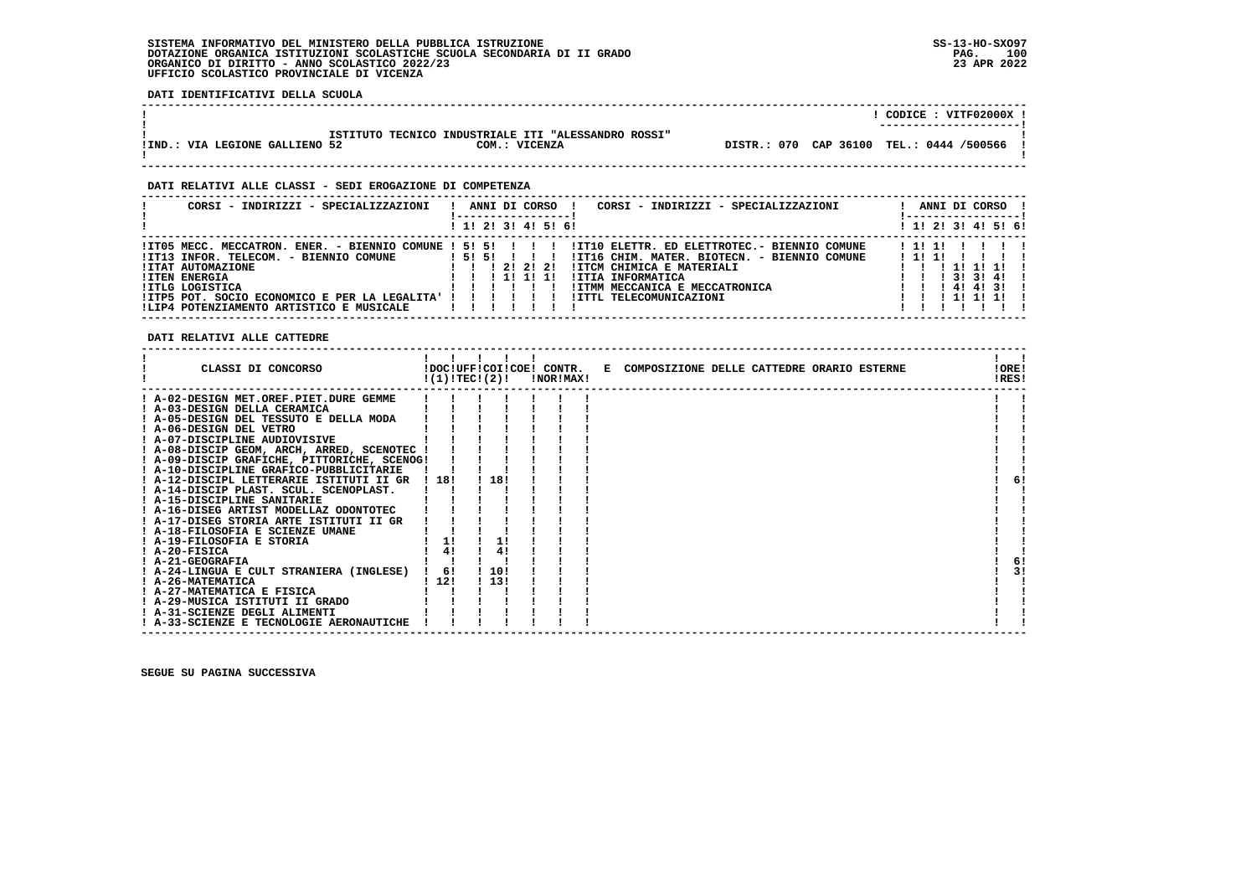**DATI IDENTIFICATIVI DELLA SCUOLA**

|                                                     | CODICE: VITF02000X !<br>---------------------- |
|-----------------------------------------------------|------------------------------------------------|
| ISTITUTO TECNICO INDUSTRIALE ITI "ALESSANDRO ROSSI" |                                                |
| !IND.: VIA LEGIONE GALLIENO 52<br>COM.: VICENZA     | DISTR.: 070 CAP 36100 TEL.: 0444 /500566       |

 **------------------------------------------------------------------------------------------------------------------------------------**

## **DATI RELATIVI ALLE CLASSI - SEDI EROGAZIONE DI COMPETENZA**

| CORSI - INDIRIZZI - SPECIALIZZAZIONI                                                                                                                                                                                                                                                       | ANNI DI CORSO<br>CORSI - INDIRIZZI - SPECIALIZZAZIONI<br>! 1! 2! 3! 4! 5! 6!                                                                                                                                                                         | ANNI DI CORSO<br>! 1! 2! 3! 4! 5! 6!                                          |
|--------------------------------------------------------------------------------------------------------------------------------------------------------------------------------------------------------------------------------------------------------------------------------------------|------------------------------------------------------------------------------------------------------------------------------------------------------------------------------------------------------------------------------------------------------|-------------------------------------------------------------------------------|
| !IT05 MECC. MECCATRON. ENER. - BIENNIO COMUNE ! 5! 5! ! ! ! !<br>!IT13 INFOR. TELECOM. - BIENNIO COMUNE<br><b>!ITAT AUTOMAZIONE</b><br><b>!ITEN ENERGIA</b><br><b>!ITLG LOGISTICA</b><br>!ITP5 POT. SOCIO ECONOMICO E PER LA LEGALITA' ! ! ! !<br>!LIP4 POTENZIAMENTO ARTISTICO E MUSICALE | !IT10 ELETTR. ED ELETTROTEC.- BIENNIO COMUNE<br>151511<br>!IT16 CHIM. MATER. BIOTECN. - BIENNIO COMUNE<br>1 2 1 2 1 2 1<br>!ITCM CHIMICA E MATERIALI<br>!ITIA INFORMATICA<br>1 11 11 11<br>!ITMM MECCANICA E MECCATRONICA<br>!ITTL TELECOMUNICAZIONI | 11111<br>1111<br>. 111111<br>$1 \quad 1 \quad 31 \quad 31 \quad 41$<br>414131 |

## **DATI RELATIVI ALLE CATTEDRE**

| CLASSI DI CONCORSO                          |       | !(1)!TEC!(2)! | !NOR!MAX! | !DOC!UFF!COI!COE! CONTR. E COMPOSIZIONE DELLE CATTEDRE ORARIO ESTERNE | !ORE!<br>!RES! |
|---------------------------------------------|-------|---------------|-----------|-----------------------------------------------------------------------|----------------|
| ! A-02-DESIGN MET.OREF.PIET.DURE GEMME      |       |               |           |                                                                       |                |
| ! A-03-DESIGN DELLA CERAMICA                |       |               |           |                                                                       |                |
| A-05-DESIGN DEL TESSUTO E DELLA MODA        |       |               |           |                                                                       |                |
| ! A-06-DESIGN DEL VETRO                     |       |               |           |                                                                       |                |
| ! A-07-DISCIPLINE AUDIOVISIVE               |       |               |           |                                                                       |                |
| ! A-08-DISCIP GEOM, ARCH, ARRED, SCENOTEC ! |       |               |           |                                                                       |                |
| ! A-09-DISCIP GRAFICHE, PITTORICHE, SCENOG! |       |               |           |                                                                       |                |
| ! A-10-DISCIPLINE GRAFICO-PUBBLICITARIE     |       |               |           |                                                                       |                |
| ! A-12-DISCIPL LETTERARIE ISTITUTI II GR    | ! 18! | 18!           |           |                                                                       |                |
| ! A-14-DISCIP PLAST. SCUL. SCENOPLAST.      |       |               |           |                                                                       |                |
| ! A-15-DISCIPLINE SANITARIE                 |       |               |           |                                                                       |                |
| ! A-16-DISEG ARTIST MODELLAZ ODONTOTEC      |       |               |           |                                                                       |                |
| ! A-17-DISEG STORIA ARTE ISTITUTI II GR     |       |               |           |                                                                       |                |
| ! A-18-FILOSOFIA E SCIENZE UMANE            |       |               |           |                                                                       |                |
| ! A-19-FILOSOFIA E STORIA                   |       |               |           |                                                                       |                |
| $I$ A-20-FISICA                             | 4!    | 4!            |           |                                                                       |                |
| ! A-21-GEOGRAFIA                            |       |               |           |                                                                       | 6!             |
| ! A-24-LINGUA E CULT STRANIERA (INGLESE)    | 6!    | 110!          |           |                                                                       |                |
| ! A-26-MATEMATICA                           | 1121  | 113!          |           |                                                                       |                |
| ! A-27-MATEMATICA E FISICA                  |       |               |           |                                                                       |                |
| ! A-29-MUSICA ISTITUTI II GRADO             |       |               |           |                                                                       |                |
| ! A-31-SCIENZE DEGLI ALIMENTI               |       |               |           |                                                                       |                |
| ! A-33-SCIENZE E TECNOLOGIE AERONAUTICHE    |       |               |           |                                                                       |                |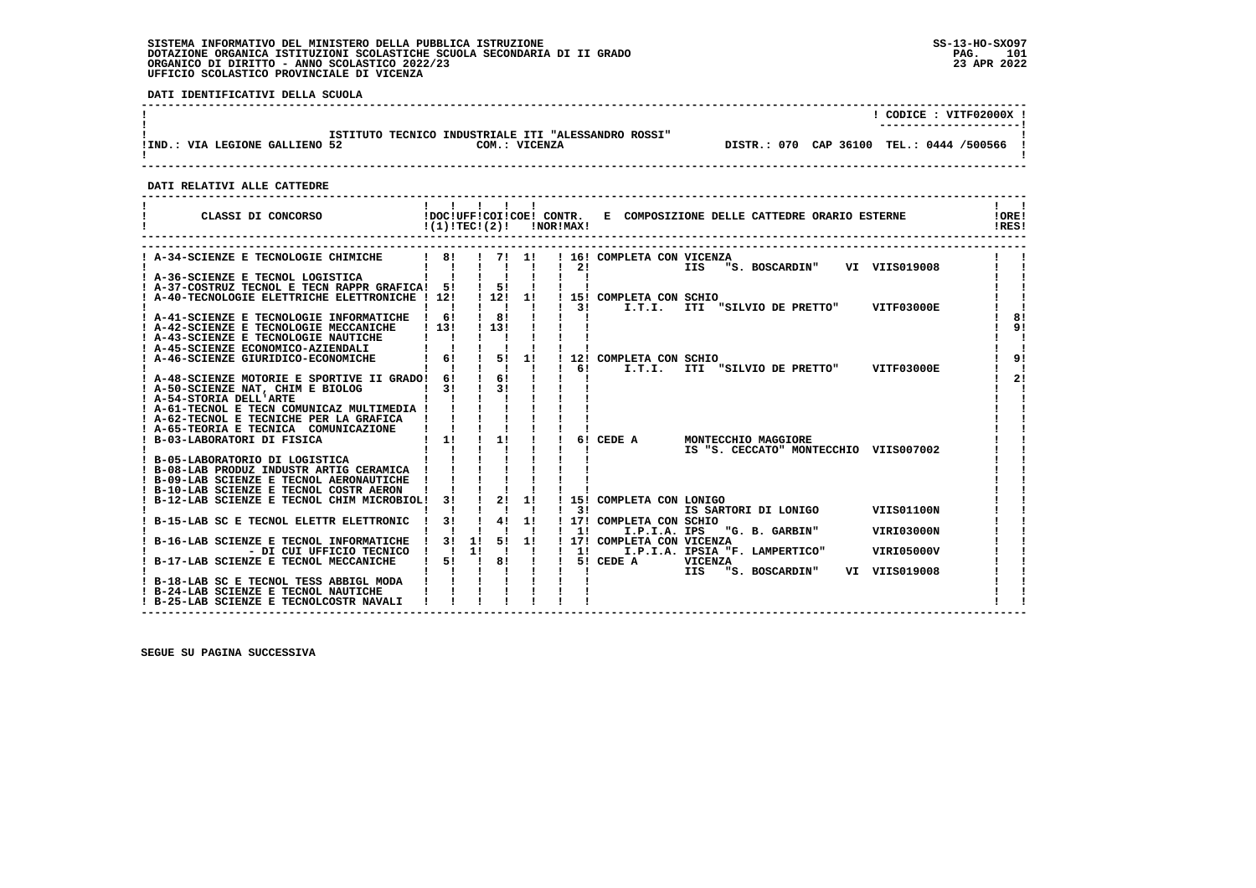**DATI IDENTIFICATIVI DELLA SCUOLA**

|                                |                                                                      | CODICE: VITF02000X !<br>---------------------- |
|--------------------------------|----------------------------------------------------------------------|------------------------------------------------|
| !IND.: VIA LEGIONE GALLIENO 52 | ISTITUTO TECNICO INDUSTRIALE ITI "ALESSANDRO ROSSI"<br>COM.: VICENZA | DISTR.: 070 CAP 36100 TEL.: 0444 /500566       |
|                                |                                                                      |                                                |

 **------------------------------------------------------------------------------------------------------------------------------------**

 **DATI RELATIVI ALLE CATTEDRE**

| CLASSI DI CONCORSO           IDOCIUFFICOIICOE! CONTR. E COMPOSIZIONE DELLE CATTEDRE ORARIO ESTERNE                         | !(1)!TEC!(2)!                         |                                            |    | !NOR!MAX!                 |                                             |                       |                                                              |                   | ! ORE!<br>!RES! |
|----------------------------------------------------------------------------------------------------------------------------|---------------------------------------|--------------------------------------------|----|---------------------------|---------------------------------------------|-----------------------|--------------------------------------------------------------|-------------------|-----------------|
| ! A-34-SCIENZE E TECNOLOGIE CHIMICHE                                                                                       | $1 \t81 \t171 \t11$<br>$\blacksquare$ | $\blacksquare$                             |    | $1 \quad 21$              | ! 16! COMPLETA CON VICENZA                  |                       | IIS "S. BOSCARDIN" VI VIIS019008                             |                   |                 |
| ! A-36-SCIENZE E TECNOL LOGISTICA                                                                                          |                                       |                                            |    |                           |                                             |                       |                                                              |                   |                 |
| ! A-37-COSTRUZ TECNOL E TECN RAPPR GRAFICA! 5! ! 5!<br>! A-40-TECNOLOGIE ELETTRICHE ELETTRONICHE ! 12!                     |                                       | $\begin{array}{ccc} 1 & 1 & 1 \end{array}$ |    | $\frac{1}{3}$             | ! 12! 1! ! 15! COMPLETA CON SCHIO<br>I.T.I. |                       | ITI "SILVIO DE PRETTO"                                       | VITF03000E        |                 |
| ! A-41-SCIENZE E TECNOLOGIE INFORMATICHE<br>! A-42-SCIENZE E TECNOLOGIE MECCANICHE                                         | $\frac{1}{6}$<br>1131                 | $\overline{1}$ 81<br>1 1 3 1               |    |                           |                                             |                       |                                                              |                   | 81<br>91        |
| ! A-43-SCIENZE E TECNOLOGIE NAUTICHE<br>! A-45-SCIENZE ECONOMICO-AZIENDALI                                                 |                                       |                                            |    |                           |                                             |                       |                                                              |                   |                 |
| ! A-46-SCIENZE GIURIDICO-ECONOMICHE                                                                                        | $1 \t6!$ $1 \t5!$ 1!                  | $1 \quad 1 \quad 1$                        |    | 61                        | 12! COMPLETA CON SCHIO                      |                       | I.T.I. ITI "SILVIO DE PRETTO" VITF03000E                     |                   | 91              |
| ! A-48-SCIENZE MOTORIE E SPORTIVE II GRADO! 6! ! 6!<br>! A-50-SCIENZE NAT, CHIM E BIOLOG                                   | $1 \quad 31$                          | $\frac{1}{3}$                              |    |                           |                                             |                       |                                                              |                   | 21              |
| ! A-54-STORIA DELL'ARTE<br>! A-61-TECNOL E TECN COMUNICAZ MULTIMEDIA !                                                     |                                       |                                            |    |                           |                                             |                       |                                                              |                   |                 |
| ! A-62-TECNOL E TECNICHE PER LA GRAFICA !<br>! A-65-TEORIA E TECNICA COMUNICAZIONE                                         |                                       |                                            |    |                           |                                             |                       |                                                              |                   |                 |
| ! B-03-LABORATORI DI FISICA                                                                                                |                                       |                                            |    |                           | 6! CEDE A                                   |                       | MONTECCHIO MAGGIORE<br>IS "S. CECCATO" MONTECCHIO VIIS007002 |                   |                 |
| ! B-05-LABORATORIO DI LOGISTICA<br>! B-08-LAB PRODUZ INDUSTR ARTIG CERAMICA !                                              |                                       |                                            |    |                           |                                             |                       |                                                              |                   |                 |
| ! B-09-LAB SCIENZE E TECNOL AERONAUTICHE<br>! B-10-LAB SCIENZE E TECNOL COSTR AERON                                        |                                       |                                            |    |                           |                                             |                       |                                                              |                   |                 |
| B-12-LAB SCIENZE E TECNOL CHIM MICROBIOL!                                                                                  | 3 I                                   | $1 \quad 2! \quad 1!$                      |    | $1 \quad 31$              | ! 15! COMPLETA CON LONIGO                   |                       | IS SARTORI DI LONIGO                                         | <b>VIIS01100N</b> |                 |
| ! B-15-LAB SC E TECNOL ELETTR ELETTRONIC ! 3!                                                                              | $\mathbf{I}$ $\mathbf{I}$             | 4!<br>$\mathbf{I}$ $\mathbf{I}$            | 11 | $1 \quad 11$              | ! 17! COMPLETA CON SCHIO<br>I.P.I.A. IPS    |                       | "G. B. GARBIN"                                               | <b>VIRI03000N</b> |                 |
| B-16-LAB SCIENZE E TECNOL INFORMATICHE ! 3! 1! 5! 1!<br>- DI CUI UFFICIO TECNICO ! ! 1! ! !                                |                                       |                                            |    |                           | ! 17! COMPLETA CON VICENZA                  |                       | ! 1! I.P.I.A. IPSIA "F. LAMPERTICO"                          | VIRI05000V        |                 |
| B-17-LAB SCIENZE E TECNOL MECCANICHE                                                                                       |                                       | 5!! 8!!!                                   |    | $\mathbf{I}$ $\mathbf{I}$ | 5! CEDE A                                   | <b>VICENZA</b><br>IIS | "S. BOSCARDIN"                                               | VI VIIS019008     |                 |
| ! B-18-LAB SC E TECNOL TESS ABBIGL MODA<br>! B-24-LAB SCIENZE E TECNOL NAUTICHE<br>! B-25-LAB SCIENZE E TECNOLCOSTR NAVALI |                                       |                                            |    |                           |                                             |                       |                                                              |                   |                 |

 **------------------------------------------------------------------------------------------------------------------------------------**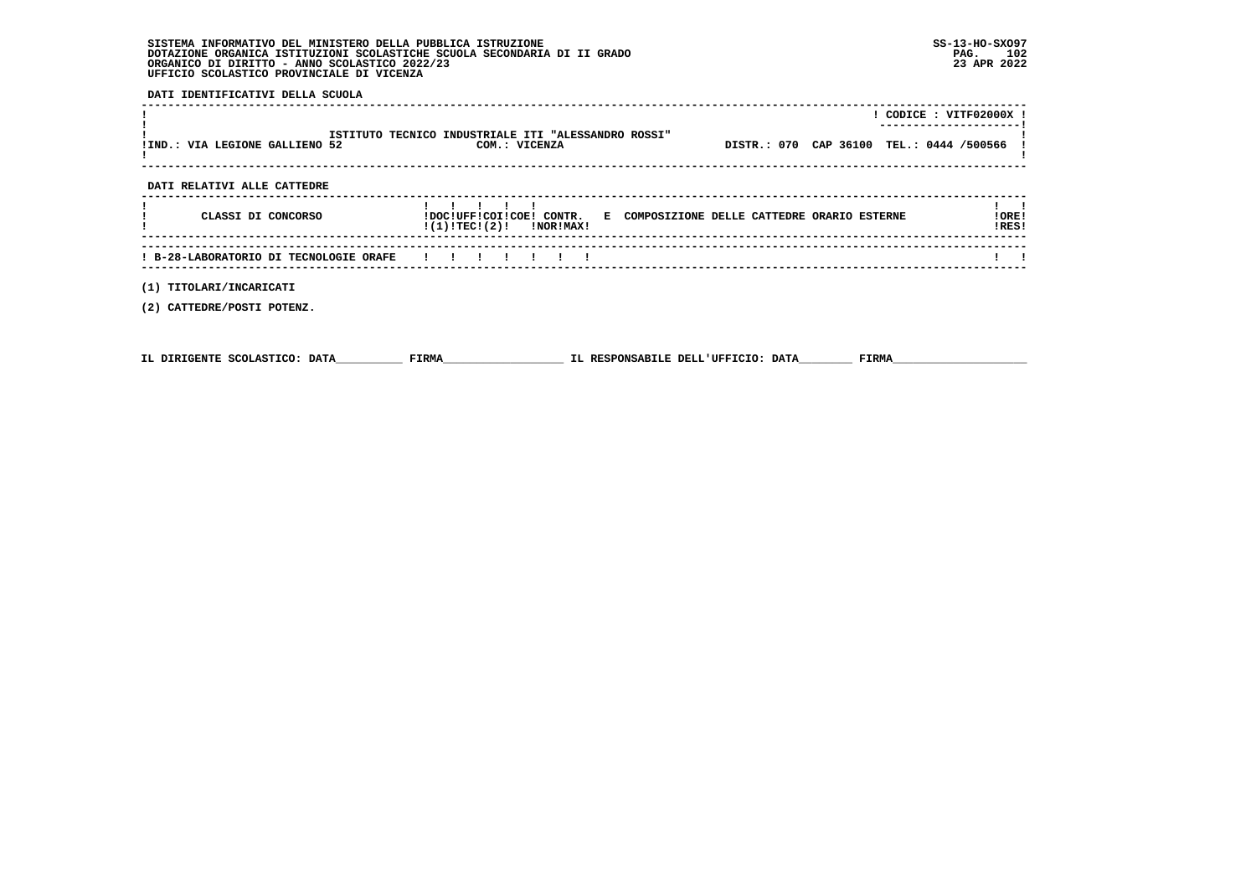**DATI IDENTIFICATIVI DELLA SCUOLA**

|                                        |                                                                                                      |                                          | ! CODICE : VITF02000X ! |
|----------------------------------------|------------------------------------------------------------------------------------------------------|------------------------------------------|-------------------------|
| !IND.: VIA LEGIONE GALLIENO 52         | ISTITUTO TECNICO INDUSTRIALE ITI "ALESSANDRO ROSSI"<br>COM.: VICENZA                                 | DISTR.: 070 CAP 36100 TEL.: 0444 /500566 |                         |
| DATI RELATIVI ALLE CATTEDRE            |                                                                                                      |                                          |                         |
| CLASSI DI CONCORSO                     | !DOC!UFF!COI!COE! CONTR. E COMPOSIZIONE DELLE CATTEDRE ORARIO ESTERNE<br>$!(1)!TEC!(2)!$ $INORIMAX!$ |                                          | !ORE!<br>!RES!          |
| ! B-28-LABORATORIO DI TECNOLOGIE ORAFE |                                                                                                      |                                          |                         |
| (1) TITOLARI/INCARICATI                |                                                                                                      |                                          |                         |

 **(2) CATTEDRE/POSTI POTENZ.**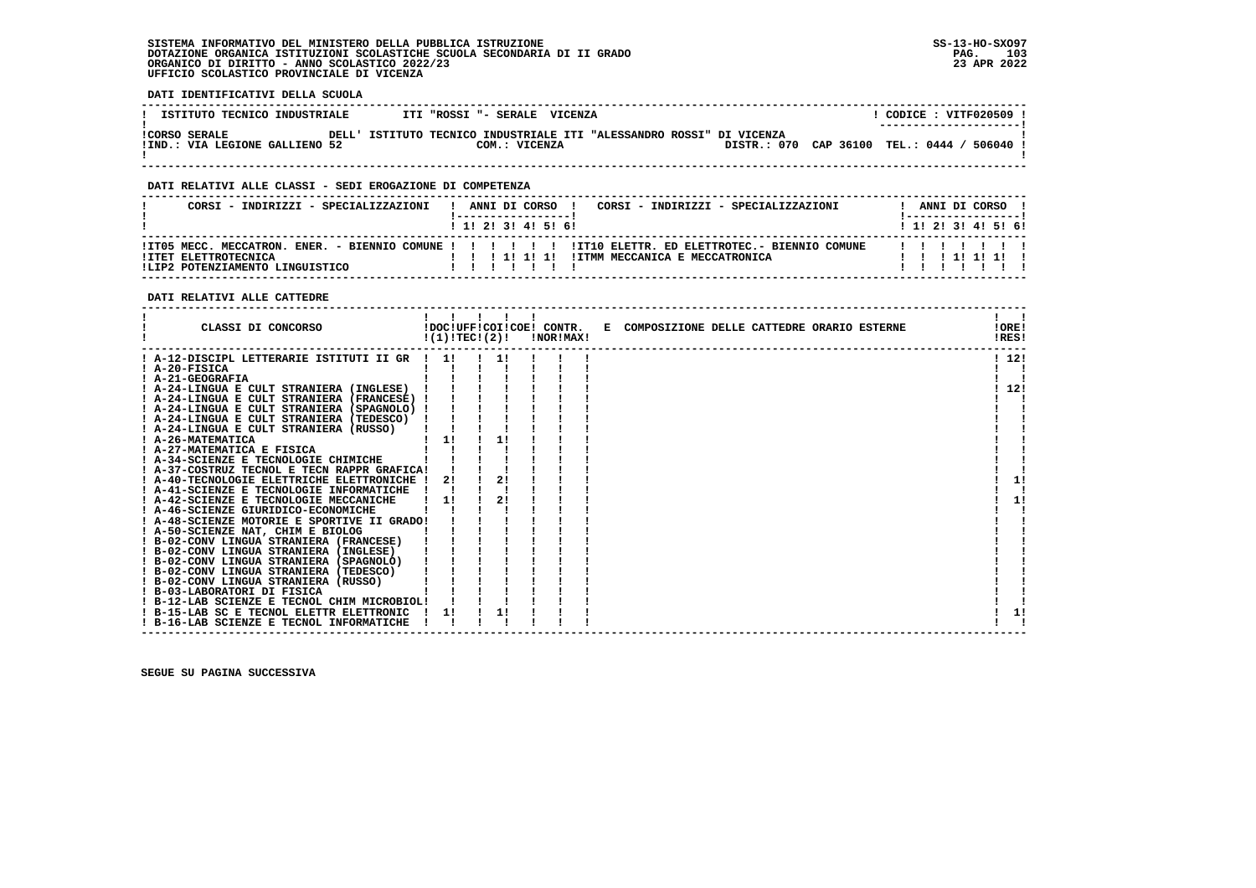## **DATI IDENTIFICATIVI DELLA SCUOLA**

| ISTITUTO TECNICO INDUSTRIALE                           | ITI "ROSSI "- SERALE VICENZA                                                          | $CODICE: VITF020509$ !<br>--------------------- |
|--------------------------------------------------------|---------------------------------------------------------------------------------------|-------------------------------------------------|
| <b>!CORSO SERALE</b><br>!IND.: VIA LEGIONE GALLIENO 52 | DELL' ISTITUTO TECNICO INDUSTRIALE ITI "ALESSANDRO ROSSI" DI VICENZA<br>COM.: VICENZA | DISTR.: 070 CAP 36100 TEL.: 0444 / 506040       |

 **------------------------------------------------------------------------------------------------------------------------------------**

## **DATI RELATIVI ALLE CLASSI - SEDI EROGAZIONE DI COMPETENZA**

| CORSI - INDIRIZZI - SPECIALIZZAZIONI                                                                                          |  |  |                   | ANNI DI CORSO ! | CORSI - INDIRIZZI - SPECIALIZZAZIONI |  |  |  | ANNI DI CORSO !      |  |  |
|-------------------------------------------------------------------------------------------------------------------------------|--|--|-------------------|-----------------|--------------------------------------|--|--|--|----------------------|--|--|
|                                                                                                                               |  |  | 1 1 2 3 3 4 5 5 6 |                 |                                      |  |  |  | 1 1 2 3 3 4 5 5 6 1  |  |  |
| ITO5 MECC. MECCATRON. ENER. - BIENNIO COMUNE ! ! ! !!!!!! ITIO ELETTR. ED ELETTROTEC.- BIENNIO COMUNE<br>!ITET ELETTROTECNICA |  |  |                   |                 |                                      |  |  |  | 1111111<br>111111111 |  |  |
| !LIP2 POTENZIAMENTO LINGUISTICO                                                                                               |  |  |                   |                 |                                      |  |  |  |                      |  |  |

## **DATI RELATIVI ALLE CATTEDRE**

| CLASSI DI CONCORSO                          | !DOC!UFF!COI!COE! CONTR.<br>!(1)!TECI(2)! |    | !NOR!MAX! | E COMPOSIZIONE DELLE CATTEDRE ORARIO ESTERNE | !ORE!<br>!RES! |      |
|---------------------------------------------|-------------------------------------------|----|-----------|----------------------------------------------|----------------|------|
| ! A-12-DISCIPL LETTERARIE ISTITUTI II GR    |                                           |    |           |                                              |                | 1121 |
| ! A-20-FISICA                               |                                           |    |           |                                              |                |      |
| ! A-21-GEOGRAFIA                            |                                           |    |           |                                              |                |      |
| ! A-24-LINGUA E CULT STRANIERA (INGLESE)    |                                           |    |           |                                              |                | 12!  |
| ! A-24-LINGUA E CULT STRANIERA (FRANCESE)   |                                           |    |           |                                              |                |      |
| ! A-24-LINGUA E CULT STRANIERA (SPAGNOLO)   |                                           |    |           |                                              |                |      |
| ! A-24-LINGUA E CULT STRANIERA (TEDESCO)    |                                           |    |           |                                              |                |      |
| ! A-24-LINGUA E CULT STRANIERA (RUSSO)      |                                           |    |           |                                              |                |      |
| <b>A-26-MATEMATICA</b>                      | 11                                        | 11 |           |                                              |                |      |
| ! A-27-MATEMATICA E FISICA                  |                                           |    |           |                                              |                |      |
| ! A-34-SCIENZE E TECNOLOGIE CHIMICHE        |                                           |    |           |                                              |                |      |
| ! A-37-COSTRUZ TECNOL E TECN RAPPR GRAFICA! |                                           |    |           |                                              |                |      |
| ! A-40-TECNOLOGIE ELETTRICHE ELETTRONICHE   | 2!                                        | 2! |           |                                              |                | 11   |
| ! A-41-SCIENZE E TECNOLOGIE INFORMATICHE    |                                           |    |           |                                              |                |      |
| A-42-SCIENZE E TECNOLOGIE MECCANICHE        | 11                                        | 2! |           |                                              |                | 1!   |
| ! A-46-SCIENZE GIURIDICO-ECONOMICHE         |                                           |    |           |                                              |                |      |
| ! A-48-SCIENZE MOTORIE E SPORTIVE II GRADO! |                                           |    |           |                                              |                |      |
| ! A-50-SCIENZE NAT, CHIM E BIOLOG           |                                           |    |           |                                              |                |      |
| ! B-02-CONV LINGUA STRANIERA (FRANCESE)     |                                           |    |           |                                              |                |      |
| ! B-02-CONV LINGUA STRANIERA (INGLESE)      |                                           |    |           |                                              |                |      |
| ! B-02-CONV LINGUA STRANIERA (SPAGNOLO)     |                                           |    |           |                                              |                |      |
| ! B-02-CONV LINGUA STRANIERA (TEDESCO)      |                                           |    |           |                                              |                |      |
| ! B-02-CONV LINGUA STRANIERA (RUSSO)        |                                           |    |           |                                              |                |      |
| ! B-03-LABORATORI DI FISICA                 |                                           |    |           |                                              |                |      |
| ! B-12-LAB SCIENZE E TECNOL CHIM MICROBIOL! |                                           |    |           |                                              |                |      |
| ! B-15-LAB SC E TECNOL ELETTR ELETTRONIC    |                                           |    |           |                                              |                | 1!   |
| ! B-16-LAB SCIENZE E TECNOL INFORMATICHE    |                                           |    |           |                                              |                |      |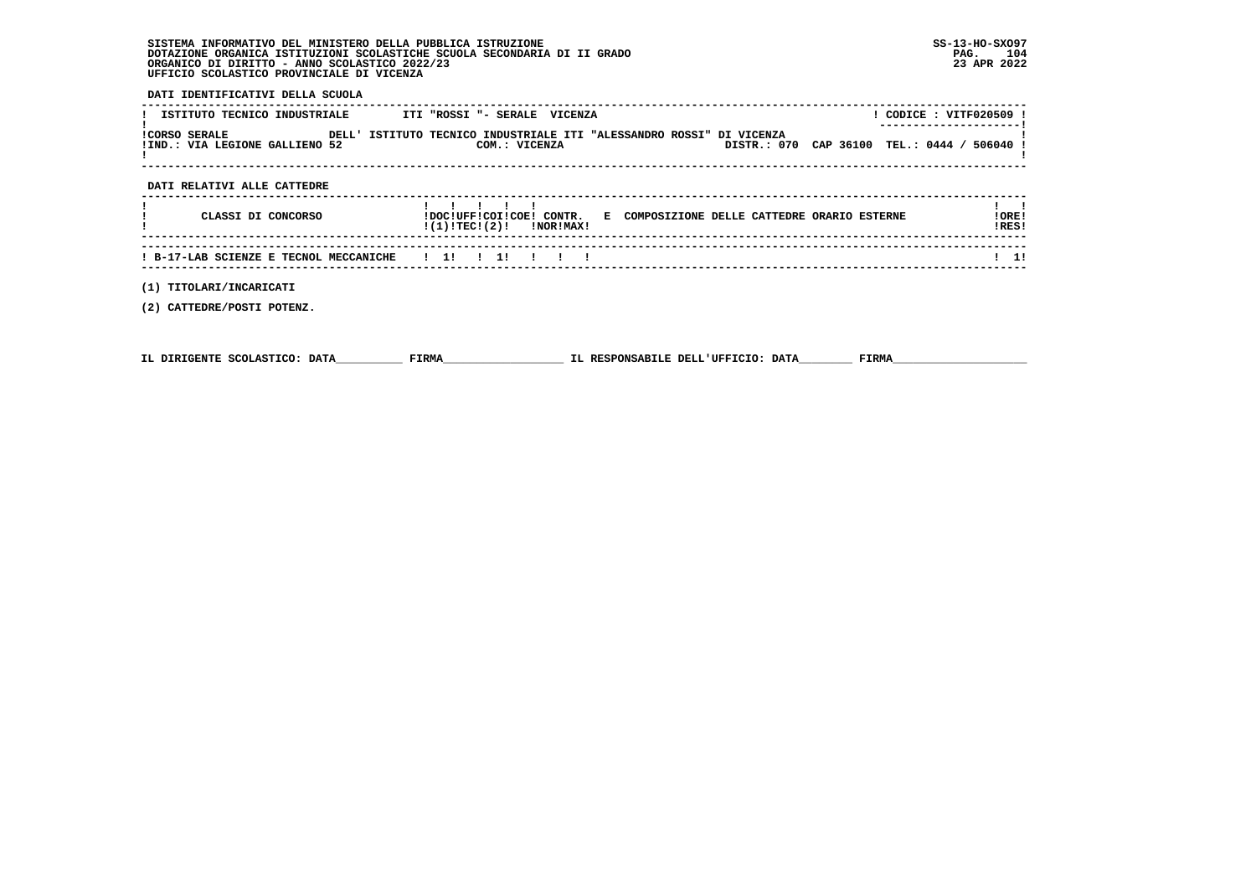## **DATI IDENTIFICATIVI DELLA SCUOLA**

| ISTITUTO TECNICO INDUSTRIALE                    | ITI "ROSSI "- SERALE VICENZA                                                          | CODICE: VITF020509 !<br>--------------------- |
|-------------------------------------------------|---------------------------------------------------------------------------------------|-----------------------------------------------|
| ICORSO SERALE<br>!IND.: VIA LEGIONE GALLIENO 52 | DELL' ISTITUTO TECNICO INDUSTRIALE ITI "ALESSANDRO ROSSI" DI VICENZA<br>COM.: VICENZA | DISTR.: 070 CAP 36100 TEL.: 0444 / 506040 !   |

## **DATI RELATIVI ALLE CATTEDRE**

| CLASSI DI CONCORSO | !DOC!UFF!COI!COE! CONTR.<br>E COMPOSIZIONE DELLE CATTEDRE ORARIO ESTERNE<br>$!(1)!TEC!(2)!$ $INORIMAX!$ | ! ORE !<br>IRES! |
|--------------------|---------------------------------------------------------------------------------------------------------|------------------|
|                    |                                                                                                         |                  |

 **------------------------------------------------------------------------------------------------------------------------------------**

 **(1) TITOLARI/INCARICATI**

 **(2) CATTEDRE/POSTI POTENZ.**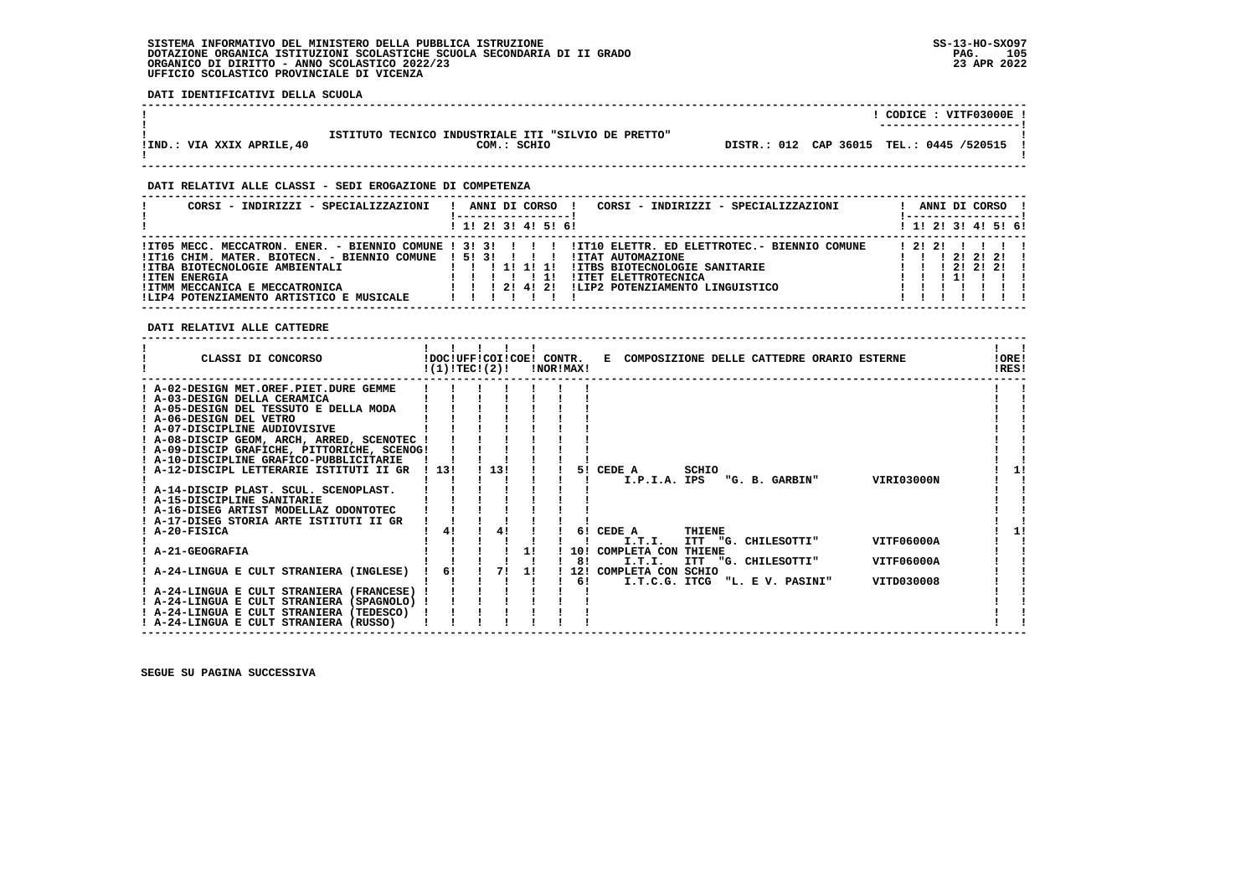**DATI IDENTIFICATIVI DELLA SCUOLA**

|                            |                                                     |  | CODICE: VITF03000E!                      |
|----------------------------|-----------------------------------------------------|--|------------------------------------------|
|                            |                                                     |  | ----------------------                   |
|                            | ISTITUTO TECNICO INDUSTRIALE ITI "SILVIO DE PRETTO" |  |                                          |
| IIND.: VIA XXIX APRILE, 40 | COM.: SCHIO                                         |  | DISTR.: 012 CAP 36015 TEL.: 0445 /520515 |
|                            |                                                     |  |                                          |

 **------------------------------------------------------------------------------------------------------------------------------------**

 **------------------------------------------------------------------------------------------------------------------------------------**

## **DATI RELATIVI ALLE CLASSI - SEDI EROGAZIONE DI COMPETENZA**

| CORSI - INDIRIZZI - SPECIALIZZAZIONI                                                                                                                                                               | ANNI DI CORSO !<br>CORSI - INDIRIZZI - SPECIALIZZAZIONI                                                                                                                                                                                                             | ANNI DI CORSO !<br>! ------------------                 |
|----------------------------------------------------------------------------------------------------------------------------------------------------------------------------------------------------|---------------------------------------------------------------------------------------------------------------------------------------------------------------------------------------------------------------------------------------------------------------------|---------------------------------------------------------|
|                                                                                                                                                                                                    | ! 1! 2! 3! 4! 5! 6!                                                                                                                                                                                                                                                 | $1 \; 1 \; 2 \; 3 \; 3 \; 4 \; 5 \; 6 \; 6$             |
| !IT16 CHIM. MATER. BIOTECN. - BIENNIO COMUNE ! 5! 3! ! ! !<br>!ITBA BIOTECNOLOGIE AMBIENTALI<br><b>!ITEN ENERGIA</b><br>!ITMM MECCANICA E MECCATRONICA<br>!LIP4 POTENZIAMENTO ARTISTICO E MUSICALE | ITO5 MECC. MECCATRON. ENER. - BIENNIO COMUNE ! 3! 3! ! ! ! !ITIO ELETTR. ED ELETTROTEC. - BIENNIO COMUNE<br>!ITAT AUTOMAZIONE<br>1 11 11 11<br><b>!ITBS BIOTECNOLOGIE SANITARIE</b><br>!ITET ELETTROTECNICA<br>ILIP2 POTENZIAMENTO LINGUISTICO<br>1 1 1 2 1 4 1 2 1 | 1 2 1 2 1 1 1 1 1<br>1 1 1 2 1 2 1 2 1<br>1 2 1 2 1 2 1 |

 **DATI RELATIVI ALLE CATTEDRE**

| CLASSI DI CONCORSO                          |      |    | !DOC!UFF!COI!COE! CONTR.<br>!(1)!TEC!(2)! |    | !NOR!MAX! |           | E COMPOSIZIONE DELLE CATTEDRE ORARIO ESTERNE                       | !ORE!<br>!RES! |
|---------------------------------------------|------|----|-------------------------------------------|----|-----------|-----------|--------------------------------------------------------------------|----------------|
| ! A-02-DESIGN MET.OREF.PIET.DURE GEMME      |      |    |                                           |    |           |           |                                                                    |                |
| ! A-03-DESIGN DELLA CERAMICA                |      |    |                                           |    |           |           |                                                                    |                |
| ! A-05-DESIGN DEL TESSUTO E DELLA MODA      |      |    |                                           |    |           |           |                                                                    |                |
| ! A-06-DESIGN DEL VETRO                     |      |    |                                           |    |           |           |                                                                    |                |
| ! A-07-DISCIPLINE AUDIOVISIVE               |      |    |                                           |    |           |           |                                                                    |                |
| ! A-08-DISCIP GEOM, ARCH, ARRED, SCENOTEC ! |      |    |                                           |    |           |           |                                                                    |                |
| ! A-09-DISCIP GRAFICHE, PITTORICHE, SCENOG! |      |    |                                           |    |           |           |                                                                    |                |
| ! A-10-DISCIPLINE GRAFICO-PUBBLICITARIE     |      |    |                                           |    |           |           |                                                                    |                |
| ! A-12-DISCIPL LETTERARIE ISTITUTI II GR    | 1131 |    | 13!                                       |    |           | 51.       | CEDE A<br>SCHIO                                                    |                |
|                                             |      |    |                                           |    |           |           | <b>VIRI03000N</b><br>I.P.I.A. IPS<br>"G. B. GARBIN"                |                |
| ! A-14-DISCIP PLAST. SCUL. SCENOPLAST.      |      |    |                                           |    |           |           |                                                                    |                |
| ! A-15-DISCIPLINE SANITARIE                 |      |    |                                           |    |           |           |                                                                    |                |
| ! A-16-DISEG ARTIST MODELLAZ ODONTOTEC      |      |    |                                           |    |           |           |                                                                    |                |
| ! A-17-DISEG STORIA ARTE ISTITUTI II GR     |      |    |                                           |    |           |           |                                                                    |                |
| ! A-20-FISICA                               |      | 41 | 4!                                        |    |           |           | 6! CEDE A<br>THIENE                                                |                |
|                                             |      |    |                                           |    |           |           | <b>VITF06000A</b><br>I.T.I.<br>ITT "G. CHILESOTTI"                 |                |
| A-21-GEOGRAFIA                              |      |    |                                           | 11 |           | 10!<br>8! | COMPLETA CON THIENE<br>I.T.I.<br>VITF06000A<br>ITT "G. CHILESOTTI" |                |
| A-24-LINGUA E CULT STRANIERA (INGLESE)      | 6!   |    | 71                                        | 11 |           | 12!       | COMPLETA CON SCHIO                                                 |                |
|                                             |      |    |                                           |    |           | 61        | VITD030008<br>I.T.C.G. ITCG<br>"L. E V. PASINI"                    |                |
| ! A-24-LINGUA E CULT STRANIERA (FRANCESE)   |      |    |                                           |    |           |           |                                                                    |                |
| ! A-24-LINGUA E CULT STRANIERA (SPAGNOLO)   |      |    |                                           |    |           |           |                                                                    |                |
| ! A-24-LINGUA E CULT STRANIERA (TEDESCO)    |      |    |                                           |    |           |           |                                                                    |                |
| ! A-24-LINGUA E CULT STRANIERA (RUSSO)      |      |    |                                           |    |           |           |                                                                    |                |
|                                             |      |    |                                           |    |           |           |                                                                    |                |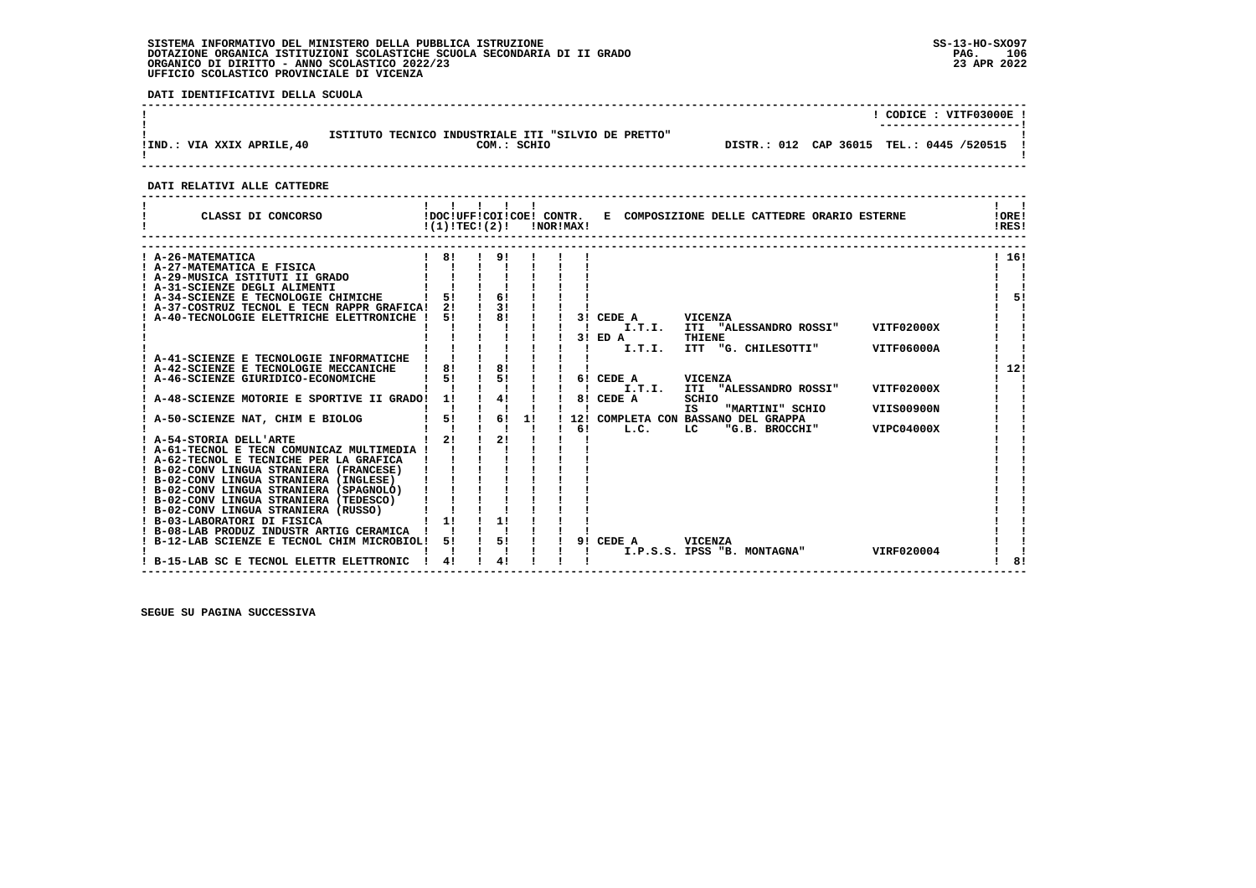**DATI IDENTIFICATIVI DELLA SCUOLA**

| !IND.: VIA XXIX APRILE, 40 | ISTITUTO TECNICO INDUSTRIALE ITI "SILVIO DE PRETTO"<br>COM.: SCHIO | CODICE: VITF03000E!<br>DISTR.: 012 CAP 36015 TEL.: 0445 /520515 ! |  |
|----------------------------|--------------------------------------------------------------------|-------------------------------------------------------------------|--|
|                            |                                                                    |                                                                   |  |

## **DATI RELATIVI ALLE CATTEDRE**

| CLASSI DI CONCORSO                          | !DOC!UFF!COI!COE! CONTR.<br>!(1)!TECI(2)! |    |    | !NOR!MAX! |     | E COMPOSIZIONE DELLE CATTEDRE ORARIO ESTERNE                 | !ORE!<br>IRES! |
|---------------------------------------------|-------------------------------------------|----|----|-----------|-----|--------------------------------------------------------------|----------------|
| ! A-26-MATEMATICA                           | 81                                        | 91 |    |           |     |                                                              | ! 16!          |
| A-27-MATEMATICA E FISICA                    |                                           |    |    |           |     |                                                              |                |
| A-29-MUSICA ISTITUTI II GRADO               |                                           |    |    |           |     |                                                              |                |
| A-31-SCIENZE DEGLI ALIMENTI                 |                                           |    |    |           |     |                                                              |                |
| A-34-SCIENZE E TECNOLOGIE CHIMICHE          | 51                                        | 61 |    |           |     |                                                              | 51             |
| A-37-COSTRUZ TECNOL E TECN RAPPR GRAFICA!   | 2!                                        | 31 |    |           |     |                                                              |                |
| A-40-TECNOLOGIE ELETTRICHE ELETTRONICHE     | 51                                        | 81 |    |           |     | 3! CEDE A<br><b>VICENZA</b>                                  |                |
|                                             |                                           |    |    |           |     | I.T.I.<br>VITF02000X<br>ITI "ALESSANDRO ROSSI"               |                |
|                                             |                                           |    |    |           |     | <b>THIENE</b><br>3! ED A                                     |                |
|                                             |                                           |    |    |           |     | I.T.I.<br><b>ITT</b><br>"G. CHILESOTTI"<br><b>VITF06000A</b> |                |
| ! A-41-SCIENZE E TECNOLOGIE INFORMATICHE    |                                           |    |    |           |     |                                                              |                |
| A-42-SCIENZE E TECNOLOGIE MECCANICHE        | 81                                        | 81 |    |           |     |                                                              | 12!            |
| A-46-SCIENZE GIURIDICO-ECONOMICHE           | 51                                        | 51 |    |           |     | 6! CEDE A<br><b>VICENZA</b>                                  |                |
|                                             |                                           |    |    |           |     | VITF02000X<br>I.T.I.<br>ITI "ALESSANDRO ROSSI"               |                |
| A-48-SCIENZE MOTORIE E SPORTIVE II GRADO!   | 1!                                        | 4! |    |           | 81  | SCHIO<br>CEDE A                                              |                |
|                                             |                                           |    |    |           |     | "MARTINI" SCHIO<br><b>VIIS00900N</b><br>IS                   |                |
| A-50-SCIENZE NAT, CHIM E BIOLOG             | 5!                                        | 6! | 1! |           | 12! | COMPLETA CON BASSANO DEL GRAPPA                              |                |
| ! A-54-STORIA DELL'ARTE                     | 21                                        | 21 |    |           | 61  | L.C.<br>LC<br>"G.B. BROCCHI"<br>VIPC04000X                   |                |
| ! A-61-TECNOL E TECN COMUNICAZ MULTIMEDIA ! |                                           |    |    |           |     |                                                              |                |
| ! A-62-TECNOL E TECNICHE PER LA GRAFICA     |                                           |    |    |           |     |                                                              |                |
| ! B-02-CONV LINGUA STRANIERA (FRANCESE)     |                                           |    |    |           |     |                                                              |                |
| ! B-02-CONV LINGUA STRANIERA (INGLESE)      |                                           |    |    |           |     |                                                              |                |
| ! B-02-CONV LINGUA STRANIERA (SPAGNOLO)     |                                           |    |    |           |     |                                                              |                |
| ! B-02-CONV LINGUA STRANIERA (TEDESCO)      |                                           |    |    |           |     |                                                              |                |
| ! B-02-CONV LINGUA STRANIERA (RUSSO)        |                                           |    |    |           |     |                                                              |                |
| ! B-03-LABORATORI DI FISICA                 | 1!                                        | 1! |    |           |     |                                                              |                |
| ! B-08-LAB PRODUZ INDUSTR ARTIG CERAMICA    |                                           |    |    |           |     |                                                              |                |
| B-12-LAB SCIENZE E TECNOL CHIM MICROBIOL!   | 51                                        | 5! |    |           | 91  | CEDE A<br>VICENZA                                            |                |
|                                             |                                           |    |    |           |     | I.P.S.S. IPSS "B. MONTAGNA"<br>VIRF020004                    |                |
| B-15-LAB SC E TECNOL ELETTR ELETTRONIC      | 4!                                        | 4! |    |           |     |                                                              | 81             |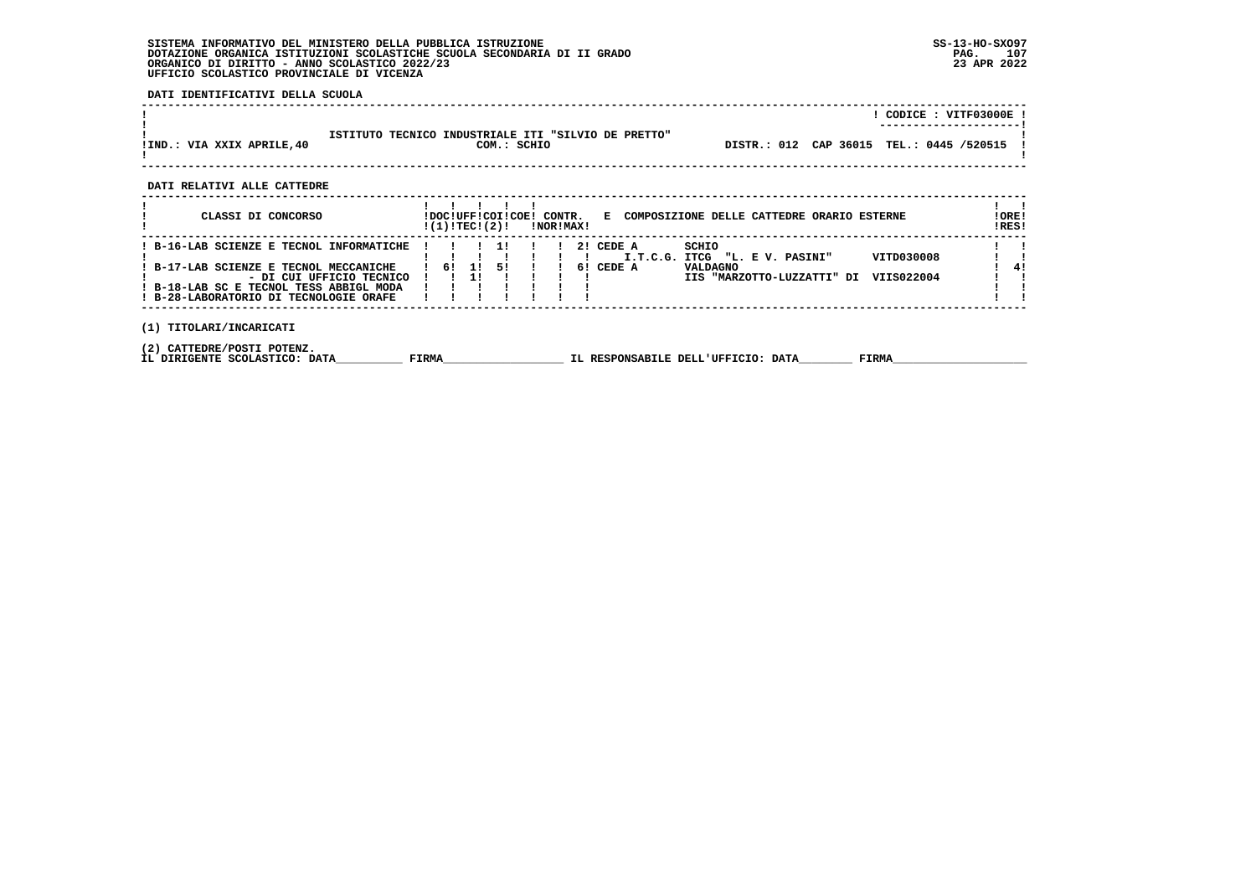**DATI IDENTIFICATIVI DELLA SCUOLA**

|                            |                                                                    | CODICE: VITF03000E !<br>----------------------- |
|----------------------------|--------------------------------------------------------------------|-------------------------------------------------|
| IIND.: VIA XXIX APRILE, 40 | ISTITUTO TECNICO INDUSTRIALE ITI "SILVIO DE PRETTO"<br>COM.: SCHIO | DISTR.: 012 CAP 36015 TEL.: 0445 /520515 !      |

 **------------------------------------------------------------------------------------------------------------------------------------**

 **DATI RELATIVI ALLE CATTEDRE**

| CLASSI DI CONCORSO                                                                                                                                                                                  |  |    | !(1)!TECI(2)! | !DOC!UFF!COI!COE! |  | CONTR.<br>!NOR!MAX! |    |                     | E COMPOSIZIONE DELLE CATTEDRE ORARIO ESTERNE                                                                  | ! ORE!<br>!RES! |
|-----------------------------------------------------------------------------------------------------------------------------------------------------------------------------------------------------|--|----|---------------|-------------------|--|---------------------|----|---------------------|---------------------------------------------------------------------------------------------------------------|-----------------|
| ! B-16-LAB SCIENZE E TECNOL INFORMATICHE<br>: B-17-LAB SCIENZE E TECNOL MECCANICHE<br>- DI CUI UFFICIO TECNICO<br>! B-18-LAB SC E TECNOL TESS ABBIGL MODA<br>! B-28-LABORATORIO DI TECNOLOGIE ORAFE |  | 61 |               | 51                |  |                     | 61 | 2! CEDE A<br>CEDE A | SCHIO<br>VITD030008<br>I.T.C.G. ITCG "L. E V. PASINI"<br>VALDAGNO<br>VIIS022004<br>IIS "MARZOTTO-LUZZATTI" DI | 41              |
| TITOLARI/INCARICATI<br>(1)                                                                                                                                                                          |  |    |               |                   |  |                     |    |                     |                                                                                                               |                 |

 **(2) CATTEDRE/POSTI POTENZ.**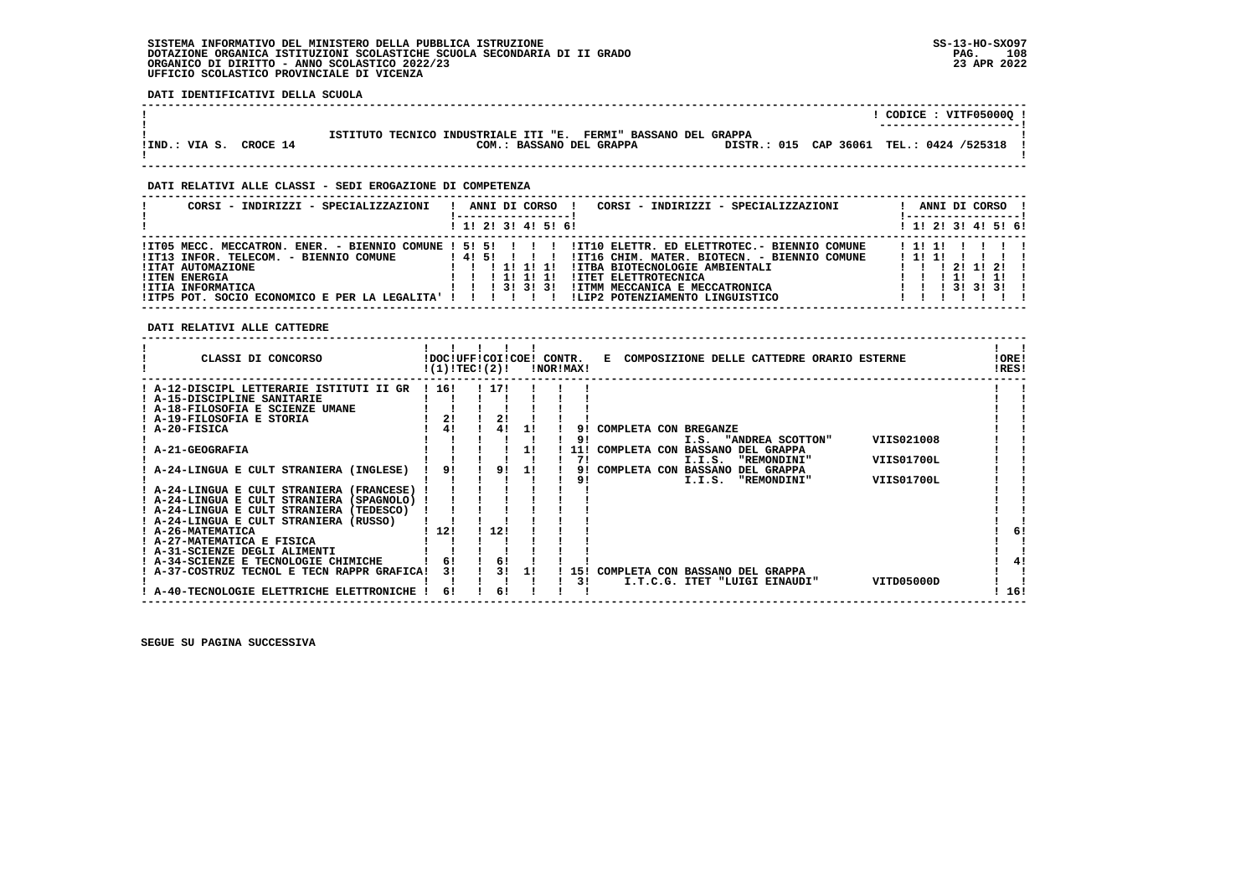**DATI IDENTIFICATIVI DELLA SCUOLA**

|               |          |                                                                                               |  | CODICE: VITF05000Q !<br>---------------------- |
|---------------|----------|-----------------------------------------------------------------------------------------------|--|------------------------------------------------|
| !IND.: VIA S. | CROCE 14 | ISTITUTO TECNICO INDUSTRIALE ITI "E.<br>FERMI" BASSANO DEL GRAPPA<br>COM.: BASSANO DEL GRAPPA |  | DISTR.: 015 CAP 36061 TEL.: 0424 /525318       |

 **------------------------------------------------------------------------------------------------------------------------------------**

 **------------------------------------------------------------------------------------------------------------------------------------**

## **DATI RELATIVI ALLE CLASSI - SEDI EROGAZIONE DI COMPETENZA**

| CORSI - INDIRIZZI - SPECIALIZZAZIONI                                                                                                                                                                                                          | CORSI - INDIRIZZI - SPECIALIZZAZIONI<br>ANNI DI CORSO                                                                                                                                                                                                                                                     | ANNI DI CORSO !<br>! ------------------!                                                |
|-----------------------------------------------------------------------------------------------------------------------------------------------------------------------------------------------------------------------------------------------|-----------------------------------------------------------------------------------------------------------------------------------------------------------------------------------------------------------------------------------------------------------------------------------------------------------|-----------------------------------------------------------------------------------------|
|                                                                                                                                                                                                                                               | 1 1! 2! 3! 4! 5! 6!                                                                                                                                                                                                                                                                                       | $1$ 1! 2! 3! 4! 5! 6!                                                                   |
| $!ITO5 MECC. MECCATRON. ENER. - BIENTIO COMUNE ! 5! 5! 1 ! 1$<br>!IT13 INFOR. TELECOM. - BIENNIO COMUNE<br><b>!ITAT AUTOMAZIONE</b><br><b>!ITEN ENERGIA</b><br>!ITIA INFORMATICA<br>!ITP5 POT. SOCIO ECONOMICO E PER LA LEGALITA' ! ! ! ! ! ! | !IT10 ELETTR. ED ELETTROTEC.- BIENNIO COMUNE<br>14151 11<br>!IT16 CHIM. MATER. BIOTECN. - BIENNIO COMUNE<br>!ITBA BIOTECNOLOGIE AMBIENTALI<br><b>!ITET ELETTROTECNICA</b><br>11111<br>$1 \quad 1 \quad 1 \quad 31 \quad 31 \quad 31$<br>!ITMM MECCANICA E MECCATRONICA<br>ILIP2 POTENZIAMENTO LINGUISTICO | 11111<br>111111111<br>2111211<br>$1 \quad 1 \quad 1 \quad 31 \quad 31 \quad 31 \quad 1$ |

 **DATI RELATIVI ALLE CATTEDRE**

| CLASSI DI CONCORSO                          |       | !DOC!UFF!COI!COE!<br>!(1)!TEC!(2)! |    | CONTR.<br>!NOR!MAX! |            | COMPOSIZIONE DELLE CATTEDRE ORARIO ESTERNE<br>Е | !ORE!<br>!RES! |
|---------------------------------------------|-------|------------------------------------|----|---------------------|------------|-------------------------------------------------|----------------|
| ! A-12-DISCIPL LETTERARIE ISTITUTI II GR    | ! 16! | ! 17!                              |    |                     |            |                                                 |                |
| ! A-15-DISCIPLINE SANITARIE                 |       |                                    |    |                     |            |                                                 |                |
| A-18-FILOSOFIA E SCIENZE UMANE              |       |                                    |    |                     |            |                                                 |                |
| ! A-19-FILOSOFIA E STORIA                   | 2!    | 2!                                 |    |                     |            |                                                 |                |
| ! A-20-FISICA                               | 41    |                                    |    |                     | 91         | COMPLETA CON BREGANZE                           |                |
|                                             |       |                                    |    |                     | 91         | VIIS021008<br>I.S. "ANDREA SCOTTON"             |                |
| <b>A-21-GEOGRAFIA</b>                       |       |                                    | 11 |                     | <b>111</b> | COMPLETA CON BASSANO DEL GRAPPA                 |                |
|                                             |       |                                    |    |                     | 71         | VIIS01700L<br>I.I.S.<br>"REMONDINI"             |                |
| A-24-LINGUA E CULT STRANIERA (INGLESE)      | 91    | 91                                 | 11 |                     | 91         | COMPLETA CON<br>DEL GRAPPA<br><b>BASSANO</b>    |                |
|                                             |       |                                    |    |                     | 91         | I.I.S.<br>"REMONDINI"<br>VIIS01700L             |                |
| ! A-24-LINGUA E CULT STRANIERA (FRANCESE)   |       |                                    |    |                     |            |                                                 |                |
| ! A-24-LINGUA E CULT STRANIERA (SPAGNOLO)   |       |                                    |    |                     |            |                                                 |                |
| ! A-24-LINGUA E CULT STRANIERA (TEDESCO)    |       |                                    |    |                     |            |                                                 |                |
| ! A-24-LINGUA E CULT STRANIERA (RUSSO)      |       |                                    |    |                     |            |                                                 |                |
| ! A-26-MATEMATICA                           | ! 12! | 12!                                |    |                     |            |                                                 | 6!             |
| ! A-27-MATEMATICA E FISICA                  |       |                                    |    |                     |            |                                                 |                |
| ! A-31-SCIENZE DEGLI ALIMENTI               |       |                                    |    |                     |            |                                                 |                |
| ! A-34-SCIENZE E TECNOLOGIE CHIMICHE        |       | 6!                                 |    |                     |            |                                                 | 41             |
| ! A-37-COSTRUZ TECNOL E TECN RAPPR GRAFICA! | 31    | 31                                 | 11 |                     | -151       | COMPLETA CON BASSANO DEL GRAPPA                 |                |
|                                             |       |                                    |    |                     | 31         | VITD05000D<br>I.T.C.G. ITET "LUIGI EINAUDI"     |                |
| A-40-TECNOLOGIE ELETTRICHE ELETTRONICHE     | 61    | 6!                                 |    |                     |            |                                                 | 16!            |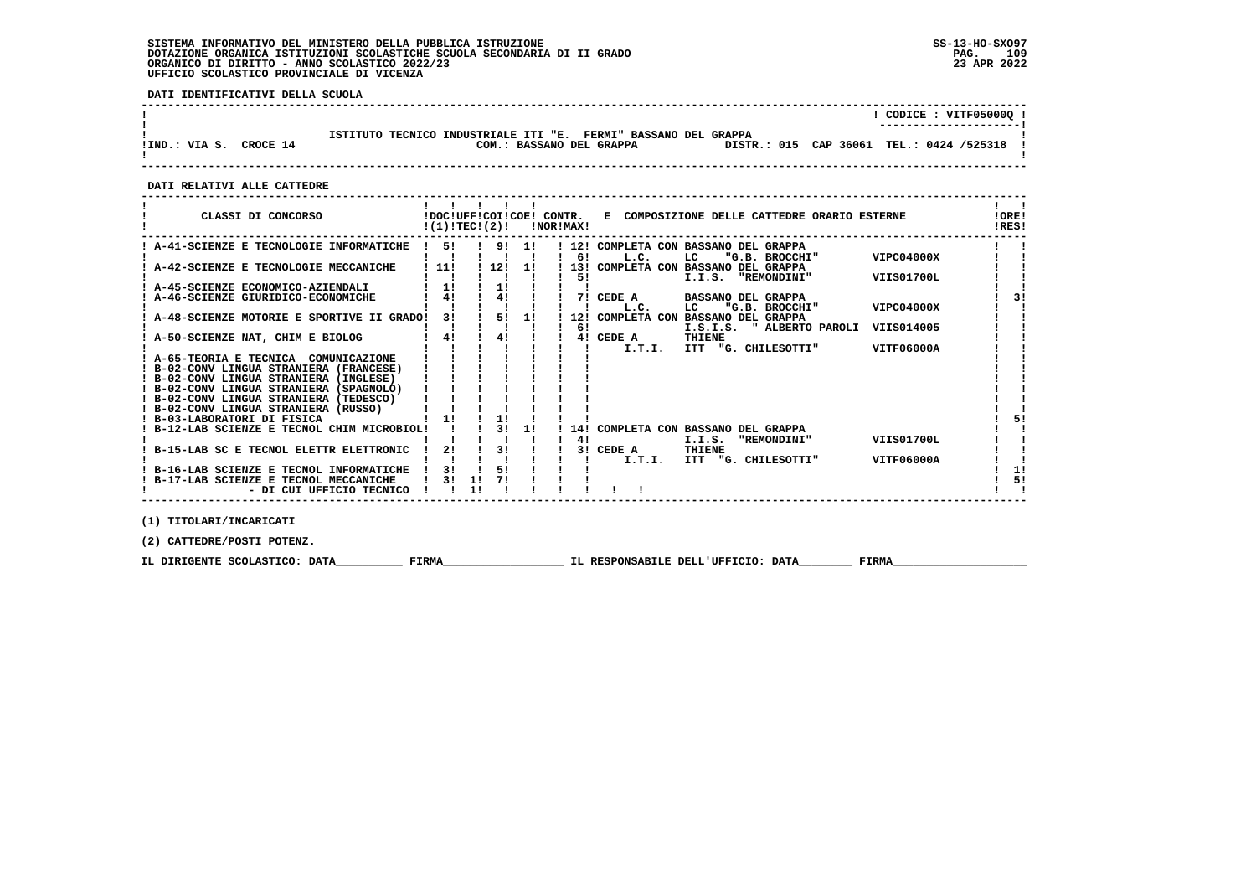## **SISTEMA INFORMATIVO DEL MINISTERO DELLA PUBBLICA ISTRUZIONE SS-13-HO-SXO97 DOTAZIONE ORGANICA ISTITUZIONI SCOLASTICHE SCUOLA SECONDARIA DI II GRADO PAG. 109**ORGANICO DI DIRITTO - ANNO SCOLASTICO 2022/23  **UFFICIO SCOLASTICO PROVINCIALE DI VICENZA**

 **DATI IDENTIFICATIVI DELLA SCUOLA**

|                        |                                                                                                                                          | CODICE : VITF05000Q !<br>---------------------- |
|------------------------|------------------------------------------------------------------------------------------------------------------------------------------|-------------------------------------------------|
| IIND.: VIA S. CROCE 14 | ISTITUTO TECNICO INDUSTRIALE ITI "E. FERMI" BASSANO DEL GRAPPA<br>DISTR.: 015 CAP 36061 TEL.: 0424 /525318 !<br>COM.: BASSANO DEL GRAPPA |                                                 |

 **DATI RELATIVI ALLE CATTEDRE**

| CLASSI DI CONCORSO                                                                | !(1)!TEC!(2)! |    |     |     | !DOC!UFF!COI!COE! CONTR.<br>!NOR!MAX! | E COMPOSIZIONE DELLE CATTEDRE ORARIO ESTERNE                                      | !ORE!<br>!RES! |
|-----------------------------------------------------------------------------------|---------------|----|-----|-----|---------------------------------------|-----------------------------------------------------------------------------------|----------------|
| A-41-SCIENZE E TECNOLOGIE INFORMATICHE                                            | 51            |    | 9!  | 11  | 6!                                    | 12! COMPLETA CON BASSANO DEL GRAPPA<br>"G.B. BROCCHI"<br>VIPC04000X               |                |
| A-42-SCIENZE E TECNOLOGIE MECCANICHE                                              | 11!           |    | 12! | -11 | 131                                   | L.C.<br>LC.<br>COMPLETA CON BASSANO DEL GRAPPA                                    |                |
| A-45-SCIENZE ECONOMICO-AZIENDALI                                                  | 11            |    | 1!  |     | 51                                    | I.I.S.<br>"REMONDINI"<br>VIIS01700L                                               |                |
| A-46-SCIENZE GIURIDICO-ECONOMICHE                                                 | 41            |    | 41  |     | 71                                    | CEDE A<br><b>BASSANO DEL GRAPPA</b><br>"G.B. BROCCHI"<br>VIPC04000X<br>L.C.<br>LC | 31             |
| A-48-SCIENZE MOTORIE E SPORTIVE II GRADO!                                         | 31            |    | 5!  | 11  | 12!<br>6!                             | COMPLETA CON BASSANO DEL GRAPPA<br>VIIS014005<br>" ALBERTO PAROLI<br>I.S.I.S.     |                |
| A-50-SCIENZE NAT, CHIM E BIOLOG                                                   | 4!            |    | 4!  |     |                                       | THIENE<br>4! CEDE A<br>I.T.I.<br>ITT<br>"G. CHILESOTTI"<br>VITF06000A             |                |
| ! A-65-TEORIA E TECNICA COMUNICAZIONE                                             |               |    |     |     |                                       |                                                                                   |                |
| B-02-CONV LINGUA STRANIERA (FRANCESE)<br>! B-02-CONV LINGUA STRANIERA (INGLESE)   |               |    |     |     |                                       |                                                                                   |                |
| ! B-02-CONV LINGUA STRANIERA (SPAGNOLO)<br>! B-02-CONV LINGUA STRANIERA (TEDESCO) |               |    |     |     |                                       |                                                                                   |                |
| ! B-02-CONV LINGUA STRANIERA (RUSSO)<br>! B-03-LABORATORI DI FISICA               | 11            |    | 11  |     |                                       |                                                                                   | 51             |
| ! B-12-LAB SCIENZE E TECNOL CHIM MICROBIOL!                                       |               |    | 31  | 11  | 14!                                   | COMPLETA CON BASSANO DEL GRAPPA                                                   |                |
| B-15-LAB SC E TECNOL ELETTR ELETTRONIC                                            | 21            |    | 31  |     | 41<br>3 I                             | <b>VIIS01700L</b><br>I.I.S.<br>"REMONDINI"<br>CEDE A<br>THIENE                    |                |
| ! B-16-LAB SCIENZE E TECNOL INFORMATICHE                                          | 31            |    | 51  |     |                                       | I.T.I.<br>VITF06000A<br>ITT<br>"G. CHILESOTTI"                                    | 11             |
| ! B-17-LAB SCIENZE E TECNOL MECCANICHE<br>- DI CUI UFFICIO TECNICO                | 31            | 1! |     |     |                                       |                                                                                   | 51             |

 **(1) TITOLARI/INCARICATI**

 **(2) CATTEDRE/POSTI POTENZ.**

 **IL DIRIGENTE SCOLASTICO: DATA\_\_\_\_\_\_\_\_\_\_ FIRMA\_\_\_\_\_\_\_\_\_\_\_\_\_\_\_\_\_\_ IL RESPONSABILE DELL'UFFICIO: DATA\_\_\_\_\_\_\_\_ FIRMA\_\_\_\_\_\_\_\_\_\_\_\_\_\_\_\_\_\_\_\_**

 **------------------------------------------------------------------------------------------------------------------------------------**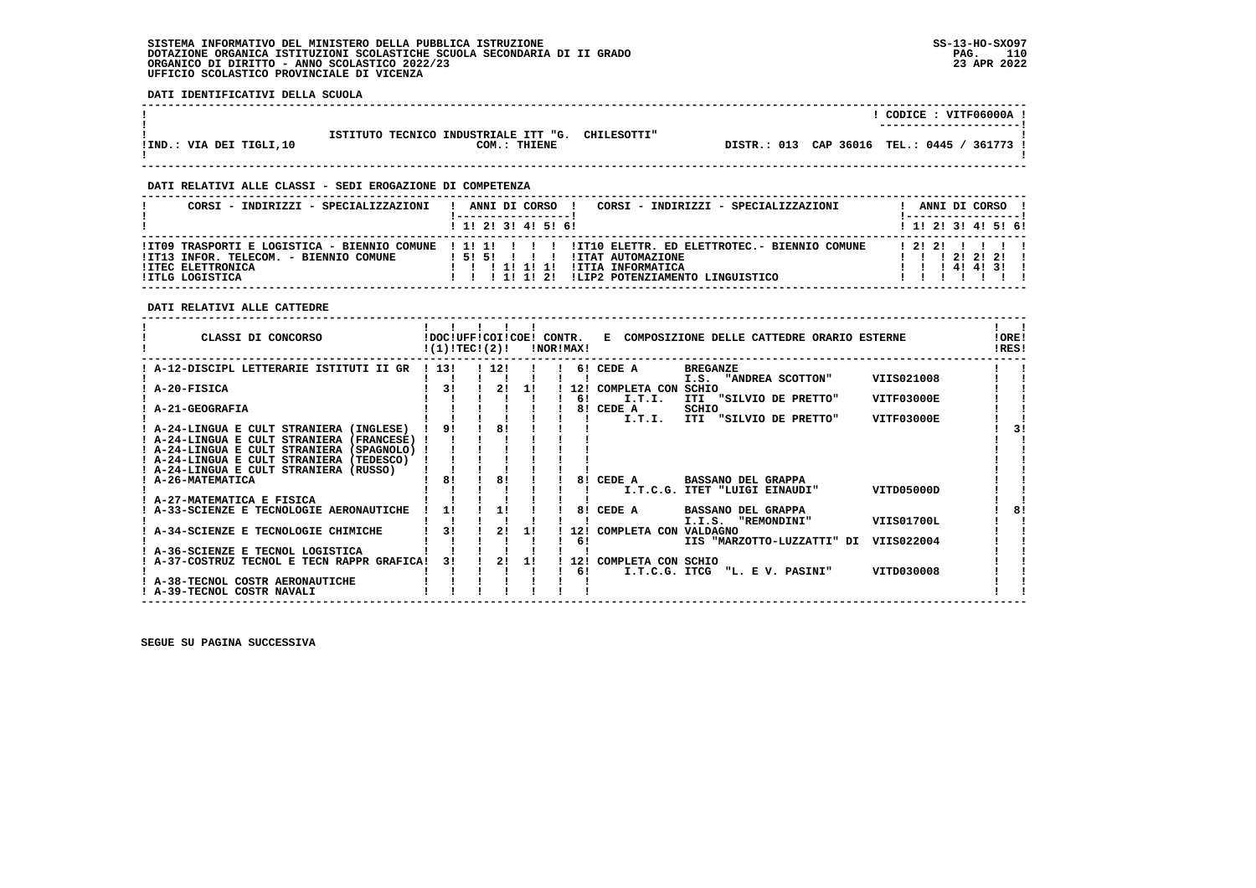### **SISTEMA INFORMATIVO DEL MINISTERO DELLA PUBBLICA ISTRUZIONE SS-13-HO-SXO97 DOTAZIONE ORGANICA ISTITUZIONI SCOLASTICHE SCUOLA SECONDARIA DI II GRADO** ORGANICO DI DIRITTO - ANNO SCOLASTICO 2022/23  **UFFICIO SCOLASTICO PROVINCIALE DI VICENZA**

 **DATI IDENTIFICATIVI DELLA SCUOLA**

|                         |                                                                  |  | CODICE: VITF06000A !<br>----------------------- |
|-------------------------|------------------------------------------------------------------|--|-------------------------------------------------|
| IIND.: VIA DEI TIGLI,10 | ISTITUTO TECNICO INDUSTRIALE ITT "G. CHILESOTTI"<br>COM.: THIENE |  | DISTR.: 013 CAP 36016 TEL.: 0445 / 361773 !     |

 **------------------------------------------------------------------------------------------------------------------------------------**

 **------------------------------------------------------------------------------------------------------------------------------------**

## **DATI RELATIVI ALLE CLASSI - SEDI EROGAZIONE DI COMPETENZA**

| CORSI - INDIRIZZI - SPECIALIZZAZIONI                                           | CORSI - INDIRIZZI - SPECIALIZZAZIONI<br>ANNI DI CORSO                                                                                                                                                                      | ANNI DI CORSO !                  |
|--------------------------------------------------------------------------------|----------------------------------------------------------------------------------------------------------------------------------------------------------------------------------------------------------------------------|----------------------------------|
|                                                                                | ! 1! 2! 3! 4! 5! 6!                                                                                                                                                                                                        | ! 1! 2! 3! 4! 5! 6!              |
| !IT13 INFOR. TELECOM. - BIENNIO COMUNE<br>!ITEC ELETTRONICA<br>!ITLG LOGISTICA | ITO9 TRASPORTI E LOGISTICA - BIENNIO COMUNE   1! 1!         ITIO ELETTR. ED ELETTROTEC.- BIENNIO COMUNE<br>!ITAT AUTOMAZIONE<br>15151<br>!ITIA INFORMATICA<br>111111<br>ILIP2 POTENZIAMENTO LINGUISTICO<br>1 1 1 1 1 1 2 1 | 12121111<br>12121211<br>14141311 |

 **DATI RELATIVI ALLE CATTEDRE**

| CLASSI DI CONCORSO                                                                      | !DOC!UFF!COI!COE! CONTR.<br>!(1)!TECI(2)! |       |    | !NOR!MAX! |     | E COMPOSIZIONE DELLE CATTEDRE ORARIO ESTERNE |                                |                   |  |  |  |
|-----------------------------------------------------------------------------------------|-------------------------------------------|-------|----|-----------|-----|----------------------------------------------|--------------------------------|-------------------|--|--|--|
| A-12-DISCIPL LETTERARIE ISTITUTI II GR                                                  | ! 13!                                     | ! 12! |    |           |     | 6! CEDE A                                    | <b>BREGANZE</b>                |                   |  |  |  |
| A-20-FISICA                                                                             | 31                                        | 2!    | 11 |           |     | 12! COMPLETA CON                             | I.S. "ANDREA SCOTTON"<br>SCHIO | VIIS021008        |  |  |  |
|                                                                                         |                                           |       |    |           | 61  | I.T.I.                                       | ITI "SILVIO DE PRETTO"         | VITF03000E        |  |  |  |
| <b>A-21-GEOGRAFIA</b>                                                                   |                                           |       |    |           |     | 8! CEDE A                                    | SCHIO                          |                   |  |  |  |
|                                                                                         |                                           |       |    |           |     | I.T.I.                                       | ITI "SILVIO DE PRETTO"         | VITF03000E        |  |  |  |
| ! A-24-LINGUA E CULT STRANIERA (INGLESE)                                                | 9!                                        | 81    |    |           |     |                                              |                                |                   |  |  |  |
| ! A-24-LINGUA E CULT STRANIERA (FRANCESE) !                                             |                                           |       |    |           |     |                                              |                                |                   |  |  |  |
| ! A-24-LINGUA E CULT STRANIERA (SPAGNOLO) !<br>! A-24-LINGUA E CULT STRANIERA (TEDESCO) |                                           |       |    |           |     |                                              |                                |                   |  |  |  |
| ! A-24-LINGUA E CULT STRANIERA (RUSSO)                                                  |                                           |       |    |           |     |                                              |                                |                   |  |  |  |
| ! A-26-MATEMATICA                                                                       | 81                                        | 81    |    |           | 8!  | CEDE A                                       | <b>BASSANO DEL GRAPPA</b>      |                   |  |  |  |
|                                                                                         |                                           |       |    |           |     |                                              | I.T.C.G. ITET "LUIGI EINAUDI"  | VITD05000D        |  |  |  |
| ! A-27-MATEMATICA E FISICA                                                              |                                           |       |    |           |     |                                              |                                |                   |  |  |  |
| A-33-SCIENZE E TECNOLOGIE AERONAUTICHE                                                  | 1!                                        | 11    |    |           | 81  | CEDE A                                       | <b>BASSANO DEL GRAPPA</b>      |                   |  |  |  |
|                                                                                         |                                           |       |    |           |     |                                              | I.I.S.<br>"REMONDINI"          | <b>VIIS01700L</b> |  |  |  |
| A-34-SCIENZE E TECNOLOGIE CHIMICHE                                                      | 31                                        | 2!    | 11 |           |     | 12! COMPLETA CON VALDAGNO                    |                                |                   |  |  |  |
| A-36-SCIENZE E TECNOL LOGISTICA                                                         |                                           |       |    |           | 61  |                                              | IIS "MARZOTTO-LUZZATTI" DI     | VIIS022004        |  |  |  |
| ! A-37-COSTRUZ TECNOL E TECN RAPPR GRAFICA!                                             | 31                                        | 2!    | 11 |           | 12! | COMPLETA CON SCHIO                           |                                |                   |  |  |  |
|                                                                                         |                                           |       |    |           | 61  |                                              | I.T.C.G. ITCG "L. E V. PASINI" | VITD030008        |  |  |  |
| A-38-TECNOL COSTR AERONAUTICHE                                                          |                                           |       |    |           |     |                                              |                                |                   |  |  |  |
| ! A-39-TECNOL COSTR NAVALI                                                              |                                           |       |    |           |     |                                              |                                |                   |  |  |  |

 **SEGUE SU PAGINA SUCCESSIVA**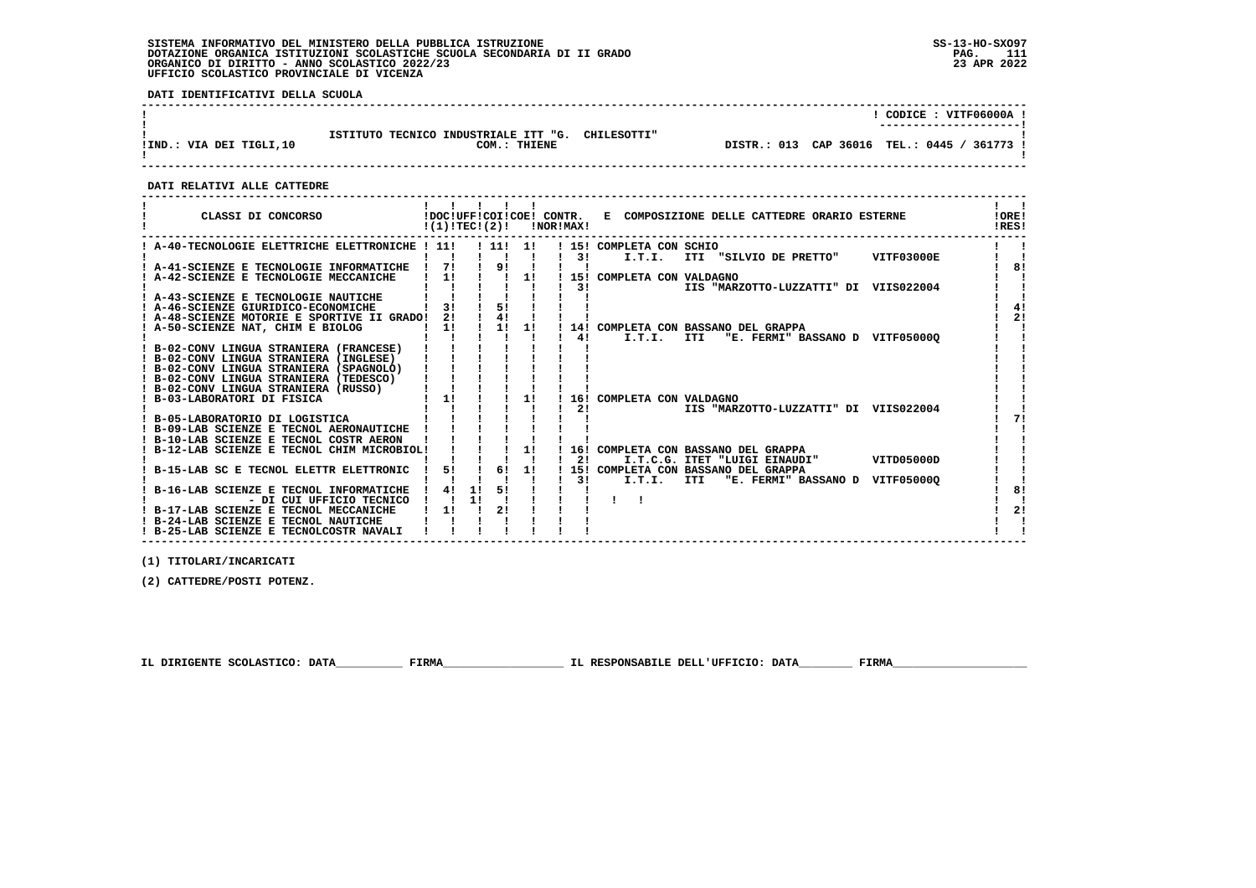# **SISTEMA INFORMATIVO DEL MINISTERO DELLA PUBBLICA ISTRUZIONE SS-13-HO-SXO97 DOTAZIONE ORGANICA ISTITUZIONI SCOLASTICHE SCUOLA SECONDARIA DI II GRADO PAG. 111 ORGANICO DI DIRITTO - ANNO SCOLASTICO 2022/23 23 APR 2022 UFFICIO SCOLASTICO PROVINCIALE DI VICENZA**

 **DATI IDENTIFICATIVI DELLA SCUOLA**

|                         |                                                                  | CODICE: VITF06000A !<br>---------------------- |
|-------------------------|------------------------------------------------------------------|------------------------------------------------|
| IIND.: VIA DEI TIGLI,10 | ISTITUTO TECNICO INDUSTRIALE ITT "G. CHILESOTTI"<br>COM.: THIENE | DISTR.: 013 CAP 36016 TEL.: 0445 / 361773 !    |

 **------------------------------------------------------------------------------------------------------------------------------------**

 **DATI RELATIVI ALLE CATTEDRE**

| CLASSI DI CONCORSO                                                                                           | $!(1)!TEC!(2)!$ $INORIMAX!$ |    |                     |    |     | !DOC!UFF!COI!COE! CONTR. E COMPOSIZIONE DELLE CATTEDRE ORARIO ESTERNE                                    | !ORE!<br>!RES!       |
|--------------------------------------------------------------------------------------------------------------|-----------------------------|----|---------------------|----|-----|----------------------------------------------------------------------------------------------------------|----------------------|
| ! A-40-TECNOLOGIE ELETTRICHE ELETTRONICHE ! 11!                                                              |                             |    | 111111              |    | 3 I | ! 15! COMPLETA CON SCHIO<br>I.T.I. ITI "SILVIO DE PRETTO" VITF03000E                                     |                      |
| ! A-41-SCIENZE E TECNOLOGIE INFORMATICHE<br>! A-42-SCIENZE E TECNOLOGIE MECCANICHE                           | 71<br>1!                    |    | 91                  | 1! |     | ! 15! COMPLETA CON VALDAGNO                                                                              | 81                   |
| ! A-43-SCIENZE E TECNOLOGIE NAUTICHE                                                                         |                             |    |                     |    | 31  | IIS "MARZOTTO-LUZZATTI" DI VIIS022004                                                                    |                      |
| A-46-SCIENZE GIURIDICO-ECONOMICHE<br>! A-48-SCIENZE MOTORIE E SPORTIVE II GRADO!                             | 3 <sub>1</sub><br>2!        |    | 5!<br>4!            |    |     |                                                                                                          | 2!                   |
| ! A-50-SCIENZE NAT, CHIM E BIOLOG                                                                            | 1!                          |    | $\frac{1}{1}$ 1! 1! |    | 41  | 14! COMPLETA CON BASSANO DEL GRAPPA<br>I.T.I.<br>ITI<br>"E. FERMI" BASSANO D VITF050000                  |                      |
| ! B-02-CONV LINGUA STRANIERA (FRANCESE)<br>! B-02-CONV LINGUA STRANIERA (INGLESE)                            |                             |    |                     |    |     |                                                                                                          |                      |
| ! B-02-CONV LINGUA STRANIERA (SPAGNOLO)<br>! B-02-CONV LINGUA STRANIERA (TEDESCO)                            |                             |    |                     |    |     |                                                                                                          |                      |
| ! B-02-CONV LINGUA STRANIERA (RUSSO)<br>B-03-LABORATORI DI FISICA                                            | 1!                          |    |                     | 1! | 16! | COMPLETA CON VALDAGNO                                                                                    |                      |
| ! B-05-LABORATORIO DI LOGISTICA                                                                              |                             |    |                     |    | 21  | IIS "MARZOTTO-LUZZATTI" DI VIIS022004                                                                    |                      |
| ! B-09-LAB SCIENZE E TECNOL AERONAUTICHE<br>! B-10-LAB SCIENZE E TECNOL COSTR AERON                          |                             |    |                     |    |     |                                                                                                          |                      |
| B-12-LAB SCIENZE E TECNOL CHIM MICROBIOL!                                                                    |                             |    |                     | 1! | 21  | 16! COMPLETA CON BASSANO DEL GRAPPA<br>VITD05000D<br>I.T.C.G. ITET "LUIGI EINAUDI"                       |                      |
| ! B-15-LAB SC E TECNOL ELETTR ELETTRONIC                                                                     | 5!                          |    | 6!                  | 1! | 31  | 15! COMPLETA CON BASSANO DEL GRAPPA<br>I.T.I.<br><b>ITI</b><br>"E. FERMI" BASSANO D<br><b>VITF050000</b> |                      |
| B-16-LAB SCIENZE E TECNOL INFORMATICHE<br>- DI CUI UFFICIO TECNICO<br>! B-17-LAB SCIENZE E TECNOL MECCANICHE | 4!<br>11                    | 1! | 51<br>21            |    |     |                                                                                                          | 8!<br>2 <sub>1</sub> |
| ! B-24-LAB SCIENZE E TECNOL NAUTICHE<br>! B-25-LAB SCIENZE E TECNOLCOSTR NAVALI                              |                             |    |                     |    |     |                                                                                                          |                      |

 **------------------------------------------------------------------------------------------------------------------------------------**

 **(1) TITOLARI/INCARICATI**

 **(2) CATTEDRE/POSTI POTENZ.**

 **IL DIRIGENTE SCOLASTICO: DATA\_\_\_\_\_\_\_\_\_\_ FIRMA\_\_\_\_\_\_\_\_\_\_\_\_\_\_\_\_\_\_ IL RESPONSABILE DELL'UFFICIO: DATA\_\_\_\_\_\_\_\_ FIRMA\_\_\_\_\_\_\_\_\_\_\_\_\_\_\_\_\_\_\_\_**